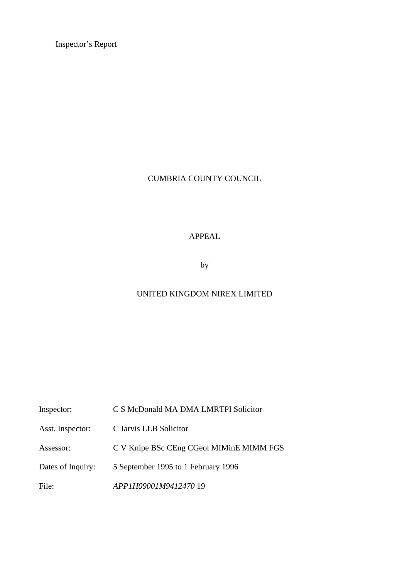Inspector's Report

# CUMBRIA COUNTY COUNCIL

## APPEAL

by

# UNITED KINGDOM NIREX LIMITED

| Inspector:        | C S McDonald MA DMA LMRTPI Solicitor     |
|-------------------|------------------------------------------|
| Asst. Inspector:  | C Jarvis LLB Solicitor                   |
| Assessor:         | C V Knipe BSc CEng CGeol MIMinE MIMM FGS |
| Dates of Inquiry: | 5 September 1995 to 1 February 1996      |
| File:             | APP1H09001M9412470 19                    |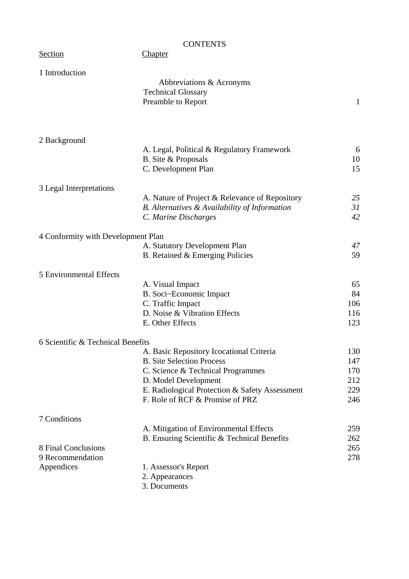|                                    | <b>CONTENTS</b>                                      |         |
|------------------------------------|------------------------------------------------------|---------|
| <b>Section</b>                     | <b>Chapter</b>                                       |         |
| 1 Introduction                     |                                                      |         |
|                                    | Abbreviations & Acronyms                             |         |
|                                    | <b>Technical Glossary</b>                            |         |
|                                    | Preamble to Report                                   | 1       |
|                                    |                                                      |         |
| 2 Background                       |                                                      |         |
|                                    | A. Legal, Political & Regulatory Framework           | 6<br>10 |
|                                    | B. Site & Proposals<br>C. Development Plan           | 15      |
|                                    |                                                      |         |
| 3 Legal Interpretations            |                                                      |         |
|                                    | A. Nature of Project & Relevance of Repository       | 25      |
|                                    | <b>B.</b> Alternatives & Availability of Information | 31      |
|                                    | C. Marine Discharges                                 | 42      |
| 4 Conformity with Development Plan |                                                      |         |
|                                    | A. Statutory Development Plan                        | 47      |
|                                    | B. Retained & Emerging Policies                      | 59      |
| 5 Environmental Effects            |                                                      |         |
|                                    | A. Visual Impact                                     | 65      |
|                                    | B. Soci~Economic Impact                              | 84      |
|                                    | C. Traffic Impact                                    | 106     |
|                                    | D. Noise & Vibration Effects                         | 116     |
|                                    | E. Other Effects                                     | 123     |
| 6 Scientific & Technical Benefits  |                                                      |         |
|                                    | A. Basic Repository Icocational Criteria             | 130     |
|                                    | <b>B.</b> Site Selection Process                     | 147     |
|                                    | C. Science & Technical Programmes                    | 170     |
|                                    | D. Model Development                                 | 212     |
|                                    | E. Radiological Protection & Safety Assessment       | 229     |
|                                    | F. Role of RCF & Promise of PRZ                      | 246     |
| 7 Conditions                       |                                                      |         |
|                                    | A. Mitigation of Environmental Effects               | 259     |
|                                    | B. Ensuring Scientific & Technical Benefits          | 262     |
| 8 Final Conclusions                |                                                      | 265     |
| 9 Recommendation<br>Appendices     |                                                      | 278     |
|                                    | 1. Assessor's Report<br>2. Appearances               |         |
|                                    | 3. Documents                                         |         |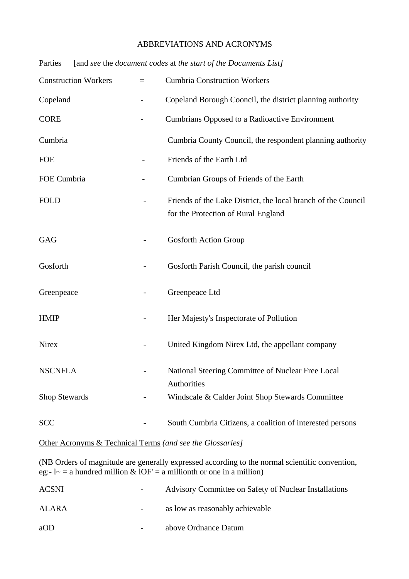### ABBREVIATIONS AND ACRONYMS

| <b>Construction Workers</b>                               | $=$ | <b>Cumbria Construction Workers</b>                                                                  |
|-----------------------------------------------------------|-----|------------------------------------------------------------------------------------------------------|
| Copeland                                                  |     | Copeland Borough Cooncil, the district planning authority                                            |
| <b>CORE</b>                                               |     | Cumbrians Opposed to a Radioactive Environment                                                       |
| Cumbria                                                   |     | Cumbria County Council, the respondent planning authority                                            |
| <b>FOE</b>                                                |     | Friends of the Earth Ltd                                                                             |
| FOE Cumbria                                               |     | Cumbrian Groups of Friends of the Earth                                                              |
| <b>FOLD</b>                                               |     | Friends of the Lake District, the local branch of the Council<br>for the Protection of Rural England |
| GAG                                                       |     | <b>Gosforth Action Group</b>                                                                         |
| Gosforth                                                  |     | Gosforth Parish Council, the parish council                                                          |
| Greenpeace                                                |     | Greenpeace Ltd                                                                                       |
| <b>HMIP</b>                                               |     | Her Majesty's Inspectorate of Pollution                                                              |
| <b>Nirex</b>                                              |     | United Kingdom Nirex Ltd, the appellant company                                                      |
| <b>NSCNFLA</b>                                            |     | National Steering Committee of Nuclear Free Local<br>Authorities                                     |
| <b>Shop Stewards</b>                                      |     | Windscale & Calder Joint Shop Stewards Committee                                                     |
| <b>SCC</b>                                                |     | South Cumbria Citizens, a coalition of interested persons                                            |
| Other Acronyms & Technical Terms (and see the Glossaries) |     |                                                                                                      |

Parties [and *see* the *document codes* at *the start of the Documents List]* 

(NB Orders of magnitude are generally expressed according to the normal scientific convention, eg:-  $l \sim$  = a hundred million & lOF' = a millionth or one in a million)

| <b>ACSNI</b> | $\blacksquare$ | Advisory Committee on Safety of Nuclear Installations |
|--------------|----------------|-------------------------------------------------------|
| ALARA        |                | as low as reasonably achievable                       |
| aOD          |                | above Ordnance Datum                                  |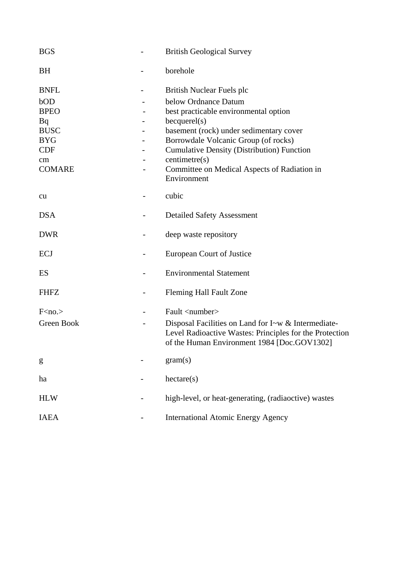| <b>BGS</b>      | <b>British Geological Survey</b>                        |
|-----------------|---------------------------------------------------------|
| BH              | borehole                                                |
| <b>BNFL</b>     | British Nuclear Fuels plc                               |
| bOD             | below Ordnance Datum                                    |
| <b>BPEO</b>     | best practicable environmental option                   |
| Bq              | becquerel(s)                                            |
| <b>BUSC</b>     | basement (rock) under sedimentary cover                 |
| <b>BYG</b>      | Borrowdale Volcanic Group (of rocks)                    |
| <b>CDF</b>      | <b>Cumulative Density (Distribution) Function</b>       |
| cm              | centimetre(s)                                           |
| <b>COMARE</b>   | Committee on Medical Aspects of Radiation in            |
|                 | Environment                                             |
| cu              | cubic                                                   |
| <b>DSA</b>      | <b>Detailed Safety Assessment</b>                       |
| <b>DWR</b>      | deep waste repository                                   |
| <b>ECJ</b>      | European Court of Justice                               |
| ES              | <b>Environmental Statement</b>                          |
| <b>FHFZ</b>     | Fleming Hall Fault Zone                                 |
| F <sub>10</sub> | Fault <number></number>                                 |
| Green Book      | Disposal Facilities on Land for I~w & Intermediate-     |
|                 | Level Radioactive Wastes: Principles for the Protection |
|                 | of the Human Environment 1984 [Doc.GOV1302]             |
|                 |                                                         |
| g               | gram(s)                                                 |
| ha              | hectare(s)                                              |
| <b>HLW</b>      | high-level, or heat-generating, (radiaoctive) wastes    |
| <b>IAEA</b>     | <b>International Atomic Energy Agency</b>               |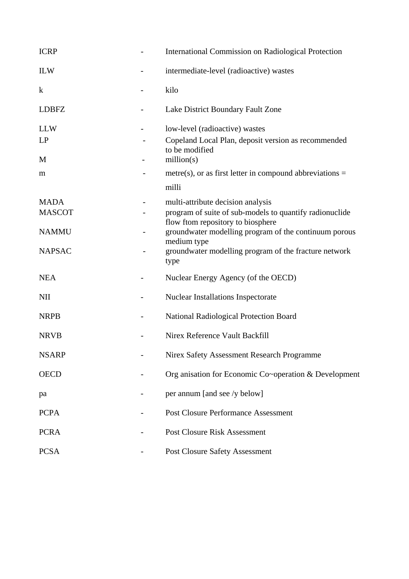| <b>ICRP</b>                  | International Commission on Radiological Protection                                                                               |
|------------------------------|-----------------------------------------------------------------------------------------------------------------------------------|
| <b>ILW</b>                   | intermediate-level (radioactive) wastes                                                                                           |
| $\bf k$                      | kilo                                                                                                                              |
| <b>LDBFZ</b>                 | Lake District Boundary Fault Zone                                                                                                 |
| <b>LLW</b>                   | low-level (radioactive) wastes                                                                                                    |
| LP                           | Copeland Local Plan, deposit version as recommended<br>to be modified                                                             |
| M                            | million(s)                                                                                                                        |
| m                            | metre(s), or as first letter in compound abbreviations $=$                                                                        |
|                              | milli                                                                                                                             |
| <b>MADA</b><br><b>MASCOT</b> | multi-attribute decision analysis<br>program of suite of sub-models to quantify radionuclide<br>flow ftom repository to biosphere |
| <b>NAMMU</b>                 | groundwater modelling program of the continuum porous                                                                             |
| <b>NAPSAC</b>                | medium type<br>groundwater modelling program of the fracture network<br>type                                                      |
| <b>NEA</b>                   | Nuclear Energy Agency (of the OECD)                                                                                               |
| <b>NII</b>                   | <b>Nuclear Installations Inspectorate</b>                                                                                         |
| <b>NRPB</b>                  | National Radiological Protection Board                                                                                            |
| <b>NRVB</b>                  | Nirex Reference Vault Backfill                                                                                                    |
| <b>NSARP</b>                 | Nirex Safety Assessment Research Programme                                                                                        |
| <b>OECD</b>                  | Organisation for Economic Co~operation & Development                                                                              |
| pa                           | per annum [and see /y below]                                                                                                      |
| <b>PCPA</b>                  | <b>Post Closure Performance Assessment</b>                                                                                        |
| <b>PCRA</b>                  | <b>Post Closure Risk Assessment</b>                                                                                               |
| <b>PCSA</b>                  | <b>Post Closure Safety Assessment</b>                                                                                             |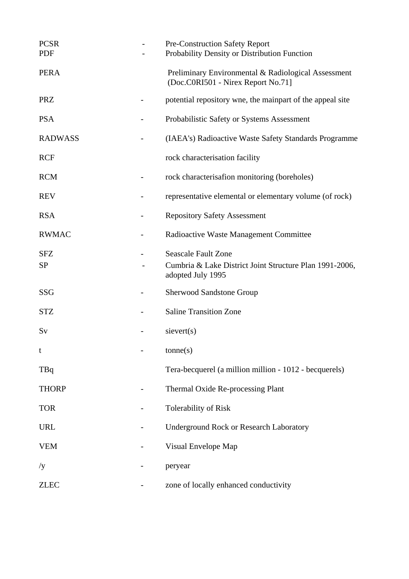| <b>PCSR</b><br><b>PDF</b> | <b>Pre-Construction Safety Report</b><br>Probability Density or Distribution Function                      |
|---------------------------|------------------------------------------------------------------------------------------------------------|
| <b>PERA</b>               | Preliminary Environmental & Radiological Assessment<br>(Doc.C0RI501 - Nirex Report No.71]                  |
| <b>PRZ</b>                | potential repository wne, the mainpart of the appeal site                                                  |
| <b>PSA</b>                | Probabilistic Safety or Systems Assessment                                                                 |
| <b>RADWASS</b>            | (IAEA's) Radioactive Waste Safety Standards Programme                                                      |
| <b>RCF</b>                | rock characterisation facility                                                                             |
| <b>RCM</b>                | rock characterisation monitoring (boreholes)                                                               |
| <b>REV</b>                | representative elemental or elementary volume (of rock)                                                    |
| <b>RSA</b>                | <b>Repository Safety Assessment</b>                                                                        |
| <b>RWMAC</b>              | Radioactive Waste Management Committee                                                                     |
| <b>SFZ</b><br><b>SP</b>   | <b>Seascale Fault Zone</b><br>Cumbria & Lake District Joint Structure Plan 1991-2006,<br>adopted July 1995 |
| <b>SSG</b>                | <b>Sherwood Sandstone Group</b>                                                                            |
| <b>STZ</b>                | <b>Saline Transition Zone</b>                                                                              |
| Sv                        | sievert(s)                                                                                                 |
| t                         | tonne(s)                                                                                                   |
| TBq                       | Tera-becquerel (a million million - 1012 - becquerels)                                                     |
| <b>THORP</b>              | Thermal Oxide Re-processing Plant                                                                          |
| <b>TOR</b>                | Tolerability of Risk                                                                                       |
| URL                       | <b>Underground Rock or Research Laboratory</b>                                                             |
| <b>VEM</b>                | Visual Envelope Map                                                                                        |
| /y                        | peryear                                                                                                    |
| <b>ZLEC</b>               | zone of locally enhanced conductivity                                                                      |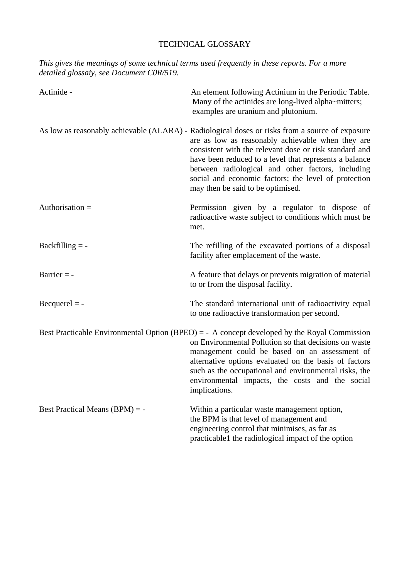## TECHNICAL GLOSSARY

*This gives the meanings of some technical terms used frequently in these reports. For a more detailed glossaiy, see Document C0R/519.* 

| Actinide -                       | An element following Actinium in the Periodic Table.<br>Many of the actinides are long-lived alpha~mitters;<br>examples are uranium and plutonium.                                                                                                                                                                                                                                                                         |
|----------------------------------|----------------------------------------------------------------------------------------------------------------------------------------------------------------------------------------------------------------------------------------------------------------------------------------------------------------------------------------------------------------------------------------------------------------------------|
|                                  | As low as reasonably achievable (ALARA) - Radiological doses or risks from a source of exposure<br>are as low as reasonably achievable when they are<br>consistent with the relevant dose or risk standard and<br>have been reduced to a level that represents a balance<br>between radiological and other factors, including<br>social and economic factors; the level of protection<br>may then be said to be optimised. |
| Authorisation =                  | Permission given by a regulator to dispose of<br>radioactive waste subject to conditions which must be<br>met.                                                                                                                                                                                                                                                                                                             |
| Backfilling $=$ -                | The refilling of the excavated portions of a disposal<br>facility after emplacement of the waste.                                                                                                                                                                                                                                                                                                                          |
| Barrier $=$ -                    | A feature that delays or prevents migration of material<br>to or from the disposal facility.                                                                                                                                                                                                                                                                                                                               |
| $\text{Because}$ = -             | The standard international unit of radioactivity equal<br>to one radioactive transformation per second.                                                                                                                                                                                                                                                                                                                    |
|                                  | Best Practicable Environmental Option (BPEO) = $-$ A concept developed by the Royal Commission<br>on Environmental Pollution so that decisions on waste<br>management could be based on an assessment of<br>alternative options evaluated on the basis of factors<br>such as the occupational and environmental risks, the<br>environmental impacts, the costs and the social<br>implications.                             |
| Best Practical Means $(BPM) = -$ | Within a particular waste management option,<br>the BPM is that level of management and<br>engineering control that minimises, as far as<br>practicable1 the radiological impact of the option                                                                                                                                                                                                                             |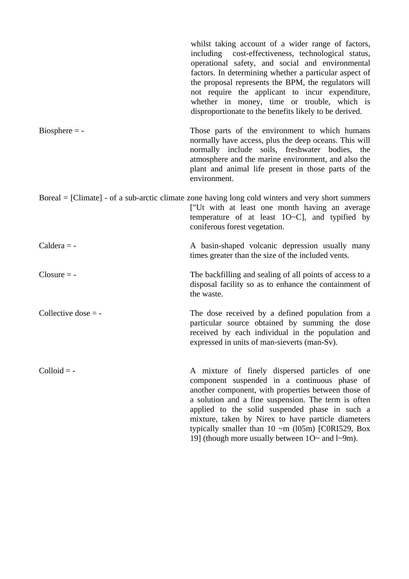whilst taking account of a wider range of factors, including cost-effectiveness, technological status, operational safety, and social and environmental factors. In determining whether a particular aspect of the proposal represents the BPM, the regulators will not require the applicant to incur expenditure, whether in money, time or trouble, which is disproportionate to the benefits likely to be derived.

Biosphere = - Those parts of the environment to which humans normally have access, plus the deep oceans. This will normally include soils, freshwater bodies, the atmosphere and the marine environment, and also the plant and animal life present in those parts of the environment.

Boreal = [Climate] - of a sub-arctic climate zone having long cold winters and very short summers ["Ut with at least one month having an average temperature of at least 1O~C], and typified by coniferous forest vegetation.

Caldera = - <br>A basin-shaped volcanic depression usually many times greater than the size of the included vents.

Closure = - The backfilling and sealing of all points of access to a disposal facility so as to enhance the containment of the waste.

Collective dose = - The dose received by a defined population from a particular source obtained by summing the dose received by each individual in the population and expressed in units of man-sieverts (man-Sv).

Colloid = - A mixture of finely dispersed particles of one component suspended in a continuous phase of another component, with properties between those of a solution and a fine suspension. The term is often applied to the solid suspended phase in such a mixture, taken by Nirex to have particle diameters typically smaller than  $10 \sim m (105m)$  [C0RI529, Box 19] (though more usually between  $10~\text{m}$  and  $1~\text{m}$ ).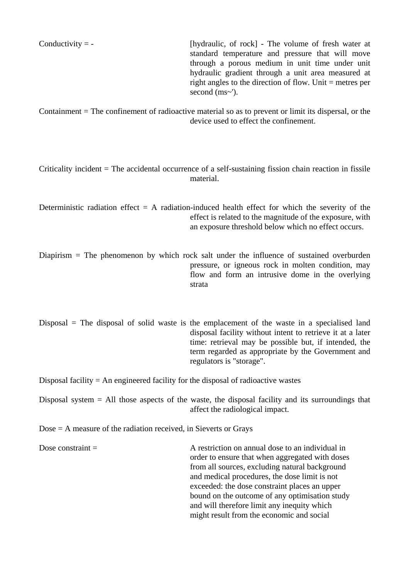Conductivity = - [hydraulic, of rock] - The volume of fresh water at standard temperature and pressure that will move through a porous medium in unit time under unit hydraulic gradient through a unit area measured at right angles to the direction of flow. Unit = metres per second (ms~').

Containment = The confinement of radioactive material so as to prevent or limit its dispersal, or the device used to effect the confinement.

Criticality incident = The accidental occurrence of a self-sustaining fission chain reaction in fissile material.

Deterministic radiation effect  $= A$  radiation-induced health effect for which the severity of the effect is related to the magnitude of the exposure, with an exposure threshold below which no effect occurs.

Diapirism = The phenomenon by which rock salt under the influence of sustained overburden pressure, or igneous rock in molten condition, may flow and form an intrusive dome in the overlying strata

Disposal = The disposal of solid waste is the emplacement of the waste in a specialised land disposal facility without intent to retrieve it at a later time: retrieval may be possible but, if intended, the term regarded as appropriate by the Government and regulators is "storage".

Disposal facility  $=$  An engineered facility for the disposal of radioactive wastes

Disposal system = All those aspects of the waste, the disposal facility and its surroundings that affect the radiological impact.

 $Dose = A$  measure of the radiation received, in Sieverts or Grays

Dose constraint = A restriction on annual dose to an individual in order to ensure that when aggregated with doses from all sources, excluding natural background and medical procedures, the dose limit is not exceeded: the dose constraint places an upper bound on the outcome of any optimisation study and will therefore limit any inequity which might result from the economic and social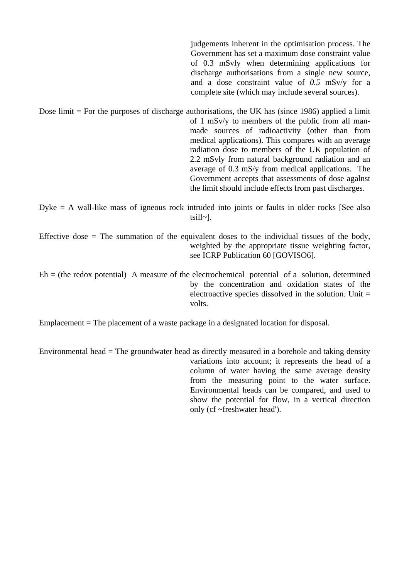judgements inherent in the optimisation process. The Government has set a maximum dose constraint value of 0.3 mSvly when determining applications for discharge authorisations from a single new source, and a dose constraint value of *0.5* mSv/y for a complete site (which may include several sources).

- Dose limit = For the purposes of discharge authorisations, the UK has (since 1986) applied a limit of 1 mSv/y to members of the public from all manmade sources of radioactivity (other than from medical applications). This compares with an average radiation dose to members of the UK population of 2.2 mSvly from natural background radiation and an average of 0.3 mS/y from medical applications. The Government accepts that assessments of dose agalnst the limit should include effects from past discharges.
- Dyke  $=$  A wall-like mass of igneous rock intruded into joints or faults in older rocks [See also tsill~].
- Effective dose  $=$  The summation of the equivalent doses to the individual tissues of the body, weighted by the appropriate tissue weighting factor, see ICRP Publication 60 [GOVISO6].
- $Eh =$  (the redox potential) A measure of the electrochemical potential of a solution, determined by the concentration and oxidation states of the electroactive species dissolved in the solution. Unit  $=$ volts.

Emplacement = The placement of a waste package in a designated location for disposal.

Environmental head = The groundwater head as directly measured in a borehole and taking density variations into account; it represents the head of a column of water having the same average density from the measuring point to the water surface. Environmental heads can be compared, and used to show the potential for flow, in a vertical direction only (cf ~freshwater head').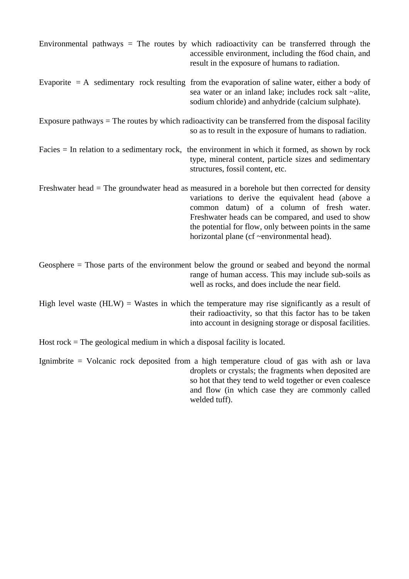| Environmental pathways = The routes by which radioactivity can be transferred through the<br>accessible environment, including the f6od chain, and<br>result in the exposure of humans to radiation.                                                                                                                                                               |
|--------------------------------------------------------------------------------------------------------------------------------------------------------------------------------------------------------------------------------------------------------------------------------------------------------------------------------------------------------------------|
| Evaporite $= A$ sedimentary rock resulting from the evaporation of saline water, either a body of<br>sea water or an inland lake; includes rock salt ~alite,<br>sodium chloride) and anhydride (calcium sulphate).                                                                                                                                                 |
| Exposure pathways = The routes by which radioactivity can be transferred from the disposal facility<br>so as to result in the exposure of humans to radiation.                                                                                                                                                                                                     |
| Facies $=$ In relation to a sedimentary rock, the environment in which it formed, as shown by rock<br>type, mineral content, particle sizes and sedimentary<br>structures, fossil content, etc.                                                                                                                                                                    |
| Freshwater head $=$ The groundwater head as measured in a borehole but then corrected for density<br>variations to derive the equivalent head (above a<br>common datum) of a column of fresh water.<br>Freshwater heads can be compared, and used to show<br>the potential for flow, only between points in the same<br>horizontal plane (cf ~environmental head). |
| Geosphere $=$ Those parts of the environment below the ground or seabed and beyond the normal<br>range of human access. This may include sub-soils as<br>well as rocks, and does include the near field.                                                                                                                                                           |

High level waste  $(HLW)$  = Wastes in which the temperature may rise significantly as a result of their radioactivity, so that this factor has to be taken into account in designing storage or disposal facilities.

Host rock = The geological medium in which a disposal facility is located.

Ignimbrite = Volcanic rock deposited from a high temperature cloud of gas with ash or lava droplets or crystals; the fragments when deposited are so hot that they tend to weld together or even coalesce and flow (in which case they are commonly called welded tuff).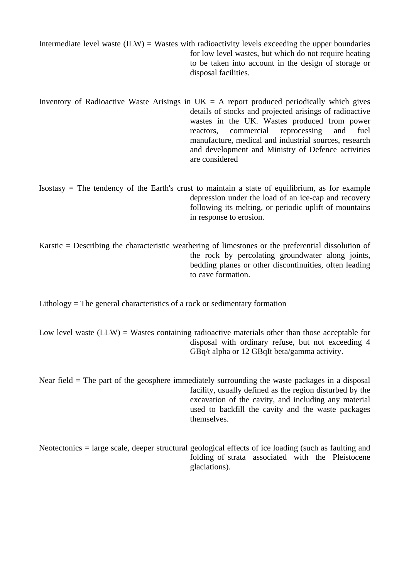Intermediate level waste  $(ILW) =$  Wastes with radioactivity levels exceeding the upper boundaries for low level wastes, but which do not require heating to be taken into account in the design of storage or disposal facilities.

Inventory of Radioactive Waste Arisings in  $UK = A$  report produced periodically which gives details of stocks and projected arisings of radioactive wastes in the UK. Wastes produced from power reactors, commercial reprocessing and fuel manufacture, medical and industrial sources, research and development and Ministry of Defence activities are considered

Isostasy  $=$  The tendency of the Earth's crust to maintain a state of equilibrium, as for example depression under the load of an ice-cap and recovery following its melting, or periodic uplift of mountains in response to erosion.

Karstic = Describing the characteristic weathering of limestones or the preferential dissolution of the rock by percolating groundwater along joints, bedding planes or other discontinuities, often leading to cave formation.

Lithology = The general characteristics of a rock or sedimentary formation

Low level waste  $(LLW)$  = Wastes containing radioactive materials other than those acceptable for disposal with ordinary refuse, but not exceeding 4 GBq/t alpha or 12 GBqIt beta/gamma activity.

Near field = The part of the geosphere immediately surrounding the waste packages in a disposal facility, usually defined as the region disturbed by the excavation of the cavity, and including any material used to backfill the cavity and the waste packages themselves.

Neotectonics = large scale, deeper structural geological effects of ice loading (such as faulting and folding of strata associated with the Pleistocene glaciations).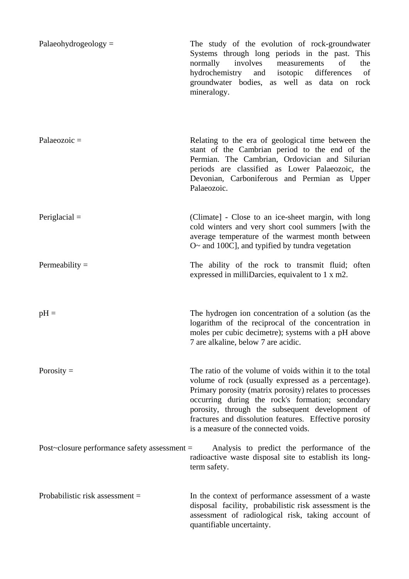| Palaeohydrogeology $=$                         | The study of the evolution of rock-groundwater<br>Systems through long periods in the past. This<br>involves<br>of<br>normally<br>measurements<br>the<br>hydrochemistry and isotopic differences<br>of<br>groundwater bodies, as well as data on rock<br>mineralogy.                                                                                                               |
|------------------------------------------------|------------------------------------------------------------------------------------------------------------------------------------------------------------------------------------------------------------------------------------------------------------------------------------------------------------------------------------------------------------------------------------|
| Palaeozoic $=$                                 | Relating to the era of geological time between the<br>stant of the Cambrian period to the end of the<br>Permian. The Cambrian, Ordovician and Silurian<br>periods are classified as Lower Palaeozoic, the<br>Devonian, Carboniferous and Permian as Upper<br>Palaeozoic.                                                                                                           |
| Periglacial $=$                                | (Climate) - Close to an ice-sheet margin, with long<br>cold winters and very short cool summers [with the<br>average temperature of the warmest month between<br>$O~$ and 100C], and typified by tundra vegetation                                                                                                                                                                 |
| Permeability $=$                               | The ability of the rock to transmit fluid; often<br>expressed in milliDarcies, equivalent to 1 x m2.                                                                                                                                                                                                                                                                               |
| $pH =$                                         | The hydrogen ion concentration of a solution (as the<br>logarithm of the reciprocal of the concentration in<br>moles per cubic decimetre); systems with a pH above<br>7 are alkaline, below 7 are acidic.                                                                                                                                                                          |
| Porosity $=$                                   | The ratio of the volume of voids within it to the total<br>volume of rock (usually expressed as a percentage).<br>Primary porosity (matrix porosity) relates to processes<br>occurring during the rock's formation; secondary<br>porosity, through the subsequent development of<br>fractures and dissolution features. Effective porosity<br>is a measure of the connected voids. |
| Post~closure performance safety assessment $=$ | Analysis to predict the performance of the<br>radioactive waste disposal site to establish its long-<br>term safety.                                                                                                                                                                                                                                                               |
| Probabilistic risk assessment $=$              | In the context of performance assessment of a waste<br>disposal facility, probabilistic risk assessment is the<br>assessment of radiological risk, taking account of<br>quantifiable uncertainty.                                                                                                                                                                                  |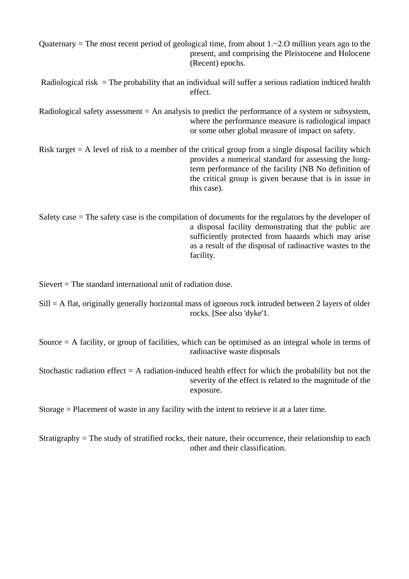Quaternary  $=$  The most recent period of geological time, from about 1. $\sim$ 2.0 million years ago to the present, and comprising the Pleistocene and Holocene (Recent) epochs.

Radiological risk  $=$  The probability that an individual will suffer a serious radiation indticed health effect.

Radiological safety assessment  $=$  An analysis to predict the performance of a system or subsystem, where the performance measure is radiological impact or some other global measure of impact on safety.

Risk target  $= A$  level of risk to a member of the critical group from a single disposal facility which provides a numerical standard for assessing the longterm performance of the facility (NB No definition of the critical group is given because that is in issue in this case).

Safety case = The safety case is the compilation of documents for the regulators by the developer of a disposal facility demonstrating that the public are sufficiently protected from haaards which may arise as a result of the disposal of radioactive wastes to the facility.

Sievert = The standard international unit of radiation dose.

Sill = A flat, originally generally horizontal mass of igneous rock intruded between 2 layers of older rocks. [See also 'dyke'1.

Source  $= A$  facility, or group of facilities, which can be optimised as an integral whole in terms of radioactive waste disposals

Stochastic radiation effect  $= A$  radiation-induced health effect for which the probability but not the severity of the effect is related to the magnitude of the exposure.

Storage = Placement of waste in any facility with the intent to retrieve it at a later time.

Stratigraphy  $=$  The study of stratified rocks, their nature, their occurrence, their relationship to each other and their classification.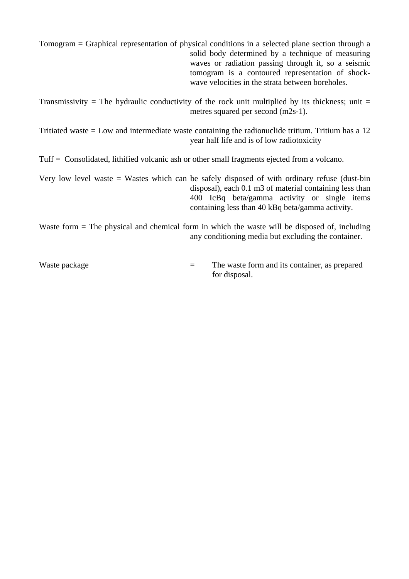Tomogram = Graphical representation of physical conditions in a selected plane section through a solid body determined by a technique of measuring waves or radiation passing through it, so a seismic tomogram is a contoured representation of shockwave velocities in the strata between boreholes.

Transmissivity = The hydraulic conductivity of the rock unit multiplied by its thickness; unit = metres squared per second (m2s-1).

Tritiated waste = Low and intermediate waste containing the radionuclide tritium. Tritium has a 12 year half life and is of low radiotoxicity

Tuff = Consolidated, lithified volcanic ash or other small fragments ejected from a volcano.

Very low level waste  $=$  Wastes which can be safely disposed of with ordinary refuse (dust-bin disposal), each 0.1 m3 of material containing less than 400 IcBq beta/gamma activity or single items containing less than 40 kBq beta/gamma activity.

Waste form = The physical and chemical form in which the waste will be disposed of, including any conditioning media but excluding the container.

Waste package  $=$  The waste form and its container, as prepared for disposal.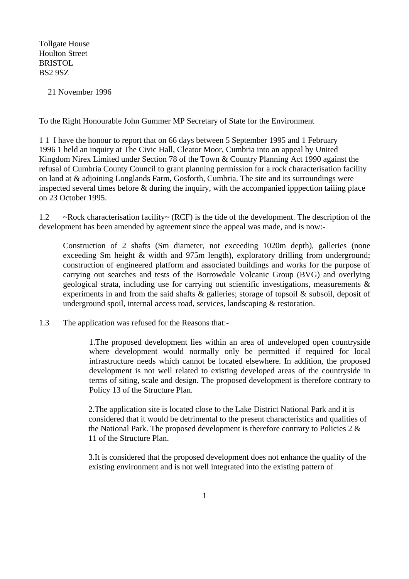Tollgate House Houlton Street **BRISTOL** BS2 9SZ

21 November 1996

To the Right Honourable John Gummer MP Secretary of State for the Environment

1 1 I have the honour to report that on 66 days between 5 September 1995 and 1 February 1996 1 held an inquiry at The Civic Hall, Cleator Moor, Cumbria into an appeal by United Kingdom Nirex Limited under Section 78 of the Town & Country Planning Act 1990 against the refusal of Cumbria County Council to grant planning permission for a rock characterisation facility on land at & adjoining Longlands Farm, Gosforth, Cumbria. The site and its surroundings were inspected several times before & during the inquiry, with the accompanied ipppection taiiing place on 23 October 1995.

1.2 ~Rock characterisation facility~ (RCF) is the tide of the development. The description of the development has been amended by agreement since the appeal was made, and is now:-

Construction of 2 shafts (Sm diameter, not exceeding 1020m depth), galleries (none exceeding Sm height & width and 975m length), exploratory drilling from underground; construction of engineered platform and associated buildings and works for the purpose of carrying out searches and tests of the Borrowdale Volcanic Group (BVG) and overlying geological strata, including use for carrying out scientific investigations, measurements & experiments in and from the said shafts & galleries; storage of topsoil & subsoil, deposit of underground spoil, internal access road, services, landscaping & restoration.

1.3 The application was refused for the Reasons that:-

1.The proposed development lies within an area of undeveloped open countryside where development would normally only be permitted if required for local infrastructure needs which cannot be located elsewhere. In addition, the proposed development is not well related to existing developed areas of the countryside in terms of siting, scale and design. The proposed development is therefore contrary to Policy 13 of the Structure Plan.

2.The application site is located close to the Lake District National Park and it is considered that it would be detrimental to the present characteristics and qualities of the National Park. The proposed development is therefore contrary to Policies 2  $\&$ 11 of the Structure Plan.

3.It is considered that the proposed development does not enhance the quality of the existing environment and is not well integrated into the existing pattern of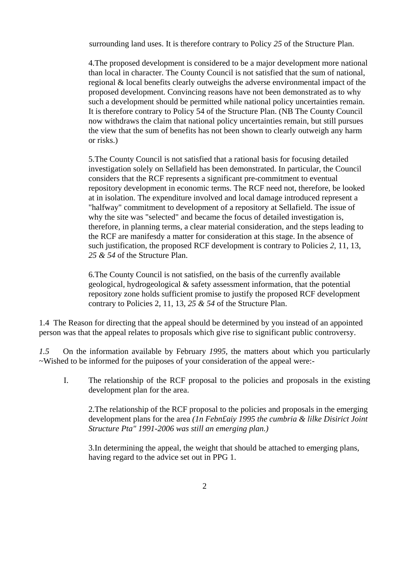surrounding land uses. It is therefore contrary to Policy *25* of the Structure Plan.

4.The proposed development is considered to be a major development more national than local in character. The County Council is not satisfied that the sum of national, regional & local benefits clearly outweighs the adverse environmental impact of the proposed development. Convincing reasons have not been demonstrated as to why such a development should be permitted while national policy uncertainties remain. It is therefore contrary to Policy 54 of the Structure Plan. (NB The County Council now withdraws the claim that national policy uncertainties remain, but still pursues the view that the sum of benefits has not been shown to clearly outweigh any harm or risks.)

5.The County Council is not satisfied that a rational basis for focusing detailed investigation solely on Sellafield has been demonstrated. In particular, the Council considers that the RCF represents a significant pre-commitment to eventual repository development in economic terms. The RCF need not, therefore, be looked at in isolation. The expenditure involved and local damage introduced represent a "halfway" commitment to development of a repository at Sellafield. The issue of why the site was "selected" and became the focus of detailed investigation is, therefore, in planning terms, a clear material consideration, and the steps leading to the RCF are manifesdy a matter for consideration at this stage. In the absence of such justification, the proposed RCF development is contrary to Policies *2,* 11, 13, *25 & 54* of the Structure Plan.

6.The County Council is not satisfied, on the basis of the currenfly available geological, hydrogeological & safety assessment information, that the potential repository zone holds sufficient promise to justify the proposed RCF development contrary to Policies 2, 11, 13, *25 & 54* of the Structure Plan.

1.4 The Reason for directing that the appeal should be determined by you instead of an appointed person was that the appeal relates to proposals which give rise to significant public controversy.

*1.5* On the information available by February *1995,* the matters about which you particularly ~Wished to be informed for the puiposes of your consideration of the appeal were:-

I. The relationship of the RCF proposal to the policies and proposals in the existing development plan for the area.

2.The relationship of the RCF proposal to the policies and proposals in the emerging development plans for the area *(1n Febn£aiy 1995 the cumbria & lilke Disirict Joint Structure Pta" 1991-2006 was still an emerging plan.)* 

3.In determining the appeal, the weight that should be attached to emerging plans, having regard to the advice set out in PPG 1.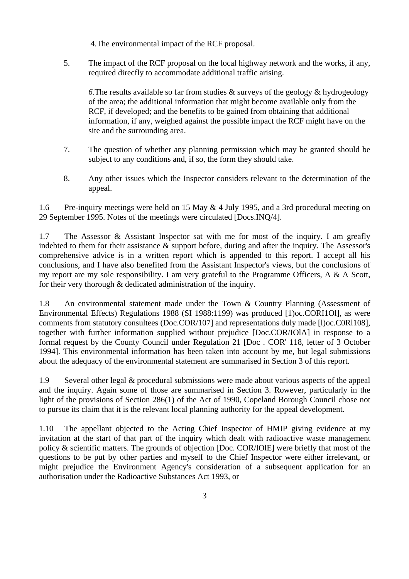4.The environmental impact of the RCF proposal.

5. The impact of the RCF proposal on the local highway network and the works, if any, required direcfly to accommodate additional traffic arising.

*6.*The results available so far from studies & surveys of the geology & hydrogeology of the area; the additional information that might become available only from the RCF, if developed; and the benefits to be gained from obtaining that additional information, if any, weighed against the possible impact the RCF might have on the site and the surrounding area.

- 7. The question of whether any planning permission which may be granted should be subject to any conditions and, if so, the form they should take.
- 8. Any other issues which the Inspector considers relevant to the determination of the appeal.

1.6 Pre-inquiry meetings were held on 15 May & 4 July 1995, and a 3rd procedural meeting on 29 September 1995. Notes of the meetings were circulated [Docs.INQ/4].

1.7 The Assessor & Assistant Inspector sat with me for most of the inquiry. I am greafly indebted to them for their assistance & support before, during and after the inquiry. The Assessor's comprehensive advice is in a written report which is appended to this report. I accept all his conclusions, and I have also benefited from the Assistant Inspector's views, but the conclusions of my report are my sole responsibility. I am very grateful to the Programme Officers, A & A Scott, for their very thorough & dedicated administration of the inquiry.

1.8 An environmental statement made under the Town & Country Planning (Assessment of Environmental Effects) Regulations 1988 (SI 1988:1199) was produced [1)oc.CORI1Ol], as were comments from statutory consultees (Doc.COR/107] and representations duly made [l)oc.C0Rl108], together with further information supplied without prejudice [Doc.COR/IOlA] in response to a formal request by the County Council under Regulation 21 [Doc . COR' 118, letter of 3 October 1994]. This environmental information has been taken into account by me, but legal submissions about the adequacy of the environmental statement are summarised in Section 3 of this report.

1.9 Several other legal & procedural submissions were made about various aspects of the appeal and the inquiry. Again some of those are summarised in Section 3. Rowever, particularly in the light of the provisions of Section 286(1) of the Act of 1990, Copeland Borough Council chose not to pursue its claim that it is the relevant local planning authority for the appeal development.

1.10 The appellant objected to the Acting Chief Inspector of HMIP giving evidence at my invitation at the start of that part of the inquiry which dealt with radioactive waste management policy & scientific matters. The grounds of objection [Doc. COR/lOlE] were briefly that most of the questions to be put by other parties and myself to the Chief Inspector were either irrelevant, or might prejudice the Environment Agency's consideration of a subsequent application for an authorisation under the Radioactive Substances Act 1993, or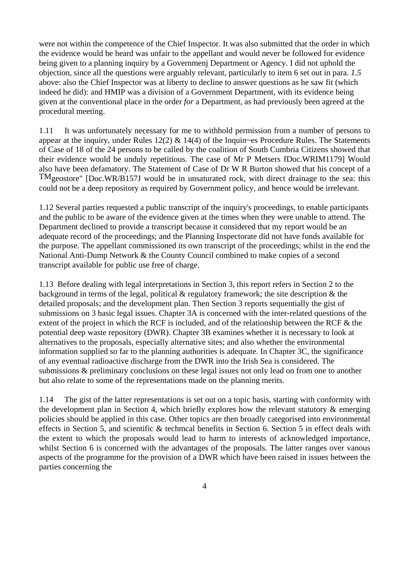were not within the competence of the Chief Inspector. It was also submitted that the order in which the evidence would be heard was unfair to the appellant and would never be followed for evidence being given to a planning inquiry by a Governmenj Department or Agency. I did not uphold the objection, since all the questions were arguably relevant, particularly to item 6 set out in para. *1.5*  above: also the Chief Inspector was at liberty to decline to answer questions as he saw fit (which indeed he did): and HMIP was a division of a Government Department, with its evidence being given at the conventional place in the order *for* a Department, as had previously been agreed at the procedural meeting.

1.11 It was unfortunately necessary for me to withhold permission from a number of persons to appear at the inquiry, under Rules  $12(2)$  &  $14(4)$  of the Inquin~es Procedure Rules. The Statements of Case of 18 of the 24 persons to be called by the coalition of South Cumbria Citizens showed that their evidence would be unduly repetitious. The case of Mr P Metsers fDoc.WRIM1179] Would also have been defamatory. The Statement of Case of Dr W R Burton showed that his concept of a TMgeostore" [Doc.WR/B157J would be in unsaturated rock, with direct drainage to the sea: this could not be a deep repository as required by Government policy, and hence would be irrelevant.

1.12 Several parties requested a public transcript of the inquiry's proceedings, to enable participants and the public to be aware of the evidence given at the times when they were unable to attend. The Department declined to provide a transcript because it considered that my report would be an adequate record of the proceedings; and the Planning Inspectorate did not have funds available for the purpose. The appellant commissioned its own transcript of the proceedings; whilst in the end the National Anti-Dump Network & the County Council combined to make copies of a second transcript available for public use free of charge.

1.13 Before dealing with legal interpretations in Section 3, this report refers in Section 2 to the background in terms of the legal, political  $\&$  regulatory framework; the site description  $\&$  the detailed proposals; and the development plan. Then Section 3 reports sequentially the gist of submissions on 3 basic legal issues. Chapter 3A is concerned with the inter-related questions of the extent of the project in which the RCF is included, and of the relationship between the RCF & the potential deep waste repository (DWR). Chapter 3B examines whether it is necessary to look at alternatives to the proposals, especially alternative sites; and also whether the environmental information supplied so far to the planning authorities is adequate. In Chapter 3C, the significance of any eventual radioactive discharge from the DWR into the Irish Sea is considered. The submissions & preliminary conclusions on these legal issues not only lead on from one to another but also relate to some of the representations made on the planning merits.

1.14 The gist of the latter representations is set out on a topic basis, starting with conformity with the development plan in Section 4, which briefly explores how the relevant statutory & emerging policies should be applied in this case. Other topics are then broadly categorised into environmental effects in Section 5, and scientific & techmcal benefits in Section 6. Section 5 in effect deals with the extent to which the proposals would lead to harm to interests of acknowledged importance, whilst Section 6 is concerned with the advantages of the proposals. The latter ranges over vanous aspects of the programme for the provision of a DWR which have been raised in issues between the parties concerning the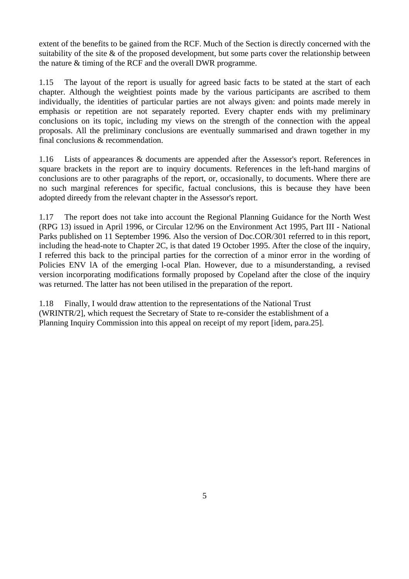extent of the benefits to be gained from the RCF. Much of the Section is directly concerned with the suitability of the site & of the proposed development, but some parts cover the relationship between the nature & timing of the RCF and the overall DWR programme.

1.15 The layout of the report is usually for agreed basic facts to be stated at the start of each chapter. Although the weightiest points made by the various participants are ascribed to them individually, the identities of particular parties are not always given: and points made merely in emphasis or repetition are not separately reported. Every chapter ends with my preliminary conclusions on its topic, including my views on the strength of the connection with the appeal proposals. All the preliminary conclusions are eventually summarised and drawn together in my final conclusions & recommendation.

1.16 Lists of appearances & documents are appended after the Assessor's report. References in square brackets in the report are to inquiry documents. References in the left-hand margins of conclusions are to other paragraphs of the report, or, occasionally, to documents. Where there are no such marginal references for specific, factual conclusions, this is because they have been adopted direedy from the relevant chapter in the Assessor's report.

1.17 The report does not take into account the Regional Planning Guidance for the North West (RPG 13) issued in April 1996, or Circular 12/96 on the Environment Act 1995, Part III - National Parks published on 11 September 1996. Also the version of Doc.COR/301 referred to in this report, including the head-note to Chapter 2C, is that dated 19 October 1995. After the close of the inquiry, I referred this back to the principal parties for the correction of a minor error in the wording of Policies ENV lA of the emerging l-ocal Plan. However, due to a misunderstanding, a revised version incorporating modifications formally proposed by Copeland after the close of the inquiry was returned. The latter has not been utilised in the preparation of the report.

1.18 Finally, I would draw attention to the representations of the National Trust (WRINTR/2], which request the Secretary of State to re-consider the establishment of a Planning Inquiry Commission into this appeal on receipt of my report [idem, para.25].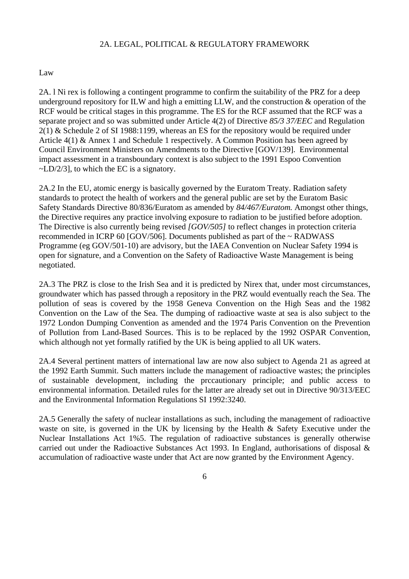#### 2A. LEGAL, POLITICAL & REGULATORY FRAMEWORK

#### Law

2A. l Ni rex is following a contingent programme to confirm the suitability of the PRZ for a deep underground repository for ILW and high a emitting LLW, and the construction  $\&$  operation of the RCF would be critical stages in this programme. The ES for the RCF assumed that the RCF was a separate project and so was submitted under Article 4(2) of Directive *85/3 37/EEC* and Regulation 2(1) & Schedule 2 of SI 1988:1199, whereas an ES for the repository would be required under Article 4(1) & Annex 1 and Schedule 1 respectively. A Common Position has been agreed by Council Environment Ministers on Amendments to the Directive [GOV/139]. Environmental impact assessment in a transboundary context is also subject to the 1991 Espoo Convention  $-LD/2/3$ ], to which the EC is a signatory.

2A.2 In the EU, atomic energy is basically governed by the Euratom Treaty. Radiation safety standards to protect the health of workers and the general public are set by the Euratom Basic Safety Standards Directive 80/836/Euratom as amended by *84/467/Euratom.* Amongst other things, the Directive requires any practice involving exposure to radiation to be justified before adoption. The Directive is also currently being revised *[GOV/505]* to reflect changes in protection criteria recommended in ICRP 60 [GOV/506]. Documents published as part of the ~ RADWASS Programme (eg GOV/501-10) are advisory, but the IAEA Convention on Nuclear Safety 1994 is open for signature, and a Convention on the Safety of Radioactive Waste Management is being negotiated.

2A.3 The PRZ is close to the Irish Sea and it is predicted by Nirex that, under most circumstances, groundwater which has passed through a repository in the PRZ would eventually reach the Sea. The pollution of seas is covered by the 1958 Geneva Convention on the High Seas and the 1982 Convention on the Law of the Sea. The dumping of radioactive waste at sea is also subject to the 1972 London Dumping Convention as amended and the 1974 Paris Convention on the Prevention of Pollution from Land-Based Sources. This is to be replaced by the 1992 OSPAR Convention, which although not yet formally ratified by the UK is being applied to all UK waters.

2A.4 Several pertinent matters of international law are now also subject to Agenda 21 as agreed at the 1992 Earth Summit. Such matters include the management of radioactive wastes; the principles of sustainable development, including the prccautionary principle; and public access to environmental information. Detailed rules for the latter are already set out in Directive 90/313/EEC and the Environmental Information Regulations SI 1992:3240.

2A.5 Generally the safety of nuclear installations as such, including the management of radioactive waste on site, is governed in the UK by licensing by the Health & Safety Executive under the Nuclear Installations Act 1%5. The regulation of radioactive substances is generally otherwise carried out under the Radioactive Substances Act 1993. In England, authorisations of disposal & accumulation of radioactive waste under that Act are now granted by the Environment Agency.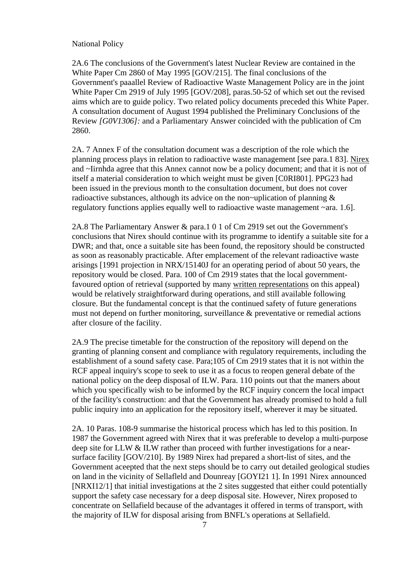#### National Policy

2A.6 The conclusions of the Government's latest Nuclear Review are contained in the White Paper Cm 2860 of May 1995 [GOV/215]. The final conclusions of the Government's paaallel Review of Radioactive Waste Management Policy are in the joint White Paper Cm 2919 of July 1995 [GOV/208], paras.50-52 of which set out the revised aims which are to guide policy. Two related policy documents preceded this White Paper. A consultation document of August 1994 published the Preliminary Conclusions of the Review *[G0V1306]:* and a Parliamentary Answer coincided with the publication of Cm 2860.

2A. 7 Annex F of the consultation document was a description of the role which the planning process plays in relation to radioactive waste management [see para.1 83]. Nirex and ~Iirnhda agree that this Annex cannot now be a policy document; and that it is not of itself a material consideration to which weight must be given [C0RI801]. PPG23 had been issued in the previous month to the consultation document, but does not cover radioactive substances, although its advice on the non~uplication of planning & regulatory functions applies equally well to radioactive waste management ~ara. 1.6].

2A.8 The Parliamentary Answer & para.1 0 1 of Cm 2919 set out the Government's conclusions that Nirex should continue with its programme to identify a suitable site for a DWR; and that, once a suitable site has been found, the repository should be constructed as soon as reasonably practicable. After emplacement of the relevant radioactive waste arisings [1991 projection in NRX/15140J for an operating period of about 50 years, the repository would be closed. Para. 100 of Cm 2919 states that the local governmentfavoured option of retrieval (supported by many written representations on this appeal) would be relatively straightforward during operations, and still available following closure. But the fundamental concept is that the continued safety of future generations must not depend on further monitoring, surveillance & preventative or remedial actions after closure of the facility.

2A.9 The precise timetable for the construction of the repository will depend on the granting of planning consent and compliance with regulatory requirements, including the establishment of a sound safety case. Para;105 of Cm 2919 states that it is not within the RCF appeal inquiry's scope to seek to use it as a focus to reopen general debate of the national policy on the deep disposal of ILW. Para. 110 points out that the maners about which you specifically wish to be informed by the RCF inquiry concern the local impact of the facility's construction: and that the Government has already promised to hold a full public inquiry into an application for the repository itself, wherever it may be situated.

2A. 10 Paras. 108-9 summarise the historical process which has led to this position. In 1987 the Government agreed with Nirex that it was preferable to develop a multi-purpose deep site for LLW & ILW rather than proceed with further investigations for a nearsurface facility [GOV/210]. By 1989 Nirex had prepared a short-list of sites, and the Government aceepted that the next steps should be to carry out detailed geological studies on land in the vicinity of Sellafleld and Dounreay [GOYI21 1]. In 1991 Nirex announced [NRXI12/1] that initial investigations at the 2 sites suggested that either could potentially support the safety case necessary for a deep disposal site. However, Nirex proposed to concentrate on Sellafield because of the advantages it offered in terms of transport, with the majority of ILW for disposal arising from BNFL's operations at Sellafield.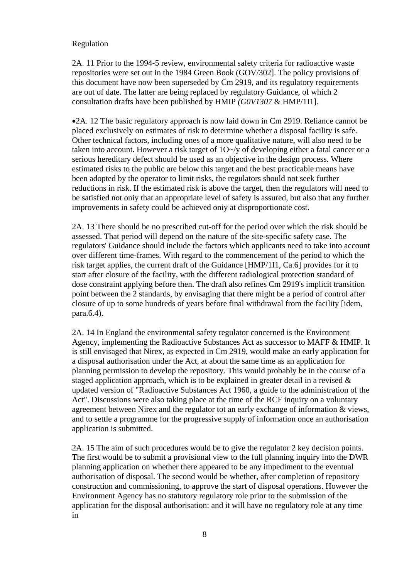#### Regulation

2A. 11 Prior to the 1994-5 review, environmental safety criteria for radioactive waste repositories were set out in the 1984 Green Book (GOV/302]. The policy provisions of this document have now been superseded by Cm 2919, and its regulatory requirements are out of date. The latter are being replaced by regulatory Guidance, of which 2 consultation drafts have been published by HMIP *(G0V1307* & HMP/1I1].

•2A. 12 The basic regulatory approach is now laid down in Cm 2919. Reliance cannot be placed exclusively on estimates of risk to determine whether a disposal facility is safe. Other technical factors, including ones of a more qualitative nature, will also need to be taken into account. However a risk target of 1O~/y of developing either a fatal cancer or a serious hereditary defect should be used as an objective in the design process. Where estimated risks to the public are below this target and the best practicable means have been adopted by the operator to limit risks, the regulators should not seek further reductions in risk. If the estimated risk is above the target, then the regulators will need to be satisfied not oniy that an appropriate level of safety is assured, but also that any further improvements in safety could be achieved oniy at disproportionate cost.

2A. 13 There should be no prescribed cut-off for the period over which the risk should be assessed. That period will depend on the nature of the site-specific safety case. The regulators' Guidance should include the factors which applicants need to take into account over different time-frames. With regard to the commencement of the period to which the risk target applies, the current draft of the Guidance [HMP/1I1, Ca.6] provides for it to start after closure of the facility, with the different radiological protection standard of dose constraint applying before then. The draft also refines Cm 2919's implicit transition point between the 2 standards, by envisaging that there might be a period of control after closure of up to some hundreds of years before final withdrawal from the facility [idem, para.6.4).

2A. 14 In England the environmental safety regulator concerned is the Environment Agency, implementing the Radioactive Substances Act as successor to MAFF & HMIP. It is still envisaged that Nirex, as expected in Cm 2919, would make an early application for a disposal authorisation under the Act, at about the same time as an application for planning permission to develop the repository. This would probably be in the course of a staged application approach, which is to be explained in greater detail in a revised  $\&$ updated version of "Radioactive Substances Act 1960, a guide to the administration of the Act". Discussions were also taking place at the time of the RCF inquiry on a voluntary agreement between Nirex and the regulator tot an early exchange of information & views, and to settle a programme for the progressive supply of information once an authorisation application is submitted.

2A. 15 The aim of such procedures would be to give the regulator 2 key decision points. The first would be to submit a provisional view to the full planning inquiry into the DWR planning application on whether there appeared to be any impediment to the eventual authorisation of disposal. The second would be whether, after completion of repository construction and commissioning, to approve the start of disposal operations. However the Environment Agency has no statutory regulatory role prior to the submission of the application for the disposal authorisation: and it will have no regulatory role at any time in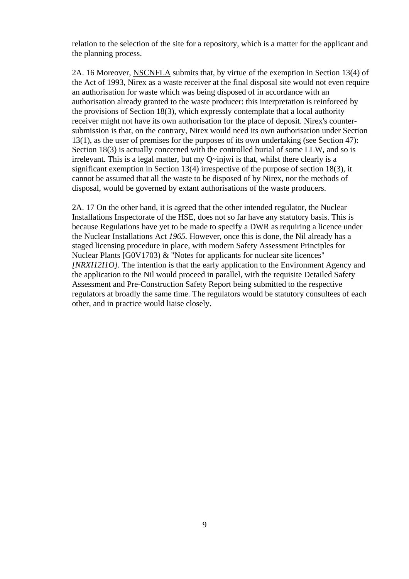relation to the selection of the site for a repository, which is a matter for the applicant and the planning process.

2A. 16 Moreover, NSCNFLA submits that, by virtue of the exemption in Section 13(4) of the Act of 1993, Nirex as a waste receiver at the final disposal site would not even require an authorisation for waste which was being disposed of in accordance with an authorisation already granted to the waste producer: this interpretation is reinforeed by the provisions of Section 18(3), which expressly contemplate that a local authority receiver might not have its own authorisation for the place of deposit. Nirex's countersubmission is that, on the contrary, Nirex would need its own authorisation under Section 13(1), as the user of premises for the purposes of its own undertaking (see Section 47): Section 18(3) is actually concerned with the controlled burial of some LLW, and so is irrelevant. This is a legal matter, but my Q~injwi is that, whilst there clearly is a significant exemption in Section 13(4) irrespective of the purpose of section 18(3), it cannot be assumed that all the waste to be disposed of by Nirex, nor the methods of disposal, would be governed by extant authorisations of the waste producers.

2A. 17 On the other hand, it is agreed that the other intended regulator, the Nuclear Installations Inspectorate of the HSE, does not so far have any statutory basis. This is because Regulations have yet to be made to specify a DWR as requiring a licence under the Nuclear Installations Act *1965.* However, once this is done, the Nil already has a staged licensing procedure in place, with modern Safety Assessment Principles for Nuclear Plants [G0V1703) & "Notes for applicants for nuclear site licences" *[NRXI12I1O].* The intention is that the early application to the Environment Agency and the application to the Nil would proceed in parallel, with the requisite Detailed Safety Assessment and Pre-Construction Safety Report being submitted to the respective regulators at broadly the same time. The regulators would be statutory consultees of each other, and in practice would liaise closely.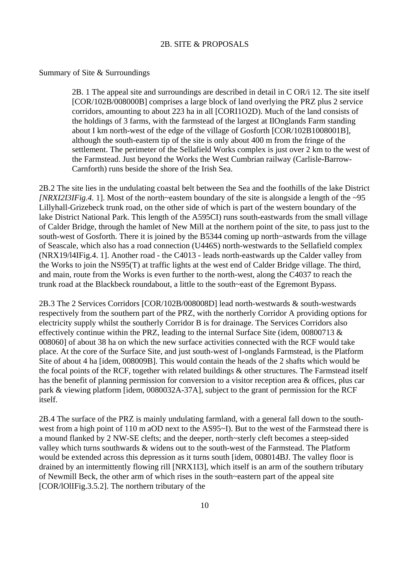#### 2B. SITE & PROPOSALS

Summary of Site & Surroundings

2B. 1 The appeal site and surroundings are described in detail in C OR/i 12. The site itself [COR/102B/008000B] comprises a large block of land overlying the PRZ plus 2 service corridors, amounting to about 223 ha in all [CORI1O2D). Much of the land consists of the holdings of 3 farms, with the farmstead of the largest at IlOnglands Farm standing about I km north-west of the edge of the village of Gosforth [COR/102B1008001B], although the south-eastern tip of the site is only about 400 m from the fringe of the settlement. The perimeter of the Sellafield Works complex is just over 2 km to the west of the Farmstead. Just beyond the Works the West Cumbrian railway (Carlisle-Barrow-Carnforth) runs beside the shore of the Irish Sea.

2B.2 The site lies in the undulating coastal belt between the Sea and the foothills of the lake District *[NRXI2I3IFig.4.* 1]. Most of the north~eastem boundary of the site is alongside a length of the ~95 Lillyhall-Grizebeck trunk road, on the other side of which is part of the western boundary of the lake District National Park. This length of the A595CI) runs south-eastwards from the small village of Calder Bridge, through the hamlet of New Mill at the northern point of the site, to pass just to the south-west of Gosforth. There it is joined by the B5344 coming up north~astwards from the village of Seascale, which also has a road connection (U446S) north-westwards to the Sellafield complex (NRX19/l4IFig.4. 1]. Another road - the C4013 - leads north-eastwards up the Calder valley from the Works to join the NS95(T) at traffic lights at the west end of Calder Bridge village. The third, and main, route from the Works is even further to the north-west, along the C4037 to reach the trunk road at the Blackbeck roundabout, a little to the south~east of the Egremont Bypass.

2B.3 The 2 Services Corridors [COR/102B/008008D] lead north-westwards & south-westwards respectively from the southern part of the PRZ, with the northerly Corridor A providing options for electricity supply whilst the southerly Corridor B is for drainage. The Services Corridors also effectively continue within the PRZ, leading to the internal Surface Site (idem, 00800713 & 008060] of about 38 ha on which the new surface activities connected with the RCF would take place. At the core of the Surface Site, and just south-west of l-onglands Farmstead, is the Platform Site of about 4 ha [idem, 008009B]. This would contain the heads of the 2 shafts which would be the focal points of the RCF, together with related buildings & other structures. The Farmstead itself has the benefit of planning permission for conversion to a visitor reception area & offices, plus car park & viewing platform [idem, 0080032A-37A], subject to the grant of permission for the RCF itself.

2B.4 The surface of the PRZ is mainly undulating farmland, with a general fall down to the southwest from a high point of 110 m aOD next to the AS95~I). But to the west of the Farmstead there is a mound flanked by 2 NW-SE clefts; and the deeper, north~sterly cleft becomes a steep-sided valley which turns southwards & widens out to the south-west of the Farmstead. The Platform would be extended across this depression as it turns south [idem, 008014BJ. The valley floor is drained by an intermittently flowing rill [NRX1I3], which itself is an arm of the southern tributary of Newmill Beck, the other arm of which rises in the south~eastern part of the appeal site [COR/lOlIFig.3.5.2]. The northern tributary of the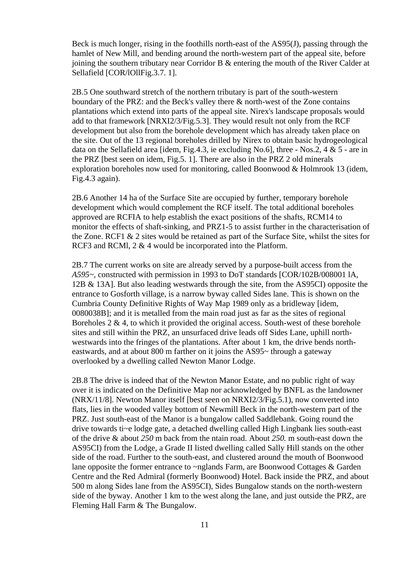Beck is much longer, rising in the foothills north-east of the AS95(J), passing through the hamlet of New Mill, and bending around the north-western part of the appeal site, before joining the southern tributary near Corridor B & entering the mouth of the River Calder at Sellafield [COR/lOllFig.3.7. 1].

2B.5 One southward stretch of the northern tributary is part of the south-western boundary of the PRZ: and the Beck's valley there & north-west of the Zone contains plantations which extend into parts of the appeal site. Nirex's landscape proposals would add to that framework [NRXI2/3/Fig.5.3]. They would result not only from the RCF development but also from the borehole development which has already taken place on the site. Out of the 13 regional boreholes drilled by Nirex to obtain basic hydrogeological data on the Sellafield area [idem, Fig.4.3, ie excluding No.6], three - Nos.2,  $4 \& 5$  - are in the PRZ [best seen on idem, Fig.5. 1]. There are also in the PRZ 2 old minerals exploration boreholes now used for monitoring, called Boonwood & Holmrook 13 (idem, Fig.4.3 again).

2B.6 Another 14 ha of the Surface Site are occupied by further, temporary borehole development which would complement the RCF itself. The total additional boreholes approved are RCFIA to help establish the exact positions of the shafts, RCM14 to monitor the effects of shaft-sinking, and PRZ1-5 to assist further in the characterisation of the Zone. RCF1 & 2 sites would be retained as part of the Surface Site, whilst the sites for RCF3 and RCMl, 2 & 4 would be incorporated into the Platform.

2B.7 The current works on site are already served by a purpose-built access from the *A595~,* constructed with permission in 1993 to DoT standards [COR/102B/008001 lA, 12B & 13A]. But also leading westwards through the site, from the AS95CI) opposite the entrance to Gosforth village, is a narrow byway called Sides lane. This is shown on the Cumbria County Definitive Rights of Way Map 1989 only as a bridleway [idem, 0080038B]; and it is metalled from the main road just as far as the sites of regional Boreholes  $2 \& 4$ , to which it provided the original access. South-west of these borehole sites and still within the PRZ, an unsurfaced drive leads off Sides Lane, uphill northwestwards into the fringes of the plantations. After about 1 km, the drive bends northeastwards, and at about 800 m farther on it joins the AS95~ through a gateway overlooked by a dwelling called Newton Manor Lodge.

2B.8 The drive is indeed that of the Newton Manor Estate, and no public right of way over it is indicated on the Definitive Map nor acknowledged by BNFL as the landowner (NRX/11/8]. Newton Manor itself [best seen on NRXI2/3/Fig.5.1), now converted into flats, lies in the wooded valley bottom of Newmill Beck in the north-western part of the PRZ. Just south-east of the Manor is a bungalow called Saddlebank. Going round the drive towards ti~e lodge gate, a detached dwelling called High Lingbank lies south-east of the drive & about *250* m back from the ntain road. About *250.* m south-east down the AS95CI) from the Lodge, a Grade II listed dwelling called Sally Hill stands on the other side of the road. Further to the south-east, and clustered around the mouth of Boonwood lane opposite the former entrance to ~nglands Farm, are Boonwood Cottages & Garden Centre and the Red Admiral (formerly Boonwood) Hotel. Back inside the PRZ, and about 500 m along Sides lane from the AS95CI), Sides Bungalow stands on the north-western side of the byway. Another 1 km to the west along the lane, and just outside the PRZ, are Fleming Hall Farm & The Bungalow.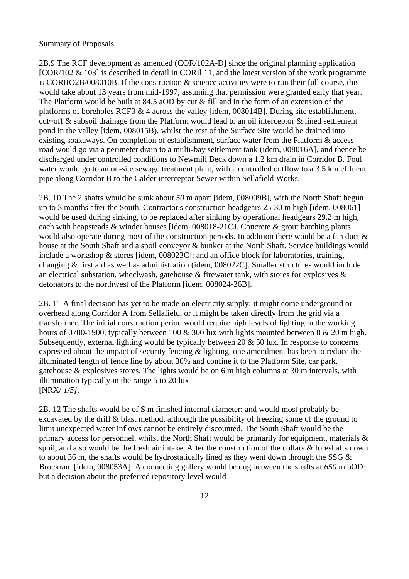#### Summary of Proposals

2B.9 The RCF development as amended (COR/102A-D] since the original planning application [COR/102 & 103] is described in detail in CORIl 11, and the latest version of the work programme is CORIIO2B/008010B. If the construction & science activities were to run their full course, this would take about 13 years from mid-1997, assuming that permission were granted early that year. The Platform would be built at 84.5 aOD by cut & fill and in the form of an extension of the platforms of boreholes RCF3 & 4 across the valley [idem, 008014B]. During site establishment, cut~off & subsoil drainage from the Platform would lead to an oil interceptor & lined settlement pond in the valley [idem, 008015B), whilst the rest of the Surface Site would be drained into existing soakaways. On completion of establishment, surface water from the Platform & access road would go via a perimeter drain to a multi-bay settlement tank (idem, 008016A], and thence be discharged under controlled conditions to Newmill Beck down a 1.2 km drain in Corridor B. Foul water would go to an on-site sewage treatment plant, with a controlled outflow to a 3.5 km effluent pipe along Corridor B to the Calder interceptor Sewer within Sellafield Works.

2B. 10 The 2 shafts would be sunk about *50* m apart [idem, 008009B], with the North Shaft begun up to 3 months after the South. Contractor's construction headgears 25-30 m high [idem, 008061] would be used during sinking, to be replaced after sinking by operational headgears 29.2 m high, each with heapsteads & winder houses [idem, 008018-21CJ. Concrete & grout batching plants would also operate during most of the construction periods. In addition there would be a fan duct & house at the South Shaft and a spoil conveyor & bunker at the North Shaft. Service buildings would include a workshop & stores [idem, 008023C]; and an office block for laboratories, training, changing & first aid as well as administration (idem, 008022C]. Smaller structures would include an electrical substation, wheclwash, gatehouse  $\&$  firewater tank, with stores for explosives  $\&$ detonators to the northwest of the Platform [idem, 008024-26B].

2B. 11 A final decision has yet to be made on electricity supply: it might come underground or overhead along Corridor A from Sellafield, or it might be taken directly from the grid via a transformer. The initial construction period would require high levels of lighting in the working hours of 0700-1900, typically between 100 & 300 lux with lights mounted between 8 & 20 m high. Subsequently, external lighting would be typically between 20 & 50 lux. In response to concerns expressed about the impact of security fencing & lighting, one amendment has been to reduce the illuminated length of fence line by about 30% and confine it to the Platform Site, car park, gatehouse & explosives stores. The lights would be on 6 m high columns at 30 m intervals, with illumination typically in the range 5 to 20 lux [NRX/ *1/5].* 

2B. 12 The shafts would be of S m finished internal diameter; and would most probably be excavated by the drill & blast method, although the possibility of freezing some of the ground to limit unexpected water inflows cannot be entirely discounted. The South Shaft would be the primary access for personnel, whilst the North Shaft would be primarily for equipment, materials & spoil, and also would be the fresh air intake. After the construction of the collars & foreshafts down to about 36 m, the shafts would be hydrostatically lined as they went down through the SSG & Brockram [idem, 008053A]. A connecting gallery would be dug between the shafts at *650* m bOD: but a decision about the preferred repository level would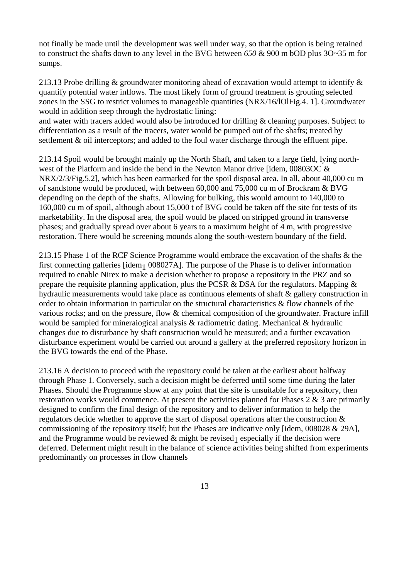not finally be made until the development was well under way, so that the option is being retained to construct the shafts down to any level in the BVG between *650* & 900 m bOD plus 3O~35 m for sumps.

213.13 Probe drilling & groundwater monitoring ahead of excavation would attempt to identify & quantify potential water inflows. The most likely form of ground treatment is grouting selected zones in the SSG to restrict volumes to manageable quantities (NRX/16/lOlFig.4. 1]. Groundwater would in addition seep through the hydrostatic lining:

and water with tracers added would also be introduced for drilling & cleaning purposes. Subject to differentiation as a result of the tracers, water would be pumped out of the shafts; treated by settlement & oil interceptors; and added to the foul water discharge through the effluent pipe.

213.14 Spoil would be brought mainly up the North Shaft, and taken to a large field, lying northwest of the Platform and inside the bend in the Newton Manor drive [idem, 00803OC & NRX/2/3/Fig.5.2], which has been earmarked for the spoil disposal area. In all, about 40,000 cu m of sandstone would be produced, with between 60,000 and 75,000 cu m of Brockram & BVG depending on the depth of the shafts. Allowing for bulking, this would amount to 140,000 to 160,000 cu m of spoil, although about 15,000 t of BVG could be taken off the site for tests of its marketability. In the disposal area, the spoil would be placed on stripped ground in transverse phases; and gradually spread over about 6 years to a maximum height of 4 m, with progressive restoration. There would be screening mounds along the south-western boundary of the field.

213.15 Phase 1 of the RCF Science Programme would embrace the excavation of the shafts & the first connecting galleries [idem<sub>1</sub> 008027A]. The purpose of the Phase is to deliver information required to enable Nirex to make a decision whether to propose a repository in the PRZ and so prepare the requisite planning application, plus the PCSR  $&$  DSA for the regulators. Mapping  $&$ hydraulic measurements would take place as continuous elements of shaft & gallery construction in order to obtain information in particular on the structural characteristics & flow channels of the various rocks; and on the pressure, flow & chemical composition of the groundwater. Fracture infill would be sampled for mineraiogical analysis & radiometric dating. Mechanical & hydraulic changes due to disturbance by shaft construction would be measured; and a further excavation disturbance experiment would be carried out around a gallery at the preferred repository horizon in the BVG towards the end of the Phase.

213.16 A decision to proceed with the repository could be taken at the earliest about halfway through Phase 1. Conversely, such a decision might be deferred until some time during the later Phases. Should the Programme show at any point that the site is unsuitable for a repository, then restoration works would commence. At present the activities planned for Phases 2 & 3 are primarily designed to confirm the final design of the repository and to deliver information to help the regulators decide whether to approve the start of disposal operations after the construction  $\&$ commissioning of the repository itself; but the Phases are indicative only [idem, 008028 & 29A], and the Programme would be reviewed  $\&$  might be revised<sub>1</sub> especially if the decision were deferred. Deferment might result in the balance of science activities being shifted from experiments predominantly on processes in flow channels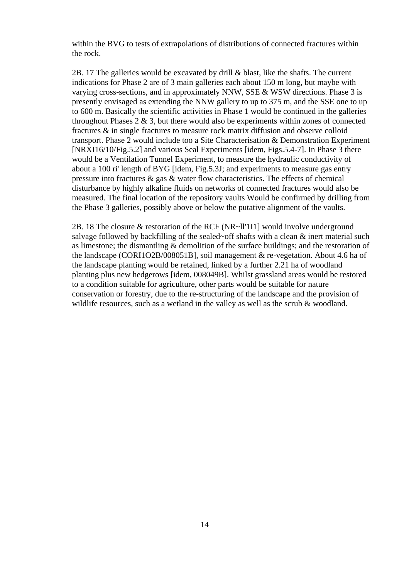within the BVG to tests of extrapolations of distributions of connected fractures within the rock.

2B. 17 The galleries would be excavated by drill & blast, like the shafts. The current indications for Phase 2 are of 3 main galleries each about 150 m long, but maybe with varying cross-sections, and in approximately NNW, SSE & WSW directions. Phase 3 is presently envisaged as extending the NNW gallery to up to 375 m, and the SSE one to up to 600 m. Basically the scientific activities in Phase 1 would be continued in the galleries throughout Phases  $2 \& 3$ , but there would also be experiments within zones of connected fractures & in single fractures to measure rock matrix diffusion and observe colloid transport. Phase 2 would include too a Site Characterisation & Demonstration Experiment [NRXI16/10/Fig.5.2] and various Seal Experiments [idem, Figs.5.4-7]. In Phase 3 there would be a Ventilation Tunnel Experiment, to measure the hydraulic conductivity of about a 100 ri' length of BYG [idem, Fig.5.3J; and experiments to measure gas entry pressure into fractures & gas & water flow characteristics. The effects of chemical disturbance by highly alkaline fluids on networks of connected fractures would also be measured. The final location of the repository vaults Would be confirmed by drilling from the Phase 3 galleries, possibly above or below the putative alignment of the vaults.

2B. 18 The closure & restoration of the RCF (NR~ll'1I1] would involve underground salvage followed by backfilling of the sealed~off shafts with a clean & inert material such as limestone; the dismantling & demolition of the surface buildings; and the restoration of the landscape (CORI1O2B/008051B], soil management & re-vegetation. About 4.6 ha of the landscape planting would be retained, linked by a further 2.21 ha of woodland planting plus new hedgerows [idem, 008049B]. Whilst grassland areas would be restored to a condition suitable for agriculture, other parts would be suitable for nature conservation or forestry, due to the re-structuring of the landscape and the provision of wildlife resources, such as a wetland in the valley as well as the scrub & woodland.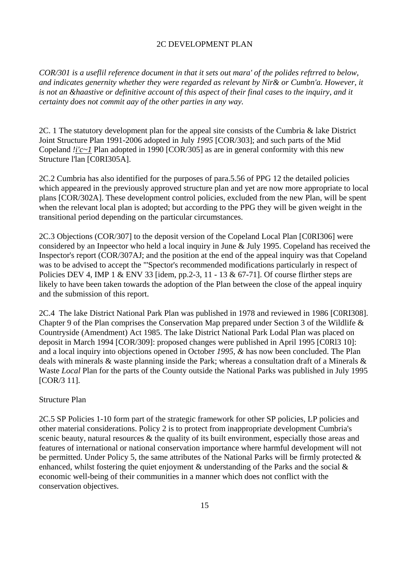#### 2C DEVELOPMENT PLAN

*COR/301 is a useflil reference document in that it sets out mara' of the polides reftrred to below, and indicates genernity whether they were regarded as relevant by Nir& or Cumbn'a. However, it is not an &haastive or definitive account of this aspect of their final cases to the inquiry, and it certainty does not commit aay of the other parties in any way.* 

2C. 1 The statutory development plan for the appeal site consists of the Cumbria & lake District Joint Structure Plan 1991-2006 adopted in July *1995* [COR/303]; and such parts of the Mid Copeland *!i'c~1* Plan adopted in 1990 [COR/305] as are in general conformity with this new Structure l'lan [C0RI305A].

2C.2 Cumbria has also identified for the purposes of para.5.56 of PPG 12 the detailed policies which appeared in the previously approved structure plan and yet are now more appropriate to local plans [COR/302A]. These development control policies, excluded from the new Plan, will be spent when the relevant local plan is adopted; but according to the PPG they will be given weight in the transitional period depending on the particular circumstances.

2C.3 Objections (COR/307] to the deposit version of the Copeland Local Plan [C0RI306] were considered by an Inpeector who held a local inquiry in June & July 1995. Copeland has received the Inspector's report (COR/307AJ; and the position at the end of the appeal inquiry was that Copeland was to be advised to accept the "'Spector's recommended modifications particularly in respect of Policies DEV 4, IMP 1 & ENV 33 [idem, pp.2-3, 11 - 13 & 67-71]. Of course flirther steps are likely to have been taken towards the adoption of the Plan between the close of the appeal inquiry and the submission of this report.

2C.4 The lake District National Park Plan was published in 1978 and reviewed in 1986 [C0RI308]. Chapter 9 of the Plan comprises the Conservation Map prepared under Section 3 of the Wildlife & Countryside (Amendment) Act 1985. The lake District National Park Lodal Plan was placed on deposit in March 1994 [COR/309]: proposed changes were published in April 1995 [C0Rl3 10]: and a local inquiry into objections opened in October *1995, &* has now been concluded. The Plan deals with minerals & waste planning inside the Park; whereas a consultation draft of a Minerals & Waste *Local* Plan for the parts of the County outside the National Parks was published in July 1995 [COR/3 11].

#### Structure Plan

2C.5 SP Policies 1-10 form part of the strategic framework for other SP policies, LP policies and other material considerations. Policy 2 is to protect from inappropriate development Cumbria's scenic beauty, natural resources & the quality of its built environment, especially those areas and features of international or national conservation importance where harmful development will not be permitted. Under Policy 5, the same attributes of the National Parks will be firmly protected & enhanced, whilst fostering the quiet enjoyment  $\&$  understanding of the Parks and the social  $\&$ economic well-being of their communities in a manner which does not conflict with the conservation objectives.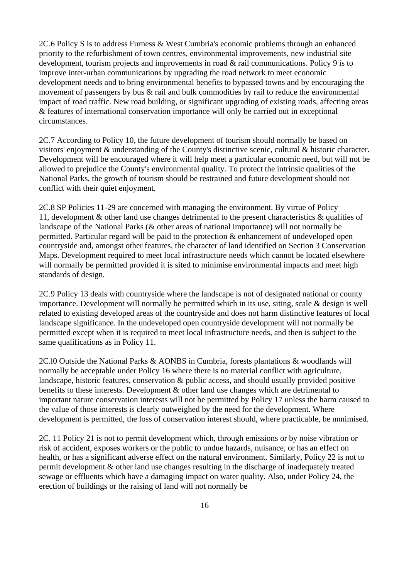2C.6 Policy S is to address Furness & West Cumbria's economic problems through an enhanced priority to the refurbishment of town centres, environmental improvements, new industrial site development, tourism projects and improvements in road & rail communications. Policy 9 is to improve inter-urban communications by upgrading the road network to meet economic development needs and to bring environmental benefits to bypassed towns and by encouraging the movement of passengers by bus & rail and bulk commodities by rail to reduce the environmental impact of road traffic. New road building, or significant upgrading of existing roads, affecting areas & features of international conservation importance will only be carried out in exceptional circumstances.

2C.7 According to Policy 10, the future development of tourism should normally be based on visitors' enjoyment & understanding of the County's distinctive scenic, cultural & historic character. Development will be encouraged where it will help meet a particular economic need, but will not be allowed to prejudice the County's environmental quality. To protect the intrinsic qualities of the National Parks, the growth of tourism should be restrained and future development should not conflict with their quiet enjoyment.

2C.8 SP Policies 11-29 are concerned with managing the environment. By virtue of Policy 11, development & other land use changes detrimental to the present characteristics & qualities of landscape of the National Parks (& other areas of national importance) will not normally be permitted. Particular regard will be paid to the protection & enhancement of undeveloped open countryside and, amongst other features, the character of land identified on Section 3 Conservation Maps. Development required to meet local infrastructure needs which cannot be located elsewhere will normally be permitted provided it is sited to minimise environmental impacts and meet high standards of design.

2C.9 Policy 13 deals with countryside where the landscape is not of designated national or county importance. Development will normally be permitted which in its use, siting, scale & design is well related to existing developed areas of the countryside and does not harm distinctive features of local landscape significance. In the undeveloped open countryside development will not normally be permitted except when it is required to meet local infrastructure needs, and then is subject to the same qualifications as in Policy 11.

2C.l0 Outside the National Parks & AONBS in Cumbria, forests plantations & woodlands will normally be acceptable under Policy 16 where there is no material conflict with agriculture, landscape, historic features, conservation & public access, and should usually provided positive benefits to these interests. Development & other land use changes which are detrimental to important nature conservation interests will not be permitted by Policy 17 unless the harm caused to the value of those interests is clearly outweighed by the need for the development. Where development is permitted, the loss of conservation interest should, where practicable, be nnnimised.

2C. 11 Policy 21 is not to permit development which, through emissions or by noise vibration or risk of accident, exposes workers or the public to undue hazards, nuisance, or has an effect on health, or has a significant adverse effect on the natural environment. Similarly, Policy 22 is not to permit development & other land use changes resulting in the discharge of inadequately treated sewage or effluents which have a damaging impact on water quality. Also, under Policy 24, the erection of buildings or the raising of land will not normally be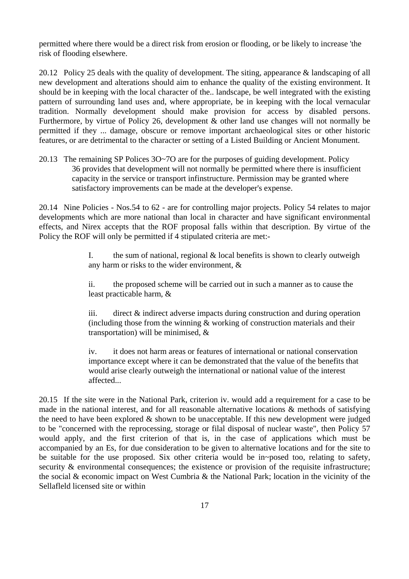permitted where there would be a direct risk from erosion or flooding, or be likely to increase 'the risk of flooding elsewhere.

20.12 Policy 25 deals with the quality of development. The siting, appearance & landscaping of all new development and alterations should aim to enhance the quality of the existing environment. It should be in keeping with the local character of the.. landscape, be well integrated with the existing pattern of surrounding land uses and, where appropriate, be in keeping with the local vernacular tradition. Normally development should make provision for access by disabled persons. Furthermore, by virtue of Policy 26, development & other land use changes will not normally be permitted if they ... damage, obscure or remove important archaeological sites or other historic features, or are detrimental to the character or setting of a Listed Building or Ancient Monument.

20.13 The remaining SP Polices 3O~7O are for the purposes of guiding development. Policy 36 provides that development will not normally be permitted where there is insufficient capacity in the service or transport infinstructure. Permission may be granted where satisfactory improvements can be made at the developer's expense.

20.14 Nine Policies - Nos.54 to 62 - are for controlling major projects. Policy 54 relates to major developments which are more national than local in character and have significant environmental effects, and Nirex accepts that the ROF proposal falls within that description. By virtue of the Policy the ROF will only be permitted if 4 stipulated criteria are met:-

> I. the sum of national, regional  $&$  local benefits is shown to clearly outweigh any harm or risks to the wider environment, &

ii. the proposed scheme will be carried out in such a manner as to cause the least practicable harm, &

iii. direct & indirect adverse impacts during construction and during operation (including those from the winning & working of construction materials and their transportation) will be minimised, &

iv. it does not harm areas or features of international or national conservation importance except where it can be demonstrated that the value of the benefits that would arise clearly outweigh the international or national value of the interest affected...

20.15 If the site were in the National Park, criterion iv. would add a requirement for a case to be made in the national interest, and for all reasonable alternative locations & methods of satisfying the need to have been explored  $\&$  shown to be unacceptable. If this new development were judged to be "concerned with the reprocessing, storage or filal disposal of nuclear waste", then Policy 57 would apply, and the first criterion of that is, in the case of applications which must be accompanied by an Es, for due consideration to be given to alternative locations and for the site to be suitable for the use proposed. Six other criteria would be in~posed too, relating to safety, security & environmental consequences; the existence or provision of the requisite infrastructure; the social & economic impact on West Cumbria & the National Park; location in the vicinity of the Sellafleld licensed site or within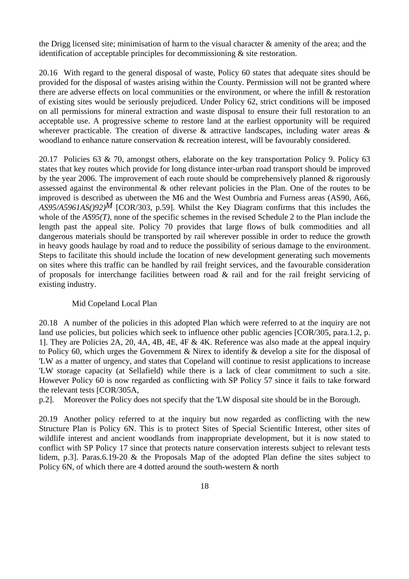the Drigg licensed site; minimisation of harm to the visual character & amenity of the area; and the identification of acceptable principles for decommissioning & site restoration.

20.16 With regard to the general disposal of waste, Policy 60 states that adequate sites should be provided for the disposal of wastes arising within the County. Permission will not be granted where there are adverse effects on local communities or the environment, or where the infill & restoration of existing sites would be seriously prejudiced. Under Policy 62, strict conditions will be imposed on all permissions for mineral extraction and waste disposal to ensure their full restoration to an acceptable use. A progressive scheme to restore land at the earliest opportunity will be required wherever practicable. The creation of diverse  $\&$  attractive landscapes, including water areas  $\&$ woodland to enhance nature conservation & recreation interest, will be favourably considered.

20.17 Policies 63 & 70, amongst others, elaborate on the key transportation Policy 9. Policy 63 states that key routes which provide for long distance inter-urban road transport should be improved by the year 2006. The improvement of each route should be comprehensively planned & rigorously assessed against the environmental & other relevant policies in the Plan. One of the routes to be improved is described as ubetween the M6 and the West Oumbria and Furness areas (AS90, A66, *AS95/A5961AS()92)M* [COR/303, p.59]. Whilst the Key Diagram confirms that this includes the whole of the *AS95(T)*, none of the specific schemes in the revised Schedule 2 to the Plan include the length past the appeal site. Policy 70 provides that large flows of bulk commodities and all dangerous materials should be transported by rail wherever possible in order to reduce the growth in heavy goods haulage by road and to reduce the possibility of serious damage to the environment. Steps to facilitate this should include the location of new development generating such movements on sites where this traffic can be handled by rail freight services, and the favourable consideration of proposals for interchange facilities between road & rail and for the rail freight servicing of existing industry.

### Mid Copeland Local Plan

20.18 A number of the policies in this adopted Plan which were referred to at the inquiry are not land use policies, but policies which seek to influence other public agencies [COR/305, para.1.2, p. 1]. They are Policies 2A, 20, 4A, 4B, 4E, 4F & 4K. Reference was also made at the appeal inquiry to Policy 60, which urges the Government & Nirex to identify & develop a site for the disposal of 'LW as a matter of urgency, and states that Copeland will continue to resist applications to increase 'LW storage capacity (at Sellafield) while there is a lack of clear commitment to such a site. However Policy 60 is now regarded as conflicting with SP Policy 57 since it fails to take forward the relevant tests [COR/305A,

p.2]. Moreover the Policy does not specify that the 'LW disposal site should be in the Borough.

20.19 Another policy referred to at the inquiry but now regarded as conflicting with the new Structure Plan is Policy 6N. This is to protect Sites of Special Scientific Interest, other sites of wildlife interest and ancient woodlands from inappropriate development, but it is now stated to conflict with SP Policy 17 since that protects nature conservation interests subject to relevant tests lidem, p.3]. Paras.6.19-20 & the Proposals Map of the adopted Plan define the sites subject to Policy 6N, of which there are 4 dotted around the south-western & north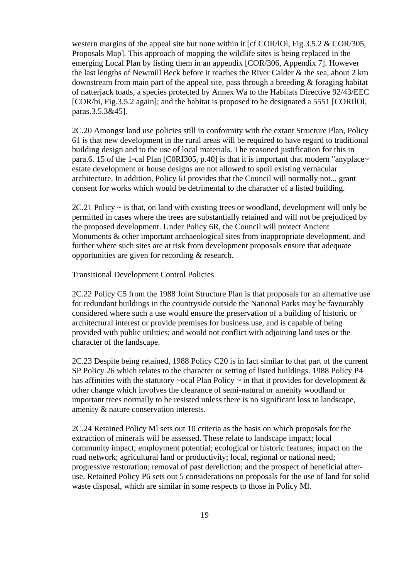western margins of the appeal site but none within it  $[cf \text{COR}/10]$ , Fig.3.5.2 & COR/305, Proposals Map]. This approach of mapping the wildlife sites is being replaced in the emerging Local Plan by listing them in an appendix [COR/306, Appendix 7]. However the last lengths of Newmill Beck before it reaches the River Calder & the sea, about 2 km downstream from main part of the appeal site, pass through a breeding & foraging habitat of natterjack toads, a species protected by Annex Wa to the Habitats Directive 92/43/EEC [COR/bi, Fig.3.5.2 again]; and the habitat is proposed to be designated a 5551 [CORIlOl, paras.3.5.3&45].

2C.20 Amongst land use policies still in conformity with the extant Structure Plan, Policy 61 is that new development in the rural areas will be required to have regard to traditional building design and to the use of local materials. The reasoned justification for this in para.6. 15 of the 1-cal Plan [C0RI305, p.40] is that it is important that modern "anyplace~ estate development or house designs are not allowed to spoil existing vernacular architecture. In addition, Policy 6J provides that the Council will normally not... grant consent for works which would be detrimental to the character of a listed building.

 $2C.21$  Policy  $\sim$  is that, on land with existing trees or woodland, development will only be permitted in cases where the trees are substantially retained and will not be prejudiced by the proposed development. Under Policy 6R, the Council will protect Ancient Monuments & other important archaeological sites from inappropriate development, and further where such sites are at risk from development proposals ensure that adequate opportunities are given for recording & research.

Transitional Development Control Policies

2C.22 Policy C5 from the 1988 Joint Structure Plan is that proposals for an alternative use for redundant buildings in the countryside outside the National Parks may be favourably considered where such a use would ensure the preservation of a building of historic or architectural interest or provide premises for business use, and is capable of being provided with public utilities; and would not conflict with adjoining land uses or the character of the landscape.

2C.23 Despite being retained, 1988 Policy C20 is in fact similar to that part of the current SP Policy 26 which relates to the character or setting of listed buildings. 1988 Policy P4 has affinities with the statutory  $\sim$  ocal Plan Policy  $\sim$  in that it provides for development  $\&$ other change which involves the clearance of semi-natural or amenity woodland or important trees normally to be resisted unless there is no significant loss to landscape, amenity & nature conservation interests.

2C.24 Retained Policy Ml sets out 10 criteria as the basis on which proposals for the extraction of minerals will be assessed. These relate to landscape impact; local community impact; employment potential; ecological or historic features; impact on the road network; agricultural land or productivity; local, regional or national need; progressive restoration; removal of past dereliction; and the prospect of beneficial afteruse. Retained Policy P6 sets out 5 considerations on proposals for the use of land for solid waste disposal, which are similar in some respects to those in Policy Ml.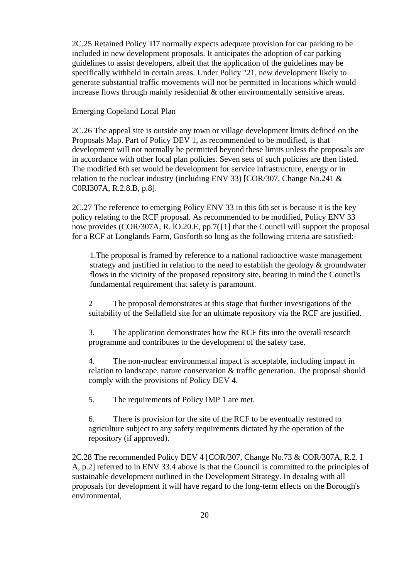2C.25 Retained Policy Tl7 normally expects adequate provision for car parking to be included in new development proposals. It anticipates the adoption of car parking guidelines to assist developers, albeit that the application of the guidelines may be specifically withheld in certain areas. Under Policy "21, new development likely to generate substantial traffic movements will not be permitted in locations which would increase flows through mainly residential & other environmentally sensitive areas.

Emerging Copeland Local Plan

2C.26 The appeal site is outside any town or village development limits defined on the Proposals Map. Part of Policy DEV 1, as recommended to be modified, is that development will not normally be permitted beyond these limits unless the proposals are in accordance with other local plan policies. Seven sets of such policies are then listed. The modified 6th set would be development for service infrastructure, energy or in relation to the nuclear industry (including ENV 33) [COR/307, Change No.241 & C0RI307A, R.2.8.B, p.8].

2C.27 The reference to emerging Policy ENV 33 in this 6th set is because it is the key policy relating to the RCF proposal. As recommended to be modified, Policy ENV 33 now provides (COR/307A, R. lO.20.E, pp.7({1] that the Council will support the proposal for a RCF at Longlands Farm, Gosforth so long as the following criteria are satisfied:-

1.The proposal is framed by reference to a national radioactive waste management strategy and justified in relation to the need to establish the geology & groundwater flows in the vicinity of the proposed repository site, bearing in mind the Council's fundamental requirement that safety is paramount.

2 The proposal demonstrates at this stage that further investigations of the suitability of the Sellafleld site for an ultimate repository via the RCF are justified.

3. The application demonstrates how the RCF fits into the overall research programme and contributes to the development of the safety case.

4. The non-nuclear environmental impact is acceptable, including impact in relation to landscape, nature conservation & traffic generation. The proposal should comply with the provisions of Policy DEV 4.

5. The requirements of Policy IMP 1 are met.

6. There is provision for the site of the RCF to be eventually restored to agriculture subject to any safety requirements dictated by the operation of the repository (if approved).

2C.28 The recommended Policy DEV 4 [COR/307, Change No.73 & COR/307A, R.2. I A, p.2] referred to in ENV 33.4 above is that the Council is committed to the principles of sustainable development outlined in the Development Strategy. In deaalng with all proposals for development it will have regard to the long-term effects on the Borough's environmental,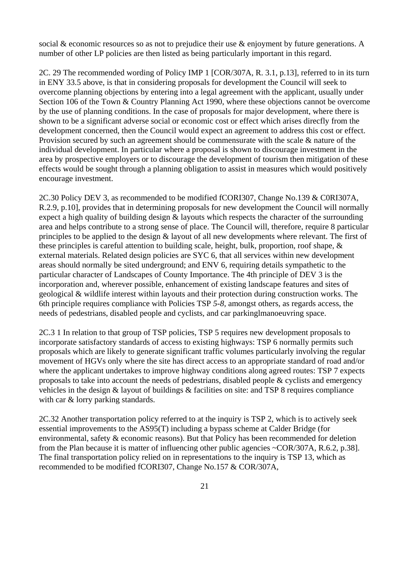social & economic resources so as not to prejudice their use & enjoyment by future generations. A number of other LP policies are then listed as being particularly important in this regard.

2C. 29 The recommended wording of Policy IMP 1 [COR/307A, R. 3.1, p.13], referred to in its turn in ENY 33.5 above, is that in considering proposals for development the Council will seek to overcome planning objections by entering into a legal agreement with the applicant, usually under Section 106 of the Town & Country Planning Act 1990, where these objections cannot be overcome by the use of planning conditions. In the case of proposals for major development, where there is shown to be a significant adverse social or economic cost or effect which arises direcfly from the development concerned, then the Council would expect an agreement to address this cost or effect. Provision secured by such an agreement should be commensurate with the scale & nature of the individual development. In particular where a proposal is shown to discourage investment in the area by prospective employers or to discourage the development of tourism then mitigation of these effects would be sought through a planning obligation to assist in measures which would positively encourage investment.

2C.30 Policy DEV 3, as recommended to be modified fCORI307, Change No.139 & C0RI307A, R.2.9, p.10], provides that in determining proposals for new development the Council will normally expect a high quality of building design & layouts which respects the character of the surrounding area and helps contribute to a strong sense of place. The Council will, therefore, require 8 particular principles to be applied to the design & layout of all new developments where relevant. The first of these principles is careful attention to building scale, height, bulk, proportion, roof shape, & external materials. Related design policies are SYC 6, that all services within new development areas should normally be sited underground; and ENV 6, requiring details sympathetic to the particular character of Landscapes of County Importance. The 4th principle of DEV 3 is the incorporation and, wherever possible, enhancement of existing landscape features and sites of geological & wildlife interest within layouts and their protection during construction works. The 6th principle requires compliance with Policies TSP *5-8,* amongst others, as regards access, the needs of pedestrians, disabled people and cyclists, and car parkinglmanoeuvring space.

2C.3 1 In relation to that group of TSP policies, TSP 5 requires new development proposals to incorporate satisfactory standards of access to existing highways: TSP 6 normally permits such proposals which are likely to generate significant traffic volumes particularly involving the regular movement of HGVs only where the site has direct access to an appropriate standard of road and/or where the applicant undertakes to improve highway conditions along agreed routes: TSP 7 expects proposals to take into account the needs of pedestrians, disabled people & cyclists and emergency vehicles in the design & layout of buildings & facilities on site: and TSP 8 requires compliance with car & lorry parking standards.

2C.32 Another transportation policy referred to at the inquiry is TSP 2, which is to actively seek essential improvements to the AS95(T) including a bypass scheme at Calder Bridge (for environmental, safety & economic reasons). But that Policy has been recommended for deletion from the Plan because it is matter of influencing other public agencies ~COR/307A, R.6.2, p.38]. The final transportation policy relied on in representations to the inquiry is TSP 13, which as recommended to be modified fCORI307, Change No.157 & COR/307A,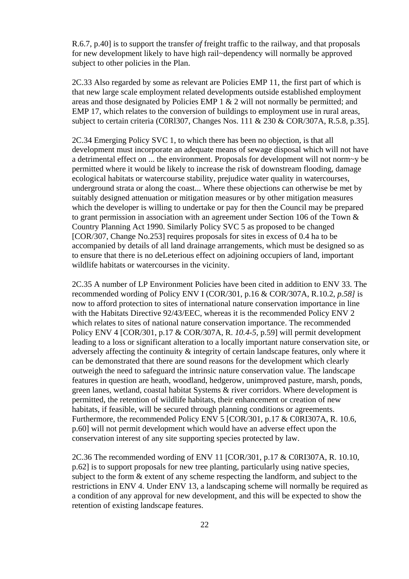R.6.7, p.40] is to support the transfer *of* freight traffic to the railway, and that proposals for new development likely to have high rail~dependency will normally be approved subject to other policies in the Plan.

2C.33 Also regarded by some as relevant are Policies EMP 11, the first part of which is that new large scale employment related developments outside established employment areas and those designated by Policies EMP 1 & 2 will not normally be permitted; and EMP 17, which relates to the conversion of buildings to employment use in rural areas, subject to certain criteria (C0Rl307, Changes Nos. 111 & 230 & COR/307A, R.5.8, p.35].

2C.34 Emerging Policy SVC 1, to which there has been no objection, is that all development must incorporate an adequate means of sewage disposal which will not have a detrimental effect on ... the environment. Proposals for development will not norm~y be permitted where it would be likely to increase the risk of downstream flooding, damage ecological habitats or watercourse stability, prejudice water quality in watercourses, underground strata or along the coast... Where these objections can otherwise be met by suitably designed attenuation or mitigation measures or by other mitigation measures which the developer is willing to undertake or pay for then the Council may be prepared to grant permission in association with an agreement under Section 106 of the Town & Country Planning Act 1990. Similarly Policy SVC 5 as proposed to be changed [COR/307, Change No.253] requires proposals for sites in excess of 0.4 ha to be accompanied by details of all land drainage arrangements, which must be designed so as to ensure that there is no deLeterious effect on adjoining occupiers of land, important wildlife habitats or watercourses in the vicinity.

2C.35 A number of LP Environment Policies have been cited in addition to ENV 33. The recommended wording of Policy ENV I (COR/301, p.16 & COR/307A, R.10.2, *p.58]* is now to afford protection to sites of international nature conservation importance in line with the Habitats Directive 92/43/EEC, whereas it is the recommended Policy ENV 2 which relates to sites of national nature conservation importance. The recommended Policy ENV 4 [COR/301, p.17 & COR/307A, R. *10.4-5,* p.59] will permit development leading to a loss or significant alteration to a locally important nature conservation site, or adversely affecting the continuity & integrity of certain landscape features, only where it can be demonstrated that there are sound reasons for the development which clearly outweigh the need to safeguard the intrinsic nature conservation value. The landscape features in question are heath, woodland, hedgerow, unimproved pasture, marsh, ponds, green lanes, wetland, coastal habitat Systems & river corridors. Where development is permitted, the retention of wildlife habitats, their enhancement or creation of new habitats, if feasible, will be secured through planning conditions or agreements. Furthermore, the recommended Policy ENV 5 [COR/301, p.17 & C0RI307A, R. 10.6, p.60] will not permit development which would have an adverse effect upon the conservation interest of any site supporting species protected by law.

2C.36 The recommended wording of ENV 11 [COR/301, p.17 & C0RI307A, R. 10.10, p.62] is to support proposals for new tree planting, particularly using native species, subject to the form & extent of any scheme respecting the landform, and subject to the restrictions in ENV 4. Under ENV 13, a landscaping scheme will normally be required as a condition of any approval for new development, and this will be expected to show the retention of existing landscape features.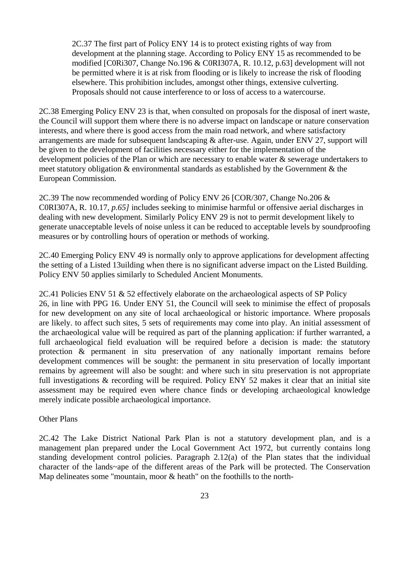2C.37 The first part of Policy ENY 14 is to protect existing rights of way from development at the planning stage. According to Policy ENY 15 as recommended to be modified [C0Ri307, Change No.196 & C0RI307A, R. 10.12, p.63] development will not be permitted where it is at risk from flooding or is likely to increase the risk of flooding elsewhere. This prohibition includes, amongst other things, extensive culverting. Proposals should not cause interference to or loss of access to a watercourse.

2C.38 Emerging Policy ENV 23 is that, when consulted on proposals for the disposal of inert waste, the Council will support them where there is no adverse impact on landscape or nature conservation interests, and where there is good access from the main road network, and where satisfactory arrangements are made for subsequent landscaping & after-use. Again, under ENV 27, support will be given to the development of facilities necessary either for the implementation of the development policies of the Plan or which are necessary to enable water & sewerage undertakers to meet statutory obligation & environmental standards as established by the Government & the European Commission.

2C.39 The now recommended wording of Policy ENV 26 [COR/307, Change No.206 & C0RI307A, R. 10.17, *p.65]* includes seeking to minimise harmful or offensive aerial discharges in dealing with new development. Similarly Policy ENV 29 is not to permit development likely to generate unacceptable levels of noise unless it can be reduced to acceptable levels by soundproofing measures or by controlling hours of operation or methods of working.

2C.40 Emerging Policy ENV 49 is normally only to approve applications for development affecting the setting of a Listed 13uilding when there is no significant adverse impact on the Listed Building. Policy ENV 50 applies similarly to Scheduled Ancient Monuments.

2C.41 Policies ENV 51 & 52 effectively elaborate on the archaeological aspects of SP Policy 26, in line with PPG 16. Under ENY 51, the Council will seek to minimise the effect of proposals for new development on any site of local archaeological or historic importance. Where proposals are likely. to affect such sites, 5 sets of requirements may come into play. An initial assessment of the archaeological value will be required as part of the planning application: if further warranted, a full archaeological field evaluation will be required before a decision is made: the statutory protection & permanent in situ preservation of any nationally important remains before development commences will be sought: the permanent in situ preservation of locally important remains by agreement will also be sought: and where such in situ preservation is not appropriate full investigations & recording will be required. Policy ENY 52 makes it clear that an initial site assessment may be required even where chance finds or developing archaeological knowledge merely indicate possible archaeological importance.

## Other Plans

2C.42 The Lake District National Park Plan is not a statutory development plan, and is a management plan prepared under the Local Government Act 1972, but currently contains long standing development control policies. Paragraph 2.12(a) of the Plan states that the individual character of the lands~ape of the different areas of the Park will be protected. The Conservation Map delineates some "mountain, moor & heath" on the foothills to the north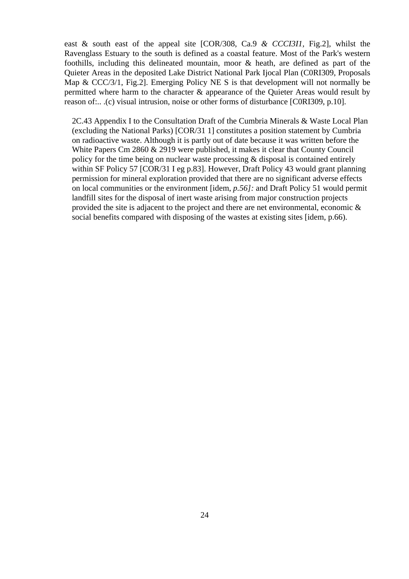east & south east of the appeal site [COR/308, Ca.9 *& CCCI3I1,* Fig.2], whilst the Ravenglass Estuary to the south is defined as a coastal feature. Most of the Park's western foothills, including this delineated mountain, moor & heath, are defined as part of the Quieter Areas in the deposited Lake District National Park Ijocal Plan (C0RI309, Proposals Map & CCC/3/1, Fig.2]. Emerging Policy NE S is that development will not normally be permitted where harm to the character & appearance of the Quieter Areas would result by reason of:.. .(c) visual intrusion, noise or other forms of disturbance [C0RI309, p.10].

2C.43 Appendix I to the Consultation Draft of the Cumbria Minerals & Waste Local Plan (excluding the National Parks) [COR/31 1] constitutes a position statement by Cumbria on radioactive waste. Although it is partly out of date because it was written before the White Papers Cm 2860 & 2919 were published, it makes it clear that County Council policy for the time being on nuclear waste processing & disposal is contained entirely within SF Policy 57 [COR/31 I eg p.83]. However, Draft Policy 43 would grant planning permission for mineral exploration provided that there are no significant adverse effects on local communities or the environment [idem, *p.56]:* and Draft Policy 51 would permit landfill sites for the disposal of inert waste arising from major construction projects provided the site is adjacent to the project and there are net environmental, economic & social benefits compared with disposing of the wastes at existing sites [idem, p.66).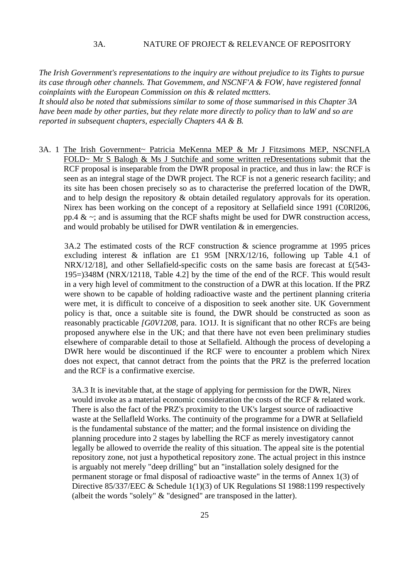*The Irish Government's representations to the inquiry are without prejudice to its Tights to pursue its case through other channels. That Govemmem, and NSCNF'A & FOW, have registered fonnal coinplaints with the European Commission on this & related mcttters. It should also be noted that submissions similar to some of those summarised in this Chapter 3A have been made by other parties, but they relate more directly to policy than to laW and so are reported in subsequent chapters, especially Chapters 4A & B.* 

3A. 1 The Irish Government~ Patricia MeKenna MEP & Mr J Fitzsimons MEP, NSCNFLA FOLD~ Mr S Balogh & Ms J Sutchife and some written reDresentations submit that the RCF proposal is inseparable from the DWR proposal in practice, and thus in law: the RCF is seen as an integral stage of the DWR project. The RCF is not a generic research facility; and its site has been chosen precisely so as to characterise the preferred location of the DWR, and to help design the repository & obtain detailed regulatory approvals for its operation. Nirex has been working on the concept of a repository at Sellafield since 1991 (C0Rl206, pp.4  $\& \sim$ ; and is assuming that the RCF shafts might be used for DWR construction access, and would probably be utilised for DWR ventilation & in emergencies.

3A.2 The estimated costs of the RCF construction & science programme at 1995 prices excluding interest & inflation are £1 95M [NRX/12/16, following up Table 4.1 of NRX/12/18], and other Sellafield-specific costs on the same basis are forecast at £(543- 195=)348M (NRX/12118, Table 4.2] by the time of the end of the RCF. This would result in a very high level of commitment to the construction of a DWR at this location. If the PRZ were shown to be capable of holding radioactive waste and the pertinent planning criteria were met, it is difficult to conceive of a disposition to seek another site. UK Government policy is that, once a suitable site is found, the DWR should be constructed as soon as reasonably practicable *[G0V1208,* para. 1O1J. It is significant that no other RCFs are being proposed anywhere else in the UK; and that there have not even been preliminary studies elsewhere of comparable detail to those at Sellafield. Although the process of developing a DWR here would be discontinued if the RCF were to encounter a problem which Nirex does not expect, that cannot detract from the points that the PRZ is the preferred location and the RCF is a confirmative exercise.

3A.3 It is inevitable that, at the stage of applying for permission for the DWR, Nirex would invoke as a material economic consideration the costs of the RCF & related work. There is also the fact of the PRZ's proximity to the UK's largest source of radioactive waste at the Sellafleld Works. The continuity of the programme for a DWR at Sellafield is the fundamental substance of the matter; and the formal insistence on dividing the planning procedure into 2 stages by labelling the RCF as merely investigatory cannot legally be allowed to override the reality of this situation. The appeal site is the potential repository zone, not just a hypothetical repository zone. The actual project in this instnce is arguably not merely "deep drilling" but an "installation solely designed for the permanent storage or fmal disposal of radioactive waste" in the terms of Annex 1(3) of Directive 85/337/EEC & Schedule 1(1)(3) of UK Regulations SI 1988:1199 respectively (albeit the words "solely" & "designed" are transposed in the latter).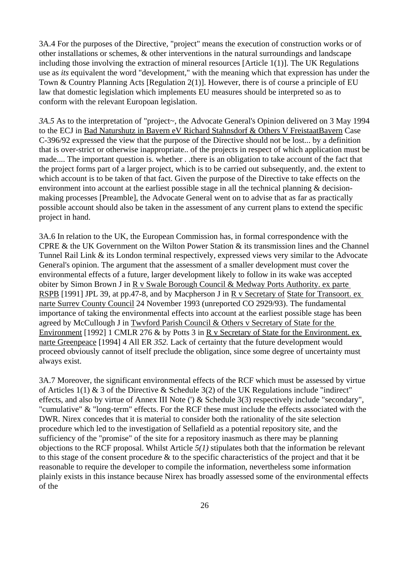3A.4 For the purposes of the Directive, "project" means the execution of construction works or of other installations or schemes, & other interventions in the natural surroundings and landscape including those involving the extraction of mineral resources [Article 1(1)]. The UK Regulations use as *its* equivalent the word "development," with the meaning which that expression has under the Town & Country Planning Acts [Regulation 2(1)]. However, there is of course a principle of EU law that domestic legislation which implements EU measures should be interpreted so as to conform with the relevant Europoan legislation.

*3A.5* As to the interpretation of "project~, the Advocate General's Opinion delivered on 3 May 1994 to the ECJ in Bad Naturshutz in Bayern eV Richard Stahnsdorf & Others V FreistaatBayern Case C-396/92 expressed the view that the purpose of the Directive should not be lost... by a definition that is over-strict or otherwise inappropriate.. of the projects in respect of which application must be made.... The important question is. whether . .there is an obligation to take account of the fact that the project forms part of a larger project, which is to be carried out subsequently, and. the extent to which account is to be taken of that fact. Given the purpose of the Directive to take effects on the environment into account at the earliest possible stage in all the technical planning & decisionmaking processes [Preamble], the Advocate General went on to advise that as far as practically possible account should also be taken in the assessment of any current plans to extend the specific project in hand.

3A.6 In relation to the UK, the European Commission has, in formal correspondence with the CPRE & the UK Government on the Wilton Power Station & its transmission lines and the Channel Tunnel Rail Link & its London terminal respectively, expressed views very similar to the Advocate General's opinion. The argument that the assessment of a smaller development must cover the environmental effects of a future, larger development likely to follow in its wake was accepted obiter by Simon Brown J in R v Swale Borough Council & Medway Ports Authority. ex parte RSPB [1991] JPL 39, at pp.47-8, and by Macpherson J in R v Secretary of State for Transoort. ex narte Surrev County Council 24 November 1993 (unreported CO 2929/93). The fundamental importance of taking the environmental effects into account at the earliest possible stage has been agreed by McCullough J in Twvford Parish Council & Others v Secretary of State for the Environment [1992] 1 CMLR 276 & by Potts 3 in R v Secretary of State for the Environment. ex narte Greenpeace [1994] 4 All ER *352.* Lack of certainty that the future development would proceed obviously cannot of itself preclude the obligation, since some degree of uncertainty must always exist.

3A.7 Moreover, the significant environmental effects of the RCF which must be assessed by virtue of Articles 1(1) & 3 of the Directive & Schedule 3(2) of the UK Regulations include "indirect" effects, and also by virtue of Annex III Note (') & Schedule 3(3) respectively include "secondary", "cumulative" & "long-term" effects. For the RCF these must include the effects associated with the DWR. Nirex concedes that it is material to consider both the rationality of the site selection procedure which led to the investigation of Sellafield as a potential repository site, and the sufficiency of the "promise" of the site for a repository inasmuch as there may be planning objections to the RCF proposal. Whilst Article *5(1)* stipulates both that the information be relevant to this stage of the consent procedure & to the specific characteristics of the project and that it be reasonable to require the developer to compile the information, nevertheless some information plainly exists in this instance because Nirex has broadly assessed some of the environmental effects of the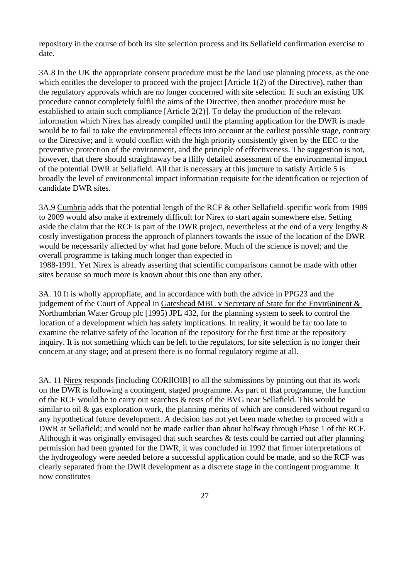repository in the course of both its site selection process and its Sellafield confirmation exercise to date.

3A.8 In the UK the appropriate consent procedure must be the land use planning process, as the one which entitles the developer to proceed with the project [Article 1(2) of the Directive), rather than the regulatory approvals which are no longer concerned with site selection. If such an existing UK procedure cannot completely fulfil the aims of the Directive, then another procedure must be established to attain such compliance [Article 2(2)]. To delay the production of the relevant information which Nirex has already compiled until the planning application for the DWR is made would be to fail to take the environmental effects into account at the earliest possible stage, contrary to the Directive; and it would conflict with the high priority consistently given by the EEC to the preventive protection of the environment, and the principle of effectiveness. The suggestion is not, however, that there should straightaway be a flilly detailed assessment of the environmental impact of the potential DWR at Sellafield. All that is necessary at this juncture to satisfy Article 5 is broadly the level of environmental impact information requisite for the identification or rejection of candidate DWR sites.

3A.9 Cumbria adds that the potential length of the RCF & other Sellafield-specific work from 1989 to 2009 would also make it extremely difficult for Nirex to start again somewhere else. Setting aside the claim that the RCF is part of the DWR project, nevertheless at the end of a very lengthy & costly investigation process the approach of planners towards the issue of the location of the DWR would be necessarily affected by what had gone before. Much of the science is novel; and the overall programme is taking much longer than expected in 1988-1991. Yet Nirex is already asserting that scientific comparisons cannot be made with other

sites because so much more is known about this one than any other.

3A. 10 It is wholly appropfiate, and in accordance with both the advice in PPG23 and the judgement of the Court of Appeal in Gateshead MBC v Secretary of State for the Envir6ninent & Northumbrian Water Group plc [1995) JPL 432, for the planning system to seek to control the location of a development which has safety implications. In reality, it would be far too late to examine the relative safety of the location of the repository for the first time at the repository inquiry. It is not something which can be left to the regulators, for site selection is no longer their concern at any stage; and at present there is no formal regulatory regime at all.

3A. 11 Nirex responds [including CORIlOIB] to all the submissions by pointing out that its work on the DWR is following a contingent, staged programme. As part of that programme, the function of the RCF would be to carry out searches & tests of the BVG near Sellafield. This would be similar to oil & gas exploration work, the planning merits of which are considered without regard to any hypothetical future development. A decision has not yet been made whether to proceed with a DWR at Sellafield; and would not be made earlier than about halfway through Phase 1 of the RCF. Although it was originally envisaged that such searches & tests could be carried out after planning permission had been granted for the DWR, it was concluded in 1992 that firmer interpretations of the hydrogeology were needed before a successful application could be made, and so the RCF was clearly separated from the DWR development as a discrete stage in the contingent programme. It now constitutes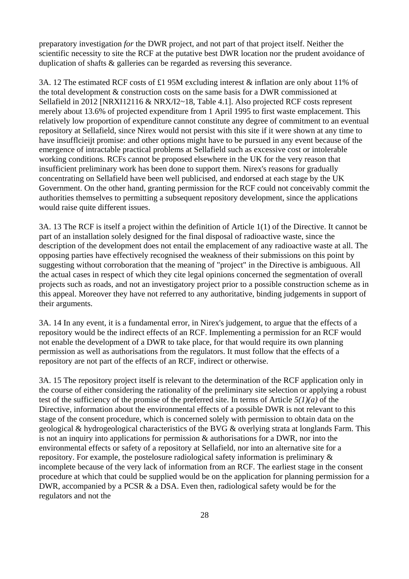preparatory investigation *for* the DWR project, and not part of that project itself. Neither the scientific necessity to site the RCF at the putative best DWR location nor the prudent avoidance of duplication of shafts & galleries can be regarded as reversing this severance.

3A. 12 The estimated RCF costs of £1 95M excluding interest & inflation are only about 11% of the total development & construction costs on the same basis for a DWR commissioned at Sellafield in 2012 [NRXI12116 & NRX/I2~18, Table 4.1]. Also projected RCF costs represent merely about 13.6% of projected expenditure from 1 April 1995 to first waste emplacement. This relatively low proportion of expenditure cannot constitute any degree of commitment to an eventual repository at Sellafield, since Nirex would not persist with this site if it were shown at any time to have insufflcieijt promise: and other options might have to be pursued in any event because of the emergence of intractable practical problems at Sellafield such as excessive cost or intolerable working conditions. RCFs cannot be proposed elsewhere in the UK for the very reason that insufficient preliminary work has been done to support them. Nirex's reasons for gradually concentrating on Sellafield have been well publicised, and endorsed at each stage by the UK Government. On the other hand, granting permission for the RCF could not conceivably commit the authorities themselves to permitting a subsequent repository development, since the applications would raise quite different issues.

3A. 13 The RCF is itself a project within the definition of Article 1(1) of the Directive. It cannot be part of an installation solely designed for the final disposal of radioactive waste, since the description of the development does not entail the emplacement of any radioactive waste at all. The opposing parties have effectively recognised the weakness of their submissions on this point by suggesting without corroboration that the meaning of "project" in the Directive is ambiguous. All the actual cases in respect of which they cite legal opinions concerned the segmentation of overall projects such as roads, and not an investigatory project prior to a possible construction scheme as in this appeal. Moreover they have not referred to any authoritative, binding judgements in support of their arguments.

3A. 14 In any event, it is a fundamental error, in Nirex's judgement, to argue that the effects of a repository would be the indirect effects of an RCF. Implementing a permission for an RCF would not enable the development of a DWR to take place, for that would require its own planning permission as well as authorisations from the regulators. It must follow that the effects of a repository are not part of the effects of an RCF, indirect or otherwise.

3A. 15 The repository project itself is relevant to the determination of the RCF application only in the course of either considering the rationality of the preliminary site selection or applying a robust test of the sufficiency of the promise of the preferred site. In terms of Article *5(1)(a)* of the Directive, information about the environmental effects of a possible DWR is not relevant to this stage of the consent procedure, which is concerned solely with permission to obtain data on the geological & hydrogeological characteristics of the BVG & overlying strata at longlands Farm. This is not an inquiry into applications for permission & authorisations for a DWR, nor into the environmental effects or safety of a repository at Sellafield, nor into an alternative site for a repository. For example, the postelosure radiological safety information is preliminary & incomplete because of the very lack of information from an RCF. The earliest stage in the consent procedure at which that could be supplied would be on the application for planning permission for a DWR, accompanied by a PCSR & a DSA. Even then, radiological safety would be for the regulators and not the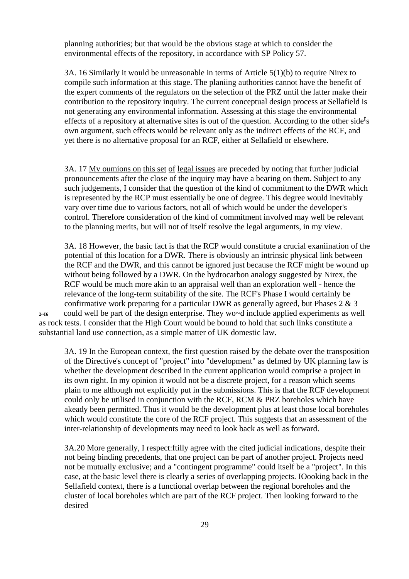planning authorities; but that would be the obvious stage at which to consider the environmental effects of the repository, in accordance with SP Policy 57.

3A. 16 Similarly it would be unreasonable in terms of Article 5(1)(b) to require Nirex to compile such information at this stage. The planiing authorities cannot have the benefit of the expert comments of the regulators on the selection of the PRZ until the latter make their contribution to the repository inquiry. The current conceptual design process at Sellafield is not generating any environmental information. Assessing at this stage the environmental effects of a repository at alternative sites is out of the question. According to the other sidets own argument, such effects would be relevant only as the indirect effects of the RCF, and yet there is no alternative proposal for an RCF, either at Sellafield or elsewhere.

3A. 17 Mv oumions on this set of legal issues are preceded by noting that further judicial pronouncements after the close of the inquiry may have a bearing on them. Subject to any such judgements, I consider that the question of the kind of commitment to the DWR which is represented by the RCP must essentially be one of degree. This degree would inevitably vary over time due to various factors, not all of which would be under the developer's control. Therefore consideration of the kind of commitment involved may well be relevant to the planning merits, but will not of itself resolve the legal arguments, in my view.

3A. 18 However, the basic fact is that the RCP would constitute a crucial exaniination of the potential of this location for a DWR. There is obviously an intrinsic physical link between the RCF and the DWR, and this cannot be ignored just because the RCF might be wound up without being followed by a DWR. On the hydrocarbon analogy suggested by Nirex, the RCF would be much more akin to an appraisal well than an exploration well - hence the relevance of the long-term suitability of the site. The RCF's Phase I would certainly be confirmative work preparing for a particular DWR as generally agreed, but Phases  $2 \& 3$ **2~I6** could well be part of the design enterprise. They wo~d include applied experiments as well as rock tests. I consider that the High Court would be bound to hold that such links constitute a substantial land use connection, as a simple matter of UK domestic law.

3A. 19 In the European context, the first question raised by the debate over the transposition of the Directive's concept of "project" into "development" as defmed by UK planning law is whether the development described in the current application would comprise a project in its own right. In my opinion it would not be a discrete project, for a reason which seems plain to me although not explicitly put in the submissions. This is that the RCF development could only be utilised in conjunction with the RCF, RCM & PRZ boreholes which have akeady been permitted. Thus it would be the development plus at least those local boreholes which would constitute the core of the RCF project. This suggests that an assessment of the inter-relationship of developments may need to look back as well as forward.

3A.20 More generally, I respect:ftilly agree with the cited judicial indications, despite their not being binding precedents, that one project can be part of another project. Projects need not be mutually exclusive; and a "contingent programme" could itself be a "project". In this case, at the basic level there is clearly a series of overlapping projects. IOooking back in the Sellafield context, there is a functional overlap between the regional boreholes and the cluster of local boreholes which are part of the RCF project. Then looking forward to the desired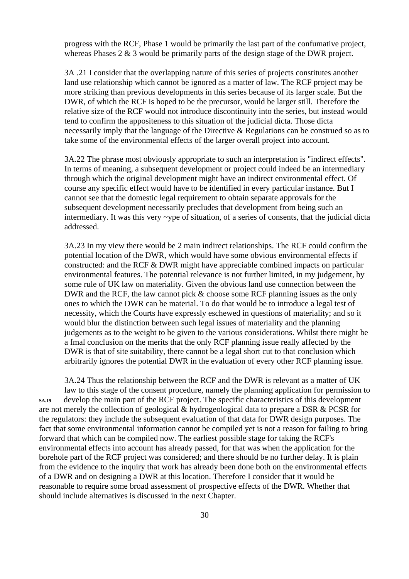progress with the RCF, Phase 1 would be primarily the last part of the confumative project, whereas Phases 2 & 3 would be primarily parts of the design stage of the DWR project.

3A .21 I consider that the overlapping nature of this series of projects constitutes another land use relationship which cannot be ignored as a matter of law. The RCF project may be more striking than previous developments in this series because of its larger scale. But the DWR, of which the RCF is hoped to be the precursor, would be larger still. Therefore the relative size of the RCF would not introduce discontinuity into the series, but instead would tend to confirm the appositeness to this situation of the judicial dicta. Those dicta necessarily imply that the language of the Directive & Regulations can be construed so as to take some of the environmental effects of the larger overall project into account.

3A.22 The phrase most obviously appropriate to such an interpretation is "indirect effects". In terms of meaning, a subsequent development or project could indeed be an intermediary through which the original development might have an indirect environmental effect. Of course any specific effect would have to be identified in every particular instance. But I cannot see that the domestic legal requirement to obtain separate approvals for the subsequent development necessarily precludes that development from being such an intermediary. It was this very ~ype of situation, of a series of consents, that the judicial dicta addressed.

3A.23 In my view there would be 2 main indirect relationships. The RCF could confirm the potential location of the DWR, which would have some obvious environmental effects if constructed: and the RCF & DWR might have appreciable combined impacts on particular environmental features. The potential relevance is not further limited, in my judgement, by some rule of UK law on materiality. Given the obvious land use connection between the DWR and the RCF, the law cannot pick & choose some RCF planning issues as the only ones to which the DWR can be material. To do that would be to introduce a legal test of necessity, which the Courts have expressly eschewed in questions of materiality; and so it would blur the distinction between such legal issues of materiality and the planning judgements as to the weight to be given to the various considerations. Whilst there might be a fmal conclusion on the merits that the only RCF planning issue really affected by the DWR is that of site suitability, there cannot be a legal short cut to that conclusion which arbitrarily ignores the potential DWR in the evaluation of every other RCF planning issue.

3A.24 Thus the relationship between the RCF and the DWR is relevant as a matter of UK law to this stage of the consent procedure, namely the planning application for permission to **SA.19** develop the main part of the RCF project. The specific characteristics of this development are not merely the collection of geological & hydrogeological data to prepare a DSR & PCSR for the regulators: they include the subsequent evaluation of that data for DWR design purposes. The fact that some environmental information cannot be compiled yet is not a reason for failing to bring forward that which can be compiled now. The earliest possible stage for taking the RCF's environmental effects into account has already passed, for that was when the application for the borehole part of the RCF project was considered; and there should be no further delay. It is plain from the evidence to the inquiry that work has already been done both on the environmental effects of a DWR and on designing a DWR at this location. Therefore I consider that it would be reasonable to require some broad assessment of prospective effects of the DWR. Whether that should include alternatives is discussed in the next Chapter.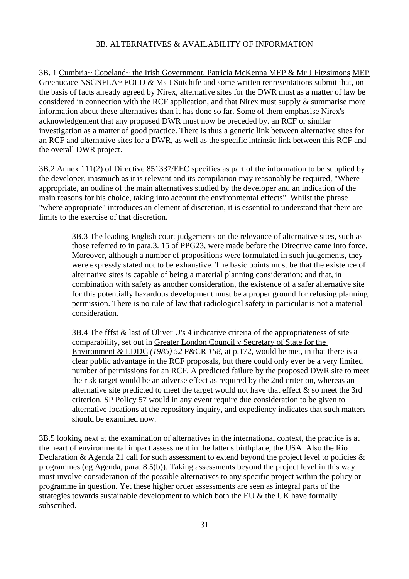## 3B. ALTERNATIVES & AVAILABILITY OF INFORMATION

3B. 1 Cumbria~ Copeland~ the Irish Government. Patricia McKenna MEP & Mr J Fitzsimons MEP Greenucace NSCNFLA~ FOLD & Ms J Sutchife and some written renresentations submit that, on the basis of facts already agreed by Nirex, alternative sites for the DWR must as a matter of law be considered in connection with the RCF application, and that Nirex must supply & summarise more information about these alternatives than it has done so far. Some of them emphasise Nirex's acknowledgement that any proposed DWR must now be preceded by. an RCF or similar investigation as a matter of good practice. There is thus a generic link between alternative sites for an RCF and alternative sites for a DWR, as well as the specific intrinsic link between this RCF and the overall DWR project.

3B.2 Annex 111(2) of Directive 851337/EEC specifies as part of the information to be supplied by the developer, inasmuch as it is relevant and its compilation may reasonably be required, "Where appropriate, an oudine of the main alternatives studied by the developer and an indication of the main reasons for his choice, taking into account the environmental effects". Whilst the phrase "where appropriate" introduces an element of discretion, it is essential to understand that there are limits to the exercise of that discretion.

> 3B.3 The leading English court judgements on the relevance of alternative sites, such as those referred to in para.3. 15 of PPG23, were made before the Directive came into force. Moreover, although a number of propositions were formulated in such judgements, they were expressly stated not to be exhaustive. The basic points must be that the existence of alternative sites is capable of being a material planning consideration: and that, in combination with safety as another consideration, the existence of a safer alternative site for this potentially hazardous development must be a proper ground for refusing planning permission. There is no rule of law that radiological safety in particular is not a material consideration.

> 3B.4 The fffst & last of Oliver U's 4 indicative criteria of the appropriateness of site comparability, set out in Greater London Council v Secretary of State for the Environment *&* LDDC *(1985) 52* P&CR *158,* at p.172, would be met, in that there is a clear public advantage in the RCF proposals, but there could only ever be a very limited number of permissions for an RCF. A predicted failure by the proposed DWR site to meet the risk target would be an adverse effect as required by the 2nd criterion, whereas an alternative site predicted to meet the target would not have that effect  $\&$  so meet the 3rd criterion. SP Policy 57 would in any event require due consideration to be given to alternative locations at the repository inquiry, and expediency indicates that such matters should be examined now.

3B.5 looking next at the examination of alternatives in the international context, the practice is at the heart of environmental impact assessment in the latter's birthplace, the USA. Also the Rio Declaration & Agenda 21 call for such assessment to extend beyond the project level to policies & programmes (eg Agenda, para. 8.5(b)). Taking assessments beyond the project level in this way must involve consideration of the possible alternatives to any specific project within the policy or programme in question. Yet these higher order assessments are seen as integral parts of the strategies towards sustainable development to which both the EU & the UK have formally subscribed.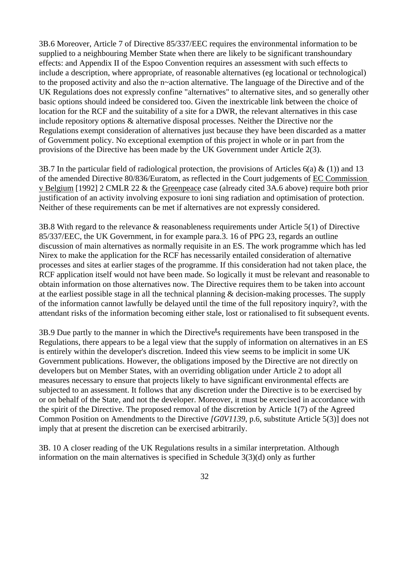3B.6 Moreover, Article 7 of Directive 85/337/EEC requires the environmental information to be supplied to a neighbouring Member State when there are likely to be significant transhoundary effects: and Appendix II of the Espoo Convention requires an assessment with such effects to include a description, where appropriate, of reasonable alternatives (eg locational or technological) to the proposed activity and also the n~action alternative. The language of the Directive and of the UK Regulations does not expressly confine "alternatives" to alternative sites, and so generally other basic options should indeed be considered too. Given the inextricable link between the choice of location for the RCF and the suitability of a site for a DWR, the relevant alternatives in this case include repository options & alternative disposal processes. Neither the Directive nor the Regulations exempt consideration of alternatives just because they have been discarded as a matter of Government policy. No exceptional exemption of this project in whole or in part from the provisions of the Directive has been made by the UK Government under Article 2(3).

3B.7 In the particular field of radiological protection, the provisions of Articles  $6(a) \& (1)$  and 13 of the amended Directive 80/836/Euratom, as reflected in the Court judgements of EC Commission v Belgium [1992] 2 CMLR 22 & the Greenpeace case (already cited 3A.6 above) require both prior justification of an activity involving exposure to ioni sing radiation and optimisation of protection. Neither of these requirements can be met if alternatives are not expressly considered.

3B.8 With regard to the relevance & reasonableness requirements under Article 5(1) of Directive 85/337/EEC, the UK Government, in for example para.3. 16 of PPG 23, regards an outline discussion of main alternatives as normally requisite in an ES. The work programme which has led Nirex to make the application for the RCF has necessarily entailed consideration of alternative processes and sites at earlier stages of the programme. If this consideration had not taken place, the RCF application itself would not have been made. So logically it must be relevant and reasonable to obtain information on those alternatives now. The Directive requires them to be taken into account at the earliest possible stage in all the technical planning & decision-making processes. The supply of the information cannot lawfully be delayed until the time of the full repository inquiry?, with the attendant risks of the information becoming either stale, lost or rationalised to fit subsequent events.

3B.9 Due partly to the manner in which the Directivets requirements have been transposed in the Regulations, there appears to be a legal view that the supply of information on alternatives in an ES is entirely within the developer's discretion. Indeed this view seems to be implicit in some UK Government publications. However, the obligations imposed by the Directive are not directly on developers but on Member States, with an overriding obligation under Article 2 to adopt all measures necessary to ensure that projects likely to have significant environmental effects are subjected to an assessment. It follows that any discretion under the Directive is to be exercised by or on behalf of the State, and not the developer. Moreover, it must be exercised in accordance with the spirit of the Directive. The proposed removal of the discretion by Article 1(7) of the Agreed Common Position on Amendments to the Directive *[G0V1139,* p.6, substitute Article 5(3)] does not imply that at present the discretion can be exercised arbitrarily.

3B. 10 A closer reading of the UK Regulations results in a similar interpretation. Although information on the main alternatives is specified in Schedule 3(3)(d) only as further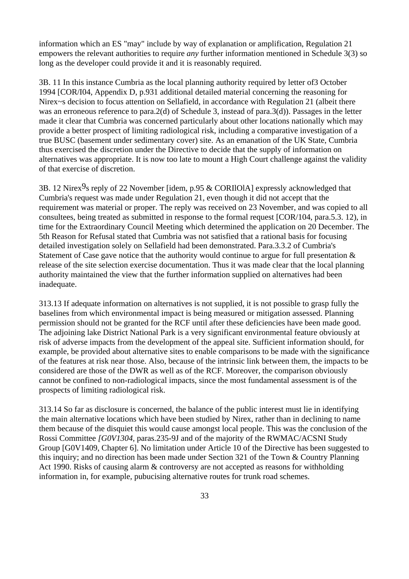information which an ES "may" include by way of explanation or amplification, Regulation 21 empowers the relevant authorities to require *any* further information mentioned in Schedule 3(3) so long as the developer could provide it and it is reasonably required.

3B. 11 In this instance Cumbria as the local planning authority required by letter of3 October 1994 [COR/I04, Appendix D, p.931 additional detailed material concerning the reasoning for Nirex~s decision to focus attention on Sellafield, in accordance with Regulation 21 (albeit there was an erroneous reference to para.2(d) of Schedule 3, instead of para.3(d)). Passages in the letter made it clear that Cumbria was concerned particularly about other locations nationally which may provide a better prospect of limiting radiological risk, including a comparative investigation of a true BUSC (basement under sedimentary cover) site. As an emanation of the UK State, Cumbria thus exercised the discretion under the Directive to decide that the supply of information on alternatives was appropriate. It is now too late to mount a High Court challenge against the validity of that exercise of discretion.

3B. 12 Nirex<sup>9</sup>s reply of 22 November [idem, p.95  $& CORIIOIA]$  expressly acknowledged that Cumbria's request was made under Regulation 21, even though it did not accept that the requirement was material or proper. The reply was received on 23 November, and was copied to all consultees, being treated as submitted in response to the formal request [COR/104, para.5.3. 12), in time for the Extraordinary Council Meeting which determined the application on 20 December. The 5th Reason for Refusal stated that Cumbria was not satisfied that a rational basis for focusing detailed investigation solely on Sellafield had been demonstrated. Para.3.3.2 of Cumbria's Statement of Case gave notice that the authority would continue to argue for full presentation & release of the site selection exercise documentation. Thus it was made clear that the local planning authority maintained the view that the further information supplied on alternatives had been inadequate.

313.13 If adequate information on alternatives is not supplied, it is not possible to grasp fully the baselines from which environmental impact is being measured or mitigation assessed. Planning permission should not be granted for the RCF until after these deficiencies have been made good. The adjoining lake District National Park is a very significant environmental feature obviously at risk of adverse impacts from the development of the appeal site. Sufficient information should, for example, be provided about alternative sites to enable comparisons to be made with the significance of the features at risk near those. Also, because of the intrinsic link between them, the impacts to be considered are those of the DWR as well as of the RCF. Moreover, the comparison obviously cannot be confined to non-radiological impacts, since the most fundamental assessment is of the prospects of limiting radiological risk.

313.14 So far as disclosure is concerned, the balance of the public interest must lie in identifying the main alternative locations which have been studied by Nirex, rather than in declining to name them because of the disquiet this would cause amongst local people. This was the conclusion of the Rossi Committee *[G0V1304,* paras.235-9J and of the majority of the RWMAC/ACSNI Study Group [G0V1409, Chapter 6]. No limitation under Article 10 of the Directive has been suggested to this inquiry; and no direction has been made under Section 321 of the Town & Country Planning Act 1990. Risks of causing alarm & controversy are not accepted as reasons for withholding information in, for example, pubucising alternative routes for trunk road schemes.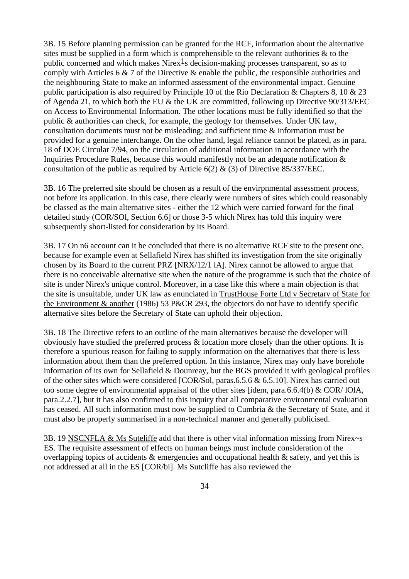3B. 15 Before planning permission can be granted for the RCF, information about the alternative sites must be supplied in a form which is comprehensible to the relevant authorities  $\&$  to the public concerned and which makes Nirex<sup>1</sup>s decision-making processes transparent, so as to comply with Articles 6 & 7 of the Directive & enable the public, the responsible authorities and the neighbouring State to make an informed assessment of the environmental impact. Genuine public participation is also required by Principle 10 of the Rio Declaration & Chapters 8, 10 & 23 of Agenda 21, to which both the EU & the UK are committed, following up Directive 90/313/EEC on Access to Environmental Information. The other locations must be fully identified so that the public & authorities can check, for example, the geology for themselves. Under UK law, consultation documents must not be misleading; and sufficient time & information must be provided for a genuine interchange. On the other hand, legal reliance cannot be placed, as in para. 18 of DOE Circular 7/94, on the circulation of additional information in accordance with the Inquiries Procedure Rules, because this would manifestly not be an adequate notification & consultation of the public as required by Article  $6(2)$  & (3) of Directive 85/337/EEC.

3B. 16 The preferred site should be chosen as a result of the envirpnmental assessment process, not before its application. In this case, there clearly were numbers of sites which could reasonably be classed as the main alternative sites - either the 12 which were carried forward for the final detailed study (COR/SOl, Section 6.6] or those 3-5 which Nirex has told this inquiry were subsequently short-listed for consideration by its Board.

3B. 17 On n6 account can it be concluded that there is no alternative RCF site to the present one, because for example even at Sellafield Nirex has shifted its investigation from the site originally chosen by its Board to the current PRZ [NRX/12/1 lA]. Nirex cannot be allowed to argue that there is no conceivable alternative site when the nature of the programme is such that the choice of site is under Nirex's unique control. Moreover, in a case like this where a main objection is that the site is unsuitable, under UK law as enunciated in TrustHouse Forte Ltd v Secretarv of State for the Environment & another (1986) 53 P&CR 293, the objectors do not have to identify specific alternative sites before the Secretary of State can uphold their objection.

3B. 18 The Directive refers to an outline of the main alternatives because the developer will obviously have studied the preferred process & location more closely than the other options. It is therefore a spurious reason for failing to supply information on the alternatives that there is less information about them than the preferred option. In this instance, Nirex may only have borehole information of its own for Sellafield & Dounreay, but the BGS provided it with geological profiles of the other sites which were considered [COR/Sol, paras.6.5.6 & 6.5.10]. Nirex has carried out too some degree of environmental appraisal of the other sites [idem, para.6.6.4(b) & COR/ lOlA, para.2.2.7], but it has also confirmed to this inquiry that all comparative environmental evaluation has ceased. All such information must now be supplied to Cumbria & the Secretary of State, and it must also be properly summarised in a non-technical manner and generally publicised.

3B. 19 NSCNFLA & Ms Suteliffe add that there is other vital information missing from Nirex~s ES. The requisite assessment of effects on human beings must include consideration of the overlapping topics of accidents & emergencies and occupational health & safety, and yet this is not addressed at all in the ES [COR/bi]. Ms Sutcliffe has also reviewed the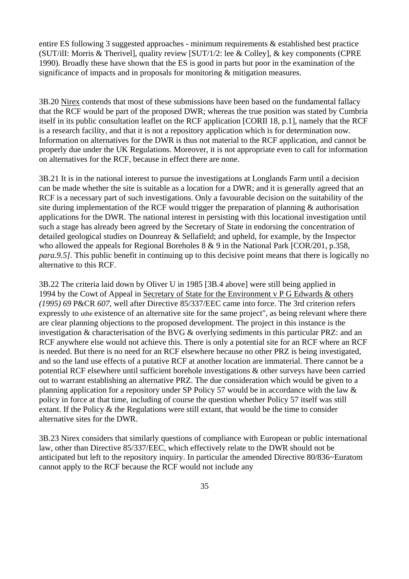entire ES following 3 suggested approaches - minimum requirements & established best practice (SUT/ilI: Morris & Therivel], quality review [SUT/1/2: lee & Colley], & key components (CPRE 1990). Broadly these have shown that the ES is good in parts but poor in the examination of the significance of impacts and in proposals for monitoring & mitigation measures.

3B.20 Nirex contends that most of these submissions have been based on the fundamental fallacy that the RCF would be part of the proposed DWR; whereas the true position was stated by Cumbria itself in its public consultation leaflet on the RCF application [CORIl 18, p.1], namely that the RCF is a research facility, and that it is not a repository application which is for determination now. Information on alternatives for the DWR is thus not material to the RCF application, and cannot be properly due under the UK Regulations. Moreover, it is not appropriate even to call for information on alternatives for the RCF, because in effect there are none.

3B.21 It is in the national interest to pursue the investigations at Longlands Farm until a decision can be made whether the site is suitable as a location for a DWR; and it is generally agreed that an RCF is a necessary part of such investigations. Only a favourable decision on the suitability of the site during implementation of the RCF would trigger the preparation of planning & authorisation applications for the DWR. The national interest in persisting with this locational investigation until such a stage has already been agreed by the Secretary of State in endorsing the concentration of detailed geological studies on Dounreay & Sellafield; and upheld, for example, by the Inspector who allowed the appeals for Regional Boreholes  $8 \& 9$  in the National Park [COR/201, p.358, *para.9.5].* This public benefit in continuing up to this decisive point means that there is logically no alternative to this RCF.

3B.22 The criteria laid down by Oliver U in 1985 [3B.4 above] were still being applied in 1994 by the Cowt of Appeal in Secretary of State for the Environment v P G Edwards & others *(1995) 69* P&CR *607,* well after Directive 85/337/EEC came into force. The 3rd criterion refers expressly to uthe existence of an alternative site for the same project", as being relevant where there are clear planning objections to the proposed development. The project in this instance is the investigation & characterisation of the BVG & overlying sediments in this particular PRZ: and an RCF anywhere else would not achieve this. There is only a potential site for an RCF where an RCF is needed. But there is no need for an RCF elsewhere because no other PRZ is being investigated, and so the land use effects of a putative RCF at another location are immaterial. There cannot be a potential RCF elsewhere until sufficient borehole investigations & other surveys have been carried out to warrant establishing an alternative PRZ. The due consideration which would be given to a planning application for a repository under SP Policy 57 would be in accordance with the law & policy in force at that time, including of course the question whether Policy 57 itself was still extant. If the Policy & the Regulations were still extant, that would be the time to consider alternative sites for the DWR.

3B.23 Nirex considers that similarly questions of compliance with European or public international law, other than Directive 85/337/EEC, which effectively relate to the DWR should not be anticipated but left to the repository inquiry. In particular the amended Directive 80/836~Euratom cannot apply to the RCF because the RCF would not include any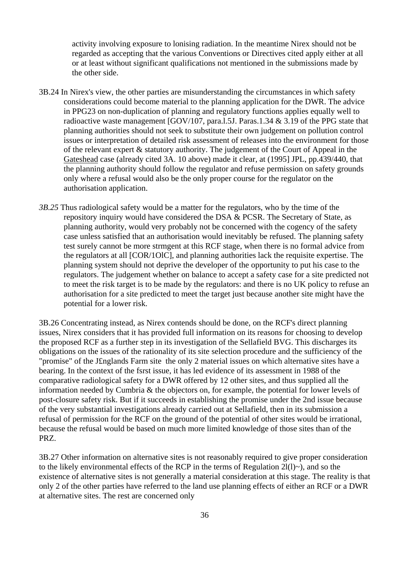activity involving exposure to lonising radiation. In the meantime Nirex should not be regarded as accepting that the various Conventions or Directives cited apply either at all or at least without significant qualifications not mentioned in the submissions made by the other side.

- 3B.24 In Nirex's view, the other parties are misunderstanding the circumstances in which safety considerations could become material to the planning application for the DWR. The advice in PPG23 on non-duplication of planning and regulatory functions applies equally well to radioactive waste management  $[GOV/107, para.1.5J. Paras.1.34 & 3.19$  of the PPG state that planning authorities should not seek to substitute their own judgement on pollution control issues or interpretation of detailed risk assessment of releases into the environment for those of the relevant expert & statutory authority. The judgement of the Court of Appeal in the Gateshead case (already cited 3A. 10 above) made it clear, at (1995] JPL, pp.439/440, that the planning authority should follow the regulator and refuse permission on safety grounds only where a refusal would also be the only proper course for the regulator on the authorisation application.
- *3B.25* Thus radiological safety would be a matter for the regulators, who by the time of the repository inquiry would have considered the DSA & PCSR. The Secretary of State, as planning authority, would very probably not be concerned with the cogency of the safety case unless satisfied that an authorisation would inevitably be refused. The planning safety test surely cannot be more strmgent at this RCF stage, when there is no formal advice from the regulators at all [COR/1OlC], and planning authorities lack the requisite expertise. The planning system should not deprive the developer of the opportunity to put his case to the regulators. The judgement whether on balance to accept a safety case for a site predicted not to meet the risk target is to be made by the regulators: and there is no UK policy to refuse an authorisation for a site predicted to meet the target just because another site might have the potential for a lower risk.

3B.26 Concentrating instead, as Nirex contends should be done, on the RCF's direct planning issues, Nirex considers that it has provided full information on its reasons for choosing to develop the proposed RCF as a further step in its investigation of the Sellafield BVG. This discharges its obligations on the issues of the rationality of its site selection procedure and the sufficiency of the "promise" of the J£nglands Farm site the only 2 material issues on which alternative sites have a bearing. In the context of the fsrst issue, it has led evidence of its assessment in 1988 of the comparative radiological safety for a DWR offered by 12 other sites, and thus supplied all the information needed by Cumbria & the objectors on, for example, the potential for lower levels of post-closure safety risk. But if it succeeds in establishing the promise under the 2nd issue because of the very substantial investigations already carried out at Sellafield, then in its submission a refusal of permission for the RCF on the ground of the potential of other sites would be irrational, because the refusal would be based on much more limited knowledge of those sites than of the PRZ.

3B.27 Other information on alternative sites is not reasonably required to give proper consideration to the likely environmental effects of the RCP in the terms of Regulation  $2I(1)$ ~), and so the existence of alternative sites is not generally a material consideration at this stage. The reality is that only 2 of the other parties have referred to the land use planning effects of either an RCF or a DWR at alternative sites. The rest are concerned only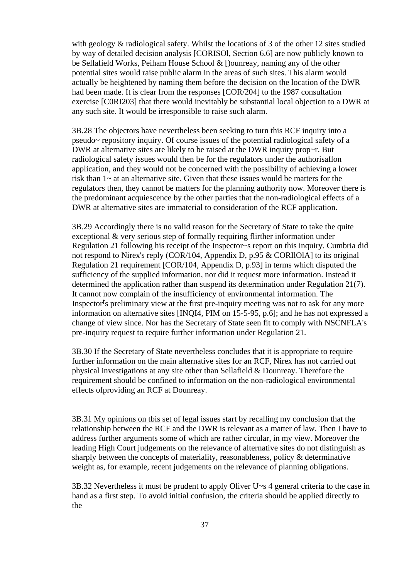with geology & radiological safety. Whilst the locations of 3 of the other 12 sites studied by way of detailed decision analysis [CORISOl, Section 6.6] are now publicly known to be Sellafield Works, Peiham House School & [)ounreay, naming any of the other potential sites would raise public alarm in the areas of such sites. This alarm would actually be heightened by naming them before the decision on the location of the DWR had been made. It is clear from the responses [COR/204] to the 1987 consultation exercise [C0RI203] that there would inevitably be substantial local objection to a DWR at any such site. It would be irresponsible to raise such alarm.

3B.28 The objectors have nevertheless been seeking to turn this RCF inquiry into a pseudo~ repository inquiry. Of course issues of the potential radiological safety of a DWR at alternative sites are likely to be raised at the DWR inquiry prop~r. But radiological safety issues would then be for the regulators under the authorisaflon application, and they would not be concerned with the possibility of achieving a lower risk than 1~ at an alternative site. Given that these issues would be matters for the regulators then, they cannot be matters for the planning authority now. Moreover there is the predominant acquiescence by the other parties that the non-radiological effects of a DWR at alternative sites are immaterial to consideration of the RCF application.

3B.29 Accordingly there is no valid reason for the Secretary of State to take the quite exceptional & very serious step of formally requiring flirther information under Regulation 21 following his receipt of the Inspector~s report on this inquiry. Cumbria did not respond to Nirex's reply (COR/104, Appendix D, p.95 & CORIlOlA] to its original Regulation 21 requirement [COR/104, Appendix D, p.93] in terms which disputed the sufficiency of the supplied information, nor did it request more information. Instead it determined the application rather than suspend its determination under Regulation 21(7). It cannot now complain of the insufficiency of environmental information. The Inspector<sup>t</sup>s preliminary view at the first pre-inquiry meeting was not to ask for any more information on alternative sites [INQI4, PIM on 15-5-95, p.6]; and he has not expressed a change of view since. Nor has the Secretary of State seen fit to comply with NSCNFLA's pre-inquiry request to require further information under Regulation 21.

3B.30 If the Secretary of State nevertheless concludes that it is appropriate to require further information on the main alternative sites for an RCF, Nirex has not carried out physical investigations at any site other than Sellafield & Dounreay. Therefore the requirement should be confined to information on the non-radiological environmental effects ofproviding an RCF at Dounreay.

3B.31 My opinions on tbis set of legal issues start by recalling my conclusion that the relationship between the RCF and the DWR is relevant as a matter of law. Then I have to address further arguments some of which are rather circular, in my view. Moreover the leading High Court judgements on the relevance of alternative sites do not distinguish as sharply between the concepts of materiality, reasonableness, policy & determinative weight as, for example, recent judgements on the relevance of planning obligations.

3B.32 Nevertheless it must be prudent to apply Oliver U~s 4 general criteria to the case in hand as a first step. To avoid initial confusion, the criteria should be applied directly to the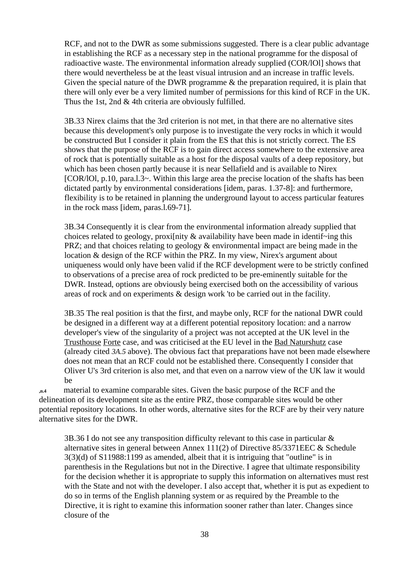RCF, and not to the DWR as some submissions suggested. There is a clear public advantage in establishing the RCF as a necessary step in the national programme for the disposal of radioactive waste. The environmental information already supplied (COR/lOl] shows that there would nevertheless be at the least visual intrusion and an increase in traffic levels. Given the special nature of the DWR programme & the preparation required, it is plain that there will only ever be a very limited number of permissions for this kind of RCF in the UK. Thus the 1st, 2nd & 4th criteria are obviously fulfilled.

3B.33 Nirex claims that the 3rd criterion is not met, in that there are no alternative sites because this development's only purpose is to investigate the very rocks in which it would be constructed But I consider it plain from the ES that this is not strictly correct. The ES shows that the purpose of the RCF is to gain direct access somewhere to the extensive area of rock that is potentially suitable as a host for the disposal vaults of a deep repository, but which has been chosen partly because it is near Sellafield and is available to Nirex [COR/lOl, p.10, para.l.3~. Within this large area the precise location of the shafts has been dictated partly by environmental considerations [idem, paras. 1.37-8]: and furthermore, flexibility is to be retained in planning the underground layout to access particular features in the rock mass [idem, paras.l.69-71].

3B.34 Consequently it is clear from the environmental information already supplied that choices related to geology, proxill ity  $\&$  availability have been made in identif~ing this PRZ; and that choices relating to geology & environmental impact are being made in the location & design of the RCF within the PRZ. In my view, Nirex's argument about uniqueness would only have been valid if the RCF development were to be strictly confined to observations of a precise area of rock predicted to be pre-eminently suitable for the DWR. Instead, options are obviously being exercised both on the accessibility of various areas of rock and on experiments & design work 'to be carried out in the facility.

3B.35 The real position is that the first, and maybe only, RCF for the national DWR could be designed in a different way at a different potential repository location: and a narrow developer's view of the singularity of a project was not accepted at the UK level in the Trusthouse Forte case, and was criticised at the EU level in the Bad Naturshutz case (already cited *3A.5* above). The obvious fact that preparations have not been made elsewhere does not mean that an RCF could not be established there. Consequently I consider that Oliver U's 3rd criterion is also met, and that even on a narrow view of the UK law it would be

**,n.4** material to examine comparable sites. Given the basic purpose of the RCF and the delineation of its development site as the entire PRZ, those comparable sites would be other potential repository locations. In other words, alternative sites for the RCF are by their very nature alternative sites for the DWR.

3B.36 I do not see any transposition difficulty relevant to this case in particular & alternative sites in general between Annex 111(2) of Directive 85/3371EEC & Schedule 3(3)(d) of S11988:1199 as amended, albeit that it is intriguing that "outline" is in parenthesis in the Regulations but not in the Directive. I agree that ultimate responsibility for the decision whether it is appropriate to supply this information on alternatives must rest with the State and not with the developer. I also accept that, whether it is put as expedient to do so in terms of the English planning system or as required by the Preamble to the Directive, it is right to examine this information sooner rather than later. Changes since closure of the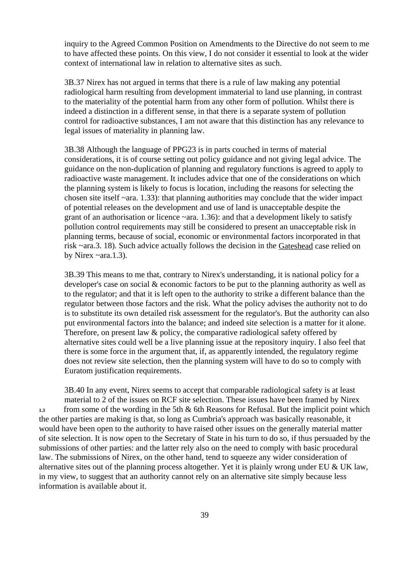inquiry to the Agreed Common Position on Amendments to the Directive do not seem to me to have affected these points. On this view, I do not consider it essential to look at the wider context of international law in relation to alternative sites as such.

3B.37 Nirex has not argued in terms that there is a rule of law making any potential radiological harm resulting from development immaterial to land use planning, in contrast to the materiality of the potential harm from any other form of pollution. Whilst there is indeed a distinction in a different sense, in that there is a separate system of pollution control for radioactive substances, I am not aware that this distinction has any relevance to legal issues of materiality in planning law.

3B.38 Although the language of PPG23 is in parts couched in terms of material considerations, it is of course setting out policy guidance and not giving legal advice. The guidance on the non-duplication of planning and regulatory functions is agreed to apply to radioactive waste management. It includes advice that one of the considerations on which the planning system is likely to focus is location, including the reasons for selecting the chosen site itself ~ara. 1.33): that planning authorities may conclude that the wider impact of potential releases on the development and use of land is unacceptable despite the grant of an authorisation or licence ~ara. 1.36): and that a development likely to satisfy pollution control requirements may still be considered to present an unacceptable risk in planning terms, because of social, economic or environmental factors incorporated in that risk ~ara.3. 18). Such advice actually follows the decision in the Gateshead case relied on by Nirex  $\sim$ ara.1.3).

3B.39 This means to me that, contrary to Nirex's understanding, it is national policy for a developer's case on social & economic factors to be put to the planning authority as well as to the regulator; and that it is left open to the authority to strike a different balance than the regulator between those factors and the risk. What the policy advises the authority not to do is to substitute its own detailed risk assessment for the regulator's. But the authority can also put environmental factors into the balance; and indeed site selection is a matter for it alone. Therefore, on present law & policy, the comparative radiological safety offered by alternative sites could well be a live planning issue at the repository inquiry. I also feel that there is some force in the argument that, if, as apparently intended, the regulatory regime does not review site selection, then the planning system will have to do so to comply with Euratom justification requirements.

3B.40 In any event, Nirex seems to accept that comparable radiological safety is at least material to 2 of the issues on RCF site selection. These issues have been framed by Nirex **1.3** from some of the wording in the 5th & 6th Reasons for Refusal. But the implicit point which the other parties are making is that, so long as Cumbria's approach was basically reasonable, it would have been open to the authority to have raised other issues on the generally material matter of site selection. It is now open to the Secretary of State in his turn to do so, if thus persuaded by the submissions of other parties: and the latter rely also on the need to comply with basic procedural law. The submissions of Nirex, on the other hand, tend to squeeze any wider consideration of alternative sites out of the planning process altogether. Yet it is plainly wrong under EU & UK law, in my view, to suggest that an authority cannot rely on an alternative site simply because less information is available about it.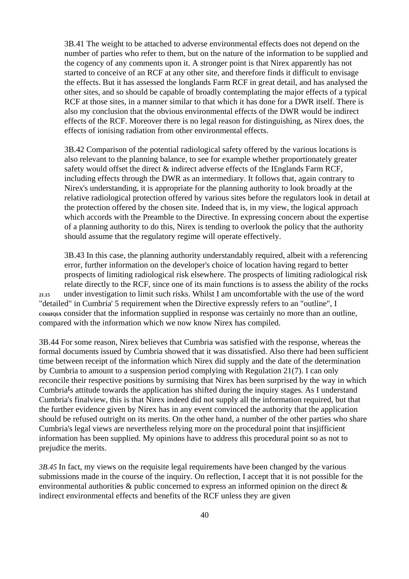3B.41 The weight to be attached to adverse environmental effects does not depend on the number of parties who refer to them, but on the nature of the information to be supplied and the cogency of any comments upon it. A stronger point is that Nirex apparently has not started to conceive of an RCF at any other site, and therefore finds it difficult to envisage the effects. But it has assessed the longlands Farm RCF in great detail, and has analysed the other sites, and so should be capable of broadly contemplating the major effects of a typical RCF at those sites, in a manner similar to that which it has done for a DWR itself. There is also my conclusion that the obvious environmental effects of the DWR would be indirect effects of the RCF. Moreover there is no legal reason for distinguishing, as Nirex does, the effects of ionising radiation from other environmental effects.

3B.42 Comparison of the potential radiological safety offered by the various locations is also relevant to the planning balance, to see for example whether proportionately greater safety would offset the direct & indirect adverse effects of the I£nglands Farm RCF, including effects through the DWR as an intermediary. It follows that, again contrary to Nirex's understanding, it is appropriate for the planning authority to look broadly at the relative radiological protection offered by various sites before the regulators look in detail at the protection offered by the chosen site. Indeed that is, in my view, the logical approach which accords with the Preamble to the Directive. In expressing concern about the expertise of a planning authority to do this, Nirex is tending to overlook the policy that the authority should assume that the regulatory regime will operate effectively.

3B.43 In this case, the planning authority understandably required, albeit with a referencing error, further information on the developer's choice of location having regard to better prospects of limiting radiological risk elsewhere. The prospects of limiting radiological risk relate directly to the RCF, since one of its main functions is to assess the ability of the rocks **21.15** under investigation to limit such risks. Whilst I am uncomfortable with the use of the word "detailed" in Cumbria' 5 requirement when the Directive expressly refers to an "outline", I **COitiIQIA** consider that the information supplied in response was certainly no more than an outline, compared with the information which we now know Nirex has compiled.

3B.44 For some reason, Nirex believes that Cumbria was satisfied with the response, whereas the formal documents issued by Cumbria showed that it was dissatisfied. Also there had been sufficient time between receipt of the information which Nirex did supply and the date of the determination by Cumbria to amount to a suspension period complying with Regulation 21(7). I can only reconcile their respective positions by surmising that Nirex has been surprised by the way in which Cumbriats attitude towards the application has shifted during the inquiry stages. As I understand Cumbria's finalview, this is that Nirex indeed did not supply all the information required, but that the further evidence given by Nirex has in any event convinced the authority that the application should be refused outright on its merits. On the other hand, a number of the other parties who share Cumbria's legal views are nevertheless relying more on the procedural point that insjifficient information has been supplied. My opinions have to address this procedural point so as not to prejudice the merits.

*3B.45* In fact, my views on the requisite legal requirements have been changed by the various submissions made in the course of the inquiry. On reflection, I accept that it is not possible for the environmental authorities & public concerned to express an informed opinion on the direct & indirect environmental effects and benefits of the RCF unless they are given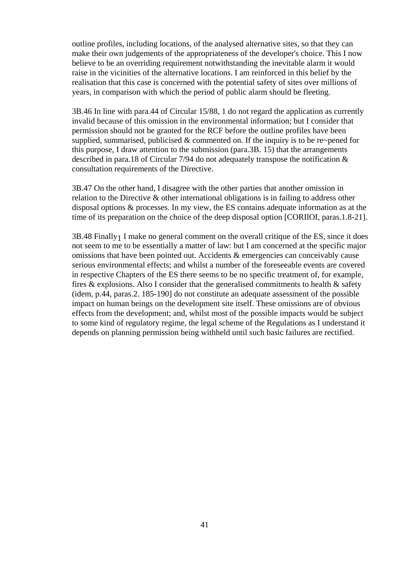outline profiles, including locations, of the analysed alternative sites, so that they can make their own judgements of the appropriateness of the developer's choice. This I now believe to be an overriding requirement notwithstanding the inevitable alarm it would raise in the vicinities of the alternative locations. I am reinforced in this belief by the realisation that this case is concerned with the potential safety of sites over millions of years, in comparison with which the period of public alarm should be fleeting.

3B.46 In line with para.44 of Circular 15/88, 1 do not regard the application as currently invalid because of this omission in the environmental information; but I consider that permission should not be granted for the RCF before the outline profiles have been supplied, summarised, publicised  $\&$  commented on. If the inquiry is to be re~pened for this purpose, I draw attention to the submission (para.3B. 15) that the arrangements described in para.18 of Circular 7/94 do not adequately transpose the notification & consultation requirements of the Directive.

3B.47 On the other hand, I disagree with the other parties that another omission in relation to the Directive & other international obligations is in failing to address other disposal options & processes. In my view, the ES contains adequate information as at the time of its preparation on the choice of the deep disposal option [CORIlOI, paras.1.8-21].

 $3B.48$  Finally<sub>1</sub> I make no general comment on the overall critique of the ES, since it does not seem to me to be essentially a matter of law: but I am concerned at the specific major omissions that have been pointed out. Accidents & emergencies can conceivably cause serious environmental effects; and whilst a number of the foreseeable events are covered in respective Chapters of the ES there seems to be no specific treatment of, for example, fires  $&$  explosions. Also I consider that the generalised commitments to health  $&$  safety (idem, p.44, paras.2. 185-190] do not constitute an adequate assessment of the possible impact on human beings on the development site itself. These omissions are of obvious effects from the development; and, whilst most of the possible impacts would be subject to some kind of regulatory regime, the legal scheme of the Regulations as I understand it depends on planning permission being withheld until such basic failures are rectified.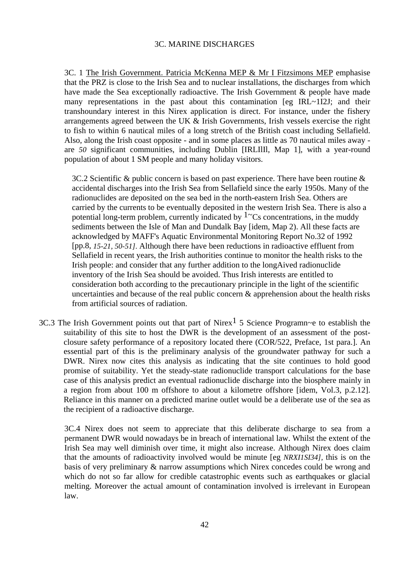## 3C. MARINE DISCHARGES

3C. 1 The Irish Government. Patricia McKenna MEP & Mr I Fitzsimons MEP emphasise that the PRZ is close to the Irish Sea and to nuclear installations, the discharges from which have made the Sea exceptionally radioactive. The Irish Government & people have made many representations in the past about this contamination [eg IRL~1I2J; and their transhoundary interest in this Nirex application is direct. For instance, under the fishery arrangements agreed between the UK & Irish Governments, Irish vessels exercise the right to fish to within 6 nautical miles of a long stretch of the British coast including Sellafield. Also, along the Irish coast opposite - and in some places as little as 70 nautical miles away are *50* significant communities, including Dublin [IRLIlIl, Map 1], with a year-round population of about 1 SM people and many holiday visitors.

3C.2 Scientific & public concern is based on past experience. There have been routine  $\&$ accidental discharges into the Irish Sea from Sellafield since the early 1950s. Many of the radionuclides are deposited on the sea bed in the north-eastern Irish Sea. Others are carried by the currents to be eventually deposited in the western Irish Sea. There is also a potential long-term problem, currently indicated by  $1-\text{Cs}$  concentrations, in the muddy sediments between the Isle of Man and Dundalk Bay [idem, Map 2). All these facts are acknowledged by MAFF's Aquatic Environmental Monitoring Report No.32 of 1992 [pp.8, *15-21, 50-51].* Although there have been reductions in radioactive effluent from Sellafield in recent years, the Irish authorities continue to monitor the health risks to the Irish people: and consider that any further addition to the longAived radionuclide inventory of the Irish Sea should be avoided. Thus Irish interests are entitled to consideration both according to the precautionary principle in the light of the scientific uncertainties and because of the real public concern & apprehension about the health risks from artificial sources of radiation.

3C.3 The Irish Government points out that part of Nirex<sup>1</sup> 5 Science Programn~e to establish the suitability of this site to host the DWR is the development of an assessment of the postclosure safety performance of a repository located there (COR/522, Preface, 1st para.]. An essential part of this is the preliminary analysis of the groundwater pathway for such a DWR. Nirex now cites this analysis as indicating that the site continues to hold good promise of suitability. Yet the steady-state radionuclide transport calculations for the base case of this analysis predict an eventual radionuclide discharge into the biosphere mainly in a region from about 100 m offshore to about a kilometre offshore [idem, Vol.3, p.2.12]. Reliance in this manner on a predicted marine outlet would be a deliberate use of the sea as the recipient of a radioactive discharge.

3C.4 Nirex does not seem to appreciate that this deliberate discharge to sea from a permanent DWR would nowadays be in breach of international law. Whilst the extent of the Irish Sea may well diminish over time, it might also increase. Although Nirex does claim that the amounts of radioactivity involved would be minute [eg *NRXI1SI34],* this is on the basis of very preliminary & narrow assumptions which Nirex concedes could be wrong and which do not so far allow for credible catastrophic events such as earthquakes or glacial melting. Moreover the actual amount of contamination involved is irrelevant in European law.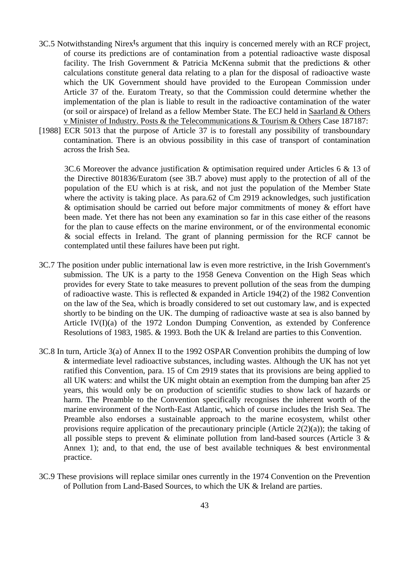- 3C.5 Notwithstanding Nirexts argument that this inquiry is concerned merely with an RCF project, of course its predictions are of contamination from a potential radioactive waste disposal facility. The Irish Government & Patricia McKenna submit that the predictions & other calculations constitute general data relating to a plan for the disposal of radioactive waste which the UK Government should have provided to the European Commission under Article 37 of the. Euratom Treaty, so that the Commission could determine whether the implementation of the plan is liable to result in the radioactive contamination of the water (or soil or airspace) of Ireland as a fellow Member State. The ECJ held in Saarland & Others v Minister of Industry. Posts & the Telecommunications & Tourism & Others Case 187187:
- [1988] ECR 5013 that the purpose of Article 37 is to forestall any possibility of transboundary contamination. There is an obvious possibility in this case of transport of contamination across the Irish Sea.

3C.6 Moreover the advance justification & optimisation required under Articles 6 & 13 of the Directive 801836/Euratom (see 3B.7 above) must apply to the protection of all of the population of the EU which is at risk, and not just the population of the Member State where the activity is taking place. As para.62 of Cm 2919 acknowledges, such justification & optimisation should be carried out before major commitments of money & effort have been made. Yet there has not been any examination so far in this case either of the reasons for the plan to cause effects on the marine environment, or of the environmental economic & social effects in Ireland. The grant of planning permission for the RCF cannot be contemplated until these failures have been put right.

- 3C.7 The position under public international law is even more restrictive, in the Irish Government's submission. The UK is a party to the 1958 Geneva Convention on the High Seas which provides for every State to take measures to prevent pollution of the seas from the dumping of radioactive waste. This is reflected & expanded in Article 194(2) of the 1982 Convention on the law of the Sea, which is broadly considered to set out customary law, and is expected shortly to be binding on the UK. The dumping of radioactive waste at sea is also banned by Article IV(I)(a) of the 1972 London Dumping Convention, as extended by Conference Resolutions of 1983, 1985. & 1993. Both the UK & Ireland are parties to this Convention.
- 3C.8 In turn, Article 3(a) of Annex II to the 1992 OSPAR Convention prohibits the dumping of low & intermediate level radioactive substances, including wastes. Although the UK has not yet ratified this Convention, para. 15 of Cm 2919 states that its provisions are being applied to all UK waters: and whilst the UK might obtain an exemption from the dumping ban after 25 years, this would only be on production of scientific studies to show lack of hazards or harm. The Preamble to the Convention specifically recognises the inherent worth of the marine environment of the North-East Atlantic, which of course includes the Irish Sea. The Preamble also endorses a sustainable approach to the marine ecosystem, whilst other provisions require application of the precautionary principle (Article 2(2)(a)); the taking of all possible steps to prevent  $\&$  eliminate pollution from land-based sources (Article 3  $\&$ Annex 1); and, to that end, the use of best available techniques  $\&$  best environmental practice.
- 3C.9 These provisions will replace similar ones currently in the 1974 Convention on the Prevention of Pollution from Land-Based Sources, to which the UK & Ireland are parties.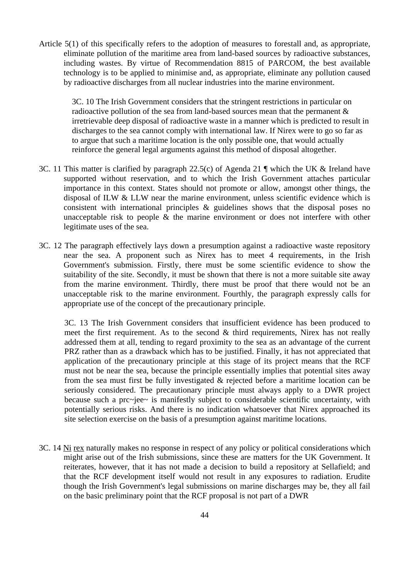Article 5(1) of this specifically refers to the adoption of measures to forestall and, as appropriate, eliminate pollution of the maritime area from land-based sources by radioactive substances, including wastes. By virtue of Recommendation 8815 of PARCOM, the best available technology is to be applied to minimise and, as appropriate, eliminate any pollution caused by radioactive discharges from all nuclear industries into the marine environment.

3C. 10 The Irish Government considers that the stringent restrictions in particular on radioactive pollution of the sea from land-based sources mean that the permanent & irretrievable deep disposal of radioactive waste in a manner which is predicted to result in discharges to the sea cannot comply with international law. If Nirex were to go so far as to argue that such a maritime location is the only possible one, that would actually reinforce the general legal arguments against this method of disposal altogether.

- 3C. 11 This matter is clarified by paragraph 22.5(c) of Agenda 21 ¶ which the UK & Ireland have supported without reservation, and to which the Irish Government attaches particular importance in this context. States should not promote or allow, amongst other things, the disposal of ILW & LLW near the marine environment, unless scientific evidence which is consistent with international principles  $\&$  guidelines shows that the disposal poses no unacceptable risk to people & the marine environment or does not interfere with other legitimate uses of the sea.
- 3C. 12 The paragraph effectively lays down a presumption against a radioactive waste repository near the sea. A proponent such as Nirex has to meet 4 requirements, in the Irish Government's submission. Firstly, there must be some scientific evidence to show the suitability of the site. Secondly, it must be shown that there is not a more suitable site away from the marine environment. Thirdly, there must be proof that there would not be an unacceptable risk to the marine environment. Fourthly, the paragraph expressly calls for appropriate use of the concept of the precautionary principle.

3C. 13 The Irish Government considers that insufficient evidence has been produced to meet the first requirement. As to the second & third requirements, Nirex has not really addressed them at all, tending to regard proximity to the sea as an advantage of the current PRZ rather than as a drawback which has to be justified. Finally, it has not appreciated that application of the precautionary principle at this stage of its project means that the RCF must not be near the sea, because the principle essentially implies that potential sites away from the sea must first be fully investigated & rejected before a maritime location can be seriously considered. The precautionary principle must always apply to a DWR project because such a prc~jee~ is manifestly subject to considerable scientific uncertainty, with potentially serious risks. And there is no indication whatsoever that Nirex approached its site selection exercise on the basis of a presumption against maritime locations.

3C. 14 Ni rex naturally makes no response in respect of any policy or political considerations which might arise out of the Irish submissions, since these are matters for the UK Government. It reiterates, however, that it has not made a decision to build a repository at Sellafield; and that the RCF development itself would not result in any exposures to radiation. Erudite though the Irish Government's legal submissions on marine discharges may be, they all fail on the basic preliminary point that the RCF proposal is not part of a DWR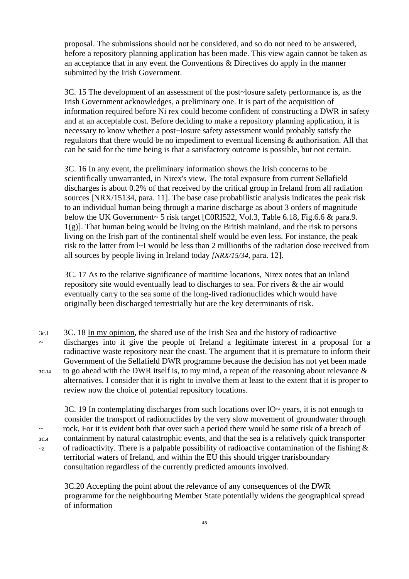proposal. The submissions should not be considered, and so do not need to be answered, before a repository planning application has been made. This view again cannot be taken as an acceptance that in any event the Conventions & Directives do apply in the manner submitted by the Irish Government.

3C. 15 The development of an assessment of the post~losure safety performance is, as the Irish Government acknowledges, a preliminary one. It is part of the acquisition of information required before Ni rex could become confident of constructing a DWR in safety and at an acceptable cost. Before deciding to make a repository planning application, it is necessary to know whether a post~Iosure safety assessment would probably satisfy the regulators that there would be no impediment to eventual licensing & authorisation. All that can be said for the time being is that a satisfactory outcome is possible, but not certain.

3C. 16 In any event, the preliminary information shows the Irish concerns to be scientifically unwarranted, in Nirex's view. The total exposure from current Sellafield discharges is about 0.2% of that received by the critical group in Ireland from all radiation sources [NRX/15134, para. 11]. The base case probabilistic analysis indicates the peak risk to an individual human being through a marine discharge as about 3 orders of magnitude below the UK Government~ 5 risk target [C0RI522, Vol.3, Table 6.18, Fig.6.6 & para.9.  $1(g)$ . That human being would be living on the British mainland, and the risk to persons living on the Irish part of the continental shelf would be even less. For instance, the peak risk to the latter from l~I would be less than 2 millionths of the radiation dose received from all sources by people living in Ireland today *[NRX/15/34,* para. 12].

3C. 17 As to the relative significance of maritime locations, Nirex notes that an inland repository site would eventually lead to discharges to sea. For rivers & the air would eventually carry to the sea some of the long-lived radionuclides which would have originally been discharged terrestrially but are the key determinants of risk.

3c.I 3C. 18 In my opinion, the shared use of the Irish Sea and the history of radioactive discharges into it give the people of Ireland a legitimate interest in a proposal for a radioactive waste repository near the coast. The argument that it is premature to inform their Government of the Sellafield DWR programme because the decision has not yet been made **3C.14** to go ahead with the DWR itself is, to my mind, a repeat of the reasoning about relevance & alternatives. I consider that it is right to involve them at least to the extent that it is proper to review now the choice of potential repository locations.

3C. 19 In contemplating discharges from such locations over lO~ years, it is not enough to consider the transport of radionuclides by the very slow movement of groundwater through  $\sim$  rock. For it is evident both that over such a period there would be some risk of a breach of **3C.4** containment by natural catastrophic events, and that the sea is a relatively quick transporter **~2** of radioactivity. There is a palpable possibility of radioactive contamination of the fishing & territorial waters of Ireland, and within the EU this should trigger trarisboundary consultation regardless of the currently predicted amounts involved.

3C.20 Accepting the point about the relevance of any consequences of the DWR programme for the neighbouring Member State potentially widens the geographical spread of information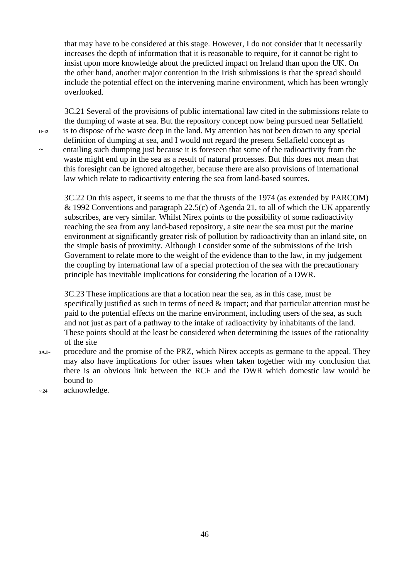that may have to be considered at this stage. However, I do not consider that it necessarily increases the depth of information that it is reasonable to require, for it cannot be right to insist upon more knowledge about the predicted impact on Ireland than upon the UK. On the other hand, another major contention in the Irish submissions is that the spread should include the potential effect on the intervening marine environment, which has been wrongly overlooked.

3C.21 Several of the provisions of public international law cited in the submissions relate to the dumping of waste at sea. But the repository concept now being pursued near Sellafield **fl~t2** is to dispose of the waste deep in the land. My attention has not been drawn to any special definition of dumping at sea, and I would not regard the present Sellafield concept as entailing such dumping just because it is foreseen that some of the radioactivity from the waste might end up in the sea as a result of natural processes. But this does not mean that this foresight can be ignored altogether, because there are also provisions of international law which relate to radioactivity entering the sea from land-based sources.

3C.22 On this aspect, it seems to me that the thrusts of the 1974 (as extended by PARCOM) & 1992 Conventions and paragraph 22.5(c) of Agenda 21, to all of which the UK apparently subscribes, are very similar. Whilst Nirex points to the possibility of some radioactivity reaching the sea from any land-based repository, a site near the sea must put the marine environment at significantly greater risk of pollution by radioactivity than an inland site, on the simple basis of proximity. Although I consider some of the submissions of the Irish Government to relate more to the weight of the evidence than to the law, in my judgement the coupling by international law of a special protection of the sea with the precautionary principle has inevitable implications for considering the location of a DWR.

3C.23 These implications are that a location near the sea, as in this case, must be specifically justified as such in terms of need & impact; and that particular attention must be paid to the potential effects on the marine environment, including users of the sea, as such and not just as part of a pathway to the intake of radioactivity by inhabitants of the land. These points should at the least be considered when determining the issues of the rationality of the site

- **3A.I~** procedure and the promise of the PRZ, which Nirex accepts as germane to the appeal. They may also have implications for other issues when taken together with my conclusion that there is an obvious link between the RCF and the DWR which domestic law would be bound to
- **~.24** acknowledge.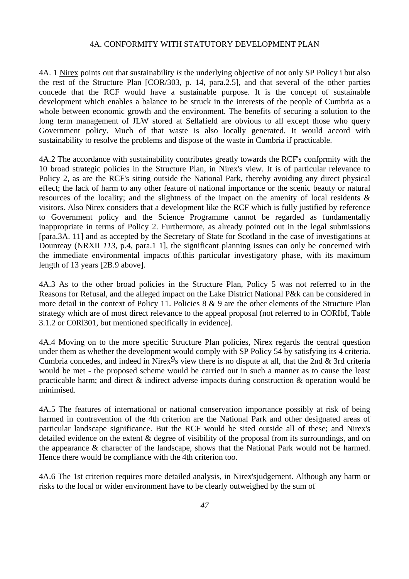## 4A. CONFORMITY WITH STATUTORY DEVELOPMENT PLAN

4A. 1 Nirex points out that sustainability *is* the underlying objective of not only SP Policy i but also the rest of the Structure Plan [COR/303, p. 14, para.2.5], and that several of the other parties concede that the RCF would have a sustainable purpose. It is the concept of sustainable development which enables a balance to be struck in the interests of the people of Cumbria as a whole between economic growth and the environment. The benefits of securing a solution to the long term management of JLW stored at Sellafield are obvious to all except those who query Government policy. Much of that waste is also locally generated. It would accord with sustainability to resolve the problems and dispose of the waste in Cumbria if practicable.

4A.2 The accordance with sustainability contributes greatly towards the RCF's confprmity with the 10 broad strategic policies in the Structure Plan, in Nirex's view. It is of particular relevance to Policy 2, as are the RCF's siting outside the National Park, thereby avoiding any direct physical effect; the lack of harm to any other feature of national importance or the scenic beauty or natural resources of the locality; and the slightness of the impact on the amenity of local residents & visitors. Also Nirex considers that a development like the RCF which is fully justified by reference to Government policy and the Science Programme cannot be regarded as fundamentally inappropriate in terms of Policy 2. Furthermore, as already pointed out in the legal submissions [para.3A. 11] and as accepted by the Secretary of State for Scotland in the case of investigations at Dounreay (NRXII *113,* p.4, para.1 1], the significant planning issues can only be concerned with the immediate environmental impacts of.this particular investigatory phase, with its maximum length of 13 years [2B.9 above].

4A.3 As to the other broad policies in the Structure Plan, Policy 5 was not referred to in the Reasons for Refusal, and the alleged impact on the Lake District National P&k can be considered in more detail in the context of Policy 11. Policies 8 & 9 are the other elements of the Structure Plan strategy which are of most direct relevance to the appeal proposal (not referred to in CORIbI, Table 3.1.2 or C0Rl301, but mentioned specifically in evidence].

4A.4 Moving on to the more specific Structure Plan policies, Nirex regards the central question under them as whether the development would comply with SP Policy 54 by satisfying its 4 criteria. Cumbria concedes, and indeed in Nirex<sup>9</sup>s view there is no dispute at all, that the 2nd & 3rd criteria would be met - the proposed scheme would be carried out in such a manner as to cause the least practicable harm; and direct & indirect adverse impacts during construction & operation would be minimised.

4A.5 The features of international or national conservation importance possibly at risk of being harmed in contravention of the 4th criterion are the National Park and other designated areas of particular landscape significance. But the RCF would be sited outside all of these; and Nirex's detailed evidence on the extent & degree of visibility of the proposal from its surroundings, and on the appearance & character of the landscape, shows that the National Park would not be harmed. Hence there would be compliance with the 4th criterion too.

4A.6 The 1st criterion requires more detailed analysis, in Nirex'sjudgement. Although any harm or risks to the local or wider environment have to be clearly outweighed by the sum of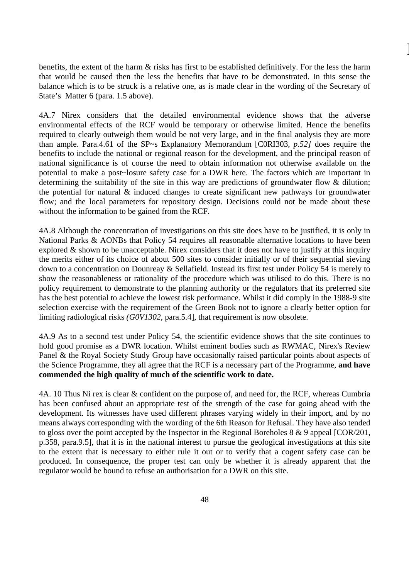benefits, the extent of the harm & risks has first to be established definitively. For the less the harm that would be caused then the less the benefits that have to be demonstrated. In this sense the balance which is to be struck is a relative one, as is made clear in the wording of the Secretary of 5tate's Matter 6 (para. 1.5 above).

I

4A.7 Nirex considers that the detailed environmental evidence shows that the adverse environmental effects of the RCF would be temporary or otherwise limited. Hence the benefits required to clearly outweigh them would be not very large, and in the final analysis they are more than ample. Para.4.61 of the SP~s Explanatory Memorandum [C0RI303, *p.52]* does require the benefits to include the national or regional reason for the development, and the principal reason of national significance is of course the need to obtain information not otherwise available on the potential to make a post~losure safety case for a DWR here. The factors which are important in determining the suitability of the site in this way are predictions of groundwater flow & dilution; the potential for natural & induced changes to create significant new pathways for groundwater flow; and the local parameters for repository design. Decisions could not be made about these without the information to be gained from the RCF.

4A.8 Although the concentration of investigations on this site does have to be justified, it is only in National Parks & AONBs that Policy 54 requires all reasonable alternative locations to have been explored & shown to be unacceptable. Nirex considers that it does not have to justify at this inquiry the merits either of its choice of about 500 sites to consider initially or of their sequential sieving down to a concentration on Dounreay & Sellafield. Instead its first test under Policy 54 is merely to show the reasonableness or rationality of the procedure which was utilised to do this. There is no policy requirement to demonstrate to the planning authority or the regulators that its preferred site has the best potential to achieve the lowest risk performance. Whilst it did comply in the 1988-9 site selection exercise with the requirement of the Green Book not to ignore a clearly better option for limiting radiological risks *(G0V1302,* para.5.4], that requirement is now obsolete.

4A.9 As to a second test under Policy 54, the scientific evidence shows that the site continues to hold good promise as a DWR location. Whilst eminent bodies such as RWMAC, Nirex's Review Panel & the Royal Society Study Group have occasionally raised particular points about aspects of the Science Programme, they all agree that the RCF is a necessary part of the Programme, **and have commended the high quality of much of the scientific work to date.** 

4A. 10 Thus Ni rex is clear & confident on the purpose of, and need for, the RCF, whereas Cumbria has been confused about an appropriate test of the strength of the case for going ahead with the development. Its witnesses have used different phrases varying widely in their import, and by no means always corresponding with the wording of the 6th Reason for Refusal. They have also tended to gloss over the point accepted by the Inspector in the Regional Boreholes 8 & 9 appeal [COR/201, p.358, para.9.5], that it is in the national interest to pursue the geological investigations at this site to the extent that is necessary to either rule it out or to verify that a cogent safety case can be produced. In consequence, the proper test can only be whether it is already apparent that the regulator would be bound to refuse an authorisation for a DWR on this site.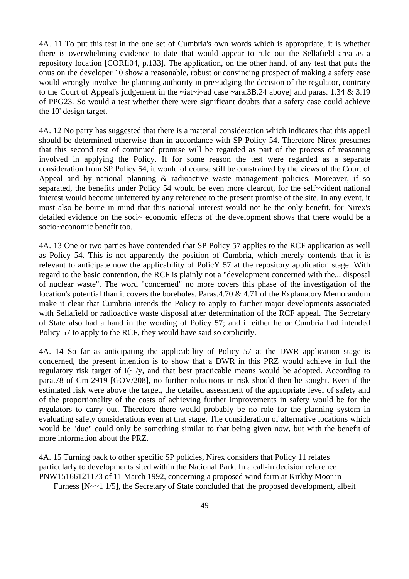4A. 11 To put this test in the one set of Cumbria's own words which is appropriate, it is whether there is overwhelming evidence to date that would appear to rule out the Sellafield area as a repository location [CORIi04, p.133]. The application, on the other hand, of any test that puts the onus on the developer 10 show a reasonable, robust or convincing prospect of making a safety ease would wrongly involve the planning authority in pre~udging the decision of the regulator, contrary to the Court of Appeal's judgement in the ~iat~i~ad case ~ara.3B.24 above] and paras. 1.34 & 3.19 of PPG23. So would a test whether there were significant doubts that a safety case could achieve the 10' design target.

4A. 12 No party has suggested that there is a material consideration which indicates that this appeal should be determined otherwise than in accordance with SP Policy 54. Therefore Nirex presumes that this second test of continued promise will be regarded as part of the process of reasoning involved in applying the Policy. If for some reason the test were regarded as a separate consideration from SP Policy 54, it would of course still be constrained by the views of the Court of Appeal and by national planning & radioactive waste management policies. Moreover, if so separated, the benefits under Policy 54 would be even more clearcut, for the self~vident national interest would become unfettered by any reference to the present promise of the site. In any event, it must also be borne in mind that this national interest would not be the only benefit, for Nirex's detailed evidence on the soci~ economic effects of the development shows that there would be a socio~economic benefit too.

4A. 13 One or two parties have contended that SP Policy 57 applies to the RCF application as well as Policy 54. This is not apparently the position of Cumbria, which merely contends that it is relevant to anticipate now the applicability of PolicY 57 at the repository application stage. With regard to the basic contention, the RCF is plainly not a "development concerned with the... disposal of nuclear waste". The word "concerned" no more covers this phase of the investigation of the location's potential than it covers the boreholes. Paras. 4.70 & 4.71 of the Explanatory Memorandum make it clear that Cumbria intends the Policy to apply to further major developments associated with Sellafield or radioactive waste disposal after determination of the RCF appeal. The Secretary of State also had a hand in the wording of Policy 57; and if either he or Cumbria had intended Policy 57 to apply to the RCF, they would have said so explicitly.

4A. 14 So far as anticipating the applicability of Policy 57 at the DWR application stage is concerned, the present intention is to show that a DWR in this PRZ would achieve in full the regulatory risk target of I(~'/y, and that best practicable means would be adopted. According to para.78 of Cm 2919 [GOV/208], no further reductions in risk should then be sought. Even if the estimated risk were above the target, the detailed assessment of the appropriate level of safety and of the proportionality of the costs of achieving further improvements in safety would be for the regulators to carry out. Therefore there would probably be no role for the planning system in evaluating safety considerations even at that stage. The consideration of alternative locations which would be "due" could only be something similar to that being given now, but with the benefit of more information about the PRZ.

4A. 15 Turning back to other specific SP policies, Nirex considers that Policy 11 relates particularly to developments sited within the National Park. In a call-in decision reference PNW15166121173 of 11 March 1992, concerning a proposed wind farm at Kirkby Moor in

Furness [N~~1 1/5], the Secretary of State concluded that the proposed development, albeit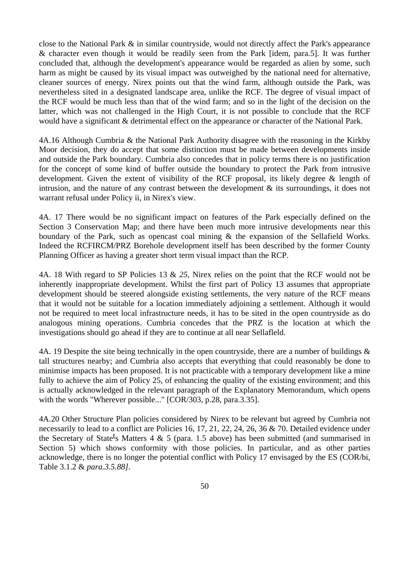close to the National Park & in similar countryside, would not directly affect the Park's appearance & character even though it would be readily seen from the Park [idem, para.5]. It was further concluded that, although the development's appearance would be regarded as alien by some, such harm as might be caused by its visual impact was outweighed by the national need for alternative, cleaner sources of energy. Nirex points out that the wind farm, although outside the Park, was nevertheless sited in a designated landscape area, unlike the RCF. The degree of visual impact of the RCF would be much less than that of the wind farm; and so in the light of the decision on the latter, which was not challenged in the High Court, it is not possible to conclude that the RCF would have a significant & detrimental effect on the appearance or character of the National Park.

4A.16 Although Cumbria & the National Park Authority disagree with the reasoning in the Kirkby Moor decision, they do accept that some distinction must be made between developments inside and outside the Park boundary. Cumbria also concedes that in policy terms there is no justification for the concept of some kind of buffer outside the boundary to protect the Park from intrusive development. Given the extent of visibility of the RCF proposal, its likely degree & length of intrusion, and the nature of any contrast between the development & its surroundings, it does not warrant refusal under Policy ii, in Nirex's view.

4A. 17 There would be no significant impact on features of the Park especially defined on the Section 3 Conservation Map; and there have been much more intrusive developments near this boundary of the Park, such as opencast coal mining & the expansion of the Sellafield Works. Indeed the RCFIRCM/PRZ Borehole development itself has been described by the former County Planning Officer as having a greater short term visual impact than the RCP.

4A. 18 With regard to SP Policies 13 & *25,* Nirex relies on the point that the RCF would not be inherently inappropriate development. Whilst the first part of Policy 13 assumes that appropriate development should be steered alongside existing settlements, the very nature of the RCF means that it would not be suitable for a location immediately adjoining a settlement. Although it would not be required to meet local infrastructure needs, it has to be sited in the open countryside as do analogous mining operations. Cumbria concedes that the PRZ is the location at which the investigations should go ahead if they are to continue at all near Sellafleld.

4A. 19 Despite the site being technically in the open countryside, there are a number of buildings & tall structures nearby; and Cumbria also accepts that everything that could reasonably be done to minimise impacts has been proposed. It is not practicable with a temporary development like a mine fully to achieve the aim of Policy 25, of enhancing the quality of the existing environment; and this is actually acknowledged in the relevant paragraph of the Explanatory Memorandum, which opens with the words "Wherever possible..." [COR/303, p.28, para.3.35].

4A.20 Other Structure Plan policies considered by Nirex to be relevant but agreed by Cumbria not necessarily to lead to a conflict are Policies 16, 17, 21, 22, 24, 26, 36 & 70. Detailed evidence under the Secretary of State<sup>t</sup>s Matters 4 & 5 (para. 1.5 above) has been submitted (and summarised in Section 5) which shows conformity with those policies. In particular, and as other parties acknowledge, there is no longer the potential conflict with Policy 17 envisaged by the ES (COR/bi, Table 3.1.2 & *para.3.5.88].*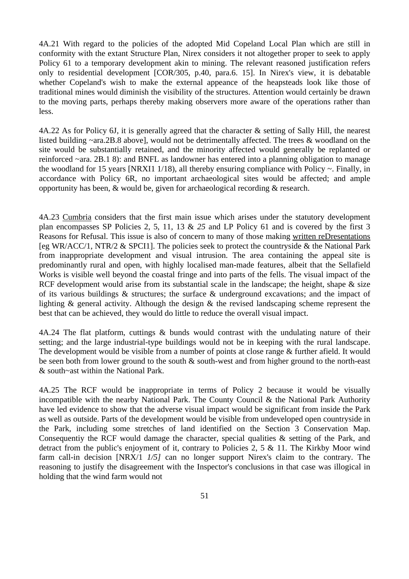4A.21 With regard to the policies of the adopted Mid Copeland Local Plan which are still in conformity with the extant Structure Plan, Nirex considers it not altogether proper to seek to apply Policy 61 to a temporary development akin to mining. The relevant reasoned justification refers only to residential development [COR/305, p.40, para.6. 15]. In Nirex's view, it is debatable whether Copeland's wish to make the external appeance of the heapsteads look like those of traditional mines would diminish the visibility of the structures. Attention would certainly be drawn to the moving parts, perhaps thereby making observers more aware of the operations rather than less.

4A.22 As for Policy 6J, it is generally agreed that the character & setting of Sally Hill, the nearest listed building ~ara.2B.8 above], would not be detrimentally affected. The trees & woodland on the site would be substantially retained, and the minority affected would generally be replanted or reinforced ~ara. 2B.1 8): and BNFL as landowner has entered into a planning obligation to manage the woodland for 15 years [NRXI1 1/18), all thereby ensuring compliance with Policy  $\sim$ . Finally, in accordance with Policy 6R, no important archaeological sites would be affected; and ample opportunity has been, & would be, given for archaeological recording & research.

4A.23 Cumbria considers that the first main issue which arises under the statutory development plan encompasses SP Policies 2, 5, 11, 13 & *25* and LP Policy 61 and is covered by the first 3 Reasons for Refusal. This issue is also of concern to many of those making written reDresentations [eg WR/ACC/1, NTR/2  $&$  SPCI1]. The policies seek to protect the countryside  $&$  the National Park from inappropriate development and visual intrusion. The area containing the appeal site is predominantly rural and open, with highly localised man-made features, albeit that the Sellafield Works is visible well beyond the coastal fringe and into parts of the fells. The visual impact of the RCF development would arise from its substantial scale in the landscape; the height, shape & size of its various buildings & structures; the surface & underground excavations; and the impact of lighting & general activity. Although the design & the revised landscaping scheme represent the best that can be achieved, they would do little to reduce the overall visual impact.

4A.24 The flat platform, cuttings & bunds would contrast with the undulating nature of their setting; and the large industrial-type buildings would not be in keeping with the rural landscape. The development would be visible from a number of points at close range & further afield. It would be seen both from lower ground to the south & south-west and from higher ground to the north-east & south~ast within the National Park.

4A.25 The RCF would be inappropriate in terms of Policy 2 because it would be visually incompatible with the nearby National Park. The County Council  $\&$  the National Park Authority have led evidence to show that the adverse visual impact would be significant from inside the Park as well as outside. Parts of the development would be visible from undeveloped open countryside in the Park, including some stretches of land identified on the Section 3 Conservation Map. Consequentiy the RCF would damage the character, special qualities & setting of the Park, and detract from the public's enjoyment of it, contrary to Policies 2, 5 & 11. The Kirkby Moor wind farm call-in decision [NRX/1 *1/5]* can no longer support Nirex's claim to the contrary. The reasoning to justify the disagreement with the Inspector's conclusions in that case was illogical in holding that the wind farm would not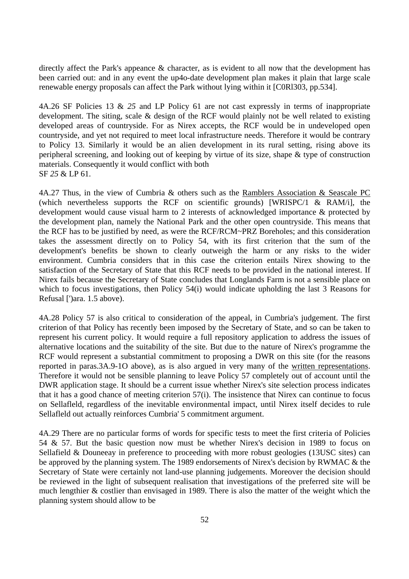directly affect the Park's appeance & character, as is evident to all now that the development has been carried out: and in any event the up4o-date development plan makes it plain that large scale renewable energy proposals can affect the Park without lying within it [C0Rl303, pp.534].

4A.26 SF Policies 13 & *25* and LP Policy 61 are not cast expressly in terms of inappropriate development. The siting, scale & design of the RCF would plainly not be well related to existing developed areas of countryside. For as Nirex accepts, the RCF would be in undeveloped open countryside, and yet not required to meet local infrastructure needs. Therefore it would be contrary to Policy 13. Similarly it would be an alien development in its rural setting, rising above its peripheral screening, and looking out of keeping by virtue of its size, shape & type of construction materials. Consequently it would conflict with both SF *25* & LP 61.

4A.27 Thus, in the view of Cumbria & others such as the Ramblers Association & Seascale PC (which nevertheless supports the RCF on scientific grounds) [WRISPC/1 & RAM/i], the development would cause visual harm to 2 interests of acknowledged importance & protected by the development plan, namely the National Park and the other open countryside. This means that the RCF has to be justified by need, as were the RCF/RCM~PRZ Boreholes; and this consideration takes the assessment directly on to Policy 54, with its first criterion that the sum of the development's benefits be shown to clearly outweigh the harm or any risks to the wider environment. Cumbria considers that in this case the criterion entails Nirex showing to the satisfaction of the Secretary of State that this RCF needs to be provided in the national interest. If Nirex fails because the Secretary of State concludes that Longlands Farm is not a sensible place on which to focus investigations, then Policy 54(i) would indicate upholding the last 3 Reasons for Refusal [')ara. 1.5 above).

4A.28 Policy 57 is also critical to consideration of the appeal, in Cumbria's judgement. The first criterion of that Policy has recently been imposed by the Secretary of State, and so can be taken to represent his current policy. It would require a full repository application to address the issues of alternative locations and the suitability of the site. But due to the nature of Nirex's programme the RCF would represent a substantial commitment to proposing a DWR on this site (for the reasons reported in paras.3A.9-1O above), as is also argued in very many of the written representations. Therefore it would not be sensible planning to leave Policy 57 completely out of account until the DWR application stage. It should be a current issue whether Nirex's site selection process indicates that it has a good chance of meeting criterion 57(i). The insistence that Nirex can continue to focus on Sellafleld, regardless of the inevitable environmental impact, until Nirex itself decides to rule Sellafleld out actually reinforces Cumbria' 5 commitment argument.

4A.29 There are no particular forms of words for specific tests to meet the first criteria of Policies 54 & 57. But the basic question now must be whether Nirex's decision in 1989 to focus on Sellafield & Douneeay in preference to proceeding with more robust geologies (13USC sites) can be approved by the planning system. The 1989 endorsements of Nirex's decision by RWMAC & the Secretary of State were certainly not land-use planning judgements. Moreover the decision should be reviewed in the light of subsequent realisation that investigations of the preferred site will be much lengthier & costlier than envisaged in 1989. There is also the matter of the weight which the planning system should allow to be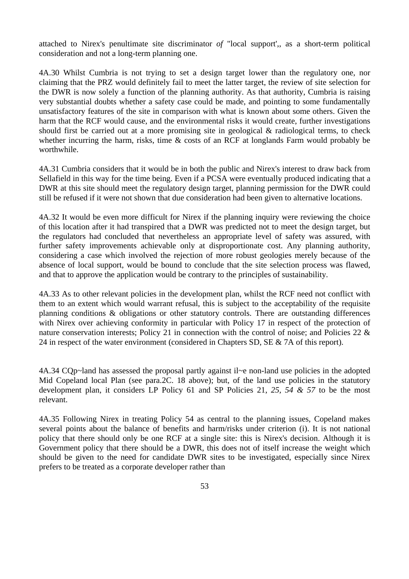attached to Nirex's penultimate site discriminator *of* "local support',, as a short-term political consideration and not a long-term planning one.

4A.30 Whilst Cumbria is not trying to set a design target lower than the regulatory one, nor claiming that the PRZ would definitely fail to meet the latter target, the review of site selection for the DWR is now solely a function of the planning authority. As that authority, Cumbria is raising very substantial doubts whether a safety case could be made, and pointing to some fundamentally unsatisfactory features of the site in comparison with what is known about some others. Given the harm that the RCF would cause, and the environmental risks it would create, further investigations should first be carried out at a more promising site in geological & radiological terms, to check whether incurring the harm, risks, time  $\&$  costs of an RCF at longlands Farm would probably be worthwhile.

4A.31 Cumbria considers that it would be in both the public and Nirex's interest to draw back from Sellafield in this way for the time being. Even if a PCSA were eventually produced indicating that a DWR at this site should meet the regulatory design target, planning permission for the DWR could still be refused if it were not shown that due consideration had been given to alternative locations.

4A.32 It would be even more difficult for Nirex if the planning inquiry were reviewing the choice of this location after it had transpired that a DWR was predicted not to meet the design target, but the regulators had concluded that nevertheless an appropriate level of safety was assured, with further safety improvements achievable only at disproportionate cost. Any planning authority, considering a case which involved the rejection of more robust geologies merely because of the absence of local support, would be bound to conclude that the site selection process was flawed, and that to approve the application would be contrary to the principles of sustainability.

4A.33 As to other relevant policies in the development plan, whilst the RCF need not conflict with them to an extent which would warrant refusal, this is subject to the acceptability of the requisite planning conditions & obligations or other statutory controls. There are outstanding differences with Nirex over achieving conformity in particular with Policy 17 in respect of the protection of nature conservation interests; Policy 21 in connection with the control of noise; and Policies 22 & 24 in respect of the water environment (considered in Chapters SD, SE & 7A of this report).

4A.34 CQp~land has assessed the proposal partly against il~e non-land use policies in the adopted Mid Copeland local Plan (see para.2C. 18 above); but, of the land use policies in the statutory development plan, it considers LP Policy 61 and SP Policies 21, *25, 54 & 57* to be the most relevant.

4A.35 Following Nirex in treating Policy 54 as central to the planning issues, Copeland makes several points about the balance of benefits and harm/risks under criterion (i). It is not national policy that there should only be one RCF at a single site: this is Nirex's decision. Although it is Government policy that there should be a DWR, this does not of itself increase the weight which should be given to the need for candidate DWR sites to be investigated, especially since Nirex prefers to be treated as a corporate developer rather than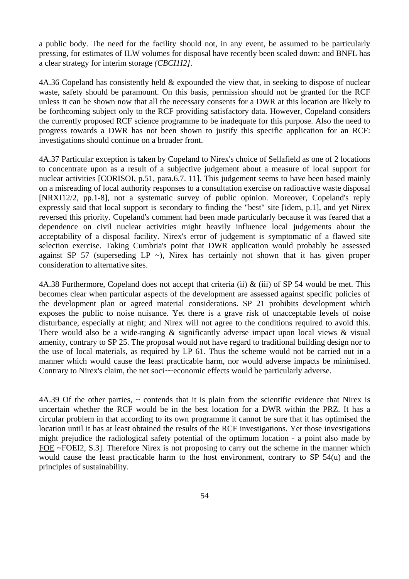a public body. The need for the facility should not, in any event, be assumed to be particularly pressing, for estimates of ILW volumes for disposal have recently been scaled down: and BNFL has a clear strategy for interim storage *(CBCI1I2].* 

4A.36 Copeland has consistently held & expounded the view that, in seeking to dispose of nuclear waste, safety should be paramount. On this basis, permission should not be granted for the RCF unless it can be shown now that all the necessary consents for a DWR at this location are likely to be forthcoming subject only to the RCF providing satisfactory data. However, Copeland considers the currently proposed RCF science programme to be inadequate for this purpose. Also the need to progress towards a DWR has not been shown to justify this specific application for an RCF: investigations should continue on a broader front.

4A.37 Particular exception is taken by Copeland to Nirex's choice of Sellafield as one of 2 locations to concentrate upon as a result of a subjective judgement about a measure of local support for nuclear activities [CORISOI, p.51, para.6.7. 11]. This judgement seems to have been based mainly on a misreading of local authority responses to a consultation exercise on radioactive waste disposal [NRXI12/2, pp.1-8], not a systematic survey of public opinion. Moreover, Copeland's reply expressly said that local support is secondary to finding the "best" site [idem, p.1], and yet Nirex reversed this priority. Copeland's comment had been made particularly because it was feared that a dependence on civil nuclear activities might heavily influence local judgements about the acceptability of a disposal facility. Nirex's error of judgement is symptomatic of a flawed site selection exercise. Taking Cumbria's point that DWR application would probably be assessed against SP 57 (superseding LP  $\sim$ ), Nirex has certainly not shown that it has given proper consideration to alternative sites.

4A.38 Furthermore, Copeland does not accept that criteria (ii) & (iii) of SP 54 would be met. This becomes clear when particular aspects of the development are assessed against specific policies of the development plan or agreed material considerations. SP 21 prohibits development which exposes the public to noise nuisance. Yet there is a grave risk of unacceptable levels of noise disturbance, especially at night; and Nirex will not agree to the conditions required to avoid this. There would also be a wide-ranging & significantly adverse impact upon local views & visual amenity, contrary to SP 25. The proposal would not have regard to traditional building design nor to the use of local materials, as required by LP 61. Thus the scheme would not be carried out in a manner which would cause the least practicable harm, nor would adverse impacts be minimised. Contrary to Nirex's claim, the net soci~~economic effects would be particularly adverse.

4A.39 Of the other parties,  $\sim$  contends that it is plain from the scientific evidence that Nirex is uncertain whether the RCF would be in the best location for a DWR within the PRZ. It has a circular problem in that according to its own programme it cannot be sure that it has optimised the location until it has at least obtained the results of the RCF investigations. Yet those investigations might prejudice the radiological safety potential of the optimum location - a point also made by FOE ~FOEI2, S.3]. Therefore Nirex is not proposing to carry out the scheme in the manner which would cause the least practicable harm to the host environment, contrary to SP 54(u) and the principles of sustainability.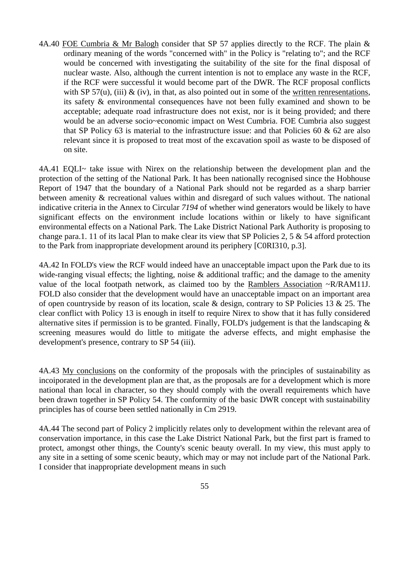4A.40 FOE Cumbria & Mr Balogh consider that SP 57 applies directly to the RCF. The plain & ordinary meaning of the words "concerned with" in the Policy is "relating to"; and the RCF would be concerned with investigating the suitability of the site for the final disposal of nuclear waste. Also, although the current intention is not to emplace any waste in the RCF, if the RCF were successful it would become part of the DWR. The RCF proposal conflicts with SP 57(u), (iii)  $\&$  (iv), in that, as also pointed out in some of the written renresentations, its safety & environmental consequences have not been fully examined and shown to be acceptable; adequate road infrastructure does not exist, nor is it being provided; and there would be an adverse socio~economic impact on West Cumbria. FOE Cumbria also suggest that SP Policy 63 is material to the infrastructure issue: and that Policies 60  $\&$  62 are also relevant since it is proposed to treat most of the excavation spoil as waste to be disposed of on site.

4A.41 EQLI~ take issue with Nirex on the relationship between the development plan and the protection of the setting of the National Park. It has been nationally recognised since the Hobhouse Report of 1947 that the boundary of a National Park should not be regarded as a sharp barrier between amenity & recreational values within and disregard of such values without. The national indicative criteria in the Annex to Circular *7194* of whether wind generators would be likely to have significant effects on the environment include locations within or likely to have significant environmental effects on a National Park. The Lake District National Park Authority is proposing to change para.1. 11 of its lacal Plan to make clear its view that SP Policies 2, 5 & 54 afford protection to the Park from inappropriate development around its periphery [C0RI310, p.3].

4A.42 In FOLD's view the RCF would indeed have an unacceptable impact upon the Park due to its wide-ranging visual effects; the lighting, noise & additional traffic; and the damage to the amenity value of the local footpath network, as claimed too by the Ramblers Association ~R/RAM11J. FOLD also consider that the development would have an unacceptable impact on an important area of open countryside by reason of its location, scale & design, contrary to SP Policies 13 & 25. The clear conflict with Policy 13 is enough in itself to require Nirex to show that it has fully considered alternative sites if permission is to be granted. Finally, FOLD's judgement is that the landscaping & screening measures would do little to mitigate the adverse effects, and might emphasise the development's presence, contrary to SP 54 (iii).

4A.43 My conclusions on the conformity of the proposals with the principles of sustainability as incoiporated in the development plan are that, as the proposals are for a development which is more national than local in character, so they should comply with the overall requirements which have been drawn together in SP Policy 54. The conformity of the basic DWR concept with sustainability principles has of course been settled nationally in Cm 2919.

4A.44 The second part of Policy 2 implicitly relates only to development within the relevant area of conservation importance, in this case the Lake District National Park, but the first part is framed to protect, amongst other things, the County's scenic beauty overall. In my view, this must apply to any site in a setting of some scenic beauty, which may or may not include part of the National Park. I consider that inappropriate development means in such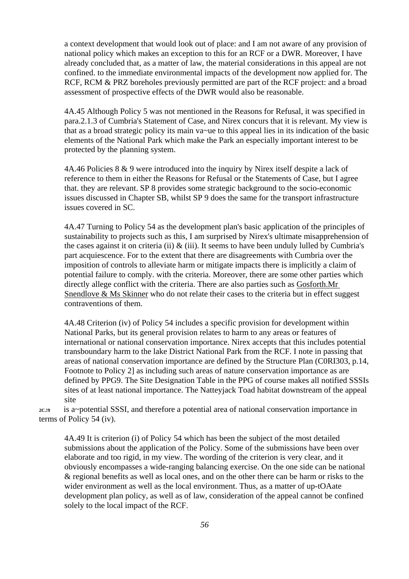a context development that would look out of place: and I am not aware of any provision of national policy which makes an exception to this for an RCF or a DWR. Moreover, I have already concluded that, as a matter of law, the material considerations in this appeal are not confined. to the immediate environmental impacts of the development now applied for. The RCF, RCM & PRZ boreholes previously permitted are part of the RCF project: and a broad assessment of prospective effects of the DWR would also be reasonable.

4A.45 Although Policy 5 was not mentioned in the Reasons for Refusal, it was specified in para.2.1.3 of Cumbria's Statement of Case, and Nirex concurs that it is relevant. My view is that as a broad strategic policy its main va~ue to this appeal lies in its indication of the basic elements of the National Park which make the Park an especially important interest to be protected by the planning system.

4A.46 Policies 8 & 9 were introduced into the inquiry by Nirex itself despite a lack of reference to them in either the Reasons for Refusal or the Statements of Case, but I agree that. they are relevant. SP 8 provides some strategic background to the socio-economic issues discussed in Chapter SB, whilst SP 9 does the same for the transport infrastructure issues covered in SC.

4A.47 Turning to Policy 54 as the development plan's basic application of the principles of sustainability to projects such as this, I am surprised by Nirex's ultimate misapprehension of the cases against it on criteria (ii)  $\&$  (iii). It seems to have been unduly lulled by Cumbria's part acquiescence. For to the extent that there are disagreements with Cumbria over the imposition of controls to alleviate harm or mitigate impacts there is implicitly a claim of potential failure to comply. with the criteria. Moreover, there are some other parties which directly allege conflict with the criteria. There are also parties such as Gosforth.Mr Snendlove & Ms Skinner who do not relate their cases to the criteria but in effect suggest contraventions of them.

4A.48 Criterion (iv) of Policy 54 includes a specific provision for development within National Parks, but its general provision relates to harm to any areas or features of international or national conservation importance. Nirex accepts that this includes potential transboundary harm to the lake District National Park from the RCF. I note in passing that areas of national conservation importance are defined by the Structure Plan (C0RI303, p.14, Footnote to Policy 2] as including such areas of nature conservation importance as are defined by PPG9. The Site Designation Table in the PPG of course makes all notified SSSIs sites of at least national importance. The Natteyjack Toad habitat downstream of the appeal site

**2C.!9** is a~potential SSSI, and therefore a potential area of national conservation importance in terms of Policy 54 (iv).

4A.49 It is criterion (i) of Policy 54 which has been the subject of the most detailed submissions about the application of the Policy. Some of the submissions have been over elaborate and too rigid, in my view. The wording of the criterion is very clear, and it obviously encompasses a wide-ranging balancing exercise. On the one side can be national & regional benefits as well as local ones, and on the other there can be harm or risks to the wider environment as well as the local environment. Thus, as a matter of up-tOAate development plan policy, as well as of law, consideration of the appeal cannot be confined solely to the local impact of the RCF.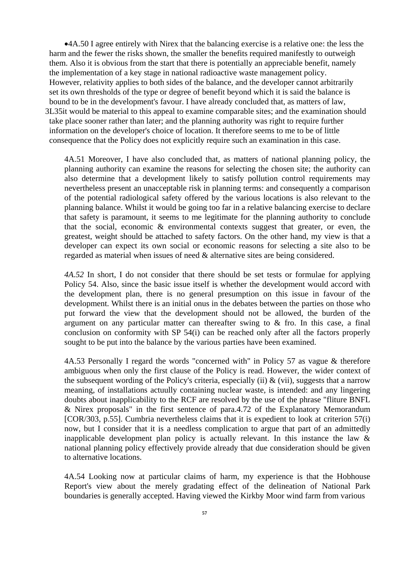•4A.50 I agree entirely with Nirex that the balancing exercise is a relative one: the less the harm and the fewer the risks shown, the smaller the benefits required manifestly to outweigh them. Also it is obvious from the start that there is potentially an appreciable benefit, namely the implementation of a key stage in national radioactive waste management policy. However, relativity applies to both sides of the balance, and the developer cannot arbitrarily set its own thresholds of the type or degree of benefit beyond which it is said the balance is bound to be in the development's favour. I have already concluded that, as matters of law, 3L35it would be material to this appeal to examine comparable sites; and the examination should take place sooner rather than later; and the planning authority was right to require further information on the developer's choice of location. It therefore seems to me to be of little consequence that the Policy does not explicitly require such an examination in this case.

4A.51 Moreover, I have also concluded that, as matters of national planning policy, the planning authority can examine the reasons for selecting the chosen site; the authority can also determine that a development likely to satisfy pollution control requirements may nevertheless present an unacceptable risk in planning terms: and consequently a comparison of the potential radiological safety offered by the various locations is also relevant to the planning balance. Whilst it would be going too far in a relative balancing exercise to declare that safety is paramount, it seems to me legitimate for the planning authority to conclude that the social, economic & environmental contexts suggest that greater, or even, the greatest, weight should be attached to safety factors. On the other hand, my view is that a developer can expect its own social or economic reasons for selecting a site also to be regarded as material when issues of need & alternative sites are being considered.

*4A.52* In short, I do not consider that there should be set tests or formulae for applying Policy 54. Also, since the basic issue itself is whether the development would accord with the development plan, there is no general presumption on this issue in favour of the development. Whilst there is an initial onus in the debates between the parties on those who put forward the view that the development should not be allowed, the burden of the argument on any particular matter can thereafter swing to & fro. In this case, a final conclusion on conformity with SP 54(i) can be reached only after all the factors properly sought to be put into the balance by the various parties have been examined.

4A.53 Personally I regard the words "concerned with" in Policy 57 as vague & therefore ambiguous when only the first clause of the Policy is read. However, the wider context of the subsequent wording of the Policy's criteria, especially (ii)  $\&$  (vii), suggests that a narrow meaning, of installations actuully containing nuclear waste, is intended: and any lingering doubts about inapplicability to the RCF are resolved by the use of the phrase "fliture BNFL & Nirex proposals" in the first sentence of para.4.72 of the Explanatory Memorandum [COR/303, p.55]. Cumbria nevertheless claims that it is expedient to look at criterion 57(i) now, but I consider that it is a needless complication to argue that part of an admittedly inapplicable development plan policy is actually relevant. In this instance the law & national planning policy effectively provide already that due consideration should be given to alternative locations.

4A.54 Looking now at particular claims of harm, my experience is that the Hobhouse Report's view about the merely gradating effect of the delineation of National Park boundaries is generally accepted. Having viewed the Kirkby Moor wind farm from various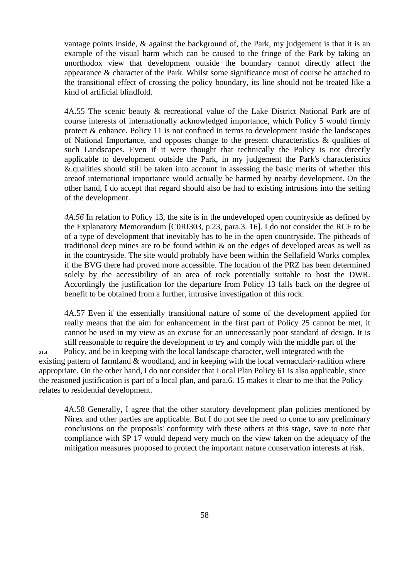vantage points inside, & against the background of, the Park, my judgement is that it is an example of the visual harm which can be caused to the fringe of the Park by taking an unorthodox view that development outside the boundary cannot directly affect the appearance & character of the Park. Whilst some significance must of course be attached to the transitional effect of crossing the policy boundary, its line should not be treated like a kind of artificial blindfold.

4A.55 The scenic beauty & recreational value of the Lake District National Park are of course interests of internationally acknowledged importance, which Policy 5 would firmly protect & enhance. Policy 11 is not confined in terms to development inside the landscapes of National Importance, and opposes change to the present characteristics & qualities of such Landscapes. Even if it were thought that technically the Policy is not directly applicable to development outside the Park, in my judgement the Park's characteristics &.qualities should still be taken into account in assessing the basic merits of whether this areaof international importance would actually be harmed by nearby development. On the other hand, I do accept that regard should also be had to existing intrusions into the setting of the development.

*4A.56* In relation to Policy 13, the site is in the undeveloped open countryside as defined by the Explanatory Memorandum [C0RI303, p.23, para.3. 16]. I do not consider the RCF to be of a type of development that inevitably has to be in the open countryside. The pitheads of traditional deep mines are to be found within & on the edges of developed areas as well as in the countryside. The site would probably have been within the Sellafield Works complex if the BVG there had proved more accessible. The location of the PRZ has been determined solely by the accessibility of an area of rock potentially suitable to host the DWR. Accordingly the justification for the departure from Policy 13 falls back on the degree of benefit to be obtained from a further, intrusive investigation of this rock.

4A.57 Even if the essentially transitional nature of some of the development applied for really means that the aim for enhancement in the first part of Policy 25 cannot be met, it cannot be used in my view as an excuse for an unnecessarily poor standard of design. It is still reasonable to require the development to try and comply with the middle part of the **21.4** Policy, and be in keeping with the local landscape character, well integrated with the existing pattern of farmland & woodland, and in keeping with the local vernaculari~radition where appropriate. On the other hand, I do not consider that Local Plan Policy 61 is also applicable, since the reasoned justification is part of a local plan, and para.6. 15 makes it clear to me that the Policy relates to residential development.

4A.58 Generally, I agree that the other statutory development plan policies mentioned by Nirex and other parties are applicable. But I do not see the need to come to any preliminary conclusions on the proposals' conformity with these others at this stage, save to note that compliance with SP 17 would depend very much on the view taken on the adequacy of the mitigation measures proposed to protect the important nature conservation interests at risk.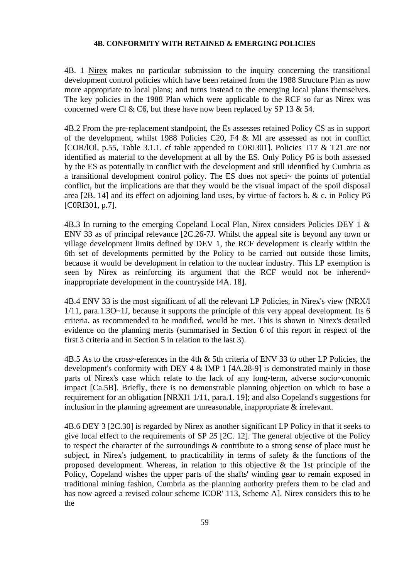## **4B. CONFORMITY WITH RETAINED & EMERGING POLICIES**

4B. 1 Nirex makes no particular submission to the inquiry concerning the transitional development control policies which have been retained from the 1988 Structure Plan as now more appropriate to local plans; and turns instead to the emerging local plans themselves. The key policies in the 1988 Plan which were applicable to the RCF so far as Nirex was concerned were Cl & C6, but these have now been replaced by SP 13 & 54.

4B.2 From the pre-replacement standpoint, the Es assesses retained Policy CS as in support of the development, whilst 1988 Policies C20, F4 & Ml are assessed as not in conflict [COR/lOl, p.55, Table 3.1.1, of table appended to C0RI301]. Policies T17 & T21 are not identified as material to the development at all by the ES. Only Policy P6 is both assessed by the ES as potentially in conflict with the development and still identified by Cumbria as a transitional development control policy. The ES does not speci~ the points of potential conflict, but the implications are that they would be the visual impact of the spoil disposal area [2B. 14] and its effect on adjoining land uses, by virtue of factors b. & c. in Policy P6 [C0RI301, p.7].

4B.3 In turning to the emerging Copeland Local Plan, Nirex considers Policies DEY 1 & ENV 33 as of principal relevance [2C.26-7J. Whilst the appeal site is beyond any town or village development limits defined by DEV 1, the RCF development is clearly within the 6th set of developments permitted by the Policy to be carried out outside those limits, because it would be development in relation to the nuclear industry. This LP exemption is seen by Nirex as reinforcing its argument that the RCF would not be inherend~ inappropriate development in the countryside f4A. 18].

4B.4 ENV 33 is the most significant of all the relevant LP Policies, in Nirex's view (NRX/l 1/11, para.1.3O~1J, because it supports the principle of this very appeal development. Its 6 criteria, as recommended to be modified, would be met. This is shown in Nirex's detailed evidence on the planning merits (summarised in Section 6 of this report in respect of the first 3 criteria and in Section 5 in relation to the last 3).

4B.5 As to the cross~eferences in the 4th & 5th criteria of ENV 33 to other LP Policies, the development's conformity with DEY 4 & IMP 1 [4A.28-9] is demonstrated mainly in those parts of Nirex's case which relate to the lack of any long-term, adverse socio~conomic impact [Ca.5B]. Briefly, there is no demonstrable planning objection on which to base a requirement for an obligation [NRXI1 1/11, para.1. 19]; and also Copeland's suggestions for inclusion in the planning agreement are unreasonable, inappropriate & irrelevant.

4B.6 DEY 3 [2C.30] is regarded by Nirex as another significant LP Policy in that it seeks to give local effect to the requirements of SP *25* [2C. 12]. The general objective of the Policy to respect the character of the surroundings & contribute to a strong sense of place must be subject, in Nirex's judgement, to practicability in terms of safety  $\&$  the functions of the proposed development. Whereas, in relation to this objective & the 1st principle of the Policy, Copeland wishes the upper parts of the shafts' winding gear to remain exposed in traditional mining fashion, Cumbria as the planning authority prefers them to be clad and has now agreed a revised colour scheme ICOR' 113, Scheme A]. Nirex considers this to be the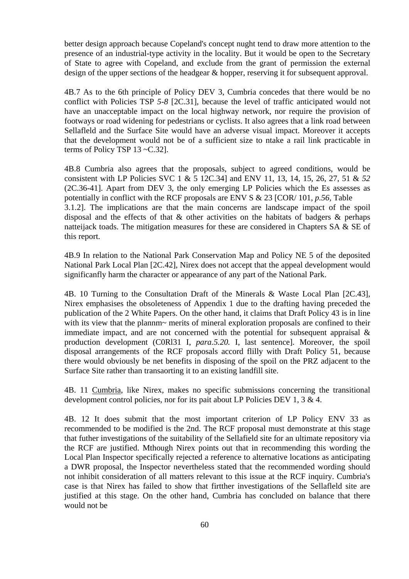better design approach because Copeland's concept nught tend to draw more attention to the presence of an industrial-type activity in the locality. But it would be open to the Secretary of State to agree with Copeland, and exclude from the grant of permission the external design of the upper sections of the headgear & hopper, reserving it for subsequent approval.

4B.7 As to the 6th principle of Policy DEV 3, Cumbria concedes that there would be no conflict with Policies TSP *5-8* [2C.31], because the level of traffic anticipated would not have an unacceptable impact on the local highway network, nor require the provision of footways or road widening for pedestrians or cyclists. It also agrees that a link road between Sellafleld and the Surface Site would have an adverse visual impact. Moreover it accepts that the development would not be of a sufficient size to ntake a rail link practicable in terms of Policy TSP 13 ~C.32].

4B.8 Cumbria also agrees that the proposals, subject to agreed conditions, would be consistent with LP Policies SVC 1 & 5 12C.34] and ENV 11, 13, 14, 15, 26, 27, 51 & *52*  (2C.36-41]. Apart from DEV 3, the only emerging LP Policies which the Es assesses as potentially in conflict with the RCF proposals are ENV S & 23 [COR/ 101, *p.56,* Table 3.1.2]. The implications are that the main concerns are landscape impact of the spoil disposal and the effects of that  $\&$  other activities on the habitats of badgers  $\&$  perhaps natteijack toads. The mitigation measures for these are considered in Chapters SA & SE of this report.

4B.9 In relation to the National Park Conservation Map and Policy NE 5 of the deposited National Park Local Plan [2C.42], Nirex does not accept that the appeal development would significanfly harm the character or appearance of any part of the National Park.

4B. 10 Turning to the Consultation Draft of the Minerals & Waste Local Plan [2C.43], Nirex emphasises the obsoleteness of Appendix 1 due to the drafting having preceded the publication of the 2 White Papers. On the other hand, it claims that Draft Policy 43 is in line with its view that the plannm~ merits of mineral exploration proposals are confined to their immediate impact, and are not concerned with the potential for subsequent appraisal  $\&$ production development (C0Rl31 I, *para.5.20.* I, last sentence]. Moreover, the spoil disposal arrangements of the RCF proposals accord flilly with Draft Policy 51, because there would obviously be net benefits in disposing of the spoil on the PRZ adjacent to the Surface Site rather than transaorting it to an existing landfill site.

4B. 11 Cumbria, like Nirex, makes no specific submissions concerning the transitional development control policies, nor for its pait about LP Policies DEV 1, 3 & 4.

4B. 12 It does submit that the most important criterion of LP Policy ENV 33 as recommended to be modified is the 2nd. The RCF proposal must demonstrate at this stage that futher investigations of the suitability of the Sellafield site for an ultimate repository via the RCF are justified. Mthough Nirex points out that in recommending this wording the Local Plan Inspector specifically rejected a reference to alternative locations as anticipating a DWR proposal, the Inspector nevertheless stated that the recommended wording should not inhibit consideration of all matters relevant to this issue at the RCF inquiry. Cumbria's case is that Nirex has failed to show that firtther investigations of the Sellafleld site are justified at this stage. On the other hand, Cumbria has concluded on balance that there would not be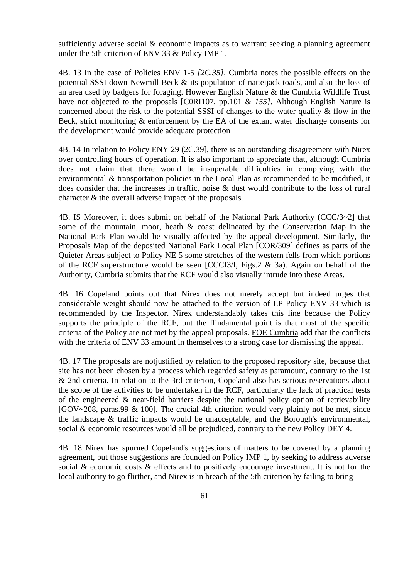sufficiently adverse social  $\&$  economic impacts as to warrant seeking a planning agreement under the 5th criterion of ENV 33 & Policy IMP 1.

4B. 13 In the case of Policies ENV 1-5 *[2C.35],* Cumbria notes the possible effects on the potential SSSI down Newmill Beck & its population of natteijack toads, and also the loss of an area used by badgers for foraging. However English Nature & the Cumbria Wildlife Trust have not objected to the proposals [C0RI107, pp.101 & *155].* Although English Nature is concerned about the risk to the potential SSSI of changes to the water quality & flow in the Beck, strict monitoring & enforcement by the EA of the extant water discharge consents for the development would provide adequate protection

4B. 14 In relation to Policy ENY 29 (2C.39], there is an outstanding disagreement with Nirex over controlling hours of operation. It is also important to appreciate that, although Cumbria does not claim that there would be insuperable difficulties in complying with the environmental & transportation policies in the Local Plan as recommended to be modified, it does consider that the increases in traffic, noise & dust would contribute to the loss of rural character & the overall adverse impact of the proposals.

4B. IS Moreover, it does submit on behalf of the National Park Authority (CCC/3~2] that some of the mountain, moor, heath & coast delineated by the Conservation Map in the National Park Plan would be visually affected by the appeal development. Similarly, the Proposals Map of the deposited National Park Local Plan [COR/309] defines as parts of the Quieter Areas subject to Policy NE 5 some stretches of the western fells from which portions of the RCF superstructure would be seen  $[CCCI3/1, Figs.2 \& 3a]$ . Again on behalf of the Authority, Cumbria submits that the RCF would also visually intrude into these Areas.

4B. 16 Copeland points out that Nirex does not merely accept but indeed urges that considerable weight should now be attached to the version of LP Policy ENV 33 which is recommended by the Inspector. Nirex understandably takes this line because the Policy supports the principle of the RCF, but the flindamental point is that most of the specific criteria of the Policy are not met by the appeal proposals. FOE Cumbria add that the conflicts with the criteria of ENV 33 amount in themselves to a strong case for dismissing the appeal.

4B. 17 The proposals are notjustified by relation to the proposed repository site, because that site has not been chosen by a process which regarded safety as paramount, contrary to the 1st & 2nd criteria. In relation to the 3rd criterion, Copeland also has serious reservations about the scope of the activities to be undertaken in the RCF, particularly the lack of practical tests of the engineered & near-field barriers despite the national policy option of retrievability [GOV~208, paras.99 & 100]. The crucial 4th criterion would very plainly not be met, since the landscape & traffic impacts would be unacceptable; and the Borough's environmental, social & economic resources would all be prejudiced, contrary to the new Policy DEY 4.

4B. 18 Nirex has spurned Copeland's suggestions of matters to be covered by a planning agreement, but those suggestions are founded on Policy IMP 1, by seeking to address adverse social & economic costs & effects and to positively encourage investtnent. It is not for the local authority to go flirther, and Nirex is in breach of the 5th criterion by failing to bring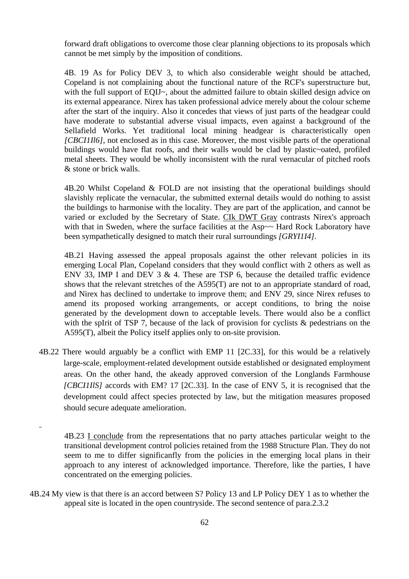forward draft obligations to overcome those clear planning objections to its proposals which cannot be met simply by the imposition of conditions.

4B. 19 As for Policy DEV 3, to which also considerable weight should be attached, Copeland is not complaining about the functional nature of the RCF's superstructure but, with the full support of EQIJ~, about the admitted failure to obtain skilled design advice on its external appearance. Nirex has taken professional advice merely about the colour scheme after the start of the inquiry. Also it concedes that views of just parts of the headgear could have moderate to substantial adverse visual impacts, even against a background of the Sellafield Works. Yet traditional local mining headgear is characteristically open *[CBCI1Il6],* not enclosed as in this case. Moreover, the most visible parts of the operational buildings would have flat roofs, and their walls would be clad by plastic~oated, profiled metal sheets. They would be wholly inconsistent with the rural vernacular of pitched roofs & stone or brick walls.

4B.20 Whilst Copeland & FOLD are not insisting that the operational buildings should slavishly replicate the vernacular, the submitted external details would do nothing to assist the buildings to harmonise with the locality. They are part of the application, and cannot be varied or excluded by the Secretary of State. CIk DWT Gray contrasts Nirex's approach with that in Sweden, where the surface facilities at the Asp ~~ Hard Rock Laboratory have been sympathetically designed to match their rural surroundings *[GRYI1I4].* 

4B.21 Having assessed the appeal proposals against the other relevant policies in its emerging Local Plan, Copeland considers that they would conflict with 2 others as well as ENV 33, IMP I and DEV 3  $\&$  4. These are TSP 6, because the detailed traffic evidence shows that the relevant stretches of the A595(T) are not to an appropriate standard of road, and Nirex has declined to undertake to improve them; and ENV 29, since Nirex refuses to amend its proposed working arrangements, or accept conditions, to bring the noise generated by the development down to acceptable levels. There would also be a conflict with the spIrit of TSP 7, because of the lack of provision for cyclists & pedestrians on the A595(T), albeit the Policy itself applies only to on-site provision.

4B.22 There would arguably be a conflict with EMP 11 [2C.33], for this would be a relatively large-scale, employment-related development outside established or designated employment areas. On the other hand, the akeady approved conversion of the Longlands Farmhouse *[CBCI1IlS]* accords with EM? 17 [2C.33]. In the case of ENV 5, it is recognised that the development could affect species protected by law, but the mitigation measures proposed should secure adequate amelioration.

4B.23 I conclude from the representations that no party attaches particular weight to the transitional development control policies retained from the 1988 Structure Plan. They do not seem to me to differ significanfly from the policies in the emerging local plans in their approach to any interest of acknowledged importance. Therefore, like the parties, I have concentrated on the emerging policies.

4B.24 My view is that there is an accord between S? Policy 13 and LP Policy DEY 1 as to whether the appeal site is located in the open countryside. The second sentence of para.2.3.2

*~*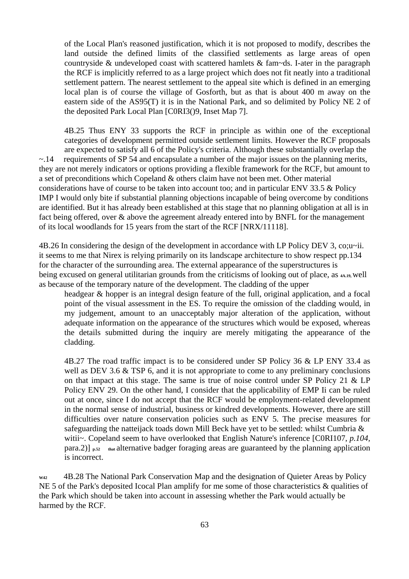of the Local Plan's reasoned justification, which it is not proposed to modify, describes the land outside the defined limits of the classified settlements as large areas of open countryside & undeveloped coast with scattered hamlets & fam~ds. I-ater in the paragraph the RCF is implicitly referred to as a large project which does not fit neatly into a traditional settlement pattern. The nearest settlement to the appeal site which is defined in an emerging local plan is of course the village of Gosforth, but as that is about 400 m away on the eastern side of the AS95(T) it is in the National Park, and so delimited by Policy NE 2 of the deposited Park Local Plan [C0RI3()9, Inset Map 7].

4B.25 Thus ENY 33 supports the RCF in principle as within one of the exceptional categories of development permitted outside settlement limits. However the RCF proposals are expected to satisfy all 6 of the Policy's criteria. Although these substantially overlap the  $\sim$ .14 requirements of SP 54 and encapsulate a number of the major issues on the planning merits, they are not merely indicators or options providing a flexible framework for the RCF, but amount to a set of preconditions which Copeland & others claim have not been met. Other material considerations have of course to be taken into account too; and in particular ENV 33.5 & Policy IMP I would only bite if substantial planning objections incapable of being overcome by conditions are identified. But it has already been established at this stage that no planning obligation at all is in fact being offered, over  $\&$  above the agreement already entered into by BNFL for the management of its local woodlands for 15 years from the start of the RCF [NRX/11118].

4B.26 In considering the design of the development in accordance with LP Policy DEV 3, co;u~ii. it seems to me that Nirex is relying primarily on its landscape architecture to show respect pp.134 for the character of the surrounding area. The external appearance of the superstructures is being excused on general utilitarian grounds from the criticisms of looking out of place, as **4A.19,** well as because of the temporary nature of the development. The cladding of the upper

headgear & hopper is an integral design feature of the full, original application, and a focal point of the visual assessment in the ES. To require the omission of the cladding would, in my judgement, amount to an unacceptably major alteration of the application, without adequate information on the appearance of the structures which would be exposed, whereas the details submitted during the inquiry are merely mitigating the appearance of the cladding.

4B.27 The road traffic impact is to be considered under SP Policy 36 & LP ENY 33.4 as well as DEV 3.6 & TSP 6, and it is not appropriate to come to any preliminary conclusions on that impact at this stage. The same is true of noise control under SP Policy 21 & LP Policy ENV 29. On the other hand, I consider that the applicability of EMP Ii can be ruled out at once, since I do not accept that the RCF would be employment-related development in the normal sense of industrial, business or kindred developments. However, there are still difficulties over nature conservation policies such as ENV 5. The precise measures for safeguarding the natteijack toads down Mill Beck have yet to be settled: whilst Cumbria & witii~. Copeland seem to have overlooked that English Nature's inference [C0RI107, *p.104,*  para.2)] **p.52 that** alternative badger foraging areas are guaranteed by the planning application is incorrect.

**W42** 4B.28 The National Park Conservation Map and the designation of Quieter Areas by Policy NE 5 of the Park's deposited Icocal Plan amplify for me some of those characteristics & qualities of the Park which should be taken into account in assessing whether the Park would actually be harmed by the RCF.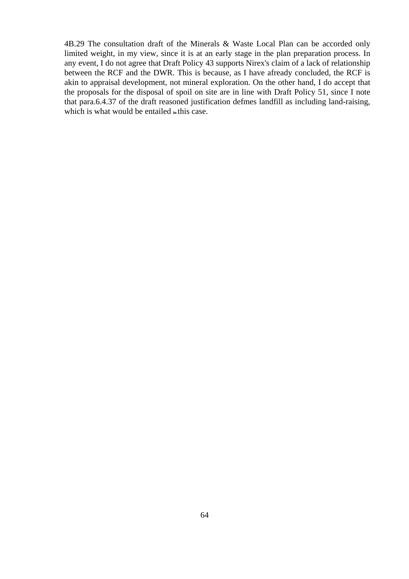4B.29 The consultation draft of the Minerals & Waste Local Plan can be accorded only limited weight, in my view, since it is at an early stage in the plan preparation process. In any event, I do not agree that Draft Policy 43 supports Nirex's claim of a lack of relationship between the RCF and the DWR. This is because, as I have afready concluded, the RCF is akin to appraisal development, not mineral exploration. On the other hand, I do accept that the proposals for the disposal of spoil on site are in line with Draft Policy 51, since I note that para.6.4.37 of the draft reasoned justification defmes landfill as including land-raising, which is what would be entailed **in** this case.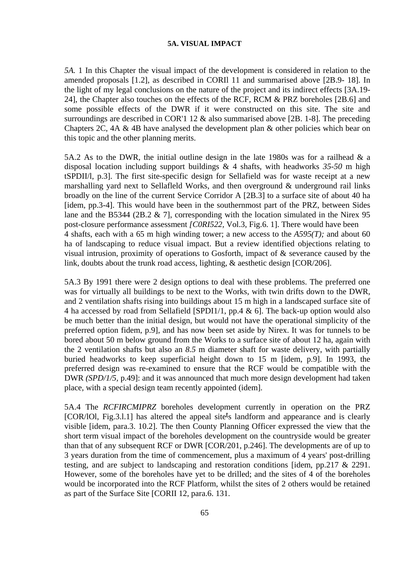## **5A. VISUAL IMPACT**

*5A.* 1 In this Chapter the visual impact of the development is considered in relation to the amended proposals [1.2], as described in CORIl 11 and summarised above [2B.9- 18]. In the light of my legal conclusions on the nature of the project and its indirect effects [3A.19- 24], the Chapter also touches on the effects of the RCF, RCM & PRZ boreholes [2B.6] and some possible effects of the DWR if it were constructed on this site. The site and surroundings are described in COR'1 12 & also summarised above [2B. 1-8]. The preceding Chapters 2C, 4A & 4B have analysed the development plan & other policies which bear on this topic and the other planning merits.

5A.2 As to the DWR, the initial outline design in the late 1980s was for a railhead & a disposal location including support buildings & 4 shafts, with headworks *35-50* m high tSPDII/l, p.3]. The first site-specific design for Sellafield was for waste receipt at a new marshalling yard next to Sellafleld Works, and then overground  $\&$  underground rail links broadly on the line of the current Service Corridor A [2B.3] to a surface site of about 40 ha [idem, pp.3-4]. This would have been in the southernmost part of the PRZ, between Sides lane and the B5344 (2B.2 & 7], corresponding with the location simulated in the Nirex 95 post-closure performance assessment *[C0RI522,* Vol.3, Fig.6. 1]. There would have been 4 shafts, each with a 65 m high winding tower; a new access to the *A595(T);* and about 60 ha of landscaping to reduce visual impact. But a review identified objections relating to visual intrusion, proximity of operations to Gosforth, impact of & severance caused by the link, doubts about the trunk road access, lighting, & aesthetic design [COR/206].

5A.3 By 1991 there were 2 design options to deal with these problems. The preferred one was for virtually all buildings to be next to the Works, with twin drifts down to the DWR, and 2 ventilation shafts rising into buildings about 15 m high in a landscaped surface site of 4 ha accessed by road from Sellafield [SPDI1/1, pp.4 & 6]. The back-up option would also be much better than the initial design, but would not have the operational simplicity of the preferred option fidem, p.9], and has now been set aside by Nirex. It was for tunnels to be bored about 50 m below ground from the Works to a surface site of about 12 ha, again with the 2 ventilation shafts but also an *8.5* m diameter shaft for waste delivery, with partially buried headworks to keep superficial height down to 15 m [idem, p.9]. In 1993, the preferred design was re-examined to ensure that the RCF would be compatible with the DWR *(SPD/1/5, p.49)*: and it was announced that much more design development had taken place, with a special design team recently appointed (idem].

5A.4 The *RCFIRCMIPRZ* boreholes development currently in operation on the PRZ [COR/lOl, Fig.3.1.1] has altered the appeal site<sup>t</sup>s landform and appearance and is clearly visible [idem, para.3. 10.2]. The then County Planning Officer expressed the view that the short term visual impact of the boreholes development on the countryside would be greater than that of any subsequent RCF or DWR [COR/201, p.246]. The developments are of up to 3 years duration from the time of commencement, plus a maximum of 4 years' post-drilling testing, and are subject to landscaping and restoration conditions [idem, pp.217 & 2291. However, some of the boreholes have yet to be drilled; and the sites of 4 of the boreholes would be incorporated into the RCF Platform, whilst the sites of 2 others would be retained as part of the Surface Site [CORII 12, para.6. 131.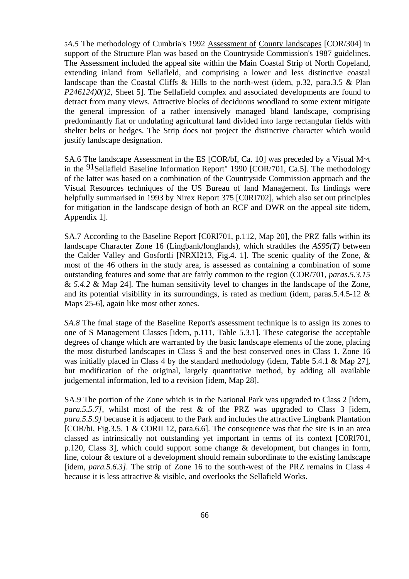5*A.5* The methodology of Cumbria's 1992 Assessment of County landscapes [COR/304] in support of the Structure Plan was based on the Countryside Commission's 1987 guidelines. The Assessment included the appeal site within the Main Coastal Strip of North Copeland, extending inland from Sellafleld, and comprising a lower and less distinctive coastal landscape than the Coastal Cliffs & Hills to the north-west (idem, p.32, para.3.5 & Plan *P246124)0()2,* Sheet 5]. The Sellafield complex and associated developments are found to detract from many views. Attractive blocks of deciduous woodland to some extent mitigate the general impression of a rather intensively managed bland landscape, comprising predominantly fiat or undulating agricultural land divided into large rectangular fields with shelter belts or hedges. The Strip does not project the distinctive character which would justify landscape designation.

SA.6 The landscape Assessment in the ES [COR/bI, Ca. 10] was preceded by a Visual M~t in the <sup>91</sup>Sellafleld Baseline Information Report" 1990 [COR/701, Ca.5]. The methodology of the latter was based on a combination of the Countryside Commission approach and the Visual Resources techniques of the US Bureau of land Management. Its findings were helpfully summarised in 1993 by Nirex Report 375 [C0RI702], which also set out principles for mitigation in the landscape design of both an RCF and DWR on the appeal site tidem, Appendix 1].

SA.7 According to the Baseline Report [C0Rl701, p.112, Map 20], the PRZ falls within its landscape Character Zone 16 (Lingbank/longlands), which straddles the *AS95(T)* between the Calder Valley and Gosfortli [NRXI213, Fig.4. 1]. The scenic quality of the Zone, & most of the 46 others in the study area, is assessed as containing a combination of some outstanding features and some that are fairly common to the region (COR/701, *paras.5.3.15*  & *5.4.2* & Map 24]. The human sensitivity level to changes in the landscape of the Zone, and its potential visibility in its surroundings, is rated as medium (idem, paras.  $5.4.5$ -12  $\&$ Maps 25-6], again like most other zones.

*SA.8* The fmal stage of the Baseline Report's assessment technique is to assign its zones to one of S Management Classes [idem, p.111, Table 5.3.1]. These categorise the acceptable degrees of change which are warranted by the basic landscape elements of the zone, placing the most disturbed landscapes in Class S and the best conserved ones in Class 1. Zone 16 was initially placed in Class 4 by the standard methodology (idem, Table 5.4.1 & Map 27], but modification of the original, largely quantitative method, by adding all available judgemental information, led to a revision [idem, Map 28].

SA.9 The portion of the Zone which is in the National Park was upgraded to Class 2 [idem, *para.5.5.7]*, whilst most of the rest & of the PRZ was upgraded to Class 3 [idem, *para.5.5.9]* because it is adjacent to the Park and includes the attractive Lingbank Plantation [COR/bi, Fig.3.5. 1 & CORII 12, para.6.6]. The consequence was that the site is in an area classed as intrinsically not outstanding yet important in terms of its context [C0Rl701, p.120, Class 3], which could support some change & development, but changes in form, line, colour & texture of a development should remain subordinate to the existing landscape [idem, *para.5.6.3].* The strip of Zone 16 to the south-west of the PRZ remains in Class 4 because it is less attractive & visible, and overlooks the Sellafield Works.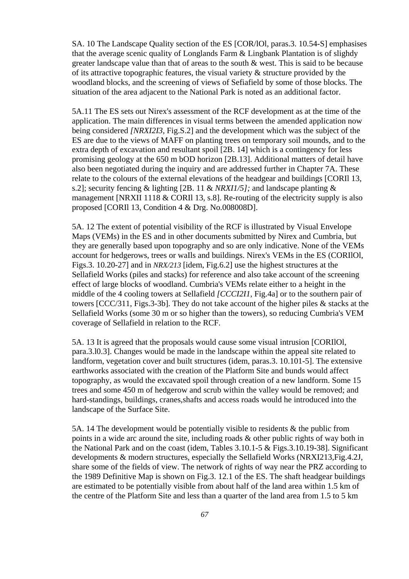SA. 10 The Landscape Quality section of the ES [COR/lOl, paras.3. 10.54-S] emphasises that the average scenic quality of Longlands Farm & Lingbank Plantation is of slighdy greater landscape value than that of areas to the south & west. This is said to be because of its attractive topographic features, the visual variety & structure provided by the woodland blocks, and the screening of views of Sefiafield by some of those blocks. The situation of the area adjacent to the National Park is noted as an additional factor.

5A.11 The ES sets out Nirex's assessment of the RCF development as at the time of the application. The main differences in visual terms between the amended application now being considered *[NRXI2I3,* Fig.S.2] and the development which was the subject of the ES are due to the views of MAFF on planting trees on temporary soil mounds, and to the extra depth of excavation and resultant spoil [2B. 14] which is a contingency for less promising geology at the 650 m bOD horizon [2B.13]. Additional matters of detail have also been negotiated during the inquiry and are addressed further in Chapter 7A. These relate to the colours of the external elevations of the headgear and buildings [CORIl 13, s.2]; security fencing & lighting [2B. 11 & *NRXI1/5];* and landscape planting & management [NRXII 1118 & CORII 13, s.8]. Re-routing of the electricity supply is also proposed [CORIl 13, Condition 4 & Drg. No.008008D].

5A. 12 The extent of potential visibility of the RCF is illustrated by Visual Envelope Maps (VEMs) in the ES and in other documents submitted by Nirex and Cumbria, but they are generally based upon topography and so are only indicative. None of the VEMs account for hedgerows, trees or waIls and buildings. Nirex's VEMs in the ES (CORIlOl, Figs.3. 10.20-27] and in *NRX/213* [idem, Fig.6.2] use the highest structures at the Sellafield Works (piles and stacks) for reference and also take account of the screening effect of large blocks of woodland. Cumbria's VEMs relate either to a height in the middle of the 4 cooling towers at Sellafield *[CCCI2I1,* Fig.4a] or to the southern pair of towers [CCC/311, Figs.3-3b]. They do not take account of the higher piles & stacks at the Sellafield Works (some 30 m or so higher than the towers), so reducing Cumbria's VEM coverage of Sellafield in relation to the RCF.

5A. 13 It is agreed that the proposals would cause some visual intrusion [CORIlOl, para.3.l0.3]. Changes would be made in the landscape within the appeal site related to landform, vegetation cover and built structures (idem, paras.3. 10.101-5]. The extensive earthworks associated with the creation of the Platform Site and bunds would affect topography, as would the excavated spoil through creation of a new landform. Some 15 trees and some 450 m of hedgerow and scrub within the valley would be removed; and hard-standings, buildings, cranes,shafts and access roads would he introduced into the landscape of the Surface Site.

5A. 14 The development would be potentially visible to residents & the public from points in a wide arc around the site, including roads & other public rights of way both in the National Park and on the coast (idem, Tables 3.10.1-5 & Figs.3.10.19-38]. Significant developments & modern structures, especially the Sellafield Works (NRXI213,Fig.4.2J, share some of the fields of view. The network of rights of way near the PRZ according to the 1989 Definitive Map is shown on Fig.3. 12.1 of the ES. The shaft headgear buildings are estimated to be potentially visible from about half of the land area within 1.5 km of the centre of the Platform Site and less than a quarter of the land area from 1.5 to 5 km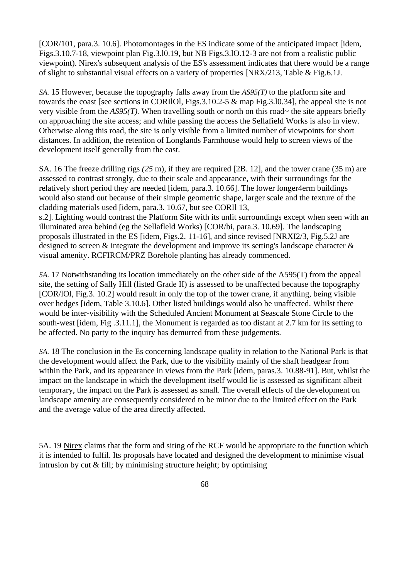[COR/101, para.3. 10.6]. Photomontages in the ES indicate some of the anticipated impact [idem, Figs.3.10.7-18, viewpoint plan Fig.3.l0.19, but NB Figs.3.lO.12-3 are not from a realistic public viewpoint). Nirex's subsequent analysis of the ES's assessment indicates that there would be a range of slight to substantial visual effects on a variety of properties [NRX/213, Table & Fig.6.1J.

*SA.* 15 However, because the topography falls away from the *AS95(T)* to the platform site and towards the coast [see sections in CORIlOl, Figs.3.10.2-5 & map Fig.3.l0.34], the appeal site is not very visible from the *AS95(T).* When travelling south or north on this road~ the site appears briefly on approaching the site access; and while passing the access the Sellafield Works is also in view. Otherwise along this road, the site is only visible from a limited number of viewpoints for short distances. In addition, the retention of Longlands Farmhouse would help to screen views of the development itself generally from the east.

SA. 16 The freeze drilling rigs *(25* m), if they are required [2B. 12], and the tower crane (35 m) are assessed to contrast strongly, due to their scale and appearance, with their surroundings for the relatively short period they are needed [idem, para.3. 10.66]. The lower longer4erm buildings would also stand out because of their simple geometric shape, larger scale and the texture of the cladding materials used [idem, para.3. 10.67, but see CORIl 13,

s.2]. Lighting would contrast the Platform Site with its unlit surroundings except when seen with an illuminated area behind (eg the Sellafleld Works) [COR/bi, para.3. 10.69]. The landscaping proposals illustrated in the ES [idem, Figs.2. 11-16], and since revised [NRXI2/3, Fig.5.2J are designed to screen & integrate the development and improve its setting's landscape character & visual amenity. RCFIRCM/PRZ Borehole planting has already commenced.

*SA.* 17 Notwithstanding its location immediately on the other side of the A595(T) from the appeal site, the setting of Sally Hill (listed Grade II) is assessed to be unaffected because the topography [COR/lOl, Fig.3. 10.2] would result in only the top of the tower crane, if anything, being visible over hedges [idem, Table 3.10.6]. Other listed buildings would also be unaffected. Whilst there would be inter-visibility with the Scheduled Ancient Monument at Seascale Stone Circle to the south-west [idem, Fig .3.11.1], the Monument is regarded as too distant at 2.7 km for its setting to be affected. No party to the inquiry has demurred from these judgements.

*SA.* 18 The conclusion in the Es concerning landscape quality in relation to the National Park is that the development would affect the Park, due to the visibility mainly of the shaft headgear from within the Park, and its appearance in views from the Park [idem, paras.3. 10.88-91]. But, whilst the impact on the landscape in which the development itself would lie is assessed as significant albeit temporary, the impact on the Park is assessed as small. The overall effects of the development on landscape amenity are consequently considered to be minor due to the limited effect on the Park and the average value of the area directly affected.

5A. 19 Nirex claims that the form and siting of the RCF would be appropriate to the function which it is intended to fulfil. Its proposals have located and designed the development to minimise visual intrusion by cut & fill; by minimising structure height; by optimising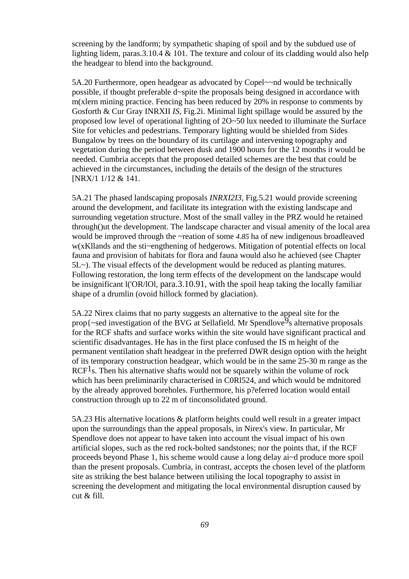screening by the landform; by sympathetic shaping of spoil and by the subdued use of lighting lidem, paras.3.10.4 & 101. The texture and colour of its cladding would also help the headgear to blend into the background.

5A.20 Furthermore, open headgear as advocated by Copel~~nd would be technically possible, if thought preferable d~spite the proposals being designed in accordance with m(xlern mining practice. Fencing has been reduced by 20% in response to comments by Gosforth & Cur Gray INRXII *IS,* Fig.2i. Minimal light spillage would be assured by the proposed low level of operational lighting of 2O~50 lux needed to illuminate the Surface Site for vehicles and pedestrians. Temporary lighting would be shielded from Sides Bungalow by trees on the boundary of its curtilage and intervening topography and vegetation during the period between dusk and 1900 hours for the 12 months it would be needed. Cumbria accepts that the proposed detailed schemes are the best that could be achieved in the circumstances, including the details of the design of the structures [NRX/1 1/12 & 141.

5A.21 The phased landscaping proposals *INRXI2I3,* Fig.5.21 would provide screening around the development, and facilitate its integration with the existing landscape and surrounding vegetation structure. Most of the small valley in the PRZ would he retained through()ut the development. The landscape character and visual amenity of the local area would be improved through the ~reation of some *4.85* ha of new indigenous broadleaved w(xKllands and the sti~engthening of hedgerows. Mitigation of potential effects on local fauna and provision of habitats for flora and fauna would also he achieved (see Chapter 5L~). The visual effects of the development would be reduced as planting matures. Following restoration, the long term effects of the development on the landscape would be insignificant l('OR/lOl, para.3.10.91, with the spoil heap taking the locally familiar shape of a drumlin (ovoid hillock formed by glaciation).

5A.22 Nirex claims that no party suggests an alternative to the appeal site for the prop $\{-$ sed investigation of the BVG at Sellafield. Mr Spendlove<sup>9</sup>s alternative proposals for the RCF shafts and surface works within the site would have significant practical and scientific disadvantages. He has in the first place confused the IS m height of the permanent ventilation shaft headgear in the preferred DWR design option with the height of its temporary construction headgear, which would be in the same 25-30 m range as the  $RCF<sup>1</sup>s$ . Then his alternative shafts would not be squarely within the volume of rock which has been preliminarily characterised in C0Rl524, and which would be mdnitored by the already approved boreholes. Furthermore, his p?eferred location would entail construction through up to 22 m of tinconsolidated ground.

5A.23 His alternative locations & platform heights could well result in a greater impact upon the surroundings than the appeal proposals, in Nirex's view. In particular, Mr Spendlove does not appear to have taken into account the visual impact of his own artificial slopes, such as the red rock-bolted sandstones; nor the points that, if the RCF proceeds beyond Phase 1, his scheme would cause a long delay ai~d produce more spoil than the present proposals. Cumbria, in contrast, accepts the chosen level of the platform site as striking the best balance between utilising the local topography to assist in screening the development and mitigating the local environmental disruption caused by cut & fill.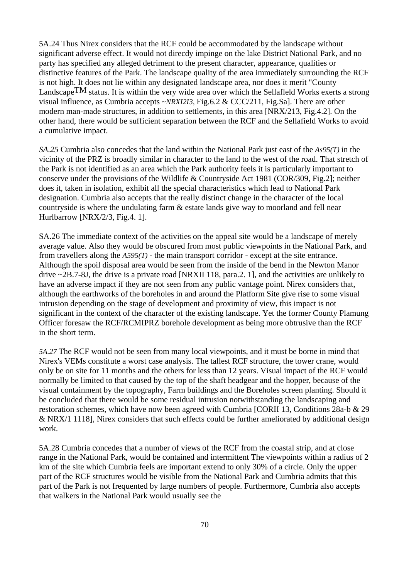5A.24 Thus Nirex considers that the RCF could be accommodated by the landscape without significant adverse effect. It would not direcdy impinge on the lake District National Park, and no party has specified any alleged detriment to the present character, appearance, qualities or distinctive features of the Park. The landscape quality of the area immediately surrounding the RCF is not high. It does not lie within any designated landscape area, nor does it merit "County Landscape<sup>TM</sup> status. It is within the very wide area over which the Sellafleld Works exerts a strong visual influence, as Cumbria accepts *~NRXI2I3,* Fig.6.2 & CCC/211, Fig.Sa]. There are other modern man-made structures, in addition to settlements, in this area [NRX/213, Fig.4.2]. On the other hand, there would be sufficient separation between the RCF and the Sellafield Works to avoid a cumulative impact.

*SA.25* Cumbria also concedes that the land within the National Park just east of the *As95(T)* in the vicinity of the PRZ is broadly similar in character to the land to the west of the road. That stretch of the Park is not identified as an area which the Park authority feels it is particularly important to conserve under the provisions of the Wildlife & Countryside Act 1981 (COR/309, Fig.2]; neither does it, taken in isolation, exhibit all the special characteristics which lead to National Park designation. Cumbria also accepts that the really distinct change in the character of the local countryside is where the undulating farm & estate lands give way to moorland and fell near Hurlbarrow [NRX/2/3, Fig.4. 1].

SA.26 The immediate context of the activities on the appeal site would be a landscape of merely average value. Also they would be obscured from most public viewpoints in the National Park, and from travellers along the *A595(T)* - the main transport corridor - except at the site entrance. Although the spoil disposal area would be seen from the inside of the bend in the Newton Manor drive ~2B.7-8J, the drive is a private road [NRXII 118, para.2. 1], and the activities are unlikely to have an adverse impact if they are not seen from any public vantage point. Nirex considers that, although the earthworks of the boreholes in and around the Platform Site give rise to some visual intrusion depending on the stage of development and proximity of view, this impact is not significant in the context of the character of the existing landscape. Yet the former County Plamung Officer foresaw the RCF/RCMIPRZ borehole development as being more obtrusive than the RCF in the short term.

*5A.27* The RCF would not be seen from many local viewpoints, and it must be borne in mind that Nirex's VEMs constitute a worst case analysis. The tallest RCF structure, the tower crane, would only be on site for 11 months and the others for less than 12 years. Visual impact of the RCF would normally be limited to that caused by the top of the shaft headgear and the hopper, because of the visual containment by the topography, Farm buildings and the Boreholes screen planting. Should it be concluded that there would be some residual intrusion notwithstanding the landscaping and restoration schemes, which have now been agreed with Cumbria [CORII 13, Conditions 28a-b & 29 & NRX/1 1118], Nirex considers that such effects could be further ameliorated by additional design work.

5A.28 Cumbria concedes that a number of views of the RCF from the coastal strip, and at close range in the National Park, would be contained and intermittent The viewpoints within a radius of 2 km of the site which Cumbria feels are important extend to only 30% of a circle. Only the upper part of the RCF structures would be visible from the National Park and Cumbria admits that this part of the Park is not frequented by large numbers of people. Furthermore, Cumbria also accepts that walkers in the National Park would usually see the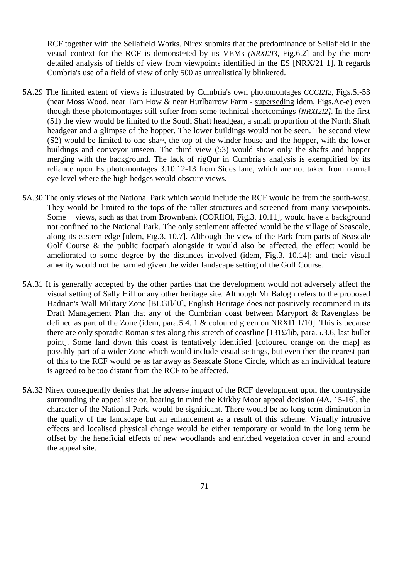RCF together with the Sellafield Works. Nirex submits that the predominance of Sellafield in the visual context for the RCF is demonst~ted by its VEMs *(NRXI2I3,* Fig.6.2] and by the more detailed analysis of fields of view from viewpoints identified in the ES [NRX/21 1]. It regards Cumbria's use of a field of view of only 500 as unrealistically blinkered.

- 5A.29 The limited extent of views is illustrated by Cumbria's own photomontages *CCCI2I2,* Figs.Sl-53 (near Moss Wood, near Tarn How & near Hurlbarrow Farm - superseding idem, Figs.Ac-e) even though these photomontages still suffer from some technical shortcomings *[NRXI2I2].* In the first (51) the view would be limited to the South Shaft headgear, a small proportion of the North Shaft headgear and a glimpse of the hopper. The lower buildings would not be seen. The second view (S2) would be limited to one sha~, the top of the winder house and the hopper, with the lower buildings and conveyor unseen. The third view (53) would show only the shafts and hopper merging with the background. The lack of rigQur in Cumbria's analysis is exemplified by its reliance upon Es photomontages 3.10.12-13 from Sides lane, which are not taken from normal eye level where the high hedges would obscure views.
- 5A.30 The only views of the National Park which would include the RCF would be from the south-west. They would be limited to the tops of the taller structures and screened from many viewpoints. Some views, such as that from Brownbank (CORIlOl, Fig.3. 10.11], would have a background not confined to the National Park. The only settlement affected would be the village of Seascale, along its eastern edge [idem, Fig.3. 10.7]. Although the view of the Park from parts of Seascale Golf Course & the public footpath alongside it would also be affected, the effect would be ameliorated to some degree by the distances involved (idem, Fig.3. 10.14]; and their visual amenity would not be harmed given the wider landscape setting of the Golf Course.
- 5A.31 It is generally accepted by the other parties that the development would not adversely affect the visual setting of Sally Hill or any other heritage site. Although Mr Balogh refers to the proposed Hadrian's Wall Military Zone [BLGIl/l0], English Heritage does not positively recommend in its Draft Management Plan that any of the Cumbrian coast between Maryport & Ravenglass be defined as part of the Zone (idem, para.5.4. 1 & coloured green on NRXI1 1/10]. This is because there are only sporadic Roman sites along this stretch of coastline [131£/lib, para.5.3.6, last bullet point]. Some land down this coast is tentatively identified [coloured orange on the map] as possibly part of a wider Zone which would include visual settings, but even then the nearest part of this to the RCF would be as far away as Seascale Stone Circle, which as an individual feature is agreed to be too distant from the RCF to be affected.
- 5A.32 Nirex consequenfly denies that the adverse impact of the RCF development upon the countryside surrounding the appeal site or, bearing in mind the Kirkby Moor appeal decision (4A. 15-16], the character of the National Park, would be significant. There would be no long term diminution in the quality of the landscape but an enhancement as a result of this scheme. Visually intrusive effects and localised physical change would be either temporary or would in the long term be offset by the heneficial effects of new woodlands and enriched vegetation cover in and around the appeal site.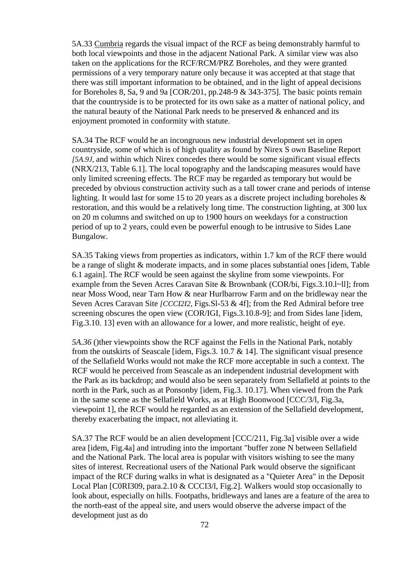5A.33 Cumbria regards the visual impact of the RCF as being demonstrably harmful to both local viewpoints and those in the adjacent National Park. A similar view was also taken on the applications for the RCF/RCM/PRZ Boreholes, and they were granted permissions of a very temporary nature only because it was accepted at that stage that there was still important information to be obtained, and in the light of appeal decisions for Boreholes 8, Sa, 9 and 9a  $[COR/201, pp.248-9 & 343-375]$ . The basic points remain that the countryside is to be protected for its own sake as a matter of national policy, and the natural beauty of the National Park needs to be preserved  $\&$  enhanced and its enjoyment promoted in conformity with statute.

SA.34 The RCF would he an incongruous new industrial development set in open countryside, some of which is of high quality as found by Nirex S own Baseline Report *[5A.9J,* and within which Nirex concedes there would be some significant visual effects (NRX/213, Table 6.1]. The local topography and the landscaping measures would have only limited screening effects. The RCF may be regarded as temporary but would be preceded by obvious construction activity such as a tall tower crane and periods of intense lighting. It would last for some 15 to 20 years as a discrete project including boreholes & restoration, and this would be a relatively long time. The construction lighting, at 300 lux on 20 m columns and switched on up to 1900 hours on weekdays for a construction period of up to 2 years, could even be powerful enough to be intrusive to Sides Lane Bungalow.

SA.35 Taking views from properties as indicators, within 1.7 km of the RCF there would be a range of slight & moderate impacts, and in some places substantial ones [idem, Table 6.1 again]. The RCF would be seen against the skyline from some viewpoints. For example from the Seven Acres Caravan Site & Brownbank (COR/bi, Figs.3.10.l~ll]; from near Moss Wood, near Tarn How & near Hurlbarrow Farm and on the bridleway near the Seven Acres Caravan Site *[CCCI2I2,* Figs.Sl-53 & 4f]; from the Red Admiral before tree screening obscures the open view (COR/IGI, Figs. 3.10.8-9); and from Sides lane [idem, Fig.3.10. 13] even with an allowance for a lower, and more realistic, height of eye.

*5A.36* ()ther viewpoints show the RCF against the Fells in the National Park, notably from the outskirts of Seascale [idem, Figs. 3. 10.7  $&$  14]. The significant visual presence of the Sellafield Works would not make the RCF more acceptable in such a context. The RCF would he perceived from Seascale as an independent industrial development with the Park as its backdrop; and would also be seen separately from Sellafield at points to the north in the Park, such as at Ponsonby [idem, Fig.3. 10.17]. When viewed from the Park in the same scene as the Sellafield Works, as at High Boonwood [CCC/3/l, Fig.3a, viewpoint 1], the RCF would he regarded as an extension of the Sellafield development, thereby exacerbating the impact, not alleviating it.

SA.37 The RCF would be an alien development [CCC/211, Fig.3a] visible over a wide area [idem, Fig.4a] and intruding into the important "buffer zone N between Sellafield and the National Park. The local area is popular with visitors wishing to see the many sites of interest. Recreational users of the National Park would observe the significant impact of the RCF during walks in what is designated as a "Quieter Area" in the Deposit Local Plan [C0RI309, para.2.10 & CCCI3/l, Fig.2]. Walkers would stop occasionally to look about, especially on hills. Footpaths, bridleways and lanes are a feature of the area to the north-east of the appeal site, and users would observe the adverse impact of the development just as do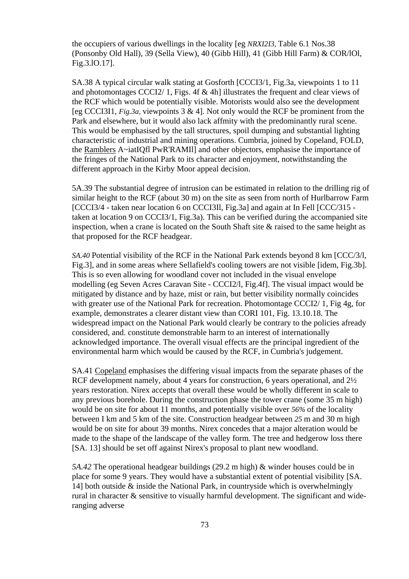the occupiers of various dwellings in the locality [eg *NRXI2I3,* Table 6.1 Nos.38 (Ponsonby Old Hall), 39 (Sella View), 40 (Gibb Hill), 41 (Gibb Hill Farm) & COR/lOl, Fig.3.lO.17].

SA.38 A typical circular walk stating at Gosforth [CCCI3/1, Fig.3a, viewpoints 1 to 11 and photomontages CCCI2/ 1, Figs. 4f & 4h] illustrates the frequent and clear views of the RCF which would be potentially visible. Motorists would also see the development [eg CCCI3I1, *Fig.3a,* viewpoints 3 & 4]. Not only would the RCF be prominent from the Park and elsewhere, but it would also lack affmity with the predominantly rural scene. This would be emphasised by the tall structures, spoil dumping and substantial lighting characteristic of industrial and mining operations. Cumbria, joined by Copeland, FOLD, the Ramblers A~iatIQfl PwR'RAMIl] and other objectors, emphasise the importance of the fringes of the National Park to its character and enjoyment, notwithstanding the different approach in the Kirby Moor appeal decision.

5A.39 The substantial degree of intrusion can be estimated in relation to the drilling rig of similar height to the RCF (about 30 m) on the site as seen from north of Hurlbarrow Farm [CCCI3/4 - taken near location 6 on CCCI3Il, Fig.3a] and again at In Fell [CCC/315 taken at location 9 on CCCI3/1, Fig.3a). This can be verified during the accompanied site inspection, when a crane is located on the South Shaft site & raised to the same height as that proposed for the RCF headgear.

*SA.40* Potential visibility of the RCF in the National Park extends beyond 8 km [CCC/3/l, Fig.3], and in some areas where Sellafield's cooling towers are not visible [idem, Fig.3b]. This is so even allowing for woodland cover not included in the visual envelope modelling (eg Seven Acres Caravan Site - CCCI2/l, Fig.4f]. The visual impact would be mitigated by distance and by haze, mist or rain, but better visibility normally coincides with greater use of the National Park for recreation. Photomontage CCCI2/1, Fig 4g, for example, demonstrates a clearer distant view than CORI 101, Fig. 13.10.18. The widespread impact on the National Park would clearly be contrary to the policies afready considered, and. constitute demonstrable harm to an interest of internationally acknowledged importance. The overall visual effects are the principal ingredient of the environmental harm which would be caused by the RCF, in Cumbria's judgement.

SA.41 Copeland emphasises the differing visual impacts from the separate phases of the RCF development namely, about 4 years for construction, 6 years operational, and  $2\frac{1}{2}$ years restoration. Nirex accepts that overall these would be wholly different in scale to any previous borehole. During the construction phase the tower crane (some 35 m high) would be on site for about 11 months, and potentially visible over *56%* of the locality between I km and 5 km of the site. Construction headgear between *25* m and 30 m high would be on site for about 39 months. Nirex concedes that a major alteration would be made to the shape of the landscape of the valley form. The tree and hedgerow loss there [SA. 13] should be set off against Nirex's proposal to plant new woodland.

*5A.42* The operational headgear buildings (29.2 m high) & winder houses could be in place for some 9 years. They would have a substantial extent of potential visibility [SA. 14] both outside & inside the National Park, in countryside which is overwhelmingly rural in character & sensitive to visually harmful development. The significant and wideranging adverse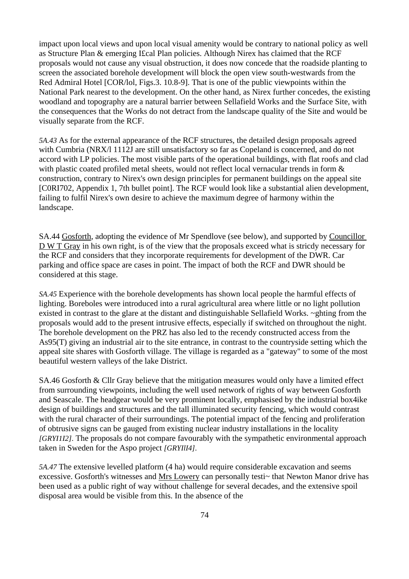impact upon local views and upon local visual amenity would be contrary to national policy as well as Structure Plan & emerging I£cal Plan policies. Although Nirex has claimed that the RCF proposals would not cause any visual obstruction, it does now concede that the roadside planting to screen the associated borehole development will block the open view south-westwards from the Red Admiral Hotel [COR/lol, Figs.3. 10.8-9]. That is one of the public viewpoints within the National Park nearest to the development. On the other hand, as Nirex further concedes, the existing woodland and topography are a natural barrier between Sellafield Works and the Surface Site, with the consequences that the Works do not detract from the landscape quality of the Site and would be visually separate from the RCF.

*5A.43* As for the external appearance of the RCF structures, the detailed design proposals agreed with Cumbria (NRX/l 1112J are still unsatisfactory so far as Copeland is concerned, and do not accord with LP policies. The most visible parts of the operational buildings, with flat roofs and clad with plastic coated profiled metal sheets, would not reflect local vernacular trends in form & construction, contrary to Nirex's own design principles for permanent buildings on the appeal site [C0RI702, Appendix 1, 7th bullet point]. The RCF would look like a substantial alien development, failing to fulfil Nirex's own desire to achieve the maximum degree of harmony within the landscape.

SA.44 Gosforth, adopting the evidence of Mr Spendlove (see below), and supported by Councillor D W T Gray in his own right, is of the view that the proposals exceed what is stricdy necessary for the RCF and considers that they incorporate requirements for development of the DWR. Car parking and office space are cases in point. The impact of both the RCF and DWR should be considered at this stage.

*SA.45* Experience with the borehole developments has shown local people the harmful effects of lighting. Boreboles were introduced into a rural agricultural area where little or no light pollution existed in contrast to the glare at the distant and distinguishable Sellafield Works. ~ghting from the proposals would add to the present intrusive effects, especially if switched on throughout the night. The borehole development on the PRZ has also led to the recendy constructed access from the As95(T) giving an industrial air to the site entrance, in contrast to the countryside setting which the appeal site shares with Gosforth village. The village is regarded as a "gateway" to some of the most beautiful western valleys of the lake District.

SA.46 Gosforth & Cllr Gray believe that the mitigation measures would only have a limited effect from surrounding viewpoints, including the well used network of rights of way between Gosforth and Seascale. The headgear would be very prominent locally, emphasised by the industrial box4ike design of buildings and structures and the tall illuminated security fencing, which would contrast with the rural character of their surroundings. The potential impact of the fencing and proliferation of obtrusive signs can be gauged from existing nuclear industry installations in the locality *[GRYI1I2].* The proposals do not compare favourably with the sympathetic environmental approach taken in Sweden for the Aspo project *[GRYIlI4].* 

*5A.47* The extensive levelled platform (4 ha) would require considerable excavation and seems excessive. Gosforth's witnesses and Mrs Lowery can personally testi~ that Newton Manor drive has been used as a public right of way without challenge for several decades, and the extensive spoil disposal area would be visible from this. In the absence of the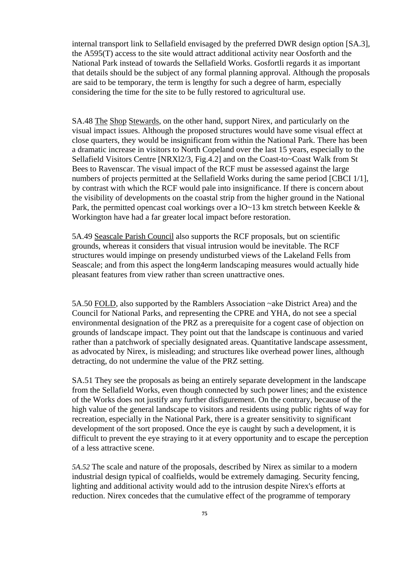internal transport link to Sellafield envisaged by the preferred DWR design option [SA.3], the A595(T) access to the site would attract additional activity near Oosforth and the National Park instead of towards the Sellafield Works. Gosfortli regards it as important that details should be the subject of any formal planning approval. Although the proposals are said to be temporary, the term is lengthy for such a degree of harm, especially considering the time for the site to be fully restored to agricultural use.

SA.48 The Shop Stewards, on the other hand, support Nirex, and particularly on the visual impact issues. Although the proposed structures would have some visual effect at close quarters, they would be insignificant from within the National Park. There has been a dramatic increase in visitors to North Copeland over the last 15 years, especially to the Sellafield Visitors Centre [NRXl2/3, Fig.4.2] and on the Coast-to~Coast Walk from St Bees to Ravenscar. The visual impact of the RCF must be assessed against the large numbers of projects permitted at the Sellafield Works during the same period [CBCI 1/1], by contrast with which the RCF would pale into insignificance. If there is concern about the visibility of developments on the coastal strip from the higher ground in the National Park, the permitted opencast coal workings over a lO~13 km stretch between Keekle & Workington have had a far greater local impact before restoration.

5A.49 Seascale Parish Council also supports the RCF proposals, but on scientific grounds, whereas it considers that visual intrusion would be inevitable. The RCF structures would impinge on presendy undisturbed views of the Lakeland Fells from Seascale; and from this aspect the long4erm landscaping measures would actually hide pleasant features from view rather than screen unattractive ones.

5A.50 FOLD, also supported by the Ramblers Association ~ake District Area) and the Council for National Parks, and representing the CPRE and YHA, do not see a special environmental designation of the PRZ as a prerequisite for a cogent case of objection on grounds of landscape impact. They point out that the landscape is continuous and varied rather than a patchwork of specially designated areas. Quantitative landscape assessment, as advocated by Nirex, is misleading; and structures like overhead power lines, although detracting, do not undermine the value of the PRZ setting.

SA.51 They see the proposals as being an entirely separate development in the landscape from the Sellafield Works, even though connected by such power lines; and the existence of the Works does not justify any further disfigurement. On the contrary, because of the high value of the general landscape to visitors and residents using public rights of way for recreation, especially in the National Park, there is a greater sensitivity to significant development of the sort proposed. Once the eye is caught by such a development, it is difficult to prevent the eye straying to it at every opportunity and to escape the perception of a less attractive scene.

*5A.52* The scale and nature of the proposals, described by Nirex as similar to a modern industrial design typical of coalfields, would be extremely damaging. Security fencing, lighting and additional activity would add to the intrusion despite Nirex's efforts at reduction. Nirex concedes that the cumulative effect of the programme of temporary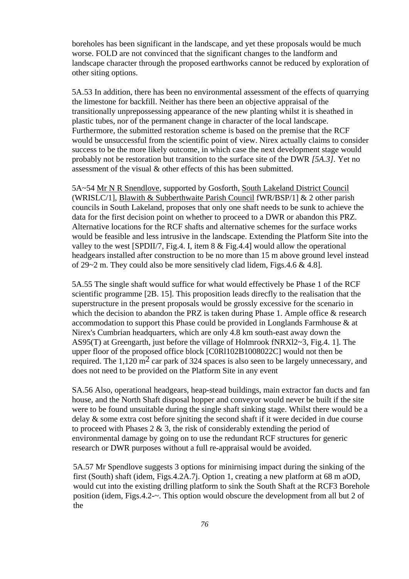boreholes has been significant in the landscape, and yet these proposals would be much worse. FOLD are not convinced that the significant changes to the landform and landscape character through the proposed earthworks cannot be reduced by exploration of other siting options.

5A.53 In addition, there has been no environmental assessment of the effects of quarrying the limestone for backfill. Neither has there been an objective appraisal of the transitionally unprepossessing appearance of the new planting whilst it is sheathed in plastic tubes, nor of the permanent change in character of the local landscape. Furthermore, the submitted restoration scheme is based on the premise that the RCF would be unsuccessful from the scientific point of view. Nirex actually claims to consider success to be the more likely outcome, in which case the next development stage would probably not be restoration but transition to the surface site of the DWR *[5A.3].* Yet no assessment of the visual & other effects of this has been submitted.

5A~54 Mr N R Snendlove, supported by Gosforth, South Lakeland District Council (WRISLC/1], Blawith & Subberthwaite Parish Council fWR/BSP/1] & 2 other parish councils in South Lakeland, proposes that only one shaft needs to be sunk to achieve the data for the first decision point on whether to proceed to a DWR or abandon this PRZ. Alternative locations for the RCF shafts and alternative schemes for the surface works would be feasible and less intrusive in the landscape. Extending the Platform Site into the valley to the west [SPDII/7, Fig.4. I, item 8 & Fig.4.4] would allow the operational headgears installed after construction to be no more than 15 m above ground level instead of 29~2 m. They could also be more sensitively clad lidem, Figs.4.6 & 4.8].

5A.55 The single shaft would suffice for what would effectively be Phase 1 of the RCF scientific programme [2B. 15]. This proposition leads direcfly to the realisation that the superstructure in the present proposals would be grossly excessive for the scenario in which the decision to abandon the PRZ is taken during Phase 1. Ample office & research accommodation to support this Phase could be provided in Longlands Farmhouse & at Nirex's Cumbrian headquarters, which are only 4.8 km south-east away down the AS95(T) at Greengarth, just before the village of Holmrook fNRXl2~3, Fig.4. 1]. The upper floor of the proposed office block [C0Rl102B1008022C] would not then be required. The  $1,120 \text{ m}^2$  car park of 324 spaces is also seen to be largely unnecessary, and does not need to be provided on the Platform Site in any event

SA.56 Also, operational headgears, heap-stead buildings, main extractor fan ducts and fan house, and the North Shaft disposal hopper and conveyor would never be built if the site were to be found unsuitable during the single shaft sinking stage. Whilst there would be a delay & some extra cost before sjniting the second shaft if it were decided in due course to proceed with Phases  $2 \& 3$ , the risk of considerably extending the period of environmental damage by going on to use the redundant RCF structures for generic research or DWR purposes without a full re-appraisal would be avoided.

5A.57 Mr Spendlove suggests 3 options for minirnising impact during the sinking of the first (South) shaft (idem, Figs.4.2A.7j. Option 1, creating a new platform at 68 m aOD, would cut into the existing drilling platform to sink the South Shaft at the RCF3 Borehole position (idem, Figs.4.2-~. This option would obscure the development from all but 2 of the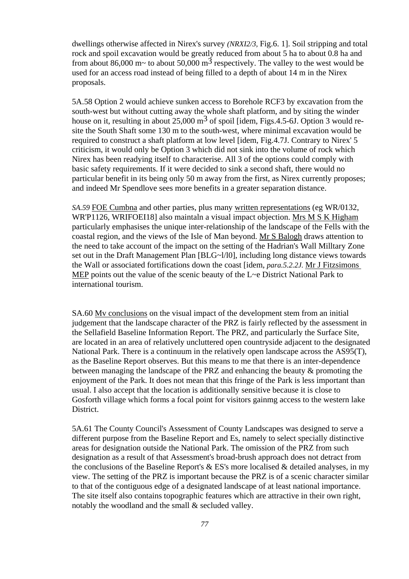dwellings otherwise affected in Nirex's survey *(NRXI2/3,* Fig.6. 1]. Soil stripping and total rock and spoil excavation would be greatly reduced from about 5 ha to about 0.8 ha and from about 86,000 m~ to about 50,000 m<sup>3</sup> respectively. The valley to the west would be used for an access road instead of being filled to a depth of about 14 m in the Nirex proposals.

5A.58 Option 2 would achieve sunken access to Borehole RCF3 by excavation from the south-west but without cutting away the whole shaft platform, and by siting the winder house on it, resulting in about  $25,000 \text{ m}^3$  of spoil [idem, Figs.4.5-6J. Option 3 would resite the South Shaft some 130 m to the south-west, where minimal excavation would be required to construct a shaft platform at low level [idem, Fig.4.7J. Contrary to Nirex' 5 criticism, it would only be Option 3 which did not sink into the volume of rock which Nirex has been readying itself to characterise. All 3 of the options could comply with basic safety requirements. If it were decided to sink a second shaft, there would no particular benefit in its being only 50 m away from the first, as Nirex currently proposes; and indeed Mr Spendlove sees more benefits in a greater separation distance.

*SA.59* FOE Cumbna and other parties, plus many written representations (eg WR/0132, WR'P1126, WRIFOEI18] also maintaln a visual impact objection. Mrs M S K Higham particularly emphasises the unique inter-relationship of the landscape of the Fells with the coastal region, and the views of the Isle of Man beyond. Mr S Balogh draws attention to the need to take account of the impact on the setting of the Hadrian's Wall Milltary Zone set out in the Draft Management Plan [BLG~l/l0], including long distance views towards the Wall or associated fortifications down the coast [idem, *para.5.2.2J.* Mr J Fitzsimons MEP points out the value of the scenic beauty of the L~e District National Park to international tourism.

SA.60 Mv conclusions on the visual impact of the development stem from an initial judgement that the landscape character of the PRZ is fairly reflected by the assessment in the Sellafield Baseline Information Report. The PRZ, and particularly the Surface Site, are located in an area of relatively uncluttered open countryside adjacent to the designated National Park. There is a continuum in the relatively open landscape across the AS95(T), as the Baseline Report observes. But this means to me that there is an inter-dependence between managing the landscape of the PRZ and enhancing the beauty & promoting the enjoyment of the Park. It does not mean that this fringe of the Park is less important than usual. I also accept that the location is additionally sensitive because it is close to Gosforth village which forms a focal point for visitors gainmg access to the western lake District.

5A.61 The County Council's Assessment of County Landscapes was designed to serve a different purpose from the Baseline Report and Es, namely to select specially distinctive areas for designation outside the National Park. The omission of the PRZ from such designation as a result of that Assessment's broad-brush approach does not detract from the conclusions of the Baseline Report's  $\&$  ES's more localised  $\&$  detailed analyses, in my view. The setting of the PRZ is important because the PRZ is of a scenic character similar to that of the contiguous edge of a designated landscape of at least national importance. The site itself also contains topographic features which are attractive in their own right, notably the woodland and the small & secluded valley.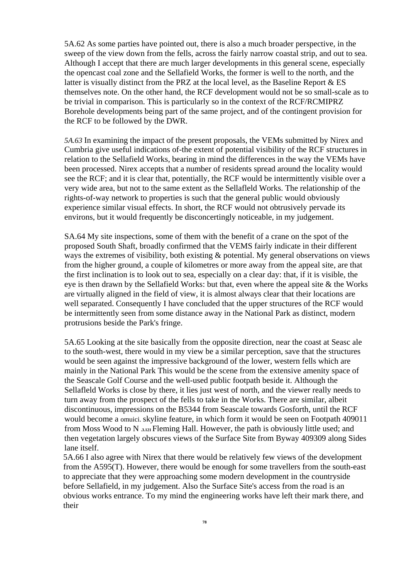5A.62 As some parties have pointed out, there is also a much broader perspective, in the sweep of the view down from the fells, across the fairly narrow coastal strip, and out to sea. Although I accept that there are much larger developments in this general scene, especially the opencast coal zone and the Sellafield Works, the former is well to the north, and the latter is visually distinct from the PRZ at the local level, as the Baseline Report & ES themselves note. On the other hand, the RCF development would not be so small-scale as to be trivial in comparison. This is particularly so in the context of the RCF/RCMIPRZ Borehole developments being part of the same project, and of the contingent provision for the RCF to be followed by the DWR.

*5A.63* In examining the impact of the present proposals, the VEMs submitted by Nirex and Cumbria give useful indications of-the extent of potential visibility of the RCF structures in relation to the Sellafield Works, bearing in mind the differences in the way the VEMs have been processed. Nirex accepts that a number of residents spread around the locality would see the RCF; and it is clear that, potentially, the RCF would be intermittently visible over a very wide area, but not to the same extent as the Sellafleld Works. The relationship of the rights-of-way network to properties is such that the general public would obviously experience similar visual effects. In short, the RCF would not obtrusively pervade its environs, but it would frequently be disconcertingly noticeable, in my judgement.

SA.64 My site inspections, some of them with the benefit of a crane on the spot of the proposed South Shaft, broadly confirmed that the VEMS fairly indicate in their different ways the extremes of visibility, both existing & potential. My general observations on views from the higher ground, a couple of kilometres or more away from the appeal site, are that the first inclination is to look out to sea, especially on a clear day: that, if it is visible, the eye is then drawn by the Sellafield Works: but that, even where the appeal site & the Works are virtually aligned in the field of view, it is almost always clear that their locations are well separated. Consequently I have concluded that the upper structures of the RCF would be intermittently seen from some distance away in the National Park as distinct, modern protrusions beside the Park's fringe.

5A.65 Looking at the site basically from the opposite direction, near the coast at Seasc ale to the south-west, there would in my view be a similar perception, save that the structures would be seen against the impressive background of the lower, western fells which are mainly in the National Park This would be the scene from the extensive amenity space of the Seascale Golf Course and the well-used public footpath beside it. Although the Sellafleld Works is close by there, it lies just west of north, and the viewer really needs to turn away from the prospect of the fells to take in the Works. There are similar, albeit discontinuous, impressions on the B5344 from Seascale towards Gosforth, until the RCF would become a omuici. skyline feature, in which form it would be seen on Footpath 409011 from Moss Wood to N **.3.121** Fleming Hall. However, the path is obviously little used; and then vegetation largely obscures views of the Surface Site from Byway 409309 along Sides lane itself.

5A.66 I also agree with Nirex that there would be relatively few views of the development from the A595(T). However, there would be enough for some travellers from the south-east to appreciate that they were approaching some modern development in the countryside before Sellafield, in my judgement. Also the Surface Site's access from the road is an obvious works entrance. To my mind the engineering works have left their mark there, and their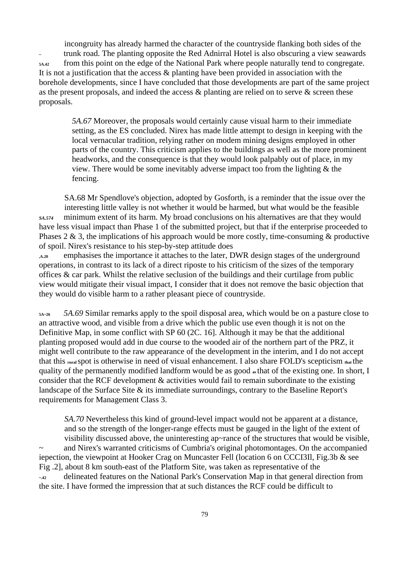incongruity has already harmed the character of the countryside flanking both sides of the **<sup>~</sup>**trunk road. The planting opposite the Red Adnirral Hotel is also obscuring a view seawards **5A.42** from this point on the edge of the National Park where people naturally tend to congregate. It is not a justification that the access & planting have been provided in association with the borehole developments, since I have concluded that those developments are part of the same project as the present proposals, and indeed the access & planting are relied on to serve & screen these proposals.

> *5A.67* Moreover, the proposals would certainly cause visual harm to their immediate setting, as the ES concluded. Nirex has made little attempt to design in keeping with the local vernacular tradition, relying rather on modem mining designs employed in other parts of the country. This criticism applies to the buildings as well as the more prominent headworks, and the consequence is that they would look palpably out of place, in my view. There would be some inevitably adverse impact too from the lighting & the fencing.

SA.68 Mr Spendlove's objection, adopted by Gosforth, is a reminder that the issue over the interesting little valley is not whether it would be harmed, but what would be the feasible *SA.574* minimum extent of its harm. My broad conclusions on his alternatives are that they would have less visual impact than Phase 1 of the submitted project, but that if the enterprise proceeded to Phases 2  $\&$  3, the implications of his approach would be more costly, time-consuming  $\&$  productive of spoil. Nirex's resistance to his step-by-step attitude does

**,A.20** emphasises the importance it attaches to the later, DWR design stages of the underground operations, in contrast to its lack of a direct riposte to his criticism of the sizes of the temporary offices & car park. Whilst the relative seclusion of the buildings and their curtilage from public view would mitigate their visual impact, I consider that it does not remove the basic objection that they would do visible harm to a rather pleasant piece of countryside.

**5A~26** *5A.69* Similar remarks apply to the spoil disposal area, which would be on a pasture close to an attractive wood, and visible from a drive which the public use even though it is not on the Definitive Map, in some conflict with SP 60 (2C. 16]. Although it may be that the additional planting proposed would add in due course to the wooded air of the northern part of the PRZ, it might well contribute to the raw appearance of the development in the interim, and I do not accept that this **rural** spot is otherwise in need of visual enhancement. I also share FOLD's scepticism **that** the quality of the permanently modified landform would be as good **as** that of the existing one. In short, I consider that the RCF development & activities would fail to remain subordinate to the existing landscape of the Surface Site & its immediate surroundings, contrary to the Baseline Report's requirements for Management Class 3.

*SA.70* Nevertheless this kind of ground-level impact would not be apparent at a distance, and so the strength of the longer-range effects must be gauged in the light of the extent of visibility discussed above, the uninteresting ap~rance of the structures that would be visible, ~ and Nirex's warranted criticisms of Cumbria's original photomontages. On the accompanied iepection, the viewpoint at Hooker Crag on Muncaster Fell (location 6 on CCCI3Il, Fig.3b & see Fig .2], about 8 km south-east of the Platform Site, was taken as representative of the **~.42** delineated features on the National Park's Conservation Map in that general direction from the site. I have formed the impression that at such distances the RCF could be difficult to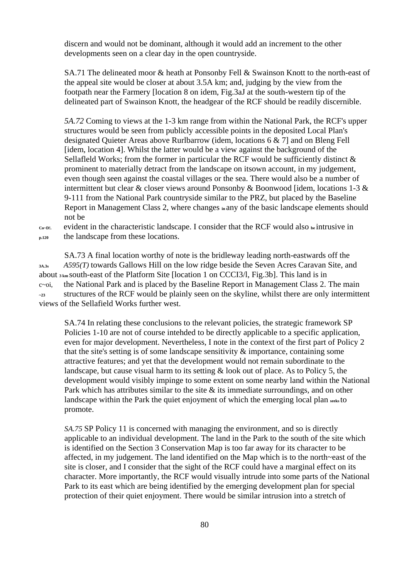discern and would not be dominant, although it would add an increment to the other developments seen on a clear day in the open countryside.

SA.71 The delineated moor & heath at Ponsonby Fell & Swainson Knott to the north-east of the appeal site would be closer at about 3.5A km; and, judging by the view from the footpath near the Farmery [location 8 on idem, Fig.3aJ at the south-western tip of the delineated part of Swainson Knott, the headgear of the RCF should be readily discernible.

*5A.72* Coming to views at the 1-3 km range from within the National Park, the RCF's upper structures would be seen from publicly accessible points in the deposited Local Plan's designated Quieter Areas above Rurlbarrow (idem, locations 6 & 7] and on Bleng Fell [idem, location 4]. Whilst the latter would be a view against the background of the Sellafleld Works; from the former in particular the RCF would be sufficiently distinct  $\&$ prominent to materially detract from the landscape on itsown account, in my judgement, even though seen against the coastal villages or the sea. There would also be a number of intermittent but clear & closer views around Ponsonby & Boonwood [idem, locations 1-3 & 9-111 from the National Park countryside similar to the PRZ, but placed by the Baseline Report in Management Class 2, where changes **in** any of the basic landscape elements should not be

**Co~D!.** evident in the characteristic landscape. I consider that the RCF would also **be** intrusive in **p.120** the landscape from these locations.

SA.73 A final location worthy of note is the bridleway leading north-eastwards off the **3A.3s** *A595(T)* towards Gallows Hill on the low ridge beside the Seven Acres Caravan Site, and about **3 km** south-east of the Platform Site [location 1 on CCCI3/l, Fig.3b]. This land is in  $c$ -oi, the National Park and is placed by the Baseline Report in Management Class 2. The main **~23** structures of the RCF would be plainly seen on the skyline, whilst there are only intermittent views of the Sellafield Works further west.

SA.74 In relating these conclusions to the relevant policies, the strategic framework SP Policies 1-10 are not of course intehded to be directly applicable to a specific application, even for major development. Nevertheless, I note in the context of the first part of Policy 2 that the site's setting is of some landscape sensitivity  $\&$  importance, containing some attractive features; and yet that the development would not remain subordinate to the landscape, but cause visual harm to its setting & look out of place. As to Policy 5, the development would visibly impinge to some extent on some nearby land within the National Park which has attributes similar to the site  $\&$  its immediate surroundings, and on other landscape within the Park the quiet enjoyment of which the emerging local plan **seeks** to promote.

*SA.75* SP Policy 11 is concerned with managing the environment, and so is directly applicable to an individual development. The land in the Park to the south of the site which is identified on the Section 3 Conservation Map is too far away for its character to be affected, in my judgement. The land identified on the Map which is to the north~east of the site is closer, and I consider that the sight of the RCF could have a marginal effect on its character. More importantly, the RCF would visually intrude into some parts of the National Park to its east which are being identified by the emerging development plan for special protection of their quiet enjoyment. There would be similar intrusion into a stretch of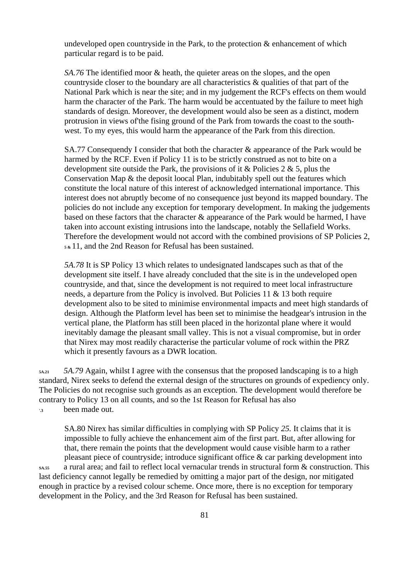undeveloped open countryside in the Park, to the protection  $\&$  enhancement of which particular regard is to be paid.

*SA.76* The identified moor & heath, the quieter areas on the slopes, and the open countryside closer to the boundary are all characteristics & qualities of that part of the National Park which is near the site; and in my judgement the RCF's effects on them would harm the character of the Park. The harm would be accentuated by the failure to meet high standards of design. Moreover, the development would also be seen as a distinct, modern protrusion in views of'the fising ground of the Park from towards the coast to the southwest. To my eyes, this would harm the appearance of the Park from this direction.

SA.77 Consequendy I consider that both the character & appearance of the Park would be harmed by the RCF. Even if Policy 11 is to be strictly construed as not to bite on a development site outside the Park, the provisions of it  $&$  Policies 2  $&$  5, plus the Conservation Map & the deposit loocal Plan, indubitably spell out the features which constitute the local nature of this interest of acknowledged international importance. This interest does not abruptly become of no consequence just beyond its mapped boundary. The policies do not include any exception for temporary development. In making the judgements based on these factors that the character & appearance of the Park would be harmed, I have taken into account existing intrusions into the landscape, notably the Sellafield Works. Therefore the development would not accord with the combined provisions of SP Policies 2, **5 &** 11, and the 2nd Reason for Refusal has been sustained.

*5A.78* It is SP Policy 13 which relates to undesignated landscapes such as that of the development site itself. I have already concluded that the site is in the undeveloped open countryside, and that, since the development is not required to meet local infrastructure needs, a departure from the Policy is involved. But Policies 11 & 13 both require development also to be sited to minimise environmental impacts and meet high standards of design. Although the Platform level has been set to minimise the headgear's intrusion in the vertical plane, the Platform has still been placed in the horizontal plane where it would inevitably damage the pleasant small valley. This is not a visual compromise, but in order that Nirex may most readily characterise the particular volume of rock within the PRZ which it presently favours as a DWR location.

**5A.21** *5A.79* Again, whilst I agree with the consensus that the proposed landscaping is to a high standard, Nirex seeks to defend the external design of the structures on grounds of expediency only. The Policies do not recognise such grounds as an exception. The development would therefore be contrary to Policy 13 on all counts, and so the 1st Reason for Refusal has also **'.3** been made out.

SA.80 Nirex has similar difficulties in complying with SP Policy *25.* It claims that it is impossible to fully achieve the enhancement aim of the first part. But, after allowing for that, there remain the points that the development would cause visible harm to a rather pleasant piece of countryside; introduce significant office & car parking development into **SA.55** a rural area; and fail to reflect local vernacular trends in structural form & construction. This last deficiency cannot legally be remedied by omitting a major part of the design, nor mitigated enough in practice by a revised colour scheme. Once more, there is no exception for temporary development in the Policy, and the 3rd Reason for Refusal has been sustained.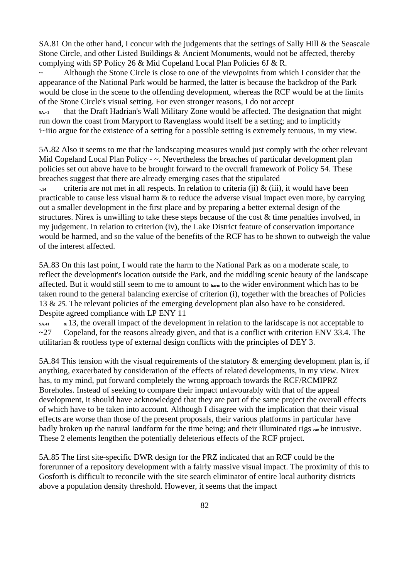SA.81 On the other hand, I concur with the judgements that the settings of Sally Hill & the Seascale Stone Circle, and other Listed Buildings & Ancient Monuments, would not be affected, thereby complying with SP Policy 26 & Mid Copeland Local Plan Policies 6J & R.

~ Although the Stone Circle is close to one of the viewpoints from which I consider that the appearance of the National Park would be harmed, the latter is because the backdrop of the Park would be close in the scene to the offending development, whereas the RCF would be at the limits of the Stone Circle's visual setting. For even stronger reasons, I do not accept

**5A.~1** that the Draft Hadrian's Wall Military Zone would be affected. The designation that might run down the coast from Maryport to Ravenglass would itself be a setting; and to implicitly i~iiio argue for the existence of a setting for a possible setting is extremely tenuous, in my view.

5A.82 Also it seems to me that the landscaping measures would just comply with the other relevant Mid Copeland Local Plan Policy -  $\sim$ . Nevertheless the breaches of particular development plan policies set out above have to be brought forward to the ovcrall framework of Policy 54. These breaches suggest that there are already emerging cases that the stipulated

**~.14** criteria are not met in all respects. In relation to criteria (ji) & (iii), it would have been practicable to cause less visual harm & to reduce the adverse visual impact even more, by carrying out a smaller development in the first place and by preparing a better external design of the structures. Nirex is unwilling to take these steps because of the cost & time penalties involved, in my judgement. In relation to criterion (iv), the Lake District feature of conservation importance would be harmed, and so the value of the benefits of the RCF has to be shown to outweigh the value of the interest affected.

5A.83 On this last point, I would rate the harm to the National Park as on a moderate scale, to reflect the development's location outside the Park, and the middling scenic beauty of the landscape affected. But it would still seem to me to amount to **harm** to the wider environment which has to be taken round to the general balancing exercise of criterion (i), together with the breaches of Policies 13 & *25.* The relevant policies of the emerging development plan also have to be considered. Despite agreed compliance with LP ENY 11

**SA.41 &** 13, the overall impact of the development in relation to the laridscape is not acceptable to  $\sim$ 27 Copeland, for the reasons already given, and that is a conflict with criterion ENV 33.4. The utilitarian & rootless type of external design conflicts with the principles of DEY 3.

5A.84 This tension with the visual requirements of the statutory & emerging development plan is, if anything, exacerbated by consideration of the effects of related developments, in my view. Nirex has, to my mind, put forward completely the wrong approach towards the RCF/RCMIPRZ Boreholes. Instead of seeking to compare their impact unfavourably with that of the appeal development, it should have acknowledged that they are part of the same project the overall effects of which have to be taken into account. Although I disagree with the implication that their visual effects are worse than those of the present proposals, their various platforms in particular have badly broken up the natural Iandform for the time being; and their illuminated rigs **can** be intrusive. These 2 elements lengthen the potentially deleterious effects of the RCF project.

5A.85 The first site-specific DWR design for the PRZ indicated that an RCF could be the forerunner of a repository development with a fairly massive visual impact. The proximity of this to Gosforth is difficult to reconcile with the site search eliminator of entire local authority districts above a population density threshold. However, it seems that the impact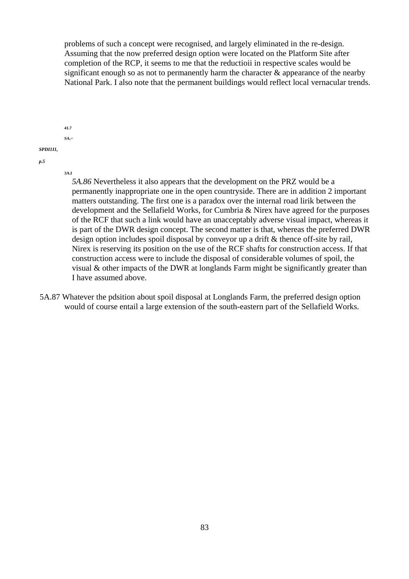problems of such a concept were recognised, and largely eliminated in the re-design. Assuming that the now preferred design option were located on the Platform Site after completion of the RCP, it seems to me that the reductioii in respective scales would be significant enough so as not to permanently harm the character & appearance of the nearby National Park. I also note that the permanent buildings would reflect local vernacular trends.

**41.7 SA.~** 

*SPDI1I1,* 

*p.5* 

**3A.I** 

*5A.86* Nevertheless it also appears that the development on the PRZ would be a permanently inappropriate one in the open countryside. There are in addition 2 important matters outstanding. The first one is a paradox over the internal road lirik between the development and the Sellafield Works, for Cumbria & Nirex have agreed for the purposes of the RCF that such a link would have an unacceptably adverse visual impact, whereas it is part of the DWR design concept. The second matter is that, whereas the preferred DWR design option includes spoil disposal by conveyor up a drift & thence off-site by rail, Nirex is reserving its position on the use of the RCF shafts for construction access. If that construction access were to include the disposal of considerable volumes of spoil, the visual & other impacts of the DWR at longlands Farm might be significantly greater than I have assumed above.

5A.87 Whatever the pdsition about spoil disposal at Longlands Farm, the preferred design option would of course entail a large extension of the south-eastern part of the Sellafield Works.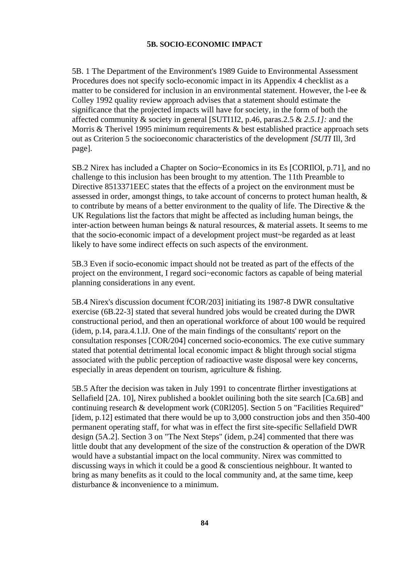## **5B. SOCIO-ECONOMIC IMPACT**

5B. 1 The Department of the Environment's 1989 Guide to Environmental Assessment Procedures does not specify soclo-economic impact in its Appendix 4 checklist as a matter to be considered for inclusion in an environmental statement. However, the l-ee  $\&$ Colley 1992 quality review approach advises that a statement should estimate the significance that the projected impacts will have for society, in the form of both the affected community & society in general [SUTI1I2, p.46, paras.2.5 & *2.5.1]:* and the Morris & Therivel 1995 minimum requirements & best established practice approach sets out as Criterion 5 the socioeconomic characteristics of the development *[SUTI* Ill, 3rd page].

SB.2 Nirex has included a Chapter on Socio~Economics in its Es [CORIlOl, p.71], and no challenge to this inclusion has been brought to my attention. The 11th Preamble to Directive 8513371EEC states that the effects of a project on the environment must be assessed in order, amongst things, to take account of concerns to protect human health, & to contribute by means of a better environment to the quality of life. The Directive & the UK Regulations list the factors that might be affected as including human beings, the inter-action between human beings & natural resources, & material assets. It seems to me that the socio-economic impact of a development project must~be regarded as at least likely to have some indirect effects on such aspects of the environment.

5B.3 Even if socio-economic impact should not be treated as part of the effects of the project on the environment, I regard soci~economic factors as capable of being material planning considerations in any event.

5B.4 Nirex's discussion document fCOR/203] initiating its 1987-8 DWR consultative exercise (6B.22-3] stated that several hundred jobs would be created during the DWR constructional period, and then an operational workforce of about 100 would be required (idem, p.14, para.4.1.lJ. One of the main findings of the consultants' report on the consultation responses [COR/204] concerned socio-economics. The exe cutive summary stated that potential detrimental local economic impact & blight through social stigma associated with the public perception of radioactive waste disposal were key concerns, especially in areas dependent on tourism, agriculture & fishing.

5B.5 After the decision was taken in July 1991 to concentrate flirther investigations at Sellafield [2A. 10], Nirex published a booklet ouilining both the site search [Ca.6B] and continuing research & development work (C0Rl205]. Section 5 on "Facilities Required" [idem, p.12] estimated that there would be up to 3,000 construction jobs and then 350-400 permanent operating staff, for what was in effect the first site-specific Sellafield DWR design (5A.2]. Section 3 on "The Next Steps" (idem, p.24] commented that there was little doubt that any development of the size of the construction  $\&$  operation of the DWR would have a substantial impact on the local community. Nirex was committed to discussing ways in which it could be a good & conscientious neighbour. It wanted to bring as many benefits as it could to the local community and, at the same time, keep disturbance & inconvenience to a minimum.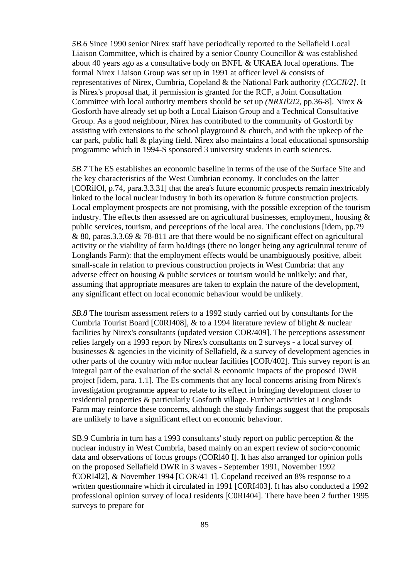*5B.6* Since 1990 senior Nirex staff have periodically reported to the Sellafield Local Liaison Committee, which is chaired by a senior County Councillor & was established about 40 years ago as a consultative body on BNFL & UKAEA local operations. The formal Nirex Liaison Group was set up in 1991 at officer level & consists of representatives of Nirex, Cumbria, Copeland & the National Park authority *(CCCIl/2].* It is Nirex's proposal that, if permission is granted for the RCF, a Joint Consultation Committee with local authority members should be set up *(NRXIl2I2,* pp.36-8]. Nirex & Gosforth have already set up both a Local Liaison Group and a Technical Consultative Group. As a good neighbour, Nirex has contributed to the community of Gosfortli by assisting with extensions to the school playground & church, and with the upkeep of the car park, public hall & playing field. Nirex also maintains a local educational sponsorship programme which in 1994-S sponsored 3 university students in earth sciences.

*5B.7* The ES establishes an economic baseline in terms of the use of the Surface Site and the key characteristics of the West Cumbrian economy. It concludes on the latter [CORilOl, p.74, para.3.3.31] that the area's future economic prospects remain inextricably linked to the local nuclear industry in both its operation & future construction projects. Local employment prospects are not promising, with the possible exception of the tourism industry. The effects then assessed are on agricultural businesses, employment, housing  $\&$ public services, tourism, and perceptions of the local area. The conclusions [idem, pp.79 & 80, paras.3.3.69 & 78-811 are that there would be no significant effect on agricultural activity or the viability of farm hoJdings (there no longer being any agricultural tenure of Longlands Farm): that the employment effects would be unambiguously positive, albeit small-scale in relation to previous construction projects in West Cumbria: that any adverse effect on housing & public services or tourism would be unlikely: and that, assuming that appropriate measures are taken to explain the nature of the development, any significant effect on local economic behaviour would be unlikely.

*SB.8* The tourism assessment refers to a 1992 study carried out by consultants for the Cumbria Tourist Board [C0RI408], & to a 1994 literature review of blight & nuclear facilities by Nirex's consultants (updated version COR/409]. The perceptions assessment relies largely on a 1993 report by Nirex's consultants on 2 surveys - a local survey of businesses  $\&$  agencies in the vicinity of Sellafield,  $\&$  a survey of development agencies in other parts of the country with m4or nuclear facilities [COR/402]. This survey report is an integral part of the evaluation of the social  $\&$  economic impacts of the proposed DWR project [idem, para. 1.1]. The Es comments that any local concerns arising from Nirex's investigation programme appear to relate to its effect in bringing development closer to residential properties & particularly Gosforth village. Further activities at Longlands Farm may reinforce these concerns, although the study findings suggest that the proposals are unlikely to have a significant effect on economic behaviour.

SB.9 Cumbria in turn has a 1993 consultants' study report on public perception & the nuclear industry in West Cumbria, based mainly on an expert review of socio~conomic data and observations of focus groups (CORl40 I]. It has also arranged for opinion polls on the proposed Sellafield DWR in 3 waves - September 1991, November 1992 fCORI4l2], & November 1994 [C OR/41 1]. Copeland received an 8% response to a written questionnaire which it circulated in 1991 [C0RI403]. It has also conducted a 1992 professional opinion survey of locaJ residents [C0RI404]. There have been 2 further 1995 surveys to prepare for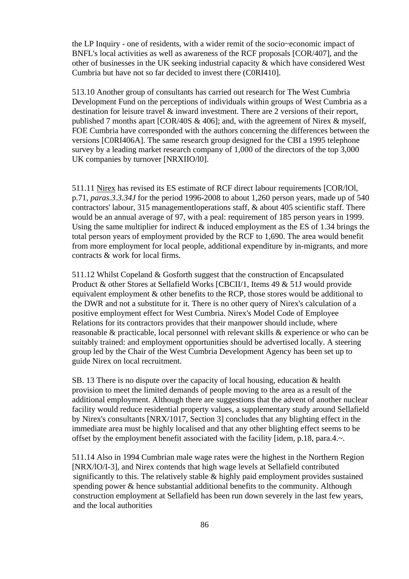the LP Inquiry - one of residents, with a wider remit of the socio~economic impact of BNFL's local activities as well as awareness of the RCF proposals [COR/407], and the other of businesses in the UK seeking industrial capacity & which have considered West Cumbria but have not so far decided to invest there (C0RI410].

513.10 Another group of consultants has carried out research for The West Cumbria Development Fund on the perceptions of individuals within groups of West Cumbria as a destination for leisure travel & inward investment. There are 2 versions of their report, published 7 months apart [COR/40S & 406]; and, with the agreement of Nirex & myself, FOE Cumbria have corresponded with the authors concerning the differences between the versions [C0RI406A]. The same research group designed for the CBI a 1995 telephone survey by a leading market research company of 1,000 of the directors of the top 3,000 UK companies by turnover [NRXIIO/l0].

511.11 Nirex has revised its ES estimate of RCF direct labour requirements [COR/lOl, p.71, *paras.3.3.34J* for the period 1996-2008 to about 1,260 person years, made up of 540 contractors' labour, 315 managementloperations staff, & about 405 scientific staff. There would be an annual average of 97, with a peal: requirement of 185 person years in 1999. Using the same multiplier for indirect  $\&$  induced employment as the ES of 1.34 brings the total person years of employment provided by the RCF to 1,690. The area would benefit from more employment for local people, additional expenditure by in-migrants, and more contracts & work for local firms.

511.12 Whilst Copeland & Gosforth suggest that the construction of Encapsulated Product & other Stores at Sellafield Works [CBCII/1, Items 49 & 51J would provide equivalent employment & other benefits to the RCP, those stores would be additional to the DWR and not a substitute for it. There is no other query of Nirex's calculation of a positive employment effect for West Cumbria. Nirex's Model Code of Employee Relations for its contractors provides that their manpower should include, where reasonable & practicable, local personnel with relevant skills & experience or who can be suitably trained: and employment opportunities should be advertised locally. A steering group led by the Chair of the West Cumbria Development Agency has been set up to guide Nirex on local recruitment.

SB. 13 There is no dispute over the capacity of local housing, education & health provision to meet the limited demands of people moving to the area as a result of the additional employment. Although there are suggestions that the advent of another nuclear facility would reduce residential property values, a supplementary study around Sellafield by Nirex's consultants [NRX/1017, Section 3] concludes that any blighting effect in the immediate area must be highly localised and that any other blighting effect seems to be offset by the employment benefit associated with the facility [idem, p.18, para.4.~.

511.14 Also in 1994 Cumbrian male wage rates were the highest in the Northern Region [NRX/lO/I-3], and Nirex contends that high wage levels at Sellafield contributed significantly to this. The relatively stable & highly paid employment provides sustained spending power & hence substantial additional benefits to the community. Although construction employment at Sellafield has been run down severely in the last few years, and the local authorities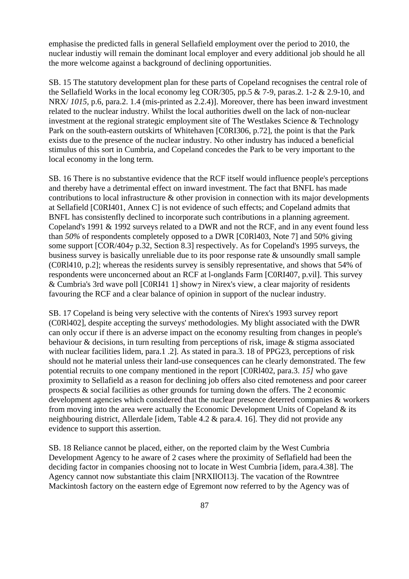emphasise the predicted falls in general Sellafield employment over the period to 2010, the nuclear industiy will remain the dominant local employer and every additional job should he all the more welcome against a background of declining opportunities.

SB. 15 The statutory development plan for these parts of Copeland recognises the central role of the Sellafield Works in the local economy leg COR/305, pp.5 & 7-9, paras.2. 1-2 & 2.9-10, and NRX/ *1015,* p.6, para.2. 1.4 (mis-printed as 2.2.4)]. Moreover, there has been inward investment related to the nuclear industry. Whilst the local authorities dwell on the lack of non-nuclear investment at the regional strategic employment site of The Westlakes Science & Technology Park on the south-eastern outskirts of Whitehaven [C0RI306, p.72], the point is that the Park exists due to the presence of the nuclear industry. No other industry has induced a beneficial stimulus of this sort in Cumbria, and Copeland concedes the Park to be very important to the local economy in the long term.

SB. 16 There is no substantive evidence that the RCF itself would influence people's perceptions and thereby have a detrimental effect on inward investment. The fact that BNFL has made contributions to local infrastructure & other provision in connection with its major developments at Sellafield [C0RI401, Annex C] is not evidence of such effects; and Copeland admits that BNFL has consistenfly declined to incorporate such contributions in a planning agreement. Copeland's 1991 & 1992 surveys related to a DWR and not the RCF, and in any event found less than *50%* of respondents completely opposed to a DWR [C0Rl403, Note 7] and 50% giving some support [COR/4047 p.32, Section 8.3] respectively. As for Copeland's 1995 surveys, the business survey is basically unreliable due to its poor response rate & unsoundly small sample (C0Rl410, p.2]; whereas the residents survey is sensibly representative, and shows that 54% of respondents were unconcerned about an RCF at l-onglands Farm [C0RI407, p.vil]. This survey & Cumbria's 3rd wave poll  $[CORI41 1]$  show $7$  in Nirex's view, a clear majority of residents favouring the RCF and a clear balance of opinion in support of the nuclear industry.

SB. 17 Copeland is being very selective with the contents of Nirex's 1993 survey report (C0Rl402], despite accepting the surveys' methodologies. My blight associated with the DWR can only occur if there is an adverse impact on the economy resulting from changes in people's behaviour & decisions, in turn resulting from perceptions of risk, image & stigma associated with nuclear facilities lidem, para.1 .2]. As stated in para.3. 18 of PPG23, perceptions of risk should not he material unless their land-use consequences can he clearly demonstrated. The few potential recruits to one company mentioned in the report [C0Rl402, para.3. *15]* who gave proximity to Sellafield as a reason for declining job offers also cited remoteness and poor career prospects & social facilities as other grounds for turning down the offers. The 2 economic development agencies which considered that the nuclear presence deterred companies & workers from moving into the area were actually the Economic Development Units of Copeland  $\&$  its neighbouring district, Allerdale [idem, Table 4.2 & para.4. 16]. They did not provide any evidence to support this assertion.

SB. 18 Reliance cannot be placed, either, on the reported claim by the West Cumbria Development Agency to he aware of 2 cases where the proximity of Seflafield had been the deciding factor in companies choosing not to locate in West Cumbria [idem, para.4.38]. The Agency cannot now substantiate this claim [NRXIlOI13j. The vacation of the Rowntree Mackintosh factory on the eastern edge of Egremont now referred to by the Agency was of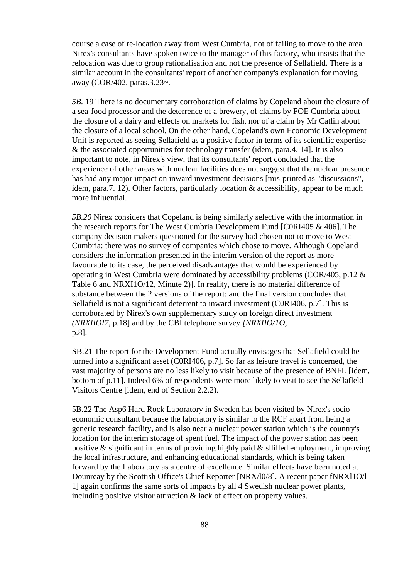course a case of re-location away from West Cumbria, not of failing to move to the area. Nirex's consultants have spoken twice to the manager of this factory, who insists that the relocation was due to group rationalisation and not the presence of Sellafield. There is a similar account in the consultants' report of another company's explanation for moving away (COR/402, paras.3.23~.

*5B.* 19 There is no documentary corroboration of claims by Copeland about the closure of a sea-food processor and the deterrence of a brewery, of claims by FOE Cumbria about the closure of a dairy and effects on markets for fish, nor of a claim by Mr Catlin about the closure of a local school. On the other hand, Copeland's own Economic Development Unit is reported as seeing Sellafield as a positive factor in terms of its scientific expertise & the associated opportunities for technology transfer (idem, para.4. 14]. It is also important to note, in Nirex's view, that its consultants' report concluded that the experience of other areas with nuclear facilities does not suggest that the nuclear presence has had any major impact on inward investment decisions [mis-printed as "discussions", idem, para.7. 12). Other factors, particularly location & accessibility, appear to be much more influential.

*5B.20* Nirex considers that Copeland is being similarly selective with the information in the research reports for The West Cumbria Development Fund [C0RI405 & 406]. The company decision makers questioned for the survey had chosen not to move to West Cumbria: there was no survey of companies which chose to move. Although Copeland considers the information presented in the interim version of the report as more favourable to its case, the perceived disadvantages that would be experienced by operating in West Cumbria were dominated by accessibility problems (COR/405, p.12 & Table 6 and NRXI1O/12, Minute 2)]. In reality, there is no material difference of substance between the 2 versions of the report: and the final version concludes that Sellafield is not a significant deterrent to inward investment (C0RI406, p.7]. This is corroborated by Nirex's own supplementary study on foreign direct investment *(NRXIIOI7,* p.18] and by the CBI telephone survey *[NRXIIO/1O,*  p.8].

SB.21 The report for the Development Fund actually envisages that Sellafield could he turned into a significant asset (C0RI406, p.7]. So far as leisure travel is concerned, the vast majority of persons are no less likely to visit because of the presence of BNFL [idem, bottom of p.11]. Indeed 6% of respondents were more likely to visit to see the Sellafleld Visitors Centre [idem, end of Section 2.2.2).

5B.22 The Asp6 Hard Rock Laboratory in Sweden has been visited by Nirex's socioeconomic consultant because the laboratory is similar to the RCF apart from heing a generic research facility, and is also near a nuclear power station which is the country's location for the interim storage of spent fuel. The impact of the power station has been positive & significant in terms of providing highly paid & sllilled employment, improving the local infrastructure, and enhancing educational standards, which is being taken forward by the Laboratory as a centre of excellence. Similar effects have been noted at Dounreay by the Scottish Office's Chief Reporter [NRX/l0/8]. A recent paper fNRXl1O/l 1] again confirms the same sorts of impacts by all 4 Swedish nuclear power plants, including positive visitor attraction  $\&$  lack of effect on property values.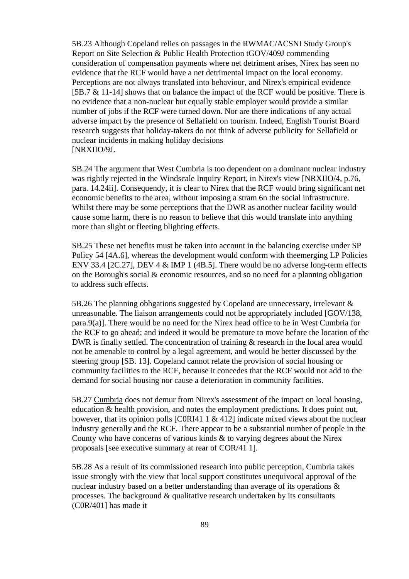5B.23 Although Copeland relies on passages in the RWMAC/ACSNI Study Group's Report on Site Selection & Public Health Protection tGOV/409J commending consideration of compensation payments where net detriment arises, Nirex has seen no evidence that the RCF would have a net detrimental impact on the local economy. Perceptions are not always translated into behaviour, and Nirex's empirical evidence [5B.7  $& 11-14$ ] shows that on balance the impact of the RCF would be positive. There is no evidence that a non-nuclear but equally stable employer would provide a similar number of jobs if the RCF were turned down. Nor are there indications of any actual adverse impact by the presence of Sellafield on tourism. Indeed, English Tourist Board research suggests that holiday-takers do not think of adverse publicity for Sellafield or nuclear incidents in making holiday decisions [NRXIIO/9J.

SB.24 The argument that West Cumbria is too dependent on a dominant nuclear industry was rightly rejected in the Windscale Inquiry Report, in Nirex's view [NRXIIO/4, p.76, para. 14.24ii]. Consequendy, it is clear to Nirex that the RCF would bring significant net economic benefits to the area, without imposing a stram 6n the social infrastructure. Whilst there may be some perceptions that the DWR as another nuclear facility would cause some harm, there is no reason to believe that this would translate into anything more than slight or fleeting blighting effects.

SB.25 These net benefits must be taken into account in the balancing exercise under SP Policy 54 [4A.6], whereas the development would conform with theemerging LP Policies ENV 33.4 [2C.27], DEV 4 & IMP 1 (4B.5]. There would be no adverse long-term effects on the Borough's social & economic resources, and so no need for a planning obligation to address such effects.

5B.26 The planning obhgations suggested by Copeland are unnecessary, irrelevant & unreasonable. The liaison arrangements could not be appropriately included [GOV/138, para.9(a)]. There would be no need for the Nirex head office to be in West Cumbria for the RCF to go ahead; and indeed it would be premature to move before the location of the DWR is finally settled. The concentration of training  $\&$  research in the local area would not be amenable to control by a legal agreement, and would be better discussed by the steering group [SB. 13]. Copeland cannot relate the provision of social housing or community facilities to the RCF, because it concedes that the RCF would not add to the demand for social housing nor cause a deterioration in community facilities.

5B.27 Cumbria does not demur from Nirex's assessment of the impact on local housing, education & health provision, and notes the employment predictions. It does point out, however, that its opinion polls [C0RI41 1  $\&$  412] indicate mixed views about the nuclear industry generally and the RCF. There appear to be a substantial number of people in the County who have concerns of various kinds & to varying degrees about the Nirex proposals [see executive summary at rear of COR/41 1].

5B.28 As a result of its commissioned research into public perception, Cumbria takes issue strongly with the view that local support constitutes unequivocal approval of the nuclear industry based on a better understanding than average of its operations & processes. The background & qualitative research undertaken by its consultants (C0R/401] has made it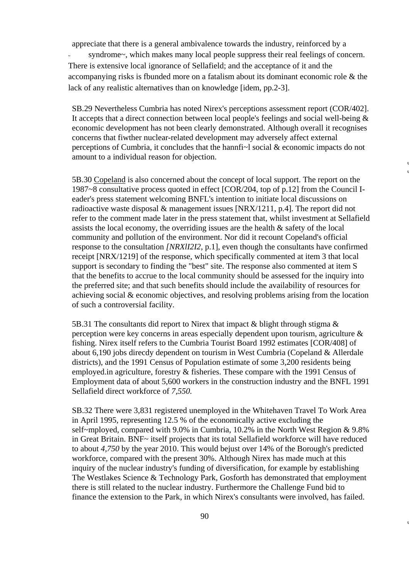appreciate that there is a general ambivalence towards the industry, reinforced by a **<sup>~</sup>**syndrome~, which makes many local people suppress their real feelings of concern. There is extensive local ignorance of Sellafield; and the acceptance of it and the accompanying risks is fbunded more on a fatalism about its dominant economic role & the lack of any realistic alternatives than on knowledge [idem, pp.2-3].

SB.29 Nevertheless Cumbria has noted Nirex's perceptions assessment report (COR/402]. It accepts that a direct connection between local people's feelings and social well-being  $\&$ economic development has not been clearly demonstrated. Although overall it recognises concerns that fiwther nuclear-related development may adversely affect external perceptions of Cumbria, it concludes that the hannfi~l social & economic impacts do not amount to a individual reason for objection.

> **U U**

> **U**

5B.30 Copeland is also concerned about the concept of local support. The report on the 1987~8 consultative process quoted in effect [COR/204, top of p.12] from the Council Ieader's press statement welcoming BNFL's intention to initiate local discussions on radioactive waste disposal & management issues [NRX/1211, p.4]. The report did not refer to the comment made later in the press statement that, whilst investment at Sellafield assists the local economy, the overriding issues are the health & safety of the local community and pollution of the environment. Nor did it recount Copeland's official response to the consultation *[NRXlI2I2,* p.1], even though the consultants have confirmed receipt [NRX/1219] of the response, which specifically commented at item 3 that local support is secondary to finding the "best" site. The response also commented at item S that the benefits to accrue to the local community should be assessed for the inquiry into the preferred site; and that such benefits should include the availability of resources for achieving social & economic objectives, and resolving problems arising from the location of such a controversial facility.

5B.31 The consultants did report to Nirex that impact  $\&$  blight through stigma  $\&$ perception were key concerns in areas especially dependent upon tourism, agriculture & fishing. Nirex itself refers to the Cumbria Tourist Board 1992 estimates [COR/408] of about 6,190 jobs direcdy dependent on tourism in West Cumbria (Copeland & Allerdale districts), and the 1991 Census of Population estimate of some 3,200 residents being employed.in agriculture, forestry & fisheries. These compare with the 1991 Census of Employment data of about 5,600 workers in the construction industry and the BNFL 1991 Sellafield direct workforce of *7,550.* 

SB.32 There were 3,831 registered unemployed in the Whitehaven Travel To Work Area in April 1995, representing 12.5 % of the economically active excluding the self~mployed, compared with 9.0% in Cumbria, 10.2% in the North West Region & 9.8% in Great Britain. BNF~ itself projects that its total Sellafield workforce will have reduced to about *4,750* by the year 2010. This would bejust over 14% of the Borough's predicted workforce, compared with the present 30%. Although Nirex has made much at this inquiry of the nuclear industry's funding of diversification, for example by establishing The Westlakes Science & Technology Park, Gosforth has demonstrated that employment there is still related to the nuclear industry. Furthermore the Challenge Fund bid to finance the extension to the Park, in which Nirex's consultants were involved, has failed.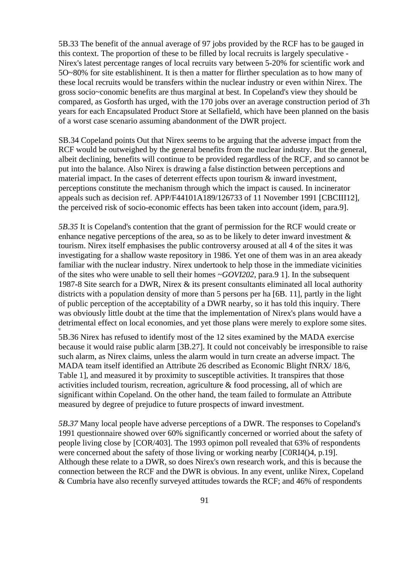5B.33 The benefit of the annual average of 97 jobs provided by the RCF has to be gauged in this context. The proportion of these to be filled by local recruits is largely speculative - Nirex's latest percentage ranges of local recruits vary between 5-20% for scientific work and 5O~80% for site establishinent. It is then a matter for flirther speculation as to how many of these local recruits would be transfers within the nuclear industry or even within Nirex. The gross socio~conomic benefits are thus marginal at best. In Copeland's view they should be compared, as Gosforth has urged, with the 170 jobs over an average construction period of 3'h years for each Encapsulated Product Store at Sellafield, which have been planned on the basis of a worst case scenario assuming abandonment of the DWR project.

SB.34 Copeland points Out that Nirex seems to be arguing that the adverse impact from the RCF would be outweighed by the general benefits from the nuclear industry. But the general, albeit declining, benefits will continue to be provided regardless of the RCF, and so cannot be put into the balance. Also Nirex is drawing a false distinction between perceptions and material impact. In the cases of deterrent effects upon tourism & inward investment, perceptions constitute the mechanism through which the impact is caused. In incinerator appeals such as decision ref. APP/F44101A189/126733 of 11 November 1991 [CBCIII12], the perceived risk of socio-economic effects has been taken into account (idem, para.9].

*5B.35* It is Copeland's contention that the grant of permission for the RCF would create or enhance negative perceptions of the area, so as to be likely to deter inward investment  $\&$ tourism. Nirex itself emphasises the public controversy aroused at all 4 of the sites it was investigating for a shallow waste repository in 1986. Yet one of them was in an area akeady familiar with the nuclear industry. Nirex undertook to help those in the immediate vicinities of the sites who were unable to sell their homes *~GOVI202,* para.9 1]. In the subsequent 1987-8 Site search for a DWR, Nirex & its present consultants eliminated all local authority districts with a population density of more than 5 persons per ha [6B. 11], partly in the light of public perception of the acceptability of a DWR nearby, so it has told this inquiry. There was obviously little doubt at the time that the implementation of Nirex's plans would have a detrimental effect on local economies, and yet those plans were merely to explore some sites. **U** 

5B.36 Nirex has refused to identify most of the 12 sites examined by the MADA exercise because it would raise public alarm [3B.27]. It could not conceivably be irresponsible to raise such alarm, as Nirex claims, unless the alarm would in turn create an adverse impact. The MADA team itself identified an Attribute 26 described as Economic Blight fNRX/ 18/6, Table 1], and measured it by proximity to susceptible activities. It transpires that those activities included tourism, recreation, agriculture & food processing, all of which are significant within Copeland. On the other hand, the team failed to formulate an Attribute measured by degree of prejudice to future prospects of inward investment.

*5B.37* Many local people have adverse perceptions of a DWR. The responses to Copeland's 1991 questionnaire showed over 60% significantly concerned or worried about the safety of people living close by [COR/403]. The 1993 opimon poll revealed that 63% of respondents were concerned about the safety of those living or working nearby [C0RI4()4, p.19]. Although these relate to a DWR, so does Nirex's own research work, and this is because the connection between the RCF and the DWR is obvious. In any event, unlike Nirex, Copeland & Cumbria have also recenfly surveyed attitudes towards the RCF; and 46% of respondents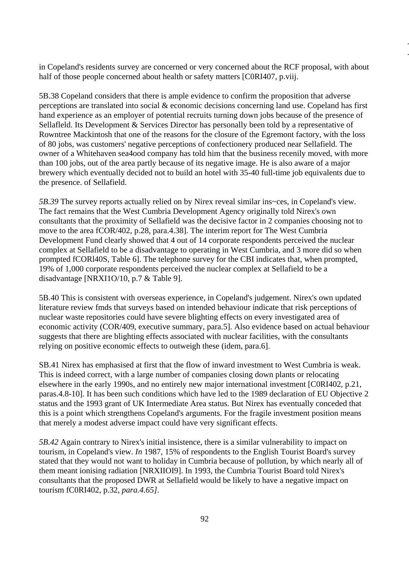in Copeland's residents survey are concerned or very concerned about the RCF proposal, with about half of those people concerned about health or safety matters [C0RI407, p.viij.

I<br>I<br>I

5B.38 Copeland considers that there is ample evidence to confirm the proposition that adverse perceptions are translated into social & economic decisions concerning land use. Copeland has first hand experience as an employer of potential recruits turning down jobs because of the presence of Sellafleld. Its Development & Services Director has personally been told by a representative of Rowntree Mackintosh that one of the reasons for the closure of the Egremont factory, with the loss of 80 jobs, was customers' negative perceptions of confectionery produced near Sellafield. The owner of a Whitehaven sea4ood company has told him that the business recenily moved, with more than 100 jobs, out of the area partly because of its negative image. He is also aware of a major brewery which eventually decided not to build an hotel with 35-40 full-time job equivalents due to the presence. of Sellafield.

*5B.39* The survey reports actually relied on by Nirex reveal similar ins~ces, in Copeland's view. The fact remains that the West Cumbria Development Agency originally told Nirex's own consultants that the proximity of Sellafield was the decisive factor in 2 companies choosing not to move to the area fCOR/402, p.28, para.4.38]. The interim report for The West Cumbria Development Fund clearly showed that 4 out of 14 corporate respondents perceived the nuclear complex at Sellafield to be a disadvantage to operating in West Cumbria, and 3 more did so when prompted fCORl40S, Table 6]. The telephone survey for the CBI indicates that, when prompted, 19% of 1,000 corporate respondents perceived the nuclear complex at Sellafield to be a disadvantage [NRXI1O/10, p.7 & Table 9].

5B.40 This is consistent with overseas experience, in Copeland's judgement. Nirex's own updated literature review fmds that surveys based on intended behaviour indicate that risk perceptions of nuclear waste repositories could have severe blighting effects on every investigated area of economic activity (COR/409, executive summary, para.5]. Also evidence based on actual behaviour suggests that there are blighting effects associated with nuclear facilities, with the consultants relying on positive economic effects to outweigh these (idem, para.6].

SB.41 Nirex has emphasised at first that the flow of inward investment to West Cumbria is weak. This is indeed correct, with a large number of companies closing down plants or relocating elsewhere in the early 1990s, and no entirely new major international investment [C0RI402, p.21, paras.4.8-10]. It has been such conditions which have led to the 1989 declaration of EU Objective 2 status and the 1993 grant of UK Intermediate Area status. But Nirex has eventually conceded that this is a point which strengthens Copeland's arguments. For the fragile investment position means that merely a modest adverse impact could have very significant effects.

*5B.42* Again contrary to Nirex's initial insistence, there is a similar vulnerability to impact on tourism, in Copeland's view. *In* 1987, 15% of respondents to the English Tourist Board's survey stated that they would not want to holiday in Cumbria because of pollution, by which nearly all of them meant ionising radiation [NRXIIOI9]. In 1993, the Cumbria Tourist Board told Nirex's consultants that the proposed DWR at Sellafield would be likely to have a negative impact on tourism fC0RI402, p.32, *para.4.65].*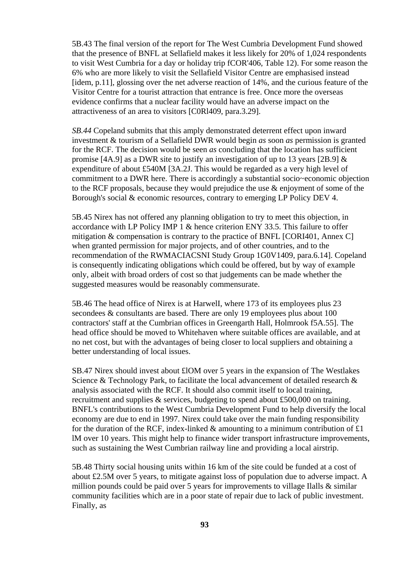5B.43 The final version of the report for The West Cumbria Development Fund showed that the presence of BNFL at Sellafield makes it less likely for 20% of 1,024 respondents to visit West Cumbria for a day or holiday trip fCOR'406, Table 12). For some reason the 6% who are more likely to visit the Sellafield Visitor Centre are emphasised instead [idem, p.11], glossing over the net adverse reaction of 14%, and the curious feature of the Visitor Centre for a tourist attraction that entrance is free. Once more the overseas evidence confirms that a nuclear facility would have an adverse impact on the attractiveness of an area to visitors [C0Rl409, para.3.29].

*SB.44* Copeland submits that this amply demonstrated deterrent effect upon inward investment & tourism of a Sellafield DWR would begin *as* soon *as* permission is granted for the RCF. The decision would be seen *as* concluding that the location has sufficient promise [4A.9] as a DWR site to justify an investigation of up to 13 years [2B.9]  $\&$ expenditure of about £540M [3A.2J. This would be regarded as a very high level of commitment to a DWR here. There is accordingly a substantial socio~economic objection to the RCF proposals, because they would prejudice the use & enjoyment of some of the Borough's social & economic resources, contrary to emerging LP Policy DEV 4.

5B.45 Nirex has not offered any planning obligation to try to meet this objection, in accordance with LP Policy IMP 1 & hence criterion ENY 33.5. This failure to offer mitigation & compensation is contrary to the practice of BNFL [CORI401, Annex C] when granted permission for major projects, and of other countries, and to the recommendation of the RWMACIACSNI Study Group 1G0V1409, para.6.14]. Copeland is consequently indicating obligations which could be offered, but by way of example only, albeit with broad orders of cost so that judgements can be made whether the suggested measures would be reasonably commensurate.

5B.46 The head office of Nirex is at HarwelI, where 173 of its employees plus 23 secondees & consultants are based. There are only 19 employees plus about 100 contractors' staff at the Cumbrian offices in Greengarth Hall, Holmrook f5A.55]. The head office should be moved to Whitehaven where suitable offices are available, and at no net cost, but with the advantages of being closer to local suppliers and obtaining a better understanding of local issues.

SB.47 Nirex should invest about £lOM over 5 years in the expansion of The Westlakes Science & Technology Park, to facilitate the local advancement of detailed research & analysis associated with the RCF. It should also commit itself to local training, recruitment and supplies & services, budgeting to spend about £500,000 on training. BNFL's contributions to the West Cumbria Development Fund to help diversify the local economy are due to end in 1997. Nirex could take over the main funding responsibility for the duration of the RCF, index-linked  $\&$  amounting to a minimum contribution of £1 lM over 10 years. This might help to finance wider transport infrastructure improvements, such as sustaining the West Cumbrian railway line and providing a local airstrip.

5B.48 Thirty social housing units within 16 km of the site could be funded at a cost of about £2.5M over 5 years, to mitigate against loss of population due to adverse impact. A million pounds could be paid over 5 years for improvements to village Ilalls  $\&$  similar community facilities which are in a poor state of repair due to lack of public investment. Finally, as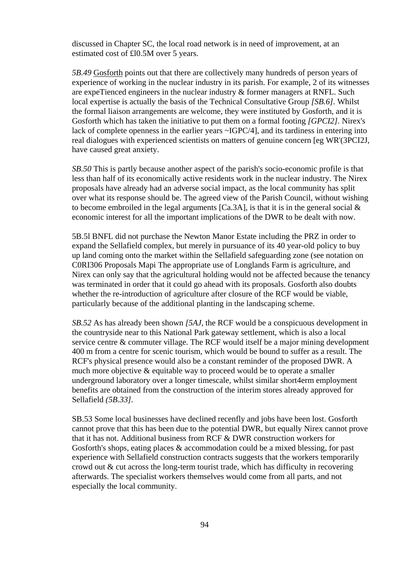discussed in Chapter SC, the local road network is in need of improvement, at an estimated cost of £l0.5M over 5 years.

*5B.49* Gosforth points out that there are collectively many hundreds of person years of experience of working in the nuclear industry in its parish. For example, 2 of its witnesses are expeTienced engineers in the nuclear industry & former managers at RNFL. Such local expertise is actually the basis of the Technical Consultative Group *[SB.6].* Whilst the formal liaison arrangements are welcome, they were instituted by Gosforth, and it is Gosforth which has taken the initiative to put them on a formal footing *[GPCI2].* Nirex's lack of complete openness in the earlier years ~IGPC/4], and its tardiness in entering into real dialogues with experienced scientists on matters of genuine concern [eg WR'(3PCI2J, have caused great anxiety.

*SB.50* This is partly because another aspect of the parish's socio-economic profile is that less than half of its economically active residents work in the nuclear industry. The Nirex proposals have already had an adverse social impact, as the local community has split over what its response should be. The agreed view of the Parish Council, without wishing to become embroiled in the legal arguments [Ca.3A], is that it is in the general social  $\&$ economic interest for all the important implications of the DWR to be dealt with now.

5B.5l BNFL did not purchase the Newton Manor Estate including the PRZ in order to expand the Sellafield complex, but merely in pursuance of its 40 year-old policy to buy up land coming onto the market within the Sellafield safeguarding zone (see notation on C0RI306 Proposals Mapi The appropriate use of Longlands Farm is agriculture, and Nirex can only say that the agricultural holding would not be affected because the tenancy was terminated in order that it could go ahead with its proposals. Gosforth also doubts whether the re-introduction of agriculture after closure of the RCF would be viable, particularly because of the additional planting in the landscaping scheme.

*SB.52* As has already been shown *[5AJ,* the RCF would be a conspicuous development in the countryside near to this National Park gateway settlement, which is also a local service centre & commuter village. The RCF would itself be a major mining development 400 m from a centre for scenic tourism, which would be bound to suffer as a result. The RCF's physical presence would also be a constant reminder of the proposed DWR. A much more objective & equitable way to proceed would be to operate a smaller underground laboratory over a longer timescale, whilst similar short4erm employment benefits are obtained from the construction of the interim stores already approved for Sellafield *(5B.33].* 

SB.53 Some local businesses have declined recenfly and jobs have been lost. Gosforth cannot prove that this has been due to the potential DWR, but equally Nirex cannot prove that it has not. Additional business from RCF & DWR construction workers for Gosforth's shops, eating places & accommodation could be a mixed blessing, for past experience with Sellafield construction contracts suggests that the workers temporarily crowd out & cut across the long-term tourist trade, which has difficulty in recovering afterwards. The specialist workers themselves would come from all parts, and not especially the local community.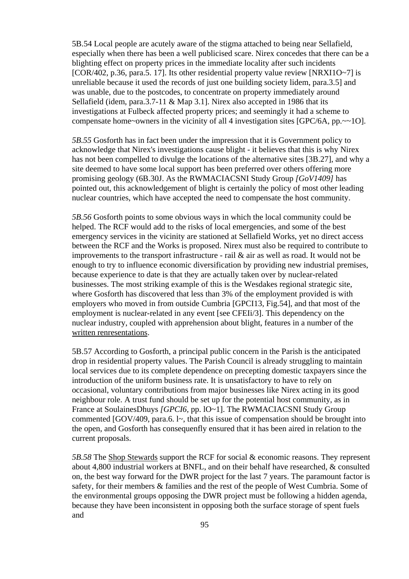5B.54 Local people are acutely aware of the stigma attached to being near Sellafield, especially when there has been a well publicised scare. Nirex concedes that there can be a blighting effect on property prices in the immediate locality after such incidents  $[COR/402, p.36, para.5, 17]$ . Its other residential property value review  $[NRXIIO-7]$  is unreliable because it used the records of just one building society lidem, para.3.5] and was unable, due to the postcodes, to concentrate on property immediately around Sellafield (idem, para.3.7-11 & Map 3.1]. Nirex also accepted in 1986 that its investigations at Fulbeck affected property prices; and seemingly it had a scheme to compensate home~owners in the vicinity of all 4 investigation sites [GPC/6A, pp.~~1O].

*5B.55* Gosforth has in fact been under the impression that it is Government policy to acknowledge that Nirex's investigations cause blight - it believes that this is why Nirex has not been compelled to divulge the locations of the alternative sites [3B.27], and why a site deemed to have some local support has been preferred over others offering more promising geology (6B.30J. As the RWMACIACSNI Study Group *[GoV1409]* has pointed out, this acknowledgement of blight is certainly the policy of most other leading nuclear countries, which have accepted the need to compensate the host community.

*5B.56* Gosforth points to some obvious ways in which the local community could be helped. The RCF would add to the risks of local emergencies, and some of the best emergency services in the vicinity are stationed at Sellafield Works, yet no direct access between the RCF and the Works is proposed. Nirex must also be required to contribute to improvements to the transport infrastructure - rail  $\&$  air as well as road. It would not be enough to try to influence economic diversification by providing new industrial premises, because experience to date is that they are actually taken over by nuclear-related businesses. The most striking example of this is the Wesdakes regional strategic site, where Gosforth has discovered that less than 3% of the employment provided is with employers who moved in from outside Cumbria [GPCI13, Fig.54], and that most of the employment is nuclear-related in any event [see CFEIi/3]. This dependency on the nuclear industry, coupled with apprehension about blight, features in a number of the written renresentations.

5B.57 According to Gosforth, a principal public concern in the Parish is the anticipated drop in residential property values. The Parish Council is already struggling to maintain local services due to its complete dependence on precepting domestic taxpayers since the introduction of the uniform business rate. It is unsatisfactory to have to rely on occasional, voluntary contributions from major businesses like Nirex acting in its good neighbour role. A trust fund should be set up for the potential host community, as in France at SoulainesDhuys *[GPCI6, pp. 10~1]*. The RWMACIACSNI Study Group commented [GOV/409, para.6. l~, that this issue of compensation should be brought into the open, and Gosforth has consequenfly ensured that it has been aired in relation to the current proposals.

*5B.58* The Shop Stewards support the RCF for social & economic reasons. They represent about 4,800 industrial workers at BNFL, and on their behalf have researched, & consulted on, the best way forward for the DWR project for the last 7 years. The paramount factor is safety, for their members & families and the rest of the people of West Cumbria. Some of the environmental groups opposing the DWR project must be following a hidden agenda, because they have been inconsistent in opposing both the surface storage of spent fuels and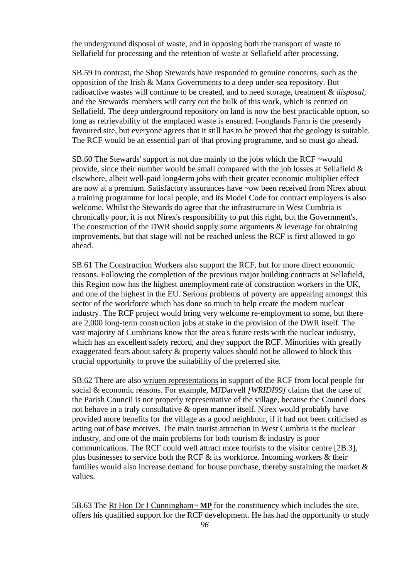the underground disposal of waste, and in opposing both the transport of waste to Sellafield for processing and the retention of waste at Sellafield after processing.

SB.59 In contrast, the Shop Stewards have responded to genuine concerns, such as the opposition of the Irish & Manx Governments to a deep under-sea repository. But radioactive wastes will continue to be created, and to need storage, treatment & *disposal,*  and the Stewards' members will carry out the bulk of this work, which is centred on Sellafield. The deep underground repository on land is now the best practicable option, so long as retrievability of the emplaced waste is ensured. I-onglands Farm is the presendy favoured site, but everyone agrees that it still has to be proved that the geology is suitable. The RCF would be an essential part of that proving programme, and so must go ahead.

SB.60 The Stewards' support is not due mainly to the jobs which the RCF ~would provide, since their number would be small compared with the job losses at Sellafield & elsewhere, albeit well-paid long4erm jobs with their greater economic multiplier effect are now at a premium. Satisfactory assurances have ~ow been received from Nirex about a training programme for local people, and its Model Code for contract employers is also welcome. Whilst the Stewards do agree that the infrastructure in West Cumbria is chronically poor, it is not Nirex's responsibility to put this right, but the Government's. The construction of the DWR should supply some arguments & leverage for obtaining improvements, but that stage will not be reached unless the RCF is first allowed to go ahead.

SB.61 The Construction Workers also support the RCF, but for more direct economic reasons. Following the completion of the previous major building contracts at Sellafield, this Region now has the highest unemployment rate of construction workers in the UK, and one of the highest in the EU. Serious problems of poverty are appearing amongst this sector of the workforce which has done so much to help create the modern nuclear industry. The RCF project would bring very welcome re-employment to some, but there are 2,000 long-term construction jobs at stake in the provision of the DWR itself. The vast majority of Cumbrians know that the area's future rests with the nuclear industry, which has an excellent safety record, and they support the RCF. Minorities with greafly exaggerated fears about safety & property values should not be allowed to block this crucial opportunity to prove the suitability of the preferred site.

SB.62 There are also wriuen representations in support of the RCF from local people for social & economic reasons. For example, MJDarvell *[WRIDI99]* claims that the case of the Parish Council is not properly representative of the village, because the Council does not behave in a truly consultative & open manner itself. Nirex would probably have provided more benefits for the village as a good neighbour, if it had not been criticised as acting out of base motives. The main tourist attraction in West Cumbria is the nuclear industry, and one of the main problems for both tourism & industry is poor communications. The RCF could well attract more tourists to the visitor centre [2B.3], plus businesses to service both the RCF  $\&$  its workforce. Incoming workers  $\&$  their families would also increase demand for house purchase, thereby sustaining the market  $\&$ values.

5B.63 The Rt Hon Dr J Cunningham~ **MP** for the constituency which includes the site, offers his qualified support for the RCF development. He has had the opportunity to study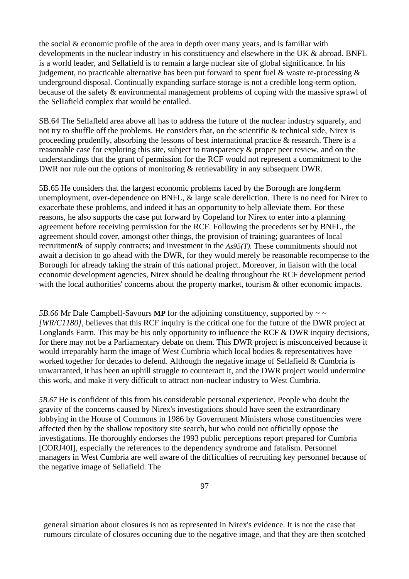the social  $\&$  economic profile of the area in depth over many years, and is familiar with developments in the nuclear industry in his constituency and elsewhere in the UK & abroad. BNFL is a world leader, and Sellafield is to remain a large nuclear site of global significance. In his judgement, no practicable alternative has been put forward to spent fuel & waste re-processing  $\&$ underground disposal. Continually expanding surface storage is not a credible long-term option, because of the safety & environmental management problems of coping with the massive sprawl of the SelIafield complex that would be entalled.

SB.64 The Sellafleld area above all has to address the future of the nuclear industry squarely, and not try to shuffle off the problems. He considers that, on the scientific & technical side, Nirex is proceeding prudenfly, absorbing the lessons of best international practice & research. There is a reasonable case for exploring this site, subject to transparency & proper peer review, and on the understandings that the grant of permission for the RCF would not represent a commitment to the DWR nor rule out the options of monitoring & retrievability in any subsequent DWR.

5B.65 He considers that the largest economic problems faced by the Borough are long4erm unemployment, over-dependence on BNFL, & large scale dereliction. There is no need for Nirex to exacerbate these problems, and indeed it has an opportunity to help alleviate them. For these reasons, he also supports the case put forward by Copeland for Nirex to enter into a planning agreement before receiving permission for the RCF. Following the precedents set by BNFL, the agreement should cover, amongst other things, the provision of training; guarantees of local recruitment& of supply contracts; and investment in the *As95(T).* These commitments should not await a decision to go ahead with the DWR, for they would merely be reasonable recompense to the Borough for afready taking the strain of this national project. Moreover, in liaison with the local economic development agencies, Nirex should be dealing throughout the RCF development period with the local authorities' concerns about the property market, tourism  $\&$  other economic impacts.

*5B.66* Mr Dale Campbell-Savours **MP** for the adjoining constituency, supported by ~ *~ [WR/C1180],* believes that this RCF inquiry is the critical one for the future of the DWR project at Longlands Farrn. This may be his only opportunity to influence the RCF & DWR inquiry decisions, for there may not be a Parliamentary debate on them. This DWR project is misconceived because it would irreparably harm the image of West Cumbria which local bodies & representatives have worked together for decades to defend. Although the negative image of Sellafield & Cumbria is unwarranted, it has been an uphill struggle to counteract it, and the DWR project would undermine this work, and make it very difficult to attract non-nuclear industry to West Cumbria.

*5B.67* He is confident of this from his considerable personal experience. People who doubt the gravity of the concerns caused by Nirex's investigations should have seen the extraordinary lobbying in the House of Commons in 1986 by Goverrunent Ministers whose constituencies were affected then by the shallow repository site search, but who could not officially oppose the investigations. He thoroughly endorses the 1993 public perceptions report prepared for Cumbria [CORJ40I], especially the references to the dependency syndrome and fatalism. Personnel managers in West Cumbria are well aware of the difficulties of recruiting key personnel because of the negative image of Sellafield. The

general situation about closures is not as represented in Nirex's evidence. It is not the case that rumours circulate of closures occuning due to the negative image, and that they are then scotched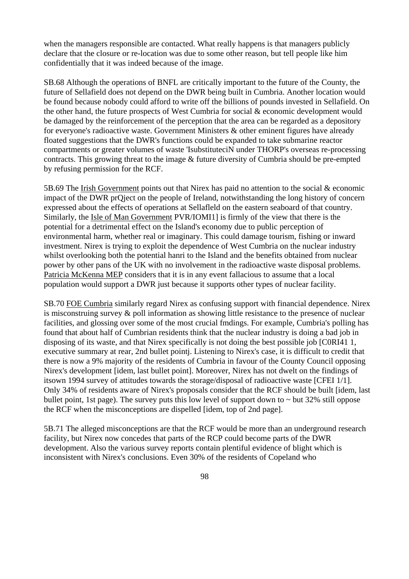when the managers responsible are contacted. What really happens is that managers publicly declare that the closure or re-location was due to some other reason, but tell people like him confidentially that it was indeed because of the image.

SB.68 Although the operations of BNFL are critically important to the future of the County, the future of Sellafield does not depend on the DWR being built in Cumbria. Another location would be found because nobody could afford to write off the billions of pounds invested in Sellafield. On the other hand, the future prospects of West Cumbria for social & economic development would be damaged by the reinforcement of the perception that the area can be regarded as a depository for everyone's radioactive waste. Government Ministers  $\&$  other eminent figures have already floated suggestions that the DWR's functions could be expanded to take submarine reactor compartments or greater volumes of waste 'IsubstituteciN under THORP's overseas re-processing contracts. This growing threat to the image & future diversity of Cumbria should be pre-empted by refusing permission for the RCF.

5B.69 The Irish Government points out that Nirex has paid no attention to the social & economic impact of the DWR prQject on the people of Ireland, notwithstanding the long history of concern expressed about the effects of operations at Sellafleld on the eastern seaboard of that country. Similarly, the Isle of Man Government PVR/IOMI1] is firmly of the view that there is the potential for a detrimental effect on the Island's economy due to public perception of environmental harm, whether real or imaginary. This could damage tourism, fishing or inward investment. Nirex is trying to exploit the dependence of West Cumbria on the nuclear industry whilst overlooking both the potential hanri to the Island and the benefits obtained from nuclear power by other pans of the UK with no involvement in the radioactive waste disposal problems. Patricia McKenna MEP considers that it is in any event fallacious to assume that a local population would support a DWR just because it supports other types of nuclear facility.

SB.70 FOE Cumbria similarly regard Nirex as confusing support with financial dependence. Nirex is misconstruing survey & poll information as showing little resistance to the presence of nuclear facilities, and glossing over some of the most crucial fmdings. For example, Cumbria's polling has found that about half of Cumbrian residents think that the nuclear industry is doing a bad job in disposing of its waste, and that Nirex specifically is not doing the best possible job [C0RI41 1, executive summary at rear, 2nd bullet pointj. Listening to Nirex's case, it is difficult to credit that there is now a 9% majority of the residents of Cumbria in favour of the County Council opposing Nirex's development [idem, last bullet point]. Moreover, Nirex has not dwelt on the findings of itsown 1994 survey of attitudes towards the storage/disposal of radioactive waste [CFEI 1/1]. Only 34% of residents aware of Nirex's proposals consider that the RCF should be built [idem, last bullet point, 1st page). The survey puts this low level of support down to  $\sim$  but 32% still oppose the RCF when the misconceptions are dispelled [idem, top of 2nd page].

5B.71 The alleged misconceptions are that the RCF would be more than an underground research facility, but Nirex now concedes that parts of the RCP could become parts of the DWR development. Also the various survey reports contain plentiful evidence of blight which is inconsistent with Nirex's conclusions. Even 30% of the residents of Copeland who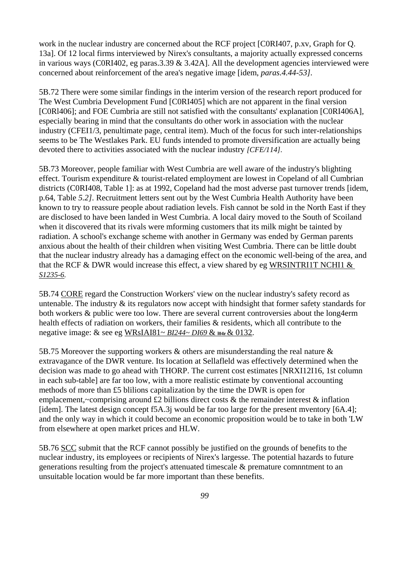work in the nuclear industry are concerned about the RCF project [C0RI407, p.xv, Graph for Q. 13a]. Of 12 local firms interviewed by Nirex's consultants, a majority actually expressed concerns in various ways (C0RI402, eg paras.  $3.39 \& 3.42$ A]. All the development agencies interviewed were concerned about reinforcement of the area's negative image [idem, *paras.4.44-53].* 

5B.72 There were some similar findings in the interim version of the research report produced for The West Cumbria Development Fund [C0RI405] which are not apparent in the final version [C0Rl406]; and FOE Cumbria are still not satisfied with the consultants' explanation [C0RI406A], especially bearing in mind that the consultants do other work in association with the nuclear industry (CFEI1/3, penultimate page, central item). Much of the focus for such inter-relationships seems to be The Westlakes Park. EU funds intended to promote diversification are actually being devoted there to activities associated with the nuclear industry *[CFE/114].* 

5B.73 Moreover, people familiar with West Cumbria are well aware of the industry's blighting effect. Tourism expenditure & tourist-related employment are lowest in Copeland of all Cumbrian districts (C0RI408, Table 1]: as at 1992, Copeland had the most adverse past turnover trends [idem, p.64, Table *5.2].* Recruitment letters sent out by the West Cumbria Health Authority have been known to try to reassure people about radiation levels. Fish cannot be sold in the North East if they are disclosed to have been landed in West Cumbria. A local dairy moved to the South of Scoiland when it discovered that its rivals were mforming customers that its milk might be tainted by radiation. A school's exchange scheme with another in Germany was ended by German parents anxious about the health of their children when visiting West Cumbria. There can be little doubt that the nuclear industry already has a damaging effect on the economic well-being of the area, and that the RCF  $&$  DWR would increase this effect, a view shared by eg WRSINTRI1T NCHI1  $&$ *S1235-6.* 

5B.74 CORE regard the Construction Workers' view on the nuclear industry's safety record as untenable. The industry  $\&$  its regulators now accept with hindsight that former safety standards for both workers & public were too low. There are several current controversies about the long4erm health effects of radiation on workers, their families & residents, which all contribute to the negative image: & see eg WRsIAI81~ *BI244~ DI69* & **l04r** & 0132.

5B.75 Moreover the supporting workers & others are misunderstanding the real nature & extravagance of the DWR venture. Its location at Sellafleld was effectively determined when the decision was made to go ahead with THORP. The current cost estimates [NRXI12I16, 1st column in each sub-table] are far too low, with a more realistic estimate by conventional accounting methods of more than £5 blilions capitalization by the time the DWR is open for emplacement,~comprising around £2 billions direct costs  $\&$  the remainder interest  $\&$  inflation [idem]. The latest design concept f5A.3j would be far too large for the present mventory [6A.4]; and the only way in which it could become an economic proposition would be to take in both 'LW from elsewhere at open market prices and HLW.

5B.76 SCC submit that the RCF cannot possibly be justified on the grounds of benefits to the nuclear industry, its employees or recipients of Nirex's largesse. The potential hazards to future generations resulting from the project's attenuated timescale & premature comnntment to an unsuitable location would be far more important than these benefits.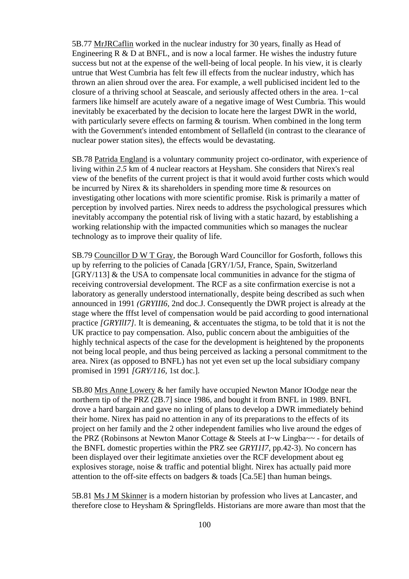5B.77 MrJRCaflin worked in the nuclear industry for 30 years, finally as Head of Engineering  $R \& D$  at BNFL, and is now a local farmer. He wishes the industry future success but not at the expense of the well-being of local people. In his view, it is clearly untrue that West Cumbria has felt few ill effects from the nuclear industry, which has thrown an alien shroud over the area. For example, a well publicised incident led to the closure of a thriving school at Seascale, and seriously affected others in the area. 1~cal farmers like himself are acutely aware of a negative image of West Cumbria. This would inevitably be exacerbated by the decision to locate here the largest DWR in the world, with particularly severe effects on farming & tourism. When combined in the long term with the Government's intended entombment of Sellafleld (in contrast to the clearance of nuclear power station sites), the effects would be devastating.

SB.78 Patrida England is a voluntary community project co-ordinator, with experience of living within *2.5* km of 4 nuclear reactors at Heysham. She considers that Nirex's real view of the benefits of the current project is that it would avoid further costs which would be incurred by Nirex & its shareholders in spending more time & resources on investigating other locations with more scientific promise. Risk is primarily a matter of perception by involved parties. Nirex needs to address the psychological pressures which inevitably accompany the potential risk of living with a static hazard, by establishing a working relationship with the impacted communities which so manages the nuclear technology as to improve their quality of life.

SB.79 Councillor D W T Gray, the Borough Ward Councillor for Gosforth, follows this up by referring to the policies of Canada [GRY/1/5J, France, Spain, Switzerland [GRY/113] & the USA to compensate local communities in advance for the stigma of receiving controversial development. The RCF as a site confirmation exercise is not a laboratory as generally understood internationally, despite being described as such when announced in 1991 *(GRYIII6,* 2nd doc.J. Consequently the DWR project is already at the stage where the fffst level of compensation would be paid according to good international practice *[GRYIlI7].* It is demeaning, & accentuates the stigma, to be told that it is not the UK practice to pay compensation. Also, public concern about the ambiguities of the highly technical aspects of the case for the development is heightened by the proponents not being local people, and thus being perceived as lacking a personal commitment to the area. Nirex (as opposed to BNFL) has not yet even set up the local subsidiary company promised in 1991 *[GRY/116,* 1st doc.].

SB.80 Mrs Anne Lowery & her family have occupied Newton Manor IOodge near the northern tip of the PRZ (2B.7] since 1986, and bought it from BNFL in 1989. BNFL drove a hard bargain and gave no inling of plans to develop a DWR immediately behind their home. Nirex has paid no attention in any of its preparations to the effects of its project on her family and the 2 other independent families who live around the edges of the PRZ (Robinsons at Newton Manor Cottage & Steels at I~w Lingba~~ - for details of the BNFL domestic properties within the PRZ see *GRYI1I7,* pp.42-3). No concern has been displayed over their legitimate anxieties over the RCF development about eg explosives storage, noise & traffic and potential blight. Nirex has actually paid more attention to the off-site effects on badgers & toads [Ca.5E] than human beings.

5B.81 Ms J M Skinner is a modern historian by profession who lives at Lancaster, and therefore close to Heysham & Springflelds. Historians are more aware than most that the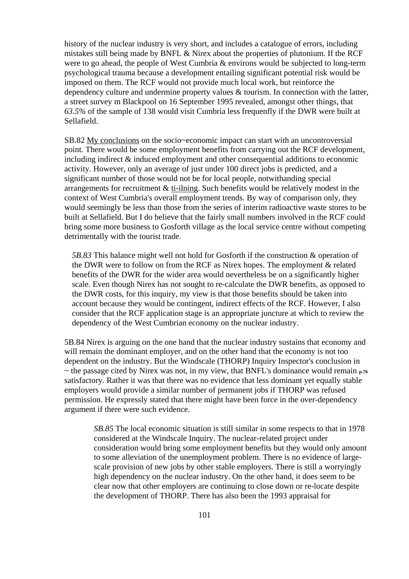history of the nuclear industry is very short, and includes a catalogue of errors, including mistakes still being made by BNFL & Nirex about the properties of plutonium. If the RCF were to go ahead, the people of West Cumbria & environs would be subjected to long-term psychological trauma because a development entailing significant potential risk would be imposed on them. The RCF would not provide much local work, but reinforce the dependency culture and undermine property values & tourism. In connection with the latter, a street survey m Blackpool on 16 September 1995 revealed, amongst other things, that *63.5%* of the sample of 138 would visit Cumbria less frequenfly if the DWR were built at Sellafield.

SB.82 My conclusions on the socio~economic impact can start with an uncontroversial point. There would be some employment benefits from carrying out the RCF development, including indirect & induced employment and other consequential additions to economic activity. However, only an average of just under 100 direct jobs is predicted, and a significant number of those would not be for local people, notwithanding special arrangements for recruitment & ti-ilning. Such benefits would be relatively modest in the context of West Cumbria's overall employment trends. By way of comparison only, they would seemingly be less than those from the series of interim radioactive waste stores to be built at Sellafield. But I do believe that the fairly small numbers involved in the RCF could bring some more business to Gosforth village as the local service centre without competing detrimentally with the tourist trade.

*5B.83* This balance might well not hold for Gosforth if the construction & operation of the DWR were to follow on from the RCF as Nirex hopes. The employment & related benefits of the DWR for the wider area would nevertheless be on a significantly higher scale. Even though Nirex has not sought to re-calculate the DWR benefits, as opposed to the DWR costs, for this inquiry, my view is that those benefits should be taken into account because they would be contingent, indirect effects of the RCF. However, I also consider that the RCF application stage is an appropriate juncture at which to review the dependency of the West Cumbrian economy on the nuclear industry.

5B.84 Nirex is arguing on the one hand that the nuclear industry sustains that economy and will remain the dominant employer, and on the other hand that the economy is not too dependent on the industry. But the Windscale (THORP) Inquiry Inspector's conclusion in ~ the passage cited by Nirex was not, in my view, that BNFL's dominance would remain **p.76**  satisfactory. Rather it was that there was no evidence that less dominant yet equally stable employers would provide a similar number of permanent jobs if THORP was refused permission. He expressly stated that there might have been force in the over-dependency argument if there were such evidence.

*SB.85* The local economic situation is still similar in some respects to that in 1978 considered at the Windscale Inquiry. The nuclear-related project under consideration would bring some employment benefits but they would only amount to some alleviation of the unemployment problem. There is no evidence of largescale provision of new jobs by other stable employers. There is still a worryingly high dependency on the nuclear industry. On the other hand, it does seem to be clear now that other employers are continuing to close down or re-locate despite the development of THORP. There has also been the 1993 appraisal for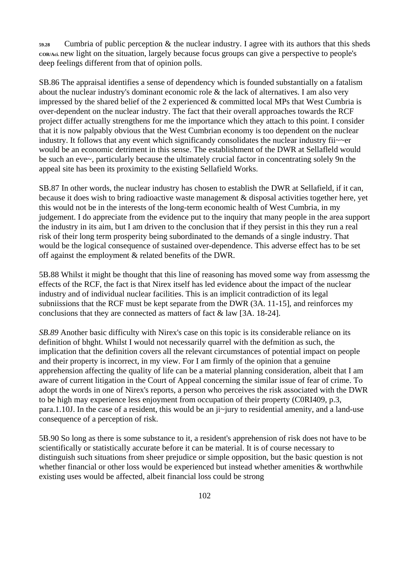**59.28** Cumbria of public perception & the nuclear industry. I agree with its authors that this sheds **COR/Aci.** new light on the situation, largely because focus groups can give a perspective to people's deep feelings different from that of opinion polls.

SB.86 The appraisal identifies a sense of dependency which is founded substantially on a fatalism about the nuclear industry's dominant economic role & the lack of alternatives. I am also very impressed by the shared belief of the 2 experienced & committed local MPs that West Cumbria is over-dependent on the nuclear industry. The fact that their overall approaches towards the RCF project differ actually strengthens for me the importance which they attach to this point. I consider that it is now palpably obvious that the West Cumbrian economy is too dependent on the nuclear industry. It follows that any event which significandy consolidates the nuclear industry fii~~er would be an economic detriment in this sense. The establishment of the DWR at Sellafleld would be such an eve~, particularly because the ultimately crucial factor in concentrating solely 9n the appeal site has been its proximity to the existing Sellafield Works.

SB.87 In other words, the nuclear industry has chosen to establish the DWR at Sellafield, if it can, because it does wish to bring radioactive waste management & disposal activities together here, yet this would not be in the interests of the long-term economic health of West Cumbria, in my judgement. I do appreciate from the evidence put to the inquiry that many people in the area support the industry in its aim, but I am driven to the conclusion that if they persist in this they run a real risk of their long term prosperity being subordinated to the demands of a single industry. That would be the logical consequence of sustained over-dependence. This adverse effect has to be set off against the employment & related benefits of the DWR.

5B.88 Whilst it might be thought that this line of reasoning has moved some way from assessmg the effects of the RCF, the fact is that Nirex itself has led evidence about the impact of the nuclear industry and of individual nuclear facilities. This is an implicit contradiction of its legal subniissions that the RCF must be kept separate from the DWR (3A. 11-15], and reinforces my conclusions that they are connected as matters of fact & law [3A. 18-24].

*SB.89* Another basic difficulty with Nirex's case on this topic is its considerable reliance on its definition of bhght. Whilst I would not necessarily quarrel with the defmition as such, the implication that the definition covers all the relevant circumstances of potential impact on people and their property is incorrect, in my view. For I am firmly of the opinion that a genuine apprehension affecting the quality of life can be a material planning consideration, albeit that I am aware of current litigation in the Court of Appeal concerning the similar issue of fear of crime. To adopt the words in one of Nirex's reports, a person who perceives the risk associated with the DWR to be high may experience less enjoyment from occupation of their property (C0RI409, p.3, para.1.10J. In the case of a resident, this would be an ji~jury to residential amenity, and a land-use consequence of a perception of risk.

5B.90 So long as there is some substance to it, a resident's apprehension of risk does not have to be scientifically or statistically accurate before it can be material. It is of course necessary to distinguish such situations from sheer prejudice or simple opposition, but the basic question is not whether financial or other loss would be experienced but instead whether amenities  $\&$  worthwhile existing uses would be affected, albeit financial loss could be strong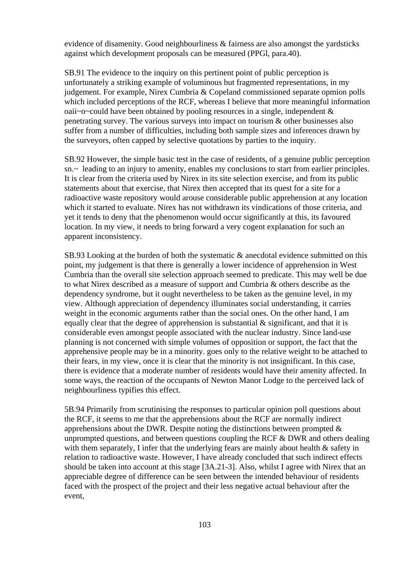evidence of disamenity. Good neighbourliness & fairness are also amongst the yardsticks against which development proposals can be measured (PPGl, para.40).

SB.91 The evidence to the inquiry on this pertinent point of public perception is unfortunately a striking example of voluminous but fragmented representations, in my judgement. For example, Nirex Cumbria & Copeland commissioned separate opmion polls which included perceptions of the RCF, whereas I believe that more meaningful information oaii~o~could have been obtained by pooling resources in a single, independent & penetrating survey. The various surveys into impact on tourism & other businesses also suffer from a number of difficulties, including both sample sizes and inferences drawn by the surveyors, often capped by selective quotations by parties to the inquiry.

SB.92 However, the simple basic test in the case of residents, of a genuine public perception sn.~ leading to an injury to amenity, enables my conclusions to start from earlier principles. It is clear from the criteria used by Nirex in its site selection exercise, and from its public statements about that exercise, that Nirex then accepted that its quest for a site for a radioactive waste repository would arouse considerable public apprehension at any location which it started to evaluate. Nirex has not withdrawn its vindications of those criteria, and yet it tends to deny that the phenomenon would occur significantly at this, its favoured location. In my view, it needs to bring forward a very cogent explanation for such an apparent inconsistency.

SB.93 Looking at the burden of both the systematic & anecdotal evidence submitted on this point, my judgement is that there is generally a lower incidence of apprehension in West Cumbria than the overall site selection approach seemed to predicate. This may well be due to what Nirex described as a measure of support and Cumbria & others describe as the dependency syndrome, but it ought nevertheless to be taken as the genuine level, in my view. Although appreciation of dependency illuminates social understanding, it carries weight in the economic arguments rather than the social ones. On the other hand, I am equally clear that the degree of apprehension is substantial  $\&$  significant, and that it is considerable even amongst people associated with the nuclear industry. Since land-use planning is not concerned with simple volumes of opposition or support, the fact that the apprehensive people may be in a minority. goes only to the relative weight to be attached to their fears, in my view, once it is clear that the minority is not insignificant. In this case, there is evidence that a moderate number of residents would have their amenity affected. In some ways, the reaction of the occupants of Newton Manor Lodge to the perceived lack of neighbourliness typifies this effect.

5B.94 Primarily from scrutinising the responses to particular opinion poll questions about the RCF, it seems to me that the apprehensions about the RCF are normally indirect apprehensions about the DWR. Despite noting the distinctions between prompted  $\&$ unprompted questions, and between questions coupling the RCF & DWR and others dealing with them separately, I infer that the underlying fears are mainly about health & safety in relation to radioactive waste. However, I have already concluded that such indirect effects should be taken into account at this stage [3A.21-3]. Also, whilst I agree with Nirex that an appreciable degree of difference can be seen between the intended behaviour of residents faced with the prospect of the project and their less negative actual behaviour after the event,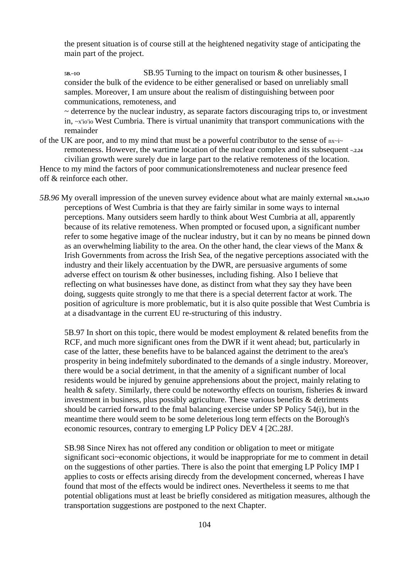the present situation is of course still at the heightened negativity stage of anticipating the main part of the project.

**5B.~1O** SB.95 Turning to the impact on tourism & other businesses, I consider the bulk of the evidence to be either generalised or based on unreliably small samples. Moreover, I am unsure about the realism of distinguishing between poor communications, remoteness, and

 $\sim$  deterrence by the nuclear industry, as separate factors discouraging trips to, or investment in, ~x'io'io West Cumbria. There is virtual unanimity that transport communications with the remainder

- of the UK are poor, and to my mind that must be a powerful contributor to the sense of  $n \times i$ remoteness. However, the wartime location of the nuclear complex and its subsequent **~.2.24**  civilian growth were surely due in large part to the relative remoteness of the location. Hence to my mind the factors of poor communicationslremoteness and nuclear presence feed off & reinforce each other.
- *5B.96* My overall impression of the uneven survey evidence about what are mainly external **NILx,1o,1O**  perceptions of West Cumbria is that they are fairly similar in some ways to internal perceptions. Many outsiders seem hardly to think about West Cumbria at all, apparently because of its relative remoteness. When prompted or focused upon, a significant number refer to some hegative image of the nuclear industry, but it can by no means be pinned down as an overwhelming liability to the area. On the other hand, the clear views of the Manx & Irish Governments from across the Irish Sea, of the negative perceptions associated with the industry and their likely accentuation by the DWR, are persuasive arguments of some adverse effect on tourism & other businesses, including fishing. Also I believe that reflecting on what businesses have done, as distinct from what they say they have been doing, suggests quite strongly to me that there is a special deterrent factor at work. The position of agriculture is more problematic, but it is also quite possible that West Cumbria is at a disadvantage in the current EU re-structuring of this industry.

5B.97 In short on this topic, there would be modest employment & related benefits from the RCF, and much more significant ones from the DWR if it went ahead; but, particularly in case of the latter, these benefits have to be balanced against the detriment to the area's prosperity in being indefmitely subordinated to the demands of a single industry. Moreover, there would be a social detriment, in that the amenity of a significant number of local residents would be injured by genuine apprehensions about the project, mainly relating to health & safety. Similarly, there could be noteworthy effects on tourism, fisheries & inward investment in business, plus possibly agriculture. These various benefits & detriments should be carried forward to the fmal balancing exercise under SP Policy 54(i), but in the meantime there would seem to be some deleterious long term effects on the Borough's economic resources, contrary to emerging LP Policy DEV 4 [2C.28J.

SB.98 Since Nirex has not offered any condition or obligation to meet or mitigate significant soci~economic objections, it would be inappropriate for me to comment in detail on the suggestions of other parties. There is also the point that emerging LP Policy IMP I applies to costs or effects arising direcdy from the development concerned, whereas I have found that most of the effects would be indirect ones. Nevertheless it seems to me that potential obligations must at least be briefly considered as mitigation measures, although the transportation suggestions are postponed to the next Chapter.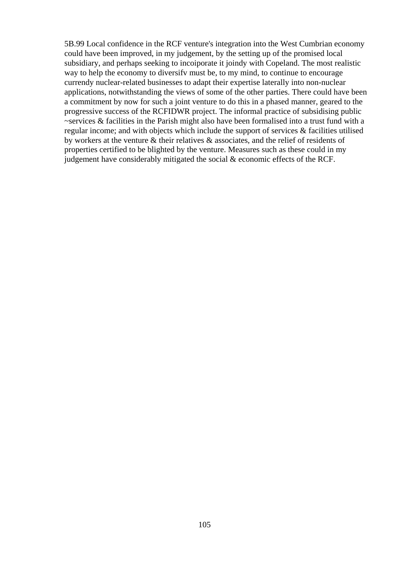5B.99 Local confidence in the RCF venture's integration into the West Cumbrian economy could have been improved, in my judgement, by the setting up of the promised local subsidiary, and perhaps seeking to incoiporate it joindy with Copeland. The most realistic way to help the economy to diversifv must be, to my mind, to continue to encourage currendy nuclear-related businesses to adapt their expertise laterally into non-nuclear applications, notwithstanding the views of some of the other parties. There could have been a commitment by now for such a joint venture to do this in a phased manner, geared to the progressive success of the RCFIDWR project. The informal practice of subsidising public ~services & facilities in the Parish might also have been formalised into a trust fund with a regular income; and with objects which include the support of services & facilities utilised by workers at the venture & their relatives & associates, and the relief of residents of properties certified to be blighted by the venture. Measures such as these could in my judgement have considerably mitigated the social  $&$  economic effects of the RCF.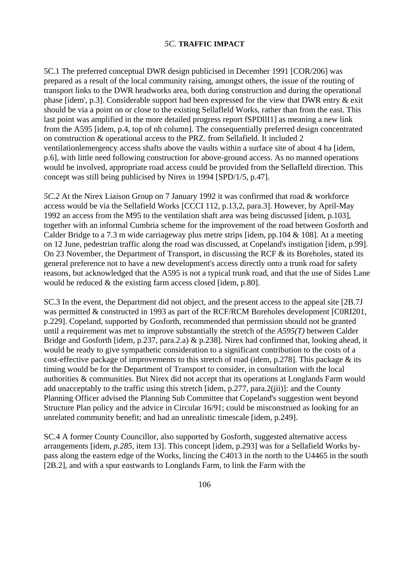# *5C.* **TRAFFIC IMPACT**

5C.1 The preferred conceptual DWR design publicised in December 1991 [COR/206] was prepared as a result of the local community raising, amongst others, the issue of the routing of transport links to the DWR headworks area, both during construction and during the operational phase [idem', p.3]. Considerable support had been expressed for the view that DWR entry & exit should be via a point on or close to the existing Sellafleld Works, rather than from the east. This last point was amplified in the more detailed progress report fSPDllI1] as meaning a new link from the A595 [idem, p.4, top of nh column]. The consequentially preferred design concentrated on construction & operational access to the PRZ. from Sellafield. It included 2 ventilationlemergency access shafts above the vaults within a surface site of about 4 ha [idem, p.6], with little need following construction for above-ground access. As no manned operations would be involved, appropriate road access could be provided from the Sellafleld direction. This concept was still being publicised by Nirex in 1994 [SPD/1/5, p.47].

*5C.2* At the Nirex Liaison Group on 7 January 1992 it was confirmed that road & workforce access would be via the Sellafield Works [CCCI 112, p.13,2, para.3]. However, by April-May 1992 an access from the M95 to the ventilation shaft area was being discussed [idem, p.103], together with an informal Cumbria scheme for the improvement of the road between Gosforth and Calder Bridge to a 7.3 m wide carriageway plus metre strips [idem, pp.104 & 108]. At a meeting on 12 June, pedestrian traffic along the road was discussed, at Copeland's instigation [idem, p.99]. On 23 November, the Department of Transport, in discussing the RCF & its Boreholes, stated its general preference not to have a new development's access directly onto a trunk road for safety reasons, but acknowledged that the A595 is not a typical trunk road, and that the use of Sides Lane would be reduced & the existing farm access closed [idem, p.80].

SC.3 In the event, the Department did not object, and the present access to the appeal site [2B.7J was permitted & constructed in 1993 as part of the RCF/RCM Boreholes development [C0RI201, p.229]. Copeland, supported by Gosforth, recommended that permission should not be granted until a requirement was met to improve substantially the stretch of the *A595(T)* between Calder Bridge and Gosforth [idem, p.237, para.2.a) & p.238]. Nirex had confirmed that, looking ahead, it would be ready to give sympathetic consideration to a significant contribution to the costs of a cost-effective package of improvements to this stretch of road (idem, p.278]. This package & its timing would be for the Department of Transport to consider, in consultation with the local authorities & communities. But Nirex did not accept that its operations at Longlands Farm would add unacceptably to the traffic using this stretch [idem, p.277, para.2(jii)]: and the County Planning Officer advised the Planning Sub Committee that Copeland's suggestion went beyond Structure Plan policy and the advice in Circular 16/91; could be misconstrued as looking for an unrelated community benefit; and had an unrealistic timescale [idem, p.249].

SC.4 A former County Councillor, also supported by Gosforth, suggested alternative access arrangements [idem, *p.285,* item 13]. This concept [idem, p.293] was for a Sellafield Works bypass along the eastern edge of the Works, lincing the C4013 in the north to the U4465 in the south [2B.2], and with a spur eastwards to Longlands Farm, to link the Farm with the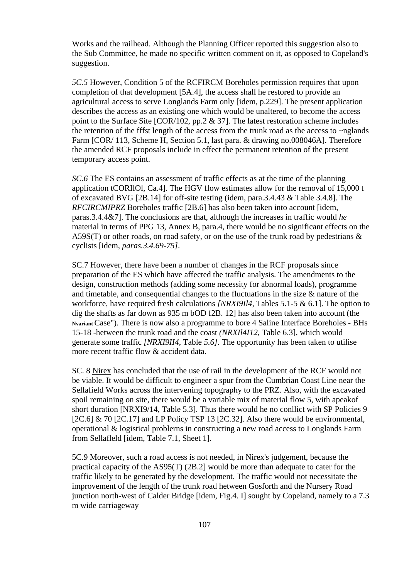Works and the railhead. Although the Planning Officer reported this suggestion also to the Sub Committee, he made no specific written comment on it, as opposed to Copeland's suggestion.

*5C.5* However, Condition 5 of the RCFIRCM Boreholes permission requires that upon completion of that development [5A.4], the access shall he restored to provide an agricultural access to serve Longlands Farm only [idem, p.229]. The present application describes the access as an existing one which would be unaltered, to become the access point to the Surface Site  $[COR/102, pp.2 \& 37]$ . The latest restoration scheme includes the retention of the fffst length of the access from the trunk road as the access to ~nglands Farm [COR/ 113, Scheme H, Section 5.1, last para. & drawing no.008046A]. Therefore the amended RCF proposals include in effect the permanent retention of the present temporary access point.

*SC.6* The ES contains an assessment of traffic effects as at the time of the planning application tCORIlOl, Ca.4]. The HGV flow estimates allow for the removal of 15,000 t of excavated BVG [2B.14] for off-site testing (idem, para.3.4.43 & Table 3.4.8]. The *RFCIRCMIPRZ* Boreholes traffic [2B.6] has also been taken into account [idem, paras.3.4.4&7]. The conclusions are that, although the increases in traffic would *he*  material in terms of PPG 13, Annex B, para.4, there would be no significant effects on the A59S(T) or other roads, on road safety, or on the use of the trunk road by pedestrians  $\&$ cyclists [idem, *paras.3.4.69-75].* 

SC.7 However, there have been a number of changes in the RCF proposals since preparation of the ES which have affected the traffic analysis. The amendments to the design, construction methods (adding some necessity for abnormal loads), programme and timetable, and consequential changes to the fluctuations in the size & nature of the workforce, have required fresh calculations *[NRXI9Il4,* Tables 5.1-5 & 6.1]. The option to dig the shafts as far down as 935 m bOD f2B. 12] has also been taken into account (the **Nvariant** Case"). There is now also a programme to bore 4 Saline Interface Boreholes - BHs 15-18 -hetween the trunk road and the coast *(NRXIl4I12,* Table 6.3], which would generate some traffic *[NRXI9II4,* Table *5.6].* The opportunity has been taken to utilise more recent traffic flow & accident data.

SC. 8 Nirex has concluded that the use of rail in the development of the RCF would not be viable. It would be difficult to engineer a spur from the Cumbrian Coast Line near the Sellafield Works across the intervening topography to the PRZ. Also, with the excavated spoil remaining on site, there would be a variable mix of material flow 5, with apeakof short duration [NRXI9/14, Table 5.3]. Thus there would he no conllict with SP Policies 9 [2C.6]  $& 70$  [2C.17] and LP Policy TSP 13 [2C.32]. Also there would be environmental. operational & logistical problerns in constructing a new road access to Longlands Farm from Sellafleld [idem, Table 7.1, Sheet 1].

5C.9 Moreover, such a road access is not needed, in Nirex's judgement, because the practical capacity of the AS95(T) (2B.2] would be more than adequate to cater for the traffic likely to be generated by the development. The traffic would not necessitate the improvement of the length of the trunk road hetween Gosforth and the Nursery Road junction north-west of Calder Bridge [idem, Fig.4. I] sought by Copeland, namely to a 7.3 m wide carriageway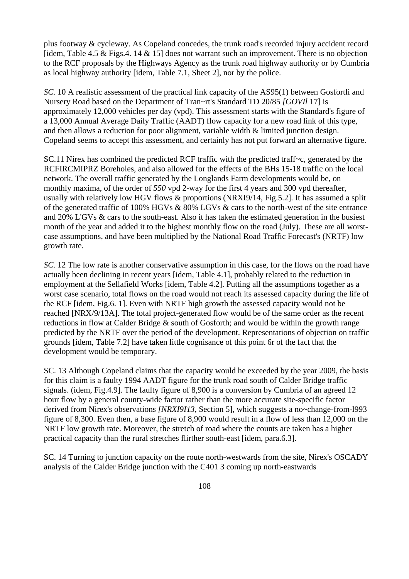plus footway & cycleway. As Copeland concedes, the trunk road's recorded injury accident record [idem, Table 4.5  $\&$  Figs.4. 14  $\&$  15] does not warrant such an improvement. There is no objection to the RCF proposals by the Highways Agency as the trunk road highway authority or by Cumbria as local highway authority [idem, Table 7.1, Sheet 2], nor by the police.

*SC.* 10 A realistic assessment of the practical link capacity of the AS95(1) between Gosfortli and Nursery Road based on the Department of Tran~rt's Standard TD 20/85 *[GOVIl* 17] is approximately 12,000 vehicles per day (vpd). This assessment starts with the Standard's figure of a 13,000 Annual Average Daily Traffic (AADT) flow capacity for a new road link of this type, and then allows a reduction for poor alignment, variable width & limited junction design. Copeland seems to accept this assessment, and certainly has not put forward an alternative figure.

SC.11 Nirex has combined the predicted RCF traffic with the predicted traff~c, generated by the RCFIRCMIPRZ Boreholes, and also allowed for the effects of the BHs 15-18 traffic on the local network. The overall traffic generated by the Longlands Farm developments would be, on monthly maxima, of the order of *550* vpd 2-way for the first 4 years and 300 vpd thereafter, usually with relatively low HGV flows & proportions (NRXI9/14, Fig.5.2]. It has assumed a split of the generated traffic of 100% HGVs & 80% LGVs & cars to the north-west of the site entrance and 20% L'GVs & cars to the south-east. Also it has taken the estimated generation in the busiest month of the year and added it to the highest monthly flow on the road (July). These are all worstcase assumptions, and have been multiplied by the National Road Traffic Forecast's (NRTF) low growth rate.

*SC.* 12 The low rate is another conservative assumption in this case, for the flows on the road have actually been declining in recent years [idem, Table 4.1], probably related to the reduction in employment at the Sellafield Works [idem, Table 4.2]. Putting all the assumptions together as a worst case scenario, total flows on the road would not reach its assessed capacity during the life of the RCF [idem, Fig.6. 1]. Even with NRTF high growth the assessed capacity would not be reached [NRX/9/13A]. The total project-generated flow would be of the same order as the recent reductions in flow at Calder Bridge & south of Gosforth; and would be within the growth range predicted by the NRTF over the period of the development. Representations of objection on traffic grounds [idem, Table 7.2] have taken little cognisance of this point 6r of the fact that the development would be temporary.

SC. 13 Although Copeland claims that the capacity would he exceeded by the year 2009, the basis for this claim is a faulty 1994 AADT figure for the trunk road south of Calder Bridge traffic signals. (idem, Fig.4.9]. The faulty figure of 8,900 is a conversion by Cumbria of an agreed 12 hour flow by a general county-wide factor rather than the more accurate site-specific factor derived from Nirex's observations *[NRXI9I13,* Section 5], which suggests a no~change-from-l993 figure of 8,300. Even then, a base figure of 8,900 would result in a flow of less than 12,000 on the NRTF low growth rate. Moreover, the stretch of road where the counts are taken has a higher practical capacity than the rural stretches flirther south-east [idem, para.6.3].

SC. 14 Turning to junction capacity on the route north-westwards from the site, Nirex's OSCADY analysis of the Calder Bridge junction with the C401 3 coming up north-eastwards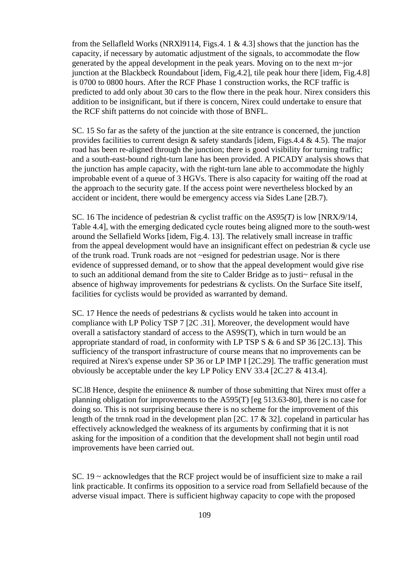from the Sellafleld Works (NRX19114, Figs.4. 1  $\&$  4.3] shows that the junction has the capacity, if necessary by automatic adjustment of the signals, to accommodate the flow generated by the appeal development in the peak years. Moving on to the next m~jor junction at the Blackbeck Roundabout [idem, Fig.4.2], tile peak hour there [idem, Fig.4.8] is 0700 to 0800 hours. After the RCF Phase 1 construction works, the RCF traffic is predicted to add only about 30 cars to the flow there in the peak hour. Nirex considers this addition to be insignificant, but if there is concern, Nirex could undertake to ensure that the RCF shift patterns do not coincide with those of BNFL.

SC. 15 So far as the safety of the junction at the site entrance is concerned, the junction provides facilities to current design  $\&$  safety standards [idem, Figs.4.4  $\&$  4.5). The major road has been re-aligned through the junction; there is good visibility for turning traffic; and a south-east-bound right-turn lane has been provided. A PICADY analysis shows that the junction has ample capacity, with the right-turn lane able to accommodate the highly improbable event of a queue of 3 HGVs. There is also capacity for waiting off the road at the approach to the security gate. If the access point were nevertheless blocked by an accident or incident, there would be emergency access via Sides Lane [2B.7).

SC. 16 The incidence of pedestrian & cyclist traffic on the *AS95(T)* is low [NRX/9/14, Table 4.4], with the emerging dedicated cycle routes being aligned more to the south-west around the Sellafield Works [idem, Fig.4. 13]. The relatively small increase in traffic from the appeal development would have an insignificant effect on pedestrian & cycle use of the trunk road. Trunk roads are not ~esigned for pedestrian usage. Nor is there evidence of suppressed demand, or to show that the appeal development would give rise to such an additional demand from the site to Calder Bridge as to justi~ refusal in the absence of highway improvements for pedestrians & cyclists. On the Surface Site itself, facilities for cyclists would be provided as warranted by demand.

SC. 17 Hence the needs of pedestrians & cyclists would he taken into account in compliance with LP Policy TSP 7 [2C .31]. Moreover, the development would have overall a satisfactory standard of access to the AS9S(T), which in turn would be an appropriate standard of road, in conformity with LP TSP  $\hat{S} \& 6$  and  $\hat{S}P \& 36$  [2C.13]. This sufficiency of the transport infrastructure of course means that no improvements can be required at Nirex's expense under SP 36 or LP IMP I [2C.29]. The traffic generation must obviously be acceptable under the key LP Policy ENV 33.4 [2C.27 & 413.4].

SC.l8 Hence, despite the eniinence & number of those submitting that Nirex must offer a planning obligation for improvements to the A595(T) [eg 513.63-80], there is no case for doing so. This is not surprising because there is no scheme for the improvement of this length of the trnnk road in the development plan [2C. 17 & 32]. copeland in particular has effectively acknowledged the weakness of its arguments by confirming that it is not asking for the imposition of a condition that the development shall not begin until road improvements have been carried out.

SC.  $19 \sim$  acknowledges that the RCF project would be of insufficient size to make a rail link practicable. It confirms its opposition to a service road from Sellafield because of the adverse visual impact. There is sufficient highway capacity to cope with the proposed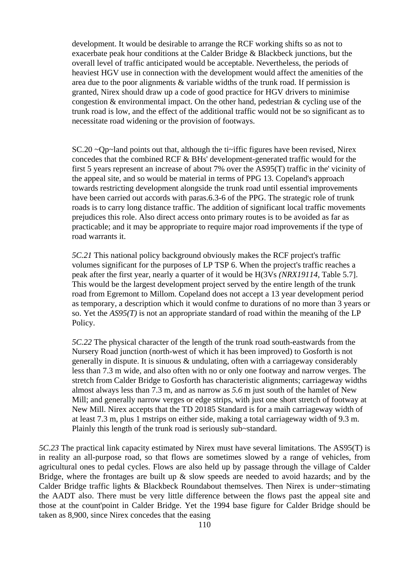development. It would be desirable to arrange the RCF working shifts so as not to exacerbate peak hour conditions at the Calder Bridge & Blackbeck junctions, but the overall level of traffic anticipated would be acceptable. Nevertheless, the periods of heaviest HGV use in connection with the development would affect the amenities of the area due to the poor alignments & variable widths of the trunk road. If permission is granted, Nirex should draw up a code of good practice for HGV drivers to minimise congestion  $\&$  environmental impact. On the other hand, pedestrian  $\&$  cycling use of the trunk road is low, and the effect of the additional traffic would not be so significant as to necessitate road widening or the provision of footways.

 $SC.20 \sim Qp\sim$ land points out that, although the ti $\sim$ iffic figures have been revised, Nirex concedes that the combined RCF & BHs' development-generated traffic would for the first 5 years represent an increase of about 7% over the AS95(T) traffic in the' vicinity of the appeal site, and so would be material in terms of PPG 13. Copeland's approach towards restricting development alongside the trunk road until essential improvements have been carried out accords with paras.6.3-6 of the PPG. The strategic role of trunk roads is to carry long distance traffic. The addition of significant local traffic movements prejudices this role. Also direct access onto primary routes is to be avoided as far as practicable; and it may be appropriate to require major road improvements if the type of road warrants it.

*5C.21* This national policy background obviously makes the RCF project's traffic volumes significant for the purposes of LP TSP 6. When the project's traffic reaches a peak after the first year, nearly a quarter of it would be H(3Vs *(NRX19114,* Table 5.7]. This would be the largest development project served by the entire length of the trunk road from Egremont to Millom. Copeland does not accept a 13 year development period as temporary, a description which it would confme to durations of no more than 3 years or so. Yet the *AS95(T)* is not an appropriate standard of road within the meanihg of the LP Policy.

*5C.22* The physical character of the length of the trunk road south-eastwards from the Nursery Road junction (north-west of which it has been improved) to Gosforth is not generally in dispute. It is sinuous & undulating, often with a carriageway considerably less than 7.3 m wide, and also often with no or only one footway and narrow verges. The stretch from Calder Bridge to Gosforth has characteristic alignments; carriageway widths almost always less than 7.3 m, and as narrow as *5.6* m just south of the hamlet of New Mill; and generally narrow verges or edge strips, with just one short stretch of footway at New Mill. Nirex accepts that the TD 20185 Standard is for a maih carriageway width of at least 7.3 m, plus 1 mstrips on either side, making a total carriageway width of 9.3 m. Plainly this length of the trunk road is seriously sub~standard.

*5C.23* The practical link capacity estimated by Nirex must have several limitations. The AS95(T) is in reality an all-purpose road, so that flows are sometimes slowed by a range of vehicles, from agricultural ones to pedal cycles. Flows are also held up by passage through the village of Calder Bridge, where the frontages are built up  $\&$  slow speeds are needed to avoid hazards; and by the Calder Bridge traffic lights & Blackbeck Roundabout themselves. Then Nirex is under~stimating the AADT also. There must be very little difference between the flows past the appeal site and those at the count'point in Calder Bridge. Yet the 1994 base figure for Calder Bridge should be taken as 8,900, since Nirex concedes that the easing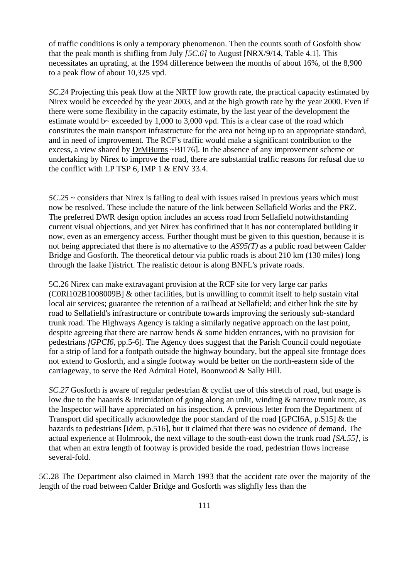of traffic conditions is only a temporary phenomenon. Then the counts south of Gosfoith show that the peak month is shifling from July *[5C.6]* to August [NRX/9/14, Table 4.1]. This necessitates an uprating, at the 1994 difference between the months of about 16%, of the 8,900 to a peak flow of about 10,325 vpd.

*SC.24* Projecting this peak flow at the NRTF low growth rate, the practical capacity estimated by Nirex would be exceeded by the year 2003, and at the high growth rate by the year 2000. Even if there were some flexibility in the capacity estimate, by the last year of the development the estimate would b~ exceeded by  $1,000$  to  $3,000$  vpd. This is a clear case of the road which constitutes the main transport infrastructure for the area not being up to an appropriate standard, and in need of improvement. The RCF's traffic would make a significant contribution to the excess, a view shared by DrMBurns ~BI176]. In the absence of any improvement scheme or undertaking by Nirex to improve the road, there are substantial traffic reasons for refusal due to the conflict with LP TSP 6, IMP 1 & ENV 33.4.

*5C.25 ~* considers that Nirex is failing to deal with issues raised in previous years which must now be resolved. These include the nature of the link between Sellafield Works and the PRZ. The preferred DWR design option includes an access road from Sellafield notwithstanding current visual objections, and yet Nirex has confirined that it has not contemplated building it now, even as an emergency access. Further thought must be given to this question, because it is not being appreciated that there is no alternative to the *AS95(T)* as a public road between Calder Bridge and Gosforth. The theoretical detour via public roads is about 210 km (130 miles) long through the Iaake I)istrict. The realistic detour is along BNFL's private roads.

5C.26 Nirex can make extravagant provision at the RCF site for very large car parks (C0Rl102B1008009B] & other facilities, but is unwilling to commit itself to help sustain vital local air services; guarantee the retention of a railhead at Sellafield; and either link the site by road to Sellafield's infrastructure or contribute towards improving the seriously sub-standard trunk road. The Highways Agency is taking a similarly negative approach on the last point, despite agreeing that there are narrow bends & some hidden entrances, with no provision for pedestrians *fGPCI6,* pp.5-6]. The Agency does suggest that the Parish Council could negotiate for a strip of land for a footpath outside the highway boundary, but the appeal site frontage does not extend to Gosforth, and a single footway would be better on the north-eastern side of the carriageway, to serve the Red Admiral Hotel, Boonwood & Sally Hill.

*SC.27* Gosforth is aware of regular pedestrian & cyclist use of this stretch of road, but usage is low due to the haaards & intimidation of going along an unlit, winding & narrow trunk route, as the Inspector will have appreciated on his inspection. A previous letter from the Department of Transport did specifically acknowledge the poor standard of the road [GPCI6A, p.S15] & the hazards to pedestrians [idem, p.516], but it claimed that there was no evidence of demand. The actual experience at Holmrook, the next village to the south-east down the trunk road *[SA.55],* is that when an extra length of footway is provided beside the road, pedestrian flows increase several-fold.

5C.28 The Department also claimed in March 1993 that the accident rate over the majority of the length of the road between Calder Bridge and Gosforth was slighfly less than the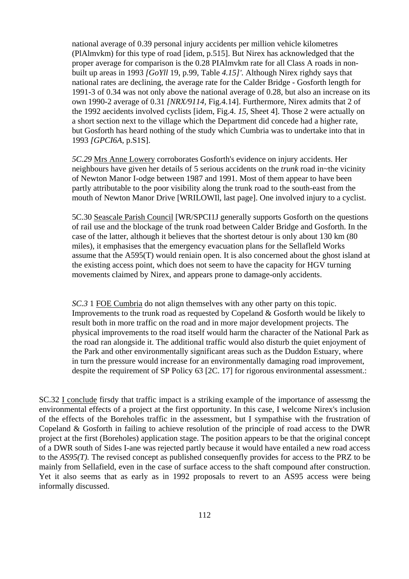national average of 0.39 personal injury accidents per million vehicle kilometres (PlAlmvkm) for this type of road [idem, p.515]. But Nirex has acknowledged that the proper average for comparison is the 0.28 PIAlmvkm rate for all Class A roads in nonbuilt up areas in 1993 *[GoYll* 19, p.99, Table *4.15]'.* Although Nirex righdy says that national rates are declining, the average rate for the Calder Bridge - Gosforth length for 1991-3 of 0.34 was not only above the national average of 0.28, but also an increase on its own 1990-2 average of 0.31 *[NRX/9114,* Fig.4.14]. Furthermore, Nirex admits that 2 of the 1992 aecidents involved cyclists [idem, Fig.4. *15,* Sheet 4]. Those 2 were actually on a short section next to the village which the Department did concede had a higher rate, but Gosforth has heard nothing of the study which Cumbria was to undertake into that in 1993 *[GPCI6A,* p.S1S].

*5C.29* Mrs Anne Lowery corroborates Gosforth's evidence on injury accidents. Her neighbours have given her details of 5 serious accidents on the *trunk* road in~the vicinity of Newton Manor I-odge between 1987 and 1991. Most of them appear to have been partly attributable to the poor visibility along the trunk road to the south-east from the mouth of Newton Manor Drive [WRILOWIl, last page]. One involved injury to a cyclist.

5C.30 Seascale Parish Council [WR/SPCI1J generally supports Gosforth on the questions of rail use and the blockage of the trunk road between Calder Bridge and Gosforth. In the case of the latter, although it believes that the shortest detour is only about 130 km (80 miles), it emphasises that the emergency evacuation plans for the Sellafleld Works assume that the A595(T) would reniain open. It is also concerned about the ghost island at the existing access point, which does not seem to have the capacity for HGV turning movements claimed by Nirex, and appears prone to damage-only accidents.

*SC.3* 1 FOE Cumbria do not align themselves with any other party on this topic. Improvements to the trunk road as requested by Copeland & Gosforth would be likely to result both in more traffic on the road and in more major development projects. The physical improvements to the road itself would harm the character of the National Park as the road ran alongside it. The additional traffic would also disturb the quiet enjoyment of the Park and other environmentally significant areas such as the Duddon Estuary, where in turn the pressure would increase for an environmentally damaging road improvement, despite the requirement of SP Policy 63 [2C. 17] for rigorous environmental assessment.:

SC.32 I conclude firsdy that traffic impact is a striking example of the importance of assessmg the environmental effects of a project at the first opportunity. In this case, I welcome Nirex's inclusion of the effects of the Boreholes traffic in the assessment, but I sympathise with the frustration of Copeland & Gosforth in failing to achieve resolution of the principle of road access to the DWR project at the first (Boreholes) application stage. The position appears to be that the original concept of a DWR south of Sides I-ane was rejected partly because it would have entailed a new road access to the *AS95(T).* The revised concept as published consequenfly provides for access to the PRZ to be mainly from Sellafield, even in the case of surface access to the shaft compound after construction. Yet it also seems that as early as in 1992 proposals to revert to an AS95 access were being informally discussed.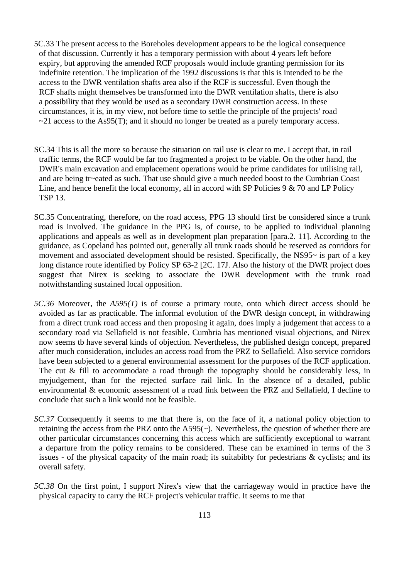- 5C.33 The present access to the Boreholes development appears to be the logical consequence of that discussion. Currently it has a temporary permission with about 4 years left before expiry, but approving the amended RCF proposals would include granting permission for its indefinite retention. The implication of the 1992 discussions is that this is intended to be the access to the DWR ventilation shafts area also if the RCF is successful. Even though the RCF shafts might themselves be transformed into the DWR ventilation shafts, there is also a possibility that they would be used as a secondary DWR construction access. In these circumstances, it is, in my view, not before time to settle the principle of the projects' road  $\sim$ 21 access to the As95(T); and it should no longer be treated as a purely temporary access.
- SC.34 This is all the more so because the situation on rail use is clear to me. I accept that, in rail traffic terms, the RCF would be far too fragmented a project to be viable. On the other hand, the DWR's main excavation and emplacement operations would be prime candidates for utilising rail, and are being tr~eated as such. That use should give a much needed boost to the Cumbrian Coast Line, and hence benefit the local economy, all in accord with SP Policies  $9 & 70$  and LP Policy TSP 13.
- SC.35 Concentrating, therefore, on the road access, PPG 13 should first be considered since a trunk road is involved. The guidance in the PPG is, of course, to be applied to individual planning applications and appeals as well as in development plan preparation [para.2. 11]. According to the guidance, as Copeland has pointed out, generally all trunk roads should be reserved as corridors for movement and associated development should be resisted. Specifically, the NS95~ is part of a key long distance route identified by Policy SP 63-2 [2C. 17J. Also the history of the DWR project does suggest that Nirex is seeking to associate the DWR development with the trunk road notwithstanding sustained local opposition.
- *5C.36* Moreover, the *A595(T)* is of course a primary route, onto which direct access should be avoided as far as practicable. The informal evolution of the DWR design concept, in withdrawing from a direct trunk road access and then proposing it again, does imply a judgement that access to a secondary road via Sellafield is not feasible. Cumbria has mentioned visual objections, and Nirex now seems tb have several kinds of objection. Nevertheless, the published design concept, prepared after much consideration, includes an access road from the PRZ to Sellafield. Also service corridors have been subjected to a general environmental assessment for the purposes of the RCF application. The cut & fill to accommodate a road through the topography should be considerably less, in myjudgement, than for the rejected surface rail link. In the absence of a detailed, public environmental & economic assessment of a road link between the PRZ and Sellafield, I decline to conclude that such a link would not be feasible.
- *SC.37* Consequently it seems to me that there is, on the face of it, a national policy objection to retaining the access from the PRZ onto the A595(~). Nevertheless, the question of whether there are other particular circumstances concerning this access which are sufficiently exceptional to warrant a departure from the policy remains to be considered. These can be examined in terms of the 3 issues - of the physical capacity of the main road; its suitabibty for pedestrians & cyclists; and its overall safety.
- *5C.38* On the first point, I support Nirex's view that the carriageway would in practice have the physical capacity to carry the RCF project's vehicular traffic. It seems to me that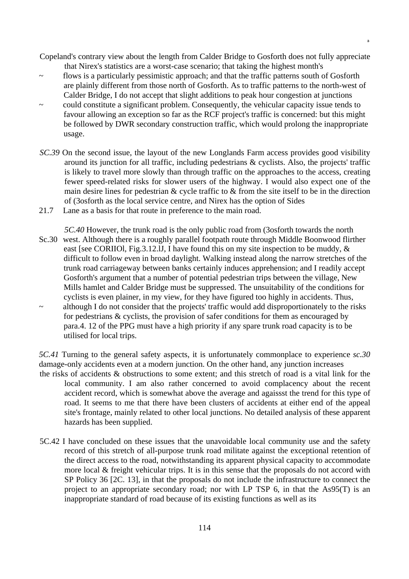Copeland's contrary view about the length from Calder Bridge to Gosforth does not fully appreciate that Nirex's statistics are a worst-case scenario; that taking the highest month's

*b* 

- flows is a particularly pessimistic approach; and that the traffic patterns south of Gosforth are plainly different from those north of Gosforth. As to traffic patterns to the north-west of Calder Bridge, I do not accept that slight additions to peak hour congestion at junctions
- ~ could constitute a significant problem. Consequently, the vehicular capacity issue tends to favour allowing an exception so far as the RCF project's traffic is concerned: but this might be followed by DWR secondary construction traffic, which would prolong the inappropriate usage.
- *SC.39* On the second issue, the layout of the new Longlands Farm access provides good visibility around its junction for all traffic, including pedestrians & cyclists. Also, the projects' traffic is likely to travel more slowly than through traffic on the approaches to the access, creating fewer speed-related risks for slower users of the highway. I would also expect one of the main desire lines for pedestrian & cycle traffic to & from the site itself to be in the direction of (3osforth as the local service centre, and Nirex has the option of Sides
- 21.7 Lane as a basis for that route in preference to the main road.
- *5C.40* However, the trunk road is the only public road from (3osforth towards the north Sc.30 west. Although there is a roughly parallel footpath route through Middle Boonwood flirther east [see CORIIOl, Fig.3.12.lJ, I have found this on my site inspection to be muddy, & difficult to follow even in broad daylight. Walking instead along the narrow stretches of the trunk road carriageway between banks certainly induces apprehension; and I readily accept Gosforth's argument that a number of potential pedestrian trips between the village, New Mills hamlet and Calder Bridge must be suppressed. The unsuitability of the conditions for cyclists is even plainer, in my view, for they have figured too highly in accidents. Thus, although I do not consider that the projects' traffic would add disproportionately to the risks for pedestrians & cyclists, the provision of safer conditions for them as encouraged by para.4. 12 of the PPG must have a high priority if any spare trunk road capacity is to be utilised for local trips.

*5C.41* Turning to the general safety aspects, it is unfortunately commonplace to experience *sc.30*  damage-only accidents even at a modern junction. On the other hand, any junction increases the risks of accidents & obstructions to some extent; and this stretch of road is a vital link for the

- local community. I am also rather concerned to avoid complacency about the recent accident record, which is somewhat above the average and agaissst the trend for this type of road. It seems to me that there have been clusters of accidents at either end of the appeal site's frontage, mainly related to other local junctions. No detailed analysis of these apparent hazards has been supplied.
- 5C.42 I have concluded on these issues that the unavoidable local community use and the safety record of this stretch of all-purpose trunk road militate against the exceptional retention of the direct access to the road, notwithstanding its apparent physical capacity to accommodate more local & freight vehicular trips. It is in this sense that the proposals do not accord with SP Policy 36 [2C. 13], in that the proposals do not include the infrastructure to connect the project to an appropriate secondary road; nor with LP TSP 6, in that the As95(T) is an inappropriate standard of road because of its existing functions as well as its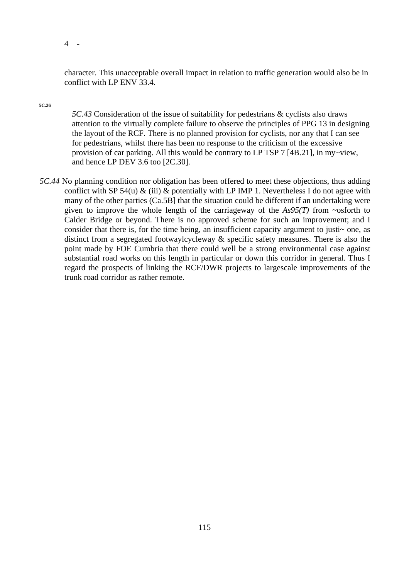character. This unacceptable overall impact in relation to traffic generation would also be in conflict with LP ENV 33.4.

#### **5C.26**

*5C.43* Consideration of the issue of suitability for pedestrians & cyclists also draws attention to the virtually complete failure to observe the principles of PPG 13 in designing the layout of the RCF. There is no planned provision for cyclists, nor any that I can see for pedestrians, whilst there has been no response to the criticism of the excessive provision of car parking. All this would be contrary to LP TSP 7 [4B.21], in my~view, and hence LP DEV 3.6 too [2C.30].

*5C.44* No planning condition nor obligation has been offered to meet these objections, thus adding conflict with SP 54(u)  $\&$  (iii)  $\&$  potentially with LP IMP 1. Nevertheless I do not agree with many of the other parties (Ca.5B] that the situation could be different if an undertaking were given to improve the whole length of the carriageway of the  $As95(T)$  from ~osforth to Calder Bridge or beyond. There is no approved scheme for such an improvement; and I consider that there is, for the time being, an insufficient capacity argument to justi~ one, as distinct from a segregated footwaylcycleway & specific safety measures. There is also the point made by FOE Cumbria that there could well be a strong environmental case against substantial road works on this length in particular or down this corridor in general. Thus I regard the prospects of linking the RCF/DWR projects to largescale improvements of the trunk road corridor as rather remote.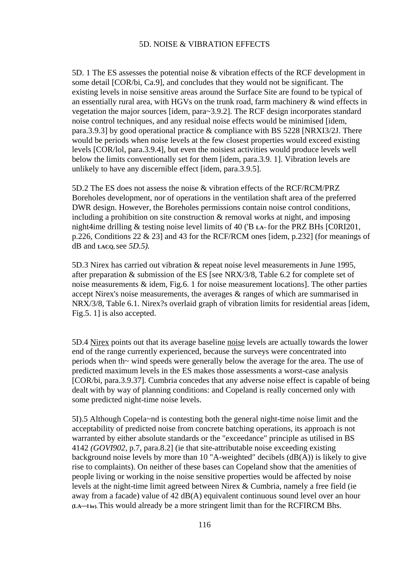#### 5D. NOISE & VIBRATION EFFECTS

5D. 1 The ES assesses the potential noise & vibration effects of the RCF development in some detail [COR/bi, Ca.9], and concludes that they would not be significant. The existing levels in noise sensitive areas around the Surface Site are found to be typical of an essentially rural area, with HGVs on the trunk road, farm machinery & wind effects in vegetation the major sources [idem, para~3.9.2]. The RCF design incorporates standard noise control techniques, and any residual noise effects would be minimised [idem, para.3.9.3] by good operational practice & compliance with BS 5228 [NRXI3/2J. There would be periods when noise levels at the few closest properties would exceed existing levels [COR/lol, para.3.9.4], but even the noisiest activities would produce levels well below the limits conventionally set for them [idem, para.3.9. 1]. Vibration levels are unlikely to have any discernible effect [idem, para.3.9.5].

5D.2 The ES does not assess the noise & vibration effects of the RCF/RCM/PRZ Boreholes development, nor of operations in the ventilation shaft area of the preferred DWR design. However, the Boreholes permissions contain noise control conditions, including a prohibition on site construction & removal works at night, and imposing night4ime drilling & testing noise level limits of 40 ('B **LA~** for the PRZ BHs [C0RI201, p.226, Conditions 22 & 23] and 43 for the RCF/RCM ones [idem, p.232] (for meanings of dB and **LACQ,** see *5D.5).* 

5D.3 Nirex has carried out vibration & repeat noise level measurements in June 1995, after preparation & submission of the ES [see NRX/3/8, Table 6.2 for complete set of noise measurements & idem, Fig.6. 1 for noise measurement locations]. The other parties accept Nirex's noise measurements, the averages & ranges of which are summarised in NRX/3/8, Table 6.1. Nirex?s overlaid graph of vibration limits for residential areas [idem, Fig.5. 1] is also accepted.

5D.4 Nirex points out that its average baseline noise levels are actually towards the lower end of the range currently experienced, because the surveys were concentrated into periods when th~ wind speeds were generally below the average for the area. The use of predicted maximum levels in the ES makes those assessments a worst-case analysis [COR/bi, para.3.9.37]. Cumbria concedes that any adverse noise effect is capable of being dealt with by way of planning conditions: and Copeland is really concerned only with some predicted night-time noise levels.

5I).5 Although Copela~nd is contesting both the general night-time noise limit and the acceptability of predicted noise from concrete batching operations, its approach is not warranted by either absolute standards or the "exceedance" principle as utilised in BS 4142 *(GOVI902,* p.7, para.8.2] (ie that site-attributable noise exceeding existing background noise levels by more than 10 "A-weighted" decibels  $(dB(A))$  is likely to give rise to complaints). On neither of these bases can Copeland show that the amenities of people living or working in the noise sensitive properties would be affected by noise levels at the night-time limit agreed between Nirex & Cumbria, namely a free field (ie away from a facade) value of 42 dB(A) equivalent continuous sound level over an hour **(LA~~l hr).** This would already be a more stringent limit than for the RCFIRCM Bhs.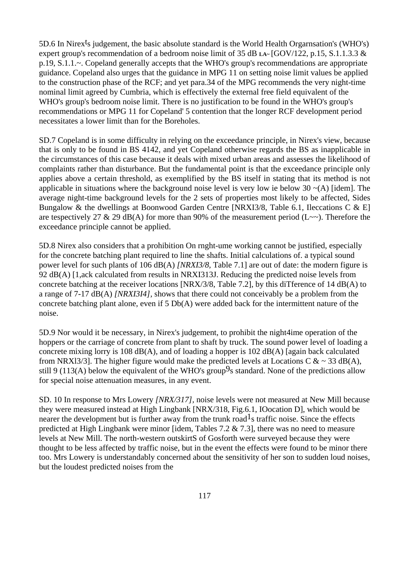5D.6 In Nirexts judgement, the basic absolute standard is the World Health Orgarnsation's (WHO's) expert group's recommendation of a bedroom noise limit of 35 dB **LA~** [GOV/122, p.15, S.1.1.3.3 & p.19, S.1.1.~. Copeland generally accepts that the WHO's group's recommendations are appropriate guidance. Copeland also urges that the guidance in MPG 11 on setting noise limit values be applied to the construction phase of the RCF; and yet para.34 of the MPG recommends the very night-time nominal limit agreed by Cumbria, which is effectively the external free field equivalent of the WHO's group's bedroom noise limit. There is no justification to be found in the WHO's group's recommendations or MPG 11 for Copeland' 5 contention that the longer RCF development period necessitates a lower limit than for the Boreholes.

SD.7 Copeland is in some difficulty in relying on the exceedance principle, in Nirex's view, because that is only to be found in BS 4142, and yet Copeland otherwise regards the BS as inapplicable in the circumstances of this case because it deals with mixed urban areas and assesses the likelihood of complaints rather than disturbance. But the fundamental point is that the exceedance principle only applies above a certain threshold, as exemplified by the BS itself in stating that its method is not applicable in situations where the background noise level is very low ie below  $30 \sim (A)$  [idem]. The average night-time background levels for the 2 sets of properties most likely to be affected, Sides Bungalow & the dwellings at Boonwood Garden Centre [NRXI3/8, Table 6.1, Ileccations C & E] are tespectively 27  $\&$  29 dB(A) for more than 90% of the measurement period (L $\sim$ ). Therefore the exceedance principle cannot be applied.

5D.8 Nirex also considers that a prohibition On rnght-ume working cannot be justified, especially for the concrete batching plant required to line the shafts. Initial calculations of. a typical sound power level for such plants of 106 dB(A) *[NRXI3/8,* Table 7.1] are out of date: the modern figure is 92 dB(A) [1,ack calculated from results in NRXI313J. Reducing the predicted noise levels from concrete batching at the receiver locations [NRX/3/8, Table 7.2], by this diTference of 14 dB(A) to a range of 7-17 dB(A) *[NRXI3I4],* shows that there could not conceivably be a problem from the concrete batching plant alone, even if 5 Db(A) were added back for the intermittent nature of the noise.

5D.9 Nor would it be necessary, in Nirex's judgement, to prohibit the night4ime operation of the hoppers or the carriage of concrete from plant to shaft by truck. The sound power level of loading a concrete mixing lorry is 108 dB(A), and of loading a hopper is 102 dB(A) [again back calculated from NRX13/3]. The higher figure would make the predicted levels at Locations C  $\& \sim 33$  dB(A), still 9 (113(A) below the equivalent of the WHO's group<sup>9</sup>s standard. None of the predictions allow for special noise attenuation measures, in any event.

SD. 10 In response to Mrs Lowery *[NRX/317],* noise levels were not measured at New Mill because they were measured instead at High Lingbank [NRX/318, Fig.6.1, IOocation D], which would be nearer the development but is further away from the trunk road  $\frac{1}{s}$  traffic noise. Since the effects predicted at High Lingbank were minor [idem, Tables 7.2 & 7.3], there was no need to measure levels at New Mill. The north-western outskirtS of Gosforth were surveyed because they were thought to be less affected by traffic noise, but in the event the effects were found to be minor there too. Mrs Lowery is understandably concerned about the sensitivity of her son to sudden loud noises, but the loudest predicted noises from the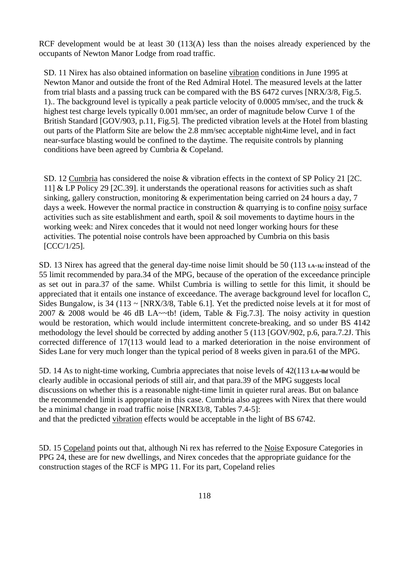RCF development would be at least 30 (113(A) less than the noises already experienced by the occupants of Newton Manor Lodge from road traffic.

SD. 11 Nirex has also obtained information on baseline vibration conditions in June 1995 at Newton Manor and outside the front of the Red Admiral Hotel. The measured levels at the latter from trial blasts and a passing truck can be compared with the BS 6472 curves [NRX/3/8, Fig.5. 1).. The background level is typically a peak particle velocity of 0.0005 mm/sec, and the truck & highest test charge levels typically 0.001 mm/sec, an order of magnitude below Curve 1 of the British Standard [GOV/903, p.11, Fig.5]. The predicted vibration levels at the Hotel from blasting out parts of the Platform Site are below the 2.8 mm/sec acceptable night4ime level, and in fact near-surface blasting would be confined to the daytime. The requisite controls by planning conditions have been agreed by Cumbria & Copeland.

SD. 12 Cumbria has considered the noise & vibration effects in the context of SP Policy 21 [2C. 11] & LP Policy 29 [2C.39]. it understands the operational reasons for activities such as shaft sinking, gallery construction, monitoring & experimentation being carried on 24 hours a day, 7 days a week. However the normal practice in construction  $\&$  quarrying is to confine noisy surface activities such as site establishment and earth, spoil  $\&$  soil movements to daytime hours in the working week: and Nirex concedes that it would not need longer working hours for these activities. The potential noise controls have been approached by Cumbria on this basis [CCC/1/25].

SD. 13 Nirex has agreed that the general day-time noise limit should be 50 (113 **LA~1k!** instead of the 55 limit recommended by para.34 of the MPG, because of the operation of the exceedance principle as set out in para.37 of the same. Whilst Cumbria is willing to settle for this limit, it should be appreciated that it entails one instance of exceedance. The average background level for locaflon C, Sides Bungalow, is  $34$  (113 ~ [NRX/3/8, Table 6.1]. Yet the predicted noise levels at it for most of 2007 & 2008 would be 46 dB LA~~tb! (idem, Table & Fig.7.3]. The noisy activity in question would be restoration, which would include intermittent concrete-breaking, and so under BS 4142 methodology the level should be corrected by adding another 5 (113 [GOV/902, p.6, para.7.2J. This corrected difference of 17(113 would lead to a marked deterioration in the noise environment of Sides Lane for very much longer than the typical period of 8 weeks given in para.61 of the MPG.

5D. 14 As to night-time working, Cumbria appreciates that noise levels of 42(113 **LA~lhf** would be clearly audible in occasional periods of still air, and that para.39 of the MPG suggests local discussions on whether this is a reasonable night-time limit in quieter rural areas. But on balance the recommended limit is appropriate in this case. Cumbria also agrees with Nirex that there would be a minimal change in road traffic noise [NRXI3/8, Tables 7.4-5]: and that the predicted vibration effects would be acceptable in the light of BS 6742.

5D. 15 Copeland points out that, although Ni rex has referred to the Noise Exposure Categories in PPG 24, these are for new dwellings, and Nirex concedes that the appropriate guidance for the construction stages of the RCF is MPG 11. For its part, Copeland relies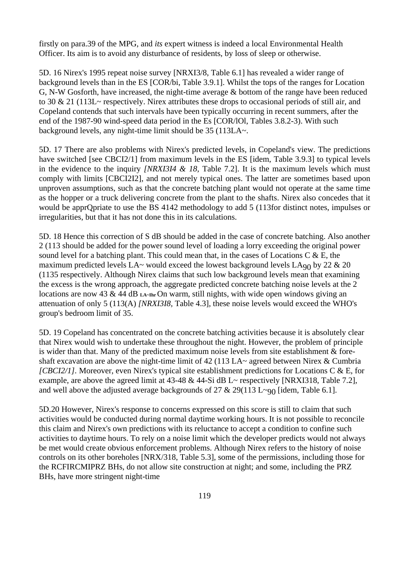firstly on para.39 of the MPG, and *its* expert witness is indeed a local Environmental Health Officer. Its aim is to avoid any disturbance of residents, by loss of sleep or otherwise.

5D. 16 Nirex's 1995 repeat noise survey [NRXI3/8, Table 6.1] has revealed a wider range of background levels than in the ES [COR/bi, Table 3.9.1]. Whilst the tops of the ranges for Location G, N-W Gosforth, have increased, the night-time average & bottom of the range have been reduced to 30 & 21 (113L~ respectively. Nirex attributes these drops to occasional periods of still air, and Copeland contends that such intervals have been typically occurring in recent summers, after the end of the 1987-90 wind-speed data period in the Es [COR/lOl, Tables 3.8.2-3). With such background levels, any night-time limit should be 35 (113LA~.

5D. 17 There are also problems with Nirex's predicted levels, in Copeland's view. The predictions have switched [see CBCI2/1] from maximum levels in the ES [idem, Table 3.9.3] to typical levels in the evidence to the inquiry *[NRXI3I4 & 18,* Table 7.2]. It is the maximum levels which must comply with limits [CBCI2I2], and not merely typical ones. The latter are sometimes based upon unproven assumptions, such as that the concrete batching plant would not operate at the same time as the hopper or a truck delivering concrete from the plant to the shafts. Nirex also concedes that it would be apprQpriate to use the BS 4142 methodology to add 5 (113for distinct notes, impulses or irregularities, but that it has not done this in its calculations.

5D. 18 Hence this correction of S dB should be added in the case of concrete batching. Also another 2 (113 should be added for the power sound level of loading a lorry exceeding the original power sound level for a batching plant. This could mean that, in the cases of Locations  $C \& E$ , the maximum predicted levels LA~ would exceed the lowest background levels LA $_{90}$  by 22 & 20 (1135 respectively. Although Nirex claims that such low background levels mean that examining the excess is the wrong approach, the aggregate predicted concrete batching noise levels at the 2 locations are now 43 & 44 dB **LA~Ihr** On warm, still nights, with wide open windows giving an attenuation of only 5 (113(A) *[NRXI3I8,* Table 4.3], these noise levels would exceed the WHO's group's bedroom limit of 35.

5D. 19 Copeland has concentrated on the concrete batching activities because it is absolutely clear that Nirex would wish to undertake these throughout the night. However, the problem of principle is wider than that. Many of the predicted maximum noise levels from site establishment  $\&$  foreshaft excavation are above the night-time limit of 42 (113 LA $\sim$  agreed between Nirex & Cumbria *[CBCI2/1]*. Moreover, even Nirex's typical site establishment predictions for Locations C & E, for example, are above the agreed limit at 43-48 & 44-Si dB L~ respectively [NRXI318, Table 7.2], and well above the adjusted average backgrounds of 27 & 29(113 L~90 [idem, Table 6.1].

5D.20 However, Nirex's response to concerns expressed on this score is still to claim that such activities would be conducted during normal daytime working hours. It is not possible to reconcile this claim and Nirex's own predictions with its reluctance to accept a condition to confine such activities to daytime hours. To rely on a noise limit which the developer predicts would not always be met would create obvious enforcement problems. Although Nirex refers to the history of noise controls on its other boreholes [NRX/318, Table 5.3], some of the permissions, including those for the RCFIRCMIPRZ BHs, do not allow site construction at night; and some, including the PRZ BHs, have more stringent night-time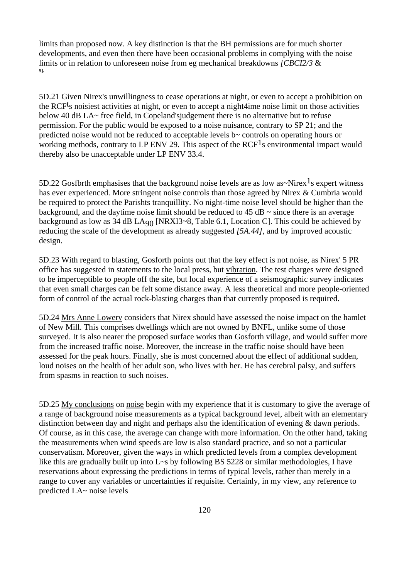limits than proposed now. A key distinction is that the BH permissions are for much shorter developments, and even then there have been occasional problems in complying with the noise limits or in relation to unforeseen noise from eg mechanical breakdowns *[CBCI2/3* & **5].** 

5D.21 Given Nirex's unwillingness to cease operations at night, or even to accept a prohibition on the RCFts noisiest activities at night, or even to accept a night4ime noise limit on those activities below 40 dB LA~ free field, in Copeland'sjudgement there is no alternative but to refuse permission. For the public would be exposed to a noise nuisance, contrary to SP 21; and the predicted noise would not be reduced to acceptable levels b~ controls on operating hours or working methods, contrary to LP ENV 29. This aspect of the  $RCF<sup>1</sup>s$  environmental impact would thereby also be unacceptable under LP ENV 33.4.

5D.22 Gosfbrth emphasises that the background noise levels are as low as~Nirex<sup>1</sup>s expert witness has ever experienced. More stringent noise controls than those agreed by Nirex & Cumbria would be required to protect the Parishts tranquillity. No night-time noise level should be higher than the background, and the daytime noise limit should be reduced to  $45$  dB  $\sim$  since there is an average background as low as 34 dB LA $_{90}$  [NRXI3~8, Table 6.1, Location C]. This could be achieved by reducing the scale of the development as already suggested *[5A.44],* and by improved acoustic design.

5D.23 With regard to blasting, Gosforth points out that the key effect is not noise, as Nirex' 5 PR office has suggested in statements to the local press, but vibration. The test charges were designed to be imperceptible to people off the site, but local experience of a seismographic survey indicates that even small charges can be felt some distance away. A less theoretical and more people-oriented form of control of the actual rock-blasting charges than that currently proposed is required.

5D.24 Mrs Anne Lowerv considers that Nirex should have assessed the noise impact on the hamlet of New Mill. This comprises dwellings which are not owned by BNFL, unlike some of those surveyed. It is also nearer the proposed surface works than Gosforth village, and would suffer more from the increased traffic noise. Moreover, the increase in the traffic noise should have been assessed for the peak hours. Finally, she is most concerned about the effect of additional sudden, loud noises on the health of her adult son, who lives with her. He has cerebral palsy, and suffers from spasms in reaction to such noises.

5D.25 My conclusions on noise begin with my experience that it is customary to give the average of a range of background noise measurements as a typical background level, albeit with an elementary distinction between day and night and perhaps also the identification of evening & dawn periods. Of course, as in this case, the average can change with more information. On the other hand, taking the measurements when wind speeds are low is also standard practice, and so not a particular conservatism. Moreover, given the ways in which predicted levels from a complex development like this are gradually built up into L~s by following BS 5228 or similar methodologies, I have reservations about expressing the predictions in terms of typical levels, rather than merely in a range to cover any variables or uncertainties if requisite. Certainly, in my view, any reference to predicted LA~ noise levels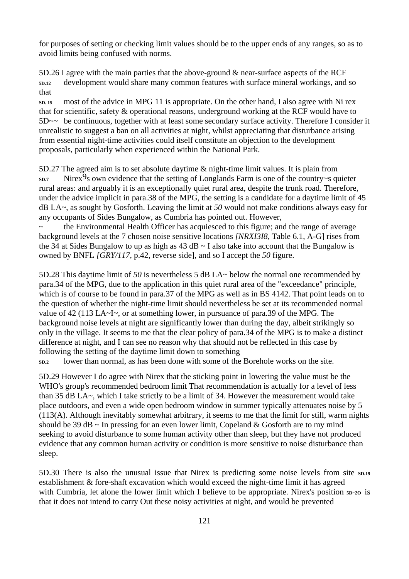for purposes of setting or checking limit values should be to the upper ends of any ranges, so as to avoid limits being confused with norms.

5D.26 I agree with the main parties that the above-ground & near-surface aspects of the RCF **5D.12** development would share many common features with surface mineral workings, and so that

**SD. 15** most of the advice in MPG 11 is appropriate. On the other hand, I also agree with Ni rex that for scientific, safety & operational reasons, underground working at the RCF would have to 5D~~ be confinuous, together with at least some secondary surface activity. Therefore I consider it unrealistic to suggest a ban on all activities at night, whilst appreciating that disturbance arising from essential night-time activities could itself constitute an objection to the development proposals, particularly when experienced within the National Park.

5D.27 The agreed aim is to set absolute daytime & night-time limit values. It is plain from  $\text{S}$ .7 **Nirex**<sup>9</sup>s own evidence that the setting of Longlands Farm is one of the country~s quieter rural areas: and arguably it is an exceptionally quiet rural area, despite the trunk road. Therefore, under the advice implicit in para.38 of the MPG, the setting is a candidate for a daytime limit of 45 dB LA~, as sought by Gosforth. Leaving the limit at *50* would not make conditions always easy for any occupants of Sides Bungalow, as Cumbria has pointed out. However,

the Environmental Health Officer has acquiesced to this figure; and the range of average background levels at the 7 chosen noise sensitive locations *[NRXI3I8,* Table 6.1, A-G] rises from the 34 at Sides Bungalow to up as high as  $43 \text{ dB} \sim I$  also take into account that the Bungalow is owned by BNFL *[GRY/117,* p.42, reverse side], and so I accept the *50* figure.

5D.28 This daytime limit of *50* is nevertheless 5 dB LA~ below the normal one recommended by para.34 of the MPG, due to the application in this quiet rural area of the "exceedance" principle, which is of course to be found in para.37 of the MPG as well as in BS 4142. That point leads on to the question of whether the night-time limit should nevertheless be set at its recommended normal value of 42 (113 LA~I~, or at something lower, in pursuance of para.39 of the MPG. The background noise levels at night are significantly lower than during the day, albeit strikingly so only in the village. It seems to me that the clear policy of para.34 of the MPG is to make a distinct difference at night, and I can see no reason why that should not be reflected in this case by following the setting of the daytime limit down to something

**SD.2** lower than normal, as has been done with some of the Borehole works on the site.

5D.29 However I do agree with Nirex that the sticking point in lowering the value must be the WHO's group's recommended bedroom limit That recommendation is actually for a level of less than 35 dB LA~, which I take strictly to be a limit of 34. However the measurement would take place outdoors, and even a wide open bedroom window in summer typically attenuates noise by 5 (113(A). Although inevitably somewhat arbitrary, it seems to me that the limit for still, warm nights should be 39 dB  $\sim$  In pressing for an even lower limit, Copeland & Gosforth are to my mind seeking to avoid disturbance to some human activity other than sleep, but they have not produced evidence that any common human activity or condition is more sensitive to noise disturbance than sleep.

5D.30 There is also the unusual issue that Nirex is predicting some noise levels from site **SD.19**  establishment & fore-shaft excavation which would exceed the night-time limit it has agreed with Cumbria, let alone the lower limit which I believe to be appropriate. Nirex's position  $5D-2O$  is that it does not intend to carry Out these noisy activities at night, and would be prevented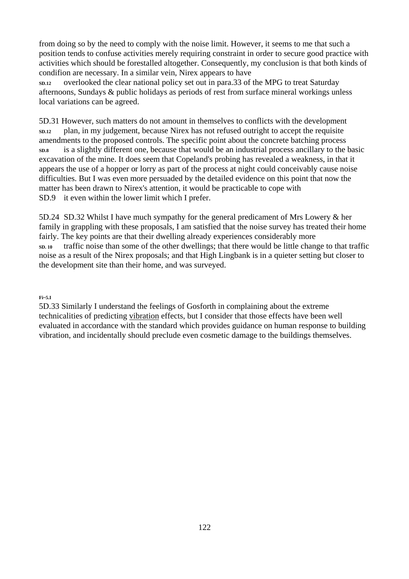from doing so by the need to comply with the noise limit. However, it seems to me that such a position tends to confuse activities merely requiring constraint in order to secure good practice with activities which should be forestalled altogether. Consequently, my conclusion is that both kinds of condifion are necessary. In a similar vein, Nirex appears to have

**SD.12** overlooked the clear national policy set out in para.33 of the MPG to treat Saturday afternoons, Sundays & public holidays as periods of rest from surface mineral workings unless local variations can be agreed.

5D.31 However, such matters do not amount in themselves to conflicts with the development **SD.12** plan, in my judgement, because Nirex has not refused outright to accept the requisite amendments to the proposed controls. The specific point about the concrete batching process **SD.8** is a slightly different one, because that would be an industrial process ancillary to the basic excavation of the mine. It does seem that Copeland's probing has revealed a weakness, in that it appears the use of a hopper or lorry as part of the process at night could conceivably cause noise difficulties. But I was even more persuaded by the detailed evidence on this point that now the matter has been drawn to Nirex's attention, it would be practicable to cope with SD.9 it even within the lower limit which I prefer.

5D.24 SD.32 Whilst I have much sympathy for the general predicament of Mrs Lowery & her family in grappling with these proposals, I am satisfied that the noise survey has treated their home fairly. The key points are that their dwelling already experiences considerably more **SD. 10** traffic noise than some of the other dwellings; that there would be little change to that traffic noise as a result of the Nirex proposals; and that High Lingbank is in a quieter setting but closer to the development site than their home, and was surveyed.

### **Fi~5.I**

5D.33 Similarly I understand the feelings of Gosforth in complaining about the extreme technicalities of predicting vibration effects, but I consider that those effects have been well evaluated in accordance with the standard which provides guidance on human response to building vibration, and incidentally should preclude even cosmetic damage to the buildings themselves.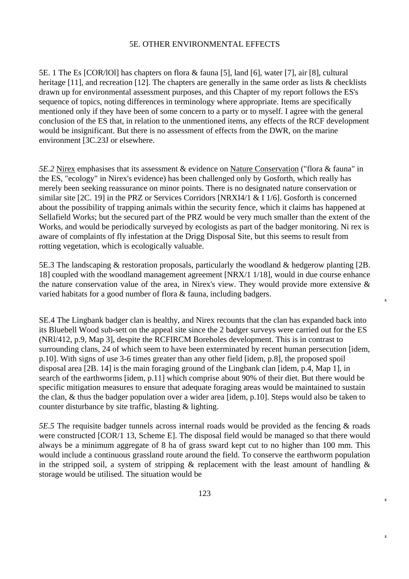## 5E. OTHER ENVIRONMENTAL EFFECTS

5E. 1 The Es [COR/lOl] has chapters on flora & fauna [5], land [6], water [7], air [8], cultural heritage [11], and recreation [12]. The chapters are generally in the same order as lists  $\&$  checklists drawn up for environmental assessment purposes, and this Chapter of my report follows the ES's sequence of topics, noting differences in terminology where appropriate. Items are specifically mentioned only if they have been of some concern to a party or to myself. I agree with the general conclusion of the ES that, in relation to the unmentioned items, any effects of the RCF development would be insignificant. But there is no assessment of effects from the DWR, on the marine environment [3C.23J or elsewhere.

*5E.2* Nirex emphasises that its assessment & evidence on Nature Conservation ("flora & fauna" in the ES, "ecology" in Nirex's evidence) has been challenged only by Gosforth, which really has merely been seeking reassurance on minor points. There is no designated nature conservation or similar site [2C. 19] in the PRZ or Services Corridors [NRXI4/1 & I 1/6]. Gosforth is concerned about the possibility of trapping animals within the security fence, which it claims has happened at Sellafield Works; but the secured part of the PRZ would be very much smaller than the extent of the Works, and would be periodically surveyed by ecologists as part of the badger monitoring. Ni rex is aware of complaints of fly infestation at the Drigg Disposal Site, but this seems to result from rotting vegetation, which is ecologically valuable.

5E.3 The landscaping & restoration proposals, particularly the woodland & hedgerow planting [2B. 18] coupled with the woodland management agreement [NRX/1 1/18], would in due course enhance the nature conservation value of the area, in Nirex's view. They would provide more extensive & varied habitats for a good number of flora & fauna, including badgers.

**E** 

**E** 

**E** 

SE.4 The Lingbank badger clan is healthy, and Nirex recounts that the clan has expanded back into its Bluebell Wood sub-sett on the appeal site since the 2 badger surveys were carried out for the ES (NRl/412, p.9, Map 3], despite the RCFIRCM Boreholes development. This is in contrast to surrounding clans, 24 of which seem to have been exterminated by recent human persecution [idem, p.10]. With signs of use 3-6 times greater than any other field [idem, p.8], the proposed spoil disposal area [2B. 14] is the main foraging ground of the Lingbank clan [idem, p.4, Map 1], in search of the earthworms [idem, p.11] which comprise about 90% of their diet. But there would be specific mitigation measures to ensure that adequate foraging areas would be maintained to sustain the clan, & thus the badger population over a wider area [idem, p.10]. Steps would also be taken to counter disturbance by site traffic, blasting & lighting.

*5E.5* The requisite badger tunnels across internal roads would be provided as the fencing & roads were constructed [COR/1 13, Scheme E]. The disposal field would be managed so that there would always be a minimum aggregate of 8 ha of grass sward kept cut to no higher than 100 mm. This would include a continuous grassland route around the field. To conserve the earthworm population in the stripped soil, a system of stripping  $\&$  replacement with the least amount of handling  $\&$ storage would be utilised. The situation would be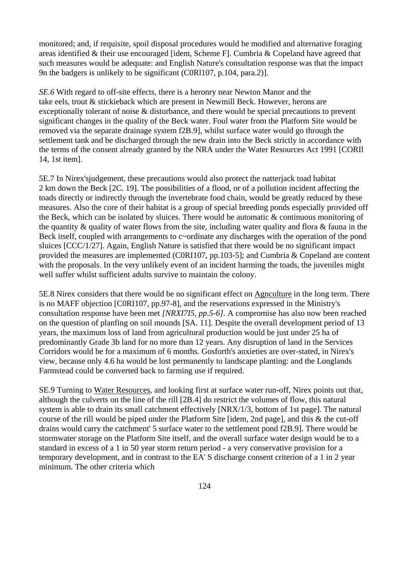monitored; and, if requisite, spoil disposal procedures would be modified and alternative foraging areas identified & their use encouraged [idem, Scheme F]. Cumbria & Copeland have agreed that such measures would be adequate: and English Nature's consultation response was that the impact 9n the badgers is unlikely to be significant (C0Rl107, p.104, para.2)].

*SE.6* With regard to off-site effects, there is a heronry near Newton Manor and the take eels, trout & stickieback which are present in Newmill Beck. However, herons are exceptionally tolerant of noise & disturbance, and there would be special precautions to prevent significant changes in the quality of the Beck water. Foul water from the Platform Site would be removed via the separate drainage system f2B.9], whilst surface water would go through the settlement tank and be discharged through the new drain into the Beck strictly in accordance with the terms of the consent already granted by the NRA under the Water Resources Act 1991 [CORIl 14, 1st item].

5E.7 In Nirex'sjudgement, these precautions would also protect the natterjack toad habitat 2 km down the Beck [2C. 19]. The possibilities of a flood, or of a pollution incident affecting the toads directly or indirectly through the invertebrate food chain, would be greatly reduced by these measures. Also the core of their habitat is a group of special breeding ponds especially provided off the Beck, which can be isolated by sluices. There would be automatic & continuous monitoring of the quantity & quality of water flows from the site, including water quality and flora & fauna in the Beck itself, coupled with arrangements to c~ordinate any discharges with the operation of the pond sluices [CCC/1/27]. Again, English Nature is satisfied that there would be no significant impact provided the measures are implemented (C0RI107, pp.103-5]; and Cumbria & Copeland are content with the proposals. In the very unlikely event of an incident harming the toads, the juveniles might well suffer whilst sufficient adults survive to maintain the colony.

5E.8 Nirex considers that there would be no significant effect on Agnculture in the long term. There is no MAFF objection [C0RI107, pp.97-8], and the reservations expressed in the Ministry's consultation response have been met *[NRXI7I5, pp.5-6].* A compromise has also now been reached on the question of planfing on soil mounds [SA. 11]. Despite the overall development period of 13 years, the maximum loss of land from agricultural production would be just under 25 ha of predominantly Grade 3b land for no more than 12 years. Any disruption of land in the Services Corridors would be for a maximum of 6 months. Gosforth's anxieties are over-stated, in Nirex's view, because only 4.6 ha would be lost permanently to landscape planting: and the Longlands Farmstead could be converted back to farming use if required.

SE.9 Turning to Water Resources, and looking first at surface water run-off, Nirex points out that, although the culverts on the line of the rill [2B.4] do restrict the volumes of flow, this natural system is able to drain its small catchment effectively [NRX/1/3, bottom of 1st page]. The natural course of the rill would be piped under the Platform Site [idem, 2nd page], and this & the cut-off drains would carry the catchment' 5 surface water to the settlement pond f2B.9]. There would be stormwater storage on the Platform Site itself, and the overall surface water design would be to a standard in excess of a 1 in 50 year storm return period - a very conservative provision for a temporary development, and in contrast to the EA' S discharge consent criterion of a 1 in 2 year minimum. The other criteria which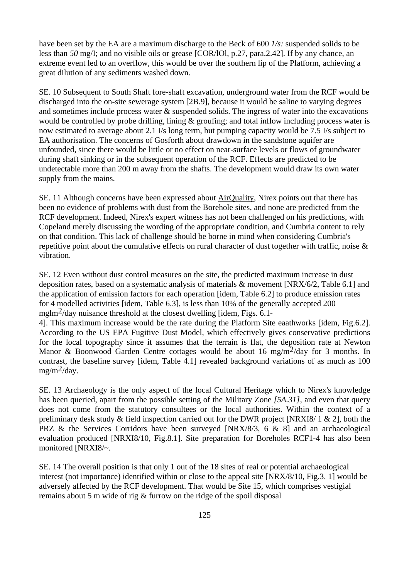have been set by the EA are a maximum discharge to the Beck of 600 *1/s:* suspended solids to be less than *50* mg/I; and no visible oils or grease [COR/lOl, p.27, para.2.42]. If by any chance, an extreme event led to an overflow, this would be over the southern lip of the Platform, achieving a great dilution of any sediments washed down.

SE. 10 Subsequent to South Shaft fore-shaft excavation, underground water from the RCF would be discharged into the on-site sewerage system [2B.9], because it would be saline to varying degrees and sometimes include process water & suspended solids. The ingress of water into the excavations would be controlled by probe drilling, lining & groufing; and total inflow including process water is now estimated to average about 2.1 I/s long term, but pumping capacity would be 7.5 I/s subject to EA authorisation. The concerns of Gosforth about drawdown in the sandstone aquifer are unfounded, since there would be little or no effect on near-surface levels or flows of groundwater during shaft sinking or in the subsequent operation of the RCF. Effects are predicted to be undetectable more than 200 m away from the shafts. The development would draw its own water supply from the mains.

SE. 11 Although concerns have been expressed about AirQuality, Nirex points out that there has been no evidence of problems with dust from the Borehole sites, and none are predicted from the RCF development. Indeed, Nirex's expert witness has not been challenged on his predictions, with Copeland merely discussing the wording of the appropriate condition, and Cumbria content to rely on that condition. This lack of challenge should be borne in mind when considering Cumbria's repetitive point about the cumulative effects on rural character of dust together with traffic, noise & vibration.

SE. 12 Even without dust control measures on the site, the predicted maximum increase in dust deposition rates, based on a systematic analysis of materials & movement [NRX/6/2, Table 6.1] and the application of emission factors for each operation [idem, Table 6.2] to produce emission rates for 4 modelled activities [idem, Table 6.3], is less than 10% of the generally accepted 200 mglm2/day nuisance threshold at the closest dwelling [idem, Figs. 6.1-

4]. This maximum increase would be the rate during the Platform Site eaathworks [idem, Fig.6.2]. According to the US EPA Fugitive Dust Model, which effectively gives conservative predictions for the local topography since it assumes that the terrain is flat, the deposition rate at Newton Manor & Boonwood Garden Centre cottages would be about 16 mg/m<sup>2</sup>/day for 3 months. In contrast, the baseline survey [idem, Table 4.1] revealed background variations of as much as 100 mg/m<sup>2</sup>/day.

SE. 13 Archaeology is the only aspect of the local Cultural Heritage which to Nirex's knowledge has been queried, apart from the possible setting of the Military Zone *[5A.31],* and even that query does not come from the statutory consultees or the local authorities. Within the context of a preliminary desk study & field inspection carried out for the DWR project [NRXI8/ 1 & 2], both the PRZ & the Services Corridors have been surveyed [NRX/8/3, 6 & 8] and an archaeological evaluation produced [NRXI8/10, Fig.8.1]. Site preparation for Boreholes RCF1-4 has also been monitored [NRXI8/~.

SE. 14 The overall position is that only 1 out of the 18 sites of real or potential archaeological interest (not importance) identified within or close to the appeal site [NRX/8/10, Fig.3. 1] would be adversely affected by the RCF development. That would be Site 15, which comprises vestigial remains about 5 m wide of rig & furrow on the ridge of the spoil disposal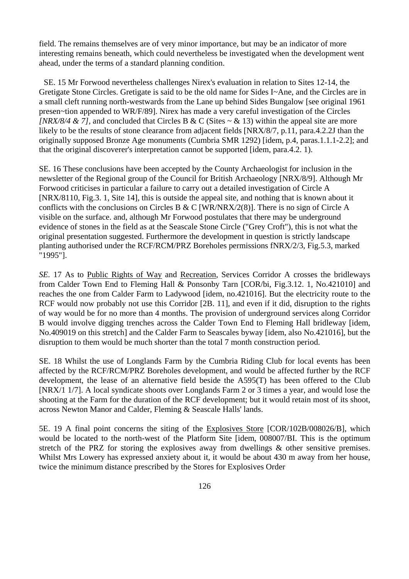field. The remains themselves are of very minor importance, but may be an indicator of more interesting remains beneath, which could nevertheless be investigated when the development went ahead, under the terms of a standard planning condition.

SE. 15 Mr Forwood nevertheless challenges Nirex's evaluation in relation to Sites 12-14, the Gretigate Stone Circles. Gretigate is said to be the old name for Sides I~Ane, and the Circles are in a small cleft running north-westwards from the Lane up behind Sides Bungalow [see original 1961 presen~tion appended to WR/F/89]. Nirex has made a very careful investigation of the Circles *[NRX/8/4 & 7],* and concluded that Circles B & C (Sites ~ & 13) within the appeal site are more likely to be the results of stone clearance from adjacent fields [NRX/8/7, p.11, para.4.2.2J than the originally supposed Bronze Age monuments (Cumbria SMR 1292) [idem, p.4, paras.1.1.1-2.2]; and that the original discoverer's interpretation cannot be supported [idem, para.4.2. 1).

SE. 16 These conclusions have been accepted by the County Archaeologist for inclusion in the newsletter of the Regional group of the Council for British Archaeology [NRX/8/9]. Although Mr Forwood criticises in particular a failure to carry out a detailed investigation of Circle A [NRX/8110, Fig.3. 1, Site 14], this is outside the appeal site, and nothing that is known about it conflicts with the conclusions on Circles B & C [WR/NRX/2(8)]. There is no sign of Circle A visible on the surface. and, although Mr Forwood postulates that there may be underground evidence of stones in the field as at the Seascale Stone Circle ("Grey Croft"), this is not what the original presentation suggested. Furthermore the development in question is strictly landscape planting authorised under the RCF/RCM/PRZ Boreholes permissions fNRX/2/3, Fig.5.3, marked "1995"].

*SE.* 17 As to Public Rights of Way and Recreation, Services Corridor A crosses the bridleways from Calder Town End to Fleming Hall & Ponsonby Tarn [COR/bi, Fig.3.12. 1, No.421010] and reaches the one from Calder Farm to Ladywood [idem, no.421016]. But the electricity route to the RCF would now probably not use this Corridor [2B. 11], and even if it did, disruption to the rights of way would be for no more than 4 months. The provision of underground services along Corridor B would involve digging trenches across the Calder Town End to Fleming Hall bridleway [idem, No.409019 on this stretch] and the Calder Farm to Seascales byway [idem, also No.421016], but the disruption to them would be much shorter than the total 7 month construction period.

SE. 18 Whilst the use of Longlands Farm by the Cumbria Riding Club for local events has been affected by the RCF/RCM/PRZ Boreholes development, and would be affected further by the RCF development, the lease of an alternative field beside the A595(T) has been offered to the Club [NRX/1 1/7]. A local syndicate shoots over Longlands Farm 2 or 3 times a year, and would lose the shooting at the Farm for the duration of the RCF development; but it would retain most of its shoot, across Newton Manor and Calder, Fleming & Seascale Halls' lands.

5E. 19 A final point concerns the siting of the Explosives Store [COR/102B/008026/B], which would be located to the north-west of the Platform Site [idem, 008007/BI. This is the optimum stretch of the PRZ for storing the explosives away from dwellings & other sensitive premises. Whilst Mrs Lowery has expressed anxiety about it, it would be about 430 m away from her house. twice the minimum distance prescribed by the Stores for Explosives Order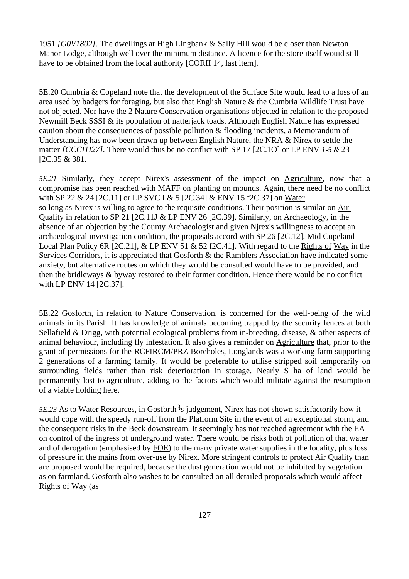1951 *[G0V1802].* The dwellings at High Lingbank & Sally Hill would be closer than Newton Manor Lodge, although well over the minimum distance. A licence for the store itself wouid still have to be obtained from the local authority [CORII 14, last item].

5E.20 Cumbria & Copeland note that the development of the Surface Site would lead to a loss of an area used by badgers for foraging, but also that English Nature & the Cumbria Wildlife Trust have not objected. Nor have the 2 Nature Conservation organisations objected in relation to the proposed Newmill Beck SSSI & its population of natterjack toads. Although English Nature has expressed caution about the consequences of possible pollution & flooding incidents, a Memorandum of Understanding has now been drawn up between English Nature, the NRA & Nirex to settle the matter *[CCCI1I27].* There would thus be no conflict with SP 17 [2C.1O] or LP ENV *1-5 &* 23 [2C.35 & 381.

*5E.21* Similarly, they accept Nirex's assessment of the impact on Agriculture, now that a compromise has been reached with MAFF on planting on mounds. Again, there need be no conflict with SP 22 & 24 [2C.11] or LP SVC I & 5 [2C.34] & ENV 15 f2C.37] on Water so long as Nirex is willing to agree to the requisite conditions. Their position is similar on Air Quality in relation to SP 21 [2C.11J & LP ENV 26 [2C.39]. Similarly, on Archaeology, in the absence of an objection by the County Archaeologist and given Njrex's willingness to accept an archaeological investigation condition, the proposals accord with SP 26 [2C.12], Mid Copeland Local Plan Policy 6R [2C.21], & LP ENV 51 & 52 f2C.41]. With regard to the Rights of Way in the Services Corridors, it is appreciated that Gosforth & the Ramblers Association have indicated some anxiety, but alternative routes on which they would be consulted would have to be provided, and then the bridleways & byway restored to their former condition. Hence there would be no conflict with LP ENV 14 [2C.37].

5E.22 Gosforth, in relation to Nature Conservation, is concerned for the well-being of the wild animals in its Parish. It has knowledge of animals becoming trapped by the security fences at both Sellafield & Drigg, with potential ecological problems from in-breeding, disease, & other aspects of animal behaviour, including fly infestation. It also gives a reminder on Agriculture that, prior to the grant of permissions for the RCFIRCM/PRZ Boreholes, Longlands was a working farm supporting 2 generations of a farming family. It would be preferable to utilise stripped soil temporarily on surrounding fields rather than risk deterioration in storage. Nearly S ha of land would be permanently lost to agriculture, adding to the factors which would militate against the resumption of a viable holding here.

*5E.23* As to Water Resources, in Gosforth<sup>3</sup>s judgement, Nirex has not shown satisfactorily how it would cope with the speedy run-off from the Platform Site in the event of an exceptional storm, and the consequent risks in the Beck downstream. It seemingly has not reached agreement with the EA on control of the ingress of underground water. There would be risks both of pollution of that water and of derogation (emphasised by FOE) to the many private water supplies in the locality, plus loss of pressure in the mains from over-use by Nirex. More stringent controls to protect Air Quality than are proposed would be required, because the dust generation would not be inhibited by vegetation as on farmland. Gosforth also wishes to be consulted on all detailed proposals which would affect Rights of Way (as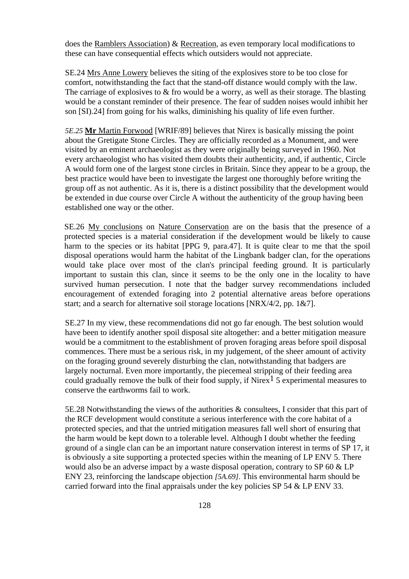does the Ramblers Association) & Recreation, as even temporary local modifications to these can have consequential effects which outsiders would not appreciate.

SE.24 Mrs Anne Lowery believes the siting of the explosives store to be too close for comfort, notwithstanding the fact that the stand-off distance would comply with the law. The carriage of explosives to & fro would be a worry, as well as their storage. The blasting would be a constant reminder of their presence. The fear of sudden noises would inhibit her son [SI).24] from going for his walks, diminishing his quality of life even further.

*5E.25* **Mr** Martin Forwood [WRIF/89] believes that Nirex is basically missing the point about the Gretigate Stone Circles. They are officially recorded as a Monument, and were visited by an eminent archaeologist as they were originally being surveyed in 1960. Not every archaeologist who has visited them doubts their authenticity, and, if authentic, Circle A would form one of the largest stone circles in Britain. Since they appear to be a group, the best practice would have been to investigate the largest one thoroughly before writing the group off as not authentic. As it is, there is a distinct possibility that the development would be extended in due course over Circle A without the authenticity of the group having been established one way or the other.

SE.26 My conclusions on Nature Conservation are on the basis that the presence of a protected species is a material consideration if the development would be likely to cause harm to the species or its habitat [PPG 9, para.47]. It is quite clear to me that the spoil disposal operations would harm the habitat of the Lingbank badger clan, for the operations would take place over most of the clan's principal feeding ground. It is particularly important to sustain this clan, since it seems to be the only one in the locality to have survived human persecution. I note that the badger survey recommendations included encouragement of extended foraging into 2 potential alternative areas before operations start; and a search for alternative soil storage locations [NRX/4/2, pp. 1&7].

SE.27 In my view, these recommendations did not go far enough. The best solution would have been to identify another spoil disposal site altogether: and a better mitigation measure would be a commitment to the establishment of proven foraging areas before spoil disposal commences. There must be a serious risk, in my judgement, of the sheer amount of activity on the foraging ground severely disturbing the clan, notwithstanding that badgers are largely nocturnal. Even more importantly, the piecemeal stripping of their feeding area could gradually remove the bulk of their food supply, if Nirex<sup>1</sup> 5 experimental measures to conserve the earthworms fail to work.

5E.28 Notwithstanding the views of the authorities & consultees, I consider that this part of the RCF development would constitute a serious interference with the core habitat of a protected species, and that the untried mitigation measures fall well short of ensuring that the harm would be kept down to a tolerable level. Although I doubt whether the feeding ground of a single clan can be an important nature conservation interest in terms of SP 17, it is obviously a site supporting a protected species within the meaning of LP ENV 5. There would also be an adverse impact by a waste disposal operation, contrary to SP 60  $&$  LP ENY 23, reinforcing the landscape objection *[5A.69].* This environmental harm should be carried forward into the final appraisals under the key policies SP 54 & LP ENV 33.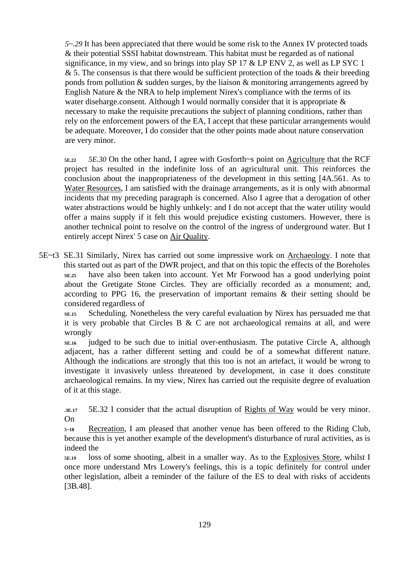*5~.29* It has been appreciated that there would be some risk to the Annex IV protected toads & their potential SSSI habitat downstream. This habitat must be regarded as of national significance, in my view, and so brings into play SP 17 & LP ENV 2, as well as LP SYC 1  $\&$  5. The consensus is that there would be sufficient protection of the toads  $\&$  their breeding ponds from pollution  $\&$  sudden surges, by the liaison  $\&$  monitoring arrangements agreed by English Nature  $\&$  the NRA to help implement Nirex's compliance with the terms of its water diseharge.consent. Although I would normally consider that it is appropriate  $\&$ necessary to make the requisite precautions the subject of planning conditions, rather than rely on the enforcement powers of the EA, I accept that these particular arrangements would be adequate. Moreover, I do consider that the other points made about nature conservation are very minor.

**5E.22** *5E.30* On the other hand, I agree with Gosforth~s point on Agriculture that the RCF project has resulted in the indefinite loss of an agricultural unit. This reinforces the conclusion about the inappropriateness of the development in this setting [4A.561. As to Water Resources, I am satisfied with the drainage arrangements, as it is only with abnormal incidents that my preceding paragraph is concerned. Also I agree that a derogation of other water abstractions would be highly unhkely: and I do not accept that the water utility would offer a mains supply if it felt this would prejudice existing customers. However, there is another technical point to resolve on the control of the ingress of underground water. But I entirely accept Nirex' 5 case on Air Quality.

5E~t3 SE.31 Similarly, Nirex has carried out some impressive work on Archaeology. I note that this started out as part of the DWR project, and that on this topic the effects of the Boreholes **SE.25** have also been taken into account. Yet Mr Forwood has a good underlying point about the Gretigate Stone Circles. They are officially recorded as a monument; and, according to PPG 16, the preservation of important remains & their setting should be considered regardless of

**SE.15** Scheduling. Nonetheless the very careful evaluation by Nirex has persuaded me that it is very probable that Circles B & C are not archaeological remains at all, and were wrongly

**SE.16** judged to be such due to initial over-enthusiasm. The putative Circle A, although adjacent, has a rather different setting and could be of a somewhat different nature. Although the indications are strongly that this too is not an artefact, it would be wrong to investigate it invasively unless threatened by development, in case it does constitute archaeological remains. In my view, Nirex has carried out the requisite degree of evaluation of it at this stage.

**.3E.17** 5E.32 I consider that the actual disruption of Rights of Way would be very minor. On

**5~18** Recreation, I am pleased that another venue has been offered to the Riding Club, because this is yet another example of the development's disturbance of rural activities, as is indeed the

**5E.19** loss of some shooting, albeit in a smaller way. As to the Explosives Store, whilst I once more understand Mrs Lowery's feelings, this is a topic definitely for control under other legislation, albeit a reminder of the failure of the ES to deal with risks of accidents [3B.48].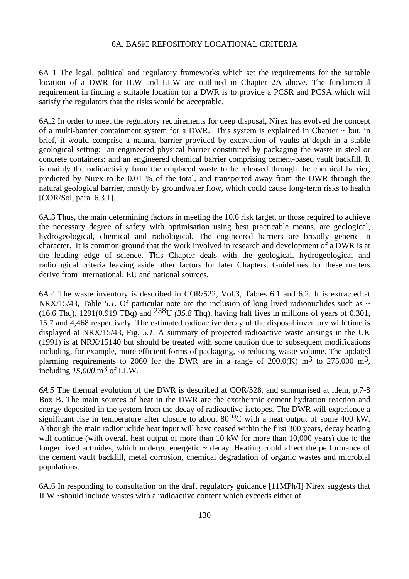## 6A. BASiC REPOSITORY LOCATIONAL CRITERIA

6A 1 The legal, political and regulatory frameworks which set the requirements for the suitable location of a DWR for ILW and LLW are outlined in Chapter 2A above. The fundamental requirement in finding a suitable location for a DWR is to provide a PCSR and PCSA which will satisfy the regulators that the risks would be acceptable.

6A.2 In order to meet the regulatory requirements for deep disposal, Nirex has evolved the concept of a multi-barrier containment system for a DWR. This system is explained in Chapter ~ but, in brief, it would comprise a natural barrier provided by excavation of vaults at depth in a stable geological setting; an engineered physical barrier constituted by packaging the waste in steel or concrete containers; and an engineered chemical barrier comprising cement-based vault backfill. It is mainly the radioactivity from the emplaced waste to be released through the chemical barrier, predicted by Nirex to be 0.01 % of the total, and transported away from the DWR through the natural geological barrier, mostly by groundwater flow, which could cause long-term risks to health [COR/Sol, para. 6.3.1].

6A.3 Thus, the main determining factors in meeting the 10.6 risk target, or those required to achieve the necessary degree of safety with optimisation using best practicable means, are geological, hydrogeological, chemical and radiological. The engineered barriers are broadly generic in character. It is common ground that the work involved in research and development of a DWR is at the leading edge of science. This Chapter deals with the geological, hydrogeological and radiological criteria leaving aside other factors for later Chapters. Guidelines for these matters derive from International, EU and national sources.

6A.4 The waste inventory is described in COR/522, Vol.3, Tables 6.1 and 6.2. It is extracted at NRX/15/43, Table 5.1. Of particular note are the inclusion of long lived radionuclides such as  $\sim$ (16.6 Thq), 1291(0.919 TBq) and 238U *(35.8* Thq), having half lives in millions of years of 0.301, 15.7 and 4,468 respectively. The estimated radioactive decay of the disposal inventory with time is displayed at NRX/15/43, Fig. *5.1.* A summary of projected radioactive waste arisings in the UK (1991) is at NRX/15140 but should be treated with some caution due to subsequent modifications including, for example, more efficient forms of packaging, so reducing waste volume. The updated plarming requirements to 2060 for the DWR are in a range of  $200,0(K)$  m<sup>3</sup> to  $275,000$  m<sup>3</sup>. including *15,000* m3 of LLW.

*6A.5* The thermal evolution of the DWR is described at COR/528, and summarised at idem, p.7-8 Box B. The main sources of heat in the DWR are the exothermic cement hydration reaction and energy deposited in the system from the decay of radioactive isotopes. The DWR will experience a significant rise in temperature after closure to about 80  $^{0}C$  with a heat output of some 400 kW. Although the main radionuclide heat input will have ceased within the first 300 years, decay heating will continue (with overall heat output of more than 10 kW for more than 10,000 years) due to the longer lived actinides, which undergo energetic  $\sim$  decay. Heating could affect the pefformance of the cement vault backfill, metal corrosion, chemical degradation of organic wastes and microbial populations.

6A.6 In responding to consultation on the draft regulatory guidance [11MPh/I] Nirex suggests that ILW ~should include wastes with a radioactive content which exceeds either of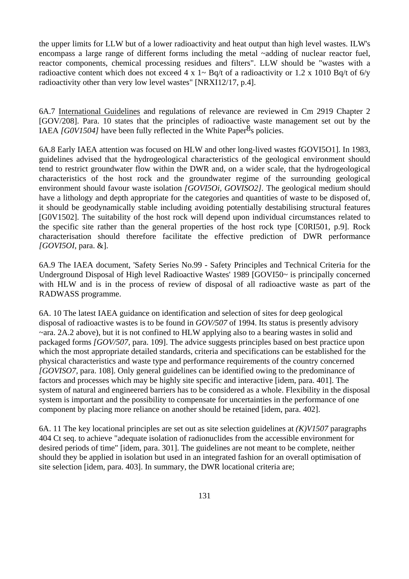the upper limits for LLW but of a lower radioactivity and heat output than high level wastes. ILW's encompass a large range of different forms including the metal ~adding of nuclear reactor fuel, reactor components, chemical processing residues and filters". LLW should be "wastes with a radioactive content which does not exceed 4 x  $1 \sim$  Bq/t of a radioactivity or 1.2 x 1010 Bq/t of 6/y radioactivity other than very low level wastes" [NRXI12/17, p.4].

6A.7 International Guidelines and regulations of relevance are reviewed in Cm 2919 Chapter 2 [GOV/208]. Para. 10 states that the principles of radioactive waste management set out by the IAEA *[G0V1504]* have been fully reflected in the White Paper<sup>8</sup>s policies.

6A.8 Early IAEA attention was focused on HLW and other long-lived wastes fGOVI5O1]. In 1983, guidelines advised that the hydrogeological characteristics of the geological environment should tend to restrict groundwater flow within the DWR and, on a wider scale, that the hydrogeological characteristics of the host rock and the groundwater regime of the surrounding geological environment should favour waste isolation *[GOVI5Oi, GOVISO2].* The geological medium should have a lithology and depth appropriate for the categories and quantities of waste to be disposed of, it should be geodynamically stable including avoiding potentially destabilising structural features [G0V1502]. The suitability of the host rock will depend upon individual circumstances related to the specific site rather than the general properties of the host rock type [C0RI501, p.9]. Rock characterisation should therefore facilitate the effective prediction of DWR performance *[GOVI5OI,* para. &].

6A.9 The IAEA document, 'Safety Series No.99 - Safety Principles and Technical Criteria for the Underground Disposal of High level Radioactive Wastes' 1989 [GOVI50~ is principally concerned with HLW and is in the process of review of disposal of all radioactive waste as part of the RADWASS programme.

6A. 10 The latest IAEA guidance on identification and selection of sites for deep geological disposal of radioactive wastes is to be found in *GOV/507* of 1994. Its status is presently advisory ~ara. 2A.2 above), but it is not confined to HLW applying also to a bearing wastes in solid and packaged forms *[GOV/507,* para. 109]. The advice suggests principles based on best practice upon which the most appropriate detailed standards, criteria and specifications can be established for the physical characteristics and waste type and performance requirements of the country concerned *[GOVISO7,* para. 108]. Only general guidelines can be identified owing to the predominance of factors and processes which may be highly site specific and interactive [idem, para. 401]. The system of natural and engineered barriers has to be considered as a whole. Flexibility in the disposal system is important and the possibility to compensate for uncertainties in the performance of one component by placing more reliance on another should be retained [idem, para. 402].

6A. 11 The key locational principles are set out as site selection guidelines at *(K)V1507* paragraphs 404 Ct seq. to achieve "adequate isolation of radionuclides from the accessible environment for desired periods of time" [idem, para. 301]. The guidelines are not meant to be complete, neither should they be applied in isolation but used in an integrated fashion for an overall optimisation of site selection [idem, para. 403]. In summary, the DWR locational criteria are;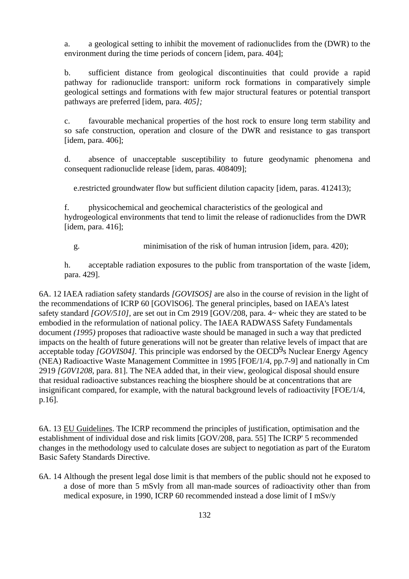a. a geological setting to inhibit the movement of radionuclides from the (DWR) to the environment during the time periods of concern [idem, para. 404];

b. sufficient distance from geological discontinuities that could provide a rapid pathway for radionuclide transport: uniform rock formations in comparatively simple geological settings and formations with few major structural features or potential transport pathways are preferred [idem, para. *405];* 

c. favourable mechanical properties of the host rock to ensure long term stability and so safe construction, operation and closure of the DWR and resistance to gas transport [idem, para. 406];

d. absence of unacceptable susceptibility to future geodynamic phenomena and consequent radionuclide release [idem, paras. 408409];

e.restricted groundwater flow but sufficient dilution capacity [idem, paras. 412413);

f. physicochemical and geochemical characteristics of the geological and hydrogeological environments that tend to limit the release of radionuclides from the DWR [idem, para. 416];

g. minimisation of the risk of human intrusion [idem, para. 420);

h. acceptable radiation exposures to the public from transportation of the waste [idem, para. 429].

6A. 12 IAEA radiation safety standards *[GOVISOS]* are also in the course of revision in the light of the recommendations of ICRP 60 [GOVlSO6]. The general principles, based on IAEA's latest safety standard *[GOV/510],* are set out in Cm 2919 [GOV/208, para. 4~ wheic they are stated to be embodied in the reformulation of national policy. The IAEA RADWASS Safety Fundamentals document *(1995)* proposes that radioactive waste should be managed in such a way that predicted impacts on the health of future generations will not be greater than relative levels of impact that are acceptable today *[GOVIS04]*. This principle was endorsed by the OECD<sup>9</sup>s Nuclear Energy Agency (NEA) Radioactive Waste Management Committee in 1995 [FOE/1/4, pp.7-9] and nationally in Cm 2919 *[G0V1208,* para. 81]. The NEA added that, in their view, geological disposal should ensure that residual radioactive substances reaching the biosphere should be at concentrations that are insignificant compared, for example, with the natural background levels of radioactivity [FOE/1/4, p.16].

6A. 13 EU Guidelines. The ICRP recommend the principles of justification, optimisation and the establishment of individual dose and risk limits [GOV/208, para. 55] The ICRP' 5 recommended changes in the methodology used to calculate doses are subject to negotiation as part of the Euratom Basic Safety Standards Directive.

6A. 14 Although the present legal dose limit is that members of the public should not he exposed to a dose of more than 5 mSvly from all man-made sources of radioactivity other than from medical exposure, in 1990, ICRP 60 recommended instead a dose limit of I mSv/y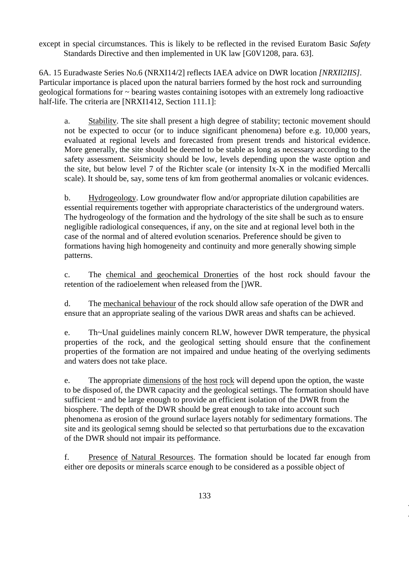except in special circumstances. This is likely to be reflected in the revised Euratom Basic *Safety*  Standards Directive and then implemented in UK law [G0V1208, para. 63].

6A. 15 Euradwaste Series No.6 (NRXI14/2] reflects IAEA advice on DWR location *[NRXIl2IIS].*  Particular importance is placed upon the natural barriers formed by the host rock and surrounding geological formations for ~ bearing wastes containing isotopes with an extremely long radioactive half-life. The criteria are [NRXI1412, Section 111.1]:

a. Stabilitv. The site shall present a high degree of stability; tectonic movement should not be expected to occur (or to induce significant phenomena) before e.g. 10,000 years, evaluated at regional levels and forecasted from present trends and historical evidence. More generally, the site should be deemed to be stable as long as necessary according to the safety assessment. Seismicity should be low, levels depending upon the waste option and the site, but below level 7 of the Richter scale (or intensity Ix-X in the modified Mercalli scale). It should be, say, some tens of km from geothermal anomalies or volcanic evidences.

b. Hydrogeology. Low groundwater flow and/or appropriate dilution capabilities are essential requirements together with appropriate characteristics of the underground waters. The hydrogeology of the formation and the hydrology of the site shall be such as to ensure negligible radiological consequences, if any, on the site and at regional level both in the case of the normal and of altered evolution scenarios. Preference should be given to formations having high homogeneity and continuity and more generally showing simple patterns.

c. The chemical and geochemical Dronerties of the host rock should favour the retention of the radioelement when released from the [)WR.

d. The mechanical behaviour of the rock should allow safe operation of the DWR and ensure that an appropriate sealing of the various DWR areas and shafts can be achieved.

e. Th~UnaI guidelines mainly concern RLW, however DWR temperature, the physical properties of the rock, and the geological setting should ensure that the confinement properties of the formation are not impaired and undue heating of the overlying sediments and waters does not take place.

e. The appropriate dimensions of the host rock will depend upon the option, the waste to be disposed of, the DWR capacity and the geological settings. The formation should have sufficient  $\sim$  and be large enough to provide an efficient isolation of the DWR from the biosphere. The depth of the DWR should be great enough to take into account such phenomena as erosion of the ground surlace layers notably for sedimentary formations. The site and its geological semng should be selected so that perturbations due to the excavation of the DWR should not impair its pefformance.

f. Presence of Natural Resources. The formation should be located far enough from either ore deposits or minerals scarce enough to be considered as a possible object of

**I**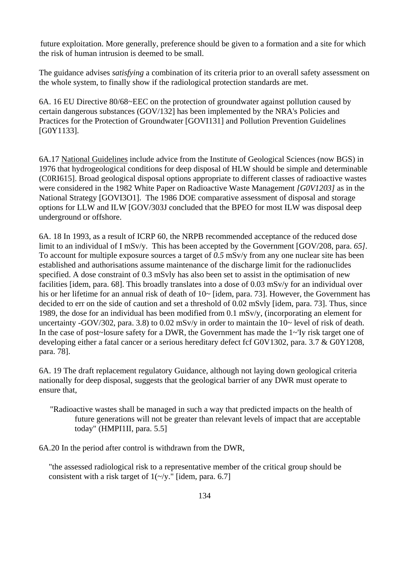future exploitation. More generally, preference should be given to a formation and a site for which the risk of human intrusion is deemed to be small.

The guidance advises *satisfying* a combination of its criteria prior to an overall safety assessment on the whole system, to finally show if the radiological protection standards are met.

6A. 16 EU Directive 80/68~EEC on the protection of groundwater against pollution caused by certain dangerous substances (GOV/132] has been implemented by the NRA's Policies and Practices for the Protection of Groundwater [GOVI131] and Pollution Prevention Guidelines [G0Y1133].

6A.17 National Guidelines include advice from the Institute of Geological Sciences (now BGS) in 1976 that hydrogeological conditions for deep disposal of HLW should be simple and determinable (C0RI615]. Broad geological disposal options appropriate to different classes of radioactive wastes were considered in the 1982 White Paper on Radioactive Waste Management *[G0V1203]* as in the National Strategy [GOVI3O1]. The 1986 DOE comparative assessment of disposal and storage options for LLW and ILW [GOV/303J concluded that the BPEO for most ILW was disposal deep underground or offshore.

6A. 18 In 1993, as a result of ICRP 60, the NRPB recommended acceptance of the reduced dose limit to an individual of I mSv/y. This has been accepted by the Government [GOV/208, para. *65].*  To account for multiple exposure sources a target of *0.5* mSv/y from any one nuclear site has been established and authorisations assume maintenance of the discharge limit for the radionuclides specified. A dose constraint of 0.3 mSvly has also been set to assist in the optimisation of new facilities [idem, para. 68]. This broadly translates into a dose of 0.03 mSv/y for an individual over his or her lifetime for an annual risk of death of 10~ [idem, para. 73]. However, the Government has decided to err on the side of caution and set a threshold of 0.02 mSvly [idem, para. 73]. Thus, since 1989, the dose for an individual has been modified from 0.1 mSv/y, (incorporating an element for uncertainty -GOV/302, para. 3.8) to 0.02 mSv/y in order to maintain the  $10-$  level of risk of death. In the case of post~losure safety for a DWR, the Government has made the 1~'Iy risk target one of developing either a fatal cancer or a serious hereditary defect fcf G0V1302, para. 3.7 & G0Y1208, para. 78].

6A. 19 The draft replacement regulatory Guidance, although not laying down geological criteria nationally for deep disposal, suggests that the geological barrier of any DWR must operate to ensure that,

"Radioactive wastes shall be managed in such a way that predicted impacts on the health of future generations will not be greater than relevant levels of impact that are acceptable today" (HMPI1II, para. 5.5]

6A.20 In the period after control is withdrawn from the DWR,

"the assessed radiological risk to a representative member of the critical group should be consistent with a risk target of  $1(-/y)$ ." [idem, para. 6.7]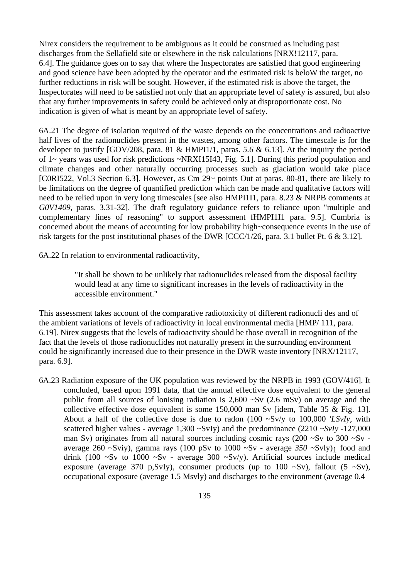Nirex considers the requirement to be ambiguous as it could be construed as including past discharges from the Sellafield site or elsewhere in the risk calculations [NRX!12117, para. 6.4]. The guidance goes on to say that where the Inspectorates are satisfied that good engineering and good science have been adopted by the operator and the estimated risk is beloW the target, no further reductions in risk will be sought. However, if the estimated risk is above the target, the Inspectorates will need to be satisfied not only that an appropriate level of safety is assured, but also that any further improvements in safety could be achieved only at disproportionate cost. No indication is given of what is meant by an appropriate level of safety.

6A.21 The degree of isolation required of the waste depends on the concentrations and radioactive half lives of the radionuclides present in the wastes, among other factors. The timescale is for the developer to justify [GOV/208, para. 81 & HMPI1/1, paras. *5.6* & 6.13]. At the inquiry the period of 1~ years was used for risk predictions ~NRXI15I43, Fig. 5.1]. During this period population and climate changes and other naturally occurring processes such as glaciation would take place [C0RI522, Vol.3 Section 6.3]. However, as Cm 29~ points Out at paras. 80-81, there are likely to be limitations on the degree of quantified prediction which can be made and qualitative factors will need to be relied upon in very long timescales [see also HMPI1I1, para. 8.23 & NRPB comments at *G0V1409,* paras. 3.31-32]. The draft regulatory guidance refers to reliance upon "multiple and complementary lines of reasoning" to support assessment fHMPI1I1 para. 9.5]. Cumbria is concerned about the means of accounting for low probability high~consequence events in the use of risk targets for the post institutional phases of the DWR [CCC/1/26, para. 3.1 bullet Pt. 6 & 3.12].

6A.22 In relation to environmental radioactivity,

"It shall be shown to be unlikely that radionuclides released from the disposal facility would lead at any time to significant increases in the levels of radioactivity in the accessible environment."

This assessment takes account of the comparative radiotoxicity of different radionucli des and of the ambient variations of levels of radioactivity in local environmental media [HMP/ 111, para. 6.19]. Nirex suggests that the levels of radioactivity should be those overall in recognition of the fact that the levels of those radionuclides not naturally present in the surrounding environment could be significantly increased due to their presence in the DWR waste inventory [NRX/12117, para. 6.9].

6A.23 Radiation exposure of the UK population was reviewed by the NRPB in 1993 (GOV/416]. It concluded, based upon 1991 data, that the annual effective dose equivalent to the general public from all sources of lonising radiation is  $2,600 \sim Sv$  (2.6 mSv) on average and the collective effective dose equivalent is some 150,000 man Sv [idem, Table 35 & Fig. 13]. About a half of the collective dose is due to radon  $(100 \text{ } S_{\text{V}}/y)$  to  $(100.000 \text{ } 'LSV_{\text{V}})$ , with scattered higher values - average 1,300 ~SvIy) and the predominance (2210 *~SvIy -*127,000 man Sv) originates from all natural sources including cosmic rays (200  $\sim$  Sv to 300  $\sim$  Sv average 260  $\sim$ Sviy), gamma rays (100 pSv to 1000  $\sim$ Sv - average 350  $\sim$ Svly)<sub>1</sub> food and drink (100  $\sim$ Sv to 1000  $\sim$ Sv - average 300  $\sim$ Sv/v). Artificial sources include medical exposure (average 370 p,SvIy), consumer products (up to  $100 \text{ } \sim$ Sv), fallout (5  $\sim$ Sv), occupational exposure (average 1.5 Msvly) and discharges to the environment (average 0.4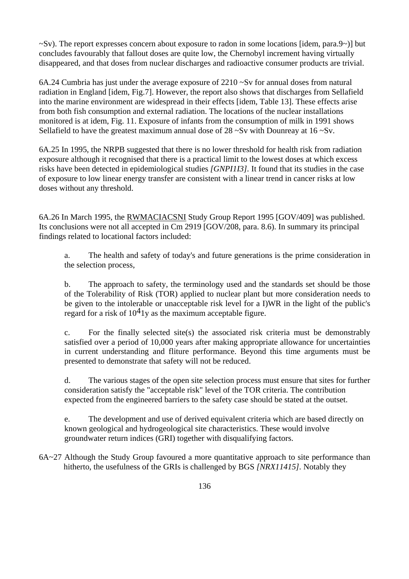~Sv). The report expresses concern about exposure to radon in some locations [idem, para.9~)] but concludes favourably that fallout doses are quite low, the Chernobyl increment having virtually disappeared, and that doses from nuclear discharges and radioactive consumer products are trivial.

6A.24 Cumbria has just under the average exposure of  $2210 - Sv$  for annual doses from natural radiation in England [idem, Fig.7]. However, the report also shows that discharges from Sellafield into the marine environment are widespread in their effects [idem, Table 13]. These effects arise from both fish consumption and external radiation. The locations of the nuclear installations monitored is at idem, Fig. 11. Exposure of infants from the consumption of milk in 1991 shows Sellafield to have the greatest maximum annual dose of  $28 \sim Sv$  with Dounreay at  $16 \sim Sv$ .

6A.25 In 1995, the NRPB suggested that there is no lower threshold for health risk from radiation exposure although it recognised that there is a practical limit to the lowest doses at which excess risks have been detected in epidemiological studies *[GNPI1I3].* It found that its studies in the case of exposure to low linear energy transfer are consistent with a linear trend in cancer risks at low doses without any threshold.

6A.26 In March 1995, the RWMACIACSNI Study Group Report 1995 [GOV/409] was published. Its conclusions were not all accepted in Cm 2919 [GOV/208, para. 8.6). In summary its principal findings related to locational factors included:

a. The health and safety of today's and future generations is the prime consideration in the selection process,

b. The approach to safety, the terminology used and the standards set should be those of the Tolerability of Risk (TOR) applied to nuclear plant but more consideration needs to be given to the intolerable or unacceptable risk level for a I)WR in the light of the public's regard for a risk of  $10<sup>4</sup>1y$  as the maximum acceptable figure.

c. For the finally selected site(s) the associated risk criteria must be demonstrably satisfied over a period of 10,000 years after making appropriate allowance for uncertainties in current understanding and fliture performance. Beyond this time arguments must be presented to demonstrate that safety will not be reduced.

d. The various stages of the open site selection process must ensure that sites for further consideration satisfy the "acceptable risk" level of the TOR criteria. The contribution expected from the engineered barriers to the safety case should be stated at the outset.

e. The development and use of derived equivalent criteria which are based directly on known geological and hydrogeological site characteristics. These would involve groundwater return indices (GRI) together with disqualifying factors.

 $6A~27$  Although the Study Group favoured a more quantitative approach to site performance than hitherto, the usefulness of the GRIs is challenged by BGS *[NRX11415].* Notably they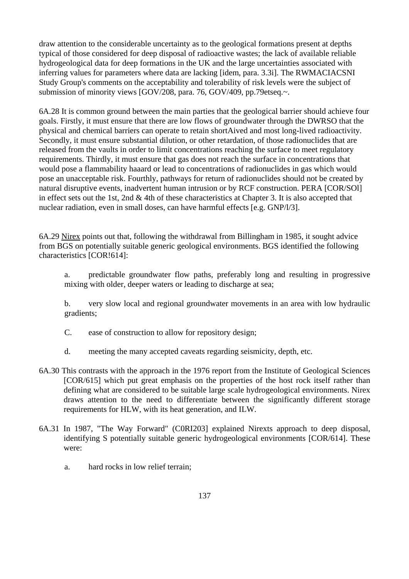draw attention to the considerable uncertainty as to the geological formations present at depths typical of those considered for deep disposal of radioactive wastes; the lack of available reliable hydrogeological data for deep formations in the UK and the large uncertainties associated with inferring values for parameters where data are lacking [idem, para. 3.3i]. The RWMACIACSNI Study Group's comments on the acceptability and tolerability of risk levels were the subject of submission of minority views [GOV/208, para. 76, GOV/409, pp.79etseq.~.

6A.28 It is common ground between the main parties that the geological barrier should achieve four goals. Firstly, it must ensure that there are low flows of groundwater through the DWRSO that the physical and chemical barriers can operate to retain shortAived and most long-lived radioactivity. Secondly, it must ensure substantial dilution, or other retardation, of those radionuclides that are released from the vaults in order to limit concentrations reaching the surface to meet regulatory requirements. Thirdly, it must ensure that gas does not reach the surface in concentrations that would pose a flammability haaard or lead to concentrations of radionuclides in gas which would pose an unacceptable risk. Fourthly, pathways for return of radionuclides should not be created by natural disruptive events, inadvertent human intrusion or by RCF construction. PERA [COR/SOl] in effect sets out the 1st, 2nd & 4th of these characteristics at Chapter 3. It is also accepted that nuclear radiation, even in small doses, can have harmful effects [e.g. GNP/l/3].

6A.29 Nirex points out that, following the withdrawal from Billingham in 1985, it sought advice from BGS on potentially suitable generic geological environments. BGS identified the following characteristics [COR!614]:

a. predictable groundwater flow paths, preferably long and resulting in progressive mixing with older, deeper waters or leading to discharge at sea;

b. very slow local and regional groundwater movements in an area with low hydraulic gradients;

- C. ease of construction to allow for repository design;
- d. meeting the many accepted caveats regarding seismicity, depth, etc.
- 6A.30 This contrasts with the approach in the 1976 report from the Institute of Geological Sciences [COR/615] which put great emphasis on the properties of the host rock itself rather than defining what are considered to be suitable large scale hydrogeological environments. Nirex draws attention to the need to differentiate between the significantly different storage requirements for HLW, with its heat generation, and ILW.
- 6A.31 In 1987, "The Way Forward" (C0RI203] explained Nirexts approach to deep disposal, identifying S potentially suitable generic hydrogeological environments [COR/614]. These were:
	- a. hard rocks in low relief terrain;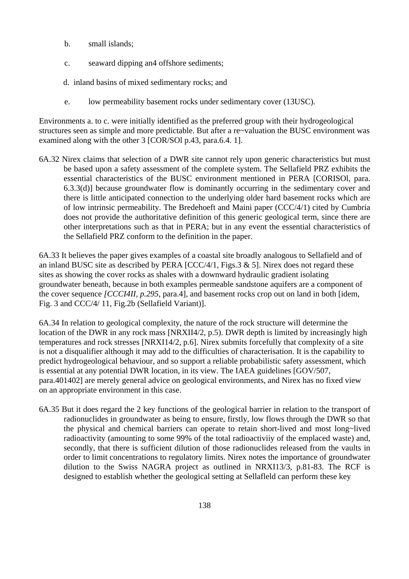- b. small islands;
- c. seaward dipping an4 offshore sediments;
- d. inland basins of mixed sedimentary rocks; and
- e. low permeability basement rocks under sedimentary cover (13USC).

Environments a. to c. were initially identified as the preferred group with their hydrogeological structures seen as simple and more predictable. But after a re~valuation the BUSC environment was examined along with the other 3 [COR/SOl p.43, para.6.4. 1].

6A.32 Nirex claims that selection of a DWR site cannot rely upon generic characteristics but must be based upon a safety assessment of the complete system. The Sellafield PRZ exhibits the essential characteristics of the BUSC environment mentioned in PERA [CORISOl, para. 6.3.3(d)] because groundwater flow is dominantly occurring in the sedimentary cover and there is little anticipated connection to the underlying older hard basement rocks which are of low intrinsic permeability. The Bredehoeft and Maini paper (CCC/4/1) cited by Cumbria does not provide the authoritative definition of this generic geological term, since there are other interpretations such as that in PERA; but in any event the essential characteristics of the Sellafield PRZ conform to the definition in the paper.

6A.33 It believes the paper gives examples of a coastal site broadly analogous to Sellafield and of an inland BUSC site as described by PERA  $[CCC/4/1, Figs. 3 & 5]$ . Nirex does not regard these sites as showing the cover rocks as shales with a downward hydraulic gradient isolating groundwater beneath, because in both examples permeable sandstone aquifers are a component of the cover sequence *[CCCI4II, p.295,* para.4], and basement rocks crop out on land in both [idem, Fig. 3 and CCC/4/ 11, Fig.2b (Sellafield Variant)].

6A.34 In relation to geological complexity, the nature of the rock structure will determine the location of the DWR in any rock mass [NRXII4/2, p.5). DWR depth is limited by increasingly high temperatures and rock stresses [NRXI14/2, p.6]. Nirex submits forcefully that complexity of a site is not a disqualifier although it may add to the difficulties of characterisation. It is the capability to predict hydrogeological behaviour, and so support a reliable probabilistic safety assessment, which is essential at any potential DWR location, in its view. The IAEA guidelines [GOV/507, para.401402] are merely general advice on geological environments, and Nirex has no fixed view on an appropriate environment in this case.

6A.35 But it does regard the 2 key functions of the geological barrier in relation to the transport of radionuclides in groundwater as being to ensure, firstly, low flows through the DWR so that the physical and chemical barriers can operate to retain short-lived and most long~lived radioactivity (amounting to some 99% of the total radioactiviiy of the emplaced waste) and, secondly, that there is sufficient dilution of those radionuclides released from the vaults in order to limit concentrations to regulatory limits. Nirex notes the importance of groundwater dilution to the Swiss NAGRA project as outlined in NRXI13/3, p.81-83. The RCF is designed to establish whether the geological setting at Sellafleld can perform these key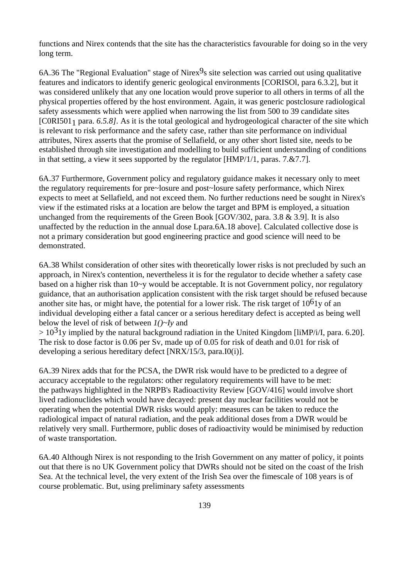functions and Nirex contends that the site has the characteristics favourable for doing so in the very long term.

6A.36 The "Regional Evaluation" stage of Nirex<sup>9</sup>s site selection was carried out using qualitative features and indicators to identify generic geological environments [CORISOl, para 6.3.2], but it was considered unlikely that any one location would prove superior to all others in terms of all the physical properties offered by the host environment. Again, it was generic postclosure radiological safety assessments which were applied when narrowing the list from 500 to 39 candidate sites [C0RI5011 para. *6.5.8].* As it is the total geological and hydrogeological character of the site which is relevant to risk performance and the safety case, rather than site performance on individual attributes, Nirex asserts that the promise of Sellafield, or any other short listed site, needs to be established through site investigation and modelling to build sufficient understanding of conditions in that setting, a view it sees supported by the regulator [HMP/1/1, paras. 7.&7.7].

6A.37 Furthermore, Government policy and regulatory guidance makes it necessary only to meet the regulatory requirements for pre~losure and post~losure safety performance, which Nirex expects to meet at Sellafield, and not exceed them. No further reductions need be sought in Nirex's view if the estimated risks at a location are below the target and BPM is employed, a situation unchanged from the requirements of the Green Book [GOV/302, para. 3.8 & 3.9]. It is also unaffected by the reduction in the annual dose Lpara.6A.18 above]. Calculated collective dose is not a primary consideration but good engineering practice and good science will need to be demonstrated.

6A.38 Whilst consideration of other sites with theoretically lower risks is not precluded by such an approach, in Nirex's contention, nevertheless it is for the regulator to decide whether a safety case based on a higher risk than 10~y would be acceptable. It is not Government policy, nor regulatory guidance, that an authorisation application consistent with the risk target should be refused because another site has, or might have, the potential for a lower risk. The risk target of  $10<sup>6</sup>1y$  of an individual developing either a fatal cancer or a serious hereditary defect is accepted as being well below the level of risk of between *1()~Iy* and

 $> 10<sup>3</sup>1y$  implied by the natural background radiation in the United Kingdom [liMP/i/I, para. 6.20]. The risk to dose factor is 0.06 per Sv, made up of 0.05 for risk of death and 0.01 for risk of developing a serious hereditary defect [NRX/15/3, para.I0(i)].

6A.39 Nirex adds that for the PCSA, the DWR risk would have to be predicted to a degree of accuracy acceptable to the regulators: other regulatory requirements will have to be met: the pathways highlighted in the NRPB's Radioactivity Review [GOV/416] would involve short lived radionuclides which would have decayed: present day nuclear facilities would not be operating when the potential DWR risks would apply: measures can be taken to reduce the radiological impact of natural radiation, and the peak additional doses from a DWR would be relatively very small. Furthermore, public doses of radioactivity would be minimised by reduction of waste transportation.

6A.40 Although Nirex is not responding to the Irish Government on any matter of policy, it points out that there is no UK Government policy that DWRs should not be sited on the coast of the Irish Sea. At the technical level, the very extent of the Irish Sea over the fimescale of 108 years is of course problematic. But, using preliminary safety assessments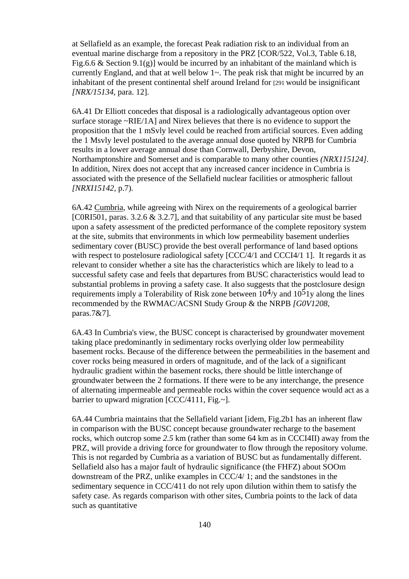at Sellafield as an example, the forecast Peak radiation risk to an individual from an eventual marine discharge from a repository in the PRZ [COR/522, Vol.3, Table 6.18, Fig.6.6 & Section 9.1(g)] would be incurred by an inhabitant of the mainland which is currently England, and that at well below  $1 \sim$ . The peak risk that might be incurred by an inhabitant of the present continental shelf around Ireland for [291 would be insignificant *[NRX/15134,* para. 12].

6A.41 Dr Elliott concedes that disposal is a radiologically advantageous option over surface storage ~RIE/1A] and Nirex believes that there is no evidence to support the proposition that the 1 mSvly level could be reached from artificial sources. Even adding the 1 Msvly level postulated to the average annual dose quoted by NRPB for Cumbria results in a lower average annual dose than Cornwall, Derbyshire, Devon, Northamptonshire and Somerset and is comparable to many other counties *(NRX115124].*  In addition, Nirex does not accept that any increased cancer incidence in Cumbria is associated with the presence of the Sellafield nuclear facilities or atmospheric fallout *[NRXI15142,* p.7).

6A.42 Cumbria, while agreeing with Nirex on the requirements of a geological barrier [C0RI501, paras. 3.2.6  $\&$  3.2.7], and that suitability of any particular site must be based upon a safety assessment of the predicted performance of the complete repository system at the site, submits that environments in which low permeability basement underlies sedimentary cover (BUSC) provide the best overall performance of land based options with respect to postelosure radiological safety [CCC/4/1 and CCCI4/1 1]. It regards it as relevant to consider whether a site has the characteristics which are likely to lead to a successful safety case and feels that departures from BUSC characteristics would lead to substantial problems in proving a safety case. It also suggests that the postclosure design requirements imply a Tolerability of Risk zone between  $10<sup>4</sup>/y$  and  $10<sup>5</sup>1y$  along the lines recommended by the RWMAC/ACSNI Study Group & the NRPB *[G0V1208,*  paras.7&7].

6A.43 In Cumbria's view, the BUSC concept is characterised by groundwater movement taking place predominantly in sedimentary rocks overlying older low permeability basement rocks. Because of the difference between the permeabilities in the basement and cover rocks being measured in orders of magnitude, and of the lack of a significant hydraulic gradient within the basement rocks, there should be little interchange of groundwater between the 2 formations. If there were to be any interchange, the presence of alternating impermeable and permeable rocks within the cover sequence would act as a barrier to upward migration  $[CCC/4111, Fig.~].$ 

6A.44 Cumbria maintains that the Sellafield variant [idem, Fig.2b1 has an inherent flaw in comparison with the BUSC concept because groundwater recharge to the basement rocks, which outcrop some *2.5* km (rather than some 64 km as in CCCI4II) away from the PRZ, will provide a driving force for groundwater to flow through the repository volume. This is not regarded by Cumbria as a variation of BUSC but as fundamentally different. Sellafield also has a major fault of hydraulic significance (the FHFZ) about SOOm downstream of the PRZ, unlike examples in CCC/4/ 1; and the sandstones in the sedimentary sequence in CCC/411 do not rely upon dilution within them to satisfy the safety case. As regards comparison with other sites, Cumbria points to the lack of data such as quantitative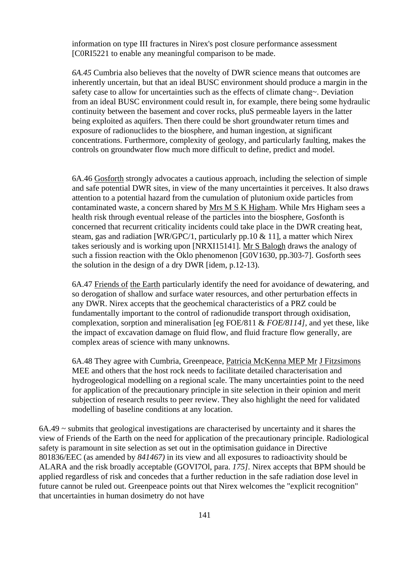information on type III fractures in Nirex's post closure performance assessment [C0RI5221 to enable any meaningful comparison to be made.

*6A.45* Cumbria also believes that the novelty of DWR science means that outcomes are inherently uncertain, but that an ideal BUSC environment should produce a margin in the safety case to allow for uncertainties such as the effects of climate chang~. Deviation from an ideal BUSC environment could result in, for example, there being some hydraulic continuity between the basement and cover rocks, pluS permeable layers in the latter being exploited as aquifers. Then there could be short groundwater return times and exposure of radionuclides to the biosphere, and human ingestion, at significant concentrations. Furthermore, complexity of geology, and particularly faulting, makes the controls on groundwater flow much more difficult to define, predict and model.

6A.46 Gosforth strongly advocates a cautious approach, including the selection of simple and safe potential DWR sites, in view of the many uncertainties it perceives. It also draws attention to a potential hazard from the cumulation of plutonium oxide particles from contaminated waste, a concern shared by Mrs M S K Higham. While Mrs Higham sees a health risk through eventual release of the particles into the biosphere, Gosfonth is concerned that recurrent criticality incidents could take place in the DWR creating heat, steam, gas and radiation [WR/GPC/1, particularly pp.10 & 11], a matter which Nirex takes seriously and is working upon [NRXI15141]. Mr S Balogh draws the analogy of such a fission reaction with the Oklo phenomenon [G0V1630, pp.303-7]. Gosforth sees the solution in the design of a dry DWR [idem, p.12-13).

6A.47 Friends of the Earth particularly identify the need for avoidance of dewatering, and so derogation of shallow and surface water resources, and other perturbation effects in any DWR. Nirex accepts that the geochemical characteristics of a PRZ could be fundamentally important to the control of radionudide transport through oxidisation, complexation, sorption and mineralisation [eg FOE/811 & *FOE/8114],* and yet these, like the impact of excavation damage on fluid flow, and fluid fracture flow generally, are complex areas of science with many unknowns.

6A.48 They agree with Cumbria, Greenpeace, Patricia McKenna MEP Mr J Fitzsimons MEE and others that the host rock needs to facilitate detailed characterisation and hydrogeological modelling on a regional scale. The many uncertainties point to the need for application of the precautionary principle in site selection in their opinion and merit subjection of research results to peer review. They also highlight the need for validated modelling of baseline conditions at any location.

 $6A.49 \sim$  submits that geological investigations are characterised by uncertainty and it shares the view of Friends of the Earth on the need for application of the precautionary principle. Radiological safety is paramount in site selection as set out in the optimisation guidance in Directive 801836/EEC (as amended by *841467)* in its view and all exposures to radioactivity should be ALARA and the risk broadly acceptable (GOVI7Ol, para. *175].* Nirex accepts that BPM should be applied regardless of risk and concedes that a further reduction in the safe radiation dose level in future cannot be ruled out. Greenpeace points out that Nirex welcomes the "explicit recognition" that uncertainties in human dosimetry do not have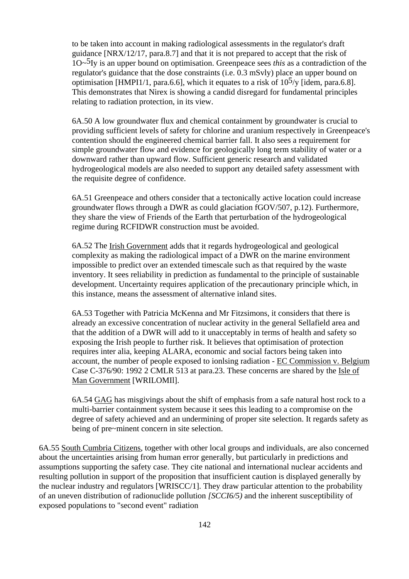to be taken into account in making radiological assessments in the regulator's draft guidance [NRX/12/17, para.8.7] and that it is not prepared to accept that the risk of 1O~5Iy is an upper bound on optimisation. Greenpeace sees *this* as a contradiction of the regulator's guidance that the dose constraints (i.e. 0.3 mSvly) place an upper bound on optimisation [HMPI1/1, para.6.6], which it equates to a risk of  $10^5$ /y [idem, para.6.8]. This demonstrates that Nirex is showing a candid disregard for fundamental principles relating to radiation protection, in its view.

6A.50 A low groundwater flux and chemical containment by groundwater is crucial to providing sufficient levels of safety for chlorine and uranium respectively in Greenpeace's contention should the engineered chemical barrier fall. It also sees a requirement for simple groundwater flow and evidence for geologically long term stability of water or a downward rather than upward flow. Sufficient generic research and validated hydrogeological models are also needed to support any detailed safety assessment with the requisite degree of confidence.

6A.51 Greenpeace and others consider that a tectonically active location could increase groundwater flows through a DWR as could glaciation fGOV/507, p.12). Furthermore, they share the view of Friends of the Earth that perturbation of the hydrogeological regime during RCFIDWR construction must be avoided.

6A.52 The Irish Government adds that it regards hydrogeological and geological complexity as making the radiological impact of a DWR on the marine environment impossible to predict over an extended timescale such as that required by the waste inventory. It sees reliability in prediction as fundamental to the principle of sustainable development. Uncertainty requires application of the precautionary principle which, in this instance, means the assessment of alternative inland sites.

6A.53 Together with Patricia McKenna and Mr Fitzsimons, it considers that there is already an excessive concentration of nuclear activity in the general Sellafield area and that the addition of a DWR will add to it unacceptably in terms of health and safety so exposing the Irish people to further risk. It believes that optimisation of protection requires inter alia, keeping ALARA, economic and social factors being taken into account, the number of people exposed to ionlsing radiation - EC Commission v. Belgium Case C-376/90: 1992 2 CMLR 513 at para.23. These concerns are shared by the Isle of Man Government [WRILOMIl].

6A.54 GAG has misgivings about the shift of emphasis from a safe natural host rock to a multi-barrier containment system because it sees this leading to a compromise on the degree of safety achieved and an undermining of proper site selection. It regards safety as being of pre~minent concern in site selection.

6A.55 South Cumbria Citizens, together with other local groups and individuals, are also concerned about the uncertainties arising from human error generally, but particularly in predictions and assumptions supporting the safety case. They cite national and international nuclear accidents and resulting pollution in support of the proposition that insufficient caution is displayed generally by the nuclear industry and regulators [WRISCC/1]. They draw particular attention to the probability of an uneven distribution of radionuclide pollution *[SCCI6/5)* and the inherent susceptibility of exposed populations to "second event" radiation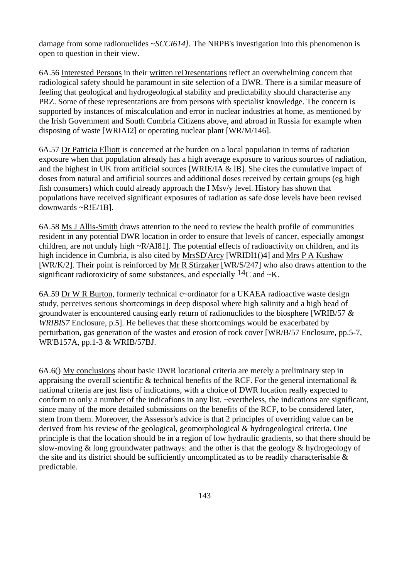damage from some radionuclides *~SCCI614].* The NRPB's investigation into this phenomenon is open to question in their view.

6A.56 Interested Persons in their written reDresentations reflect an overwhelming concern that radiological safety should be paramount in site selection of a DWR. There is a similar measure of feeling that geological and hydrogeological stability and predictability should characterise any PRZ. Some of these representations are from persons with specialist knowledge. The concern is supported by instances of miscalculation and error in nuclear industries at home, as mentioned by the Irish Government and South Cumbria Citizens above, and abroad in Russia for example when disposing of waste [WRIAI2] or operating nuclear plant [WR/M/146].

6A.57 Dr Patricia Elliott is concerned at the burden on a local population in terms of radiation exposure when that population already has a high average exposure to various sources of radiation, and the highest in UK from artificial sources [WRIE/IA & lB]. She cites the cumulative impact of doses from natural and artificial sources and additional doses received by certain groups (eg high fish consumers) which could already approach the I Msv/y level. History has shown that populations have received significant exposures of radiation as safe dose levels have been revised downwards ~R!E/1B].

6A.58 Ms J Allis-Smith draws attention to the need to review the health profile of communities resident in any potential DWR location in order to ensure that levels of cancer, especially amongst children, are not unduly high ~R/AI81]. The potential effects of radioactivity on children, and its high incidence in Cumbria, is also cited by MrsSD'Arcy [WRIDI1()4] and Mrs P A Kushaw [WR/K/2]. Their point is reinforced by Mr R Stirzaker [WR/S/247] who also draws attention to the significant radiotoxicity of some substances, and especially  $^{14}C$  and  $~K$ .

6A.59 Dr W R Burton, formerly technical c~ordinator for a UKAEA radioactive waste design study, perceives serious shortcomings in deep disposal where high salinity and a high head of groundwater is encountered causing early return of radionuclides to the biosphere [WRIB/57 *& WRIBIS7* Enclosure, p.5]. He believes that these shortcomings would be exacerbated by perturbation, gas generation of the wastes and erosion of rock cover [WR/B/57 Enclosure, pp.5-7, WR'B157A, pp.1-3 & WRIB/57BJ.

6A.6() My conclusions about basic DWR locational criteria are merely a preliminary step in appraising the overall scientific & technical benefits of the RCF. For the general international  $\&$ national criteria are just lists of indications, with a choice of DWR location really expected to conform to only a number of the indicafions in any list. ~evertheless, the indications are significant, since many of the more detailed submissions on the benefits of the RCF, to be considered later, stem from them. Moreover, the Assessor's advice is that 2 principles of overriding value can be derived from his review of the geological, geomorphological & hydrogeological criteria. One principle is that the location should be in a region of low hydraulic gradients, so that there should be slow-moving & long groundwater pathways: and the other is that the geology & hydrogeology of the site and its district should be sufficiently uncomplicated as to be readily characterisable  $\&$ predictable.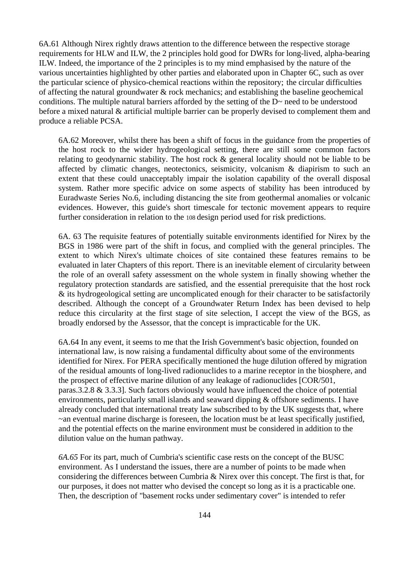6A.61 Although Nirex rightly draws attention to the difference between the respective storage requirements for HLW and ILW, the 2 principles hold good for DWRs for long-lived, alpha-bearing ILW. Indeed, the importance of the 2 principles is to my mind emphasised by the nature of the various uncertainties highlighted by other parties and elaborated upon in Chapter6C, such as over the particular science of physico-chemical reactions within the repository; the circular difficulties of affecting the natural groundwater & rock mechanics; and establishing the baseline geochemical conditions. The multiple natural barriers afforded by the setting of the D~ need to be understood before a mixed natural & artificial multiple barrier can be properly devised to complement them and produce a reliable PCSA.

6A.62 Moreover, whilst there has been a shift of focus in the guidance from the properties of the host rock to the wider hydrogeological setting, there are still some common factors relating to geodynarnic stability. The host rock & general locality should not be liable to be affected by climatic changes, neotectonics, seismicity, volcanism & diapirism to such an extent that these could unacceptably impair the isolation capability of the overall disposal system. Rather more specific advice on some aspects of stability has been introduced by Euradwaste Series No.6, including distancing the site from geothermal anomalies or volcanic evidences. However, this guide's short timescale for tectonic movement appears to require further consideration in relation to the 108 design period used for risk predictions.

6A. 63 The requisite features of potentially suitable environments identified for Nirex by the BGS in 1986 were part of the shift in focus, and complied with the general principles. The extent to which Nirex's ultimate choices of site contained these features remains to be evaluated in later Chapters of this report. There is an inevitable element of circularity between the role of an overall safety assessment on the whole system in finally showing whether the regulatory protection standards are satisfied, and the essential prerequisite that the host rock & its hydrogeological setting are uncomplicated enough for their character to be satisfactorily described. Although the concept of a Groundwater Return Index has been devised to help reduce this circularity at the first stage of site selection, I accept the view of the BGS, as broadly endorsed by the Assessor, that the concept is impracticable for the UK.

6A.64 In any event, it seems to me that the Irish Government's basic objection, founded on international law, is now raising a fundamental difficulty about some of the environments identified for Nirex. For PERA specifically mentioned the huge dilution offered by migration of the residual amounts of long-lived radionuclides to a marine receptor in the biosphere, and the prospect of effective marine dilution of any leakage of radionuclides [COR/501, paras.3.2.8 & 3.3.3]. Such factors obviously would have influenced the choice of potential environments, particularly small islands and seaward dipping & offshore sediments. I have already concluded that international treaty law subscribed to by the UK suggests that, where  $\sim$ an eventual marine discharge is foreseen, the location must be at least specifically justified. and the potential effects on the marine environment must be considered in addition to the dilution value on the human pathway.

*6A.65* For its part, much of Cumbria's scientific case rests on the concept of the BUSC environment. As I understand the issues, there are a number of points to be made when considering the differences between Cumbria & Nirex over this concept. The first is that, for our purposes, it does not matter who devised the concept so long as it is a practicable one. Then, the description of "basement rocks under sedimentary cover" is intended to refer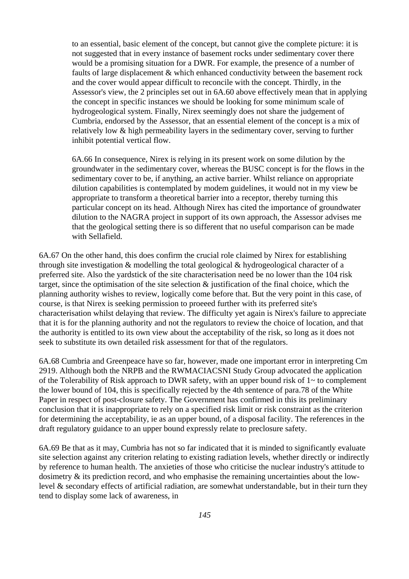to an essential, basic element of the concept, but cannot give the complete picture: it is not suggested that in every instance of basement rocks under sedimentary cover there would be a promising situation for a DWR. For example, the presence of a number of faults of large displacement & which enhanced conductivity between the basement rock and the cover would appear difficult to reconcile with the concept. Thirdly, in the Assessor's view, the 2 principles set out in 6A.60 above effectively mean that in applying the concept in specific instances we should be looking for some minimum scale of hydrogeological system. Finally, Nirex seemingly does not share the judgement of Cumbria, endorsed by the Assessor, that an essential element of the concept is a mix of relatively low & high permeability layers in the sedimentary cover, serving to further inhibit potential vertical flow.

6A.66 In consequence, Nirex is relying in its present work on some dilution by the groundwater in the sedimentary cover, whereas the BUSC concept is for the flows in the sedimentary cover to be, if anything, an active barrier. Whilst reliance on appropriate dilution capabilities is contemplated by modem guidelines, it would not in my view be appropriate to transform a theoretical barrier into a receptor, thereby turning this particular concept on its head. Although Nirex has cited the importance of groundwater dilution to the NAGRA project in support of its own approach, the Assessor advises me that the geological setting there is so different that no useful comparison can be made with Sellafield.

6A.67 On the other hand, this does confirm the crucial role claimed by Nirex for establishing through site investigation & modelling the total geological & hydrogeological character of a preferred site. Also the yardstick of the site characterisation need be no lower than the 104 risk target, since the optimisation of the site selection & justification of the final choice, which the planning authority wishes to review, logically come before that. But the very point in this case, of course, is that Nirex is seeking permission to proeeed further with its preferred site's characterisation whilst delaying that review. The difficulty yet again is Nirex's failure to appreciate that it is for the planning authority and not the regulators to review the choice of location, and that the authority is entitled to its own view about the acceptability of the risk, so long as it does not seek to substitute its own detailed risk assessment for that of the regulators.

6A.68 Cumbria and Greenpeace have so far, however, made one important error in interpreting Cm 2919. Although both the NRPB and the RWMACIACSNI Study Group advocated the application of the Tolerability of Risk approach to DWR safety, with an upper bound risk of 1~ to complement the lower bound of 104, this is specifically rejected by the 4th sentence of para.78 of the White Paper in respect of post-closure safety. The Government has confirmed in this its preliminary conclusion that it is inappropriate to rely on a specified risk limit or risk constraint as the criterion for determining the acceptability, ie as an upper bound, of a disposal facility. The references in the draft regulatory guidance to an upper bound expressly relate to preclosure safety.

6A.69 Be that as it may, Cumbria has not so far indicated that it is minded to significantly evaluate site selection against any criterion relating to existing radiation levels, whether directly or indirectly by reference to human health. The anxieties of those who criticise the nuclear industry's attitude to dosimetry & its prediction record, and who emphasise the remaining uncertainties about the lowlevel & secondary effects of artificial radiation, are somewhat understandable, but in their turn they tend to display some lack of awareness, in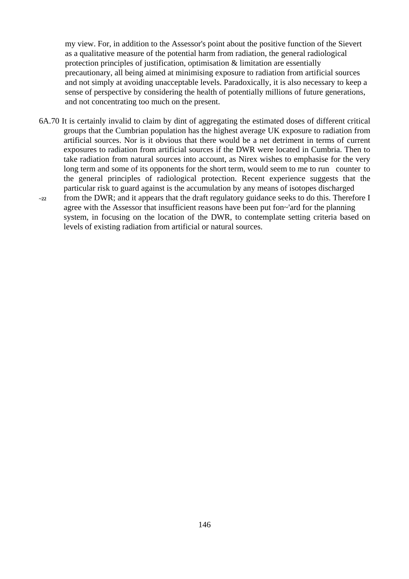my view. For, in addition to the Assessor's point about the positive function of the Sievert as a qualitative measure of the potential harm from radiation, the general radiological protection principles of justification, optimisation & limitation are essentially precautionary, all being aimed at minimising exposure to radiation from artificial sources and not simply at avoiding unacceptable levels. Paradoxically, it is also necessary to keep a sense of perspective by considering the health of potentially millions of future generations, and not concentrating too much on the present.

- 6A.70 It is certainly invalid to claim by dint of aggregating the estimated doses of different critical groups that the Cumbrian population has the highest average UK exposure to radiation from artificial sources. Nor is it obvious that there would be a net detriment in terms of current exposures to radiation from artificial sources if the DWR were located in Cumbria. Then to take radiation from natural sources into account, as Nirex wishes to emphasise for the very long term and some of its opponents for the short term, would seem to me to run counter to the general principles of radiological protection. Recent experience suggests that the particular risk to guard against is the accumulation by any means of isotopes discharged
- **~22** from the DWR; and it appears that the draft regulatory guidance seeks to do this. Therefore I agree with the Assessor that insufficient reasons have been put fon~'ard for the planning system, in focusing on the location of the DWR, to contemplate setting criteria based on levels of existing radiation from artificial or natural sources.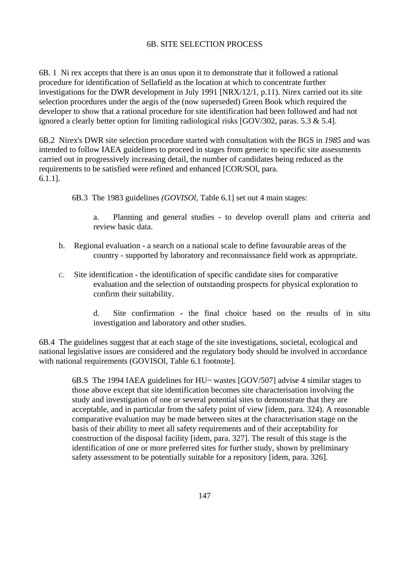## 6B. SITE SELECTION PROCESS

6B. 1 Ni rex accepts that there is an onus upon it to demonstrate that it followed a rational procedure for identification of Sellafield as the location at which to concentrate further investigations for the DWR development in July 1991 [NRX/12/1, p.11). Nirex carried out its site selection procedures under the aegis of the (now superseded) Green Book which required the developer to show that a rational procedure for site identification had been followed and had not ignored a clearly better option for limiting radiological risks [GOV/302, paras. 5.3 & 5.4].

6B.2 Nirex's DWR site selection procedure started with consultation with the BGS in *1985* and was intended to follow IAEA guidelines to proceed in stages from generic to specific site assessments carried out in progressively increasing detail, the number of candidates being reduced as the requirements to be satisfied were refined and enhanced [COR/SOl, para. 6.1.1].

6B.3 The 1983 guidelines *(GOVISOl,* Table 6.1] set out 4 main stages:

a. Planning and general studies - to develop overall plans and criteria and review basic data.

- b. Regional evaluation a search on a national scale to define favourable areas of the country - supported by laboratory and reconnaissance field work as appropriate.
- C. Site identification the identification of specific candidate sites for comparative evaluation and the selection of outstanding prospects for physical exploration to confirm their suitability.

d. Site confirmation - the final choice based on the results of in situ investigation and laboratory and other studies.

6B.4 The guidelines suggest that at each stage of the site investigations, societal, ecological and national legislative issues are considered and the regulatory body should be involved in accordance with national requirements (GOVISOl, Table 6.1 footnote].

6B.S The 1994 IAEA guidelines for HU $\sim$  wastes [GOV/507] advise 4 similar stages to those above except that site identification becomes site characterisation involving the study and investigation of one or several potential sites to demonstrate that they are acceptable, and in particular from the safety point of view [idem, para. 324). A reasonable comparative evaluation may be made between sites at the characterisation stage on the basis of their ability to meet all safety requirements and of their acceptability for construction of the disposal facility [idem, para. 327]. The result of this stage is the identification of one or more preferred sites for further study, shown by preliminary safety assessment to be potentially suitable for a repository [idem, para. 326].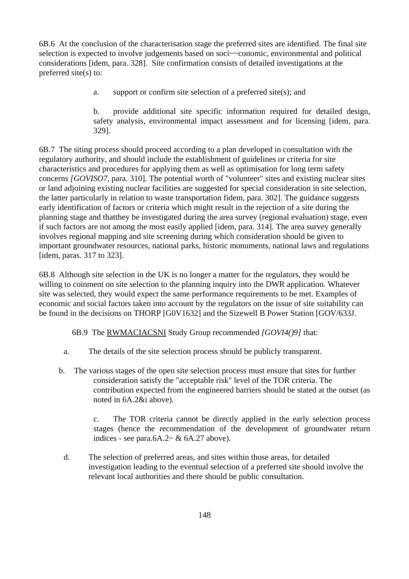6B.6 At the conclusion of the characterisation stage the preferred sites are identified. The final site selection is expected to involve judgements based on soci $\sim$ conomic, environmental and political considerations [idem, para. 328]. Site confirmation consists of detailed investigations at the preferred site(s) to:

a. support or confirm site selection of a preferred site(s); and

b. provide additional site specific information required for detailed design, safety analysis, environmental impact assessment and for licensing [idem, para. 329].

6B.7 The siting process should proceed according to a plan developed in consultation with the regulatory authority, and should include the establishment of guidelines or criteria for site characteristics and procedures for applying them as well as optimisation for long term safety concerns *[GOVISO7,* para. 310]. The potential worth of "volunteer" sites and existing nuclear sites or land adjoining existing nuclear facilities are suggested for special consideration in site selection, the latter particularly in relation to waste transportation fidem, para. 302]. The guidance suggests early identification of factors or criteria which might result in the rejection of a site during the planning stage and thatthey be investigated during the area survey (regional evaluation) stage, even if such factors are not among the most easily applied [idem, para. 314]. The area survey generally involves regional mapping and site screening during which consideration should be given to important groundwater resources, national parks, historic monuments, national laws and regulations [idem, paras. 317 to 323].

6B.8 Although site selection in the UK is no longer a matter for the regulators, they would be willing to coinment on site selection to the planning inquiry into the DWR application. Whatever site was selected, they would expect the same performance requirements to be met. Examples of economic and social factors taken into account by the regulators on the issue of site suitability can be found in the decisions on THORP [G0V1632] and the Sizewell B Power Station [GOV/633J.

6B.9 The RWMACIACSNI Study Group recommended *[GOVI4()9]* that:

- a. The details of the site selection process should be publicly transparent.
- b. The various stages of the open site selection process must ensure that sites for further consideration satisfy the "acceptable risk" level of the TOR criteria. The contribution expected from the engineered barriers should be stated at the outset (as noted in 6A.2&i above).

c. The TOR criteria cannot be directly applied in the early selection process stages (hence the recommendation of the development of groundwater return indices - see para.6A.2 $\sim \& 6A.27$  above).

d. The selection of preferred areas, and sites within those areas, for detailed investigation leading to the eventual selection of a preferred site should involve the relevant local authorities and there should be public consultation.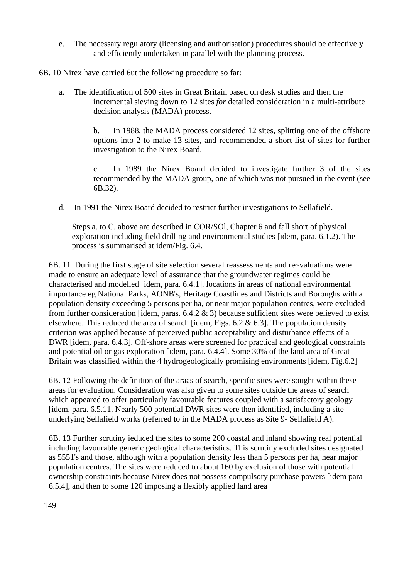- e. The necessary regulatory (licensing and authorisation) procedures should be effectively and efficiently undertaken in parallel with the planning process.
- 6B. 10 Nirex have carried 6ut the following procedure so far:
	- a. The identification of 500 sites in Great Britain based on desk studies and then the incremental sieving down to 12 sites *for* detailed consideration in a multi-attribute decision analysis (MADA) process.

b. In 1988, the MADA process considered 12 sites, splitting one of the offshore options into 2 to make 13 sites, and recommended a short list of sites for further investigation to the Nirex Board.

c. In 1989 the Nirex Board decided to investigate further 3 of the sites recommended by the MADA group, one of which was not pursued in the event (see 6B.32).

d. In 1991 the Nirex Board decided to restrict further investigations to Sellafield.

Steps a. to C. above are described in COR/SOl, Chapter 6 and fall short of physical exploration including field drilling and environmental studies [idem, para. 6.1.2). The process is summarised at idem/Fig. 6.4.

6B. 11 During the first stage of site selection several reassessments and re~valuations were made to ensure an adequate level of assurance that the groundwater regimes could be characterised and modelled [idem, para. 6.4.1]. locations in areas of national environmental importance eg National Parks, AONB's, Heritage Coastlines and Districts and Boroughs with a population density exceeding 5 persons per ha, or near major population centres, were excluded from further consideration [idem, paras.  $6.4.2 \& 3$ ] because sufficient sites were believed to exist elsewhere. This reduced the area of search [idem, Figs.  $6.2 \& 6.3$ ]. The population density criterion was applied because of perceived public acceptability and disturbance effects of a DWR [idem, para. 6.4.3]. Off-shore areas were screened for practical and geological constraints and potential oil or gas exploration [idem, para. 6.4.4]. Some 30% of the land area of Great Britain was classified within the 4 hydrogeologically promising environments [idem, Fig.6.2]

6B. 12 Following the definition of the araas of search, specific sites were sought within these areas for evaluation. Consideration was also given to some sites outside the areas of search which appeared to offer particularly favourable features coupled with a satisfactory geology [idem, para. 6.5.11. Nearly 500 potential DWR sites were then identified, including a site underlying Sellafield works (referred to in the MADA process as Site 9- Sellafield A).

6B. 13 Further scrutiny ieduced the sites to some 200 coastal and inland showing real potential including favourable generic geological characteristics. This scrutiny excluded sites designated as 5551's and those, although with a population density less than 5 persons per ha, near major population centres. The sites were reduced to about 160 by exclusion of those with potential ownership constraints because Nirex does not possess compulsory purchase powers [idem para 6.5.4], and then to some 120 imposing a flexibly applied land area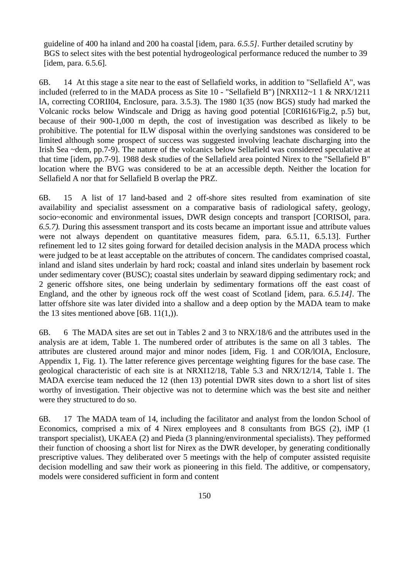guideline of 400 ha inland and 200 ha coastal [idem, para. *6.5.5].* Further detailed scrutiny by BGS to select sites with the best potential hydrogeological performance reduced the number to 39 [idem, para. 6.5.6].

6B. 14 At this stage a site near to the east of Sellafield works, in addition to "Sellafield A", was included (referred to in the MADA process as Site 10 - "Sellafield B") [NRXI12~1 1 & NRX/1211 lA, correcting CORII04, Enclosure, para. 3.5.3). The 1980 1(35 (now BGS) study had marked the Volcanic rocks below Windscale and Drigg as having good potential [C0RI616/Fig.2, p.5) but, because of their 900-1,000 m depth, the cost of investigation was described as likely to be prohibitive. The potential for ILW disposal within the overlying sandstones was considered to be limited although some prospect of success was suggested involving leachate discharging into the Irish Sea ~dem, pp.7-9). The nature of the volcanics below Sellafield was considered speculative at that time [idem, pp.7-9]. 1988 desk studies of the Sellafield area pointed Nirex to the "Sellafield B" location where the BVG was considered to be at an accessible depth. Neither the location for Sellafield A nor that for Sellafield B overlap the PRZ.

6B. 15 A list of 17 land-based and 2 off-shore sites resulted from examination of site availability and specialist assessment on a comparative basis of radiological safety, geology, socio~economic and environmental issues, DWR design concepts and transport [CORISOl, para. *6.5.7).* During this assessment transport and its costs became an important issue and attribute values were not always dependent on quantitative measures fidem, para. 6.5.11, 6.5.13]. Further refinement led to 12 sites going forward for detailed decision analysis in the MADA process which were judged to be at least acceptable on the attributes of concern. The candidates comprised coastal, inland and island sites underlain by hard rock; coastal and inland sites underlain by basement rock under sedimentary cover (BUSC); coastal sites underlain by seaward dipping sedimentary rock; and 2 generic offshore sites, one being underlain by sedimentary formations off the east coast of England, and the other by igneous rock off the west coast of Scotland [idem, para. *6.5.14].* The latter offshore site was later divided into a shallow and a deep option by the MADA team to make the 13 sites mentioned above [6B. 11(1,)).

6B. 6 The MADA sites are set out in Tables 2 and 3 to NRX/18/6 and the attributes used in the analysis are at idem, Table 1. The numbered order of attributes is the same on all 3 tables. The attributes are clustered around major and minor nodes [idem, Fig. 1 and COR/lOIA, Enclosure, Appendix 1, Fig. 1). The latter reference gives percentage weighting figures for the base case. The geological characteristic of each site is at NRXI12/18, Table 5.3 and NRX/12/14, Table 1. The MADA exercise team neduced the 12 (then 13) potential DWR sites down to a short list of sites worthy of investigation. Their objective was not to determine which was the best site and neither were they structured to do so.

6B. 17 The MADA team of 14, including the facilitator and analyst from the london School of Economics, comprised a mix of 4 Nirex employees and 8 consultants from BGS (2), iMP (1 transport specialist), UKAEA (2) and Pieda (3 planning/environmental specialists). They pefformed their function of choosing a short list for Nirex as the DWR developer, by generating conditionally prescriptive values. They deliberated over 5 meetings with the help of computer assisted requisite decision modelling and saw their work as pioneering in this field. The additive, or compensatory, models were considered sufficient in form and content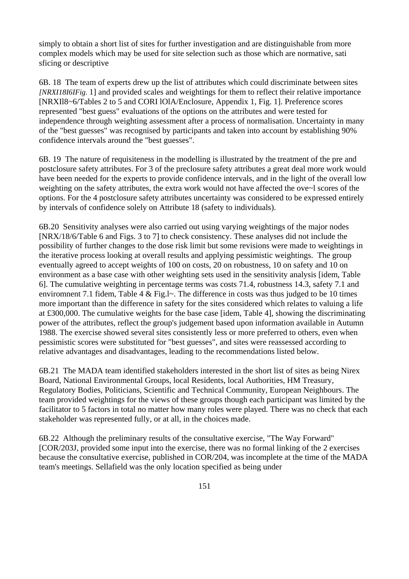simply to obtain a short list of sites for further investigation and are distinguishable from more complex models which may be used for site selection such as those which are normative, sati sficing or descriptive

6B. 18 The team of experts drew up the list of attributes which could discriminate between sites *[NRXI18I6IFig.* 1] and provided scales and weightings for them to reflect their relative importance [NRXIl8~6/Tables 2 to 5 and CORI lOlA/Enclosure, Appendix 1, Fig. 1]. Preference scores represented "best guess" evaluations of the options on the attributes and were tested for independence through weighting assessment after a process of normalisation. Uncertainty in many of the "best guesses" was recognised by participants and taken into account by establishing 90% confidence intervals around the "best guesses".

6B. 19 The nature of requisiteness in the modelling is illustrated by the treatment of the pre and postclosure safety attributes. For 3 of the preclosure safety attributes a great deal more work would have been needed for the experts to provide confidence intervals, and in the light of the overall low weighting on the safety attributes, the extra work would not have affected the ove~l scores of the options. For the 4 postclosure safety attributes uncertainty was considered to be expressed entirely by intervals of confidence solely on Attribute 18 (safety to individuals).

6B.20 Sensitivity analyses were also carried out using varying weightings of the major nodes [NRX/18/6/Table 6 and Figs. 3 to 7] to check consistency. These analyses did not include the possibility of further changes to the dose risk limit but some revisions were made to weightings in the iterative process looking at overall results and applying pessimistic weightings. The group eventually agreed to accept weights of 100 on costs, 20 on robustness, 10 on safety and 10 on environment as a base case with other weighting sets used in the sensitivity analysis [idem, Table 6]. The cumulative weighting in percentage terms was costs 71.4, robustness 14.3, safety 7.1 and enviromnent 7.1 fidem, Table 4  $\&$  Fig.1 $\sim$ . The difference in costs was thus judged to be 10 times more important than the difference in safety for the sites considered which relates to valuing a life at £300,000. The cumulative weights for the base case [idem, Table 4], showing the discriminating power of the attributes, reflect the group's judgement based upon information available in Autumn 1988. The exercise showed several sites consistently less or more preferred to others, even when pessimistic scores were substituted for "best guesses", and sites were reassessed according to relative advantages and disadvantages, leading to the recommendations listed below.

6B.21 The MADA team identified stakeholders interested in the short list of sites as being Nirex Board, National Environmental Groups, local Residents, local Authorities, HM Treasury, Regulatory Bodies, Politicians, Scientific and Technical Community, European Neighbours. The team provided weightings for the views of these groups though each participant was limited by the facilitator to 5 factors in total no matter how many roles were played. There was no check that each stakeholder was represented fully, or at all, in the choices made.

6B.22 Although the preliminary results of the consultative exercise, "The Way Forward" [COR/203J, provided some input into the exercise, there was no formal linking of the 2 exercises because the consultative exercise, published in COR/204, was incomplete at the time of the MADA team's meetings. Sellafield was the only location specified as being under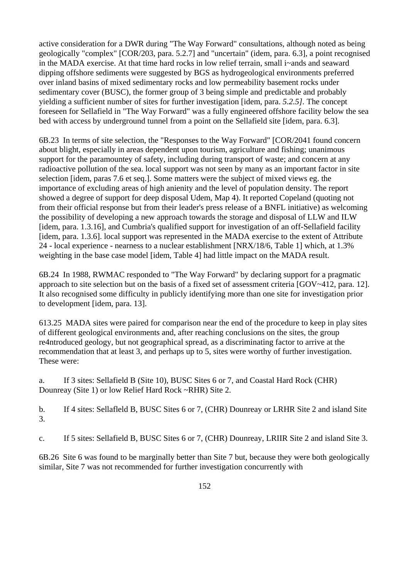active consideration for a DWR during "The Way Forward" consultations, although noted as being geologically "complex" [COR/203, para. 5.2.7] and "uncertain" (idem, para. 6.3], a point recognised in the MADA exercise. At that time hard rocks in low relief terrain, small i~ands and seaward dipping offshore sediments were suggested by BGS as hydrogeological environments preferred over inland basins of mixed sedimentary rocks and low permeability basement rocks under sedimentary cover (BUSC), the former group of 3 being simple and predictable and probably yielding a sufficient number of sites for further investigation [idem, para. *5.2.5].* The concept foreseen for Sellafield in "The Way Forward" was a fully engineered offshore facility below the sea bed with access by underground tunnel from a point on the Sellafield site [idem, para. 6.3].

6B.23 In terms of site selection, the "Responses to the Way Forward" [COR/2041 found concern about blight, especially in areas dependent upon tourism, agriculture and fishing; unanimous support for the paramountey of safety, including during transport of waste; and concern at any radioactive pollution of the sea. local support was not seen by many as an important factor in site selection [idem, paras 7.6 et seq.]. Some matters were the subject of mixed views eg. the importance of excluding areas of high anienity and the level of population density. The report showed a degree of support for deep disposal Udem, Map 4). It reported Copeland (quoting not from their official response but from their leader's press release of a BNFL initiative) as welcoming the possibility of developing a new approach towards the storage and disposal of LLW and ILW [idem, para. 1.3.16], and Cumbria's qualified support for investigation of an off-Sellafield facility [idem, para. 1.3.6]. local support was represented in the MADA exercise to the extent of Attribute 24 - local experience - nearness to a nuclear establishment [NRX/18/6, Table 1] which, at 1.3% weighting in the base case model [idem, Table 4] had little impact on the MADA result.

6B.24 In 1988, RWMAC responded to "The Way Forward" by declaring support for a pragmatic approach to site selection but on the basis of a fixed set of assessment criteria [GOV~412, para. 12]. It also recognised some difficulty in publicly identifying more than one site for investigation prior to development [idem, para. 13].

613.25 MADA sites were paired for comparison near the end of the procedure to keep in play sites of different geological environments and, after reaching conclusions on the sites, the group re4ntroduced geology, but not geographical spread, as a discriminating factor to arrive at the recommendation that at least 3, and perhaps up to 5, sites were worthy of further investigation. These were:

a. If 3 sites: Sellafield B (Site 10), BUSC Sites 6 or 7, and Coastal Hard Rock (CHR) Dounreay (Site 1) or low Relief Hard Rock ~RHR) Site 2.

b. If 4 sites: Sellafleld B, BUSC Sites 6 or 7, (CHR) Dounreay or LRHR Site 2 and island Site 3.

c. If 5 sites: Sellafield B, BUSC Sites 6 or 7, (CHR) Dounreay, LRIIR Site 2 and island Site 3.

6B.26 Site 6 was found to be marginally better than Site 7 but, because they were both geologically similar, Site 7 was not recommended for further investigation concurrently with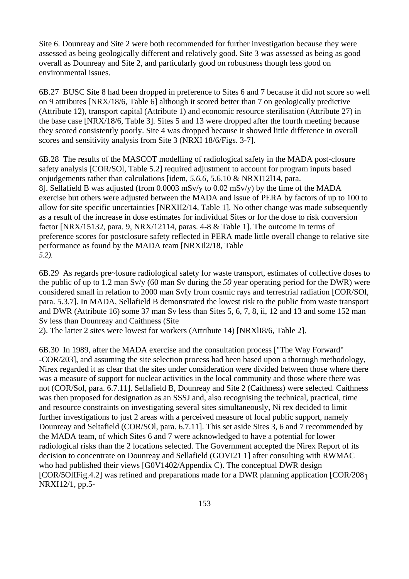Site 6. Dounreay and Site 2 were both recommended for further investigation because they were assessed as being geologically different and relatively good. Site 3 was assessed as being as good overall as Dounreay and Site 2, and particularly good on robustness though less good on environmental issues.

6B.27 BUSC Site 8 had been dropped in preference to Sites 6 and 7 because it did not score so well on 9 attributes [NRX/18/6, Table 6] although it scored better than 7 on geologically predictive (Attribute 12), transport capital (Attribute 1) and economic resource sterilisation (Attribute 27) in the base case [NRX/18/6, Table 3]. Sites 5 and 13 were dropped after the fourth meeting because they scored consistently poorly. Site 4 was dropped because it showed little difference in overall scores and sensitivity analysis from Site 3 (NRXI 18/6/Figs. 3-7].

6B.28 The results of the MASCOT modelling of radiological safety in the MADA post-closure safety analysis [COR/SOl, Table 5.2] required adjustment to account for program inputs based onjudgements rather than calculations [idem, *5.6.6,* 5.6.10 & NRXI12l14, para. 8]. Sellafield B was adjusted (from 0.0003 mSv/y to 0.02 mSv/y) by the time of the MADA exercise but others were adjusted between the MADA and issue of PERA by factors of up to 100 to allow for site specific uncertainties [NRXII2/14, Table 1]. No other change was made subsequently as a result of the increase in dose estimates for individual Sites or for the dose to risk conversion factor [NRX/15132, para. 9, NRX/12114, paras. 4-8 & Table 1]. The outcome in terms of preference scores for postclosure safety reflected in PERA made little overall change to relative site performance as found by the MADA team [NRXIl2/18, Table *5.2).* 

6B.29 As regards pre~losure radiological safety for waste transport, estimates of collective doses to the public of up to 1.2 man Sv/y (60 man Sv during the *50* year operating period for the DWR) were considered small in relation to 2000 man SvIy from cosmic rays and terrestrial radiation [COR/SOl, para. 5.3.7]. In MADA, Sellafield B demonstrated the lowest risk to the public from waste transport and DWR (Attribute 16) some 37 man Sv less than Sites 5, 6, 7, 8, ii, 12 and 13 and some 152 man Sv less than Dounreay and Caithness (Site

2). The latter 2 sites were lowest for workers (Attribute 14) [NRXlI8/6, Table 2].

6B.30 In 1989, after the MADA exercise and the consultation process ["The Way Forward" -COR/203], and assuming the site selection process had been based upon a thorough methodology, Nirex regarded it as clear that the sites under consideration were divided between those where there was a measure of support for nuclear activities in the local community and those where there was not (COR/Sol, para. 6.7.11]. Sellafield B, Dounreay and Site 2 (Caithness) were selected. Caithness was then proposed for designation as an SSSJ and, also recognising the technical, practical, time and resource constraints on investigating several sites simultaneously, Ni rex decided to limit further investigations to just 2 areas with a perceived measure of local public support, namely Dounreay and Seltafield (COR/SOl, para. 6.7.11]. This set aside Sites 3, 6 and 7 recommended by the MADA team, of which Sites 6 and 7 were acknowledged to have a potential for lower radiological risks than the 2 locations selected. The Government accepted the Nirex Report of its decision to concentrate on Dounreay and Sellafield (GOVI21 1] after consulting with RWMAC who had published their views [G0V1402/Appendix C). The conceptual DWR design [COR/5OlIFig.4.2] was refined and preparations made for a DWR planning application [COR/2081 NRXI12/1, pp.5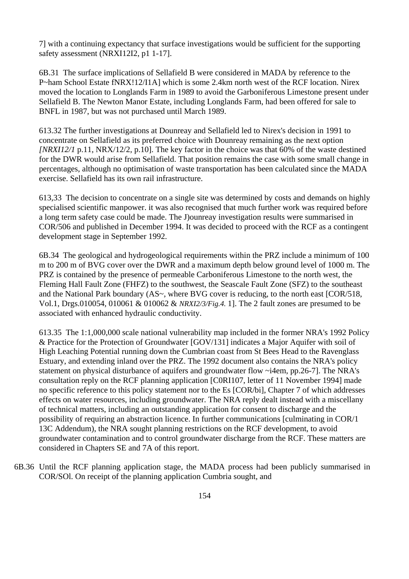7] with a continuing expectancy that surface investigations would be sufficient for the supporting safety assessment (NRXI12I2, p1 1-17].

6B.31 The surface implications of Sellafield B were considered in MADA by reference to the P~ham School Estate fNRX!12/I1A] which is some 2.4km north west of the RCF location. Nirex moved the location to Longlands Farm in 1989 to avoid the Garboniferous Limestone present under Sellafield B. The Newton Manor Estate, including Longlands Farm, had been offered for sale to BNFL in 1987, but was not purchased until March 1989.

613.32 The further investigations at Dounreay and Sellafield led to Nirex's decision in 1991 to concentrate on Sellafield as its preferred choice with Dounreay remaining as the next option *[NRXI12/1* p.11, NRX/12/2, p.10]. The key factor in the choice was that 60% of the waste destined for the DWR would arise from Sellafield. That position remains the case with some small change in percentages, although no optimisation of waste transportation has been calculated since the MADA exercise. Sellafield has its own rail infrastructure.

613,33 The decision to concentrate on a single site was determined by costs and demands on highly specialised scientific manpower. it was also recognised that much further work was required before a long term safety case could be made. The J)ounreay investigation results were summarised in COR/506 and published in December 1994. It was decided to proceed with the RCF as a contingent development stage in September 1992.

6B.34 The geological and hydrogeological requirements within the PRZ include a minimum of 100 m to 200 m of BVG cover over the DWR and a maximum depth below ground level of 1000 m. The PRZ is contained by the presence of permeable Carboniferous Limestone to the north west, the Fleming Hall Fault Zone (FHFZ) to the southwest, the Seascale Fault Zone (SFZ) to the southeast and the National Park boundary (AS~, where BVG cover is reducing, to the north east [COR/518, Vol.1, Drgs.010054, 010061 & 010062 & *NRXI2/3/Fig.4.* 1]. The 2 fault zones are presumed to be associated with enhanced hydraulic conductivity.

613.35 The 1:1,000,000 scale national vulnerability map included in the former NRA's 1992 Policy & Practice for the Protection of Groundwater [GOV/131] indicates a Major Aquifer with soil of High Leaching Potential running down the Cumbrian coast from St Bees Head to the Ravenglass Estuary, and extending inland over the PRZ. The 1992 document also contains the NRA's policy statement on physical disturbance of aquifers and groundwater flow ~i4em, pp.26-7]. The NRA's consultation reply on the RCF planning application [C0RI107, letter of 11 November 1994] made no specific reference to this policy statement nor to the Es [COR/bi], Chapter 7 of which addresses effects on water resources, including groundwater. The NRA reply dealt instead with a miscellany of technical matters, including an outstanding application for consent to discharge and the possibility of requiring an abstraction licence. In further communications [culminating in COR/1 13C Addendum), the NRA sought planning restrictions on the RCF development, to avoid groundwater contamination and to control groundwater discharge from the RCF. These matters are considered in Chapters SE and 7A of this report.

6B.36 Until the RCF planning application stage, the MADA process had been publicly summarised in COR/SOl. On receipt of the planning application Cumbria sought, and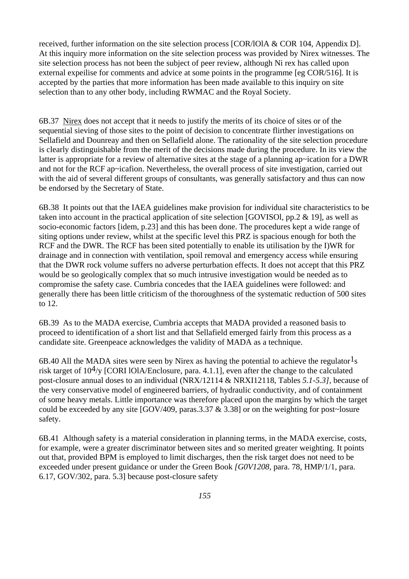received, further information on the site selection process [COR/lOlA & COR 104, Appendix D]. At this inquiry more information on the site selection process was provided by Nirex witnesses. The site selection process has not been the subject of peer review, although Ni rex has called upon external expeilise for comments and advice at some points in the programme [eg COR/516]. It is accepted by the parties that more information has been made available to this inquiry on site selection than to any other body, including RWMAC and the Royal Society.

6B.37 Nirex does not accept that it needs to justify the merits of its choice of sites or of the sequential sieving of those sites to the point of decision to concentrate flirther investigations on Sellafield and Dounreay and then on Sellafield alone. The rationality of the site selection procedure is clearly distinguishable from the merit of the decisions made during the procedure. In its view the latter is appropriate for a review of alternative sites at the stage of a planning ap~ication for a DWR and not for the RCF ap~icafion. Nevertheless, the overall process of site investigation, carried out with the aid of several different groups of consultants, was generally satisfactory and thus can now be endorsed by the Secretary of State.

6B.38 It points out that the IAEA guidelines make provision for individual site characteristics to be taken into account in the practical application of site selection [GOVISOl, pp.2 & 19], as well as socio-economic factors [idem, p.23] and this has been done. The procedures kept a wide range of siting options under review, whilst at the specific level this PRZ is spacious enough for both the RCF and the DWR. The RCF has been sited potentially to enable its utilisation by the I)WR for drainage and in connection with ventilation, spoil removal and emergency access while ensuring that the DWR rock volume suffers no adverse perturbation effects. It does not accept that this PRZ would be so geologically complex that so much intrusive investigation would be needed as to compromise the safety case. Cumbria concedes that the IAEA guidelines were followed: and generally there has been little criticism of the thoroughness of the systematic reduction of 500 sites to 12.

6B.39 As to the MADA exercise, Cumbria accepts that MADA provided a reasoned basis to proceed to identification of a short list and that Sellafield emerged fairly from this process as a candidate site. Greenpeace acknowledges the validity of MADA as a technique.

6B.40 All the MADA sites were seen by Nirex as having the potential to achieve the regulator  $\frac{1}{s}$ risk target of  $10<sup>4</sup>/y$  [CORI lOIA/Enclosure, para. 4.1.1], even after the change to the calculated post-closure annual doses to an individual (NRX/12114 & NRXI12118, Tables *5.1-5.3],* because of the very conservative model of engineered barriers, of hydraulic conductivity, and of containment of some heavy metals. Little importance was therefore placed upon the margins by which the target could be exceeded by any site [GOV/409, paras.3.37 & 3.38] or on the weighting for post~losure safety.

6B.41 Although safety is a material consideration in planning terms, in the MADA exercise, costs, for example, were a greater discriminator between sites and so merited greater weighting. It points out that, provided BPM is employed to limit discharges, then the risk target does not need to be exceeded under present guidance or under the Green Book *[G0V1208,* para. 78, HMP/1/1, para. 6.17, GOV/302, para. 5.3] because post-closure safety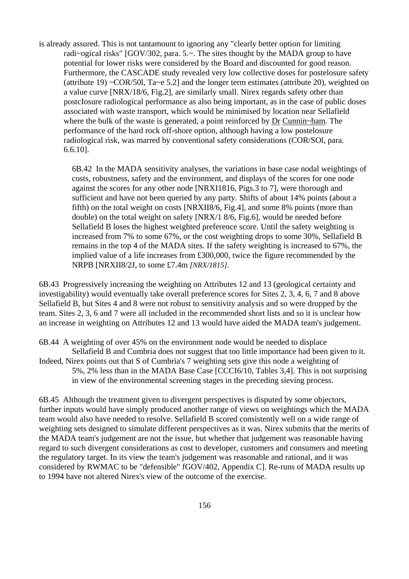is already assured. This is not tantamount to ignoring any "clearly better option for limiting radi~ogicaI risks" [GOV/302, para. 5.~. The sites thought by the MADA group to have potential for lower risks were considered by the Board and discounted for good reason. Furthermore, the CASCADE study revealed very low collective doses for postelosure safety (attribute 19) ~COR/50l, Ta~e 5.2] and the longer term estimates (attribute 20), weighted on a value curve [NRX/18/6, Fig.2], are similarly small. Nirex regards safety other than postcIosure radiological performance as also being important, as in the case of public doses associated with waste transport, which would be minimised by location near Sellafield where the bulk of the waste is generated, a point reinforced by Dr Cunnin~ham. The performance of the hard rock off-shore option, although having a low postelosure radiological risk, was marred by conventional safety considerations (COR/SOl, para. 6.6.10].

6B.42 In the MADA sensitivity analyses, the variations in base case nodal weightings of costs, robustness, safety and the environment, and displays of the scores for one node against the scores for any other node [NRXI1816, Pigs.3 to 7], were thorough and sufficient and have not been queried by any party. Shifts of about 14% points (about a fifth) on the total weight on costs [NRXII8/6, Fig.4], and some 8% points (more than double) on the total weight on safety [NRX/1 8/6, Fig.6], would be needed before Sellafield B loses the highest weighted preference score. Until the safety weighting is increased from 7% to some 67%, or the cost weighting drops to some 30%, Sellafield B remains in the top 4 of the MADA sites. If the safety weighting is increased to 67%, the implied value of a life increases from £300,000, twice the figure recommended by the NRPB [NRXII8/2J, to some £7.4m *[NRX/1815].* 

6B.43 Progressively increasing the weighting on Attributes 12 and 13 (geological certainty and investigability) would eventually take overall preference scores for Sites 2, 3, 4, 6, 7 and 8 above Sellafield B, but Sites 4 and 8 were not robust to sensitivity analysis and so were dropped by the team. Sites 2, 3, 6 and 7 were all included in the recommended short lists and so it is unclear how an increase in weighting on Attributes 12 and 13 would have aided the MADA team's judgement.

6B.44 A weighting of over 45% on the environment node would be needed to displace Sellafield B and Cumbria does not suggest that too little importance had been given to it. Indeed, Nirex points out that S of Cumbria's 7 weighting sets give this node a weighting of 5%, 2% less than in the MADA Base Case [CCCI6/10, Tables 3,4]. This is not surprising in view of the environmental screening stages in the preceding sieving process.

6B.45 Although the treatment given to divergent perspectives is disputed by some objectors, further inputs would have simply produced another range of views on weightings which the MADA team would also have needed to resolve. Sellafield B scored consistently well on a wide range of weighting sets designed to simulate different perspectives as it was. Nirex submits that the merits of the MADA team's judgement are not the issue, but whether that judgement was reasonable having regard to such divergent considerations as cost to developer, customers and consumers and meeting the regulatory target. In its view the team's judgement was reasonable and rational, and it was considered by RWMAC to be "defensible" fGOV/402, Appendix C]. Re-runs of MADA results up to 1994 have not altered Nirex's view of the outcome of the exercise.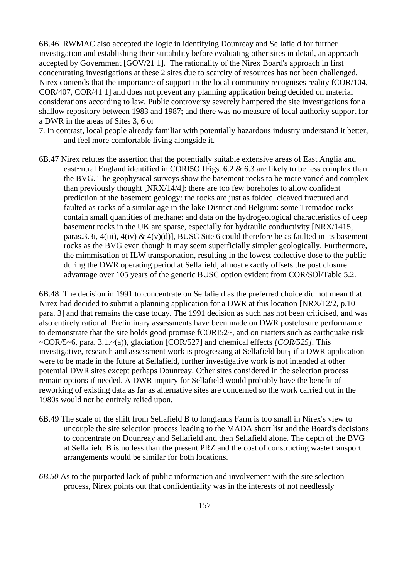6B.46 RWMAC also accepted the logic in identifying Dounreay and Sellafield for further investigation and establishing their suitability before evaluating other sites in detail, an approach accepted by Government [GOV/21 1]. The rationality of the Nirex Board's approach in first concentrating investigations at these 2 sites due to scarcity of resources has not been challenged. Nirex contends that the importance of support in the local community recognises reality fCOR/104, COR/407, COR/41 1] and does not prevent any planning application being decided on material considerations according to law. Public controversy severely hampered the site investigations for a shallow repository between 1983 and 1987; and there was no measure of local authority support for a DWR in the areas of Sites 3, 6 or

- 7. In contrast, local people already familiar with potentially hazardous industry understand it better, and feel more comfortable living alongside it.
- 6B.47 Nirex refutes the assertion that the potentially suitable extensive areas of East Anglia and east~ntral England identified in CORI5OlIFigs.  $6.2 \& 6.3$  are likely to be less complex than the BVG. The geophysical surveys show the basement rocks to be more varied and complex than previously thought [NRX/14/4]: there are too few boreholes to allow confident prediction of the basement geology: the rocks are just as folded, cleaved fractured and faulted as rocks of a similar age in the lake District and Belgium: some Tremadoc rocks contain small quantities of methane: and data on the hydrogeological characteristics of deep basement rocks in the UK are sparse, especially for hydraulic conductivity [NRX/1415, paras.3.3i, 4(iii), 4(iv) & 4(v)(d)], BUSC Site 6 could therefore be as faulted in its basement rocks as the BVG even though it may seem superficially simpler geologically. Furthermore, the mimmisation of ILW transportation, resulting in the lowest collective dose to the public during the DWR operating period at Sellafield, almost exactly offsets the post closure advantage over 105 years of the generic BUSC option evident from COR/SOl/Table 5.2.

6B.48 The decision in 1991 to concentrate on Sellafield as the preferred choice did not mean that Nirex had decided to submit a planning application for a DWR at this location [NRX/12/2, p.10 para. 3] and that remains the case today. The 1991 decision as such has not been criticised, and was also entirely rational. Preliminary assessments have been made on DWR postelosure performance to demonstrate that the site holds good promise fCORI52~, and on niatters such as earthquake risk ~COR/5~6, para. 3.1.~(a)), glaciation [COR/527] and chemical effects *[COR/525].* This investigative, research and assessment work is progressing at Sellafield but<sub>1</sub> if a DWR application were to be made in the future at Sellafield, further investigative work is not intended at other potential DWR sites except perhaps Dounreay. Other sites considered in the selection process remain options if needed. A DWR inquiry for Sellafield would probably have the benefit of reworking of existing data as far as alternative sites are concerned so the work carried out in the 1980s would not be entirely relied upon.

- 6B.49 The scale of the shift from Sellafield B to longlands Farm is too small in Nirex's view to uncouple the site selection process leading to the MADA short list and the Board's decisions to concentrate on Dounreay and Sellafield and then Sellafield alone. The depth of the BVG at SeIlafield B is no less than the present PRZ and the cost of constructing waste transport arrangements would be similar for both locations.
- *6B.50* As to the purported lack of public information and involvement with the site selection process, Nirex points out that confidentiality was in the interests of not needlessly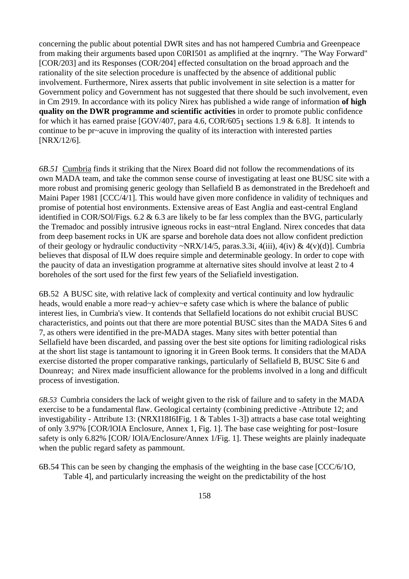concerning the public about potential DWR sites and has not hampered Cumbria and Greenpeace from making their arguments based upon C0RI501 as amplified at the inqrnry. "The Way Forward" [COR/203] and its Responses (COR/204] effected consultation on the broad approach and the rationality of the site selection procedure is unaffected by the absence of additional public involvement. Furthermore, Nirex asserts that public involvement in site selection is a matter for Government policy and Government has not suggested that there should be such involvement, even in Cm 2919. In accordance with its policy Nirex has published a wide range of information **of high quality on the DWR programme and scientific activities** in order to promote public confidence for which it has earned praise [GOV/407, para 4.6,  $COR/605<sub>1</sub>$  sections 1.9 & 6.8]. It intends to continue to be pr~acuve in improving the quality of its interaction with interested parties [NRX/12/6].

*6B.51* Cumbria finds it striking that the Nirex Board did not follow the recommendations of its own MADA team, and take the common sense course of investigating at least one BUSC site with a more robust and promising generic geology than Sellafield B as demonstrated in the Bredehoeft and Maini Paper 1981 [CCC/4/1]. This would have given more confidence in validity of techniques and promise of potential host environments. Extensive areas of East Anglia and east-central England identified in COR/SOl/Figs. 6.2 & 6.3 are likely to be far less complex than the BVG, particularly the Tremadoc and possibly intrusive igneous rocks in east~ntral England. Nirex concedes that data from deep basement rocks in UK are sparse and borehole data does not allow confident prediction of their geology or hydraulic conductivity ~NRX/14/5, paras.3.3i, 4(iii), 4(iv) & 4(y)(d)]. Cumbria believes that disposal of ILW does require simple and determinable geology. In order to cope with the paucity of data an investigation programme at alternative sites should involve at least 2 to 4 boreholes of the sort used for the first few years of the Seliafield investigation.

6B.52 A BUSC site, with relative lack of complexity and vertical continuity and low hydraulic heads, would enable a more read~y achiev~e safety case which is where the balance of public interest lies, in Cumbria's view. It contends that Sellafield locations do not exhibit crucial BUSC characteristics, and points out that there are more potential BUSC sites than the MADA Sites 6 and 7, as others were identified in the pre-MADA stages. Many sites with better potential than Sellafield have been discarded, and passing over the best site options for limiting radiological risks at the short list stage is tantamount to ignoring it in Green Book terms. It considers that the MADA exercise distorted the proper comparative rankings, particularly of Sellafield B, BUSC Site 6 and Dounreay; and Nirex made insufficient allowance for the problems involved in a long and difficult process of investigation.

*6B.53* Cumbria considers the lack of weight given to the risk of failure and to safety in the MADA exercise to be a fundamental flaw. Geological certainty (combining predictive -Attribute 12; and investigability - Attribute 13: (NRXI18I6IFig. 1 & Tables 1-3]) attracts a base case total weighting of only 3.97% [COR/lOIA Enclosure, Annex 1, Fig. 1]. The base case weighting for post~Iosure safety is only 6.82% [COR/ lOlA/Enclosure/Annex 1/Fig. 1]. These weights are plainly inadequate when the public regard safety as pammount.

6B.54 This can be seen by changing the emphasis of the weighting in the base case [CCC/6/1O, Table 4], and particularly increasing the weight on the predictability of the host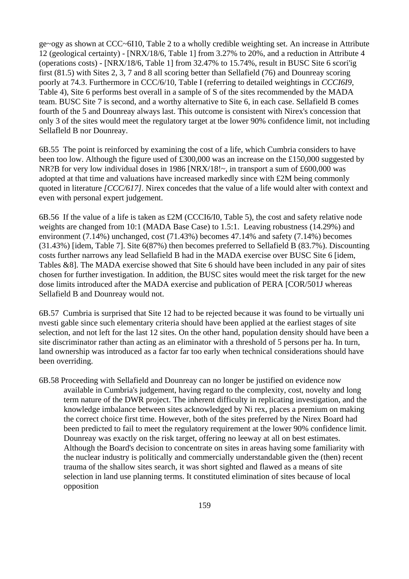ge~ogy as shown at CCC~6I10, Table 2 to a wholly credible weighting set. An increase in Attribute 12 (geological certainty) - [NRX/18/6, Table 1] from 3.27% to 20%, and a reduction in Attribute 4 (operations costs) - [NRX/18/6, Table 1] from 32.47% to 15.74%, result in BUSC Site 6 scori'ig first (81.5) with Sites 2, 3, 7 and 8 all scoring better than Sellafield (76) and Dounreay scoring poorly at 74.3. Furthermore in CCC/6/10, Table I (referring to detailed weightings in *CCCI6I9,*  Table 4), Site 6 performs best overall in a sample of S of the sites recommended by the MADA team. BUSC Site 7 is second, and a worthy alternative to Site 6, in each case. Sellafield B comes fourth of the 5 and Dounreay always last. This outcome is consistent with Nirex's concession that only 3 of the sites would meet the regulatory target at tbe lower 90% confidence limit, not including Sellafleld B nor Dounreay.

6B.55 The point is reinforced by examining the cost of a life, which Cumbria considers to have been too low. Although the figure used of £300,000 was an increase on the £150,000 suggested by NR?B for very low individual doses in 1986 [NRX/18!~, in transport a sum of £600,000 was adopted at that time and valuations have increased markedly since with £2M being commonly quoted in literature *[CCC/617].* Nirex concedes that the value of a life would alter with context and even with personal expert judgement.

6B.56 If the value of a life is taken as £2M (CCCI6/I0, Table 5), the cost and safety relative node weights are changed from 10:1 (MADA Base Case) to 1.5:1. Leaving robustness (14.29%) and environment (7.14%) unchanged, cost (71.43%) becomes 47.14% and safety (7.14%) becomes (31.43%) [idem, Table 7]. Site 6(87%) then becomes preferred to Sellafield B (83.7%). Discounting costs further narrows any lead Sellafield B had in the MADA exercise over BUSC Site 6 [idem, Tables &8]. The MADA exercise showed that Site 6 should have been included in any pair of sites chosen for further investigation. In addition, the BUSC sites would meet the risk target for the new dose limits introduced after the MADA exercise and publication of PERA [COR/501J whereas Sellafield B and Dounreay would not.

6B.57 Cumbria is surprised that Site 12 had to be rejected because it was found to be virtually uni nvesti gable since such elementary criteria should have been applied at the earliest stages of site selection, and not left for the last 12 sites. On the other hand, population density should have been a site discriminator rather than acting as an eliminator with a threshold of 5 persons per ha. In turn, land ownership was introduced as a factor far too early when technical considerations should have been overriding.

6B.58 Proceeding with Sellafield and Dounreay can no longer be justified on evidence now available in Cumbria's judgement, having regard to the complexity, cost, novelty and long term nature of the DWR project. The inherent difficulty in replicating investigation, and the knowledge imbalance between sites acknowledged by Ni rex, places a premium on making the correct choice first time. However, both of the sites preferred by the Nirex Board had been predicted to fail to meet the regulatory requirement at the lower 90% confidence limit. Dounreay was exactly on the risk target, offering no leeway at all on best estimates. Although the Board's decision to concentrate on sites in areas having some familiarity with the nuclear industry is politically and commercially understandable given the (then) recent trauma of the shallow sites search, it was short sighted and flawed as a means of site selection in land use planning terms. It constituted elimination of sites because of local opposition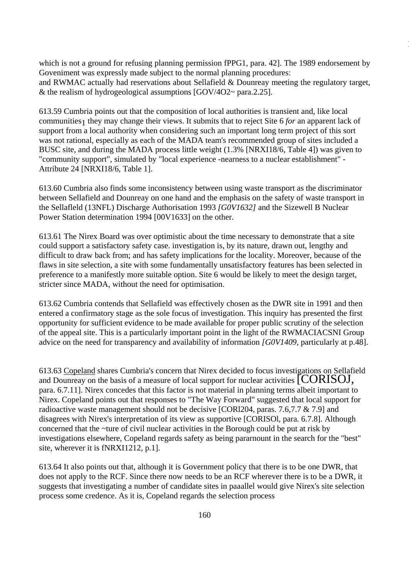which is not a ground for refusing planning permission fPPG1, para. 42]. The 1989 endorsement by Goveniment was expressly made subject to the normal planning procedures: and RWMAC actually had reservations about Sellafield & Dounreay meeting the regulatory target, & the realism of hydrogeological assumptions [GOV/4O2~ para.2.25].

I

613.59 Cumbria points out that the composition of local authorities is transient and, like local communities<sub>1</sub> they may change their views. It submits that to reject Site 6 *for* an apparent lack of support from a local authority when considering such an important long term project of this sort was not rational, especially as each of the MADA team's recommended group of sites included a BUSC site, and during the MADA process little weight (1.3% [NRXI18/6, Table 4]) was given to "community support", simulated by "local experience -nearness to a nuclear establishment" - Attribute 24 [NRXI18/6, Table 1].

613.60 Cumbria also finds some inconsistency between using waste transport as the discriminator between Sellafield and Dounreay on one hand and the emphasis on the safety of waste transport in the Sellafleld (13NFL) Discharge Authorisation 1993 *[G0V1632]* and the Sizewell B Nuclear Power Station determination 1994 [00V1633] on the other.

613.61 The Nirex Board was over optimistic about the time necessary to demonstrate that a site could support a satisfactory safety case. investigation is, by its nature, drawn out, lengthy and difficult to draw back from; and has safety implications for the locality. Moreover, because of the flaws in site selection, a site with some fundamentally unsatisfactory features has been selected in preference to a manifestly more suitable option. Site 6 would be likely to meet the design target, stricter since MADA, without the need for optimisation.

613.62 Cumbria contends that Sellafield was effectively chosen as the DWR site in 1991 and then entered a confirmatory stage as the sole focus of investigation. This inquiry has presented the first opportunity for sufficient evidence to be made available for proper public scrutiny of the selection of the appeal site. This is a particularly important point in the light of the RWMACIACSNI Group advice on the need for transparency and availability of information *[G0V1409,* particularly at p.48].

613.63 Copeland shares Cumbria's concern that Nirex decided to focus investigations on Sellafield and Dounreay on the basis of a measure of local support for nuclear activities  $|CONISOI$ , para. 6.7.11]. Nirex concedes that this factor is not material in planning terms albeit important to Nirex. Copeland points out that responses to "The Way Forward" suggested that local support for radioactive waste management should not be decisive [CORl204, paras. 7.6,7.7 & 7.9] and disagrees with Nirex's interpretation of its view as supportive [CORISOl, para. 6.7.8]. Although concerned that the ~ture of civil nuclear activities in the Borough could be put at risk by investigations elsewhere, Copeland regards safety as being pararnount in the search for the "best" site, wherever it is fNRXI1212, p.1].

613.64 It also points out that, although it is Government policy that there is to be one DWR, that does not apply to the RCF. Since there now needs to be an RCF wherever there is to be a DWR, it suggests that investigating a number of candidate sites in paaallel would give Nirex's site selection process some credence. As it is, Copeland regards the selection process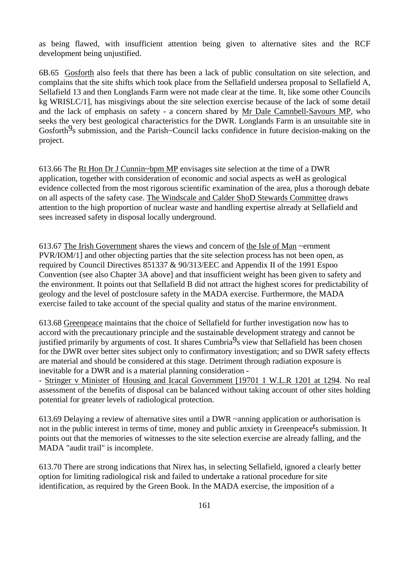as being flawed, with insufficient attention being given to alternative sites and the RCF development being unjustified.

6B.65 Gosforth also feels that there has been a lack of public consultation on site selection, and complains that the site shifts which took place from the Sellafield undersea proposal to Sellafield A, Sellafield 13 and then Longlands Farm were not made clear at the time. It, like some other Councils kg WRISLC/1], has misgivings about the site selection exercise because of the lack of some detail and the lack of emphasis on safety - a concern shared by Mr Dale Camnbell-Savours MP, who seeks the very best geological characteristics for the DWR. Longlands Farm is an unsuitable site in Gosforth<sup>9</sup>s submission, and the Parish~Council lacks confidence in future decision-making on the project.

613.66 The Rt Hon Dr J Cunnin~bpm MP envisages site selection at the time of a DWR application, together with consideration of economic and social aspects as weH as geological evidence collected from the most rigorous scientific examination of the area, plus a thorough debate on all aspects of the safety case. The Windscale and Calder ShoD Stewards Committee draws attention to the high proportion of nuclear waste and handling expertise already at Sellafield and sees increased safety in disposal locally underground.

613.67 The Irish Government shares the views and concern of the Isle of Man ~ernment PVR/IOM/1] and other objecting parties that the site selection process has not been open, as required by Council Directives 851337 & 90/313/EEC and Appendix II of the 1991 Espoo Convention (see also Chapter 3A above] and that insufficient weight has been given to safety and the environment. It points out that Sellafield B did not attract the highest scores for predictability of geology and the level of postclosure safety in the MADA exercise. Furthermore, the MADA exercise failed to take account of the special quality and status of the marine environment.

613.68 Greenpeace maintains that the choice of Sellafield for further investigation now has to accord with the precautionary principle and the sustainable development strategy and cannot be justified primarily by arguments of cost. It shares Cumbria<sup>9</sup>s view that Sellafield has been chosen for the DWR over better sites subject only to confirmatory investigation; and so DWR safety effects are material and should be considered at this stage. Detriment through radiation exposure is inevitable for a DWR and is a material planning consideration -

- Stringer v Minister of Housing and Icacal Government [19701 1 W.L.R 1201 at 1294. No real assessment of the benefits of disposal can be balanced without taking account of other sites holding potential for greater levels of radiological protection.

613.69 Delaying a review of alternative sites until a DWR ~anning application or authorisation is not in the public interest in terms of time, money and public anxiety in Greenpeace<sup>t</sup>s submission. It points out that the memories of witnesses to the site selection exercise are already falling, and the MADA "audit trail" is incomplete.

613.70 There are strong indications that Nirex has, in selecting Sellafield, ignored a clearly better option for limiting radiological risk and failed to undertake a rational procedure for site identification, as required by the Green Book. In the MADA exercise, the imposition of a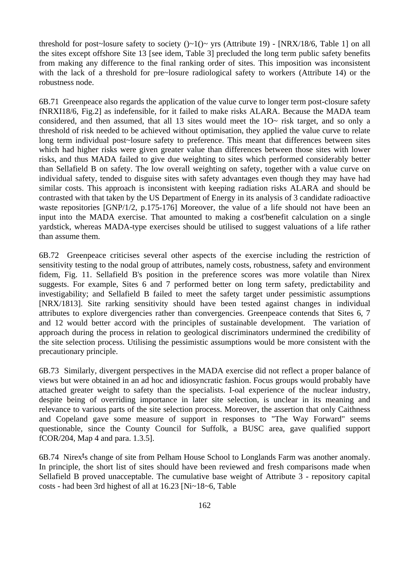threshold for post~losure safety to society  $()~1()~$  yrs (Attribute 19) - [NRX/18/6, Table 1] on all the sites except offshore Site 13 [see idem, Table 3] precluded the long term public safety benefits from making any difference to the final ranking order of sites. This imposition was inconsistent with the lack of a threshold for pre~losure radiological safety to workers (Attribute 14) or the robustness node.

6B.71 Greenpeace also regards the application of the value curve to longer term post-closure safety fNRXI18/6, Fig.2] as indefensible, for it failed to make risks ALARA. Because the MADA team considered, and then assumed, that all 13 sites would meet the  $10-$  risk target, and so only a threshold of risk needed to be achieved without optimisation, they applied the value curve to relate long term individual post~losure safety to preference. This meant that differences between sites which had higher risks were given greater value than differences between those sites with lower risks, and thus MADA failed to give due weighting to sites which performed considerably better than Sellafield B on safety. The low overall weighting on safety, together with a value curve on individual safety, tended to disguise sites with safety advantages even though they may have had similar costs. This approach is inconsistent with keeping radiation risks ALARA and should be contrasted with that taken by the US Department of Energy in its analysis of 3 candidate radioactive waste repositories [GNP/1/2, p.175-176] Moreover, the value of a life should not have been an input into the MADA exercise. That amounted to making a cost'benefit calculation on a single yardstick, whereas MADA-type exercises should be utilised to suggest valuations of a life rather than assume them.

6B.72 Greenpeace criticises several other aspects of the exercise including the restriction of sensitivity testing to the nodal group of attributes, namely costs, robustness, safety and environment fidem, Fig. 11. Sellafield B's position in the preference scores was more volatile than Nirex suggests. For example, Sites 6 and 7 performed better on long term safety, predictability and investigability; and Sellafield B failed to meet the safety target under pessimistic assumptions [NRX/1813]. Site rarking sensitivity should have been tested against changes in individual attributes to explore divergencies rather than convergencies. Greenpeace contends that Sites 6, 7 and 12 would better accord with the principles of sustainable development. The variation of approach during the process in relation to geological discriminators undermined the credibility of the site selection process. Utilising the pessimistic assumptions would be more consistent with the precautionary principle.

6B.73 Similarly, divergent perspectives in the MADA exercise did not reflect a proper balance of views but were obtained in an ad hoc and idiosyncratic fashion. Focus groups would probably have attached greater weight to safety than the specialists. I-oal experience of the nuclear industry, despite being of overriding importance in later site selection, is unclear in its meaning and relevance to various parts of the site selection process. Moreover, the assertion that only Caithness and Copeland gave some measure of support in responses to "The Way Forward" seems questionable, since the County Council for Suffolk, a BUSC area, gave qualified support fCOR/204, Map 4 and para. 1.3.5].

6B.74 Nirexts change of site from Pelham House School to Longlands Farm was another anomaly. In principle, the short list of sites should have been reviewed and fresh comparisons made when Sellafield B proved unacceptable. The cumulative base weight of Attribute 3 - repository capital costs - had been 3rd highest of all at 16.23 [Ni~18~6, Table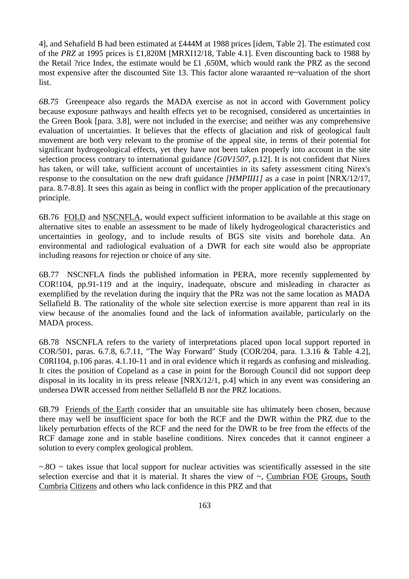4], and Sehafield B had been estimated at £444M at 1988 prices [idem, Table 2]. The estimated cost of the *PRZ* at 1995 prices is £1,820M [MRXI12/18, Table 4.1]. Even discounting back to 1988 by the Retail ?rice Index, the estimate would be £1 ,650M, whicb would rank the PRZ as the second most expensive after the discounted Site 13. This factor alone waraanted re~valuation of the short list.

*6B.75* Greenpeace also regards the MADA exercise as not in accord with Government policy because exposure pathways and health effects yet to be recognised, considered as uncertainties in the Green Book [para. 3.8], were not included in the exercise; and neither was any comprehensive evaluation of uncertainties. It believes that the effects of glaciation and risk of geological fault movement are both very relevant to the promise of the appeal site, in terms of their potential for significant hydrogeological effects, yet they have not been taken properly into account in the site selection process contrary to international guidance *[G0V1507,* p.12]. It is not confident that Nirex has taken, or will take, sufficient account of uncertainties in its safety assessment citing Nirex's response to the consultation on the new draft guidance *[HMPIII1]* as a case in point [NRX/12/17, para. 8.7-8.8]. It sees this again as being in conflict with the proper application of the precautionary principle.

6B.76 FOLD and NSCNFLA, would expect sufficient information to be available at this stage on alternative sites to enable an assessment to be made of likely hydrogeological characteristics and uncertainties in geology, and to include results of BGS site visits and borehole data. An environmental and radiological evaluation of a DWR for each site would also be appropriate including reasons for rejection or choice of any site.

6B.77 NSCNFLA finds the published information in PERA, more recently supplemented by COR!104, pp.91-119 and at the inquiry, inadequate, obscure and misleading in character as exemplified by the revelation during the inquiry that the PRz was not the same location as MADA Sellafield B. The rationality of the whole site selection exercise is more apparent than real in its view because of the anomalies found and the lack of information available, particularly on the MADA process.

6B.78 NSCNFLA refers to the variety of interpretations placed upon local support reported in COR/501, paras. 6.7.8, 6.7.11, "The Way Forward" Study (COR/204, para. 1.3.16 & Table 4.2], C0RI104, p.106 paras. 4.1.10-11 and in oral evidence which it regards as confusing and misleading. It cites the position of Copeland as a case in point for the Borough Council did not support deep disposal in its locality in its press release [NRX/12/1, p.4] which in any event was considering an undersea DWR accessed from neither Sellafleld B nor the PRZ locations.

6B.79 Friends of the Earth consider that an unsuitable site has ultimately been chosen, because there may well be insufficient space for both the RCF and the DWR within the PRZ due to the likely perturbation effects of the RCF and the need for the DWR to be free from the effects of the RCF damage zone and in stable baseline conditions. Nirex concedes that it cannot engineer a solution to every complex geological problem.

 $\sim 80$   $\sim$  takes issue that local support for nuclear activities was scientifically assessed in the site selection exercise and that it is material. It shares the view of  $\sim$ , Cumbrian FOE Groups, South Cumbria Citizens and others who lack confidence in this PRZ and that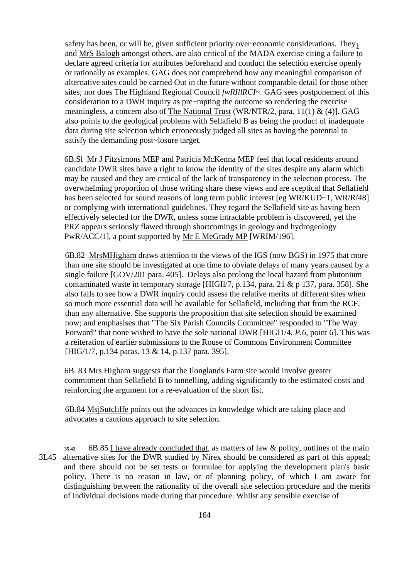safety has been, or will be, given sufficient priority over economic considerations. They 1 and MrS Balogh amongst others, are also critical of the MADA exercise citing a failure to declare agreed criteria for attributes beforehand and conduct the selection exercise openly or rationally as examples. GAG does not comprehend how any meaningful comparison of alternative sites could be carried Out in the future without comparable detail for those other sites; nor does The Highland Regional Council *fwRIllRCI~.* GAG sees postponement of this consideration to a DWR inquiry as pre~mpting the outcome so rendering the exercise meaningless, a concern also of The National Trust (WR/NTR/2, para. 11(1) & (4)]. GAG also points to the geological problems with Sellafield B as being the product of inadequate data during site selection which erroneously judged all sites as having the potential to satisfy the demanding post~losure target.

6B.Sl Mr J Fitzsimons MEP and Patricia McKenna MEP feel that local residents around candidate DWR sites have a right to know the identity of the sites despite any alarm which may be caused and they are critical of the lack of transparency in the selection process. The overwhelming proportion of those writing share these views and are sceptical that Sellafield has been selected for sound reasons of long term public interest [eg WR/KUD~1, WR/R/48] or complying with international guidelines. They regard the Sellafield site as having been effectively selected for the DWR, unless some intractable problem is discovered, yet the PRZ appears seriously flawed through shortcomings in geology and hydrogeology PwR/ACC/1], a point supported by Mr E MeGrady MP [WRIM/196].

6B.82 MrsMHigham draws attention to the views of the IGS (now BGS) in 1975 that more than one site should be investigated at one time to obviate delays of many years caused by a single failure [GOV/201 para. 405]. Delays also prolong the local hazard from plutonium contaminated waste in temporary storage [HIGIl/7, p.134, para. 21 & p 137, para. 358]. She also fails to see how a DWR inquiry could assess the relative merits of different sites when so much more essential data will be available for Sellafield, including that from the RCF, than any alternative. She supports the proposition that site selection should be examined now; and emphasises that "The Six Parish Councils Committee" responded to "The Way Forward" that none wished to have the sole national DWR [HIGI1/4, *P.6,* point 6]. This was a reiteration of earlier submissions to the Rouse of Commons Environment Committee [HIG/1/7, p.134 paras. 13 & 14, p.137 para. 395].

6B. 83 Mrs Higham suggests that the Ilonglands Farm site would involve greater commitment than Sellafield B to tunnelling, adding significantly to the estimated costs and reinforcing the argument for a re-evaluation of the short list.

6B.84 MsjSutcliffe points out the advances in knowledge which are taking place and advocates a cautious approach to site selection.

**35.42** 6B.85 I have already concluded that, as matters of law & policy, outlines of the main 3L45 alternative sites for the DWR studied by Nirex should be considered as part of this appeal; and there should not be set tests or formulae for applying the development plan's basic policy. There is no reason in law, or of planning policy, of which I am aware for distinguishing between the rationality of the overall site selection procedure and the merits of individual decisions made during that procedure. Whilst any sensible exercise of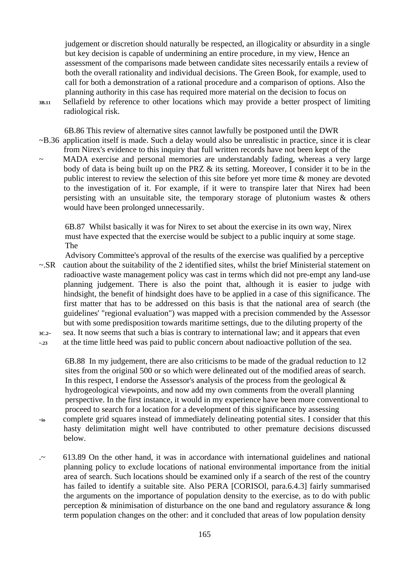judgement or discretion should naturally be respected, an illogicality or absurdity in a single but key decision is capable of undermining an entire procedure, in my view, Hence an assessment of the comparisons made between candidate sites necessarily entails a review of both the overall rationality and individual decisions. The Green Book, for example, used to call for both a demonstration of a rational procedure and a comparison of options. Also the planning authority in this case has required more material on the decision to focus on **3B.11** Sellafield by reference to other locations which may provide a better prospect of limiting radiological risk.

6B.86 This review of alternative sites cannot lawfully be postponed until the DWR ~B.36 application itself is made. Such a delay would also be unrealistic in practice, since it is clear from Nirex's evidence to this inquiry that full written records have not been kept of the

MADA exercise and personal memories are understandably fading, whereas a very large body of data is being built up on the PRZ & its setting. Moreover, I consider it to be in the public interest to review the selection of this site before yet more time & money are devoted to the investigation of it. For example, if it were to transpire later that Nirex had been persisting with an unsuitable site, the temporary storage of plutonium wastes  $\&$  others would have been prolonged unnecessarily.

6B.87 Whilst basically it was for Nirex to set about the exercise in its own way, Nirex must have expected that the exercise would be subject to a public inquiry at some stage. The

- Advisory Committee's approval of the results of the exercise was qualified by a perceptive ~.SR caution about the suitability of the 2 identified sites, whilst the brief Ministerial statement on radioactive waste management policy was cast in terms which did not pre-empt any land-use planning judgement. There is also the point that, although it is easier to judge with hindsight, the benefit of hindsight does have to be applied in a case of this significance. The first matter that has to be addressed on this basis is that the national area of search (the guidelines' "regional evaluation") was mapped with a precision commended by the Assessor but with some predisposition towards maritime settings, due to the diluting property of the **3C.2~** sea. It now seems that such a bias is contrary to international law; and it appears that even
- **~.23** at the time little heed was paid to public concern about nadioactive pollution of the sea.

6B.88 In my judgement, there are also criticisms to be made of the gradual reduction to 12 sites from the original 500 or so which were delineated out of the modified areas of search. In this respect, I endorse the Assessor's analysis of the process from the geological  $\&$ hydrogeological viewpoints, and now add my own comments from the overall planning perspective. In the first instance, it would in my experience have been more conventional to proceed to search for a location for a development of this significance by assessing

- **~io** complete grid squares instead of immediately delineating potential sites. I consider that this hasty delimitation might well have contributed to other premature decisions discussed below.
- .~ 613.89 On the other hand, it was in accordance with international guidelines and national planning policy to exclude locations of national environmental importance from the initial area of search. Such locations should be examined only if a search of the rest of the country has failed to identify a suitable site. Also PERA [CORISOl, para.6.4.3] fairly summarised the arguments on the importance of population density to the exercise, as to do with public perception & minimisation of disturbance on the one band and regulatory assurance & long term population changes on the other: and it concluded that areas of low population density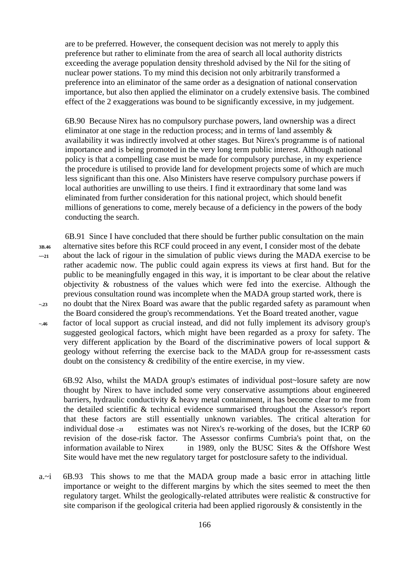are to be preferred. However, the consequent decision was not merely to apply this preference but rather to eliminate from the area of search all local authority districts exceeding the average population density threshold advised by the Nil for the siting of nuclear power stations. To my mind this decision not only arbitrarily transformed a preference into an eliminator of the same order as a designation of national conservation importance, but also then applied the eliminator on a crudely extensive basis. The combined effect of the 2 exaggerations was bound to be significantly excessive, in my judgement.

6B.90 Because Nirex has no compulsory purchase powers, land ownership was a direct eliminator at one stage in the reduction process; and in terms of land assembly & availability it was indirectly involved at other stages. But Nirex's programme is of national importance and is being promoted in the very long term public interest. Although national policy is that a compelling case must be made for compulsory purchase, in my experience the procedure is utilised to provide land for development projects some of which are much less significant than this one. Also Ministers have reserve compulsory purchase powers if local authorities are unwilling to use theirs. I find it extraordinary that some land was eliminated from further consideration for this national project, which should benefit millions of generations to come, merely because of a deficiency in the powers of the body conducting the search.

- 6B.91 Since I have concluded that there should be further public consultation on the main **3B.46** alternative sites before this RCF could proceed in any event, I consider most of the debate **~~21** about the lack of rigour in the simulation of public views during the MADA exercise to be rather academic now. The public could again express its views at first hand. But for the public to be meaningfully engaged in this way, it is important to be clear about the relative objectivity & robustness of the values which were fed into the exercise. Although the previous consultation round was incomplete when the MADA group started work, there is **~.23** no doubt that the Nirex Board was aware that the public regarded safety as paramount when the Board considered the group's recommendations. Yet the Board treated another, vague
- **~.46** factor of local support as crucial instead, and did not fully implement its advisory group's suggested geological factors, which might have been regarded as a proxy for safety. The very different application by the Board of the discriminative powers of local support  $\&$ geology without referring the exercise back to the MADA group for re-assessment casts doubt on the consistency & credibility of the entire exercise, in my view.

 6B.92 Also, whilst the MADA group's estimates of individual post~losure safety are now thought by Nirex to have included some very conservative assumptions about engineered barriers, hydraulic conductivity & heavy metal containment, it has become clear to me from the detailed scientific & technical evidence summarised throughout the Assessor's report that these factors are still essentially unknown variables. The critical alteration for individual dose **~2I** estimates was not Nirex's re-working of the doses, but the ICRP 60 revision of the dose-risk factor. The Assessor confirms Cumbria's point that, on the information available to Nirex in 1989, only the BUSC Sites  $\&$  the Offshore West Site would have met the new regulatory target for postclosure safety to the individual.

a. $\sim$ i 6B.93 This shows to me that the MADA group made a basic error in attaching little importance or weight to the different margins by which the sites seemed to meet the then regulatory target. Whilst the geologically-related attributes were realistic & constructive for site comparison if the geological criteria had been applied rigorously  $\&$  consistently in the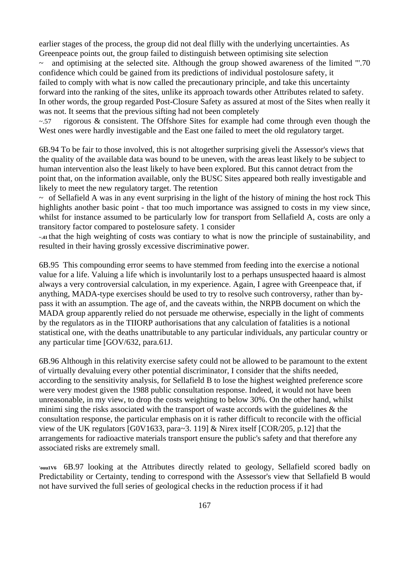earlier stages of the process, the group did not deal flilly with the underlying uncertainties. As Greenpeace points out, the group failed to distinguish between optimising site selection

 $\sim$  and optimising at the selected site. Although the group showed awareness of the limited "'.70 confidence which could be gained from its predictions of individual postolosure safety, it failed to comply with what is now called the precautionary principle, and take this uncertainty forward into the ranking of the sites, unlike its approach towards other Attributes related to safety. In other words, the group regarded Post-Closure Safety as assured at most of the Sites when really it was not. It seems that the previous sifting had not been completely

~.57 rigorous & consistent. The Offshore Sites for example had come through even though the West ones were hardly investigable and the East one failed to meet the old regulatory target.

6B.94 To be fair to those involved, this is not altogether surprising giveli the Assessor's views that the quality of the available data was bound to be uneven, with the areas least likely to be subject to human intervention also the least likely to have been explored. But this cannot detract from the point that, on the information available, only the BUSC Sites appeared both really investigable and likely to meet the new regulatory target. The retention

 $\sim$  of Sellafield A was in any event surprising in the light of the history of mining the host rock This highlights another basic point - that too much importance was assigned to costs in my view since, whilst for instance assumed to be particularly low for transport from Sellafield A, costs are only a transitory factor compared to postelosure safety. 1 consider

**~.41** that the high weighting of costs was contiary to what is now the principle of sustainability, and resulted in their having grossly excessive discriminative power.

6B.95 This compounding error seems to have stemmed from feeding into the exercise a notional value for a life. Valuing a life which is involuntarily lost to a perhaps unsuspected haaard is almost always a very controversial calculation, in my experience. Again, I agree with Greenpeace that, if anything, MADA-type exercises should be used to try to resolve such controversy, rather than bypass it with an assumption. The age of, and the caveats within, the NRPB document on which the MADA group apparently relied do not persuade me otherwise, especially in the light of comments by the regulators as in the TIIORP authorisations that any calculation of fatalities is a notional statistical one, with the deaths unattributable to any particular individuals, any particular country or any particular time [GOV/632, para.61J.

6B.96 Although in this relativity exercise safety could not be allowed to be paramount to the extent of virtually devaluing every other potential discriminator, I consider that the shifts needed, according to the sensitivity analysis, for Sellafield B to lose the highest weighted preference score were very modest given the 1988 public consultation response. Indeed, it would not have been unreasonable, in my view, to drop the costs weighting to below 30%. On the other hand, whilst minimi sing the risks associated with the transport of waste accords with the guidelines & the consultation response, the particular emphasis on it is rather difficult to reconcile with the official view of the UK regulators [G0V1633, para~3. 119] & Nirex itself [COR/205, p.12] that the arrangements for radioactive materials transport ensure the public's safety and that therefore any associated risks are extremely small.

**'ouu1V6** 6B.97 looking at the Attributes directly related to geology, Sellafield scored badly on Predictability or Certainty, tending to correspond with the Assessor's view that Sellafield B would not have survived the full series of geological checks in the reduction process if it had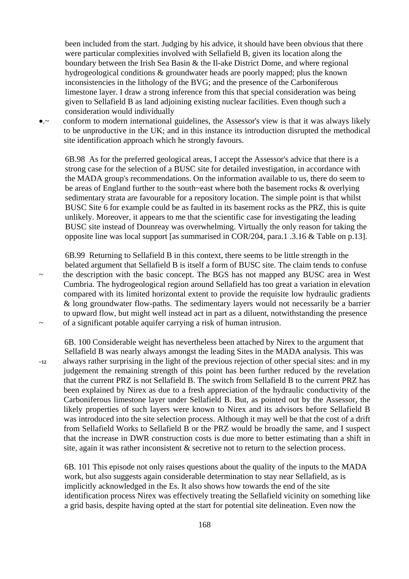been included from the start. Judging by his advice, it should have been obvious that there were particular complexities involved with Sellafield B, given its location along the boundary between the Irish Sea Basin & the Il-ake District Dome, and where regional hydrogeological conditions & groundwater heads are poorly mapped; plus the known inconsistencies in the lithology of the BVG; and the presence of the Carboniferous limestone layer. I draw a strong inference from this that special consideration was being given to Sellafield B as land adjoining existing nuclear facilities. Even though such a consideration would individually

•. conform to modern international guidelines, the Assessor's view is that it was always likely to be unproductive in the UK; and in this instance its introduction disrupted the methodical site identification approach which he strongly favours.

6B.98 As for the preferred geological areas, I accept the Assessor's advice that there is a strong case for the selection of a BUSC site for detailed investigation, in accordance with the MADA group's recommendations. On the information available to us, there do seem to be areas of England further to the south~east where both the basement rocks & overlying sedimentary strata are favourable for a repository location. The simple point is that whilst BUSC Site 6 for example could be as faulted in its basement rocks as the PRZ, this is quite unlikely. Moreover, it appears to me that the scientific case for investigating the leading BUSC site instead of Dounreay was overwhelming. Virtually the only reason for taking the opposite line was local support [as summarised in COR/204, para.1 .3.16 & Table on p.13].

6B.99 Returning to Sellafield B in this context, there seems to be little strength in the belated argument that Sellafield B is itself a form of BUSC site. The claim tends to confuse ~ the description with the basic concept. The BGS has not mapped any BUSC area in West Cumbria. The hydrogeological region around Sellafield has too great a variation in elevation compared with its limited horizontal extent to provide the requisite low hydraulic gradients & long groundwater flow-paths. The sedimentary layers would not necessarily be a barrier to upward flow, but might well instead act in part as a diluent, notwithstanding the presence ~ of a significant potable aquifer carrying a risk of human intrusion.

6B. 100 Considerable weight has nevertheless been attached by Nirex to the argument that Sellafield B was nearly always amongst the leading Sites in the MADA analysis. This was **~12** always rather surprising in the light of the previous rejection of other special sites: and in my judgement the remaining strength of this point has been further reduced by the revelation that the current PRZ is not Sellafield B. The switch from Sellafield B to the current PRZ has been explained by Nirex as due to a fresh appreciation of the hydraulic conductivity of the Carboniferous limestone layer under Sellafield B. But, as pointed out by the Assessor, the likely properties of such layers were known to Nirex and its advisors before Sellafield B was introduced into the site selection process. Although it may well be that the cost of a drift from Sellafield Works to Sellafield B or the PRZ would be broadly the same, and I suspect that the increase in DWR construction costs is due more to better estimating than a shift in site, again it was rather inconsistent & secretive not to return to the selection process.

6B. 101 This episode not only raises questions about the quality of the inputs to the MADA work, but also suggests again considerable determination to stay near Sellafield, as is implicitly acknowledged in the Es. It also shows how towards the end of the site identification process Nirex was effectively treating the Sellafield vicinity on something like a grid basis, despite having opted at the start for potential site delineation. Even now the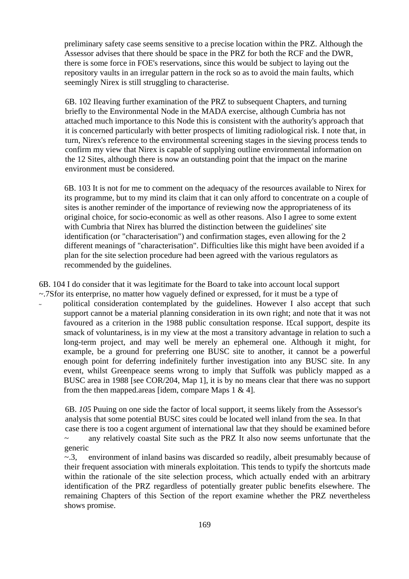preliminary safety case seems sensitive to a precise location within the PRZ. Although the Assessor advises that there should be space in the PRZ for both the RCF and the DWR, there is some force in FOE's reservations, since this would be subject to laying out the repository vaults in an irregular pattern in the rock so as to avoid the main faults, which seemingly Nirex is still struggling to characterise.

6B. 102 Ileaving further examination of the PRZ to subsequent Chapters, and turning briefly to the Environmental Node in the MADA exercise, although Cumbria has not attached much importance to this Node this is consistent with the authority's approach that it is concerned particularly with better prospects of limiting radiological risk. I note that, in turn, Nirex's reference to the environmental screening stages in the sieving process tends to confirm my view that Nirex is capable of supplying outline environmental information on the 12 Sites, although there is now an outstanding point that the impact on the marine environment must be considered.

6B. 103 It is not for me to comment on the adequacy of the resources available to Nirex for its programme, but to my mind its claim that it can only afford to concentrate on a couple of sites is another reminder of the importance of reviewing now the appropriateness of its original choice, for socio-economic as well as other reasons. Also I agree to some extent with Cumbria that Nirex has blurred the distinction between the guidelines' site identification (or "characterisation") and confirmation stages, even allowing for the 2 different meanings of "characterisation". Difficulties like this might have been avoided if a plan for the site selection procedure had been agreed with the various regulators as recommended by the guidelines.

6B. 104 I do consider that it was legitimate for the Board to take into account local support ~.7Sfor its enterprise, no matter how vaguely defined or expressed, for it must be a type of

**<sup>~</sup>**political consideration contemplated by the guidelines. However I also accept that such support cannot be a material planning consideration in its own right; and note that it was not favoured as a criterion in the 1988 public consultation response. I£caI support, despite its smack of voluntariness, is in my view at the most a transitory advantage in relation to such a long-term project, and may well be merely an ephemeral one. Although it might, for example, be a ground for preferring one BUSC site to another, it cannot be a powerful enough point for deferring indefinitely further investigation into any BUSC site. In any event, whilst Greenpeace seems wrong to imply that Suffolk was publicly mapped as a BUSC area in 1988 [see COR/204, Map 1], it is by no means clear that there was no support from the then mapped.areas [idem, compare Maps  $1 \& 4$ ].

6B. *105* Puuing on one side the factor of local support, it seems likely from the Assessor's analysis that some potential BUSC sites could be located well inland from the sea. In that case there is too a cogent argument of international law that they should be examined before any relatively coastal Site such as the PRZ It also now seems unfortunate that the generic

~.3, environment of inland basins was discarded so readily, albeit presumably because of their frequent association with minerals exploitation. This tends to typify the shortcuts made within the rationale of the site selection process, which actually ended with an arbitrary identification of the PRZ regardless of potentially greater public benefits elsewhere. The remaining Chapters of this Section of the report examine whether the PRZ nevertheless shows promise.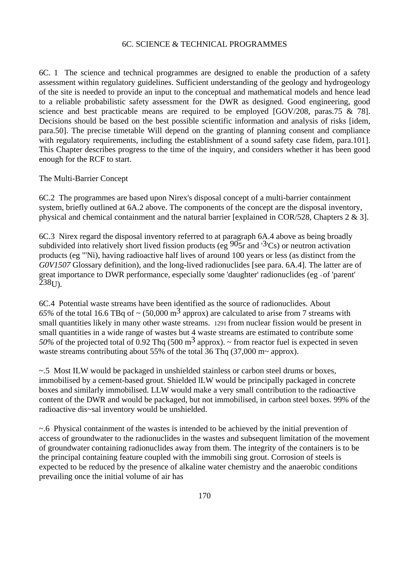## 6C. SCIENCE & TECHNICAL PROGRAMMES

6C. 1 The science and technical programmes are designed to enable the production of a safety assessment within regulatory guidelines. Sufficient understanding of the geology and hydrogeology of the site is needed to provide an input to the conceptual and mathematical models and hence lead to a reliable probabilistic safety assessment for the DWR as designed. Good engineering, good science and best practicable means are required to be employed [GOV/208, paras.75 & 78]. Decisions should be based on the best possible scientific information and analysis of risks [idem, para.50]. The precise timetable Will depend on the granting of planning consent and compliance with regulatory requirements, including the establishment of a sound safety case fidem, para.101]. This Chapter describes progress to the time of the inquiry, and considers whether it has been good enough for the RCF to start.

## The Multi-Barrier Concept

6C.2 The programmes are based upon Nirex's disposal concept of a multi-barrier containment system, briefly outlined at 6A.2 above. The components of the concept are the disposal inventory, physical and chemical containment and the natural barrier [explained in COR/528, Chapters 2 & 3].

6C.3 Nirex regard the disposal inventory referred to at paragraph 6A.4 above as being broadly subdivided into relatively short lived fission products (eg  $90\overline{5}r$  and  $3\overline{°}$ Cs) or neutron activation products (eg "'Ni), having radioactive half lives of around 100 years or less (as distinct from the *G0V1507* Glossary definition), and the long-lived radionuclides [see para. 6A.4]. The latter are of great importance to DWR performance, especially some 'daughter' radionuclides (eg **~** of 'parent'  $238<sub>U</sub>$ ).

6C.4 Potential waste streams have been identified as the source of radionuclides. About  $65\%$  of the total 16.6 TBq of  $\sim$  (50,000 m<sup>3</sup> approx) are calculated to arise from 7 streams with small quantities likely in many other waste streams. 1291 from nuclear fission would be present in small quantities in a wide range of wastes but 4 waste streams are estimated to contribute some  $50\%$  of the projected total of 0.92 Thq (500 m<sup>3</sup> approx).  $\sim$  from reactor fuel is expected in seven waste streams contributing about 55% of the total 36 Thq (37,000 m~ approx).

~.5 Most ILW would be packaged in unshielded stainless or carbon steel drums or boxes, immobilised by a cement-based grout. Shielded lLW would be principally packaged in concrete boxes and similarly immobilised. LLW would make a very small contribution to the radioactive content of the DWR and would be packaged, but not immobilised, in carbon steel boxes. 99% of the radioactive dis~sal inventory would be unshielded.

~.6 Physical containment of the wastes is intended to be achieved by the initial prevention of access of groundwater to the radionuclides in the wastes and subsequent limitation of the movement of groundwater containing radionuclides away from them. The integrity of the containers is to be the principal containing feature coupled with the immobili sing grout. Corrosion of steels is expected to be reduced by the presence of alkaline water chemistry and the anaerobic conditions prevailing once the initial volume of air has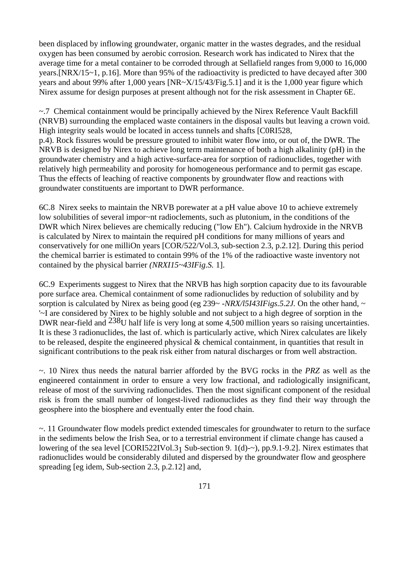been displaced by inflowing groundwater, organic matter in the wastes degrades, and the residual oxygen has been consumed by aerobic corrosion. Research work has indicated to Nirex that the average time for a metal container to be corroded through at Sellafield ranges from 9,000 to 16,000 years.[NRX/15~1, p.16]. More than 95% of the radioactivity is predicted to have decayed after 300 years and about 99% after 1,000 years [NR~X/15/43/Fig.5.1] and it is the 1,000 year figure which Nirex assume for design purposes at present although not for the risk assessment in Chapter 6E.

 $\sim$ .7 Chemical containment would be principally achieved by the Nirex Reference Vault Backfill (NRVB) surrounding the emplaced waste containers in the disposal vaults but leaving a crown void. High integrity seals would be located in access tunnels and shafts [C0RI528, p.4). Rock fissures would be pressure grouted to inhibit water flow into, or out of, the DWR. The NRVB is designed by Nirex to achieve long term maintenance of both a high alkalinity (pH) in the groundwater chemistry and a high active-surface-area for sorption of radionuclides, together with relatively high permeability and porosity for homogeneous performance and to permit gas escape. Thus the effects of leaching of reactive components by groundwater flow and reactions with groundwater constituents are important to DWR performance.

6C.8 Nirex seeks to maintain the NRVB porewater at a pH value above 10 to achieve extremely low solubilities of several impor~nt radioclements, such as plutonium, in the conditions of the DWR which Nirex believes are chemically reducing ("low Eh"). Calcium hydroxide in the NRVB is calculated by Nirex to maintain the required pH conditions for many millions of years and conservatively for one milliOn years [COR/522/Vol.3, sub-section 2.3, p.2.12]. During this period the chemical barrier is estimated to contain 99% of the 1% of the radioactive waste inventory not contained by the physical barrier *(NRXI15~43IFig.S.* 1].

6C.9 Experiments suggest to Nirex that the NRVB has high sorption capacity due to its favourable pore surface area. Chemical containment of some radionuclides by reduction of solubility and by sorption is calculated by Nirex as being good (eg 239~ -*NRX*/151431Figs. 5.2J. On the other hand, ~ '~I are considered by Nirex to be highly soluble and not subject to a high degree of sorption in the DWR near-field and <sup>238</sup>U half life is very long at some 4,500 million years so raising uncertainties. It is these 3 radionuclides, the last of. which is particularly active, which Nirex calculates are likely to be released, despite the engineered physical & chemical containment, in quantities that result in significant contributions to the peak risk either from natural discharges or from well abstraction.

~. 10 Nirex thus needs the natural barrier afforded by the BVG rocks in the *PRZ* as well as the engineered containment in order to ensure a very low fractional, and radiologically insignificant, release of most of the surviving radionuclides. Then the most significant component of the residual risk is from the small number of longest-lived radionuclides as they find their way through the geosphere into the biosphere and eventually enter the food chain.

~. 11 Groundwater flow models predict extended timescales for groundwater to return to the surface in the sediments below the Irish Sea, or to a terrestrial environment if climate change has caused a lowering of the sea level [CORI522IVol.3<sub>1</sub> Sub-section 9. 1(d)-~), pp.9.1-9.2]. Nirex estimates that radionuclides would be considerably diluted and dispersed by the groundwater flow and geosphere spreading [eg idem, Sub-section 2.3, p.2.12] and,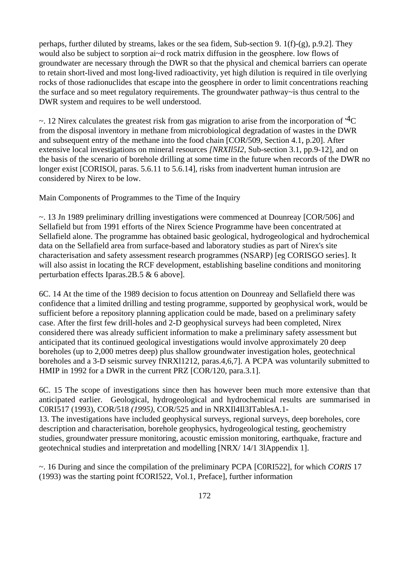perhaps, further diluted by streams, lakes or the sea fidem, Sub-section 9. 1(f)-(g), p.9.2]. They would also be subject to sorption ai~d rock matrix diffusion in the geosphere. low flows of groundwater are necessary through the DWR so that the physical and chemical barriers can operate to retain short-lived and most long-lived radioactivity, yet high dilution is required in tile overlying rocks of those radionuclides that escape into the geosphere in order to limit concentrations reaching the surface and so meet regulatory requirements. The groundwater pathway~is thus central to the DWR system and requires to be well understood.

 $\sim$ . 12 Nirex calculates the greatest risk from gas migration to arise from the incorporation of  ${}^{4}C$ from the disposal inventory in methane from microbiological degradation of wastes in the DWR and subsequent entry of the methane into the food chain [COR/509, Section 4.1, p.20]. After extensive local investigations on mineral resources *[NRXIl5I2,* Sub-section 3.1, pp.9-12], and on the basis of the scenario of borehole drilling at some time in the future when records of the DWR no longer exist [CORISOI, paras. 5.6.11 to 5.6.14], risks from inadvertent human intrusion are considered by Nirex to be low.

Main Components of Programmes to the Time of the Inquiry

~. 13 Jn 1989 preliminary drilling investigations were commenced at Dounreay [COR/506] and Sellafield but from 1991 efforts of the Nirex Science Programme have been concentrated at Sellafield alone. The programme has obtained basic geological, hydrogeological and hydrochemical data on the Sellafield area from surface-based and laboratory studies as part of Nirex's site characterisation and safety assessment research programmes (NSARP) [eg CORISGO series]. It will also assist in locating the RCF development, establishing baseline conditions and monitoring perturbation effects Iparas.2B.5 & 6 above].

6C. 14 At the time of the 1989 decision to focus attention on Dounreay and Sellafield there was confidence that a limited drilling and testing programme, supported by geophysical work, would be sufficient before a repository planning application could be made, based on a preliminary safety case. After the first few drill-holes and 2-D geophysical surveys had been completed, Nirex considered there was already sufficient information to make a preliminary safety assessment but anticipated that its continued geological investigations would involve approximately 20 deep boreholes (up to 2,000 metres deep) plus shallow groundwater investigation holes, geotechnical boreholes and a 3-D seismic survey fNRXl1212, paras.4,6,7]. A PCPA was voluntarily submitted to HMIP in 1992 for a DWR in the current PRZ [COR/120, para.3.1].

6C. 15 The scope of investigations since then has however been much more extensive than that anticipated earlier. Geological, hydrogeological and hydrochemical results are summarised in C0RI517 (1993), COR/518 *(1995),* COR/525 and in NRXIl4Il3ITablesA.1- 13. The investigations have included geophysical surveys, regional surveys, deep boreholes, core description and characterisation, borehole geophysics, hydrogeological testing, geochemistry studies, groundwater pressure monitoring, acoustic emission monitoring, earthquake, fracture and geotechnical studies and interpretation and modelling [NRX/ 14/1 3lAppendix 1].

~. 16 During and since the compilation of the preliminary PCPA [C0RI522], for which *CORIS* 17 (1993) was the starting point fCORI522, Vol.1, Preface], further information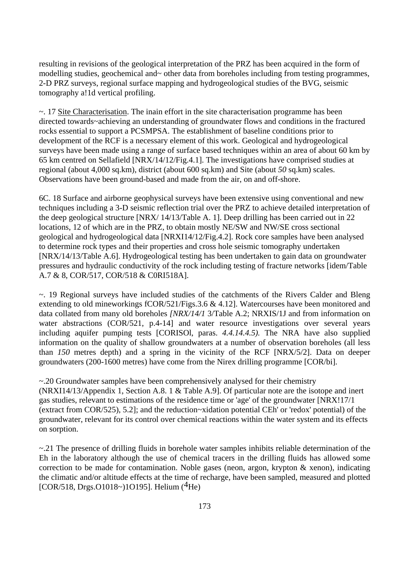resulting in revisions of the geological interpretation of the PRZ has been acquired in the form of modelling studies, geochemical and~ other data from boreholes including from testing programmes, 2-D PRZ surveys, regional surface mapping and hydrogeological studies of the BVG, seismic tomography a!1d vertical profiling.

 $\sim$ . 17 Site Characterisation. The inain effort in the site characterisation programme has been directed towards~achieving an understanding of groundwater flows and conditions in the fractured rocks essential to support a PCSMPSA. The establishment of baseline conditions prior to development of the RCF is a necessary element of this work. Geological and hydrogeological surveys have been made using a range of surface based techniques within an area of about 60 km by 65 km centred on Sellafield [NRX/14/12/Fig.4.1]. The investigations have comprised studies at regional (about 4,000 sq.km), district (about 600 sq.km) and Site (about *50* sq.km) scales. Observations have been ground-based and made from the air, on and off-shore.

6C. 18 Surface and airborne geophysical surveys have been extensive using conventional and new techniques including a 3-D seismic reflection trial over the PRZ to achieve detailed interpretation of the deep geological structure [NRX/ 14/13/Table A. 1]. Deep drilling has been carried out in 22 locations, 12 of which are in the PRZ, to obtain mostly NE/SW and NW/SE cross sectional geological and hydrogeological data [NRXI14/12/Fig.4.2]. Rock core samples have been analysed to determine rock types and their properties and cross hole seismic tomography undertaken [NRX/14/13/Table A.6]. Hydrogeological testing has been undertaken to gain data on groundwater pressures and hydraulic conductivity of the rock including testing of fracture networks [idem/Table A.7 & 8, COR/517, COR/518 & C0RI518A].

~. 19 Regional surveys have included studies of the catchments of the Rivers Calder and Bleng extending to old mineworkings fCOR/521/Figs.3.6 & 4.12]. Watercourses have been monitored and data collated from many old boreholes *[NRX/14/1* 3/Table A.2; NRXIS/1J and from information on water abstractions (COR/521, p.4-14) and water resource investigations over several years including aquifer pumping tests [CORISOl, paras. *4.4.14.4.5).* The NRA have also supplied information on the quality of shallow groundwaters at a number of observation boreholes (all less than *150* metres depth) and a spring in the vicinity of the RCF [NRX/5/2]. Data on deeper groundwaters (200-1600 metres) have come from the Nirex drilling programme [COR/bi].

~.20 Groundwater samples have been comprehensively analysed for their chemistry (NRXI14/13/Appendix 1, Section A.8. 1 & Table A.9]. Of particular note are the isotope and inert gas studies, relevant to estimations of the residence time or 'age' of the groundwater [NRX!17/1 (extract from COR/525), 5.2]; and the reduction~xidation potential CEh' or 'redox' potential) of the groundwater, relevant for its control over chemical reactions within the water system and its effects on sorption.

~.21 The presence of drilling fluids in borehole water samples inhibits reliable determination of the Eh in the laboratory although the use of chemical tracers in the drilling fluids has allowed some correction to be made for contamination. Noble gases (neon, argon, krypton & xenon), indicating the climatic and/or altitude effects at the time of recharge, have been sampled, measured and plotted  $[COR/518, Drgs. O1018~]1O195]$ . Helium (<sup>4</sup>He)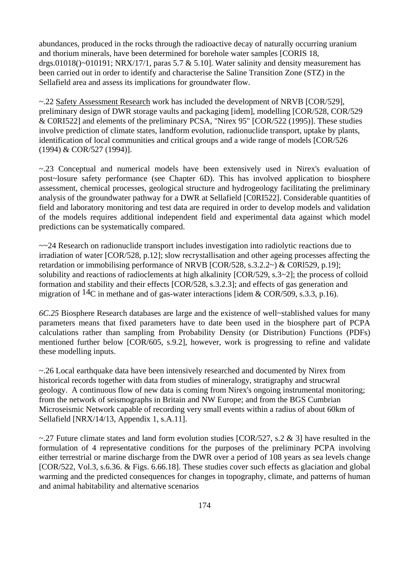abundances, produced in the rocks through the radioactive decay of naturally occurring uranium and thorium minerals, have been determined for borehole water samples [CORIS 18, drgs.01018( $\sim$ 010191; NRX/17/1, paras 5.7 & 5.10]. Water salinity and density measurement has been carried out in order to identify and characterise the Saline Transition Zone (STZ) in the Sellafield area and assess its implications for groundwater flow.

~.22 Safety Assessment Research work has included the development of NRVB [COR/529], preliminary design of DWR storage vaults and packaging [idem], modelling [COR/528, COR/529 & C0RI522] and elements of the preliminary PCSA, "Nirex 95" [COR/522 (1995)]. These studies involve prediction of climate states, landform evolution, radionuclide transport, uptake by plants, identification of local communities and critical groups and a wide range of models [COR/526 (1994) & COR/527 (1994)].

~.23 Conceptual and numerical models have been extensively used in Nirex's evaluation of post~losure safety performance (see Chapter 6D). This has involved application to biosphere assessment, chemical processes, geological structure and hydrogeology facilitating the preliminary analysis of the groundwater pathway for a DWR at Sellafield [C0RI522]. Considerable quantities of field and laboratory monitoring and test data are required in order to develop models and validation of the models requires additional independent field and experimental data against which model predictions can be systematically compared.

~~24 Research on radionuclide transport includes investigation into radiolytic reactions due to irradiation of water [COR/528, p.12]; slow recrystallisation and other ageing processes affecting the retardation or immobilising performance of NRVB [COR/528, s.3.2.2~) & C0Rl529, p.19]; solubility and reactions of radioclements at high alkalinity [COR/529, s.3~2]; the process of colloid formation and stability and their effects [COR/528, s.3.2.3]; and effects of gas generation and migration of <sup>14</sup>C in methane and of gas-water interactions [idem & COR/509, s.3.3, p.16).

*6C.25* Biosphere Research databases are large and the existence of well~stablished values for many parameters means that fixed parameters have to date been used in the biosphere part of PCPA calculations rather than sampling from Probability Density (or Distribution) Functions (PDFs) mentioned further below [COR/605, s.9.2], however, work is progressing to refine and validate these modelling inputs.

~.26 Local earthquake data have been intensively researched and documented by Nirex from historical records together with data from studies of mineralogy, stratigraphy and strucwral geology. A continuous flow of new data is coming from Nirex's ongoing instrumental monitoring; from the network of seismographs in Britain and NW Europe; and from the BGS Cumbrian Microseismic Network capable of recording very small events within a radius of about 60km of Sellafield [NRX/14/13, Appendix 1, s.A.11].

 $\sim$ .27 Future climate states and land form evolution studies [COR/527, s.2 & 3] have resulted in the formulation of 4 representative conditions for the purposes of the preliminary PCPA involving either terrestrial or marine discharge from the DWR over a period of 108 years as sea levels change [COR/522, Vol.3, s.6.36. & Figs. 6.66.18]. These studies cover such effects as glaciation and global warming and the predicted consequences for changes in topography, climate, and patterns of human and animal habitability and alternative scenarios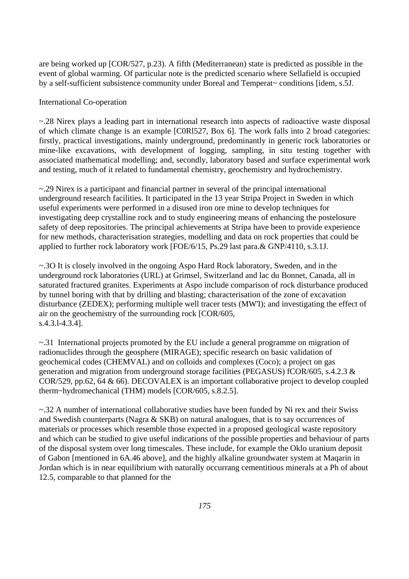are being worked up [COR/527, p.23). A fifth (Mediterranean) state is predicted as possible in the event of global warming. Of particular note is the predicted scenario where Sellafield is occupied by a self-sufficient subsistence community under Boreal and Temperat~ conditions [idem, s.5J.

## International Co-operation

~.28 Nirex plays a leading part in international research into aspects of radioactive waste disposal of which climate change is an example [C0Rl527, Box 6]. The work falls into 2 broad categories: firstly, practical investigations, mainly underground, predominantly in generic rock laboratories or mine-like excavations, with development of logging, sampling, in situ testing together with associated mathematical modelling; and, secondly, laboratory based and surface experimental work and testing, much of it related to fundamental chemistry, geochemistry and hydrochemistry.

~.29 Nirex is a participant and financial partner in several of the principal international underground research facilities. It participated in the 13 year Stripa Project in Sweden in which useful experiments were performed in a disused iron ore mine to develop techniques for investigating deep crystalline rock and to study engineering means of enhancing the postelosure safety of deep repositories. The principal achievements at Stripa have been to provide experience for new methods, characterisation strategies, modelling and data on rock properties that could be applied to further rock laboratory work [FOE/6/15, Ps.29 last para.& GNP/4110, s.3.1J.

~.3O It is closely involved in the ongoing Aspo Hard Rock laboratory, Sweden, and in the underground rock laboratories (URL) at Grimsel, Switzerland and lac du Bonnet, Canada, all in saturated fractured granites. Experiments at Aspo include comparison of rock disturbance produced by tunnel boring with that by drilling and blasting; characterisation of the zone of excavation disturbance (ZEDEX); performing multiple well tracer tests (MW'I); and investigating the effect of air on the geochemistry of the surrounding rock [COR/605, s.4.3.l-4.3.4].

~.31 International projects promoted by the EU include a general programme on migration of radionuclides through the geosphere (MIRAGE); specific research on basic validation of geochemical codes (CHEMVAL) and on colloids and complexes (Coco); a project on gas generation and migration from underground storage facilities (PEGASUS) fCOR/605, s.4.2.3 & COR/529, pp.62, 64 & 66). DECOVALEX is an important collaborative project to develop coupled therm~hydromechanical (THM) models [COR/605, s.8.2.5].

~.32 A number of international collaborative studies have been funded by Ni rex and their Swiss and Swedish counterparts (Nagra & SKB) on natural analogues, that is to say occurrences of materials or processes which resemble those expected in a proposed geological waste repository and which can be studied to give useful indications of the possible properties and behaviour of parts of the disposal system over long timescales. These include, for example the Oklo uranium deposit of Gabon [mentioned in 6A.46 above], and the highly alkaline groundwater system at Maqarin in Jordan which is in near equilibrium with naturally occurrang cementitious minerals at a Ph of about 12.5, comparable to that planned for the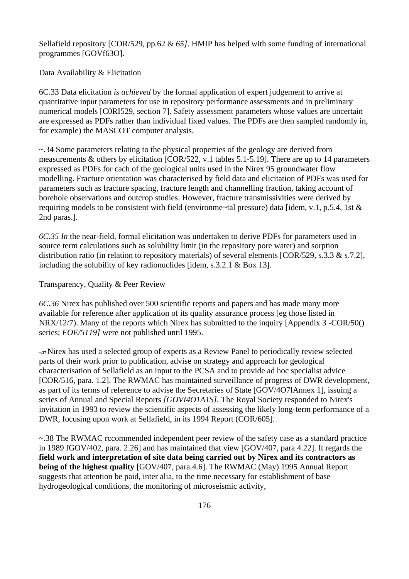Sellafield repository [COR/529, pp.62 & *65].* HMIP has helped with some funding of international programmes [GOVf63O].

Data Availability & Elicitation

6C.33 Data elicitation *is achieved* by the formal application of expert judgement to arrive at quantitative input parameters for use in repository performance assessments and in preliminary numerical models [C0RI529, section 7]. Safety assessment parameters whose values are uncertain are expressed as PDFs rather than individual fixed values. The PDFs are then sampled randomly in, for example) the MASCOT computer analysis.

~.34 Some parameters relating to the physical properties of the geology are derived from measurements & others by elicitation [COR/522, v.1 tables 5.1-5.19]. There are up to 14 parameters expressed as PDFs for cach of the geological units used in the Nirex 95 groundwater flow modelling. Fracture orientation was characterised by field data and elicitation of PDFs was used for parameters such as fracture spacing, fracture length and channelling fraction, taking account of borehole observations and outcrop studies. However, fracture transmissivities were derived by requiring models to be consistent with field (environme~tal pressure) data [idem, v.1, p.5.4, 1st & 2nd paras.].

*6C.35 In* the near-field, formal elicitation was undertaken to derive PDFs for parameters used in source term calculations such as solubility limit (in the repository pore water) and sorption distribution ratio (in relation to repository materials) of several elements [COR/529, s.3.3 & s.7.2], including the solubility of key radionuclides [idem, s.3.2.1 & Box 13].

Transparency, Quality & Peer Review

*6C.36* Nirex has published over 500 scientific reports and papers and has made many more available for reference after application of its quality assurance process [eg those listed in NRX/12/7). Many of the reports which Nirex has submitted to the inquiry [Appendix 3 -COR/50() series; *FOE/5119]* were not published until 1995.

**~.37** Nirex has used a selected group of experts as a Review Panel to periodically review selected parts of their work prior to publication, advise on strategy and approach for geological characterisation of Sellafield as an input to the PCSA and to provide ad hoc specialist advice [COR/516, para. 1.2]. The RWMAC has maintained surveillance of progress of DWR development, as part of its terms of reference to advise the Secretaries of State [GOV/4O7lAnnex 1], issuing a series of Annual and Special Reports *[GOVI4O1A1S].* The Royal Society responded to Nirex's invitation in 1993 to review the scientific aspects of assessing the likely long-term performance of a DWR, focusing upon work at Sellafield, in its 1994 Report (COR/605].

~.38 The RWMAC rccommended independent peer review of the safety case as a standard practice in 1989 fGOV/402, para. 2.26] and has maintained that view [GOV/407, para 4.22]. It regards the **field work and interpretation of site data being carried out by Nirex and its contractors as being of the highest quality [**GOV/407, para.4.6]. The RWMAC (May) 1995 Annual Report suggests that attention be paid, inter alia, to the time necessary for establishment of base hydrogeological conditions, the monitoring of microseismic activity,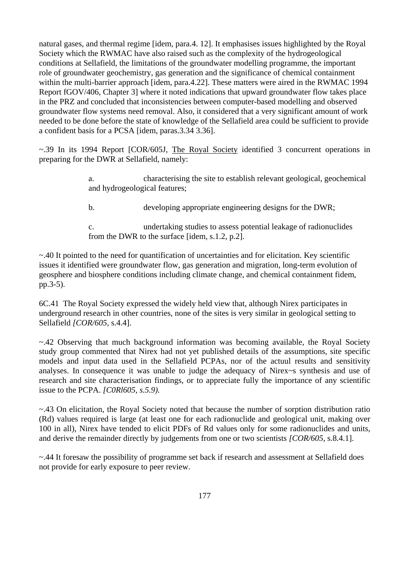natural gases, and thermal regime [idem, para.4. 12]. It emphasises issues highlighted by the Royal Society which the RWMAC have also raised such as the complexity of the hydrogeological conditions at Sellafield, the limitations of the groundwater modelling programme, the important role of groundwater geochemistry, gas generation and the significance of chemical containment within the multi-barrier approach [idem, para.4.22]. These matters were aired in the RWMAC 1994 Report fGOV/406, Chapter 3] where it noted indications that upward groundwater flow takes place in the PRZ and concluded that inconsistencies between computer-based modelling and observed groundwater flow systems need removal. Also, it considered that a very significant amount of work needed to be done before the state of knowledge of the Sellafield area could be sufficient to provide a confident basis for a PCSA [idem, paras.3.34 3.36].

~.39 In its 1994 Report [COR/605J, The Royal Society identified 3 concurrent operations in preparing for the DWR at Sellafield, namely:

> a. characterising the site to establish relevant geological, geochemical and hydrogeological features;

b. developing appropriate engineering designs for the DWR;

c. undertaking studies to assess potential leakage of radionuclides from the DWR to the surface [idem, s.1.2, p.2].

~.40 It pointed to the need for quantification of uncertainties and for elicitation. Key scientific issues it identified were groundwater flow, gas generation and migration, long-term evolution of geosphere and biosphere conditions including climate change, and chemical containment fidem, pp.3-5).

6C.41 The Royal Society expressed the widely held view that, although Nirex participates in underground research in other countries, none of the sites is very similar in geological setting to Sellafield *[COR/605,* s.4.4].

~.42 Observing that much background information was becoming available, the Royal Society study group commented that Nirex had not yet published details of the assumptions, site specific models and input data used in the Sellafield PCPAs, nor of the actuul results and sensitivity analyses. In consequence it was unable to judge the adequacy of Nirex~s synthesis and use of research and site characterisation findings, or to appreciate fully the importance of any scientific issue to the PCPA. *[C0Rl605, s.5.9).* 

~.43 On elicitation, the Royal Society noted that because the number of sorption distribution ratio (Rd) values required is large (at least one for each radionuclide and geological unit, making over 100 in all), Nirex have tended to elicit PDFs of Rd values only for some radionuclides and units, and derive the remainder directly by judgements from one or two scientists *[COR/605,* s.8.4.1].

 $\sim$ .44 It foresaw the possibility of programme set back if research and assessment at Sellafield does not provide for early exposure to peer review.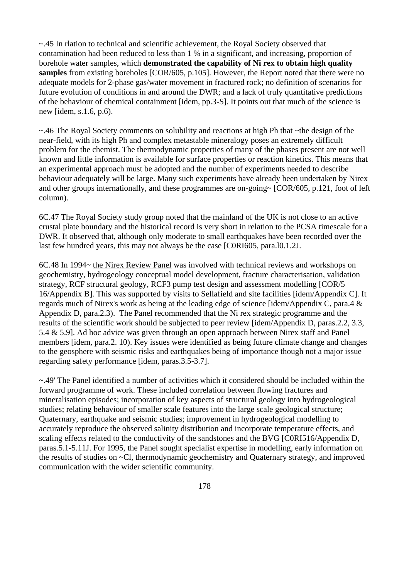$\sim$ .45 In rlation to technical and scientific achievement, the Royal Society observed that contamination had been reduced to less than 1 % in a significant, and increasing, proportion of borehole water samples, which **demonstrated the capability of Ni rex to obtain high quality samples** from existing boreholes [COR/605, p.105]. However, the Report noted that there were no adequate models for 2-phase gas/water movement in fractured rock; no definition of scenarios for future evolution of conditions in and around the DWR; and a lack of truly quantitative predictions of the behaviour of chemical containment [idem, pp.3-S]. It points out that much of the science is new [idem, s.1.6, p.6).

~.46 The Royal Society comments on solubility and reactions at high Ph that ~the design of the near-field, with its high Ph and complex metastable mineralogy poses an extremely difficult problem for the chemist. The thermodynamic properties of many of the phases present are not well known and little information is available for surface properties or reaction kinetics. This means that an experimental approach must be adopted and the number of experiments needed to describe behaviour adequately will be large. Many such experiments have already been undertaken by Nirex and other groups internationally, and these programmes are on-going~ [COR/605, p.121, foot of left column).

6C.47 The Royal Society study group noted that the mainland of the UK is not close to an active crustal plate boundary and the historical record is very short in relation to the PCSA timescale for a DWR. It observed that, although only moderate to small earthquakes have been recorded over the last few hundred years, this may not always be the case [C0RI605, para.l0.1.2J.

6C.48 In 1994~ the Nirex Review Panel was involved with technical reviews and workshops on geochemistry, hydrogeology conceptual model development, fracture characterisation, validation strategy, RCF structural geology, RCF3 pump test design and assessment modelling [COR/5 16/Appendix B]. This was supported by visits to Sellafield and site facilities [idem/Appendix C]. It regards much of Nirex's work as being at the leading edge of science [idem/Appendix C, para.4 & Appendix D, para.2.3). The Panel recommended that the Ni rex strategic programme and the results of the scientific work should be subjected to peer review [idem/Appendix D, paras.2.2, 3.3, 5.4 & 5.9]. Ad hoc advice was given through an open approach between Nirex staff and Panel members [idem, para.2. 10). Key issues were identified as being future climate change and changes to the geosphere with seismic risks and earthquakes being of importance though not a major issue regarding safety performance [idem, paras.3.5-3.7].

~.49' The Panel identified a number of activities which it considered should be included within the forward programme of work. These included correlation between flowing fractures and mineralisation episodes; incorporation of key aspects of structural geology into hydrogeological studies; relating behaviour of smaller scale features into the large scale geological structure; Quaternary, earthquake and seismic studies; improvement in hydrogeological modelling to accurately reproduce the observed salinity distribution and incorporate temperature effects, and scaling effects related to the conductivity of the sandstones and the BVG [C0RI516/Appendix D, paras.5.1-5.11J. For 1995, the Panel sought specialist expertise in modelling, early information on the results of studies on ~Cl, thermodynamic geochemistry and Quaternary strategy, and improved communication with the wider scientific community.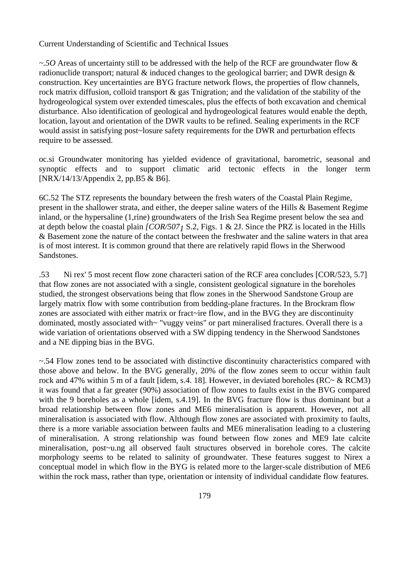Current Understanding of Scientific and Technical Issues

*~.5O* Areas of uncertainty still to be addressed with the help of the RCF are groundwater flow & radionuclide transport; natural & induced changes to the geological barrier; and DWR design & construction. Key uncertainties are BYG fracture network flows, the properties of flow channels, rock matrix diffusion, colloid transport & gas Tnigration; and the validation of the stability of the hydrogeological system over extended timescales, plus the effects of both excavation and chemical disturbance. Also identification of geological and hydrogeological features would enable the depth, location, layout and orientation of the DWR vaults to be refined. Sealing experiments in the RCF would assist in satisfying post~losure safety requirements for the DWR and perturbation effects require to be assessed.

oc.si Groundwater monitoring has yielded evidence of gravitational, barometric, seasonal and synoptic effects and to support climatic arid tectonic effects in the longer term [NRX/14/13/Appendix 2, pp.B5 & B6].

6C.52 The STZ represents the boundary between the fresh waters of the Coastal Plain Regime, present in the shallower strata, and either, the deeper saline waters of the Hills & Basement Regime inland, or the hypersaline (1,rine) groundwaters of the Irish Sea Regime present below the sea and at depth below the coastal plain *[COR/5071* S.2, Figs. 1 & 2J. Since the PRZ is located in the Hills & Basement zone the nature of the contact between the freshwater and the saline waters in that area is of most interest. It is common ground that there are relatively rapid flows in the Sherwood Sandstones.

.53 Ni rex' 5 most recent flow zone characteri sation of the RCF area concludes [COR/523, 5.7] that flow zones are not associated with a single, consistent geological signature in the boreholes studied, the strongest observations being that flow zones in the Sherwood Sandstone Group are largely matrix flow with some contribution from bedding-plane fractures. In the Brockram flow zones are associated with either matrix or fract~ire flow, and in the BVG they are discontinuity dominated, mostly associated with~ "vuggy veins" or part mineralised fractures. Overall there is a wide variation of orientations observed with a SW dipping tendency in the Sherwood Sandstones and a NE dipping bias in the BVG.

~.54 Flow zones tend to be associated with distinctive discontinuity characteristics compared with those above and below. In the BVG generally, 20% of the flow zones seem to occur within fault rock and 47% within 5 m of a fault [idem, s.4. 18]. However, in deviated boreholes (RC~ & RCM3) it was found that a far greater (90%) association of flow zones to faults exist in the BVG compared with the 9 boreholes as a whole [idem, s.4.19]. In the BVG fracture flow is thus dominant but a broad relationship between flow zones and ME6 mineralisation is apparent. However, not all mineralisation is associated with flow. Although flow zones are associated with proximity to faults, there is a more variable association between faults and ME6 mineralisation leading to a clustering of mineralisation. A strong relationship was found between flow zones and ME9 late calcite mineralisation, post~u.ng all observed fault structures observed in borehole cores. The calcite morphology seems to be related to salinity of groundwater. These features suggest to Nirex a conceptual model in which flow in the BYG is related more to the larger-scale distribution of ME6 within the rock mass, rather than type, orientation or intensity of individual candidate flow features.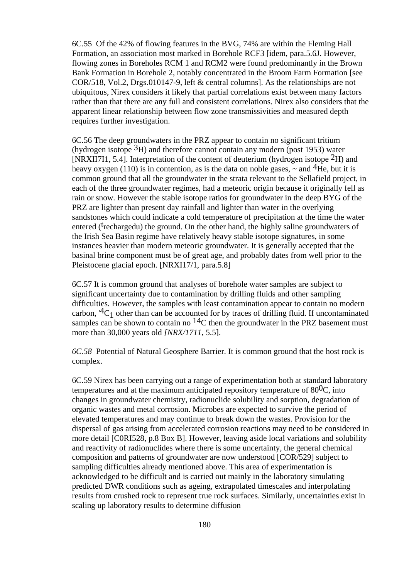6C.55 Of the 42% of flowing features in the BVG, 74% are within the Fleming Hall Formation, an association most marked in Borehole RCF3 [idem, para.5.6J. However, flowing zones in Boreholes RCM 1 and RCM2 were found predominantly in the Brown Bank Formation in Borehole 2, notably concentrated in the Broom Farm Formation [see COR/518, Vol.2, Drgs.010147-9, left & central columns]. As the relationships are not ubiquitous, Nirex considers it likely that partial correlations exist between many factors rather than that there are any full and consistent correlations. Nirex also considers that the apparent linear relationship between flow zone transmissivities and measured depth requires further investigation.

6C.56 The deep groundwaters in the PRZ appear to contain no significant tritium (hydrogen isotope  ${}^{3}H$ ) and therefore cannot contain any modern (post 1953) water [NRXII7I1, 5.4]. Interpretation of the content of deuterium (hydrogen isotope  ${}^{2}H$ ) and heavy oxygen (110) is in contention, as is the data on noble gases,  $\sim$  and <sup>4</sup>He, but it is common ground that all the groundwater in the strata relevant to the Sellafield project, in each of the three groundwater regimes, had a meteoric origin because it originally fell as rain or snow. However the stable isotope ratios for groundwater in the deep BYG of the PRZ are lighter than present day rainfall and lighter than water in the overlying sandstones which could indicate a cold temperature of precipitation at the time the water entered ( $t$ rechargedu) the ground. On the other hand, the highly saline groundwaters of the Irish Sea Basin regime have relatively heavy stable isotope signatures, in some instances heavier than modern meteoric groundwater. It is generally accepted that the basinal brine component must be of great age, and probably dates from well prior to the Pleistocene glacial epoch. [NRXI17/1, para.5.8]

6C.57 It is common ground that analyses of borehole water samples are subject to significant uncertainty due to contamination by drilling fluids and other sampling difficulties. However, the samples with least contamination appear to contain no modern carbon,  ${}^{4}C_1$  other than can be accounted for by traces of drilling fluid. If uncontaminated samples can be shown to contain no  ${}^{14}C$  then the groundwater in the PRZ basement must more than 30,000 years old *[NRX/1711,* 5.5].

*6C.58* Potential of Natural Geosphere Barrier. It is common ground that the host rock is complex.

6C.59 Nirex has been carrying out a range of experimentation both at standard laboratory temperatures and at the maximum anticipated repository temperature of 80<sup>0</sup>C, into changes in groundwater chemistry, radionuclide solubility and sorption, degradation of organic wastes and metal corrosion. Microbes are expected to survive the period of elevated temperatures and may continue to break down the wastes. Provision for the dispersal of gas arising from accelerated corrosion reactions may need to be considered in more detail [C0RI528, p.8 Box B]. However, leaving aside local variations and solubility and reactivity of radionuclides where there is some uncertainty, the general chemical composition and patterns of groundwater are now understood [COR/529] subject to sampling difficulties already mentioned above. This area of experimentation is acknowledged to be difficult and is carried out mainly in the laboratory simulating predicted DWR conditions such as ageing, extrapolated timescales and interpolating results from crushed rock to represent true rock surfaces. Similarly, uncertainties exist in scaling up laboratory results to determine diffusion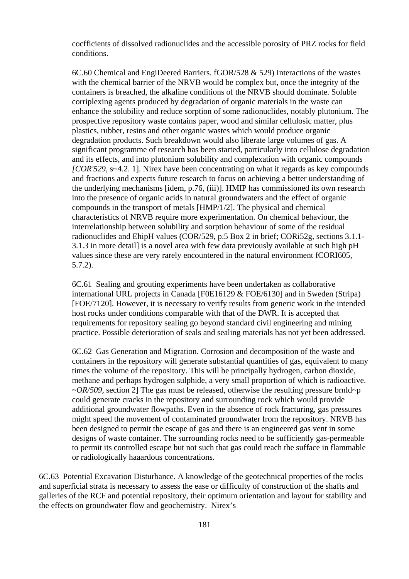cocfficients of dissolved radionuclides and the accessible porosity of PRZ rocks for field conditions.

6C.60 Chemical and EngiDeered Barriers. fGOR/528 & 529) Interactions of the wastes with the chemical barrier of the NRVB would be complex but, once the integrity of the containers is breached, the alkaline conditions of the NRVB should dominate. Soluble corriplexing agents produced by degradation of organic materials in the waste can enhance the solubility and reduce sorption of some radionuclides, notably plutonium. The prospective repository waste contains paper, wood and similar cellulosic matter, plus plastics, rubber, resins and other organic wastes which would produce organic degradation products. Such breakdown would also liberate large volumes of gas. A significant programme of research has been started, particularly into cellulose degradation and its effects, and into plutonium solubility and complexation with organic compounds *[COR'529,* s~4.2. 1]. Nirex have been concentrating on what it regards as key compounds and fractions and expects future research to focus on achieving a better understanding of the underlying mechanisms [idem, p.76, (iii)]. HMIP has commissioned its own research into the presence of organic acids in natural groundwaters and the effect of organic compounds in the transport of metals [HMP/1/2]. The physical and chemical characteristics of NRVB require more experimentation. On chemical behaviour, the interrelationship between solubility and sorption behaviour of some of the residual radionuclides and EhipH values (COR/529, p.5 Box 2 in brief; CORi52g, sections 3.1.1- 3.1.3 in more detail] is a novel area with few data previously available at such high pH values since these are very rarely encountered in the natural environment fCORI605, 5.7.2).

6C.61 Sealing and grouting experiments have been undertaken as collaborative international URL projects in Canada [F0E16129 & FOE/6130] and in Sweden (Stripa) [FOE/7120]. However, it is necessary to verify results from generic work in the intended host rocks under conditions comparable with that of the DWR. It is accepted that requirements for repository sealing go beyond standard civil engineering and mining practice. Possible deterioration of seals and sealing materials has not yet been addressed.

6C.62 Gas Generation and Migration. Corrosion and decomposition of the waste and containers in the repository will generate substantial quantities of gas, equivalent to many times the volume of the repository. This will be principally hydrogen, carbon dioxide, methane and perhaps hydrogen sulphide, a very small proportion of which is radioactive. *~OR/509,* section 2] The gas must be released, otherwise the resulting pressure brnld~p could generate cracks in the repository and surrounding rock which would provide additional groundwater flowpaths. Even in the absence of rock fracturing, gas pressures might speed the movement of contaminated groundwater from the repository. NRVB has been designed to permit the escape of gas and there is an engineered gas vent in some designs of waste container. The surrounding rocks need to be sufficiently gas-permeable to permit its controlled escape but not such that gas could reach the sufface in flammable or radiologically haaardous concentrations.

6C.63 Potential Excavation Disturbance. A knowledge of the geotechnical properties of the rocks and superficial strata is necessary to assess the ease or difficulty of construction of the shafts and galleries of the RCF and potential repository, their optimum orientation and layout for stability and the effects on groundwater flow and geochemistry. Nirex's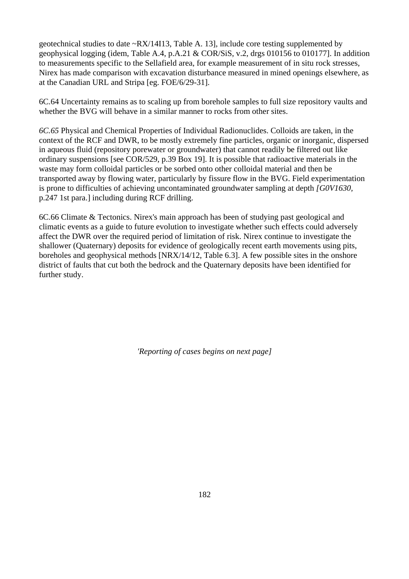geotechnical studies to date ~RX/14I13, Table A. 13], include core testing supplemented by geophysical logging (idem, Table A.4, p.A.21 & COR/SiS, v.2, drgs 010156 to 010177]. In addition to measurements specific to the Sellafield area, for example measurement of in situ rock stresses, Nirex has made comparison with excavation disturbance measured in mined openings elsewhere, as at the Canadian URL and Stripa [eg. FOE/6/29-31].

6C.64 Uncertainty remains as to scaling up from borehole samples to full size repository vaults and whether the BVG will behave in a similar manner to rocks from other sites.

*6C.65* Physical and Chemical Properties of Individual Radionuclides. Colloids are taken, in the context of the RCF and DWR, to be mostly extremely fine particles, organic or inorganic, dispersed in aqueous fluid (repository porewater or groundwater) that cannot readily be filtered out like ordinary suspensions [see COR/529, p.39 Box 19]. It is possible that radioactive materials in the waste may form colloidal particles or be sorbed onto other colloidal material and then be transported away by flowing water, particularly by fissure flow in the BVG. Field experimentation is prone to difficulties of achieving uncontaminated groundwater sampling at depth *[G0V1630,*  p.247 1st para.] including during RCF drilling.

6C.66 Climate & Tectonics. Nirex's main approach has been of studying past geological and climatic events as a guide to future evolution to investigate whether such effects could adversely affect the DWR over the required period of limitation of risk. Nirex continue to investigate the shallower (Quaternary) deposits for evidence of geologically recent earth movements using pits, boreholes and geophysical methods [NRX/14/12, Table 6.3]. A few possible sites in the onshore district of faults that cut both the bedrock and the Quaternary deposits have been identified for further study.

*'Reporting of cases begins on next page]*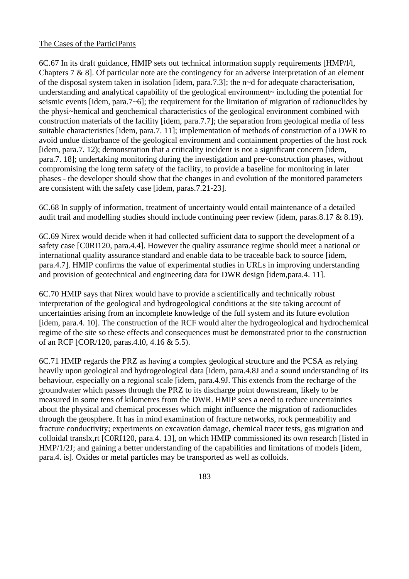## The Cases of the ParticiPants

6C.67 In its draft guidance, HMIP sets out technical information supply requirements [HMP/l/l, Chapters 7 & 8]. Of particular note are the contingency for an adverse interpretation of an element of the disposal system taken in isolation [idem, para.7.3]; the n~d for adequate characterisation, understanding and analytical capability of the geological environment~ including the potential for seismic events [idem, para.7~6]; the requirement for the limitation of migration of radionuclides by the physi~hemical and geochemical characteristics of the geological environment combined with construction materials of the facility [idem, para.7.7]; the separation from geological media of less suitable characteristics [idem, para.7. 11]; implementation of methods of construction of a DWR to avoid undue disturbance of the geological environment and containment properties of the host rock [idem, para.7. 12); demonstration that a criticality incident is not a significant concern [idem, para.7. 18]; undertaking monitoring during the investigation and pre~construction phases, without compromising the long term safety of the facility, to provide a baseline for monitoring in later phases - the developer should show that the changes in and evolution of the monitored parameters are consistent with the safety case [idem, paras.7.21-23].

6C.68 In supply of information, treatment of uncertainty would entail maintenance of a detailed audit trail and modelling studies should include continuing peer review (idem, paras.8.17 & 8.19).

6C.69 Nirex would decide when it had collected sufficient data to support the development of a safety case [C0RI120, para.4.4]. However the quality assurance regime should meet a national or international quality assurance standard and enable data to be traceable back to source [idem, para.4.7]. HMIP confirms the value of experimental studies in URLs in improving understanding and provision of geotechnical and engineering data for DWR design [idem,para.4. 11].

6C.70 HMIP says that Nirex would have to provide a scientifically and technically robust interpretation of the geological and hydrogeological conditions at the site taking account of uncertainties arising from an incomplete knowledge of the full system and its future evolution [idem, para.4. 10]. The construction of the RCF would alter the hydrogeological and hydrochemical regime of the site so these effects and consequences must be demonstrated prior to the construction of an RCF [COR/120, paras.4.l0, 4.16 & 5.5).

6C.71 HMIP regards the PRZ as having a complex geological structure and the PCSA as relying heavily upon geological and hydrogeological data [idem, para.4.8J and a sound understanding of its behaviour, especially on a regional scale [idem, para.4.9J. This extends from the recharge of the groundwater which passes through the PRZ to its discharge point downstream, likely to be measured in some tens of kilometres from the DWR. HMIP sees a need to reduce uncertainties about the physical and chemical processes which might influence the migration of radionuclides through the geosphere. It has in mind examination of fracture networks, rock permeability and fracture conductivity; experiments on excavation damage, chemical tracer tests, gas migration and colloidal translx,rt [C0RI120, para.4. 13], on which HMIP commissioned its own research [listed in HMP/1/2J; and gaining a better understanding of the capabilities and limitations of models [idem, para.4. is]. Oxides or metal particles may be transported as well as colloids.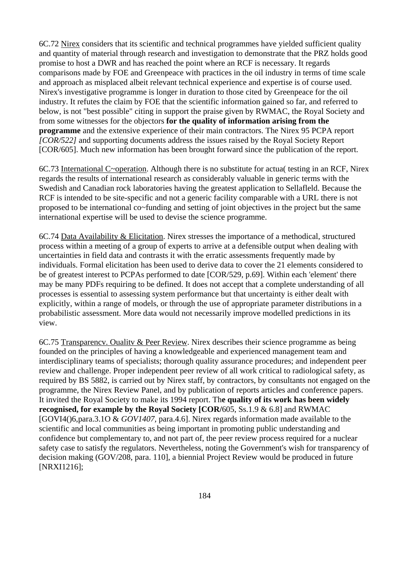6C.72 Nirex considers that its scientific and technical programmes have yielded sufficient quality and quantity of material through research and investigation to demonstrate that the PRZ holds good promise to host a DWR and has reached the point where an RCF is necessary. It regards comparisons made by FOE and Greenpeace with practices in the oil industry in terms of time scale and approach as misplaced albeit relevant technical experience and expertise is of course used. Nirex's investigative programme is longer in duration to those cited by Greenpeace for the oil industry. It refutes the claim by FOE that the scientific information gained so far, and referred to below, is not "best possible" citing in support the praise given by RWMAC, the Royal Society and from some witnesses for the objectors **for the quality of information arising from the programme** and the extensive experience of their main contractors. The Nirex 95 PCPA report *[COR/522]* and supporting documents address the issues raised by the Royal Society Report [COR/605]. Much new information has been brought forward since the publication of the report.

6C.73 International C~operation. Although there is no substitute for actua( testing in an RCF, Nirex regards the results of international research as considerably valuable in generic terms with the Swedish and Canadian rock laboratories having the greatest application to Sellafleld. Because the RCF is intended to be site-specific and not a generic facility comparable with a URL there is not proposed to be international co~funding and setting of joint objectives in the project but the same international expertise will be used to devise the science programme.

6C.74 Data Availability & Elicitation. Nirex stresses the importance of a methodical, structured process within a meeting of a group of experts to arrive at a defensible output when dealing with uncertainties in field data and contrasts it with the erratic assessments frequently made by individuals. Formal elicitation has been used to derive data to cover the 21 elements considered to be of greatest interest to PCPAs performed to date [COR/529, p.69]. Within each 'element' there may be many PDFs requiring to be defined. It does not accept that a complete understanding of all processes is essential to assessing system performance but that uncertainty is either dealt with explicitly, within a range of models, or through the use of appropriate parameter distributions in a probabilistic assessment. More data would not necessarily improve modelled predictions in its view.

6C.75 Transparencv. Oualitv & Peer Review. Nirex describes their science programme as being founded on the principles of having a knowledgeable and experienced management team and interdisciplinary teams of specialists; thorough quality assurance procedures; and independent peer review and challenge. Proper independent peer review of all work critical to radiological safety, as required by BS 5882, is carried out by Nirex staff, by contractors, by consultants not engaged on the programme, the Nirex Review Panel, and by publication of reports articles and conference papers. It invited the Royal Society to make its 1994 report. Th**e quality of its work has been widely recognised, for example by the Royal Society [COR/**605, Ss.1.9 & 6.8] and RWMAC [GOVI4()6,para.3.1O & *GOV1407,* para.4.6]. Nirex regards information made available to the scientific and local communities as being important in promoting public understanding and confidence but complementary to, and not part of, the peer review process required for a nuclear safety case to satisfy the regulators. Nevertheless, noting the Government's wish for transparency of decision making (GOV/208, para. 110], a biennial Project Review would be produced in future [NRXI1216];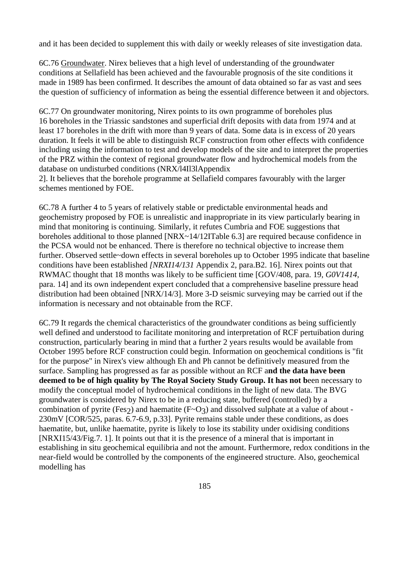and it has been decided to supplement this with daily or weekly releases of site investigation data.

6C.76 Groundwater. Nirex believes that a high level of understanding of the groundwater conditions at Sellafield has been achieved and the favourable prognosis of the site conditions it made in 1989 has been confirmed. It describes the amount of data obtained so far as vast and sees the question of sufficiency of information as being the essential difference between it and objectors.

6C.77 On groundwater monitoring, Nirex points to its own programme of boreholes plus 16 boreholes in the Triassic sandstones and superficial drift deposits with data from 1974 and at least 17 boreholes in the drift with more than 9 years of data. Some data is in excess of 20 years duration. It feels it will be able to distinguish RCF construction from other effects with confidence including using the information to test and develop models of the site and to interpret the properties of the PRZ within the context of regional groundwater flow and hydrochemical models from the database on undisturbed conditions (NRX/l4Il3lAppendix

2]. It believes that the borehole programme at Sellafield compares favourably with the larger schemes mentioned by FOE.

6C.78 A further 4 to 5 years of relatively stable or predictable environmental heads and geochemistry proposed by FOE is unrealistic and inappropriate in its view particularly bearing in mind that monitoring is continuing. Similarly, it refutes Cumbria and FOE suggestions that boreholes additional to those planned [NRX~14/12ITable 6.3] are required because confidence in the PCSA would not be enhanced. There is therefore no technical objective to increase them further. Observed settle~down effects in several boreholes up to October 1995 indicate that baseline conditions have been established *[NRXI14/131* Appendix 2, para.B2. 16]. Nirex points out that RWMAC thought that 18 months was likely to be sufficient time [GOV/408, para. 19, *G0V1414,*  para. 14] and its own independent expert concluded that a comprehensive baseline pressure head distribution had been obtained [NRX/14/3]. More 3-D seismic surveying may be carried out if the information is necessary and not obtainable from the RCF.

6C.79 It regards the chemical characteristics of the groundwater conditions as being sufficiently well defined and understood to facilitate monitoring and interpretation of RCF pertuibation during construction, particularly bearing in mind that a further 2 years results would be available from October 1995 before RCF construction could begin. Information on geochemical conditions is "fit for the purpose" in Nirex's view although Eh and Ph cannot be definitively measured from the surface. Sampling has progressed as far as possible without an RCF a**nd the data have been**  deemed to be of high quality by The Royal Society Study Group. It has not been necessary to modify the conceptual model of hydrochemical conditions in the light of new data. The BVG groundwater is considered by Nirex to be in a reducing state, buffered (controlled) by a combination of pyrite (Fes<sub>2</sub>) and haematite (F $\sim$ O<sub>3</sub>) and dissolved sulphate at a value of about -230mV [COR/525, paras. 6.7-6.9, p.33]. Pyrite remains stable under these conditions, as does haematite, but, unlike haematite, pyrite is likely to lose its stability under oxidising conditions [NRXI15/43/Fig.7. 1]. It points out that it is the presence of a mineral that is important in establishing in situ geochemical equilibria and not the amount. Furthermore, redox conditions in the near-field would be controlled by the components of the engineered structure. Also, geochemical modelling has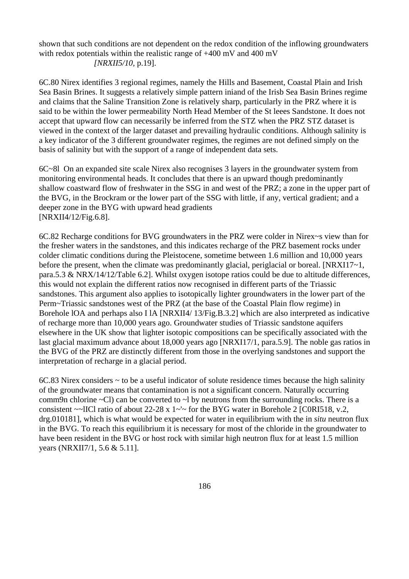shown that such conditions are not dependent on the redox condition of the inflowing groundwaters with redox potentials within the realistic range of +400 mV and 400 mV *[NRXII5/10,* p.19].

6C.80 Nirex identifies 3 regional regimes, namely the Hills and Basement, Coastal Plain and Irish Sea Basin Brines. It suggests a relatively simple pattern iniand of the Irisb Sea Basin Brines regime and claims that the Saline Transition Zone is relatively sharp, particularly in the PRZ where it is said to be within the lower permeability North Head Member of the St leees Sandstone. It does not accept that upward flow can necessarily be inferred from the STZ when the PRZ STZ dataset is viewed in the context of the larger dataset and prevailing hydraulic conditions. Although salinity is a key indicator of the 3 different groundwater regimes, the regimes are not defined simply on the basis of salinity but with the support of a range of independent data sets.

6C~8l On an expanded site scale Nirex also recognises 3 layers in the groundwater system from monitoring environmental heads. It concludes that there is an upward though predominantly shallow coastward flow of freshwater in the SSG in and west of the PRZ; a zone in the upper part of the BVG, in the Brockram or the lower part of the SSG with little, if any, vertical gradient; and a deeper zone in the BYG with upward head gradients [NRXII4/12/Fig.6.8].

6C.82 Recharge conditions for BVG groundwaters in the PRZ were colder in Nirex~s view than for the fresher waters in the sandstones, and this indicates recharge of the PRZ basement rocks under colder climatic conditions during the Pleistocene, sometime between 1.6 million and 10,000 years before the present, when the climate was predominantly glacial, periglacial or boreal. [NRXI17~1,] para.5.3 & NRX/14/12/Table 6.2]. Whilst oxygen isotope ratios could be due to altitude differences, this would not explain the different ratios now recognised in different parts of the Triassic sandstones. This argument also applies to isotopically lighter groundwaters in the lower part of the Perm~Triassic sandstones west of the PRZ (at the base of the Coastal Plain flow regime) in Borehole lOA and perhaps also I lA [NRXII4/ 13/Fig.B.3.2] which are also interpreted as indicative of recharge more than 10,000 years ago. Groundwater studies of Triassic sandstone aquifers elsewhere in the UK show that lighter isotopic compositions can be specifically associated with the last glacial maximum advance about 18,000 years ago [NRXI17/1, para.5.9]. The noble gas ratios in the BVG of the PRZ are distinctly different from those in the overlying sandstones and support the interpretation of recharge in a glacial period.

 $6C.83$  Nirex considers  $\sim$  to be a useful indicator of solute residence times because the high salinity of the groundwater means that contamination is not a significant concern. Naturally occurring comm9n chlorine  $\sim$ Cl) can be converted to  $\sim$ l by neutrons from the surrounding rocks. There is a consistent  $\sim$ -IICl ratio of about 22-28 x 1~'~ for the BYG water in Borehole 2 [C0RI518, v.2, drg.010181], which is what would be expected for water in equilibrium with the in *situ* neutron flux in the BVG. To reach this equilibrium it is necessary for most of the chloride in the groundwater to have been resident in the BVG or host rock with similar high neutron flux for at least 1.5 million years (NRXII7/1, 5.6 & 5.11].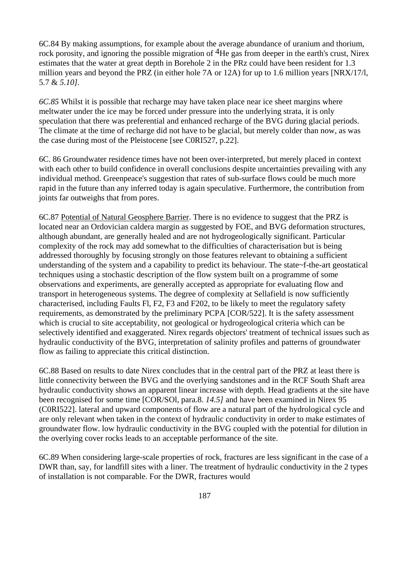6C.84 By making assumptions, for example about the average abundance of uranium and thorium, rock porosity, and ignoring the possible migration of  ${}^{4}$ He gas from deeper in the earth's crust, Nirex estimates that the water at great depth in Borehole 2 in the PRz could have been resident for 1.3 million years and beyond the PRZ (in either hole 7A or 12A) for up to 1.6 million years [NRX/17/l, 5.7 & *5.10].* 

*6C.85* Whilst it is possible that recharge may have taken place near ice sheet margins where meltwater under the ice may be forced under pressure into the underlying strata, it is only speculation that there was preferential and enhanced recharge of the BVG during glacial periods. The climate at the time of recharge did not have to be glacial, but merely colder than now, as was the case during most of the Pleistocene [see C0RI527, p.22].

6C. 86 Groundwater residence times have not been over-interpreted, but merely placed in context with each other to build confidence in overall conclusions despite uncertainties prevailing with any individual method. Greenpeace's suggestion that rates of sub-surface flows could be much more rapid in the future than any inferred today is again speculative. Furthermore, the contribution from joints far outweighs that from pores.

6C.87 Potential of Natural Geosphere Barrier. There is no evidence to suggest that the PRZ is located near an Ordovician caldera margin as suggested by FOE, and BVG deformation structures, although abundant, are generally healed and are not hydrogeologically significant. Particular complexity of the rock may add somewhat to the difficulties of characterisation but is being addressed thoroughly by focusing strongly on those features relevant to obtaining a sufficient understanding of the system and a capability to predict its behaviour. The state~f-the-art geostatical techniques using a stochastic description of the flow system built on a programme of some observations and experiments, are generally accepted as appropriate for evaluating flow and transport in heterogeneous systems. The degree of complexity at Sellafield is now sufficiently characterised, including Faults Fl, F2, F3 and F202, to be likely to meet the regulatory safety requirements, as demonstrated by the preliminary PCPA [COR/522]. It is the safety assessment which is crucial to site acceptability, not geological or hydrogeological criteria which can be selectively identified and exaggerated. Nirex regards objectors' treatment of technical issues such as hydraulic conductivity of the BVG, interpretation of salinity profiles and patterns of groundwater flow as failing to appreciate this critical distinction.

6C.88 Based on results to date Nirex concludes that in the central part of the PRZ at least there is little connectivity between the BVG and the overlying sandstones and in the RCF South Shaft area hydraulic conductivity shows an apparent linear increase with depth. Head gradients at the site have been recognised for some time [COR/SOl, para.8. *14.5]* and have been examined in Nirex 95 (C0RI522]. lateral and upward components of flow are a natural part of the hydrological cycle and are only relevant when taken in the context of hydraulic conductivity in order to make estimates of groundwater flow. low hydraulic conductivity in the BVG coupled with the potential for dilution in the overlying cover rocks leads to an acceptable performance of the site.

6C.89 When considering large-scale properties of rock, fractures are less significant in the case of a DWR than, say, for landfill sites with a liner. The treatment of hydraulic conductivity in the 2 types of installation is not comparable. For the DWR, fractures would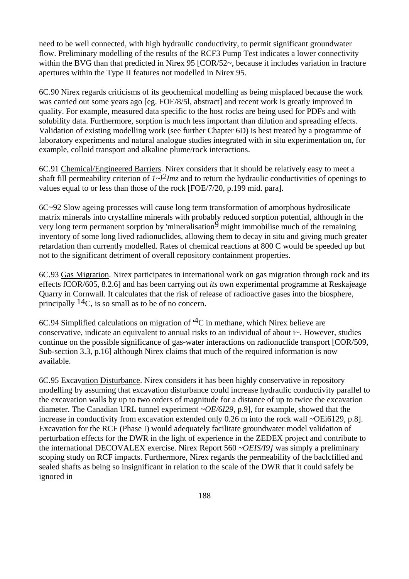need to be well connected, with high hydraulic conductivity, to permit significant groundwater flow. Preliminary modelling of the results of the RCF3 Pump Test indicates a lower connectivity within the BVG than that predicted in Nirex 95 [COR/52~, because it includes variation in fracture apertures within the Type II features not modelled in Nirex 95.

6C.90 Nirex regards criticisms of its geochemical modelling as being misplaced because the work was carried out some years ago [eg. FOE/8/51, abstract] and recent work is greatly improved in quality. For example, measured data specific to the host rocks are being used for PDFs and with solubility data. Furthermore, sorption is much less important than dilution and spreading effects. Validation of existing modelling work (see further Chapter 6D) is best treated by a programme of laboratory experiments and natural analogue studies integrated with in situ experimentation on, for example, colloid transport and alkaline plume/rock interactions.

6C.91 Chemical/Engineered Barriers. Nirex considers that it should be relatively easy to meet a shaft fill permeability criterion of  $1 \sim l^2 I m z$  and to return the hydraulic conductivities of openings to values equal to or less than those of the rock [FOE/7/20, p.199 mid. para].

6C~92 Slow ageing processes will cause long term transformation of amorphous hydrosilicate matrix minerals into crystalline minerals with probably reduced sorption potential, although in the very long term permanent sorption by 'mineralisation<sup>9</sup> might immobilise much of the remaining inventory of some long lived radionuclides, allowing them to decay in situ and giving much greater retardation than currently modelled. Rates of chemical reactions at 800 C would be speeded up but not to the significant detriment of overall repository containment properties.

6C.93 Gas Migration. Nirex participates in international work on gas migration through rock and its effects fCOR/605, 8.2.6] and has been carrying out *its* own experimental programme at Reskajeage Quarry in Cornwall. It calculates that the risk of release of radioactive gases into the biosphere, principally  $14C$ , is so small as to be of no concern.

6C.94 Simplified calculations on migration of  ${}^{4}C$  in methane, which Nirex believe are conservative, indicate an equivalent to annual risks to an individual of about i~. However, studies continue on the possible significance of gas-water interactions on radionuclide transport [COR/509, Sub-section 3.3, p.16] although Nirex claims that much of the required information is now available.

6C.95 Excavation Disturbance. Nirex considers it has been highly conservative in repository modelling by assuming that excavation disturbance could increase hydraulic conductivity parallel to the excavation walls by up to two orders of magnitude for a distance of up to twice the excavation diameter. The Canadian URL tunnel experiment *~OE/6I29,* p.9], for example, showed that the increase in conductivity from excavation extended only 0.26 m into the rock wall ~OEi6129, p.8]. Excavation for the RCF (Phase I) would adequately facilitate groundwater model validation of perturbation effects for the DWR in the light of experience in the ZEDEX project and contribute to the international DECOVALEX exercise. Nirex Report 560 *~OEIS/I9]* was simply a preliminary scoping study on RCF impacts. Furthermore, Nirex regards the permeability of the baclcfilled and sealed shafts as being so insignificant in relation to the scale of the DWR that it could safely be ignored in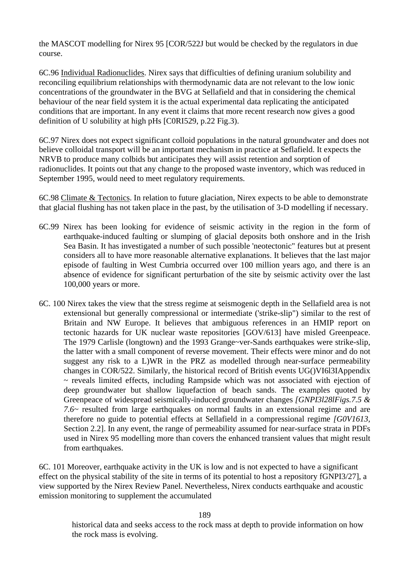the MASCOT modelling for Nirex 95 [COR/522J but would be checked by the regulators in due course.

6C.96 Individual Radionuclides. Nirex says that difficulties of defining uranium solubility and reconciling equilibrium relationships with thermodynamic data are not relevant to the low ionic concentrations of the groundwater in the BVG at Sellafield and that in considering the chemical behaviour of the near field system it is the actual experimental data replicating the anticipated conditions that are important. In any event it claims that more recent research now gives a good definition of U solubility at high pHs [C0RI529, p.22 Fig.3).

6C.97 Nirex does not expect significant colloid populations in the natural groundwater and does not believe colloidal transport will be an important mechanism in practice at Seflafield. It expects the NRVB to produce many colbids but anticipates they will assist retention and sorption of radionuclides. It points out that any change to the proposed waste inventory, which was reduced in September 1995, would need to meet regulatory requirements.

6C.98 Climate & Tectonics. In relation to future glaciation, Nirex expects to be able to demonstrate that glacial flushing has not taken place in the past, by the utilisation of 3-D modelling if necessary.

- 6C.99 Nirex has been looking for evidence of seismic activity in the region in the form of earthquake-induced faulting or slumping of glacial deposits both onshore and in the Irish Sea Basin. It has investigated a number of such possible 'neotectonic" features but at present considers all to have more reasonable alternative explanations. It believes that the last major episode of faulting in West Cumbria occurred over 100 million years ago, and there is an absence of evidence for significant perturbation of the site by seismic activity over the last 100,000 years or more.
- 6C. 100 Nirex takes the view that the stress regime at seismogenic depth in the Sellafield area is not extensional but generally compressional or intermediate ('strike-slip") similar to the rest of Britain and NW Europe. It believes that ambiguous references in an HMIP report on tectonic hazards for UK nuclear waste repositories [GOV/613] have misled Greenpeace. The 1979 Carlisle (longtown) and the 1993 Grange~ver-Sands earthquakes were strike-slip, the latter with a small component of reverse movement. Their effects were minor and do not suggest any risk to a L)WR in the PRZ as modelled through near-surface permeability changes in COR/522. Similarly, the historical record of British events UG()VI6l3IAppendix  $\sim$  reveals limited effects, including Rampside which was not associated with ejection of deep groundwater but shallow liquefaction of beach sands. The examples quoted by Greenpeace of widespread seismically-induced groundwater changes *[GNPI3l28lFigs.7.5 & 7.6~* resulted from large earthquakes on normal faults in an extensional regime and are therefore no guide to potential effects at Sellafield in a compressional regime *[G0V1613,*  Section 2.2]. In any event, the range of permeability assumed for near-surface strata in PDFs used in Nirex 95 modelling more than covers the enhanced transient values that might result from earthquakes.

6C. 101 Moreover, earthquake activity in the UK is low and is not expected to have a significant effect on the physical stability of the site in terms of its potential to host a repository fGNPI3/27], a view supported by the Nirex Review Panel. Nevertheless, Nirex conducts earthquake and acoustic emission monitoring to supplement the accumulated

historical data and seeks access to the rock mass at depth to provide information on how the rock mass is evolving.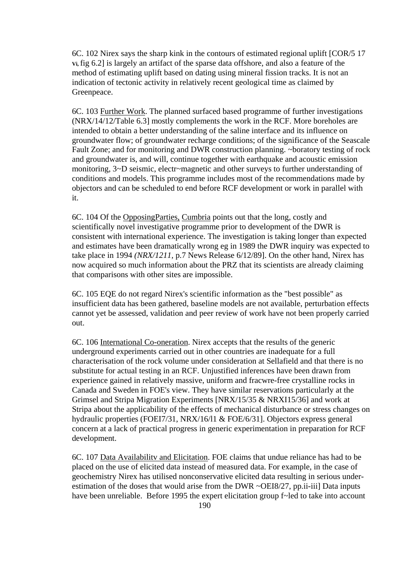6C. 102 Nirex says the sharp kink in the contours of estimated regional uplift [COR/5 17 **Vi,** fig 6.2] is largely an artifact of the sparse data offshore, and also a feature of the method of estimating uplift based on dating using mineral fission tracks. It is not an indication of tectonic activity in relatively recent geological time as claimed by Greenpeace.

6C. 103 Further Work. The planned surfaced based programme of further investigations (NRX/14/12/Table 6.3] mostly complements the work in the RCF. More boreholes are intended to obtain a better understanding of the saline interface and its influence on groundwater flow; of groundwater recharge conditions; of the significance of the Seascale Fault Zone; and for monitoring and DWR construction planning. ~boratory testing of rock and groundwater is, and will, continue together with earthquake and acoustic emission monitoring, 3~D seismic, electr~magnetic and other surveys to further understanding of conditions and models. This programme includes most of the recommendations made by objectors and can be scheduled to end before RCF development or work in parallel with it.

6C. 104 Of the OpposingParties, Cumbria points out that the long, costly and scientifically novel investigative programme prior to development of the DWR is consistent with international experience. The investigation is taking longer than expected and estimates have been dramatically wrong eg in 1989 the DWR inquiry was expected to take place in 1994 *(NRX/1211,* p.7 News Release 6/12/89]. On the other hand, Nirex has now acquired so much information about the PRZ that its scientists are already claiming that comparisons with other sites are impossible.

6C. 105 EQE do not regard Nirex's scientific information as the "best possible" as insufficient data has been gathered, baseline models are not available, perturbation effects cannot yet be assessed, validation and peer review of work have not been properly carried out.

6C. 106 International Co-oneration. Nirex accepts that the results of the generic underground experiments carried out in other countries are inadequate for a full characterisation of the rock volume under consideration at Sellafield and that there is no substitute for actual testing in an RCF. Unjustified inferences have been drawn from experience gained in relatively massive, uniform and fracwre-free crystalline rocks in Canada and Sweden in FOE's view. They have similar reservations particularly at the Grimsel and Stripa Migration Experiments [NRX/15/35 & NRXI15/36] and work at Stripa about the applicability of the effects of mechanical disturbance or stress changes on hydraulic properties (FOEI7/31, NRX/16/l1 & FOE/6/31]. Objectors express general concern at a lack of practical progress in generic experimentation in preparation for RCF development.

6C. 107 Data Availabilitv and Elicitation. FOE claims that undue reliance has had to be placed on the use of elicited data instead of measured data. For example, in the case of geochemistry Nirex has utilised nonconservative elicited data resulting in serious underestimation of the doses that would arise from the DWR ~OEI8/27, pp.ii-iiil Data inputs have been unreliable. Before 1995 the expert elicitation group f~led to take into account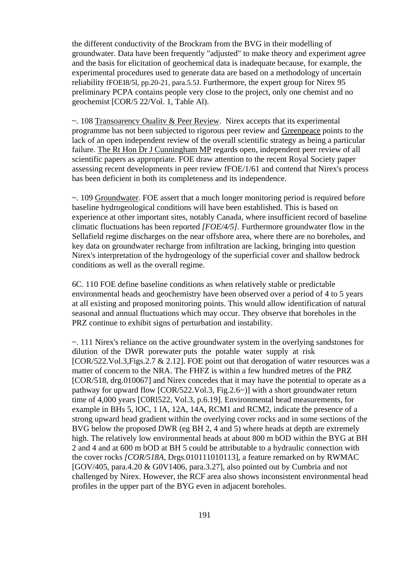the different conductivity of the Brockram from the BVG in their modelling of groundwater. Data have been frequently "adjusted" to make theory and experiment agree and the basis for elicitation of geochemical data is inadequate because, for example, the experimental procedures used to generate data are based on a methodology of uncertain reliability fFOEI8/5l, pp.20-21, para.5.5J. Furthermore, the expert group for Nirex 95 preliminary PCPA contains people very close to the project, only one chemist and no geochemist [COR/5 22/Vol. 1, Table Al).

~. 108 Transoarencv Oualitv & Peer Review. Nirex accepts that its experimental programme has not been subjected to rigorous peer review and Greenpeace points to the lack of an open independent review of the overall scientific strategy as being a particular failure. The Rt Hon Dr J Cunningham MP regards open, independent peer review of all scientific papers as appropriate. FOE draw attention to the recent Royal Society paper assessing recent developments in peer review fFOE/1/61 and contend that Nirex's process has been deficient in both its completeness and its independence.

~. 109 Groundwater. FOE assert that a much longer monitoring period is required before baseline hydrogeological conditions will have been established. This is based on experience at other important sites, notably Canada, where insufficient record of baseline climatic fluctuations has been reported *[FOE/4/5].* Furthermore groundwater flow in the Sellafield regime discharges on the near offshore area, where there are no boreholes, and key data on groundwater recharge from infiltration are lacking, bringing into question Nirex's interpretation of the hydrogeology of the superficial cover and shallow bedrock conditions as well as the overall regime.

6C. 110 FOE define baseline conditions as when relatively stable or predictable environmental heads and geochemistry have been observed over a period of 4 to 5 years at all existing and proposed monitoring points. This would allow identification of natural seasonal and annual fluctuations which may occur. They observe that boreholes in the PRZ continue to exhibit signs of perturbation and instability.

~. 111 Nirex's reliance on the active groundwater system in the overlying sandstones for dilution of the DWR porewater puts the potable water supply at risk [COR/522.Vol.3, Figs. 2.7 & 2.12]. FOE point out that derogation of water resources was a matter of concern to the NRA. The FHFZ is within a few hundred metres of the PRZ [COR/518, drg.010067] and Nirex concedes that it may have the potential to operate as a pathway for upward flow [COR/522.Vol.3, Fig.2.6~)] with a short groundwater return time of 4,000 years [C0Rl522, Vol.3, p.6.19]. Environmental head measurements, for example in BHs 5, lOC, 1 lA, 12A, 14A, RCM1 and RCM2, indicate the presence of a strong upward head gradient within the overlying cover rocks and in some sections of the BVG below the proposed DWR (eg BH 2, 4 and 5) where heads at depth are extremely high. The relatively low environmental heads at about 800 m bOD within the BYG at BH 2 and 4 and at 600 m bOD at BH 5 could be attributable to a hydraulic connection with the cover rocks *[COR/518A,* Drgs.010111010113], a feature remarked on by RWMAC [GOV/405, para.4.20 & G0V1406, para.3.27], also pointed out by Cumbria and not challenged by Nirex. However, the RCF area also shows inconsistent environmental head profiles in the upper part of the BYG even in adjacent boreholes.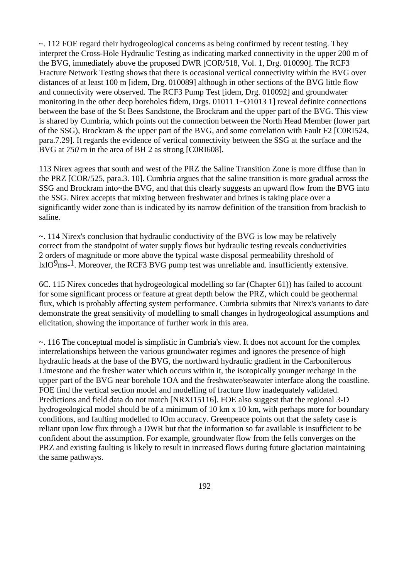~. 112 FOE regard their hydrogeological concerns as being confirmed by recent testing. They interpret the Cross-Hole Hydraulic Testing as indicating marked connectivity in the upper 200 m of the BVG, immediately above the proposed DWR [COR/518, Vol. 1, Drg. 010090]. The RCF3 Fracture Network Testing shows that there is occasional vertical connectivity within the BVG over distances of at least 100 m [idem, Drg. 010089] although in other sections of the BVG little flow and connectivity were observed. The RCF3 Pump Test [idem, Drg. 010092] and groundwater monitoring in the other deep boreholes fidem, Drgs. 01011 1~O1013 1] reveal definite connections between the base of the St Bees Sandstone, the Brockram and the upper part of the BVG. This view is shared by Cumbria, which points out the connection between the North Head Member (lower part of the SSG), Brockram & the upper part of the BVG, and some correlation with Fault F2 [C0RI524, para.7.29]. It regards the evidence of vertical connectivity between the SSG at the surface and the BVG at *750* m in the area of BH 2 as strong [C0RI608].

113 Nirex agrees that south and west of the PRZ the Saline Transition Zone is more diffuse than in the PRZ [COR/525, para.3. 10]. Cumbria argues that the saline transition is more gradual across the SSG and Brockram into~the BVG, and that this clearly suggests an upward flow from the BVG into the SSG. Nirex accepts that mixing between freshwater and brines is taking place over a significantly wider zone than is indicated by its narrow definition of the transition from brackish to saline.

~. 114 Nirex's conclusion that hydraulic conductivity of the BVG is low may be relatively correct from the standpoint of water supply flows but hydraulic testing reveals conductivities 2 orders of magnitude or more above the typical waste disposal permeability threshold of  $lx1O<sup>9</sup>$ ms-<sup>1</sup>. Moreover, the RCF3 BVG pump test was unreliable and. insufficiently extensive.

6C. 115 Nirex concedes that hydrogeological modelling so far (Chapter 61)) has failed to account for some significant process or feature at great depth below the PRZ, which could be geothermal flux, which is probably affecting system performance. Cumbria submits that Nirex's variants to date demonstrate the great sensitivity of modelling to small changes in hydrogeological assumptions and elicitation, showing the importance of further work in this area.

~. 116 The conceptual model is simplistic in Cumbria's view. It does not account for the complex interrelationships between the various groundwater regimes and ignores the presence of high hydraulic heads at the base of the BVG, the northward hydraulic gradient in the Carboniferous Limestone and the fresher water which occurs within it, the isotopically younger recharge in the upper part of the BVG near borehole 1OA and the freshwater/seawater interface along the coastline. FOE find the vertical section model and modelling of fracture flow inadequately validated. Predictions and field data do not match [NRXI15116]. FOE also suggest that the regional 3-D hydrogeological model should be of a minimum of 10 km x 10 km, with perhaps more for boundary conditions, and faulting modelled to lOm accuracy. Greenpeace points out that the safety case is reliant upon low flux through a DWR but that the information so far available is insufficient to be confident about the assumption. For example, groundwater flow from the fells converges on the PRZ and existing faulting is likely to result in increased flows during future glaciation maintaining the same pathways.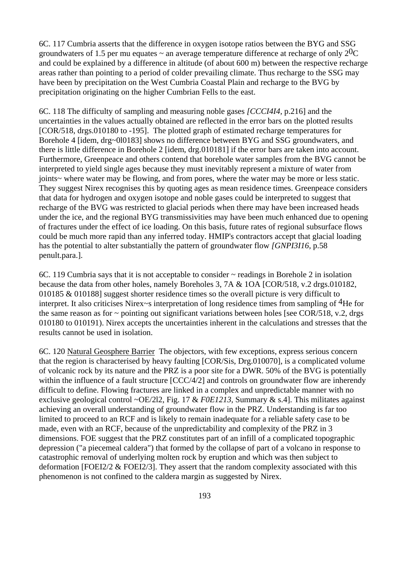6C. 117 Cumbria asserts that the difference in oxygen isotope ratios between the BYG and SSG groundwaters of 1.5 per mu equates  $\sim$  an average temperature difference at recharge of only 2<sup>0</sup>C and could be explained by a difference in altitude (of about 600 m) between the respective recharge areas rather than pointing to a period of colder prevailing climate. Thus recharge to the SSG may have been by precipitation on the West Cumbria Coastal Plain and recharge to the BVG by precipitation originating on the higher Cumbrian Fells to the east.

6C. 118 The difficulty of sampling and measuring noble gases *[CCCI4I4,* p.216] and the uncertainties in the values actually obtained are reflected in the error bars on the plotted results [COR/518, drgs.010180 to -195]. The plotted graph of estimated recharge temperatures for Borehole 4 [idem, drg~0l0183] shows no difference between BYG and SSG groundwaters, and there is little difference in Borehole 2 [idem, drg.010181] if the error bars are taken into account. Furthermore, Greenpeace and others contend that borehole water samples from the BVG cannot be interpreted to yield single ages because they must inevitably represent a mixture of water from joints~ where water may be flowing, and from pores, where the water may be more or less static. They suggest Nirex recognises this by quoting ages as mean residence times. Greenpeace considers that data for hydrogen and oxygen isotope and noble gases could be interpreted to suggest that recharge of the BVG was restricted to glacial periods when there may have been increased heads under the ice, and the regional BYG transmissivities may have been much enhanced due to opening of fractures under the effect of ice loading. On this basis, future rates of regional subsurface flows could be much more rapid than any inferred today. HMIP's contractors accept that glacial loading has the potential to alter substantially the pattern of groundwater flow *[GNPI3I16,* p.58 penult.para.].

6C. 119 Cumbria says that it is not acceptable to consider ~ readings in Borehole 2 in isolation because the data from other holes, namely Boreholes 3, 7A & 1OA [COR/518, v.2 drgs.010182, 010185 & 010188] suggest shorter residence times so the overall picture is very difficult to interpret. It also criticises Nirex~s interpretation of long residence times from sampling of 4He for the same reason as for  $\sim$  pointing out significant variations between holes [see COR/518, v.2, drgs 010180 to 010191). Nirex accepts the uncertainties inherent in the calculations and stresses that the results cannot be used in isolation.

6C. 120 Natural Geosphere Barrier The objectors, with few exceptions, express serious concern that the region is characterised by heavy faulting [COR/Sis, Drg.010070], is a complicated volume of volcanic rock by its nature and the PRZ is a poor site for a DWR. 50% of the BVG is potentially within the influence of a fault structure [CCC/4/2] and controls on groundwater flow are inherendy difficult to define. Flowing fractures are linked in a complex and unpredictable manner with no exclusive geological control ~OE/2l2, Fig. 17 & *F0E1213,* Summary & s.4]. This militates against achieving an overall understanding of groundwater flow in the PRZ. Understanding is far too limited to proceed to an RCF and is likely to remain inadequate for a reliable safety case to be made, even with an RCF, because of the unpredictability and complexity of the PRZ in 3 dimensions. FOE suggest that the PRZ constitutes part of an infill of a complicated topographic depression ("a piecemeal caldera") that formed by the collapse of part of a volcano in response to catastrophic removal of underlying molten rock by eruption and which was then subject to deformation [FOEI2/2 & FOEI2/3]. They assert that the random complexity associated with this phenomenon is not confined to the caldera margin as suggested by Nirex.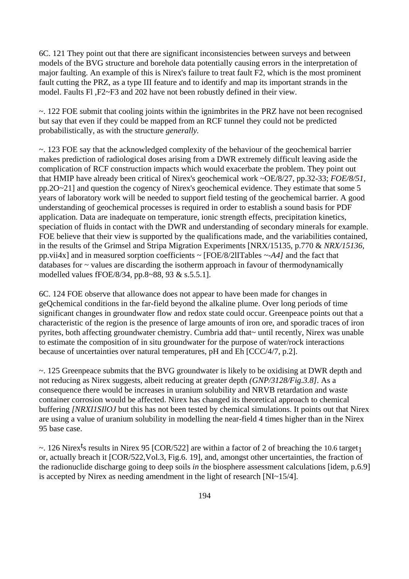6C. 121 They point out that there are significant inconsistencies between surveys and between models of the BVG structure and borehole data potentially causing errors in the interpretation of major faulting. An example of this is Nirex's failure to treat fault F2, which is the most prominent fault cutting the PRZ, as a type III feature and to identify and map its important strands in the model. Faults Fl ,F2~F3 and 202 have not been robustly defined in their view.

 $\sim$ . 122 FOE submit that cooling joints within the ignimbrites in the PRZ have not been recognised but say that even if they could be mapped from an RCF tunnel they could not be predicted probabilistically, as with the structure *generally.* 

~. 123 FOE say that the acknowledged complexity of the behaviour of the geochemical barrier makes prediction of radiological doses arising from a DWR extremely difficult leaving aside the complication of RCF construction impacts which would exacerbate the problem. They point out that HMIP have already been critical of Nirex's geochemical work ~OE/8/27, pp.32-33; *FOE/8/51,*  pp.2O~21] and question the cogency of Nirex's geochemical evidence. They estimate that some 5 years of laboratory work will be needed to support field testing of the geochemical barrier. A good understanding of geochemical processes is required in order to establish a sound basis for PDF application. Data are inadequate on temperature, ionic strength effects, precipitation kinetics, speciation of fluids in contact with the DWR and understanding of secondary minerals for example. FOE believe that their view is supported by the qualifications made, and the variabilities contained, in the results of the Grimsel and Stripa Migration Experiments [NRX/15135, p.770 & *NRX/15136,*  pp.vii4x] and in measured sorption coefficients ~ [FOE/8/2lITables *~-A4]* and the fact that databases for  $\sim$  values are discarding the isotherm approach in favour of thermodynamically modelled values fFOE/8/34, pp.8~88, 93 & s.5.5.1].

6C. 124 FOE observe that allowance does not appear to have been made for changes in geQchemical conditions in the far-field beyond the alkaline plume. Over long periods of time significant changes in groundwater flow and redox state could occur. Greenpeace points out that a characteristic of the region is the presence of large amounts of iron ore, and sporadic traces of iron pyrites, both affecting groundwater chemistry. Cumbria add that~ until recently, Nirex was unable to estimate the composition of in situ groundwater for the purpose of water/rock interactions because of uncertainties over natural temperatures, pH and Eh [CCC/4/7, p.2].

~. 125 Greenpeace submits that the BVG groundwater is likely to be oxidising at DWR depth and not reducing as Nirex suggests, albeit reducing at greater depth *(GNP/3128/Fig.3.8].* As a consequence there would be increases in uranium solubility and NRVB retardation and waste container corrosion would be affected. Nirex has changed its theoretical approach to chemical buffering *[NRXI1SIlOJ* but this has not been tested by chemical simulations. It points out that Nirex are using a value of uranium solubility in modelling the near-field 4 times higher than in the Nirex 95 base case.

 $\sim$ . 126 Nirex<sup>t</sup>s results in Nirex 95 [COR/522] are within a factor of 2 of breaching the 10.6 target<sub>1</sub> or, actually breach it [COR/522,Vol.3, Fig.6. 19], and, amongst other uncertainties, the fraction of the radionuclide discharge going to deep soils *in* the biosphere assessment calculations [idem, p.6.9] is accepted by Nirex as needing amendment in the light of research [NI~15/4].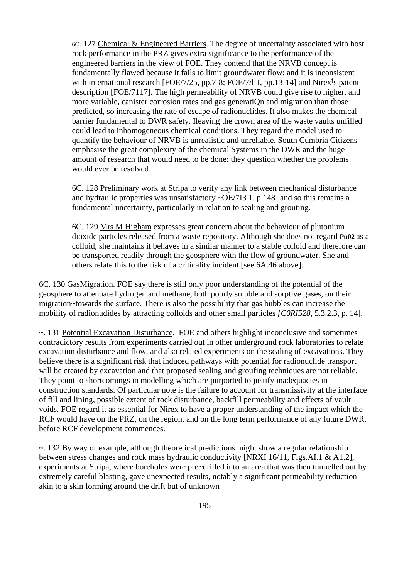6C. 127 Chemical & Engineered Barriers. The degree of uncertainty associated with host rock performance in the PRZ gives extra significance to the performance of the engineered barriers in the view of FOE. They contend that the NRVB concept is fundamentally flawed because it fails to limit groundwater flow; and it is inconsistent with international research [FOE/7/25, pp.7-8; FOE/7/l 1, pp.13-14] and Nirex<sup>t</sup>s patent description [FOE/7117]. The high permeability of NRVB could give rise to higher, and more variable, canister corrosion rates and gas generatiQn and migration than those predicted, so increasing the rate of escape of radionuclides. It also makes the chemical barrier fundamental to DWR safety. Ileaving the crown area of the waste vaults unfilled could lead to inhomogeneous chemical conditions. They regard the model used to quantify the behaviour of NRVB is unrealistic and unreliable. South Cumbria Citizens emphasise the great complexity of the chemical Systems in the DWR and the huge amount of research that would need to be done: they question whether the problems would ever be resolved.

6C. 128 Preliminary work at Stripa to verify any link between mechanical disturbance and hydraulic properties was unsatisfactory ~OE/7I3 1, p.148] and so this remains a fundamental uncertainty, particularly in relation to sealing and grouting.

6C. 129 Mrs M Higham expresses great concern about the behaviour of plutonium dioxide particles released from a waste repository. Although she does not regard **Pu02** as a colloid, she maintains it behaves in a similar manner to a stable colloid and therefore can be transported readily through the geosphere with the flow of groundwater. She and others relate this to the risk of a criticality incident [see 6A.46 above].

6C. 130 GasMigration. FOE say there is still only poor understanding of the potential of the geosphere to attenuate hydrogen and methane, both poorly soluble and sorptive gases, on their migration~towards the surface. There is also the possibility that gas bubbles can increase the mobility of radionudides by attracting colloids and other small particles *[C0RI528,* 5.3.2.3, p. 14].

~. 131 Potential Excavation Disturbance. FOE and others highlight inconclusive and sometimes contradictory results from experiments carried out in other underground rock laboratories to relate excavation disturbance and flow, and also related experiments on the sealing of excavations. They believe there is a significant risk that induced pathways with potential for radionuclide transport will be created by excavation and that proposed sealing and groufing techniques are not reliable. They point to shortcomings in modelling which are purported to justify inadequacies in construction standards. Of particular note is the failure to account for transmissivity at the interface of fill and lining, possible extent of rock disturbance, backfill permeability and effects of vault voids. FOE regard it as essential for Nirex to have a proper understanding of the impact which the RCF would have on the PRZ, on the region, and on the long term performance of any future DWR, before RCF development commences.

 $\sim$ . 132 By way of example, although theoretical predictions might show a regular relationship between stress changes and rock mass hydraulic conductivity [NRXI 16/11, Figs.AI.1 & A1.2], experiments at Stripa, where boreholes were pre~drilled into an area that was then tunnelled out by extremely careful blasting, gave unexpected results, notably a significant permeability reduction akin to a skin forming around the drift but of unknown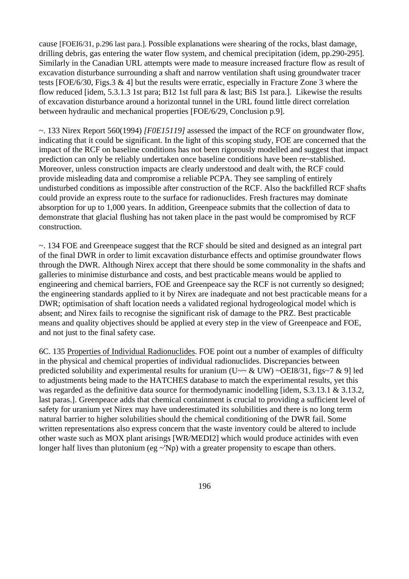cause [FOEI6/31, p.296 last para.]. Possible explanations were shearing of the rocks, blast damage, drilling debris, gas entering the water flow system, and chemical precipitation (idem, pp.290-295]. Similarly in the Canadian URL attempts were made to measure increased fracture flow as result of excavation disturbance surrounding a shaft and narrow ventilation shaft using groundwater tracer tests [FOE/6/30, Figs.3 & 4] but the results were erratic, especially in Fracture Zone 3 where the flow reduced [idem, 5.3.1.3 1st para; B12 1st full para & last; BiS 1st para.]. Likewise the results of excavation disturbance around a horizontal tunnel in the URL found little direct correlation between hydraulic and mechanical properties [FOE/6/29, Conclusion p.9].

~. 133 Nirex Report 560(1994) *[F0E15119]* assessed the impact of the RCF on groundwater flow, indicating that it could be significant. In the light of this scoping study, FOE are concerned that the impact of the RCF on baseline conditions has not been rigorously modelled and suggest that impact prediction can only be reliably undertaken once baseline conditions have been re~stablished. Moreover, unless construction impacts are clearly understood and dealt with, the RCF could provide misleading data and compromise a reliable PCPA. They see sampling of entirely undisturbed conditions as impossible after construction of the RCF. Also the backfilled RCF shafts could provide an express route to the surface for radionuclides. Fresh fractures may dominate absorption for up to 1,000 years. In addition, Greenpeace submits that the collection of data to demonstrate that glacial flushing has not taken place in the past would be compromised by RCF construction.

~. 134 FOE and Greenpeace suggest that the RCF should be sited and designed as an integral part of the final DWR in order to limit excavation disturbance effects and optimise groundwater flows through the DWR. Although Nirex accept that there should be some commonality in the shafts and galleries to minimise disturbance and costs, and best practicable means would be applied to engineering and chemical barriers, FOE and Greenpeace say the RCF is not currently so designed; the engineering standards applied to it by Nirex are inadequate and not best practicable means for a DWR; optimisation of shaft location needs a validated regional hydrogeological model which is absent; and Nirex fails to recognise the significant risk of damage to the PRZ. Best practicable means and quality objectives should be applied at every step in the view of Greenpeace and FOE, and not just to the final safety case.

6C. 135 Properties of Individual Radionuclides. FOE point out a number of examples of difficulty in the physical and chemical properties of individual radionuclides. Discrepancies between predicted solubility and experimental results for uranium  $(U \sim \& \text{UW}) \sim$ OEI8/31, figs~7 & 9] led to adjustments being made to the HATCHES database to match the experimental results, yet this was regarded as the definitive data source for thermodynamic inodelling [idem, S.3.13.1 & 3.13.2, last paras.]. Greenpeace adds that chemical containment is crucial to providing a sufficient level of safety for uranium yet Nirex may have underestimated its solubilities and there is no long term natural barrier to higher solubilities should the chemical conditioning of the DWR fail. Some written representations also express concern that the waste inventory could be altered to include other waste such as MOX plant arisings [WR/MEDI2] which would produce actinides with even longer half lives than plutonium (eg  $\sim$ 'Np) with a greater propensity to escape than others.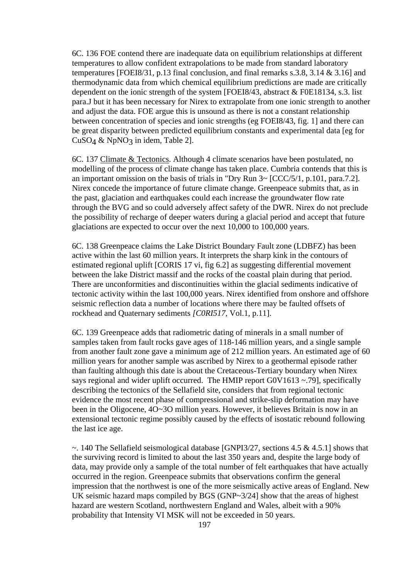6C. 136 FOE contend there are inadequate data on equilibrium relationships at different temperatures to allow confident extrapolations to be made from standard laboratory temperatures [FOEI8/31, p.13 final conclusion, and final remarks s.3.8, 3.14 & 3.16] and thermodynamic data from which chemical equilibrium predictions are made are critically dependent on the ionic strength of the system [FOEI8/43, abstract & F0E18134, s.3. list para.J but it has been necessary for Nirex to extrapolate from one ionic strength to another and adjust the data. FOE argue this is unsound as there is not a constant relationship between concentration of species and ionic strengths (eg FOEI8/43, fig. 1] and there can be great disparity between predicted equilibrium constants and experimental data [eg for  $CuSO<sub>4</sub>$  & NpNO<sub>3</sub> in idem, Table 2].

6C. 137 Climate & Tectonics. Although 4 climate scenarios have been postulated, no modelling of the process of climate change has taken place. Cumbria contends that this is an important omission on the basis of trials in "Dry Run  $3 \sim [CCC/5/1, p.101, para.7.2]$ . Nirex concede the importance of future climate change. Greenpeace submits that, as in the past, glaciation and earthquakes could each increase the groundwater flow rate through the BVG and so could adversely affect safety of the DWR. Nirex do not preclude the possibility of recharge of deeper waters during a glacial period and accept that future glaciations are expected to occur over the next 10,000 to 100,000 years.

6C. 138 Greenpeace claims the Lake District Boundary Fault zone (LDBFZ) has been active within the last 60 million years. It interprets the sharp kink in the contours of estimated regional uplift [CORIS 17 vi, fig 6.2] as suggesting differential movement between the lake District massif and the rocks of the coastal plain during that period. There are unconformities and discontinuities within the glacial sediments indicative of tectonic activity within the last 100,000 years. Nirex identified from onshore and offshore seismic reflection data a number of locations where there may be faulted offsets of rockhead and Quaternary sediments *[C0RI517,* Vol.1, p.11].

6C. 139 Greenpeace adds that radiometric dating of minerals in a small number of samples taken from fault rocks gave ages of 118-146 million years, and a single sample from another fault zone gave a minimum age of 212 million years. An estimated age of 60 million years for another sample was ascribed by Nirex to a geothermal episode rather than faulting although this date is about the Cretaceous-Tertiary boundary when Nirex says regional and wider uplift occurred. The HMIP report  $G0V1613 \sim 79$ , specifically describing the tectonics of the Sellafield site, considers that from regional tectonic evidence the most recent phase of compressional and strike-slip deformation may have been in the Oligocene, 4O~3O million years. However, it believes Britain is now in an extensional tectonic regime possibly caused by the effects of isostatic rebound following the last ice age.

 $\sim$ . 140 The Sellafield seismological database [GNPI3/27, sections 4.5 & 4.5.1] shows that the surviving record is limited to about the last 350 years and, despite the large body of data, may provide only a sample of the total number of felt earthquakes that have actually occurred in the region. Greenpeace submits that observations confirm the general impression that the northwest is one of the more seismically active areas of England. New UK seismic hazard maps compiled by BGS (GNP~3/24] show that the areas of highest hazard are western Scotland, northwestern England and Wales, albeit with a 90% probability that Intensity VI MSK will not be exceeded in 50 years.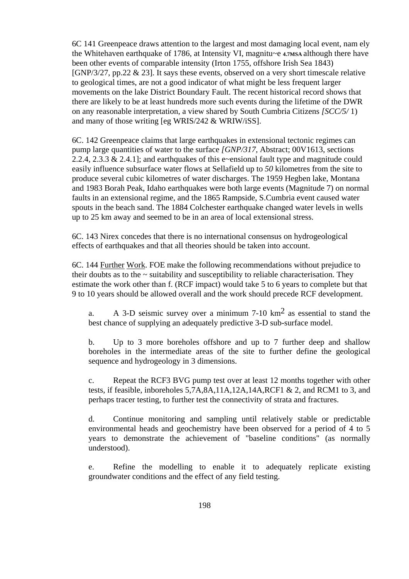6C 141 Greenpeace draws attention to the largest and most damaging local event, nam ely the Whitehaven earthquake of 1786, at Intensity VI, magnitu~e **4.7MSA** although there have been other events of comparable intensity (Irton 1755, offshore Irish Sea 1843) [GNP/3/27, pp.22 & 23]. It says these events, observed on a very short timescale relative to geological times, are not a good indicator of what might be less frequent larger movements on the lake District Boundary Fault. The recent historical record shows that there are likely to be at least hundreds more such events during the lifetime of the DWR on any reasonable interpretation, a view shared by South Cumbria Citizens *[SCC/5/* 1) and many of those writing [eg WRIS/242 & WRIW/iSS].

6C. 142 Greenpeace claims that large earthquakes in extensional tectonic regimes can pump large quantities of water to the surface *[GNP/317,* Abstract; 00V1613, sections 2.2.4, 2.3.3 & 2.4.1]; and earthquakes of this e~ensional fault type and magnitude could easily influence subsurface water flows at Sellafield up to *50* kilometres from the site to produce several cubic kilometres of water discharges. The 1959 Hegben lake, Montana and 1983 Borah Peak, Idaho earthquakes were both large events (Magnitude 7) on normal faults in an extensional regime, and the 1865 Rampside, S.Cumbria event caused water spouts in the beach sand. The 1884 Colchester earthquake changed water levels in wells up to 25 km away and seemed to be in an area of local extensional stress.

6C. 143 Nirex concedes that there is no international consensus on hydrogeological effects of earthquakes and that all theories should be taken into account.

6C. 144 Further Work. FOE make the following recommendations without prejudice to their doubts as to the  $\sim$  suitability and susceptibility to reliable characterisation. They estimate the work other than f. (RCF impact) would take 5 to 6 years to complete but that 9 to 10 years should be allowed overall and the work should precede RCF development.

a. A 3-D seismic survey over a minimum  $7-10 \text{ km}^2$  as essential to stand the best chance of supplying an adequately predictive 3-D sub-surface model.

b. Up to 3 more boreholes offshore and up to 7 further deep and shallow boreholes in the intermediate areas of the site to further define the geological sequence and hydrogeology in 3 dimensions.

c. Repeat the RCF3 BVG pump test over at least 12 months together with other tests, if feasible, inboreholes 5,7A,8A,11A,12A,14A,RCF1 & 2, and RCM1 to 3, and perhaps tracer testing, to further test the connectivity of strata and fractures.

d. Continue monitoring and sampling until relatively stable or predictable environmental heads and geochemistry have been observed for a period of 4 to 5 years to demonstrate the achievement of "baseline conditions" (as normally understood).

e. Refine the modelling to enable it to adequately replicate existing groundwater conditions and the effect of any field testing.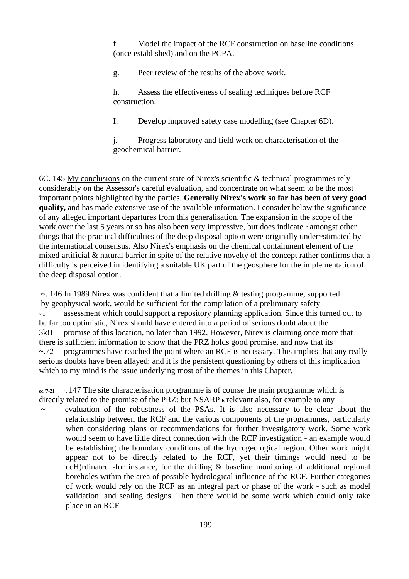f. Model the impact of the RCF construction on baseline conditions (once established) and on the PCPA.

g. Peer review of the results of the above work.

h. Assess the effectiveness of sealing techniques before RCF construction.

I. Develop improved safety case modelling (see Chapter 6D).

j. Progress laboratory and field work on characterisation of the geochemical barrier.

6C. 145 My conclusions on the current state of Nirex's scientific & technical programmes rely considerably on the Assessor's careful evaluation, and concentrate on what seem to be the most important points highlighted by the parties. **Generally Nirex's work so far has been of very good quality,** and has made extensive use of the available information. I consider below the significance of any alleged important departures from this generalisation. The expansion in the scope of the work over the last 5 years or so has also been very impressive, but does indicate ~amongst other things that the practical difficulties of the deep disposal option were originally under~stimated by the international consensus. Also Nirex's emphasis on the chemical containment element of the mixed artificial & natural barrier in spite of the relative novelty of the concept rather confirms that a difficulty is perceived in identifying a suitable UK part of the geosphere for the implementation of the deep disposal option.

~. 146 In 1989 Nirex was confident that a limited drilling & testing programme, supported by geophysical work, would be sufficient for the compilation of a preliminary safety **~.1'** assessment which could support a repository planning application. Since this turned out to be far too optimistic, Nirex should have entered into a period of serious doubt about the 3k!I promise of this location, no later than 1992. However, Nirex is claiming once more that there is sufficient information to show that the PRZ holds good promise, and now that its  $\sim$ .72 programmes have reached the point where an RCF is necessary. This implies that any really serious doubts have been allayed: and it is the persistent questioning by others of this implication which to my mind is the issue underlying most of the themes in this Chapter.

**ec.'7-21 ~.** 147 The site characterisation programme is of course the main programme which is directly related to the promise of the PRZ: but NSARP **is** relevant also, for example to any

evaluation of the robustness of the PSAs. It is also necessary to be clear about the relationship between the RCF and the various components of the programmes, particularly when considering plans or recommendations for further investigatory work. Some work would seem to have little direct connection with the RCF investigation - an example would be establishing the boundary conditions of the hydrogeological region. Other work might appear not to be directly related to the RCF, yet their timings would need to be ccH)rdinated -for instance, for the drilling & baseline monitoring of additional regional boreholes within the area of possible hydrological influence of the RCF. Further categories of work would rely on the RCF as an integral part or phase of the work - such as model validation, and sealing designs. Then there would be some work which could only take place in an RCF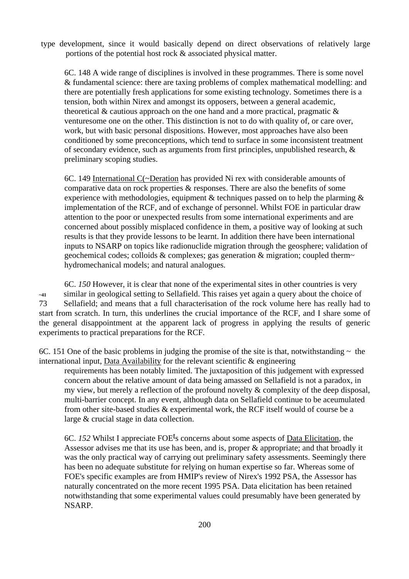type development, since it would basically depend on direct observations of relatively large portions of the potential host rock & associated physical matter.

6C. 148 A wide range of disciplines is involved in these programmes. There is some novel & fundamental science: there are taxing problems of complex mathematical modelling: and there are potentially fresh applications for some existing technology. Sometimes there is a tension, both within Nirex and amongst its opposers, between a general academic, theoretical  $\&$  cautious approach on the one hand and a more practical, pragmatic  $\&$ venturesome one on the other. This distinction is not to do with quality of, or care over, work, but with basic personal dispositions. However, most approaches have also been conditioned by some preconceptions, which tend to surface in some inconsistent treatment of secondary evidence, such as arguments from first principles, unpublished research, & preliminary scoping studies.

6C. 149 International C(~Deration has provided Ni rex with considerable amounts of comparative data on rock properties & responses. There are also the benefits of some experience with methodologies, equipment  $\&$  techniques passed on to help the plarming  $\&$ implementation of the RCF, and of exchange of personnel. Whilst FOE in particular draw attention to the poor or unexpected results from some international experiments and are concerned about possibly misplaced confidence in them, a positive way of looking at such results is that they provide lessons to be learnt. In addition there have been international inputs to NSARP on topics like radionuclide migration through the geosphere; validation of geochemical codes; colloids & complexes; gas generation & migration; coupled therm~ hydromechanical models; and natural analogues.

6C. *150* However, it is clear that none of the experimental sites in other countries is very **~41** similar in geological setting to Sellafield. This raises yet again a query about the choice of 73 Sellafield; and means that a full characterisation of the rock volume here has really had to start from scratch. In turn, this underlines the crucial importance of the RCF, and I share some of the general disappointment at the apparent lack of progress in applying the results of generic experiments to practical preparations for the RCF.

6C. 151 One of the basic problems in judging the promise of the site is that, notwithstanding  $\sim$  the international input, Data Availability for the relevant scientific & engineering

requirements has been notably limited. The juxtaposition of this judgement with expressed concern about the relative amount of data being amassed on Sellafield is not a paradox, in my view, but merely a reflection of the profound novelty & complexity of the deep disposal, multi-barrier concept. In any event, although data on Sellafield continue to be aceumulated from other site-based studies & experimental work, the RCF itself would of course be a large & crucial stage in data collection.

6C. *152* Whilst I appreciate FOEts concerns about some aspects of Data Elicitation, the Assessor advises me that its use has been, and is, proper & appropriate; and that broadly it was the only practical way of carrying out preliminary safety assessments. Seemingly there has been no adequate substitute for relying on human expertise so far. Whereas some of FOE's specific examples are from HMIP's review of Nirex's 1992 PSA, the Assessor has naturally concentrated on the more recent 1995 PSA. Data elicitation has been retained notwithstanding that some experimental values could presumably have been generated by NSARP.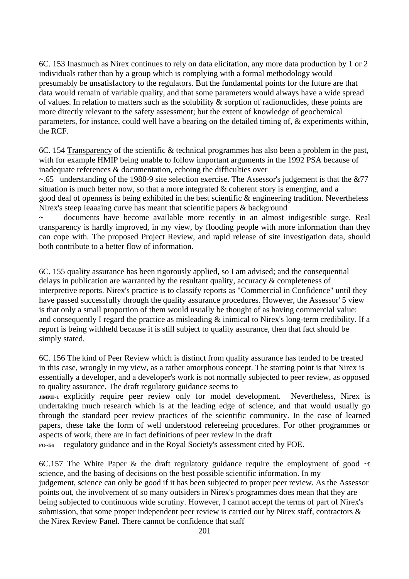6C. 153 Inasmuch as Nirex continues to rely on data elicitation, any more data production by 1 or 2 individuals rather than by a group which is complying with a formal methodology would presumably be unsatisfactory to the regulators. But the fundamental points for the future are that data would remain of variable quality, and that some parameters would always have a wide spread of values. In relation to matters such as the solubility & sorption of radionuclides, these points are more directly relevant to the safety assessment; but the extent of knowledge of geochemical parameters, for instance, could well have a bearing on the detailed timing of, & experiments within, the RCF.

6C. 154 Transparency of the scientific & technical programmes has also been a problem in the past, with for example HMIP being unable to follow important arguments in the 1992 PSA because of inadequate references & documentation, echoing the difficulties over

 $\sim$ .65 understanding of the 1988-9 site selection exercise. The Assessor's judgement is that the &77 situation is much better now, so that a more integrated  $\&$  coherent story is emerging, and a good deal of openness is being exhibited in the best scientific & engineering tradition. Nevertheless Nirex's steep Ieaaaing curve has meant that scientific papers & background

~ documents have become available more recently in an almost indigestible surge. Real transparency is hardly improved, in my view, by flooding people with more information than they can cope with. The proposed Project Review, and rapid release of site investigation data, should both contribute to a better flow of information.

6C. 155 quality assurance has been rigorously applied, so I am advised; and the consequential delays in publication are warranted by the resultant quality, accuracy & completeness of interpretive reports. Nirex's practice is to classify reports as "Commercial in Confidence" until they have passed successfully through the quality assurance procedures. However, the Assessor' 5 view is that only a small proportion of them would usually be thought of as having commercial value: and consequently I regard the practice as misleading & inimical to Nirex's long-term credibility. If a report is being withheld because it is still subject to quality assurance, then that fact should be simply stated.

6C. 156 The kind of Peer Review which is distinct from quality assurance has tended to be treated in this case, wrongly in my view, as a rather amorphous concept. The starting point is that Nirex is essentially a developer, and a developer's work is not normally subjected to peer review, as opposed to quality assurance. The draft regulatory guidance seems to

**JiMPII~1** explicitly require peer review only for model development. Nevertheless, Nirex is undertaking much research which is at the leading edge of science, and that would usually go through the standard peer review practices of the scientific community. In the case of learned papers, these take the form of well understood refereeing procedures. For other programmes or aspects of work, there are in fact definitions of peer review in the draft

**FO~Ii6** regulatory guidance and in the Royal Society's assessment cited by FOE.

6C.157 The White Paper & the draft regulatory guidance require the employment of good  $\sim t$ science, and the basing of decisions on the best possible scientific information. In my judgement, science can only be good if it has been subjected to proper peer review. As the Assessor points out, the involvement of so many outsiders in Nirex's programmes does mean that they are being subjected to continuous wide scrutiny. However, I cannot accept the terms of part of Nirex's submission, that some proper independent peer review is carried out by Nirex staff, contractors & the Nirex Review Panel. There cannot be confidence that staff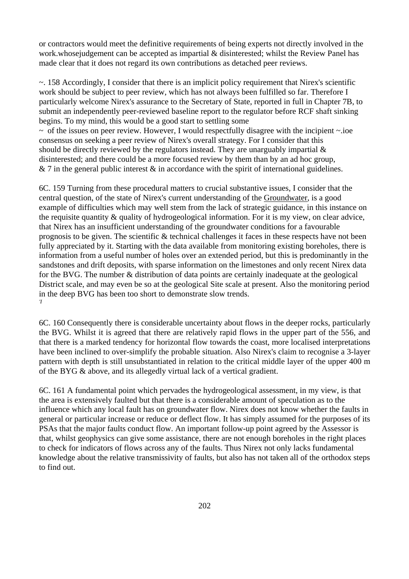or contractors would meet the definitive requirements of being experts not directly involved in the work.whosejudgement can be accepted as impartial & disinterested; whilst the Review Panel has made clear that it does not regard its own contributions as detached peer reviews.

 $\sim$ . 158 Accordingly, I consider that there is an implicit policy requirement that Nirex's scientific work should be subject to peer review, which has not always been fulfilled so far. Therefore I particularly welcome Nirex's assurance to the Secretary of State, reported in full in Chapter 7B, to submit an independently peer-reviewed baseline report to the regulator before RCF shaft sinking begins. To my mind, this would be a good start to settling some  $\sim$  of the issues on peer review. However, I would respectfully disagree with the incipient  $\sim$  ioe consensus on seeking a peer review of Nirex's overall strategy. For I consider that this should be directly reviewed by the regulators instead. They are unarguably impartial & disinterested; and there could be a more focused review by them than by an ad hoc group,  $& 7$  in the general public interest  $& \text{in accordance with the spirit of international guidelines.}$ 

6C. 159 Turning from these procedural matters to crucial substantive issues, I consider that the central question, of the state of Nirex's current understanding of the Groundwater, is a good example of difficulties which may well stem from the lack of strategic guidance, in this instance on the requisite quantity & quality of hydrogeological information. For it is my view, on clear advice, that Nirex has an insufficient understanding of the groundwater conditions for a favourable prognosis to be given. The scientific & technical challenges it faces in these respects have not been fully appreciated by it. Starting with the data available from monitoring existing boreholes, there is information from a useful number of holes over an extended period, but this is predominantly in the sandstones and drift deposits, with sparse information on the limestones and only recent Nirex data for the BVG. The number & distribution of data points are certainly inadequate at the geological District scale, and may even be so at the geological Site scale at present. Also the monitoring period in the deep BVG has been too short to demonstrate slow trends. *'I* 

6C. 160 Consequently there is considerable uncertainty about flows in the deeper rocks, particularly the BVG. Whilst it is agreed that there are relatively rapid flows in the upper part of the 556, and that there is a marked tendency for horizontal flow towards the coast, more localised interpretations have been inclined to over-simplify the probable situation. Also Nirex's claim to recognise a 3-layer pattern with depth is still unsubstantiated in relation to the critical middle layer of the upper 400 m of the BYG & above, and its allegedly virtual lack of a vertical gradient.

6C. 161 A fundamental point which pervades the hydrogeological assessment, in my view, is that the area is extensively faulted but that there is a considerable amount of speculation as to the influence which any local fault has on groundwater flow. Nirex does not know whether the faults in general or particular increase or reduce or deflect flow. It has simply assumed for the purposes of its PSAs that the major faults conduct flow. An important follow-up point agreed by the Assessor is that, whilst geophysics can give some assistance, there are not enough boreholes in the right places to check for indicators of flows across any of the faults. Thus Nirex not only lacks fundamental knowledge about the relative transmissivity of faults, but also has not taken all of the orthodox steps to find out.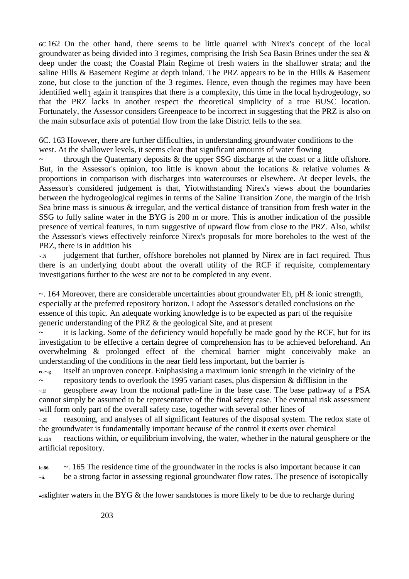6C.162 On the other hand, there seems to be little quarrel with Nirex's concept of the local groundwater as being divided into 3 regimes, comprising the Irish Sea Basin Brines under the sea & deep under the coast; the Coastal Plain Regime of fresh waters in the shallower strata; and the saline Hills & Basement Regime at depth inland. The PRZ appears to be in the Hills & Basement zone, but close to the junction of the 3 regimes. Hence, even though the regimes may have been identified well<sub>1</sub> again it transpires that there is a complexity, this time in the local hydrogeology, so that the PRZ lacks in another respect the theoretical simplicity of a true BUSC location. Fortunately, the Assessor considers Greenpeace to be incorrect in suggesting that the PRZ is also on the main subsurface axis of potential flow from the lake District fells to the sea.

6C. 163 However, there are further difficulties, in understanding groundwater conditions to the west. At the shallower levels, it seems clear that significant amounts of water flowing

 $\sim$  through the Quaternary deposits  $\&$  the upper SSG discharge at the coast or a little offshore. But, in the Assessor's opinion, too little is known about the locations  $\&$  relative volumes  $\&$ proportions in comparison with discharges into watercourses or elsewhere. At deeper levels, the Assessor's considered judgement is that, Yiotwithstanding Nirex's views about the boundaries between the hydrogeological regimes in terms of the Saline Transition Zone, the margin of the Irish Sea brine mass is sinuous  $\&$  irregular, and the vertical distance of transition from fresh water in the SSG to fully saline water in the BYG is 200 m or more. This is another indication of the possible presence of vertical features, in turn suggestive of upward flow from close to the PRZ. Also, whilst the Assessor's views effectively reinforce Nirex's proposals for more boreholes to the west of the PRZ, there is in addition his

**~.7i** judgement that further, offshore boreholes not planned by Nirex are in fact required. Thus there is an underlying doubt about the overall utility of the RCF if requisite, complementary investigations further to the west are not to be completed in any event.

 $\sim$ . 164 Moreover, there are considerable uncertainties about groundwater Eh, pH & ionic strength, especially at the preferred repository horizon. I adopt the Assessor's detailed conclusions on the essence of this topic. An adequate working knowledge is to be expected as part of the requisite generic understanding of the PRZ & the geological Site, and at present

it is lacking. Some of the deficiency would hopefully be made good by the RCF, but for its investigation to be effective a certain degree of comprehension has to be achieved beforehand. An overwhelming & prolonged effect of the chemical barrier might conceivably make an understanding of the conditions in the near field less important, but the barrier is

**ec.~-g** itself an unproven concept. Eniphasising a maximum ionic strength in the vicinity of the  $\sim$  repository tends to overlook the 1995 variant cases, plus dispersion & difflision in the

**~.1!** geosphere away from the notional path-line in the base case. The base pathway of a PSA cannot simply be assumed to be representative of the final safety case. The eventual risk assessment will form only part of the overall safety case, together with several other lines of

**~.2I** reasoning, and analyses of all significant features of the disposal system. The redox state of the groundwater is fundamentally important because of the control it exerts over chemical **ic.124** reactions within, or equilibrium involving, the water, whether in the natural geosphere or the artificial repository.

**ic.86** ~. 165 The residence time of the groundwater in the rocks is also important because it can **~ii.** be a strong factor in assessing regional groundwater flow rates. The presence of isotopically

•**cialighter** waters in the BYG & the lower sandstones is more likely to be due to recharge during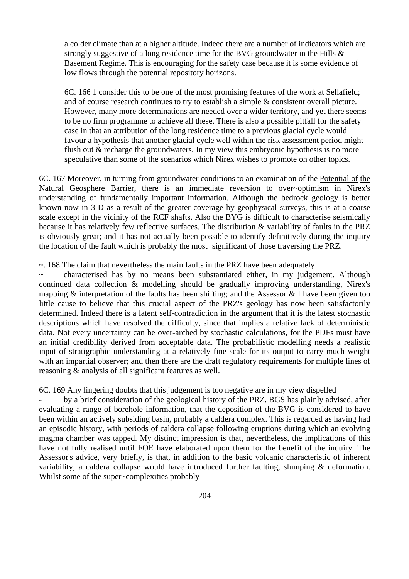a colder climate than at a higher altitude. Indeed there are a number of indicators which are strongly suggestive of a long residence time for the BVG groundwater in the Hills & Basement Regime. This is encouraging for the safety case because it is some evidence of low flows through the potential repository horizons.

6C. 166 1 consider this to be one of the most promising features of the work at Sellafield; and of course research continues to try to establish a simple & consistent overall picture. However, many more determinations are needed over a wider territory, and yet there seems to be no firm programme to achieve all these. There is also a possible pitfall for the safety case in that an attribution of the long residence time to a previous glacial cycle would favour a hypothesis that another glacial cycle well within the risk assessment period might flush out & recharge the groundwaters. In my view this embryonic hypothesis is no more speculative than some of the scenarios which Nirex wishes to promote on other topics.

6C. 167 Moreover, in turning from groundwater conditions to an examination of the Potential of the Natural Geosphere Barrier, there is an immediate reversion to over~optimism in Nirex's understanding of fundamentally important information. Although the bedrock geology is better known now in 3-D as a result of the greater coverage by geophysical surveys, this is at a coarse scale except in the vicinity of the RCF shafts. Also the BYG is difficult to characterise seismically because it has relatively few reflective surfaces. The distribution & variability of faults in the PRZ is obviously great; and it has not actually been possible to identify definitively during the inquiry the location of the fault which is probably the most significant of those traversing the PRZ.

~. 168 The claim that nevertheless the main faults in the PRZ have been adequately

~ characterised has by no means been substantiated either, in my judgement. Although continued data collection & modelling should be gradually improving understanding, Nirex's mapping  $\&$  interpretation of the faults has been shifting; and the Assessor  $\&$  I have been given too little cause to believe that this crucial aspect of the PRZ's geology has now been satisfactorily determined. Indeed there is a latent self-contradiction in the argument that it is the latest stochastic descriptions which have resolved the difficulty, since that implies a relative lack of deterministic data. Not every uncertainty can be over-arched by stochastic calculations, for the PDFs must have an initial credibility derived from acceptable data. The probabilistic modelling needs a realistic input of stratigraphic understanding at a relatively fine scale for its output to carry much weight with an impartial observer; and then there are the draft regulatory requirements for multiple lines of reasoning & analysis of all significant features as well.

6C. 169 Any lingering doubts that this judgement is too negative are in my view dispelled

**<sup>~</sup>**by a brief consideration of the geological history of the PRZ. BGS has plainly advised, after evaluating a range of borehole information, that the deposition of the BVG is considered to have been within an actively subsiding basin, probably a caldera complex. This is regarded as having had an episodic history, with periods of caldera collapse following eruptions during which an evolving magma chamber was tapped. My distinct impression is that, nevertheless, the implications of this have not fully realised until FOE have elaborated upon them for the benefit of the inquiry. The Assessor's advice, very briefly, is that, in addition to the basic volcanic characteristic of inherent variability, a caldera collapse would have introduced further faulting, slumping & deformation. Whilst some of the super~complexities probably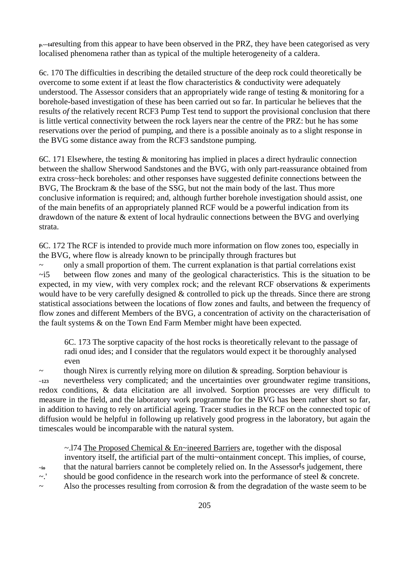**p.~~I4**resulting from this appear to have been observed in the PRZ, they have been categorised as very localised phenomena rather than as typical of the multiple heterogeneity of a caldera.

6c. 170 The difficulties in describing the detailed structure of the deep rock could theoretically be overcome to some extent if at least the flow characteristics & conductivity were adequately understood. The Assessor considers that an appropriately wide range of testing & monitoring for a borehole-based investigation of these has been carried out so far. In particular he believes that the results *of* the relatively recent RCF3 Pump Test tend to support the provisional conclusion that there is little vertical connectivity between the rock layers near the centre of the PRZ: but he has some reservations over the period of pumping, and there is a possible anoinaly as to a slight response in the BVG some distance away from the RCF3 sandstone pumping.

6C. 171 Elsewhere, the testing & monitoring has implied in places a direct hydraulic connection between the shallow Sherwood Sandstones and the BVG, with only part-reassurance obtained from extra cross~heck boreholes: and other responses have suggested definite connections between the BVG, The Brockram & the base of the SSG, but not the main body of the last. Thus more conclusive information is required; and, although further borehole investigation should assist, one of the main benefits of an appropriately planned RCF would be a powerful indication from its drawdown of the nature & extent of local hydraulic connections between the BVG and overlying strata.

6C. 172 The RCF is intended to provide much more information on flow zones too, especially in the BVG, where flow is already known to be principally through fractures but

~ only a small proportion of them. The current explanation is that partial correlations exist  $\sim$ i5 between flow zones and many of the geological characteristics. This is the situation to be expected, in my view, with very complex rock; and the relevant RCF observations & experiments would have to be very carefully designed  $\&$  controlled to pick up the threads. Since there are strong statistical associations between the locations of flow zones and faults, and between the frequency of flow zones and different Members of the BVG, a concentration of activity on the characterisation of the fault systems & on the Town End Farm Member might have been expected.

6C. 173 The sorptive capacity of the host rocks is theoretically relevant to the passage of radi onud ides; and I consider that the regulators would expect it be thoroughly analysed even

~ though Nirex is currently relying more on dilution & spreading. Sorption behaviour is **~123** nevertheless very complicated; and the uncertainties over groundwater regime transitions, redox conditions, & data elicitation are all involved. Sorption processes are very difficult to measure in the field, and the laboratory work programme for the BVG has been rather short so far, in addition to having to rely on artificial ageing. Tracer studies in the RCF on the connected topic of diffusion would be helpful in following up relatively good progress in the laboratory, but again the timescales would be incomparable with the natural system.

 $\sim$ .174 The Proposed Chemical & En $\sim$ ineered Barriers are, together with the disposal inventory itself, the artificial part of the multi~ontainment concept. This implies, of course, **~io** that the natural barriers cannot be completely relied on. In the Assessorts judgement, there ~.' should be good confidence in the research work into the performance of steel & concrete. Also the processes resulting from corrosion  $\&$  from the degradation of the waste seem to be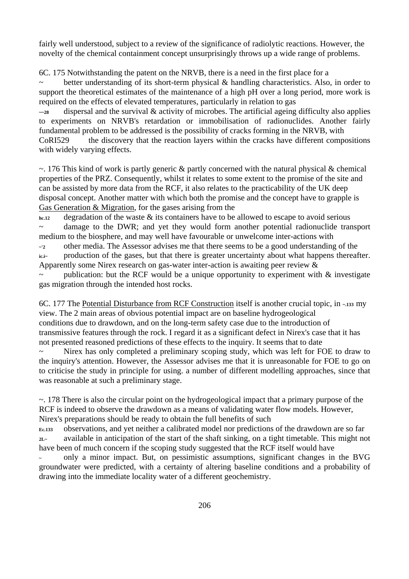fairly well understood, subject to a review of the significance of radiolytic reactions. However, the novelty of the chemical containment concept unsurprisingly throws up a wide range of problems.

6C. 175 Notwithstanding the patent on the NRVB, there is a need in the first place for a

 $\sim$  better understanding of its short-term physical & handling characteristics. Also, in order to support the theoretical estimates of the maintenance of a high pH over a long period, more work is required on the effects of elevated temperatures, particularly in relation to gas

**~~28** dispersal and the survival & activity of microbes. The artificial ageing difficulty also applies to experiments on NRVB's retardation or immobilisation of radionuclides. Another fairly fundamental problem to be addressed is the possibility of cracks forming in the NRVB, with CoRI529 the discovery that the reaction layers within the cracks have different compositions with widely varying effects.

 $\sim$ . 176 This kind of work is partly generic & partly concerned with the natural physical & chemical properties of the PRZ. Consequently, whilst it relates to some extent to the promise of the site and can be assisted by more data from the RCF, it also relates to the practicability of the UK deep disposal concept. Another matter with which both the promise and the concept have to grapple is Gas Generation & Migration, for the gases arising from the

**hc.12** degradation of the waste & its containers have to be allowed to escape to avoid serious ~ damage to the DWR; and yet they would form another potential radionuclide transport medium to the biosphere, and may well have favourable or unwelcome inter-actions with

**~'2** other media. The Assessor advises me that there seems to be a good understanding of the **ic.i~** production of the gases, but that there is greater uncertainty about what happens thereafter. Apparently some Nirex research on gas-water inter-action is awaiting peer review &

publication: but the RCF would be a unique opportunity to experiment with  $\&$  investigate gas migration through the intended host rocks.

6C. 177 The Potential Disturbance from RCF Construction itself is another crucial topic, in **~.133** my view. The 2 main areas of obvious potential impact are on baseline hydrogeological conditions due to drawdown, and on the long-term safety case due to the introduction of transmissive features through the rock. I regard it as a significant defect in Nirex's case that it has not presented reasoned predictions of these effects to the inquiry. It seems that to date

~ Nirex has only completed a preliminary scoping study, which was left for FOE to draw to the inquiry's attention. However, the Assessor advises me that it is unreasonable for FOE to go on to criticise the study in principle for using. a number of different modelling approaches, since that was reasonable at such a preliminary stage.

~. 178 There is also the circular point on the hydrogeological impact that a primary purpose of the RCF is indeed to observe the drawdown as a means of validating water flow models. However, Nirex's preparations should be ready to obtain the full benefits of such

**Ec.133** observations, and yet neither a calibrated model nor predictions of the drawdown are so far **2L~** available in anticipation of the start of the shaft sinking, on a tight timetable. This might not have been of much concern if the scoping study suggested that the RCF itself would have

**<sup>~</sup>**only a minor impact. But, on pessimistic assumptions, significant changes in the BVG groundwater were predicted, with a certainty of altering baseline conditions and a probability of drawing into the immediate locality water of a different geochemistry.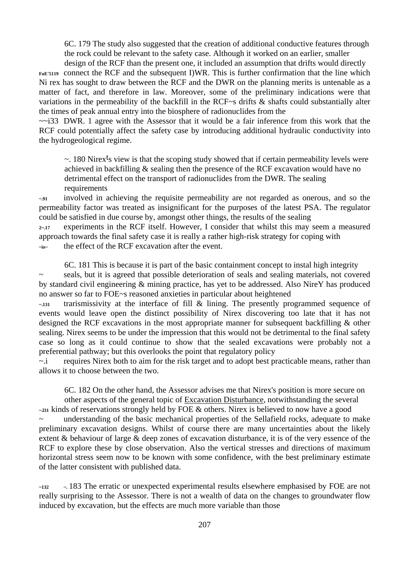6C. 179 The study also suggested that the creation of additional conductive features through the rock could be relevant to the safety case. Although it worked on an earlier, smaller

design of the RCF than the present one, it included an assumption that drifts would directly **FoE'5119** connect the RCF and the subsequent I)WR. This is further confirmation that the line which Ni rex has sought to draw between the RCF and the DWR on the planning merits is untenable as a matter of fact, and therefore in law. Moreover, some of the preliminary indications were that variations in the permeability of the backfill in the RCF~s drifts & shafts could substantially alter the times of peak annual entry into the biosphere of radionuclides from the

~~i33 DWR. 1 agree with the Assessor that it would be a fair inference from this work that the RCF could potentially affect the safety case by introducing additional hydraulic conductivity into the hydrogeological regime.

 $\sim$ . 180 Nirex<sup>t</sup>s view is that the scoping study showed that if certain permeability levels were achieved in backfilling & sealing then the presence of the RCF excavation would have no detrimental effect on the transport of radionuclides from the DWR. The sealing requirements

**~.91** involved in achieving the requisite permeability are not regarded as onerous, and so the permeability factor was treated as insignificant for the purposes of the latest PSA. The regulator could be satisfied in due course by, amongst other things, the results of the sealing

**2~.17** experiments in the RCF itself. However, I consider that whilst this may seem a measured approach towards the final safety case it is really a rather high-risk strategy for coping with **~io~** the effect of the RCF excavation after the event.

6C. 181 This is because it is part of the basic containment concept to instal high integrity

~ seals, but it is agreed that possible deterioration of seals and sealing materials, not covered by standard civil engineering & mining practice, has yet to be addressed. Also NireY has produced no answer so far to FOE~s reasoned anxieties in particular about heightened

**~.131** trarismissivity at the interface of fill & lining. The presently programmed sequence of events would leave open the distinct possibility of Nirex discovering too late that it has not designed the RCF excavations in the most appropriate manner for subsequent backfilling & other sealing. Nirex seems to be under the impression that this would not be detrimental to the final safety case so long as it could continue to show that the sealed excavations were probably not a preferential pathway; but this overlooks the point that regulatory policy

 $\sim$ .i requires Nirex both to aim for the risk target and to adopt best practicable means, rather than allows it to choose between the two.

6C. 182 On the other hand, the Assessor advises me that Nirex's position is more secure on other aspects of the general topic of Excavation Disturbance, notwithstanding the several **~.l31** kinds of reservations strongly held by FOE & others. Nirex is believed to now have a good ~ understanding of the basic mechanical properties of the Sellafield rocks, adequate to make preliminary excavation designs. Whilst of course there are many uncertainties about the likely extent & behaviour of large & deep zones of excavation disturbance, it is of the very essence of the RCF to explore these by close observation. Also the vertical stresses and directions of maximum horizontal stress seem now to be known with some confidence, with the best preliminary estimate of the latter consistent with published data.

**~132 ~.** 183 The erratic or unexpected experimental results elsewhere emphasised by FOE are not really surprising to the Assessor. There is not a wealth of data on the changes to groundwater flow induced by excavation, but the effects are much more variable than those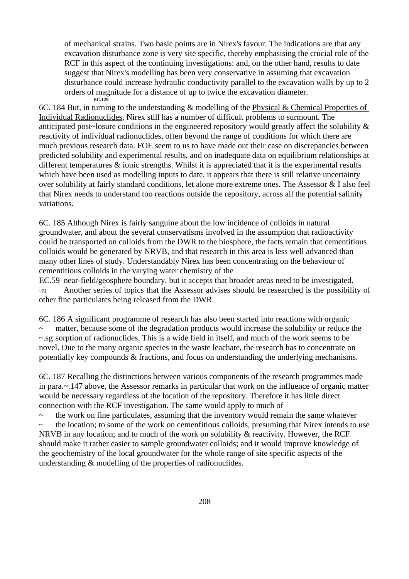of mechanical strains. Two basic points are in Nirex's favour. The indications are that any excavation disturbance zone is very site specific, thereby emphasising the crucial role of the RCF in this aspect of the continuing investigations: and, on the other hand, results to date suggest that Nirex's modelling has been very conservative in assuming that excavation disturbance could increase hydraulic conductivity parallel to the excavation walls by up to 2 orders of magnitude for a distance of up to twice the excavation diameter. **EC** 129

6C. 184 But, in turning to the understanding & modelling of the Physical & Chemical Properties of Individual Radionuclides, Nirex still has a number of difficult problems to surmount. The anticipated post~losure conditions in the engineered repository would greatly affect the solubility & reactivity of individual radionuclides, often beyond the range of conditions for which there are much previous research data. FOE seem to us to have made out their case on discrepancies between predicted solubility and experimental results, and on inadequate data on equilibrium relationships at different temperatures  $\&$  ionic strengths. Whilst it is appreciated that it is the experimental results which have been used as modelling inputs to date, it appears that there is still relative uncertainty over solubility at fairly standard conditions, let alone more extreme ones. The Assessor & I also feel that Nirex needs to understand too reactions outside the repository, across all the potential salinity variations.

6C. 185 Although Nirex is fairly sanguine about the low incidence of colloids in natural groundwater, and about the several conservatisms involved in the assumption that radioactivity could be transported on colloids from the DWR to the biosphere, the facts remain that cementitious colloids would be generated by NRVB, and that research in this area is less well advanced than many other lines of study. Understandably Nirex has been concentrating on the behaviour of cementitious colloids in the varying water chemistry of the

EC.59 near-field/geosphere boundary, but it accepts that broader areas need to be investigated. **~71** Another series of topics that the Assessor advises should be researched is the possibility of other fine particulates being released from the DWR.

6C. 186 A significant programme of research has also been started into reactions with organic ~ matter, because some of the degradation products would increase the solubility or reduce the ~.sg sorption of radionuclides. This is a wide field in itself, and much of the work seems to be novel. Due to the many organic species in the waste leachate, the research has to concentrate on potentially key compounds & fractions, and focus on understanding the underlying mechanisms.

6C. 187 Recalling the distinctions between various components of the research programmes made in para.~.147 above, the Assessor remarks in particular that work on the influence of organic matter would be necessary regardless of the location of the repository. Therefore it has little direct connection with the RCF investigation. The same would apply to much of

 $\sim$  the work on fine particulates, assuming that the inventory would remain the same whatever  $\sim$  the location; to some of the work on cemenfitious colloids, presuming that Nirex intends to use NRVB in any location; and to much of the work on solubility & reactivity. However, the RCF should make it rather easier to sample groundwater colloids; and it would improve knowledge of the geochemistry of the local groundwater for the whole range of site specific aspects of the understanding & modelling of the properties of radionuclides.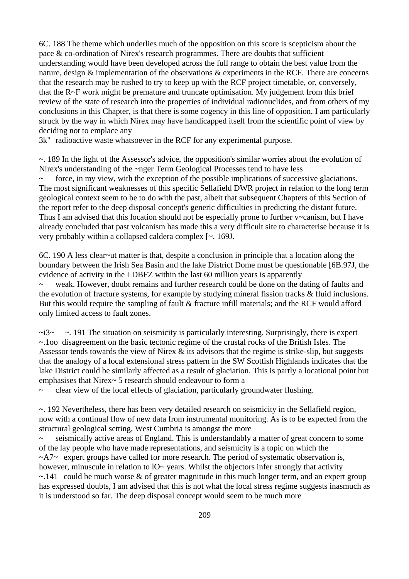6C. 188 The theme which underlies much of the opposition on this score is scepticism about the pace & co-ordination of Nirex's research programmes. There are doubts that sufficient understanding would have been developed across the full range to obtain the best value from the nature, design & implementation of the observations & experiments in the RCF. There are concerns that the research may be rushed to try to keep up with the RCF project timetable, or, conversely, that the R~F work might be premature and truncate optimisation. My judgement from this brief review of the state of research into the properties of individual radionuclides, and from others of my conclusions in this Chapter, is that there is some cogency in this line of opposition. I am particularly struck by the way in which Nirex may have handicapped itself from the scientific point of view by deciding not to emplace any

3k" radioactive waste whatsoever in the RCF for any experimental purpose.

~. 189 In the light of the Assessor's advice, the opposition's similar worries about the evolution of Nirex's understanding of the ~nger Term Geological Processes tend to have less

force, in my view, with the exception of the possible implications of successive glaciations. The most significant weaknesses of this specific Sellafield DWR project in relation to the long term geological context seem to be to do with the past, albeit that subsequent Chapters of this Section of the report refer to the deep disposal concept's generic difficulties in predicting the distant future. Thus I am advised that this location should not be especially prone to further v~canism, but I have already concluded that past volcanism has made this a very difficult site to characterise because it is very probably within a collapsed caldera complex [~. 169J.

6C. 190 A less clear~ut matter is that, despite a conclusion in principle that a location along the boundary between the Irish Sea Basin and the lake District Dome must be questionable [6B.97J, the evidence of activity in the LDBFZ within the last 60 million years is apparently

weak. However, doubt remains and further research could be done on the dating of faults and the evolution of fracture systems, for example by studying mineral fission tracks & fluid inclusions. But this would require the sampling of fault & fracture infill materials; and the RCF would afford only limited access to fault zones.

 $\sim$ i3 $\sim$   $\sim$ . 191 The situation on seismicity is particularly interesting. Surprisingly, there is expert ~.1oo disagreement on the basic tectonic regime of the crustal rocks of the British Isles. The Assessor tends towards the view of Nirex & its advisors that the regime is strike-slip, but suggests that the analogy of a local extensional stress pattern in the SW Scottish Highlands indicates that the lake District could be similarly affected as a result of glaciation. This is partly a locational point but emphasises that Nirex~ 5 research should endeavour to form a

~ clear view of the local effects of glaciation, particularly groundwater flushing.

~. 192 Nevertheless, there has been very detailed research on seismicity in the Sellafield region, now with a continual flow of new data from instrumental monitoring. As is to be expected from the structural geological setting, West Cumbria is amongst the more

seismically active areas of England. This is understandably a matter of great concern to some of the lay people who have made representations, and seismicity is a topic on which the  $\sim$ A7 $\sim$  expert groups have called for more research. The period of systematic observation is, however, minuscule in relation to  $10\sim$  years. Whilst the objectors infer strongly that activity  $\sim$ .141 could be much worse & of greater magnitude in this much longer term, and an expert group has expressed doubts, I am advised that this is not what the local stress regime suggests inasmuch as it is understood so far. The deep disposal concept would seem to be much more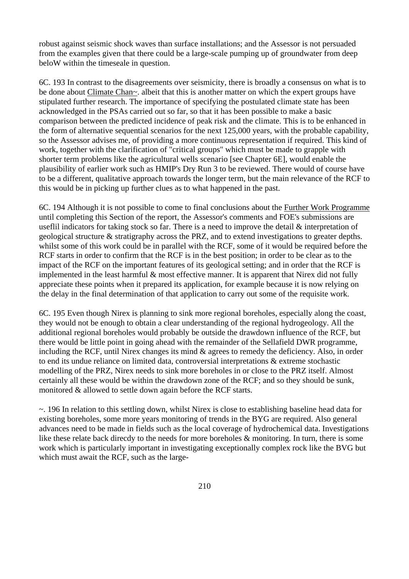robust against seismic shock waves than surface installations; and the Assessor is not persuaded from the examples given that there could be a large-scale pumping up of groundwater from deep beloW within the timeseale in question.

6C. 193 In contrast to the disagreements over seismicity, there is broadly a consensus on what is to be done about Climate Chan~. albeit that this is another matter on which the expert groups have stipulated further research. The importance of specifying the postulated climate state has been acknowledged in the PSAs carried out so far, so that it has been possible to make a basic comparison between the predicted incidence of peak risk and the climate. This is to be enhanced in the form of alternative sequential scenarios for the next 125,000 years, with the probable capability, so the Assessor advises me, of providing a more continuous representation if required. This kind of work, together with the clarification of "critical groups" which must be made to grapple with shorter term problems like the agricultural wells scenario [see Chapter 6E], would enable the plausibility of earlier work such as HMIP's Dry Run 3 to be reviewed. There would of course have to be a different, qualitative approach towards the longer term, but the main relevance of the RCF to this would be in picking up further clues as to what happened in the past.

6C. 194 Although it is not possible to come to final conclusions about the Further Work Programme until completing this Section of the report, the Assessor's comments and FOE's submissions are useflil indicators for taking stock so far. There is a need to improve the detail & interpretation of geological structure & stratigraphy across the PRZ, and to extend investigations to greater depths. whilst some of this work could be in parallel with the RCF, some of it would be required before the RCF starts in order to confirm that the RCF is in the best position; in order to be clear as to the impact of the RCF on the important features of its geological setting; and in order that the RCF is implemented in the least harmful & most effective manner. It is apparent that Nirex did not fully appreciate these points when it prepared its application, for example because it is now relying on the delay in the final determination of that application to carry out some of the requisite work.

6C. 195 Even though Nirex is planning to sink more regional boreholes, especially along the coast, they would not be enough to obtain a clear understanding of the regional hydrogeology. All the additional regional boreholes would probably be outside the drawdown influence of the RCF, but there would be little point in going ahead with the remainder of the Sellafield DWR programme, including the RCF, until Nirex changes its mind & agrees to remedy the deficiency. Also, in order to end its undue reliance on limited data, controversial interpretations & extreme stochastic modelling of the PRZ, Nirex needs to sink more boreholes in or close to the PRZ itself. Almost certainly all these would be within the drawdown zone of the RCF; and so they should be sunk, monitored & allowed to settle down again before the RCF starts.

~. 196 In relation to this settling down, whilst Nirex is close to establishing baseline head data for existing boreholes, some more years monitoring of trends in the BYG are required. Also general advances need to be made in fields such as the local coverage of hydrochemical data. Investigations like these relate back direcdy to the needs for more boreholes & monitoring. In turn, there is some work which is particularly important in investigating exceptionally complex rock like the BVG but which must await the RCF, such as the large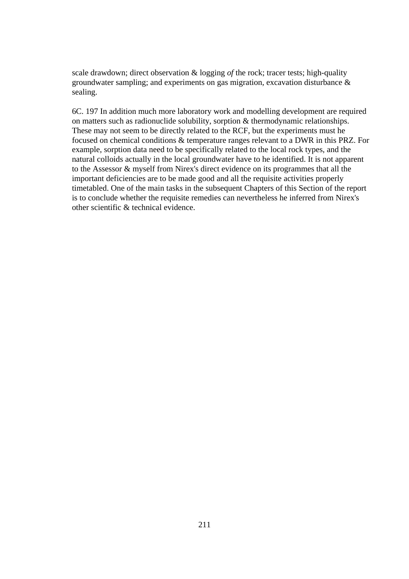scale drawdown; direct observation & logging *of* the rock; tracer tests; high-quality groundwater sampling; and experiments on gas migration, excavation disturbance & sealing.

6C. 197 In addition much more laboratory work and modelling development are required on matters such as radionuclide solubility, sorption & thermodynamic relationships. These may not seem to be directly related to the RCF, but the experiments must he focused on chemical conditions & temperature ranges relevant to a DWR in this PRZ. For example, sorption data need to be specifically related to the local rock types, and the natural colloids actually in the local groundwater have to he identified. It is not apparent to the Assessor & myself from Nirex's direct evidence on its programmes that all the important deficiencies are to be made good and all the requisite activities properly timetabled. One of the main tasks in the subsequent Chapters of this Section of the report is to conclude whether the requisite remedies can nevertheless he inferred from Nirex's other scientific & technical evidence.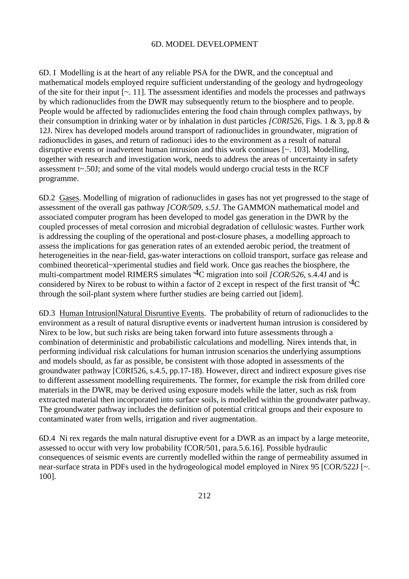## 6D. MODEL DEVELOPMENT

6D. I Modelling is at the heart of any reliable PSA for the DWR, and the conceptual and mathematical models employed require sufficient understanding of the geology and hydrogeology of the site for their input [~. 11]. The assessment identifies and models the processes and pathways by which radionuclides from the DWR may subsequently return to the biosphere and to people. People would be affected by radionuclides entering the food chain through complex pathways, by their consumption in drinking water or by inhalation in dust particles *[C0RI526,* Figs. 1 & 3, pp.8 & 12J. Nirex has developed models around transport of radionuclides in groundwater, migration of radionuclides in gases, and return of radionuci ides to the environment as a result of natural disruptive events or inadvertent human intrusion and this work continues [~. 103]. Modelling, together with research and investigation work, needs to address the areas of uncertainty in safety assessment t~.50J; and some of the vital models would undergo crucial tests in the RCF programme.

6D.2 Gases. Modelling of migration of radionuclides in gases has not yet progressed to the stage of assessment of the overall gas pathway *[COR/509, s.5J.* The GAMMON mathematical model and associated computer program has heen developed to model gas generation in the DWR by the coupled processes of metal corrosion and microbial degradation of cellulosic wastes. Further work is addressing the coupling of the operational and post-closure phases, a modelling approach to assess the implications for gas generation rates of an extended aerobic period, the treatment of heterogeneities in the near-field, gas-water interactions on colloid transport, surface gas release and combined theoretical~xperimental studies and field work. Once gas reaches the biosphere, the multi-compartment model RIMERS simulates '4C migration into soil *[COR/526,* s.4.4J and is considered by Nirex to be robust to within a factor of 2 except in respect of the first transit of  ${}^{4}C$ through the soil-plant system where further studies are being carried out [idem].

6D.3 Human IntrusionlNatural Disruntive Events. The probability of return of radionuclides to the environment as a result of natural disruptive events or inadvertent human intrusion is considered by Nirex to be low, but such risks are being taken forward into future assessments through a combination of deterministic and probabilistic calculations and modelling. Nirex intends that, in performing individual risk calculations for human intrusion scenarios the underlying assumptions and models should, as far as possible, be consistent with those adopted in assessments of the groundwater pathway [C0RI526, s.4.5, pp.17-18). However, direct and indirect exposure gives rise to different assessment modelling requirements. The former, for example the risk from drilled core materials in the DWR, may be derived using exposure models while the latter, such as risk from extracted material then incorporated into surface soils, is modelled within the groundwater pathway. The groundwater pathway includes the definition of potential critical groups and their exposure to contaminated water from wells, irrigation and river augmentation.

6D.4 Ni rex regards the maln natural disruptive event for a DWR as an impact by a large meteorite, assessed to occur with very low probability fCOR/501, para.5.6.16]. Possible hydraulic consequences of seismic events are currently modelled within the range of permeability assumed in near-surface strata in PDFs used in the hydrogeological model employed in Nirex 95 [COR/522J [~. 100].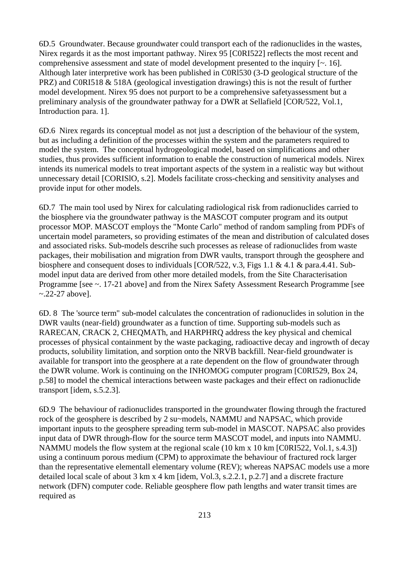6D.5 Groundwater. Because groundwater could transport each of the radionuclides in the wastes, Nirex regards it as the most important pathway. Nirex 95 [C0RI522] reflects the most recent and comprehensive assessment and state of model development presented to the inquiry [~. 16]. Although later interpretive work has been published in C0Rl530 (3-D geological structure of the PRZ) and C0RI518 & 518A (geological investigation drawings) this is not the result of further model development. Nirex 95 does not purport to be a comprehensive safetyassessment but a preliminary analysis of the groundwater pathway for a DWR at Sellafield [COR/522, Vol.1, Introduction para. 1].

6D.6 Nirex regards its conceptual model as not just a description of the behaviour of the system, but as including a definition of the processes within the system and the parameters required to model the system. The conceptual hydrogeological model, based on simplifications and other studies, thus provides sufficient information to enable the construction of numerical models. Nirex intends its numerical models to treat important aspects of the system in a realistic way but without unnecessary detail [CORISlO, s.2]. Models facilitate cross-checking and sensitivity analyses and provide input for other models.

6D.7 The main tool used by Nirex for calculating radiological risk from radionuclides carried to the biosphere via the groundwater pathway is the MASCOT computer program and its output processor MOP. MASCOT employs the "Monte Carlo" method of random sampling from PDFs of uncertain model parameters, so providing estimates of the mean and distribution of calculated doses and associated risks. Sub-models descrihe such processes as release of radionuclides from waste packages, their mobilisation and migration from DWR vaults, transport through the geosphere and biosphere and consequent doses to individuals [COR/522, v.3, Figs 1.1 & 4.1 & para.4.41. Submodel input data are derived from other more detailed models, from the Site Characterisation Programme [see ~. 17-21 above] and from the Nirex Safety Assessment Research Programme [see ~.22-27 above].

6D. 8 The 'source term" sub-model calculates the concentration of radionuclides in solution in the DWR vaults (near-field) groundwater as a function of time. Supporting sub-models such as RARECAN, CRACK 2, CHEQMATh, and HARPHRQ address the key physical and chemical processes of physical containment by the waste packaging, radioactive decay and ingrowth of decay products, solubility limitation, and sorption onto the NRVB backfill. Near-field groundwater is available for transport into the geosphere at a rate dependent on the flow of groundwater through the DWR volume. Work is continuing on the INHOMOG computer program [C0RI529, Box 24, p.58] to model the chemical interactions between waste packages and their effect on radionuclide transport [idem, s.5.2.3].

6D.9 The behaviour of radionuclides transported in the groundwater flowing through the fractured rock of the geosphere is described by 2 su~models, NAMMU and NAPSAC, which provide important inputs to the geosphere spreading term sub-model in MASCOT. NAPSAC also provides input data of DWR through-flow for the source term MASCOT model, and inputs into NAMMU. NAMMU models the flow system at the regional scale (10 km x 10 km [C0RI522, Vol.1, s.4.3]) using a continuum porous medium (CPM) to approximate the behaviour of fractured rock larger than the representative elementall elementary volume (REV); whereas NAPSAC models use a more detailed local scale of about 3 km x 4 km [idem, Vol.3, s.2.2.1, p.2.7] and a discrete fracture network (DFN) computer code. Reliable geosphere flow path lengths and water transit times are required as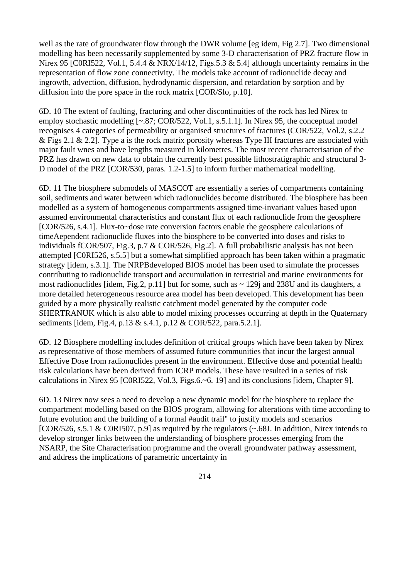well as the rate of groundwater flow through the DWR volume [eg idem, Fig 2.7]. Two dimensional modelling has been necessarily supplemented by some 3-D characterisation of PRZ fracture flow in Nirex 95 [C0RI522, Vol.1, 5.4.4 & NRX/14/12, Figs.5.3 & 5.4] although uncertainty remains in the representation of flow zone connectivity. The models take account of radionuclide decay and ingrowth, advection, diffusion, hydrodynamic dispersion, and retardation by sorption and by diffusion into the pore space in the rock matrix [COR/Slo, p.10].

6D. 10 The extent of faulting, fracturing and other discontinuities of the rock has led Nirex to employ stochastic modelling [~.87; COR/522, Vol.1, s.5.1.1]. In Nirex 95, the conceptual model recognises 4 categories of permeability or organised structures of fractures (COR/522, Vol.2, s.2.2 & Figs 2.1 & 2.2]. Type a is the rock matrix porosity whereas Type III fractures are associated with major fault wnes and have lengths measured in kilometres. The most recent characterisation of the PRZ has drawn on new data to obtain the currently best possible lithostratigraphic and structural 3- D model of the PRZ [COR/530, paras. 1.2-1.5] to inform further mathematical modelling.

6D. 11 The biosphere submodels of MASCOT are essentially a series of compartments containing soil, sediments and water between which radionuclides become distributed. The biosphere has been modelled as a system of homogeneous compartments assigned time-invariant values based upon assumed environmental characteristics and constant flux of each radionuclide from the geosphere [COR/526, s.4.1]. Flux-to~dose rate conversion factors enable the geosphere calculations of timeAependent radionuclide fluxes into the biosphere to be converted into doses and risks to individuals fCOR/507, Fig.3, p.7 & COR/526, Fig.2]. A full probabilistic analysis has not been attempted [C0RI526, s.5.5] but a somewhat simplified approach has been taken within a pragmatic strategy [idem, s.3.1]. The NRPBdeveloped BIOS model has been used to simulate the processes contributing to radionuclide transport and accumulation in terrestrial and marine environments for most radionuclides [idem, Fig.2, p.11] but for some, such as  $\sim$  129j and 238U and its daughters, a more detailed heterogeneous resource area model has been developed. This development has been guided by a more physically realistic catchment model generated by the computer code SHERTRANUK which is also able to model mixing processes occurring at depth in the Quaternary sediments [idem, Fig.4, p.13 & s.4.1, p.12 & COR/522, para.5.2.1].

6D. 12 Biosphere modelling includes definition of critical groups which have been taken by Nirex as representative of those members of assumed future communities that incur the largest annual Effective Dose from radionuclides present in the environment. Effective dose and potential health risk calculations have been derived from ICRP models. These have resulted in a series of risk calculations in Nirex 95 [C0RI522, Vol.3, Figs.6.~6. 19] and its conclusions [idem, Chapter 9].

6D. 13 Nirex now sees a need to develop a new dynamic model for the biosphere to replace the compartment modelling based on the BIOS program, allowing for alterations with time according to future evolution and the building of a formal #audit trail" to justify models and scenarios [COR/526, s.5.1 & C0RI507, p.9] as required by the regulators (~.68J. In addition, Nirex intends to develop stronger links between the understanding of biosphere processes emerging from the NSARP, the Site Characterisation programme and the overall groundwater pathway assessment, and address the implications of parametric uncertainty in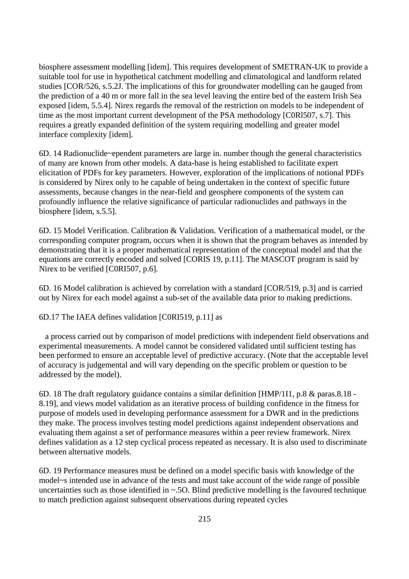biosphere assessment modelling [idem]. This requires development of SMETRAN-UK to provide a suitable tool for use in hypothetical catchment modelling and climatological and landform related studies [COR/526, s.5.2J. The implications of this for groundwater modelling can he gauged from the prediction of a 40 m or more fall in the sea level leaving the entire bed of the eastern Irish Sea exposed [idem, 5.5.4]. Nirex regards the removal of the restriction on models to be independent of time as the most important current development of the PSA methodology [C0Rl507, s.7]. This requires a greatly expanded definition of the system requiring modelling and greater model interface complexity [idem].

6D. 14 Radionuclide~ependent parameters are large in. number though the general characteristics of many are known from other models. A data-base is heing established to facilitate expert elicitation of PDFs for key parameters. However, exploration of the implications of notional PDFs is considered by Nirex only to he capable of being undertaken in the context of specific future assessments, because changes in the near-field and geosphere components of the system can profoundly influence the relative significance of particular radionuclides and pathways in the biosphere [idem, s.5.5].

6D. 15 Model Verification. Calibration & Validation. Verification of a mathematical model, or the corresponding computer program, occurs when it is shown that the program behaves as intended by demonstrating that it is a proper mathematical representation of the conceptual model and that the equations are correctly encoded and solved [CORIS 19, p.11]. The MASCOT program is said by Nirex to be verified [C0RI507, p.6].

6D. 16 Model calibration is achieved by correlation with a standard [COR/519, p.3] and is carried out by Nirex for each model against a sub-set of the available data prior to making predictions.

6D.17 The IAEA defines validation [C0RI519, p.11] as

 a process carried out by comparison of model predictions with independent field observations and experimental measurements. A model cannot be considered validated until sufficient testing has been performed to ensure an acceptable level of predictive accuracy. (Note that the acceptable level of accuracy is judgemental and will vary depending on the specific problem or question to be addressed by the model).

6D. 18 The draft regulatory guidance contains a similar definition [HMP/1I1, p.8 & paras.8.18 - 8.19], and views model validation as an iterative process of building confidence in the fitness for purpose of models used in developing performance assessment for a DWR and in the predictions they make. The process involves testing model predictions against independent observations and evaluating them against a set of performance measures within a peer review framework. Nirex defines validation as a 12 step cyclical process repeated as necessary. It is also used to discriminate between alternative models.

6D. 19 Performance measures must be defined on a model specific basis with knowledge of the model~s intended use in advance of the tests and must take account of the wide range of possible uncertainties such as those identified in  $\sim$  50. Blind predictive modelling is the favoured technique to match prediction against subsequent observations during repeated cycles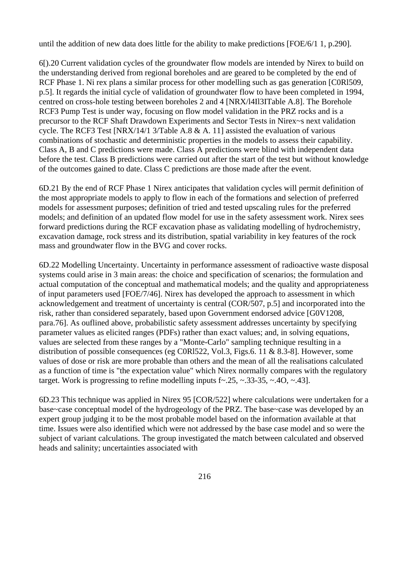until the addition of new data does little for the ability to make predictions [FOE/6/1 1, p.290].

6[).20 Current validation cycles of the groundwater flow models are intended by Nirex to build on the understanding derived from regional boreholes and are geared to be completed by the end of RCF Phase 1. Ni rex plans a similar process for other modelling such as gas generation [C0R1509, p.5]. It regards the initial cycle of validation of groundwater flow to have been completed in 1994, centred on cross-hole testing between boreholes 2 and 4 [NRX/l4Il3ITable A.8]. The Borehole RCF3 Pump Test is under way, focusing on flow model validation in the PRZ rocks and is a precursor to the RCF Shaft Drawdown Experiments and Sector Tests in Nirex~s next validation cycle. The RCF3 Test [NRX/14/1 3/Table A.8 & A. 11] assisted the evaluation of various combinations of stochastic and deterministic properties in the models to assess their capability. Class A, B and C predictions were made. Class A predictions were blind with independent data before the test. Class B predictions were carried out after the start of the test but without knowledge of the outcomes gained to date. Class C predictions are those made after the event.

6D.21 By the end of RCF Phase 1 Nirex anticipates that validation cycles will permit definition of the most appropriate models to apply to flow in each of the formations and selection of preferred models for assessment purposes; definition of tried and tested upscaling rules for the preferred models; and definition of an updated flow model for use in the safety assessment work. Nirex sees forward predictions during the RCF excavation phase as validating modelling of hydrochemistry, excavation damage, rock stress and its distribution, spatial variability in key features of the rock mass and groundwater flow in the BVG and cover rocks.

6D.22 Modelling Uncertainty. Uncertainty in performance assessment of radioactive waste disposal systems could arise in 3 main areas: the choice and specification of scenarios; the formulation and actual computation of the conceptual and mathematical models; and the quality and appropriateness of input parameters used [FOE/7/46]. Nirex has developed the approach to assessment in which acknowledgement and treatment of uncertainty is central (COR/507, p.5] and incorporated into the risk, rather than considered separately, based upon Government endorsed advice [G0V1208, para.76]. As ouflined above, probabilistic safety assessment addresses uncertainty by specifying parameter values as elicited ranges (PDFs) rather than exact values; and, in solving equations, values are selected from these ranges by a "Monte-Carlo" sampling technique resulting in a distribution of possible consequences (eg C0Rl522, Vol.3, Figs.6. 11 & 8.3-8]. However, some values of dose or risk are more probable than others and the mean of all the realisations calculated as a function of time is "the expectation value" which Nirex normally compares with the regulatory target. Work is progressing to refine modelling inputs  $f \sim 25$ ,  $\sim 33-35$ ,  $\sim 40$ ,  $\sim 43$ ].

6D.23 This technique was applied in Nirex 95 [COR/522] where calculations were undertaken for a base~case conceptual model of the hydrogeology of the PRZ. The base~case was developed by an expert group judging it to be the most probable model based on the information available at that time. Issues were also identified which were not addressed by the base case model and so were the subject of variant calculations. The group investigated the match between calculated and observed heads and salinity; uncertainties associated with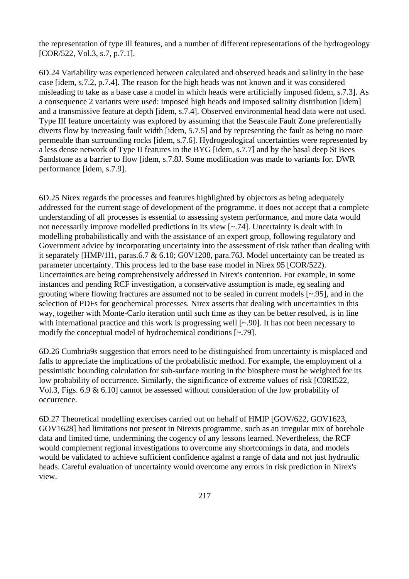the representation of type ill features, and a number of different representations of the hydrogeology [COR/522, Vol.3, s.7, p.7.1].

6D.24 Variability was experienced between calculated and observed heads and salinity in the base case [idem, s.7.2, p.7.4]. The reason for the high heads was not known and it was considered misleading to take as a base case a model in which heads were artificially imposed fidem, s.7.3]. As a consequence 2 variants were used: imposed high heads and imposed salinity distribution [idem] and a transmissive feature at depth [idem, s.7.4]. Observed environmental head data were not used. Type III feature uncertainty was explored by assuming that the Seascale Fault Zone preferentially diverts flow by increasing fault width [idem, 5.7.5] and by representing the fault as being no more permeable than surrounding rocks [idem, s.7.6]. Hydrogeological uncertainties were represented by a less dense network of Type II features in the BYG [idem, s.7.7] and by the basal deep St Bees Sandstone as a barrier to flow [idem, s.7.8J. Some modification was made to variants for. DWR performance [idem, s.7.9].

6D.25 Nirex regards the processes and features highlighted by objectors as being adequately addressed for the current stage of development of the programme. it does not accept that a complete understanding of all processes is essential to assessing system performance, and more data would not necessarily improve modelled predictions in its view [~.74]. Uncertainty is dealt with in modelling probabilistically and with the assistance of an expert group, following regulatory and Government advice by incorporating uncertainty into the assessment of risk rather than dealing with it separately [HMP/1l1, paras.6.7 & 6.10; G0V1208, para.76J. Model uncertainty can be treated as parameter uncertainty. This process led to the base ease model in Nirex 95 [COR/522). Uncertainties are being comprehensively addressed in Nirex's contention. For example, in some instances and pending RCF investigation, a conservative assumption is made, eg sealing and grouting where flowing fractures are assumed not to be sealed in current models [~.95], and in the selection of PDFs for geochemical processes. Nirex asserts that dealing with uncertainties in this way, together with Monte-Carlo iteration until such time as they can be better resolved, is in line with international practice and this work is progressing well [~.90]. It has not been necessary to modify the conceptual model of hydrochemical conditions [~.79].

6D.26 Cumbria9s suggestion that errors need to be distinguished from uncertainty is misplaced and falls to appreciate the implications of the probabilistic method. For example, the employment of a pessimistic bounding calculation for sub-surface routing in the biosphere must be weighted for its low probability of occurrence. Similarly, the significance of extreme values of risk [C0RI522, Vol.3, Figs. 6.9 & 6.10] cannot be assessed without consideration of the low probability of occurrence.

6D.27 Theoretical modelling exercises carried out on hehalf of HMIP [GOV/622, GOV1623, GOV1628] had limitations not present in Nirexts programme, such as an irregular mix of borehole data and limited time, undermining the cogency of any lessons learned. Nevertheless, the RCF would complement regional investigations to overcome any shortcomings in data, and models would be validated to achieve sufficient confidence agalnst a range of data and not just hydraulic heads. Careful evaluation of uncertainty would overcome any errors in risk prediction in Nirex's view.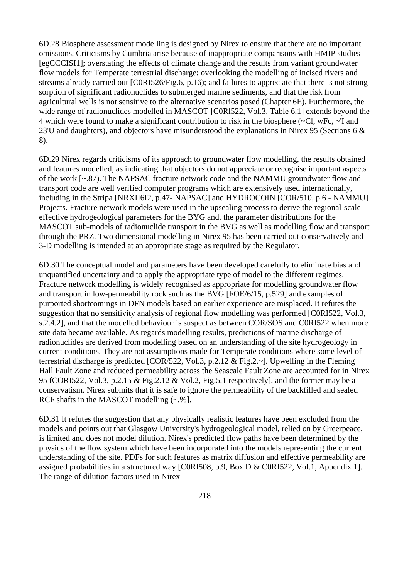6D.28 Biosphere assessment modelling is designed by Nirex to ensure that there are no important omissions. Criticisms by Cumbria arise because of inappropriate comparisons with HMIP studies [egCCCISI1]; overstating the effects of climate change and the results from variant groundwater flow models for Temperate terrestrial discharge; overlooking the modelling of incised rivers and streams already carried out [C0RI526/Fig.6, p.16); and failures to appreciate that there is not strong sorption of significant radionuclides to submerged marine sediments, and that the risk from agricultural wells is not sensitive to the alternative scenarios posed (Chapter 6E). Furthermore, the wide range of radionuclides modelled in MASCOT [C0R1522, Vol.3, Table 6.1] extends beyond the 4 which were found to make a significant contribution to risk in the biosphere (~Cl, wFc, ~'I and 23'U and daughters), and objectors have misunderstood the explanations in Nirex 95 (Sections 6  $\&$ 8).

6D.29 Nirex regards criticisms of its approach to groundwater flow modelling, the results obtained and features modelled, as indicating that objectors do not appreciate or recognise important aspects of the work [~.87). The NAPSAC fracture network code and the NAMMU groundwater flow and transport code are well verified computer programs which are extensively used internationally, including in the Stripa [NRXII6I2, p.47- NAPSAC] and HYDROCOIN [COR/510, p.6 - NAMMU] Projects. Fracture network models were used in the upsealing process to derive the regional-scale effective hydrogeological parameters for the BYG and. the parameter distributions for the MASCOT sub-models of radionuclide transport in the BVG as well as modelling flow and transport through the PRZ. Two dimensional modelling in Nirex 95 has been carried out conservatively and 3-D modelling is intended at an appropriate stage as required by the Regulator.

6D.30 The conceptual model and parameters have been developed carefully to eliminate bias and unquantified uncertainty and to apply the appropriate type of model to the different regimes. Fracture network modelling is widely recognised as appropriate for modelling groundwater flow and transport in low-permeability rock such as the BVG [FOE/6/15, p.529] and examples of purported shortcomings in DFN models based on earlier experience are misplaced. It refutes the suggestion that no sensitivity analysis of regional flow modelling was performed [C0RI522, Vol.3, s.2.4.2], and that the modelled behaviour is suspect as between COR/SOS and C0RI522 when more site data became available. As regards modelling results, predictions of marine discharge of radionuclides are derived from modelling based on an understanding of the site hydrogeology in current conditions. They are not assumptions made for Temperate conditions where some level of terrestrial discharge is predicted [COR/522, Vol.3, p.2.12 & Fig.2.~]. Upwelling in the Fleming Hall Fault Zone and reduced permeability across the Seascale Fault Zone are accounted for in Nirex 95 fCORI522, Vol.3, p.2.15 & Fig.2.12 & Vol.2, Fig.5.1 respectively], and the former may be a conservatism. Nirex submits that it is safe to ignore the permeability of the backfilled and sealed RCF shafts in the MASCOT modelling  $(\sim$ .%].

6D.31 It refutes the suggestion that any physically realistic features have been excluded from the models and points out that Glasgow University's hydrogeological model, relied on by Greerpeace, is limited and does not model dilution. Nirex's predicted flow paths have been determined by the physics of the flow system which have been incorporated into the models representing the current understanding of the site. PDFs for such features as matrix diffusion and effective permeability are assigned probabilities in a structured way [C0RI508, p.9, Box D & C0RI522, Vol.1, Appendix 1]. The range of dilution factors used in Nirex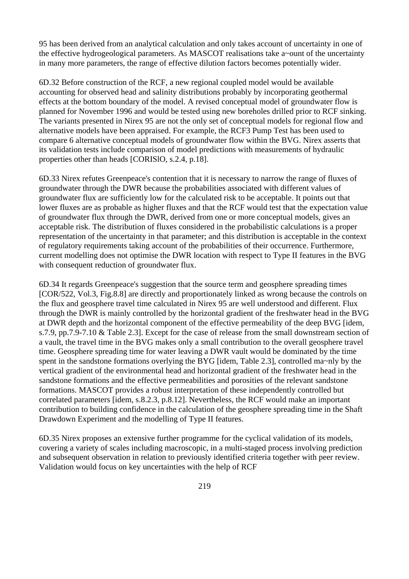95 has been derived from an analytical calculation and only takes account of uncertainty in one of the effective hydrogeological parameters. As MASCOT realisations take a~ount of the uncertainty in many more parameters, the range of effective dilution factors becomes potentially wider.

6D.32 Before construction of the RCF, a new regional coupled model would be available accounting for observed head and salinity distributions probably by incorporating geothermal effects at the bottom boundary of the model. A revised conceptual model of groundwater flow is planned for November 1996 and would be tested using new boreholes drilled prior to RCF sinking. The variants presented in Nirex 95 are not the only set of conceptual models for regional flow and alternative models have been appraised. For example, the RCF3 Pump Test has been used to compare 6 alternative conceptual models of groundwater flow within the BVG. Nirex asserts that its validation tests include comparison of model predictions with measurements of hydraulic properties other than heads [CORISlO, s.2.4, p.18].

6D.33 Nirex refutes Greenpeace's contention that it is necessary to narrow the range of fluxes of groundwater through the DWR because the probabilities associated with different values of groundwater flux are sufficiently low for the calculated risk to be acceptable. It points out that lower fluxes are as probable as higher fluxes and that the RCF would test that the expectation value of groundwater flux through the DWR, derived from one or more conceptual models, gives an acceptable risk. The distribution of fluxes considered in the probabilistic calculations is a proper representation of the uncertainty in that parameter; and this distribution is acceptable in the context of regulatory requirements taking account of the probabilities of their occurrence. Furthermore, current modelling does not optimise the DWR location with respect to Type II features in the BVG with consequent reduction of groundwater flux.

6D.34 It regards Greenpeace's suggestion that the source term and geosphere spreading times [COR/522, Vol.3, Fig.8.8] are directly and proportionately linked as wrong because the controls on the flux and geosphere travel time calculated in Nirex 95 are well understood and different. Flux through the DWR is mainly controlled by the horizontal gradient of the freshwater head in the BVG at DWR depth and the horizontal component of the effective permeability of the deep BVG [idem, s.7.9, pp.7.9-7.10 & Table 2.3]. Except for the case of release from the small downstream section of a vault, the travel time in the BVG makes only a small contribution to the overall geosphere travel time. Geosphere spreading time for water leaving a DWR vault would be dominated by the time spent in the sandstone formations overlying the BYG [idem, Table 2.3], controlled ma~nly by the vertical gradient of the environmental head and horizontal gradient of the freshwater head in the sandstone formations and the effective permeabilities and porosities of the relevant sandstone formations. MASCOT provides a robust interpretation of these independently controlled but correlated parameters [idem, s.8.2.3, p.8.12]. Nevertheless, the RCF would make an important contribution to building confidence in the calculation of the geosphere spreading time in the Shaft Drawdown Experiment and the modelling of Type II features.

6D.35 Nirex proposes an extensive further programme for the cyclical validation of its models, covering a variety of scales including macroscopic, in a multi-staged process involving prediction and subsequent observation in relation to previously identified criteria together with peer review. Validation would focus on key uncertainties with the help of RCF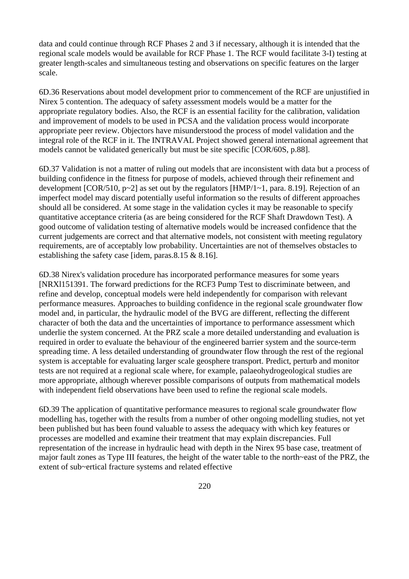data and could continue through RCF Phases 2 and 3 if necessary, although it is intended that the regional scale models would be available for RCF Phase 1. The RCF would facilitate 3-I) testing at greater length-scales and simultaneous testing and observations on specific features on the larger scale.

6D.36 Reservations about model development prior to commencement of the RCF are unjustified in Nirex 5 contention. The adequacy of safety assessment models would be a matter for the appropriate regulatory bodies. Also, the RCF is an essential facility for the calibration, validation and improvement of models to be used in PCSA and the validation process would incorporate appropriate peer review. Objectors have misunderstood the process of model validation and the integral role of the RCF in it. The INTRAVAL Project showed general international agreement that models cannot be validated generically but must be site specific [COR/60S, p.88].

6D.37 Validation is not a matter of ruling out models that are inconsistent with data but a process of building confidence in the fitness for purpose of models, achieved through their refinement and development  $[COR/510, p-2]$  as set out by the regulators  $[HMP/1-1, para. 8.19]$ . Rejection of an imperfect model may discard potentially useful information so the results of different approaches should all be considered. At some stage in the validation cycles it may be reasonable to specify quantitative acceptance criteria (as are being considered for the RCF Shaft Drawdown Test). A good outcome of validation testing of alternative models would be increased confidence that the current judgements are correct and that alternative models, not consistent with meeting regulatory requirements, are of acceptably low probability. Uncertainties are not of themselves obstacles to establishing the safety case [idem, paras.8.15 & 8.16].

6D.38 Nirex's validation procedure has incorporated performance measures for some years [NRXl151391. The forward predictions for the RCF3 Pump Test to discriminate between, and refine and develop, conceptual models were held independently for comparison with relevant performance measures. Approaches to building confidence in the regional scale groundwater flow model and, in particular, the hydraulic model of the BVG are different, reflecting the different character of both the data and the uncertainties of importance to performance assessment which underlie the system concerned. At the PRZ scale a more detailed understanding and evaluation is required in order to evaluate the behaviour of the engineered barrier system and the source-term spreading time. A less detailed understanding of groundwater flow through the rest of the regional system is acceptable for evaluating larger scale geosphere transport. Predict, perturb and monitor tests are not required at a regional scale where, for example, palaeohydrogeological studies are more appropriate, although wherever possible comparisons of outputs from mathematical models with independent field observations have been used to refine the regional scale models.

6D.39 The application of quantitative performance measures to regional scale groundwater flow modelling has, together with the results from a number of other ongoing modelling studies, not yet been published but has been found valuable to assess the adequacy with which key features or processes are modelled and examine their treatment that may explain discrepancies. Full representation of the increase in hydraulic head with depth in the Nirex 95 base case, treatment of major fault zones as Type III features, the height of the water table to the north~east of the PRZ, the extent of sub~ertical fracture systems and related effective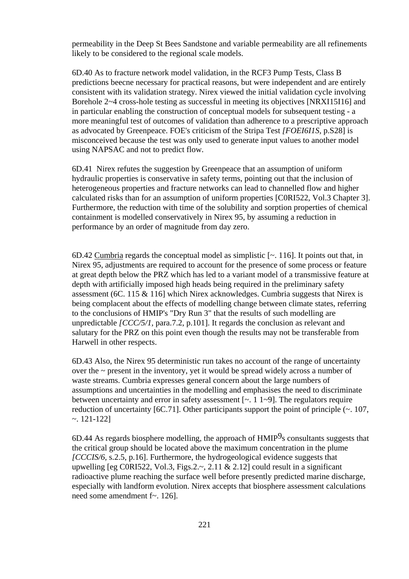permeability in the Deep St Bees Sandstone and variable permeability are all refinements likely to be considered to the regional scale models.

6D.40 As to fracture network model validation, in the RCF3 Pump Tests, Class B predictions beecne necessary for practical reasons, but were independent and are entirely consistent with its validation strategy. Nirex viewed the initial validation cycle involving Borehole 2~4 cross-hole testing as successful in meeting its objectives [NRXI15I16] and in particular enabling the construction of conceptual models for subsequent testing - a more meaningful test of outcomes of validation than adherence to a prescriptive approach as advocated by Greenpeace. FOE's criticism of the Stripa Test *[FOEI6I1S,* p.S28] is misconceived because the test was only used to generate input values to another model using NAPSAC and not to predict flow.

6D.41 Nirex refutes the suggestion by Greenpeace that an assumption of uniform hydraulic properties is conservative in safety terms, pointing out that the inclusion of heterogeneous properties and fracture networks can lead to channelled flow and higher calculated risks than for an assumption of uniform properties [C0RI522, Vol.3 Chapter 3]. Furthermore, the reduction with time of the solubility and sorption properties of chemical containment is modelled conservatively in Nirex 95, by assuming a reduction in performance by an order of magnitude from day zero.

6D.42 Cumbria regards the conceptual model as simplistic [~. 116]. It points out that, in Nirex 95, adjustments are required to account for the presence of some process or feature at great depth below the PRZ which has led to a variant model of a transmissive feature at depth with artificially imposed high heads being required in the preliminary safety assessment (6C. 115 & 116] which Nirex acknowledges. Cumbria suggests that Nirex is being complacent about the effects of modelling change between climate states, referring to the conclusions of HMIP's "Dry Run 3" that the results of such modelling are unpredictable *[CCC/5/1,* para.7.2, p.101]. It regards the conclusion as relevant and salutary for the PRZ on this point even though the results may not be transferable from Harwell in other respects.

6D.43 Also, the Nirex 95 deterministic run takes no account of the range of uncertainty over the  $\sim$  present in the inventory, yet it would be spread widely across a number of waste streams. Cumbria expresses general concern about the large numbers of assumptions and uncertainties in the modelling and emphasises the need to discriminate between uncertainty and error in safety assessment  $\lceil \sim 1 \rceil$  1  $\sim$ 9. The regulators require reduction of uncertainty [6C.71]. Other participants support the point of principle  $(\sim 107,$  $\sim$ . 121-1221

6D.44 As regards biosphere modelling, the approach of  $HMIP<sup>9</sup>s$  consultants suggests that the critical group should be located above the maximum concentration in the plume *[CCCIS/6,* s.2.5, p.16]. Furthermore, the hydrogeological evidence suggests that upwelling  $[eg \text{ CORI}522, \text{Vol}.3, \text{Figs}.2, \sim 2.11 \& 2.12]$  could result in a significant radioactive plume reaching the surface well before presently predicted marine discharge, especially with landform evolution. Nirex accepts that biosphere assessment calculations need some amendment f~. 126].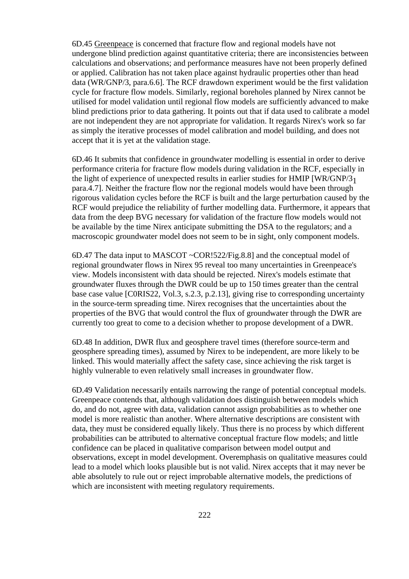6D.45 Greenpeace is concerned that fracture flow and regional models have not undergone blind prediction against quantitative criteria; there are inconsistencies between calculations and observations; and performance measures have not been properly defined or applied. Calibration has not taken place against hydraulic properties other than head data (WR/GNP/3, para.6.6]. The RCF drawdown experiment would be the first validation cycle for fracture flow models. Similarly, regional boreholes planned by Nirex cannot be utilised for model validation until regional flow models are sufficiently advanced to make blind predictions prior to data gathering. It points out that if data used to calibrate a model are not independent they are not appropriate for validation. It regards Nirex's work so far as simply the iterative processes of model calibration and model building, and does not accept that it is yet at the validation stage.

6D.46 It submits that confidence in groundwater modelling is essential in order to derive performance criteria for fracture flow models during validation in the RCF, especially in the light of experience of unexpected results in earlier studies for HMIP [WR/GNP/31 para.4.7]. Neither the fracture flow nor the regional models would have been through rigorous validation cycles before the RCF is built and the large perturbation caused by the RCF would prejudice the reliability of further modelling data. Furthermore, it appears that data from the deep BVG necessary for validation of the fracture flow models would not be available by the time Nirex anticipate submitting the DSA to the regulators; and a macroscopic groundwater model does not seem to be in sight, only component models.

6D.47 The data input to MASCOT ~COR!522/Fig.8.8] and the conceptual model of regional groundwater flows in Nirex 95 reveal too many uncertainties in Greenpeace's view. Models inconsistent with data should be rejected. Nirex's models estimate that groundwater fluxes through the DWR could be up to 150 times greater than the central base case value [C0RIS22, Vol.3, s.2.3, p.2.13], giving rise to corresponding uncertainty in the source-term spreading time. Nirex recognises that the uncertainties about the properties of the BVG that would control the flux of groundwater through the DWR are currently too great to come to a decision whether to propose development of a DWR.

6D.48 In addition, DWR flux and geosphere travel times (therefore source-term and geosphere spreading times), assumed by Nirex to be independent, are more likely to be linked. This would materially affect the safety case, since achieving the risk target is highly vulnerable to even relatively small increases in groundwater flow.

6D.49 Validation necessarily entails narrowing the range of potential conceptual models. Greenpeace contends that, although validation does distinguish between models which do, and do not, agree with data, validation cannot assign probabilities as to whether one model is more realistic than another. Where alternative descriptions are consistent with data, they must be considered equally likely. Thus there is no process by which different probabilities can be attributed to alternative conceptual fracture flow models; and little confidence can be placed in qualitative comparison between model output and observations, except in model development. Overemphasis on qualitative measures could lead to a model which looks plausible but is not valid. Nirex accepts that it may never be able absolutely to rule out or reject improbable alternative models, the predictions of which are inconsistent with meeting regulatory requirements.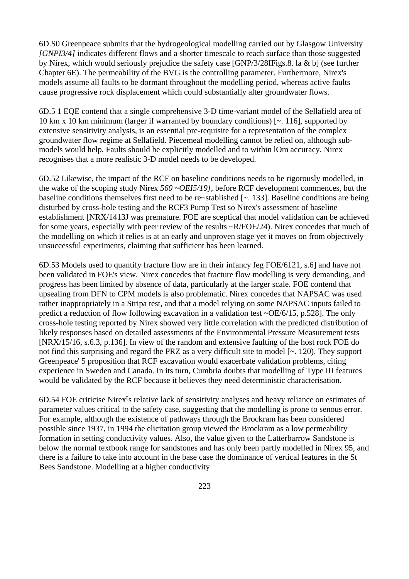6D.S0 Greenpeace submits that the hydrogeological modelling carried out by Glasgow University *[GNPI3/4]* indicates different flows and a shorter timescale to reach surface than those suggested by Nirex, which would seriously prejudice the safety case [GNP/3/28IFigs.8. la & b] (see further Chapter 6E). The permeability of the BVG is the controlling parameter. Furthermore, Nirex's models assume all faults to be dormant throughout the modelling period, whereas active faults cause progressive rock displacement which could substantially alter groundwater flows.

6D.5 1 EQE contend that a single comprehensive 3-D time-variant model of the Sellafield area of 10 km x 10 km minimum (larger if warranted by boundary conditions) [~. 116], supported by extensive sensitivity analysis, is an essential pre-requisite for a representation of the complex groundwater flow regime at Sellafield. Piecemeal modelling cannot be relied on, although submodels would help. Faults should be explicitly modelled and to within lOm accuracy. Nirex recognises that a more realistic 3-D model needs to be developed.

6D.52 Likewise, the impact of the RCF on baseline conditions needs to be rigorously modelled, in the wake of the scoping study Nirex *560 ~OEI5/19],* before RCF development commences, but the baseline conditions themselves first need to be re~stablished [~. 133]. Baseline conditions are being disturbed by cross-hole testing and the RCF3 Pump Test so Nirex's assessment of baseline establishment [NRX/1413J was premature. FOE are sceptical that model validation can be achieved for some years, especially with peer review of the results ~R/FOE/24). Nirex concedes that much of the modelling on which it relies is at an early and unproven stage yet it moves on from objectively unsuccessful experiments, claiming that sufficient has been learned.

6D.53 Models used to quantify fracture flow are in their infancy feg FOE/6121, s.6] and have not been validated in FOE's view. Nirex concedes that fracture flow modelling is very demanding, and progress has been limited by absence of data, particularly at the larger scale. FOE contend that upsealing from DFN to CPM models is also problematic. Nirex concedes that NAPSAC was used rather inappropriately in a Stripa test, and that a model relying on some NAPSAC inputs failed to predict a reduction of flow following excavation in a validation test ~OE/6/15, p.528]. The only cross-hole testing reported by Nirex showed very little correlation with the predicted distribution of likely responses based on detailed assessments of the Environmental Pressure Measurement tests [NRX/15/16, s.6.3, p.136]. In view of the random and extensive faulting of the host rock FOE do not find this surprising and regard the PRZ as a very difficult site to model [~. 120). They support Greenpeace' 5 proposition that RCF excavation would exacerbate validation problems, citing experience in Sweden and Canada. In its turn, Cumbria doubts that modelling of Type III features would be validated by the RCF because it believes they need deterministic characterisation.

6D.54 FOE criticise Nirexts relative lack of sensitivity analyses and heavy reliance on estimates of parameter values critical to the safety case, suggesting that the modelling is prone to senous error. For example, although the existence of pathways through the Brockram has been considered possible since 1937, in 1994 the elicitation group viewed the Brockram as a low permeability formation in setting conductivity values. Also, the value given to the Latterbarrow Sandstone is below the normal textbook range for sandstones and has only been partly modelled in Nirex 95, and there is a failure to take into account in the base case the dominance of vertical features in the St Bees Sandstone. Modelling at a higher conductivity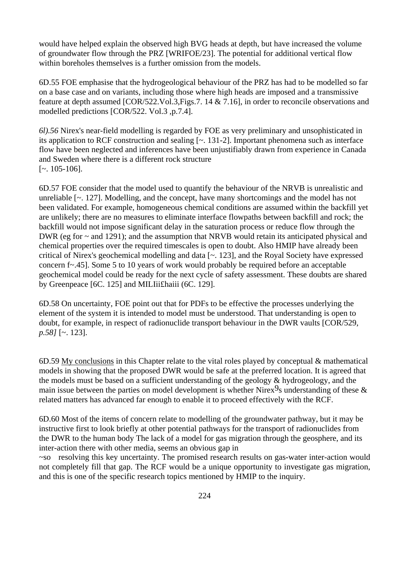would have helped explain the observed high BVG heads at depth, but have increased the volume of groundwater flow through the PRZ [WRIFOE/23]. The potential for additional vertical flow within boreholes themselves is a further omission from the models.

6D.55 FOE emphasise that the hydrogeological behaviour of the PRZ has had to be modelled so far on a base case and on variants, including those where high heads are imposed and a transmissive feature at depth assumed [COR/522.Vol.3,Figs.7. 14 & 7.16], in order to reconcile observations and modelled predictions [COR/522. Vol.3 ,p.7.4].

*6l).56* Nirex's near-field modelling is regarded by FOE as very preliminary and unsophisticated in its application to RCF construction and sealing [~. 131-2]. Important phenomena such as interface flow have been neglected and inferences have been unjustifiably drawn from experience in Canada and Sweden where there is a different rock structure  $[\sim 105 - 106]$ .

6D.57 FOE consider that the model used to quantify the behaviour of the NRVB is unrealistic and unreliable [~. 127]. Modelling, and the concept, have many shortcomings and the model has not been validated. For example, homogeneous chemical conditions are assumed within the backfill yet are unlikely; there are no measures to eliminate interface flowpaths between backfill and rock; the backfill would not impose significant delay in the saturation process or reduce flow through the DWR (eg for  $\sim$  and 1291); and the assumption that NRVB would retain its anticipated physical and chemical properties over the required timescales is open to doubt. Also HMIP have already been critical of Nirex's geochemical modelling and data [~. 123], and the Royal Society have expressed concern f~.45]. Some 5 to 10 years of work would probably be required before an acceptable geochemical model could be ready for the next cycle of safety assessment. These doubts are shared by Greenpeace [6C. 125] and MILIii£haiii (6C. 129].

6D.58 On uncertainty, FOE point out that for PDFs to be effective the processes underlying the element of the system it is intended to model must be understood. That understanding is open to doubt, for example, in respect of radionuclide transport behaviour in the DWR vaults [COR/529, *p.58]* [~. 123].

6D.59 My conclusions in this Chapter relate to the vital roles played by conceptual & mathematical models in showing that the proposed DWR would be safe at the preferred location. It is agreed that the models must be based on a sufficient understanding of the geology & hydrogeology, and the main issue between the parties on model development is whether Nirex<sup>9</sup>s understanding of these  $\&$ related matters has advanced far enough to enable it to proceed effectively with the RCF.

6D.60 Most of the items of concern relate to modelling of the groundwater pathway, but it may be instructive first to look briefly at other potential pathways for the transport of radionuclides from the DWR to the human body The lack of a model for gas migration through the geosphere, and its inter-action there with other media, seems an obvious gap in

~so resolving this key uncertainty. The promised research results on gas-water inter-action would not completely fill that gap. The RCF would be a unique opportunity to investigate gas migration, and this is one of the specific research topics mentioned by HMIP to the inquiry.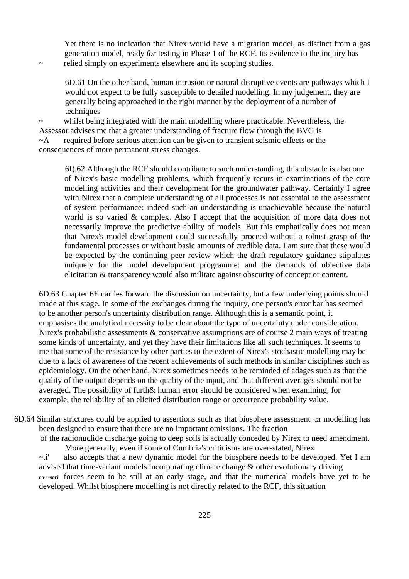Yet there is no indication that Nirex would have a migration model, as distinct from a gas generation model, ready *for* testing in Phase 1 of the RCF. Its evidence to the inquiry has relied simply on experiments elsewhere and its scoping studies.

6D.61 On the other hand, human intrusion or natural disruptive events are pathways which I would not expect to be fully susceptible to detailed modelling. In my judgement, they are generally being approached in the right manner by the deployment of a number of techniques

whilst being integrated with the main modelling where practicable. Nevertheless, the Assessor advises me that a greater understanding of fracture flow through the BVG is ~A required before serious attention can be given to transient seismic effects or the consequences of more permanent stress changes.

6I).62 Although the RCF should contribute to such understanding, this obstacle is also one of Nirex's basic modelling problems, which frequently recurs in examinations of the core modelling activities and their development for the groundwater pathway. Certainly I agree with Nirex that a complete understanding of all processes is not essential to the assessment of system performance: indeed such an understanding is unachievable because the natural world is so varied & complex. Also I accept that the acquisition of more data does not necessarily improve the predictive ability of models. But this emphatically does not mean that Nirex's model development could successfully proceed without a robust grasp of the fundamental processes or without basic amounts of credible data. I am sure that these would be expected by the continuing peer review which the draft regulatory guidance stipulates uniquely for the model development programme: and the demands of objective data elicitation & transparency would also militate against obscurity of concept or content.

6D.63 Chapter 6E carries forward the discussion on uncertainty, but a few underlying points should made at this stage. In some of the exchanges during the inquiry, one person's error bar has seemed to be another person's uncertainty distribution range. Although this is a semantic point, it emphasises the analytical necessity to be clear about the type of uncertainty under consideration. Nirex's probabilistic assessments & conservative assumptions are of course 2 main ways of treating some kinds of uncertainty, and yet they have their limitations like all such techniques. It seems to me that some of the resistance by other parties to the extent of Nirex's stochastic modelling may be due to a lack of awareness of the recent achievements of such methods in similar disciplines such as epidemiology. On the other hand, Nirex sometimes needs to be reminded of adages such as that the quality of the output depends on the quality of the input, and that different averages should not be averaged. The possibility of furth& human error should be considered when examining, for example, the reliability of an elicited distribution range or occurrence probability value.

6D.64 Similar strictures could be applied to assertions such as that biosphere assessment **~.2I** modelling has been designed to ensure that there are no important omissions. The fraction

of the radionuclide discharge going to deep soils is actually conceded by Nirex to need amendment. More generally, even if some of Cumbria's criticisms are over-stated, Nirex

 $\sim$ .i' also accepts that a new dynamic model for the biosphere needs to be developed. Yet I am advised that time-variant models incorporating climate change & other evolutionary driving **co~~sori** forces seem to be still at an early stage, and that the numerical models have yet to be developed. Whilst biosphere modelling is not directly related to the RCF, this situation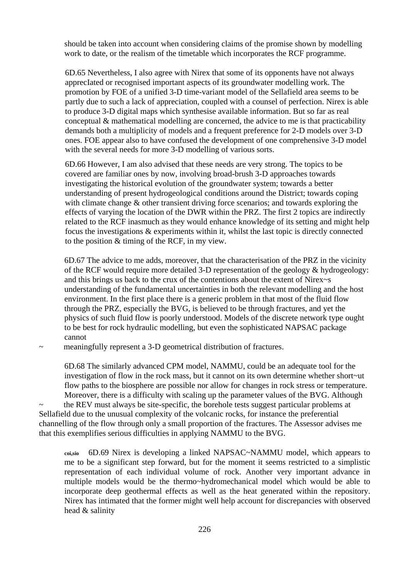should be taken into account when considering claims of the promise shown by modelling work to date, or the realism of the timetable which incorporates the RCF programme.

6D.65 Nevertheless, I also agree with Nirex that some of its opponents have not always apprecIated or recognised important aspects of its groundwater modelling work. The promotion by FOE of a unified 3-D time-variant model of the Sellafield area seems to be partly due to such a lack of appreciation, coupled with a counsel of perfection. Nirex is able to produce 3-D digital maps which synthesise available information. But so far as real conceptual & mathematical modelling are concerned, the advice to me is that practicability demands both a multiplicity of models and a frequent preference for 2-D models over 3-D ones. FOE appear also to have confused the development of one comprehensive 3-D model with the several needs for more 3-D modelling of various sorts.

6D.66 However, I am also advised that these needs are very strong. The topics to be covered are familiar ones by now, involving broad-brush 3-D approaches towards investigating the historical evolution of the groundwater system; towards a better understanding of present hydrogeological conditions around the District; towards coping with climate change  $\&$  other transient driving force scenarios; and towards exploring the effects of varying the location of the DWR within the PRZ. The first 2 topics are indirectly related to the RCF inasmuch as they would enhance knowledge of its setting and might help focus the investigations & experiments within it, whilst the last topic is directly connected to the position & timing of the RCF, in my view.

6D.67 The advice to me adds, moreover, that the characterisation of the PRZ in the vicinity of the RCF would require more detailed 3-D representation of the geology & hydrogeology: and this brings us back to the crux of the contentions about the extent of Nirex~s understanding of the fundamental uncertainties in both the relevant modelling and the host environment. In the first place there is a generic problem in that most of the fluid flow through the PRZ, especially the BVG, is believed to be through fractures, and yet the physics of such fluid flow is poorly understood. Models of the discrete network type ought to be best for rock hydraulic modelling, but even the sophisticated NAPSAC package cannot

meaningfully represent a 3-D geometrical distribution of fractures.

6D.68 The similarly advanced CPM model, NAMMU, could be an adequate tool for the investigation of flow in the rock mass, but it cannot on its own determine whether short~ut flow paths to the biosphere are possible nor allow for changes in rock stress or temperature. Moreover, there is a difficulty with scaling up the parameter values of the BVG. Although the REV must always be site-specific, the borehole tests suggest particular problems at Sellafield due to the unusual complexity of the volcanic rocks, for instance the preferential channelling of the flow through only a small proportion of the fractures. The Assessor advises me that this exemplifies serious difficulties in applying NAMMU to the BVG.

**coi,sio** 6D.69 Nirex is developing a linked NAPSAC~NAMMU model, which appears to me to be a significant step forward, but for the moment it seems restricted to a simplistic representation of each individual volume of rock. Another very important advance in multiple models would be the thermo~hydromechanical model which would be able to incorporate deep geothermal effects as well as the heat generated within the repository. Nirex has intimated that the former might well help account for discrepancies with observed head & salinity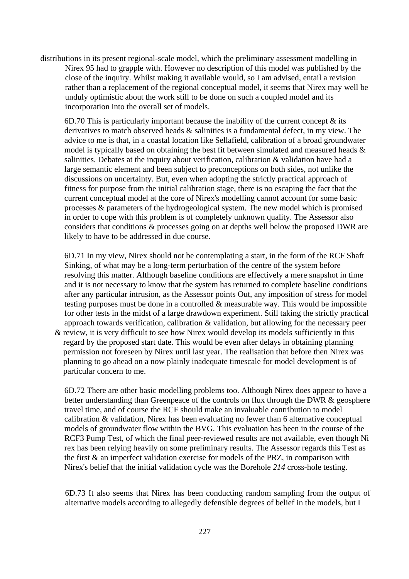distributions in its present regional-scale model, which the preliminary assessment modelling in Nirex 95 had to grapple with. However no description of this model was published by the close of the inquiry. Whilst making it available would, so I am advised, entail a revision rather than a replacement of the regional conceptual model, it seems that Nirex may well be unduly optimistic about the work still to be done on such a coupled model and its incorporation into the overall set of models.

6D.70 This is particularly important because the inability of the current concept  $\&$  its derivatives to match observed heads & salinities is a fundamental defect, in my view. The advice to me is that, in a coastal location like Sellafield, calibration of a broad groundwater model is typically based on obtaining the best fit between simulated and measured heads & salinities. Debates at the inquiry about verification, calibration & validation have had a large semantic element and been subject to preconceptions on both sides, not unlike the discussions on uncertainty. But, even when adopting the strictly practical approach of fitness for purpose from the initial calibration stage, there is no escaping the fact that the current conceptual model at the core of Nirex's modelling cannot account for some basic processes & parameters of the hydrogeological system. The new model which is promised in order to cope with this problem is of completely unknown quality. The Assessor also considers that conditions & processes going on at depths well below the proposed DWR are likely to have to be addressed in due course.

6D.71 In my view, Nirex should not be contemplating a start, in the form of the RCF Shaft Sinking, of what may be a long-term perturbation of the centre of the system before resolving this matter. Although baseline conditions are effectively a mere snapshot in time and it is not necessary to know that the system has returned to complete baseline conditions after any particular intrusion, as the Assessor points Out, any imposition of stress for model testing purposes must be done in a controlled & measurable way. This would be impossible for other tests in the midst of a large drawdown experiment. Still taking the strictly practical approach towards verification, calibration & validation, but allowing for the necessary peer

& review, it is very difficult to see how Nirex would develop its models sufficiently in this regard by the proposed start date. This would be even after delays in obtaining planning permission not foreseen by Nirex until last year. The realisation that before then Nirex was planning to go ahead on a now plainly inadequate timescale for model development is of particular concern to me.

6D.72 There are other basic modelling problems too. Although Nirex does appear to have a better understanding than Greenpeace of the controls on flux through the DWR & geosphere travel time, and of course the RCF should make an invaluable contribution to model calibration & validation, Nirex has been evaluating no fewer than 6 alternative conceptual models of groundwater flow within the BVG. This evaluation has been in the course of the RCF3 Pump Test, of which the final peer-reviewed results are not available, even though Ni rex has been relying heavily on some preliminary results. The Assessor regards this Test as the first & an imperfect validation exercise for models of the PRZ, in comparison with Nirex's belief that the initial validation cycle was the Borehole *214* cross-hole testing.

6D.73 It also seems that Nirex has been conducting random sampling from the output of alternative models according to allegedly defensible degrees of belief in the models, but I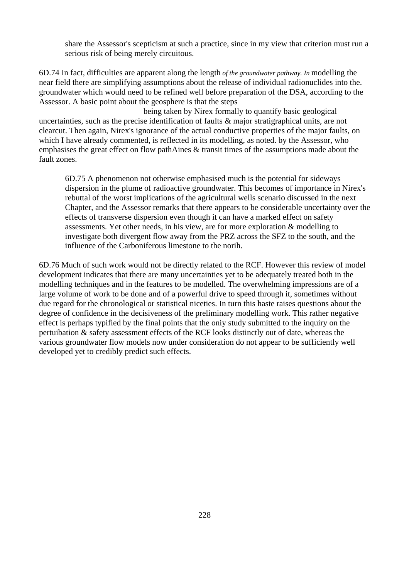share the Assessor's scepticism at such a practice, since in my view that criterion must run a serious risk of being merely circuitous.

6D.74 In fact, difficulties are apparent along the length *of the groundwater pathway. In* modelling the near field there are simplifying assumptions about the release of individual radionuclides into the. groundwater which would need to be refined well before preparation of the DSA, according to the Assessor. A basic point about the geosphere is that the steps

being taken by Nirex formally to quantify basic geological uncertainties, such as the precise identification of faults & major stratigraphical units, are not clearcut. Then again, Nirex's ignorance of the actual conductive properties of the major faults, on which I have already commented, is reflected in its modelling, as noted, by the Assessor, who emphasises the great effect on flow pathAines & transit times of the assumptions made about the fault zones.

6D.75 A phenomenon not otherwise emphasised much is the potential for sideways dispersion in the plume of radioactive groundwater. This becomes of importance in Nirex's rebuttal of the worst implications of the agricultural wells scenario discussed in the next Chapter, and the Assessor remarks that there appears to be considerable uncertainty over the effects of transverse dispersion even though it can have a marked effect on safety assessments. Yet other needs, in his view, are for more exploration & modelling to investigate both divergent flow away from the PRZ across the SFZ to the south, and the influence of the Carboniferous limestone to the norih.

6D.76 Much of such work would not be directly related to the RCF. However this review of model development indicates that there are many uncertainties yet to be adequately treated both in the modelling techniques and in the features to be modelled. The overwhelming impressions are of a large volume of work to be done and of a powerful drive to speed through it, sometimes without due regard for the chronological or statistical niceties. In turn this haste raises questions about the degree of confidence in the decisiveness of the preliminary modelling work. This rather negative effect is perhaps typified by the final points that the oniy study submitted to the inquiry on the pertuibation & safety assessment effects of the RCF looks distinctly out of date, whereas the various groundwater flow models now under consideration do not appear to be sufficiently well developed yet to credibly predict such effects.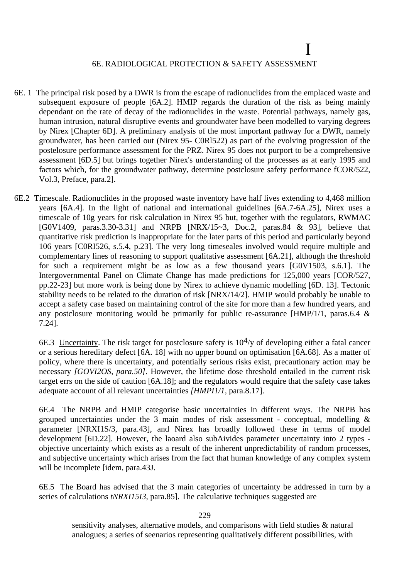## I 6E. RADIOLOGICAL PROTECTION & SAFETY ASSESSMENT

- 6E. 1 The principal risk posed by a DWR is from the escape of radionuclides from the emplaced waste and subsequent exposure of people [6A.2]. HMIP regards the duration of the risk as being mainly dependant on the rate of decay of the radionuclides in the waste. Potential pathways, namely gas, human intrusion, natural disruptive events and groundwater have been modelled to varying degrees by Nirex [Chapter 6D]. A preliminary analysis of the most important pathway for a DWR, namely groundwater, has been carried out (Nirex 95- C0Rl522) as part of the evolving progression of the postelosure performance assessment for the PRZ. Nirex 95 does not purport to be a comprehensive assessment [6D.5] but brings together Nirex's understanding of the processes as at early 1995 and factors which, for the groundwater pathway, determine postclosure safety performance fCOR/522, Vol.3, Preface, para.2].
- 6E.2 Timescale. Radionuclides in the proposed waste inventory have half lives extending to 4,468 million years [6A.4]. In the light of national and international guidelines [6A.7-6A.25], Nirex uses a timescale of 10g years for risk calculation in Nirex 95 but, together with the regulators, RWMAC [G0V1409, paras.3.30-3.31] and NRPB [NRX/15~3, Doc.2, paras.84 & 93], believe that quantitative risk prediction is inappropriate for the later parts of this period and particularly beyond 106 years [C0RI526, s.5.4, p.23]. The very long timeseales involved would require multiple and complementary lines of reasoning to support qualitative assessment [6A.21], although the threshold for such a requirement might be as low as a few thousand years [G0V1503, s.6.1]. The Intergovernmental Panel on Climate Change has made predictions for 125,000 years [COR/527, pp.22-23] but more work is being done by Nirex to achieve dynamic modelling [6D. 13]. Tectonic stability needs to be related to the duration of risk [NRX/14/2]. HMIP would probably be unable to accept a safety case based on maintaining control of the site for more than a few hundred years, and any postclosure monitoring would be primarily for public re-assurance [HMP/1/1, paras.6.4  $\&$ 7.24].

6E.3 Uncertainty. The risk target for postclosure safety is  $10<sup>4</sup>/y$  of developing either a fatal cancer or a serious hereditary defect [6A. 18] with no upper bound on optimisation [6A.68]. As a matter of policy, where there is uncertainty, and potentially serious risks exist, precautionary action may be necessary *[GOVI2OS, para.50].* However, the lifetime dose threshold entailed in the current risk target errs on the side of caution [6A.18]; and the regulators would require that the safety case takes adequate account of all relevant uncertainties *[HMPI1/1,* para.8.17].

6E.4 The NRPB and HMIP categorise basic uncertainties in different ways. The NRPB has grouped uncertainties under the 3 main modes of risk assessment - conceptual, modelling & parameter [NRXI1S/3, para.43], and Nirex has broadly followed these in terms of model development [6D.22]. However, the laoard also subAivides parameter uncertainty into 2 types objective uncertainty which exists as a result of the inherent unpredictability of random processes, and subjective uncertainty which arises from the fact that human knowledge of any complex system will be incomplete [idem, para.43J.

6E.5 The Board has advised that the 3 main categories of uncertainty be addressed in turn by a series of calculations *tNRXI15I3,* para.85]. The calculative techniques suggested are

229

sensitivity analyses, alternative models, and comparisons with field studies & natural analogues; a series of seenarios representing qualitatively different possibilities, with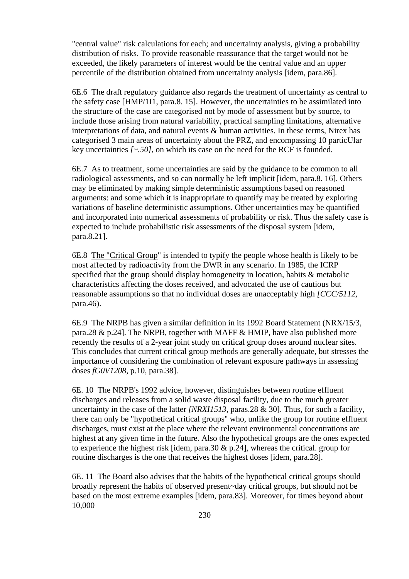"central value" risk calculations for each; and uncertainty analysis, giving a probability distribution of risks. To provide reasonable reassurance that the target would not be exceeded, the likely pararneters of interest would be the central value and an upper percentile of the distribution obtained from uncertainty analysis [idem, para.86].

6E.6 The draft regulatory guidance also regards the treatment of uncertainty as central to the safety case [HMP/1I1, para.8. 15]. However, the uncertainties to be assimilated into the structure of the case are categorised not by mode of assessment but by source, to include those arising from natural variability, practical sampling limitations, alternative interpretations of data, and natural events & human activities. In these terms, Nirex has categorised 3 main areas of uncertainty about the PRZ, and encompassing 10 particUlar key uncertainties *[~.50],* on which its case on the need for the RCF is founded.

6E.7 As to treatment, some uncertainties are said by the guidance to be common to all radiological assessments, and so can normally be left implicit [idem, para.8. 16]. Others may be eliminated by making simple deterministic assumptions based on reasoned arguments: and some which it is inappropriate to quantify may be treated by exploring variations of baseline deterministic assumptions. Other uncertainties may be quantified and incorporated into numerical assessments of probability or risk. Thus the safety case is expected to include probabilistic risk assessments of the disposal system [idem, para.8.21].

6E.8 The "Critical Group" is intended to typify the people whose health is likely to be most affected by radioactivity from the DWR in any scenario. In 1985, the ICRP specified that the group should display homogeneity in location, habits & metabolic characteristics affecting the doses received, and advocated the use of cautious but reasonable assumptions so that no individual doses are unacceptably high *[CCC/5112,*  para.46).

6E.9 The NRPB has given a similar definition in its 1992 Board Statement (NRX/15/3, para.28 & p.24]. The NRPB, together with MAFF & HMIP, have also published more recently the results of a 2-year joint study on critical group doses around nuclear sites. This concludes that current critical group methods are generally adequate, but stresses the importance of considering the combination of relevant exposure pathways in assessing doses *fG0V1208,* p.10, para.38].

6E. 10 The NRPB's 1992 advice, however, distinguishes between routine effluent discharges and releases from a solid waste disposal facility, due to the much greater uncertainty in the case of the latter *[NRXI1513,* paras.28 & 30]. Thus, for such a facility, there can only be "hypothetical critical groups" who, unlike the group for routine effluent discharges, must exist at the place where the relevant environmental concentrations are highest at any given time in the future. Also the hypothetical groups are the ones expected to experience the highest risk [idem, para.30  $\&$  p.24], whereas the critical. group for routine discharges is the one that receives the highest doses [idem, para.28].

6E. 11 The Board also advises that the habits of the hypothetical critical groups should broadly represent the habits of observed present~day critical groups, but should not be based on the most extreme examples [idem, para.83]. Moreover, for times beyond about 10,000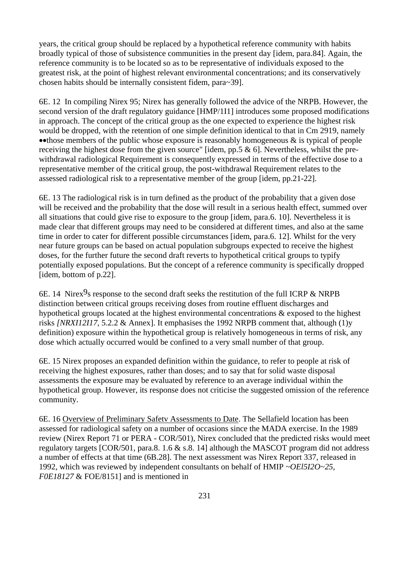years, the critical group should be replaced by a hypothetical reference community with habits broadly typical of those of subsistence communities in the present day [idem, para.84]. Again, the reference community is to be located so as to be representative of individuals exposed to the greatest risk, at the point of highest relevant environmental concentrations; and its conservatively chosen habits should be internally consistent fidem, para~39].

6E. 12 In compiling Nirex 95; Nirex has generally followed the advice of the NRPB. However, the second version of the draft regulatory guidance [HMP/1I1] introduces some proposed modifications in approach. The concept of the critical group as the one expected to experience the highest risk would be dropped, with the retention of one simple definition identical to that in Cm 2919, namely ••those members of the public whose exposure is reasonably homogeneous  $\&$  is typical of people receiving the highest dose from the given source" [idem, pp.5 & 6]. Nevertheless, whilst the prewithdrawal radiological Requirement is consequently expressed in terms of the effective dose to a representative member of the critical group, the post-withdrawal Requirement relates to the assessed radiological risk to a representative member of the group [idem, pp.21-22].

6E. 13 The radiological risk is in turn defined as the product of the probability that a given dose will be received and the probability that the dose will result in a serious health effect, summed over all situations that could give rise to exposure to the group [idem, para.6. 10]. Nevertheless it is made clear that different groups may need to be considered at different times, and also at the same time in order to cater for different possible circumstances [idem, para.6. 12]. Whilst for the very near future groups can be based on actual population subgroups expected to receive the highest doses, for the further future the second draft reverts to hypothetical critical groups to typify potentially exposed populations. But the concept of a reference community is specifically dropped [idem, bottom of p.22].

6E. 14 Nirex<sup>9</sup>s response to the second draft seeks the restitution of the full ICRP  $\&$  NRPB distinction between critical groups receiving doses from routine effluent discharges and hypothetical groups located at the highest environmental concentrations & exposed to the highest risks *[NRXI12I17,* 5.2.2 & Annex]. It emphasises the 1992 NRPB comment that, although (1)y definition) exposure within the hypothetical group is relatively homogeneous in terms of risk, any dose which actually occurred would be confined to a very small number of that group.

6E. 15 Nirex proposes an expanded definition within the guidance, to refer to people at risk of receiving the highest exposures, rather than doses; and to say that for solid waste disposal assessments the exposure may be evaluated by reference to an average individual within the hypothetical group. However, its response does not criticise the suggested omission of the reference community.

6E. 16 Overview of Preliminary Safetv Assessments to Date. The Sellafield location has been assessed for radiological safety on a number of occasions since the MADA exercise. In the 1989 review (Nirex Report 71 or PERA - COR/501), Nirex concluded that the predicted risks would meet regulatory targets [COR/501, para.8. 1.6 & s.8. 14] although the MASCOT program did not address a number of effects at that time (6B.28]. The next assessment was Nirex Report 337, released in 1992, which was reviewed by independent consultants on behalf of HMIP *~OEl5I2O~25, F0E18127* & FOE/8151] and is mentioned in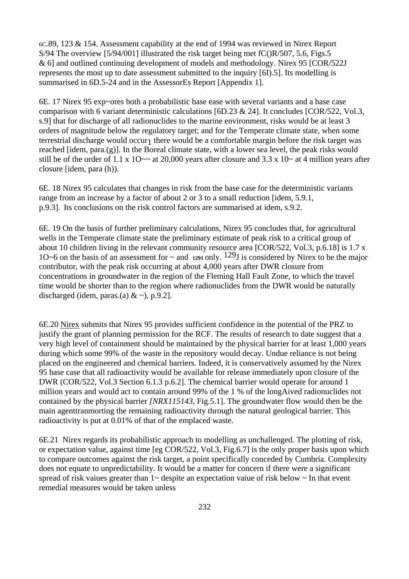6C.89, 123 & 154. Assessment capability at the end of 1994 was reviewed in Nirex Report S/94 The overview [5/94/001] illustrated the risk target being met fC()R/507, 5.6, Figs.5 & 6] and outlined continuing development of models and methodology. Nirex 95 [COR/522J represents the most up to date assessment submitted to the inquiry [6I).5]. Its modelling is summarised in 6D.5-24 and in the AssessorEs Report [Appendix 1].

6E. 17 Nirex 95 exp~ores both a probabilistic base ease with several variants and a base case comparison with 6 variant deterministic calculations [6D.23 & 24]. It concludes [COR/522, Vol.3, s.9] that for discharge of all radionuclides to the marine environment, risks would be at least 3 orders of magnitude below the regulatory target; and for the Temperate climate state, when some terrestrial discharge would occur<sub>1</sub> there would be a comfortable margin before the risk target was reached [idem, para.(g)]. In the Boreal climate state, with a lower sea level, the peak risks would still be of the order of 1.1 x 10 $\sim \alpha$  at 20,000 years after closure and 3.3 x 10 $\sim \alpha$  at 4 million years after closure [idem, para (h)).

6E. 18 Nirex 95 calculates that changes in risk from the base case for the deterministic variants range from an increase by a factor of about 2 or 3 to a small reduction [idem, 5.9.1, p.9.3]. Its conclusions on the risk control factors are summarised at idem, s.9.2.

6E. 19 On the basis of further preliminary calculations, Nirex 95 concludes that, for agricultural wells in the Temperate climate state the preliminary estimate of peak risk to a critical group of about 10 children living in the relevant community resource area [COR/522, Vol.3, p.6.18] is 1.7 x 1O~6 on the basis of an assessment for ~ and  $1291$  only. <sup>129</sup>J is considered by Nirex to be the major contributor, with the peak risk occurring at about 4,000 years after DWR closure from concentrations in groundwater in the region of the Fleming Hall Fault Zone, to which the travel time would be shorter than to the region where radionuclides from the DWR would be naturally discharged (idem, paras.(a)  $\& \sim$ ), p.9.2].

6E.20 Nirex submits that Nirex 95 provides sufficient confidence in the potential of the PRZ to justify the grant of planning permission for the RCF. The results of research to date suggest that a very high level of containment should be maintained by the physical barrier for at least 1,000 years during which some 99% of the waste in the repository would decay. Undue reliance is not being placed on the engineered and chemical barriers. Indeed, it is conservatively assumed by the Nirex 95 base case that all radioactivity would be available for release immediately upon closure of the DWR (COR/522, Vol.3 Section 6.1.3 p.6.2]. The chemical barrier would operate for around 1 million years and would act to contain around 99% of the 1 % of the longAived radionuclides not contained by the physical barrier *[NRX115143,* Fig.5.1]. The groundwater flow would then be the main agenttranmorting the remaining radioactivity through the natural geological barrier. This radioactivity is put at 0.01% of that of the emplaced waste.

6E.21 Nirex regards its probabilistic approach to modelling as unchallenged. The plotting of risk, or expectation value, against time [eg COR/522, Vol.3, Fig.6.7] is the only proper basis upon which to compare outcomes against the risk target, a point specifically conceded by Cumbria. Complexity does not equate to unpredictability. It would be a matter for concern if there were a significant spread of risk vaiues greater than  $1 \sim$  despite an expectation vaiue of risk below  $\sim$  In that event remedial measures would be taken unless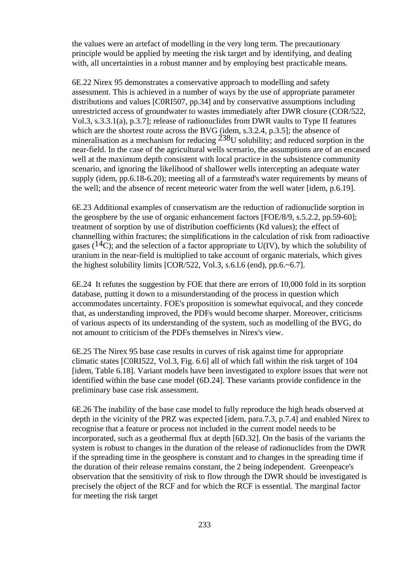the values were an artefact of modelling in the very long term. The precautionary principle would be applied by meeting the risk target and by identifying, and dealing with, all uncertainties in a robust manner and by employing best practicable means.

6E.22 Nirex 95 demonstrates a conservative approach to modelling and safety assessment. This is achieved in a number of ways by the use of appropriate parameter distributions and values [C0RI507, pp.34] and by conservative assumptions including unrestricted access of groundwater to wastes immediately after DWR closure (COR/522, Vol.3, s.3.3.1(a), p.3.7]; release of radionuclides from DWR vaults to Type II features which are the shortest route across the BVG (idem, s.3.2.4, p.3.5]; the absence of mineralisation as a mechanism for reducing  $238<sub>U</sub>$  solubility; and reduced sorption in the near-field. In the case of the agricultural wells scenario, the assumptions are of an encased well at the maximum depth consistent with local practice in the subsistence community scenario, and ignoring the likelihood of shallower wells intercepting an adequate water supply (idem, pp.6.18-6.20); meeting all of a farmstead's water requirements by means of the well; and the absence of recent meteoric water from the well water [idem, p.6.19].

6E.23 Additional examples of conservatism are the reduction of radionuclide sorption in the geospbere by the use of organic enhancement factors [FOE/8/9, s.5.2.2, pp.59-60]; treatment of sorption by use of distribution coefficients (Kd values); the effect of channelling within fractures; the simplifications in the calculation of risk from radioactive gases ( $^{14}$ C); and the selection of a factor appropriate to U(IV), by which the solubility of uranium in the near-field is multiplied to take account of organic materials, which gives the highest solubility limits  $[COR/522, Vol.3, s.6.1.6 (end), pp.6.-6.7]$ .

6E.24 It refutes the suggestion by FOE that there are errors of 10,000 fold in its sorption database, putting it down to a misunderstanding of the process in question which accommodates uncertainty. FOE's proposition is somewhat equivocal, and they concede that, as understanding improved, the PDFs would become sharper. Moreover, criticisms of various aspects of its understanding of the system, such as modelling of the BVG, do not amount to criticism of the PDFs themselves in Nirex's view.

6E.25 The Nirex 95 base case results in curves of risk against time for appropriate climatic states [C0RI522, Vol.3, Fig. 6.6] all of which fall within the risk target of 104 [idem, Table 6.18]. Variant models have been investigated to explore issues that were not identified within the base case model (6D.24]. These variants provide confidence in the preliminary base case risk assessment.

6E.26 The inability of the base case model to fully reproduce the high heads observed at depth in the vicinity of the PRZ was expected [idem, para.7.3, p.7.4] and enabled Nirex to recognise that a feature or process not included in the current model needs to be incorporated, such as a geothermal flux at depth [6D.32]. On the basis of the variants the system is robust to changes in the duration of the release of radionuclides from the DWR if the spreading time in the geosphere is constant and to changes in the spreading time if the duration of their release remains constant, the 2 being independent. Greenpeace's observation that the sensitivity of risk to flow through the DWR should be investigated is precisely the object of the RCF and for which the RCF is essential. The marginal factor for meeting the risk target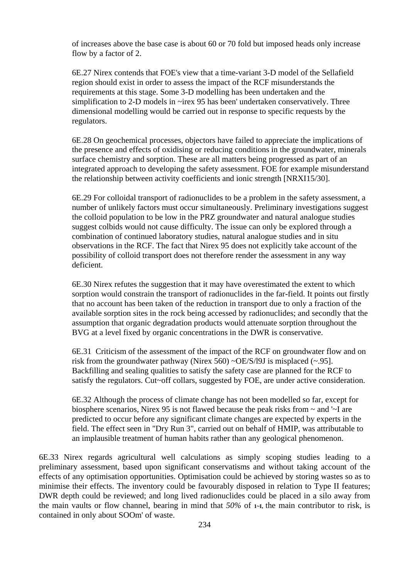of increases above the base case is about 60 or 70 fold but imposed heads only increase flow by a factor of 2.

6E.27 Nirex contends that FOE's view that a time-variant 3-D model of the Sellafield region should exist in order to assess the impact of the RCF misunderstands the requirements at this stage. Some 3-D modelling has been undertaken and the simplification to 2-D models in ~irex 95 has been' undertaken conservatively. Three dimensional modelling would be carried out in response to specific requests by the regulators.

6E.28 On geochemical processes, objectors have failed to appreciate the implications of the presence and effects of oxidising or reducing conditions in the groundwater, minerals surface chemistry and sorption. These are all matters being progressed as part of an integrated approach to developing the safety assessment. FOE for example misunderstand the relationship between activity coefficients and ionic strength [NRXI15/30].

6E.29 For colloidal transport of radionuclides to be a problem in the safety assessment, a number of unlikely factors must occur simultaneously. Preliminary investigations suggest the colloid population to be low in the PRZ groundwater and natural analogue studies suggest colbids would not cause difficulty. The issue can only be explored through a combination of continued laboratory studies, natural analogue studies and in situ observations in the RCF. The fact that Nirex 95 does not explicitly take account of the possibility of colloid transport does not therefore render the assessment in any way deficient.

6E.30 Nirex refutes the suggestion that it may have overestimated the extent to which sorption would constrain the transport of radionuclides in the far-field. It points out firstly that no account has been taken of the reduction in transport due to only a fraction of the available sorption sites in the rock being accessed by radionuclides; and secondly that the assumption that organic degradation products would attenuate sorption throughout the BVG at a level fixed by organic concentrations in the DWR is conservative.

6E.31 Criticism of the assessment of the impact of the RCF on groundwater flow and on risk from the groundwater pathway (Nirex 560)  $\sim$ OE/S/l9J is misplaced ( $\sim$ .95]. Backfilling and sealing qualities to satisfy the safety case are planned for the RCF to satisfy the regulators. Cut~off collars, suggested by FOE, are under active consideration.

6E.32 Although the process of climate change has not been modelled so far, except for biosphere scenarios, Nirex 95 is not flawed because the peak risks from ~ and '~I are predicted to occur before any significant climate changes are expected by experts in the field. The effect seen in "Dry Run 3", carried out on behalf of HMIP, was attributable to an implausible treatment of human habits rather than any geological phenomenon.

6E.33 Nirex regards agricultural well calculations as simply scoping studies leading to a preliminary assessment, based upon significant conservatisms and without taking account of the effects of any optimisation opportunities. Optimisation could be achieved by storing wastes so as to minimise their effects. The inventory could be favourably disposed in relation to Type II features; DWR depth could be reviewed; and long lived radionuclides could be placed in a silo away from the main vaults or flow channel, bearing in mind that *50%* of **1~I,** the main contributor to risk, is contained in only about SOOm' of waste.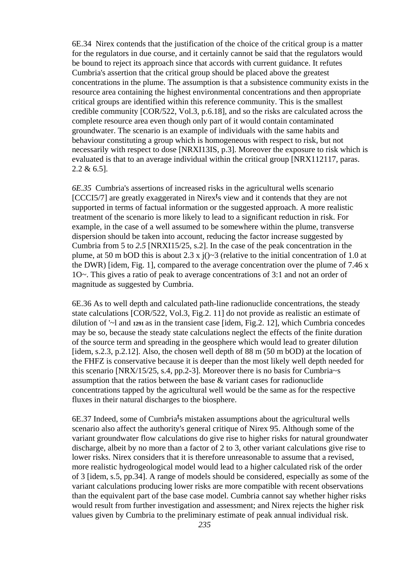6E.34 Nirex contends that the justification of the choice of the critical group is a matter for the regulators in due course, and it certainly cannot be said that the regulators would be bound to reject its approach since that accords with current guidance. It refutes Cumbria's assertion that the critical group should be placed above the greatest concentrations in the plume. The assumption is that a subsistence community exists in the resource area containing the highest environmental concentrations and then appropriate critical groups are identified within this reference community. This is the smallest credible community [COR/522, Vol.3, p.6.18], and so the risks are calculated across the complete resource area even though only part of it would contain contaminated groundwater. The scenario is an example of individuals with the same habits and behaviour constituting a group which is homogeneous with respect to risk, but not necessarily with respect to dose [NRXI13IS, p.3]. Moreover the exposure to risk which is evaluated is that to an average individual within the critical group [NRX112117, paras. 2.2 & 6.5].

*6E.35* Cumbria's assertions of increased risks in the agricultural wells scenario [CCCI5/7] are greatly exaggerated in Nirex<sup>t</sup>s view and it contends that they are not supported in terms of factual information or the suggested approach. A more realistic treatment of the scenario is more likely to lead to a significant reduction in risk. For example, in the case of a well assumed to be somewhere within the plume, transverse dispersion should be taken into account, reducing the factor increase suggested by Cumbria from 5 to *2.5* [NRXI15/25, s.2]. In the case of the peak concentration in the plume, at 50 m bOD this is about 2.3 x j( $\sim$ 3 (relative to the initial concentration of 1.0 at the DWR) [idem, Fig. 1], compared to the average concentration over the plume of 7.46 x 1O~. This gives a ratio of peak to average concentrations of 3:1 and not an order of magnitude as suggested by Cumbria.

6E.36 As to well depth and calculated path-line radionuclide concentrations, the steady state calculations [COR/522, Vol.3, Fig.2. 11] do not provide as realistic an estimate of dilution of '~l and **1291** as in the transient case [idem, Fig.2. 12], which Cumbria concedes may be so, because the steady state calculations neglect the effects of the finite duration of the source term and spreading in the geosphere which would lead to greater dilution [idem, s.2.3, p.2.12]. Also, the chosen well depth of 88 m (50 m bOD) at the location of the FHFZ is conservative because it is deeper than the most likely well depth needed for this scenario [NRX/15/25, s.4, pp.2-3]. Moreover there is no basis for Cumbria~s assumption that the ratios between the base & variant cases for radionuclide concentrations tapped by the agricultural well would be the same as for the respective fluxes in their natural discharges to the biosphere.

6E.37 Indeed, some of Cumbriats mistaken assumptions about the agricultural wells scenario also affect the authority's general critique of Nirex 95. Although some of the variant groundwater flow calculations do give rise to higher risks for natural groundwater discharge, albeit by no more than a factor of 2 to 3, other variant calculations give rise to lower risks. Nirex considers that it is therefore unreasonable to assume that a revised, more realistic hydrogeological model would lead to a higher calculated risk of the order of 3 [idem, s.5, pp.34]. A range of models should be considered, especially as some of the variant calculations producing lower risks are more compatible with recent observations than the equivalent part of the base case model. Cumbria cannot say whether higher risks would result from further investigation and assessment; and Nirex rejects the higher risk values given by Cumbria to the preliminary estimate of peak annual individual risk.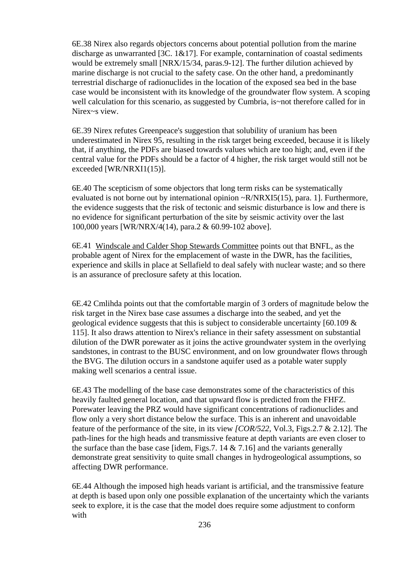6E.38 Nirex also regards objectors concerns about potential pollution from the marine discharge as unwarranted [3C.  $1\&17$ ]. For example, contarnination of coastal sediments would be extremely small [NRX/15/34, paras.9-12]. The further dilution achieved by marine discharge is not crucial to the safety case. On the other hand, a predominantly terrestrial discharge of radionuclides in the location of the exposed sea bed in the base case would be inconsistent with its knowledge of the groundwater flow system. A scoping well calculation for this scenario, as suggested by Cumbria, is~not therefore called for in Nirex~s view.

6E.39 Nirex refutes Greenpeace's suggestion that solubility of uranium has been underestimated in Nirex 95, resulting in the risk target being exceeded, because it is likely that, if anything, the PDFs are biased towards values which are too high; and, even if the central value for the PDFs should be a factor of 4 higher, the risk target would still not be exceeded [WR/NRXI1(15)].

6E.40 The scepticism of some objectors that long term risks can be systematically evaluated is not borne out by international opinion ~R/NRXI5(15), para. 1]. Furthermore, the evidence suggests that the risk of tectonic and seismic disturbance is low and there is no evidence for significant perturbation of the site by seismic activity over the last 100,000 years [WR/NRX/4(14), para.2 & 60.99-102 above].

6E.41 Windscale and Calder Shop Stewards Committee points out that BNFL, as the probable agent of Nirex for the emplacement of waste in the DWR, has the facilities, experience and skills in place at Sellafield to deal safely with nuclear waste; and so there is an assurance of preclosure safety at this location.

6E.42 Cmlihda points out that the comfortable margin of 3 orders of magnitude below the risk target in the Nirex base case assumes a discharge into the seabed, and yet the geological evidence suggests that this is subject to considerable uncertainty  $[60.109 \&$ 115]. It also draws attention to Nirex's reliance in their safety assessment on substantial dilution of the DWR porewater as it joins the active groundwater system in the overlying sandstones, in contrast to the BUSC environment, and on low groundwater flows through the BVG. The dilution occurs in a sandstone aquifer used as a potable water supply making well scenarios a central issue.

6E.43 The modelling of the base case demonstrates some of the characteristics of this heavily faulted general location, and that upward flow is predicted from the FHFZ. Porewater leaving the PRZ would have significant concentrations of radionuclides and flow only a very short distance below the surface. This is an inherent and unavoidable feature of the performance of the site, in its view *[COR/522,* Vol.3, Figs.2.7 & 2.12]. The path-lines for the high heads and transmissive feature at depth variants are even closer to the surface than the base case [idem, Figs. 7. 14  $& 7.16$ ] and the variants generally demonstrate great sensitivity to quite small changes in hydrogeological assumptions, so affecting DWR performance.

6E.44 Although the imposed high heads variant is artificial, and the transmissive feature at depth is based upon only one possible explanation of the uncertainty which the variants seek to explore, it is the case that the model does require some adjustment to conform with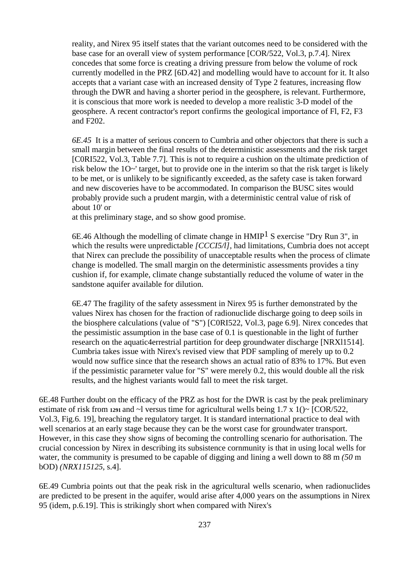reality, and Nirex 95 itself states that the variant outcomes need to be considered with the base case for an overall view of system performance [COR/522, Vol.3, p.7.4]. Nirex concedes that some force is creating a driving pressure from below the volume of rock currently modelled in the PRZ [6D.42] and modelling would have to account for it. It also accepts that a variant case with an increased density of Type 2 features, increasing flow through the DWR and having a shorter period in the geosphere, is relevant. Furthermore, it is conscious that more work is needed to develop a more realistic 3-D model of the geosphere. A recent contractor's report confirms the geological importance of Fl, F2, F3 and F202.

*6E.45* It is a matter of serious concern to Cumbria and other objectors that there is such a small margin between the final results of the deterministic assessments and the risk target [C0RI522, Vol.3, Table 7.7]. This is not to require a cushion on the ultimate prediction of risk below the 1O~' target, but to provide one in the interim so that the risk target is likely to be met, or is unlikely to be significantly exceeded, as the safety case is taken forward and new discoveries have to be accommodated. In comparison the BUSC sites would probably provide such a prudent margin, with a deterministic central value of risk of about 10' or

at this preliminary stage, and so show good promise.

6E.46 Although the modelling of climate change in HMIP1 S exercise "Dry Run 3", in which the results were unpredictable *[CCCI5/l]*, had limitations, Cumbria does not accept that Nirex can preclude the possibility of unacceptable results when the process of climate change is modelled. The small margin on the deterministic assessments provides a tiny cushion if, for example, climate change substantially reduced the volume of water in the sandstone aquifer available for dilution.

6E.47 The fragility of the safety assessment in Nirex 95 is further demonstrated by the values Nirex has chosen for the fraction of radionuclide discharge going to deep soils in the biosphere calculations (value of "S") [C0RI522, Vol.3, page 6.9]. Nirex concedes that the pessimistic assumption in the base case of 0.1 is questionable in the light of further research on the aquatic4errestrial partition for deep groundwater discharge [NRXl1514]. Cumbria takes issue with Nirex's revised view that PDF sampling of merely up to 0.2 would now suffice since that the research shows an actual ratio of 83% to 17%. But even if the pessimistic pararneter value for "S" were merely 0.2, this would double all the risk results, and the highest variants would fall to meet the risk target.

6E.48 Further doubt on the efficacy of the PRZ as host for the DWR is cast by the peak preliminary estimate of risk from 1291 and ~l versus time for agricultural wells being 1.7 x 1()~ [COR/522, Vol.3, Fig.6. 19], breaching the regulatory target. It is standard international practice to deal with well scenarios at an early stage because they can be the worst case for groundwater transport. However, in this case they show signs of becoming the controlling scenario for authorisation. The crucial concession by Nirex in describing its subsistence cornmunity is that in using local wells for water, the community is presumed to be capable of digging and lining a well down to 88 m *(50* m bOD) *(NRX115125,* s.4].

6E.49 Cumbria points out that the peak risk in the agricultural wells scenario, when radionuclides are predicted to be present in the aquifer, would arise after 4,000 years on the assumptions in Nirex 95 (idem, p.6.19]. This is strikingly short when compared with Nirex's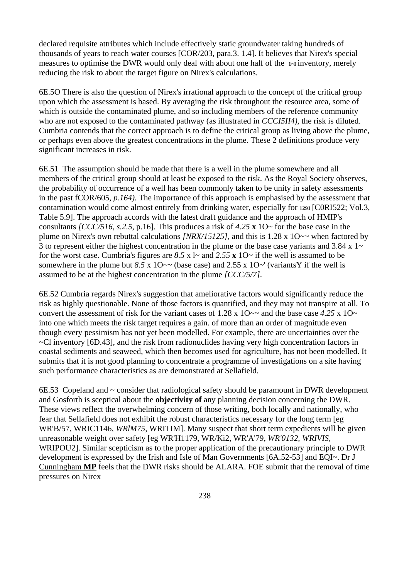declared requisite attributes which include effectively static groundwater taking hundreds of thousands of years to reach water courses [COR/203, para.3. 1.4]. It believes that Nirex's special measures to optimise the DWR would only deal with about one half of the **1~I** inventory, merely reducing the risk to about the target figure on Nirex's calculations.

6E.5O There is also the question of Nirex's irrational approach to the concept of the critical group upon which the assessment is based. By averaging the risk throughout the resource area, some of which is outside the contaminated plume, and so including members of the reference community who are not exposed to the contaminated pathway (as illustrated in *CCCI5II4*), the risk is diluted. Cumbria contends that the correct approach is to define the critical group as living above the plume, or perhaps even above the greatest concentrations in the plume. These 2 definitions produce very significant increases in risk.

6E.51 The assumption should be made that there is a well in the plume somewhere and all members of the critical group should at least be exposed to the risk. As the Royal Society observes, the probability of occurrence of a well has been commonly taken to be unity in safety assessments in the past fCOR/605, *p.164).* The importance of this approach is emphasised by the assessment that contamination would come almost entirely from drinking water, especially for **1291** [C0RI522; Vol.3, Table 5.9]. The approach accords with the latest draft guidance and the approach of HMIP's consultants *[CCC/516, s.2.5,* p.16]. This produces a risk of *4.25* **x** 1O~ for the base case in the plume on Nirex's own rebuttal calculations *[NRX/15125],* and this is 1.28 x 1O~~ when factored by 3 to represent either the highest concentration in the plume or the base case variants and 3.84 x  $1\sim$ for the worst case. Cumbria's figures are  $8.5 \times 1$  and  $2.55 \times 10$  if the well is assumed to be somewhere in the plume but  $8.5 \times 10$  ~ (base case) and  $2.55 \times 10$  ~ (variants Y if the well is assumed to be at the highest concentration in the plume *[CCC/5/7].* 

6E.52 Cumbria regards Nirex's suggestion that ameliorative factors would significantly reduce the risk as highly questionable. None of those factors is quantified, and they may not transpire at all. To convert the assessment of risk for the variant cases of 1.28 x 10 $\sim$  and the base case 4.25 x 10 $\sim$ into one which meets the risk target requires a gain. of more than an order of magnitude even though every pessimism has not yet been modelled. For example, there are uncertainties over the ~Cl inventory [6D.43], and the risk from radionuclides having very high concentration factors in coastal sediments and seaweed, which then becomes used for agriculture, has not been modelled. It submits that it is not good planning to concentrate a programme of investigations on a site having such performance characteristics as are demonstrated at Sellafield.

6E.53 Copeland and ~ consider that radiological safety should be paramount in DWR development and Gosforth is sceptical about the **objectivity of** any planning decision concerning the DWR. These views reflect the overwhelming concern of those writing, both locally and nationally, who fear that Sellafield does not exhibit the robust characteristics necessary for the long term [eg WR'B/57, WRIC1146, *WRlM75,* WRITIM]. Many suspect that short term expedients will be given unreasonable weight over safety [eg WR'H1179, WR/Ki2, WR'A'79, *WR'0132, WRIVIS,*  WRIPOU2]. Similar scepticism as to the proper application of the precautionary principle to DWR development is expressed by the Irish and Isle of Man Governments [6A.52-53] and EQI~. Dr J Cunningham **MP** feels that the DWR risks should be ALARA. FOE submit that the removal of time pressures on Nirex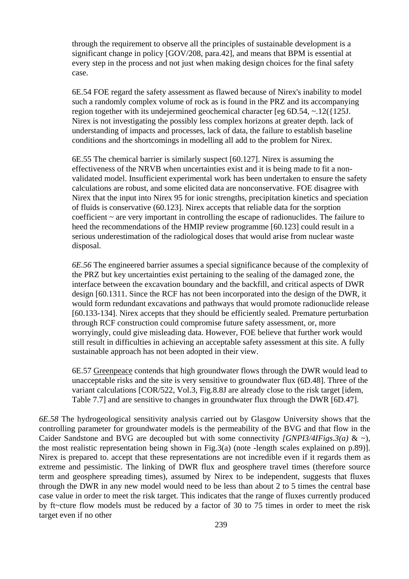through the requirement to observe all the principles of sustainable development is a significant change in policy [GOV/208, para.42], and means that BPM is essential at every step in the process and not just when making design choices for the final safety case.

6E.54 FOE regard the safety assessment as flawed because of Nirex's inability to model such a randomly complex volume of rock as is found in the PRZ and its accompanying region together with its undejermined geochemical character [eg 6D.54, ~.12({125J. Nirex is not investigating the possibly less complex horizons at greater depth. lack of understanding of impacts and processes, lack of data, the failure to establish baseline conditions and the shortcomings in modelling all add to the problem for Nirex.

6E.55 The chemical barrier is similarly suspect [60.127]. Nirex is assuming the effectiveness of the NRVB when uncertainties exist and it is being made to fit a nonvalidated model. Insufficient experimental work has been undertaken to ensure the safety calculations are robust, and some elicited data are nonconservative. FOE disagree with Nirex that the input into Nirex 95 for ionic strengths, precipitation kinetics and speciation of fluids is conservative (60.123]. Nirex accepts that reliable data for the sorption coefficient ~ are very important in controlling the escape of radionuclides. The failure to heed the recommendations of the HMIP review programme [60.123] could result in a serious underestimation of the radiological doses that would arise from nuclear waste disposal.

*6E.56* The engineered barrier assumes a special significance because of the complexity of the PRZ but key uncertainties exist pertaining to the sealing of the damaged zone, the interface between the excavation boundary and the backfill, and critical aspects of DWR design [60.1311. Since the RCF has not been incorporated into the design of the DWR, it would form redundant excavations and pathways that would promote radionuclide release [60.133-134]. Nirex accepts that they should be efficiently sealed. Premature perturbation through RCF construction could compromise future safety assessment, or, more worryingly, could give misleading data. However, FOE believe that further work would still result in difficulties in achieving an acceptable safety assessment at this site. A fully sustainable approach has not been adopted in their view.

6E.57 Greenpeace contends that high groundwater flows through the DWR would lead to unacceptable risks and the site is very sensitive to groundwater flux (6D.48]. Three of the variant calculations [COR/522, Vol.3, Fig.8.8J are already close to the risk target [idem, Table 7.7] and are sensitive to changes in groundwater flux through the DWR [6D.47].

*6E.58* The hydrogeological sensitivity analysis carried out by Glasgow University shows that the controlling parameter for groundwater models is the permeability of the BVG and that flow in the Caider Sandstone and BVG are decoupled but with some connectivity *[GNPI3/4IFigs.3(a)* & ~), the most realistic representation being shown in Fig.3(a) (note -length scales explained on p.89)]. Nirex is prepared to. accept that these representations are not incredible even if it regards them as extreme and pessimistic. The linking of DWR flux and geosphere travel times (therefore source term and geosphere spreading times), assumed by Nirex to be independent, suggests that fluxes through the DWR in any new model would need to be less than about 2 to 5 times the central base case value in order to meet the risk target. This indicates that the range of fluxes currently produced by ft~cture flow models must be reduced by a factor of 30 to 75 times in order to meet the risk target even if no other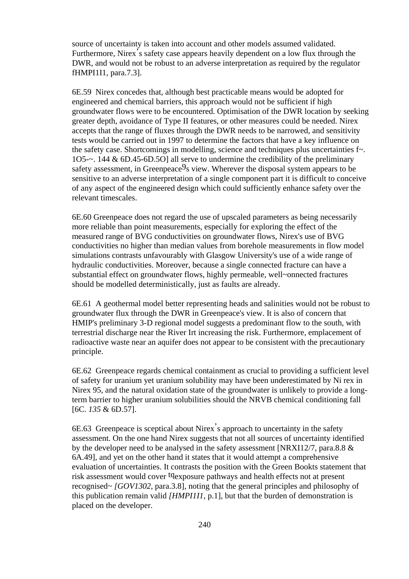source of uncertainty is taken into account and other models assumed validated. Furthermore, Nirex's safety case appears heavily dependent on a low flux through the DWR, and would not be robust to an adverse interpretation as required by the regulator fHMPI1I1, para.7.3].

6E.59 Nirex concedes that, although best practicable means would be adopted for engineered and chemical barriers, this approach would not be sufficient if high groundwater flows were to be encountered. Optimisation of the DWR location by seeking greater depth, avoidance of Type II features, or other measures could be needed. Nirex accepts that the range of fluxes through the DWR needs to be narrowed, and sensitivity tests would be carried out in 1997 to determine the factors that have a key influence on the safety case. Shortcomings in modelling, science and techniques plus uncertainties f~. 1O5-~. 144 & 6D.45-6D.5O] all serve to undermine the credibility of the preliminary safety assessment, in Greenpeace<sup>9</sup>s view. Wherever the disposal system appears to be sensitive to an adverse interpretation of a single component part it is difficult to conceive of any aspect of the engineered design which could sufficiently enhance safety over the relevant timescales.

6E.60 Greenpeace does not regard the use of upscaled parameters as being necessarily more reliable than point measurements, especially for exploring the effect of the measured range of BVG conductivities on groundwater flows, Nirex's use of BVG conductivities no higher than median values from borehole measurements in flow model simulations contrasts unfavourably with Glasgow University's use of a wide range of hydraulic conductivities. Moreover, because a single connected fracture can have a substantial effect on groundwater flows, highly permeable, well~onnected fractures should be modelled deterministically, just as faults are already.

6E.61 A geothermal model better representing heads and salinities would not be robust to groundwater flux through the DWR in Greenpeace's view. It is also of concern that HMIP's preliminary 3-D regional model suggests a predominant flow to the south, with terrestrial discharge near the River Irt increasing the risk. Furthermore, emplacement of radioactive waste near an aquifer does not appear to be consistent with the precautionary principle.

6E.62 Greenpeace regards chemical containment as crucial to providing a sufficient level of safety for uranium yet uranium solubility may have been underestimated by Ni rex in Nirex 95, and the natural oxidation state of the groundwater is unlikely to provide a longterm barrier to higher uranium solubilities should the NRVB chemical conditioning fall [6C. *135* & 6D.57].

6E.63 Greenpeace is sceptical about Nirex's approach to uncertainty in the safety assessment. On the one hand Nirex suggests that not all sources of uncertainty identified by the developer need to be analysed in the safety assessment [NRXI12/7, para.8.8 & 6A.49], and yet on the other hand it states that it would attempt a comprehensive evaluation of uncertainties. It contrasts the position with the Green Bookts statement that risk assessment would cover <sup>tq</sup>exposure pathways and health effects not at present recognised~ *[GOV1302,* para.3.8], noting that the general principles and philosophy of this publication remain valid *[HMPI1I1,* p.1], but that the burden of demonstration is placed on the developer.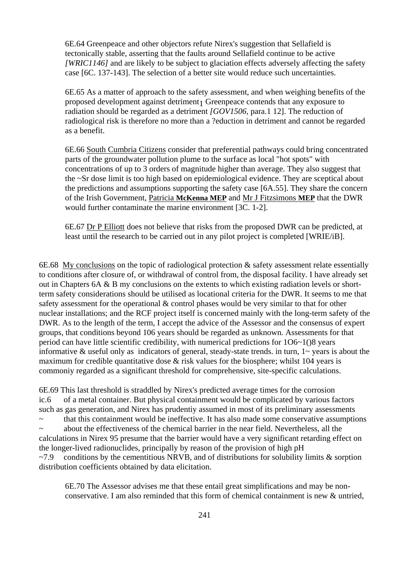6E.64 Greenpeace and other objectors refute Nirex's suggestion that Sellafield is tectonically stable, asserting that the faults around Sellafield continue to be active *[WRIC1146]* and are likely to be subject to glaciation effects adversely affecting the safety case [6C. 137-143]. The selection of a better site would reduce such uncertainties.

6E.65 As a matter of approach to the safety assessment, and when weighing benefits of the proposed development against detriment <sup>1</sup> Greenpeace contends that any exposure to radiation should be regarded as a detriment *[GOV1506,* para.1 12]. The reduction of radiological risk is therefore no more than a ?eduction in detriment and cannot be regarded as a benefit.

6E.66 South Cumbria Citizens consider that preferential pathways could bring concentrated parts of the groundwater pollution plume to the surface as local "hot spots" with concentrations of up to 3 orders of magnitude higher than average. They also suggest that the ~Sr dose limit is too high based on epidemiological evidence. They are sceptical about the predictions and assumptions supporting the safety case [6A.55]. They share the concern of the Irish Government, Patricia **McKenna MEP** and Mr J Fitzsimons **MEP** that the DWR would further contaminate the marine environment [3C. 1-2].

6E.67 Dr P Elliott does not believe that risks from the proposed DWR can be predicted, at least until the research to be carried out in any pilot project is completed [WRIE/iB].

6E.68 My conclusions on the topic of radiological protection & safety assessment relate essentially to conditions after closure of, or withdrawal of control from, the disposal facility. I have already set out in Chapters 6A & B my conclusions on the extents to which existing radiation levels or shortterm safety considerations should be utilised as locational criteria for the DWR. It seems to me that safety assessment for the operational & control phases would be very similar to that for other nuclear installations; and the RCF project itself is concerned mainly with the long-term safety of the DWR. As to the length of the term, I accept the advice of the Assessor and the consensus of expert groups, that conditions beyond 106 years should be regarded as unknown. Assessments for that period can have little scientific credibility, with numerical predictions for 1O6~1()8 years informative  $\&$  useful only as indicators of general, steady-state trends. in turn,  $1$  vears is about the maximum for credible quantitative dose & risk values for the biosphere; whilst 104 years is commoniy regarded as a significant threshold for comprehensive, site-specific calculations.

6E.69 This last threshold is straddled by Nirex's predicted average times for the corrosion ic.6 of a metal container. But physical containment would be complicated by various factors such as gas generation, and Nirex has prudentiy assumed in most of its preliminary assessments  $\sim$  that this containment would be ineffective. It has also made some conservative assumptions  $\sim$  about the effectiveness of the chemical barrier in the near field. Nevertheless, all the calculations in Nirex 95 presume that the barrier would have a very significant retarding effect on the longer-lived radionuclides, principally by reason of the provision of high pH  $\sim$ 7.9 conditions by the cementitious NRVB, and of distributions for solubility limits & sorption distribution coefficients obtained by data elicitation.

6E.70 The Assessor advises me that these entail great simplifications and may be nonconservative. I am also reminded that this form of chemical containment is new & untried,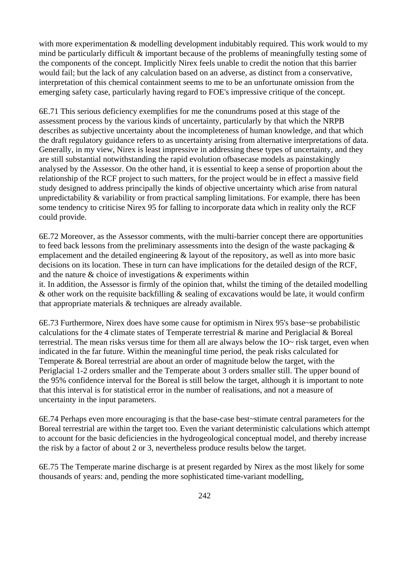with more experimentation  $\&$  modelling development indubitably required. This work would to my mind be particularly difficult & important because of the problems of meaningfully testing some of the components of the concept. Implicitly Nirex feels unable to credit the notion that this barrier would fail; but the lack of any calculation based on an adverse, as distinct from a conservative, interpretation of this chemical containment seems to me to be an unfortunate omission from the emerging safety case, particularly having regard to FOE's impressive critique of the concept.

6E.71 This serious deficiency exemplifies for me the conundrums posed at this stage of the assessment process by the various kinds of uncertainty, particularly by that which the NRPB describes as subjective uncertainty about the incompleteness of human knowledge, and that which the draft regulatory guidance refers to as uncertainty arising from alternative interpretations of data. Generally, in my view, Nirex is least impressive in addressing these types of uncertainty, and they are still substantial notwithstanding the rapid evolution ofbasecase models as painstakingly analysed by the Assessor. On the other hand, it is essential to keep a sense of proportion about the relationship of the RCF project to such matters, for the project would be in effect a massive field study designed to address principally the kinds of objective uncertainty which arise from natural unpredictability & variability or from practical sampling limitations. For example, there has been some tendency to criticise Nirex 95 for falling to incorporate data which in reality only the RCF could provide.

6E.72 Moreover, as the Assessor comments, with the multi-barrier concept there are opportunities to feed back lessons from the preliminary assessments into the design of the waste packaging & emplacement and the detailed engineering & layout of the repository, as well as into more basic decisions on its location. These in turn can have implications for the detailed design of the RCF, and the nature & choice of investigations & experiments within

it. In addition, the Assessor is firmly of the opinion that, whilst the timing of the detailed modelling & other work on the requisite backfilling  $\&$  sealing of excavations would be late, it would confirm that appropriate materials & techniques are already available.

6E.73 Furthermore, Nirex does have some cause for optimism in Nirex 95's base~se probabilistic calculations for the 4 climate states of Temperate terrestrial & marine and Periglacial & Boreal terrestrial. The mean risks versus time for them all are always below the 10~ risk target, even when indicated in the far future. Within the meaningful time period, the peak risks calculated for Temperate & Boreal terrestrial are about an order of magnitude below the target, with the Periglacial 1-2 orders smaller and the Temperate about 3 orders smaller still. The upper bound of the 95% confidence interval for the Boreal is still below the target, although it is important to note that this interval is for statistical error in the number of realisations, and not a measure of uncertainty in the input parameters.

6E.74 Perhaps even more encouraging is that the base-case best~stimate central parameters for the Boreal terrestrial are within the target too. Even the variant deterministic calculations which attempt to account for the basic deficiencies in the hydrogeological conceptual model, and thereby increase the risk by a factor of about 2 or 3, nevertheless produce results below the target.

6E.75 The Temperate marine discharge is at present regarded by Nirex as the most likely for some thousands of years: and, pending the more sophisticated time-variant modelling,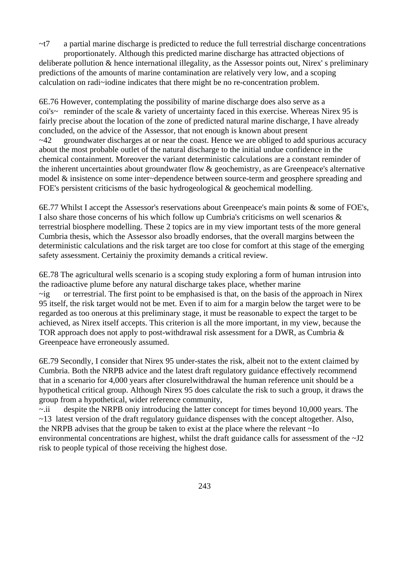~t7 a partial marine discharge is predicted to reduce the full terrestrial discharge concentrations proportionately. Although this predicted marine discharge has attracted objections of deliberate pollution & hence international illegality, as the Assessor points out, Nirex' s preliminary predictions of the amounts of marine contamination are relatively very low, and a scoping calculation on radi~iodine indicates that there might be no re-concentration problem.

6E.76 However, contemplating the possibility of marine discharge does also serve as a coi's~ reminder of the scale & variety of uncertainty faced in this exercise. Whereas Nirex 95 is fairly precise about the location of the zone of predicted natural marine discharge, I have already concluded, on the advice of the Assessor, that not enough is known about present  $\sim$  42 groundwater discharges at or near the coast. Hence we are obliged to add spurious accuracy about the most probable outlet of the natural discharge to the initial undue confidence in the chemical containment. Moreover the variant deterministic calculations are a constant reminder of the inherent uncertainties about groundwater flow & geochemistry, as are Greenpeace's alternative model & insistence on some inter~dependence between source-term and geosphere spreading and FOE's persistent criticisms of the basic hydrogeological  $\&$  geochemical modelling.

6E.77 Whilst I accept the Assessor's reservations about Greenpeace's main points & some of FOE's, I also share those concerns of his which follow up Cumbria's criticisms on well scenarios & terrestrial biosphere modelling. These 2 topics are in my view important tests of the more general Cumbria thesis, which the Assessor also broadly endorses, that the overall margins between the deterministic calculations and the risk target are too close for comfort at this stage of the emerging safety assessment. Certainiy the proximity demands a critical review.

6E.78 The agricultural wells scenario is a scoping study exploring a form of human intrusion into the radioactive plume before any natural discharge takes place, whether marine  $\sim$ ig or terrestrial. The first point to be emphasised is that, on the basis of the approach in Nirex 95 itself, the risk target would not be met. Even if to aim for a margin below the target were to be regarded as too onerous at this preliminary stage, it must be reasonable to expect the target to be achieved, as Nirex itself accepts. This criterion is all the more important, in my view, because the TOR approach does not apply to post-withdrawal risk assessment for a DWR, as Cumbria & Greenpeace have erroneously assumed.

6E.79 Secondly, I consider that Nirex 95 under-states the risk, albeit not to the extent claimed by Cumbria. Both the NRPB advice and the latest draft regulatory guidance effectively recommend that in a scenario for 4,000 years after closurelwithdrawal the human reference unit should be a hypothetical critical group. Although Nirex 95 does calculate the risk to such a group, it draws the group from a hypothetical, wider reference community,

~.ii despite the NRPB oniy introducing the latter concept for times beyond 10,000 years. The ~13 latest version of the draft regulatory guidance dispenses with the concept altogether. Also, the NRPB advises that the group be taken to exist at the place where the relevant ~Io environmental concentrations are highest, whilst the draft guidance calls for assessment of the ~J2 risk to people typical of those receiving the highest dose.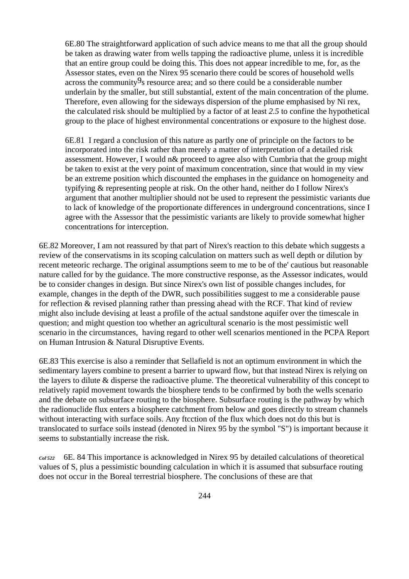6E.80 The straightforward application of such advice means to me that all the group should be taken as drawing water from wells tapping the radioactive plume, unless it is incredible that an entire group could be doing this. This does not appear incredible to me, for, as the Assessor states, even on the Nirex 95 scenario there could be scores of household wells across the community<sup>9</sup>s resource area; and so there could be a considerable number underlain by the smaller, but still substantial, extent of the main concentration of the plume. Therefore, even allowing for the sideways dispersion of the plume emphasised by Ni rex, the calculated risk should be multiplied by a factor of at least *2.5* to confine the hypothetical group to the place of highest environmental concentrations or exposure to the highest dose.

6E.81 I regard a conclusion of this nature as partly one of principle on the factors to be incorporated into the risk rather than merely a matter of interpretation of a detailed risk assessment. However, I would n& proceed to agree also with Cumbria that the group might be taken to exist at the very point of maximum concentration, since that would in my view be an extreme position which discounted the emphases in the guidance on homogeneity and typifying & representing people at risk. On the other hand, neither do I follow Nirex's argument that another multiplier should not be used to represent the pessimistic variants due to lack of knowledge of the proportionate differences in underground concentrations, since I agree with the Assessor that the pessimistic variants are likely to provide somewhat higher concentrations for interception.

6E.82 Moreover, I am not reassured by that part of Nirex's reaction to this debate which suggests a review of the conservatisms in its scoping calculation on matters such as well depth or dilution by recent meteoric recharge. The original assumptions seem to me to be of the' cautious but reasonable nature called for by the guidance. The more constructive response, as the Assessor indicates, would be to consider changes in design. But since Nirex's own list of possible changes includes, for example, changes in the depth of the DWR, such possibilities suggest to me a considerable pause for reflection & revised planning rather than pressing ahead with the RCF. That kind of review might also include devising at least a profile of the actual sandstone aquifer over the timescale in question; and might question too whether an agricultural scenario is the most pessimistic well scenario in the circumstances, having regard to other well scenarios mentioned in the PCPA Report on Human Intrusion & Natural Disruptive Events.

6E.83 This exercise is also a reminder that Sellafield is not an optimum environment in which the sedimentary layers combine to present a barrier to upward flow, but that instead Nirex is relying on the layers to dilute & disperse the radioactive plume. The theoretical vulnerability of this concept to relatively rapid movement towards the biosphere tends to be confirmed by both the wells scenario and the debate on subsurface routing to the biosphere. Subsurface routing is the pathway by which the radionuclide flux enters a biosphere catchment from below and goes directly to stream channels without interacting with surface soils. Any ftection of the flux which does not do this but is translocated to surface soils instead (denoted in Nirex 95 by the symbol "S") is important because it seems to substantially increase the risk.

*Col'522* 6E. 84 This importance is acknowledged in Nirex 95 by detailed calculations of theoretical values of S, plus a pessimistic bounding calculation in which it is assumed that subsurface routing does not occur in the Boreal terrestrial biosphere. The conclusions of these are that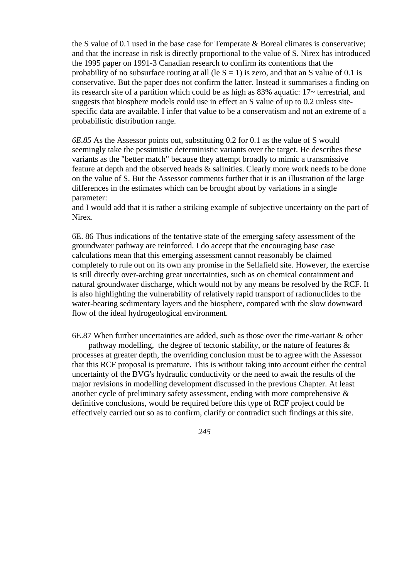the S value of 0.1 used in the base case for Temperate & Boreal climates is conservative; and that the increase in risk is directly proportional to the value of S. Nirex has introduced the 1995 paper on 1991-3 Canadian research to confirm its contentions that the probability of no subsurface routing at all (le  $S = 1$ ) is zero, and that an S value of 0.1 is conservative. But the paper does not confirm the latter. Instead it summarises a finding on its research site of a partition which could be as high as 83% aquatic: 17~ terrestrial, and suggests that biosphere models could use in effect an S value of up to 0.2 unless sitespecific data are available. I infer that value to be a conservatism and not an extreme of a probabilistic distribution range.

*6E.85* As the Assessor points out, substituting 0.2 for 0.1 as the value of S would seemingly take the pessimistic deterministic variants over the target. He describes these variants as the "better match" because they attempt broadly to mimic a transmissive feature at depth and the observed heads & salinities. Clearly more work needs to be done on the value of S. But the Assessor comments further that it is an illustration of the large differences in the estimates which can be brought about by variations in a single parameter:

and I would add that it is rather a striking example of subjective uncertainty on the part of Nirex.

6E. 86 Thus indications of the tentative state of the emerging safety assessment of the groundwater pathway are reinforced. I do accept that the encouraging base case calculations mean that this emerging assessment cannot reasonably be claimed completely to rule out on its own any promise in the Sellafield site. However, the exercise is still directly over-arching great uncertainties, such as on chemical containment and natural groundwater discharge, which would not by any means be resolved by the RCF. It is also highlighting the vulnerability of relatively rapid transport of radionuclides to the water-bearing sedimentary layers and the biosphere, compared with the slow downward flow of the ideal hydrogeological environment.

6E.87 When further uncertainties are added, such as those over the time-variant & other

pathway modelling, the degree of tectonic stability, or the nature of features  $\&$ processes at greater depth, the overriding conclusion must be to agree with the Assessor that this RCF proposal is premature. This is without taking into account either the central uncertainty of the BVG's hydraulic conductivity or the need to await the results of the major revisions in modelling development discussed in the previous Chapter. At least another cycle of preliminary safety assessment, ending with more comprehensive & definitive conclusions, would be required before this type of RCF project could be effectively carried out so as to confirm, clarify or contradict such findings at this site.

*245*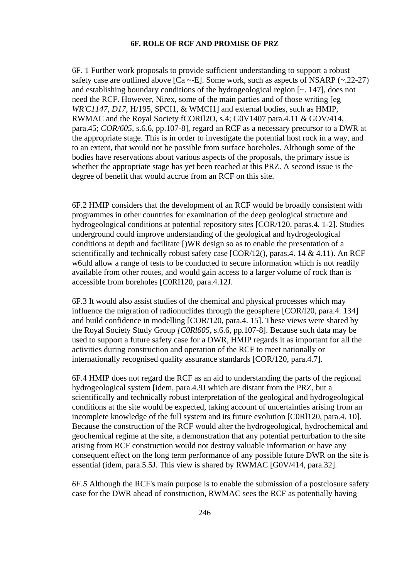### **6F. ROLE OF RCF AND PROMISE OF PRZ**

6F. 1 Further work proposals to provide sufficient understanding to support a robust safety case are outlined above  $[Ca \sim E]$ . Some work, such as aspects of NSARP ( $\sim$ .22-27) and establishing boundary conditions of the hydrogeological region [~. 147], does not need the RCF. However, Nirex, some of the main parties and of those writing [eg *WR'C1147, D17,* H/195, SPCI1, & WMCI1] and external bodies, such as HMIP, RWMAC and the Royal Society fCORIl2O, s.4; G0V1407 para.4.11 & GOV/414, para.45; *COR/605,* s.6.6, pp.107-8], regard an RCF as a necessary precursor to a DWR at the appropriate stage. This is in order to investigate the potential host rock in a way, and to an extent, that would not be possible from surface boreholes. Although some of the bodies have reservations about various aspects of the proposals, the primary issue is whether the appropriate stage has yet been reached at this PRZ. A second issue is the degree of benefit that would accrue from an RCF on this site.

6F.2 HMIP considers that the development of an RCF would be broadly consistent with programmes in other countries for examination of the deep geological structure and hydrogeological conditions at potential repository sites [COR/120, paras.4. 1-2]. Studies underground could improve understanding of the geological and hydrogeological conditions at depth and facilitate [)WR design so as to enable the presentation of a scientifically and technically robust safety case [COR/12(), paras.4. 14 & 4.11). An RCF w6uld allow a range of tests to be conducted to secure information which is not readily available from other routes, and would gain access to a larger volume of rock than is accessible from boreholes [C0RI120, para.4.12J.

6F.3 It would also assist studies of the chemical and physical processes which may influence the migration of radionuclides through the geosphere [COR/l20, para.4. 134] and build confidence in modelling [COR/120, para.4. 15]. These views were shared by the Royal Society Study Group *[C0Rl605,* s.6.6, pp.107-8]. Because such data may be used to support a future safety case for a DWR, HMIP regards it as important for all the activities during construction and operation of the RCF to meet nationally or internationally recognised quality assurance standards [COR/120, para.4.7].

6F.4 HMIP does not regard the RCF as an aid to understanding the parts of the regional hydrogeological system [idem, para.4.9J which are distant from the PRZ, but a scientifically and technically robust interpretation of the geological and hydrogeological conditions at the site would be expected, taking account of uncertainties arising from an incomplete knowledge of the full system and its future evolution [C0Rl120, para.4. 10]. Because the construction of the RCF would alter the hydrogeological, hydrochemical and geochemical regime at the site, a demonstration that any potential perturbation to the site arising from RCF construction would not destroy valuable information or have any consequent effect on the long term performance of any possible future DWR on the site is essential (idem, para.5.5J. This view is shared by RWMAC [G0V/414, para.32].

*6F.5* Although the RCF's main purpose is to enable the submission of a postclosure safety case for the DWR ahead of construction, RWMAC sees the RCF as potentially having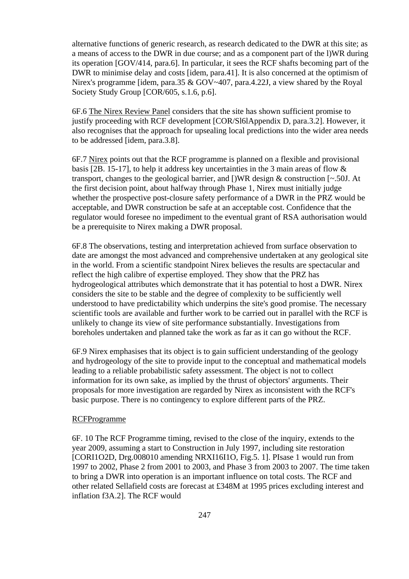alternative functions of generic research, as research dedicated to the DWR at this site; as a means of access to the DWR in due course; and as a component part of the l)WR during its operation [GOV/414, para.6]. In particular, it sees the RCF shafts becoming part of the DWR to minimise delay and costs [idem, para.41]. It is also concerned at the optimism of Nirex's programme [idem, para.35 & GOV~407, para.4.22J, a view shared by the Royal Society Study Group [COR/605, s.1.6, p.6].

6F.6 The Nirex Review Panel considers that the site has shown sufficient promise to justify proceeding with RCF development [COR/Sl6lAppendix D, para.3.2]. However, it also recognises that the approach for upsealing local predictions into the wider area needs to be addressed [idem, para.3.8].

6F.7 Nirex points out that the RCF programme is planned on a flexible and provisional basis [2B. 15-17], to help it address key uncertainties in the 3 main areas of flow & transport, changes to the geological barrier, and [)WR design  $&$  construction [~.50J. At the first decision point, about halfway through Phase 1, Nirex must initially judge whether the prospective post-closure safety performance of a DWR in the PRZ would be acceptable, and DWR construction be safe at an acceptable cost. Confidence that the regulator would foresee no impediment to the eventual grant of RSA authorisation would be a prerequisite to Nirex making a DWR proposal.

6F.8 The observations, testing and interpretation achieved from surface observation to date are amongst the most advanced and comprehensive undertaken at any geological site in the world. From a scientific standpoint Nirex believes the results are spectacular and reflect the high calibre of expertise employed. They show that the PRZ has hydrogeological attributes which demonstrate that it has potential to host a DWR. Nirex considers the site to be stable and the degree of complexity to be sufficiently well understood to have predictability which underpins the site's good promise. The necessary scientific tools are available and further work to be carried out in parallel with the RCF is unlikely to change its view of site performance substantially. Investigations from boreholes undertaken and planned take the work as far as it can go without the RCF.

6F.9 Nirex emphasises that its object is to gain sufficient understanding of the geology and hydrogeology of the site to provide input to the conceptual and mathematical models leading to a reliable probabilistic safety assessment. The object is not to collect information for its own sake, as implied by the thrust of objectors' arguments. Their proposals for more investigation are regarded by Nirex as inconsistent with the RCF's basic purpose. There is no contingency to explore different parts of the PRZ.

### RCFProgramme

6F. 10 The RCF Programme timing, revised to the close of the inquiry, extends to the year 2009, assuming a start to Construction in July 1997, including site restoration [CORI1O2D, Drg.008010 amending NRXI16I1O, Fig.5. 1]. PIsase 1 would run from 1997 to 2002, Phase 2 from 2001 to 2003, and Phase 3 from 2003 to 2007. The time taken to bring a DWR into operation is an important influence on total costs. The RCF and other related Sellafield costs are forecast at £348M at 1995 prices excluding interest and inflation f3A.2]. The RCF would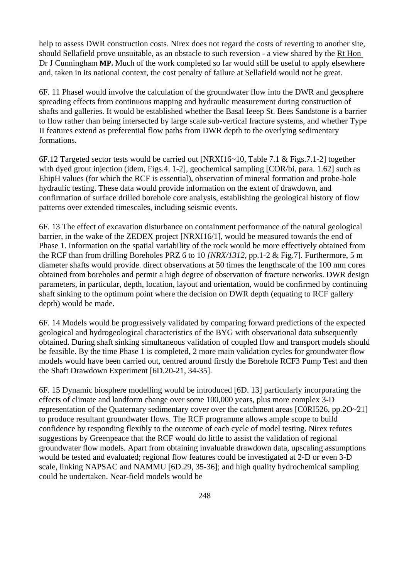help to assess DWR construction costs. Nirex does not regard the costs of reverting to another site, should Sellafield prove unsuitable, as an obstacle to such reversion - a view shared by the Rt Hon Dr J Cunningham **MP.** Much of the work completed so far would still be useful to apply elsewhere and, taken in its national context, the cost penalty of failure at Sellafield would not be great.

6F. 11 Phasel would involve the calculation of the groundwater flow into the DWR and geosphere spreading effects from continuous mapping and hydraulic measurement during construction of shafts and galleries. It would be established whether the Basal Ieeep St. Bees Sandstone is a barrier to flow rather than being intersected by large scale sub-vertical fracture systems, and whether Type II features extend as preferential flow paths from DWR depth to the overlying sedimentary formations.

6F.12 Targeted sector tests would be carried out [NRXI16~10, Table 7.1 & Figs.7.1-2] together with dyed grout injection (idem, Figs.4. 1-2], geochemical sampling [COR/bi, para. 1.62] such as EhipH values (for which the RCF is essential), observation of mineral formation and probe-hole hydraulic testing. These data would provide information on the extent of drawdown, and confirmation of surface drilled borehole core analysis, establishing the geological history of flow patterns over extended timescales, including seismic events.

6F. 13 The effect of excavation disturbance on containment performance of the natural geological barrier, in the wake of the ZEDEX project [NRXI16/1], would be measured towards the end of Phase 1. Information on the spatial variability of the rock would be more effectively obtained from the RCF than from drilling Boreholes PRZ 6 to 10 *[NRX/1312,* pp.1-2 & Fig.7]. Furthermore, 5 m diameter shafts would provide. direct observations at 50 times the lengthscale of the 100 mm cores obtained from boreholes and permit a high degree of observation of fracture networks. DWR design parameters, in particular, depth, location, layout and orientation, would be confirmed by continuing shaft sinking to the optimum point where the decision on DWR depth (equating to RCF gallery depth) would be made.

6F. 14 Models would be progressively validated by comparing forward predictions of the expected geological and hydrogeological characteristics of the BYG with observational data subsequently obtained. During shaft sinking simultaneous validation of coupled flow and transport models should be feasible. By the time Phase 1 is completed, 2 more main validation cycles for groundwater flow models would have been carried out, centred around firstly the Borehole RCF3 Pump Test and then the Shaft Drawdown Experiment [6D.20-21, 34-35].

6F. 15 Dynamic biosphere modelling would be introduced [6D. 13] particularly incorporating the effects of climate and landform change over some 100,000 years, plus more complex 3-D representation of the Quaternary sedimentary cover over the catchment areas [C0RI526, pp.2O~21] to produce resultant groundwater flows. The RCF programme allows ample scope to build confidence by responding flexibly to the outcome of each cycle of model testing. Nirex refutes suggestions by Greenpeace that the RCF would do little to assist the validation of regional groundwater flow models. Apart from obtaining invaluable drawdown data, upscaling assumptions would be tested and evaluated; regional flow features could be investigated at 2-D or even 3-D scale, linking NAPSAC and NAMMU [6D.29, 35-36]; and high quality hydrochemical sampling could be undertaken. Near-field models would be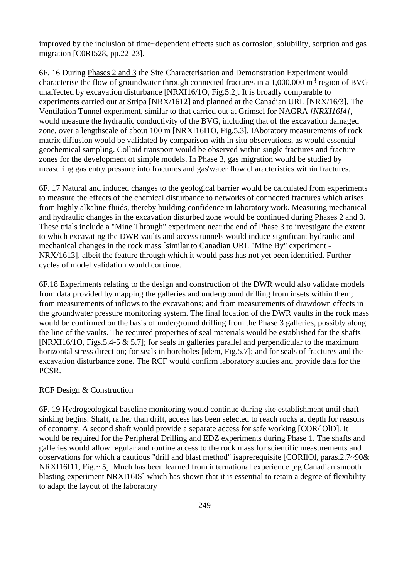improved by the inclusion of time~dependent effects such as corrosion, solubility, sorption and gas migration [C0RI528, pp.22-23].

6F. 16 During Phases 2 and 3 the Site Characterisation and Demonstration Experiment would characterise the flow of groundwater through connected fractures in a 1,000,000  $\text{m}^3$  region of BVG unaffected by excavation disturbance [NRXI16/1O, Fig.5.2]. It is broadly comparable to experiments carried out at Stripa [NRX/1612] and planned at the Canadian URL [NRX/16/3]. The Ventilation Tunnel experiment, similar to that carried out at Grimsel for NAGRA *[NRXI16I4],*  would measure the hydraulic conductivity of the BVG, including that of the excavation damaged zone, over a lengthscale of about 100 m [NRXI16I1O, Fig.5.3]. IAboratory measurements of rock matrix diffusion would be validated by comparison with in situ observations, as would essential geochemical sampling. Colloid transport would be observed within single fractures and fracture zones for the development of simple models. In Phase 3, gas migration would be studied by measuring gas entry pressure into fractures and gas'water flow characteristics within fractures.

6F. 17 Natural and induced changes to the geological barrier would be calculated from experiments to measure the effects of the chemical disturbance to networks of connected fractures which arises from highly alkaline fluids, thereby building confidence in laboratory work. Measuring mechanical and hydraulic changes in the excavation disturbed zone would be continued during Phases 2 and 3. These trials include a "Mine Through" experiment near the end of Phase 3 to investigate the extent to which excavating the DWR vaults and access tunnels would induce significant hydraulic and mechanical changes in the rock mass [similar to Canadian URL "Mine By" experiment - NRX/1613], albeit the feature through which it would pass has not yet been identified. Further cycles of model validation would continue.

6F.18 Experiments relating to the design and construction of the DWR would also validate models from data provided by mapping the galleries and underground drilling from insets within them; from measurements of inflows to the excavations; and from measurements of drawdown effects in the groundwater pressure monitoring system. The final location of the DWR vaults in the rock mass would be confirmed on the basis of underground drilling from the Phase 3 galleries, possibly along the line of the vaults. The required properties of seal materials would be established for the shafts [NRXI16/1O, Figs. 5.4-5  $\&$  5.7]; for seals in galleries parallel and perpendicular to the maximum horizontal stress direction; for seals in boreholes [idem, Fig.5.7]; and for seals of fractures and the excavation disturbance zone. The RCF would confirm laboratory studies and provide data for the PCSR.

### RCF Design & Construction

6F. 19 Hydrogeological baseline monitoring would continue during site establishment until shaft sinking begins. Shaft, rather than drift, access has been selected to reach rocks at depth for reasons of economy. A second shaft would provide a separate access for safe working [COR/lOlD]. It would be required for the Peripheral Drilling and EDZ experiments during Phase 1. The shafts and galleries would allow regular and routine access to the rock mass for scientific measurements and observations for which a cautious "drill and blast method" isaprerequisite [CORIlOl, paras.2.7~90& NRXI16I11, Fig.~.5]. Much has been learned from international experience [eg Canadian smooth blasting experiment NRXI16IS] which has shown that it is essential to retain a degree of flexibility to adapt the layout of the laboratory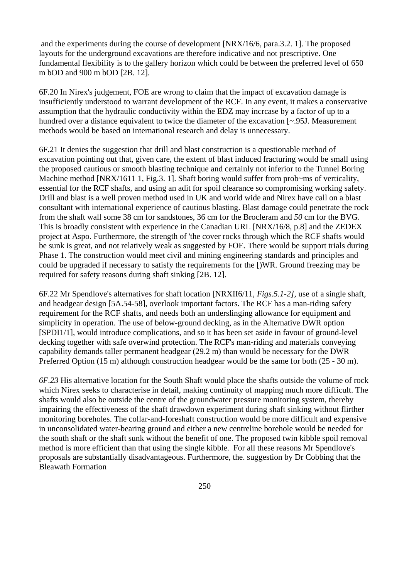and the experiments during the course of development [NRX/16/6, para.3.2. 1]. The proposed layouts for the underground excavations are therefore indicative and not prescriptive. One fundamental flexibility is to the gallery horizon which could be between the preferred level of 650 m bOD and 900 m bOD [2B. 12].

6F.20 In Nirex's judgement, FOE are wrong to claim that the impact of excavation damage is insufficiently understood to warrant development of the RCF. In any event, it makes a conservative assumption that the hydraulic conductivity within the EDZ may incrcase by a factor of up to a hundred over a distance equivalent to twice the diameter of the excavation [~.95J. Measurement methods would be based on international research and delay is unnecessary.

6F.21 It denies the suggestion that drill and blast construction is a questionable method of excavation pointing out that, given care, the extent of blast induced fracturing would be small using the proposed cautious or smooth blasting technique and certainly not inferior to the Tunnel Boring Machine method [NRX/1611 1, Fig.3. 1]. Shaft boring would suffer from prob~ms of verticality, essential for the RCF shafts, and using an adit for spoil clearance so compromising working safety. Drill and blast is a well proven method used in UK and world wide and Nirex have call on a blast consultant with international experience of cautious blasting. Blast damage could penetrate the rock from the shaft wall some 38 cm for sandstones, 36 cm for the Brocleram and *50* cm for the BVG. This is broadly consistent with experience in the Canadian URL [NRX/16/8, p.8] and the ZEDEX project at Aspo. Furthermore, the strength of 'the cover rocks through which the RCF shafts would be sunk is great, and not relatively weak as suggested by FOE. There would be support trials during Phase 1. The construction would meet civil and mining engineering standards and principles and could be upgraded if necessary to satisfy the requirements for the [)WR. Ground freezing may be required for safety reasons during shaft sinking [2B. 12].

6F.22 Mr Spendlove's alternatives for shaft location [NRXII6/11, *Figs.5.1-2],* use of a single shaft, and headgear design [5A.54-58], overlook important factors. The RCF has a man-riding safety requirement for the RCF shafts, and needs both an underslinging allowance for equipment and simplicity in operation. The use of below-ground decking, as in the Alternative DWR option [SPDI1/1], would introduce complications, and so it has been set aside in favour of ground-level decking together with safe overwind protection. The RCF's man-riding and materials conveying capability demands taller permanent headgear (29.2 m) than would be necessary for the DWR Preferred Option (15 m) although construction headgear would be the same for both (25 - 30 m).

*6F.23* His alternative location for the South Shaft would place the shafts outside the volume of rock which Nirex seeks to characterise in detail, making continuity of mapping much more difficult. The shafts would also be outside the centre of the groundwater pressure monitoring system, thereby impairing the effectiveness of the shaft drawdown experiment during shaft sinking without flirther monitoring boreholes. The collar-and-foreshaft construction would be more difficult and expensive in unconsolidated water-bearing ground and either a new centreline borehole would be needed for the south shaft or the shaft sunk without the benefit of one. The proposed twin kibble spoil removal method is more efficient than that using the single kibble. For all these reasons Mr Spendlove's proposals are substantially disadvantageous. Furthermore, the. suggestion by Dr Cobbing that the Bleawath Formation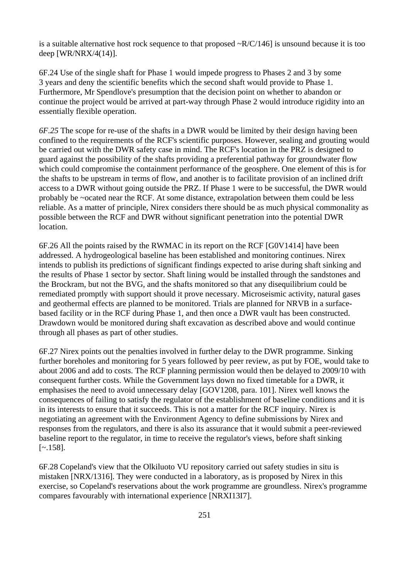is a suitable alternative host rock sequence to that proposed  $\sim R/C/146$  is unsound because it is too deep [WR/NRX/4(14)].

6F.24 Use of the single shaft for Phase 1 would impede progress to Phases 2 and 3 by some 3 years and deny the scientific benefits which the second shaft would provide to Phase 1. Furthermore, Mr Spendlove's presumption that the decision point on whether to abandon or continue the project would be arrived at part-way through Phase 2 would introduce rigidity into an essentially flexible operation.

*6F.25* The scope for re-use of the shafts in a DWR would be limited by their design having been confined to the requirements of the RCF's scientific purposes. However, sealing and grouting would be carried out with the DWR safety case in mind. The RCF's location in the PRZ is designed to guard against the possibility of the shafts providing a preferential pathway for groundwater flow which could compromise the containment performance of the geosphere. One element of this is for the shafts to be upstream in terms of flow, and another is to facilitate provision of an inclined drift access to a DWR without going outside the PRZ. If Phase 1 were to be successful, the DWR would probably be ~ocated near the RCF. At some distance, extrapolation between them could be less reliable. As a matter of principle, Nirex considers there should be as much physical commonality as possible between the RCF and DWR without significant penetration into the potential DWR location.

6F.26 All the points raised by the RWMAC in its report on the RCF [G0V1414] have been addressed. A hydrogeological baseline has been established and monitoring continues. Nirex intends to publish its predictions of significant findings expected to arise during shaft sinking and the results of Phase 1 sector by sector. Shaft lining would be installed through the sandstones and the Brockram, but not the BVG, and the shafts monitored so that any disequilibrium could be remediated promptly with support should it prove necessary. Microseismic activity, natural gases and geothermal effects are planned to be monitored. Trials are planned for NRVB in a surfacebased facility or in the RCF during Phase 1, and then once a DWR vault has been constructed. Drawdown would be monitored during shaft excavation as described above and would continue through all phases as part of other studies.

6F.27 Nirex points out the penalties involved in further delay to the DWR programme. Sinking further boreholes and monitoring for 5 years followed by peer review, as put by FOE, would take to about 2006 and add to costs. The RCF planning permission would then be delayed to 2009/10 with consequent further costs. While the Government lays down no fixed timetable for a DWR, it emphasises the need to avoid unnecessary delay [GOV1208, para. 101]. Nirex well knows the consequences of failing to satisfy the regulator of the establishment of baseline conditions and it is in its interests to ensure that it succeeds. This is not a matter for the RCF inquiry. Nirex is negotiating an agreement with the Environment Agency to define submissions by Nirex and responses from the regulators, and there is also its assurance that it would submit a peer-reviewed baseline report to the regulator, in time to receive the regulator's views, before shaft sinking  $[-.158]$ .

6F.28 Copeland's view that the Olkiluoto VU repository carried out safety studies in situ is mistaken [NRX/1316]. They were conducted in a laboratory, as is proposed by Nirex in this exercise, so Copeland's reservations about the work programme are groundless. Nirex's programme compares favourably with international experience [NRXI13I7].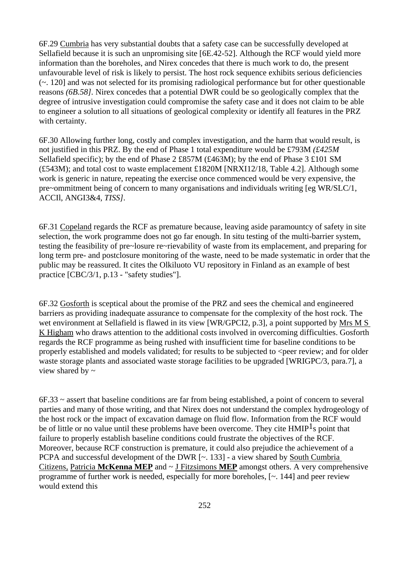6F.29 Cumbria has very substantial doubts that a safety case can be successfully developed at Sellafield because it is such an unpromising site [6E.42-52]. Although the RCF would yield more information than the boreholes, and Nirex concedes that there is much work to do, the present unfavourable level of risk is likely to persist. The host rock sequence exhibits serious deficiencies (~. 120] and was not selected for its promising radiological performance but for other questionable reasons *(6B.58].* Nirex concedes that a potential DWR could be so geologically complex that the degree of intrusive investigation could compromise the safety case and it does not claim to be able to engineer a solution to all situations of geological complexity or identify all features in the PRZ with certainty.

6F.30 Allowing further long, costly and complex investigation, and the harm that would result, is not justified in this PRZ. By the end of Phase 1 total expenditure would be £793M *(£425M*  Sellafield specific); by the end of Phase 2 £857M (£463M); by the end of Phase 3 £101 SM (£543M); and total cost to waste emplacement £1820M [NRXI12/18, Table 4.2]. Although some work is generic in nature, repeating the exercise once commenced would be very expensive, the pre~ommitment being of concern to many organisations and individuals writing [eg WR/SLC/1, ACCIl, ANGI3&4, *TISS].* 

6F.31 Copeland regards the RCF as premature because, leaving aside paramountcy of safety in site selection, the work programme does not go far enough. In situ testing of the multi-barrier system, testing the feasibility of pre~losure re~rievability of waste from its emplacement, and preparing for long term pre- and postclosure monitoring of the waste, need to be made systematic in order that the public may be reassured. It cites the Olkiluoto VU repository in Finland as an example of best practice [CBC/3/1, p.13 - "safety studies"].

6F.32 Gosforth is sceptical about the promise of the PRZ and sees the chemical and engineered barriers as providing inadequate assurance to compensate for the complexity of the host rock. The wet environment at Sellafield is flawed in its view [WR/GPCI2, p.3], a point supported by Mrs M S K Higham who draws attention to the additional costs involved in overcoming difficulties. Gosforth regards the RCF programme as being rushed with insufficient time for baseline conditions to be properly established and models validated; for results to be subjected to <peer review; and for older waste storage plants and associated waste storage facilities to be upgraded [WRIGPC/3, para.7], a view shared by  $\sim$ 

6F.33 ~ assert that baseline conditions are far from being established, a point of concern to several parties and many of those writing, and that Nirex does not understand the complex hydrogeology of the host rock or the impact of excavation damage on fluid flow. Information from the RCF would be of little or no value until these problems have been overcome. They cite  $H MIP<sup>1</sup>s$  point that failure to properly establish baseline conditions could frustrate the objectives of the RCF. Moreover, because RCF construction is premature, it could also prejudice the achievement of a PCPA and successful development of the DWR [~. 133] - a view shared by South Cumbria Citizens, Patricia **McKenna MEP** and ~ J Fitzsimons **MEP** amongst others. A very comprehensive programme of further work is needed, especially for more boreholes, [~. 144] and peer review would extend this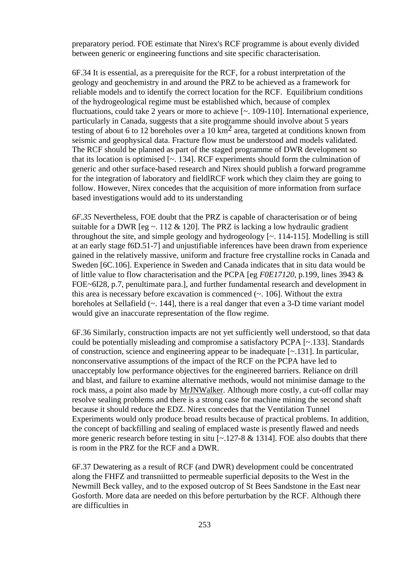preparatory period. FOE estimate that Nirex's RCF programme is about evenly divided between generic or engineering functions and site specific characterisation.

6F.34 It is essential, as a prerequisite for the RCF, for a robust interpretation of the geology and geochemistry in and around the PRZ to be achieved as a framework for reliable models and to identify the correct location for the RCF. Equilibrium conditions of the hydrogeological regime must be established which, because of complex fluctuations, could take 2 years or more to achieve [~, 109-110]. International experience, particularly in Canada, suggests that a site programme should involve about 5 years testing of about 6 to 12 boreholes over a 10 km<sup>2</sup> area, targeted at conditions known from seismic and geophysical data. Fracture flow must be understood and models validated. The RCF should be planned as part of the staged programme of DWR development so that its location is optimised [~. 134]. RCF experiments should form the culmination of generic and other surface-based research and Nirex should publish a forward programme for the integration of laboratory and fieldlRCF work which they claim they are going to follow. However, Nirex concedes that the acquisition of more information from surface based investigations would add to its understanding

*6F.35* Nevertheless, FOE doubt that the PRZ is capable of characterisation or of being suitable for a DWR [eg  $\sim$ . 112 & 120]. The PRZ is lacking a low hydraulic gradient throughout the site, and simple geology and hydrogeology [~. 114-115]. Modelling is still at an early stage f6D.51-7] and unjustifiable inferences have been drawn from experience gained in the relatively massive, uniform and fracture free crystalline rocks in Canada and Sweden [6C.106]. Experience in Sweden and Canada indicates that in situ data would be of little value to flow characterisation and the PCPA [eg *F0E17120,* p.199, lines 3943 & FOE~6I28, p.7, penultimate para.], and further fundamental research and development in this area is necessary before excavation is commenced (~. 106]. Without the extra boreholes at Sellafield  $(\sim 144]$ , there is a real danger that even a 3-D time variant model would give an inaccurate representation of the flow regime.

6F.36 Similarly, construction impacts are not yet sufficiently well understood, so that data could be potentially misleading and compromise a satisfactory PCPA [~.133]. Standards of construction, science and engineering appear to be inadequate [~.131]. In particular, nonconservative assumptions of the impact of the RCF on the PCPA have led to unacceptably low performance objectives for the engineered barriers. Reliance on drill and blast, and failure to examine alternative methods, would not minimise damage to the rock mass, a point also made by MrJNWalker. Although more costly, a cut-off collar may resolve sealing problems and there is a strong case for machine mining the second shaft because it should reduce the EDZ. Nirex concedes that the Ventilation Tunnel Experiments would only produce broad results because of practical problems. In addition, the concept of backfilling and sealing of emplaced waste is presently flawed and needs more generic research before testing in situ [~.127-8 & 1314]. FOE also doubts that there is room in the PRZ for the RCF and a DWR.

6F.37 Dewatering as a result of RCF (and DWR) development could be concentrated along the FHFZ and transniitted to permeable superficial deposits to the West in the Newmill Beck valley, and to the exposed outcrop of St Bees Sandstone in the East near Gosforth. More data are needed on this before perturbation by the RCF. Although there are difficulties in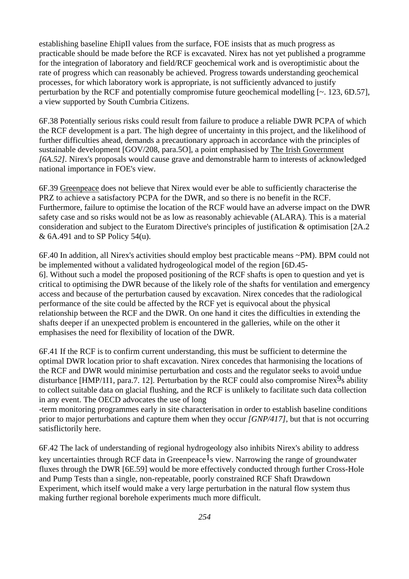establishing baseline EhipIl values from the surface, FOE insists that as much progress as practicable should be made before the RCF is excavated. Nirex has not yet published a programme for the integration of laboratory and field/RCF geochemical work and is overoptimistic about the rate of progress which can reasonably be achieved. Progress towards understanding geochemical processes, for which laboratory work is appropriate, is not sufficiently advanced to justify perturbation by the RCF and potentially compromise future geochemical modelling [~. 123, 6D.57], a view supported by South Cumbria Citizens.

6F.38 Potentially serious risks could result from failure to produce a reliable DWR PCPA of which the RCF development is a part. The high degree of uncertainty in this project, and the likelihood of further difficulties ahead, demands a precautionary approach in accordance with the principles of sustainable development [GOV/208, para.5O], a point emphasised by The Irish Government *[6A.52].* Nirex's proposals would cause grave and demonstrable harm to interests of acknowledged national importance in FOE's view.

6F.39 Greenpeace does not believe that Nirex would ever be able to sufficiently characterise the PRZ to achieve a satisfactory PCPA for the DWR, and so there is no benefit in the RCF. Furthermore, failure to optimise the location of the RCF would have an adverse impact on the DWR safety case and so risks would not be as low as reasonably achievable (ALARA). This is a material consideration and subject to the Euratom Directive's principles of justification & optimisation [2A.2  $& 6A.491$  and to SP Policy 54(u).

6F.40 In addition, all Nirex's activities should employ best practicable means ~PM). BPM could not be implemented without a validated hydrogeological model of the region [6D.45- 6]. Without such a model the proposed positioning of the RCF shafts is open to question and yet is critical to optimising the DWR because of the likely role of the shafts for ventilation and emergency access and because of the perturbation caused by excavation. Nirex concedes that the radiological performance of the site could be affected by the RCF yet is equivocal about the physical relationship between the RCF and the DWR. On one hand it cites the difficulties in extending the shafts deeper if an unexpected problem is encountered in the galleries, while on the other it emphasises the need for flexibility of location of the DWR.

6F.41 If the RCF is to confirm current understanding, this must be sufficient to determine the optimal DWR location prior to shaft excavation. Nirex concedes that harmonising the locations of the RCF and DWR would minimise perturbation and costs and the regulator seeks to avoid undue disturbance [HMP/1I1, para.7. 12]. Perturbation by the RCF could also compromise Nirex<sup>9</sup>s ability to collect suitable data on glacial flushing, and the RCF is unlikely to facilitate such data collection in any event. The OECD advocates the use of long

-term monitoring programmes early in site characterisation in order to establish baseline conditions prior to major perturbations and capture them when they occur *[GNP/417],* but that is not occurring satisflictorily here.

6F.42 The lack of understanding of regional hydrogeology also inhibits Nirex's ability to address key uncertainties through RCF data in Greenpeace<sup>1</sup>s view. Narrowing the range of groundwater fluxes through the DWR [6E.59] would be more effectively conducted through further Cross-Hole and Pump Tests than a single, non-repeatable, poorly constrained RCF Shaft Drawdown Experiment, which itself would make a very large perturbation in the natural flow system thus making further regional borehole experiments much more difficult.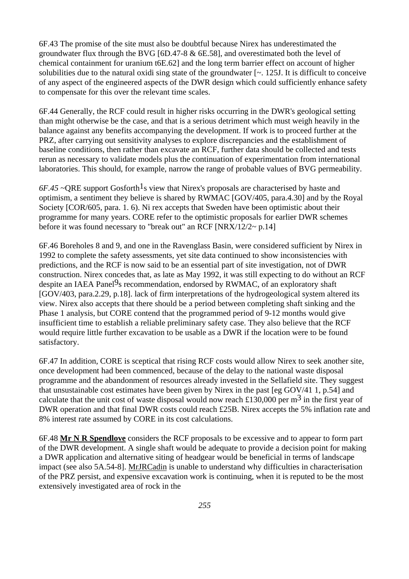6F.43 The promise of the site must also be doubtful because Nirex has underestimated the groundwater flux through the BVG [6D.47-8 & 6E.58], and overestimated both the level of chemical containment for uranium t6E.62] and the long term barrier effect on account of higher solubilities due to the natural oxidi sing state of the groundwater  $\lceil \sim 0.125 \rceil$ . It is difficult to conceive of any aspect of the engineered aspects of the DWR design which could sufficiently enhance safety to compensate for this over the relevant time scales.

6F.44 Generally, the RCF could result in higher risks occurring in the DWR's geological setting than might otherwise be the case, and that is a serious detriment which must weigh heavily in the balance against any benefits accompanying the development. If work is to proceed further at the PRZ, after carrying out sensitivity analyses to explore discrepancies and the establishment of baseline conditions, then rather than excavate an RCF, further data should be collected and tests rerun as necessary to validate models plus the continuation of experimentation from international laboratories. This should, for example, narrow the range of probable values of BVG permeability.

 $6F.45 \sim$ QRE support Gosforth<sup>1</sup>s view that Nirex's proposals are characterised by haste and optimism, a sentiment they believe is shared by RWMAC [GOV/405, para.4.30] and by the Royal Society [COR/605, para. 1. 6). Ni rex accepts that Sweden have been optimistic about their programme for many years. CORE refer to the optimistic proposals for earlier DWR schemes before it was found necessary to "break out" an RCF [NRX/12/2~ p.14]

6F.46 Boreholes 8 and 9, and one in the Ravenglass Basin, were considered sufficient by Nirex in 1992 to complete the safety assessments, yet site data continued to show inconsistencies with predictions, and the RCF is now said to be an essential part of site investigation, not of DWR construction. Nirex concedes that, as late as May 1992, it was still expecting to do without an RCF despite an IAEA Panel<sup>9</sup>s recommendation, endorsed by RWMAC, of an exploratory shaft [GOV/403, para.2.29, p.18]. lack of firm interpretations of the hydrogeological system altered its view. Nirex also accepts that there should be a period between completing shaft sinking and the Phase 1 analysis, but CORE contend that the programmed period of 9-12 months would give insufficient time to establish a reliable preliminary safety case. They also believe that the RCF would require little further excavation to be usable as a DWR if the location were to be found satisfactory.

6F.47 In addition, CORE is sceptical that rising RCF costs would allow Nirex to seek another site, once development had been commenced, because of the delay to the national waste disposal programme and the abandonment of resources already invested in the Sellafield site. They suggest that unsustainable cost estimates have been given by Nirex in the past [eg GOV/41 1, p.54] and calculate that the unit cost of waste disposal would now reach £130,000 per  $m<sup>3</sup>$  in the first year of DWR operation and that final DWR costs could reach £25B. Nirex accepts the 5% inflation rate and 8% interest rate assumed by CORE in its cost calculations.

6F.48 **Mr N R Spendlove** considers the RCF proposals to be excessive and to appear to form part of the DWR development. A single shaft would be adequate to provide a decision point for making a DWR application and alternative siting of headgear would be beneficial in terms of landscape impact (see also 5A.54-8]. MrJRCadin is unable to understand why difficulties in characterisation of the PRZ persist, and expensive excavation work is continuing, when it is reputed to be the most extensively investigated area of rock in the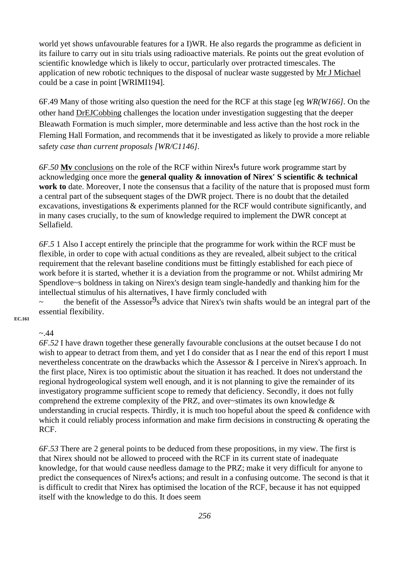world yet shows unfavourable features for a I)WR. He also regards the programme as deficient in its failure to carry out in situ trials using radioactive materials. Re points out the great evolution of scientific knowledge which is likely to occur, particularly over protracted timescales. The application of new robotic techniques to the disposal of nuclear waste suggested by Mr J Michael could be a case in point [WRIMI194].

6F.49 Many of those writing also question the need for the RCF at this stage [eg *WR(W166].* On the other hand DrEJCobbing challenges the location under investigation suggesting that the deeper Bleawath Formation is much simpler, more determinable and less active than the host rock in the Fleming Hall Formation, and recommends that it be investigated as likely to provide a more reliable saf*ety case than current proposals [WR/C1146].* 

*6F.50* **Mv** conclusions on the role of the RCF within Nirexts future work programme start by acknowledging once more the **general quality & innovation of Nirex' S scientific & technical work to** date. Moreover, I note the consensus that a facility of the nature that is proposed must form a central part of the subsequent stages of the DWR project. There is no doubt that the detailed excavations, investigations & experiments planned for the RCF would contribute significantly, and in many cases crucially, to the sum of knowledge required to implement the DWR concept at Sellafield.

*6F.5* 1 Also I accept entirely the principle that the programme for work within the RCF must be flexible, in order to cope with actual conditions as they are revealed, albeit subject to the critical requirement that the relevant baseline conditions must be fittingly established for each piece of work before it is started, whether it is a deviation from the programme or not. Whilst admiring Mr Spendlove~s boldness in taking on Nirex's design team single-handedly and thanking him for the intellectual stimulus of his alternatives, I have firmly concluded with

 $\sim$  the benefit of the Assessor<sup>9</sup>s advice that Nirex's twin shafts would be an integral part of the essential flexibility.

**EC.161** 

# $-.44$

*6F.52* I have drawn together these generally favourable conclusions at the outset because I do not wish to appear to detract from them, and yet I do consider that as I near the end of this report I must nevertheless concentrate on the drawbacks which the Assessor & I perceive in Nirex's approach. In the first place, Nirex is too optimistic about the situation it has reached. It does not understand the regional hydrogeological system well enough, and it is not planning to give the remainder of its investigatory programme sufficient scope to remedy that deficiency. Secondly, it does not fully comprehend the extreme complexity of the PRZ, and over~stimates its own knowledge & understanding in crucial respects. Thirdly, it is much too hopeful about the speed  $\&$  confidence with which it could reliably process information and make firm decisions in constructing & operating the RCF.

*6F.53* There are 2 general points to be deduced from these propositions, in my view. The first is that Nirex should not be allowed to proceed with the RCF in its current state of inadequate knowledge, for that would cause needless damage to the PRZ; make it very difficult for anyone to predict the consequences of Nirex<sup>t</sup>s actions; and result in a confusing outcome. The second is that it is difficult to credit that Nirex has optimised the location of the RCF, because it has not equipped itself with the knowledge to do this. It does seem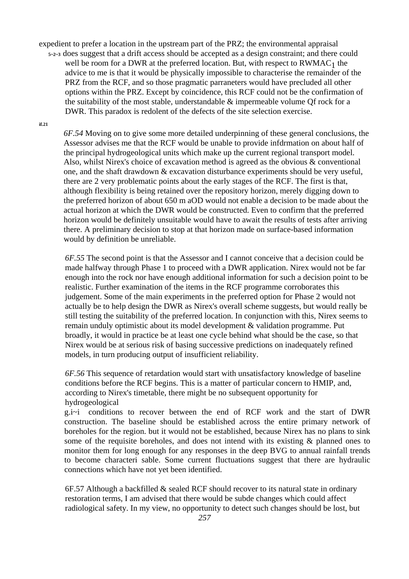expedient to prefer a location in the upstream part of the PRZ; the environmental appraisal **5~2~3** does suggest that a drift access should be accepted as a design constraint; and there could well be room for a DWR at the preferred location. But, with respect to  $\text{RWMAC}_1$  the advice to me is that it would be physically impossible to characterise the remainder of the PRZ from the RCF, and so those pragmatic parraneters would have precluded all other options within the PRZ. Except by coincidence, this RCF could not be the confirmation of the suitability of the most stable, understandable  $\&$  impermeable volume Qf rock for a DWR. This paradox is redolent of the defects of the site selection exercise.

**if.21** 

*6F.54* Moving on to give some more detailed underpinning of these general conclusions, the Assessor advises me that the RCF would be unable to provide infdrmation on about half of the principal hydrogeological units which make up the current regional transport model. Also, whilst Nirex's choice of excavation method is agreed as the obvious & conventional one, and the shaft drawdown & excavation disturbance experiments should be very useful, there are 2 very problematic points about the early stages of the RCF. The first is that, although flexibility is being retained over the repository horizon, merely digging down to the preferred horizon of about 650 m aOD would not enable a decision to be made about the actual horizon at which the DWR would be constructed. Even to confirm that the preferred horizon would be definitely unsuitable would have to await the results of tests after arriving there. A preliminary decision to stop at that horizon made on surface-based information would by definition be unreliable.

*6F.55* The second point is that the Assessor and I cannot conceive that a decision could be made halfway through Phase 1 to proceed with a DWR application. Nirex would not be far enough into the rock nor have enough additional information for such a decision point to be realistic. Further examination of the items in the RCF programme corroborates this judgement. Some of the main experiments in the preferred option for Phase 2 would not actually be to help design the DWR as Nirex's overall scheme suggests, but would really be still testing the suitability of the preferred location. In conjunction with this, Nirex seems to remain unduly optimistic about its model development & validation programme. Put broadly, it would in practice be at least one cycle behind what should be the case, so that Nirex would be at serious risk of basing successive predictions on inadequately refined models, in turn producing output of insufficient reliability.

*6F.56* This sequence of retardation would start with unsatisfactory knowledge of baseline conditions before the RCF begins. This is a matter of particular concern to HMIP, and, according to Nirex's timetable, there might be no subsequent opportunity for hydrogeological

g.i~i conditions to recover between the end of RCF work and the start of DWR construction. The baseline should be established across the entire primary network of boreholes for the region. but it would not be established, because Nirex has no plans to sink some of the requisite boreholes, and does not intend with its existing & planned ones to monitor them for long enough for any responses in the deep BVG to annual rainfall trends to become characteri sable. Some current fluctuations suggest that there are hydraulic connections which have not yet been identified.

6F.57 Although a backfilled & sealed RCF should recover to its natural state in ordinary restoration terms, I am advised that there would be subde changes which could affect radiological safety. In my view, no opportunity to detect such changes should be lost, but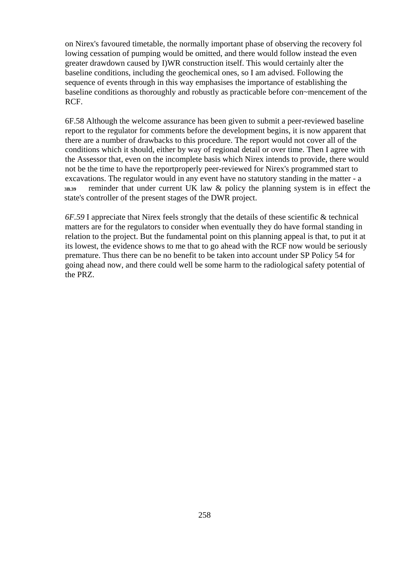on Nirex's favoured timetable, the normally important phase of observing the recovery fol lowing cessation of pumping would be omitted, and there would follow instead the even greater drawdown caused by I)WR construction itself. This would certainly alter the baseline conditions, including the geochemical ones, so I am advised. Following the sequence of events through in this way emphasises the importance of establishing the baseline conditions as thoroughly and robustly as practicable before con~mencement of the RCF.

6F.58 Although the welcome assurance has been given to submit a peer-reviewed baseline report to the regulator for comments before the development begins, it is now apparent that there are a number of drawbacks to this procedure. The report would not cover all of the conditions which it should, either by way of regional detail or over time. Then I agree with the Assessor that, even on the incomplete basis which Nirex intends to provide, there would not be the time to have the reportproperly peer-reviewed for Nirex's programmed start to excavations. The regulator would in any event have no statutory standing in the matter - a **3B.39** reminder that under current UK law & policy the planning system is in effect the state's controller of the present stages of the DWR project.

*6F.59* I appreciate that Nirex feels strongly that the details of these scientific & technical matters are for the regulators to consider when eventually they do have formal standing in relation to the project. But the fundamental point on this planning appeal is that, to put it at its lowest, the evidence shows to me that to go ahead with the RCF now would be seriously premature. Thus there can be no benefit to be taken into account under SP Policy 54 for going ahead now, and there could well be some harm to the radiological safety potential of the PRZ.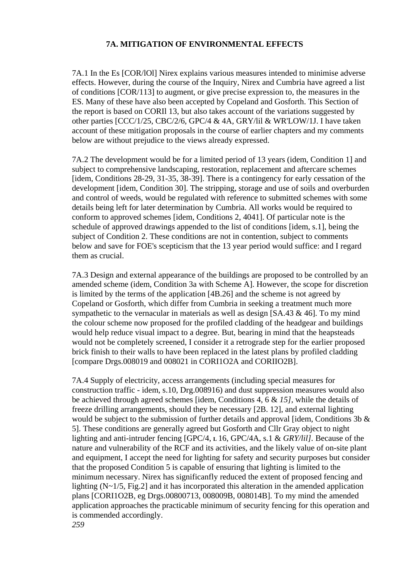## **7A. MITIGATION OF ENVIRONMENTAL EFFECTS**

7A.1 In the Es [COR/lOl] Nirex explains various measures intended to minimise adverse effects. However, during the course of the Inquiry, Nirex and Cumbria have agreed a list of conditions [COR/113] to augment, or give precise expression to, the measures in the ES. Many of these have also been accepted by Copeland and Gosforth. This Section of the report is based on CORIl 13, but also takes account of the variations suggested by other parties [CCC/1/25, CBC/2/6, GPC/4 & 4A, GRY/lil & WR'LOW/1J. I have taken account of these mitigation proposals in the course of earlier chapters and my comments below are without prejudice to the views already expressed.

7A.2 The development would be for a limited period of 13 years (idem, Condition 1] and subject to comprehensive landscaping, restoration, replacement and aftercare schemes [idem, Conditions 28-29, 31-35, 38-39]. There is a contingency for early cessation of the development [idem, Condition 30]. The stripping, storage and use of soils and overburden and control of weeds, would be regulated with reference to submitted schemes with some details being left for later determination by Cumbria. All works would be required to conform to approved schemes [idem, Conditions 2, 4041]. Of particular note is the schedule of approved drawings appended to the list of conditions [idem, s.1], being the subject of Condition 2. These conditions are not in contention, subject to comments below and save for FOE's scepticism that the 13 year period would suffice: and I regard them as crucial.

7A.3 Design and external appearance of the buildings are proposed to be controlled by an amended scheme (idem, Condition 3a with Scheme A]. However, the scope for discretion is limited by the terms of the application [4B.26] and the scheme is not agreed by Copeland or Gosforth, which differ from Cumbria in seeking a treatment much more sympathetic to the vernacular in materials as well as design [SA.43 & 46]. To my mind the colour scheme now proposed for the profiled cladding of the headgear and buildings would help reduce visual impact to a degree. But, bearing in mind that the heapsteads would not be completely screened, I consider it a retrograde step for the earlier proposed brick finish to their walls to have been replaced in the latest plans by profiled cladding [compare Drgs.008019 and 008021 in CORI1O2A and CORIIO2B].

7A.4 Supply of electricity, access arrangements (including special measures for construction traffic - idem, s.10, Drg.008916) and dust suppression measures would also be achieved through agreed schemes [idem, Conditions 4, 6 & *15],* while the details of freeze drilling arrangements, should they be necessary [2B. 12], and external lighting would be subject to the submission of further details and approval [idem, Conditions 3b  $\&$ 5]. These conditions are generally agreed but Gosforth and Cllr Gray object to night lighting and anti-intruder fencing [GPC/4, **L** 16, GPC/4A, s.1 & *GRY/lil].* Because of the nature and vulnerability of the RCF and its activities, and the likely value of on-site plant and equipment, I accept the need for lighting for safety and security purposes but consider that the proposed Condition 5 is capable of ensuring that lighting is limited to the minimum necessary. Nirex has significanfly reduced the extent of proposed fencing and lighting  $(N-1/5, Fig.2]$  and it has incorporated this alteration in the amended application plans [CORI1O2B, eg Drgs.00800713, 008009B, 008014B]. To my mind the amended application approaches the practicable minimum of security fencing for this operation and is commended accordingly.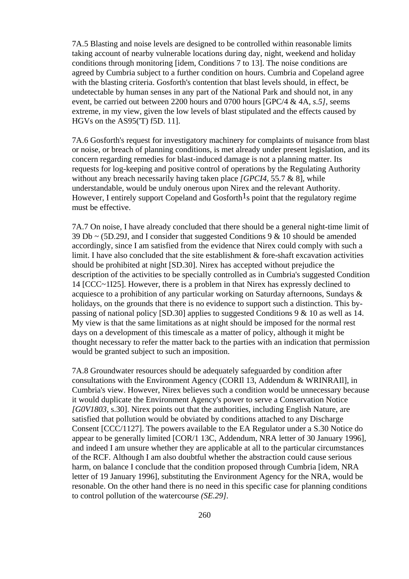7A.5 Blasting and noise levels are designed to be controlled within reasonable limits taking account of nearby vulnerable locations during day, night, weekend and holiday conditions through monitoring [idem, Conditions 7 to 13]. The noise conditions are agreed by Cumbria subject to a further condition on hours. Cumbria and Copeland agree with the blasting criteria. Gosforth's contention that blast levels should, in effect, be undetectable by human senses in any part of the National Park and should not, in any event, be carried out between 2200 hours and 0700 hours [GPC/4 & 4A, *s.5],* seems extreme, in my view, given the low levels of blast stipulated and the effects caused by HGVs on the AS95('T) f5D. 11].

7A.6 Gosforth's request for investigatory machinery for complaints of nuisance from blast or noise, or breach of planning conditions, is met already under present legislation, and its concern regarding remedies for blast-induced damage is not a planning matter. Its requests for log-keeping and positive control of operations by the Regulating Authority without any breach necessarily having taken place *[GPCI4,* 55.7 & 8], while understandable, would be unduly onerous upon Nirex and the relevant Authority. However, I entirely support Copeland and Gosforth<sup>1</sup>s point that the regulatory regime must be effective.

7A.7 On noise, I have already concluded that there should be a general night-time limit of 39 Db  $\sim$  (5D.29J, and I consider that suggested Conditions 9 & 10 should be amended accordingly, since I am satisfied from the evidence that Nirex could comply with such a limit. I have also concluded that the site establishment & fore-shaft excavation activities should be prohibited at night [SD.30]. Nirex has accepted without prejudice the description of the activities to be specially controlled as in Cumbria's suggested Condition 14 [CCC~1I25]. However, there is a problem in that Nirex has expressly declined to acquiesce to a prohibition of any particular working on Saturday afternoons, Sundays & holidays, on the grounds that there is no evidence to support such a distinction. This bypassing of national policy [SD.30] applies to suggested Conditions 9 & 10 as well as 14. My view is that the same limitations as at night should be imposed for the normal rest days on a development of this timescale as a matter of policy, although it might be thought necessary to refer the matter back to the parties with an indication that permission would be granted subject to such an imposition.

7A.8 Groundwater resources should be adequately safeguarded by condition after consultations with the Environment Agency (CORIl 13, Addendum & WRINRAIl], in Cumbria's view. However, Nirex believes such a condition would be unnecessary because it would duplicate the Environment Agency's power to serve a Conservation Notice *[G0V1803,* s.30]. Nirex points out that the authorities, including English Nature, are satisfied that pollution would be obviated by conditions attached to any Discharge Consent [CCC/1127]. The powers available to the EA Regulator under a S.30 Notice do appear to be generally limited [COR/1 13C, Addendum, NRA letter of 30 January 1996], and indeed I am unsure whether they are applicable at all to the particular circumstances of the RCF. Although I am also doubtful whether the abstraction could cause serious harm, on balance I conclude that the condition proposed through Cumbria [idem, NRA letter of 19 January 1996], substituting the Environment Agency for the NRA, would be resonable. On the other hand there is no need in this specific case for planning conditions to control pollution of the watercourse *(SE.29].*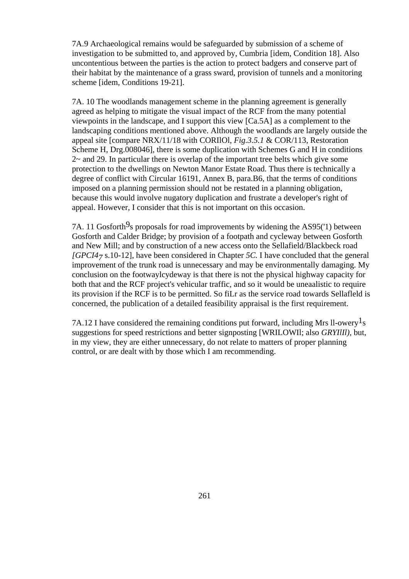7A.9 Archaeological remains would be safeguarded by submission of a scheme of investigation to be submitted to, and approved by, Cumbria [idem, Condition 18]. Also uncontentious between the parties is the action to protect badgers and conserve part of their habitat by the maintenance of a grass sward, provision of tunnels and a monitoring scheme [idem, Conditions 19-21].

7A. 10 The woodlands management scheme in the planning agreement is generally agreed as helping to mitigate the visual impact of the RCF from the many potential viewpoints in the landscape, and I support this view [Ca.5A] as a complement to the landscaping conditions mentioned above. Although the woodlands are largely outside the appeal site [compare NRX/11/18 with CORIlOl, *Fig.3.5.1* & COR/113, Restoration Scheme H, Drg.008046], there is some duplication with Schemes G and H in conditions 2~ and 29. In particular there is overlap of the important tree belts which give some protection to the dwellings on Newton Manor Estate Road. Thus there is technically a degree of conflict with Circular 16191, Annex B, para.B6, that the terms of conditions imposed on a planning permission should not be restated in a planning obligation, because this would involve nugatory duplication and frustrate a developer's right of appeal. However, I consider that this is not important on this occasion.

7A. 11 Gosforth<sup>9</sup>s proposals for road improvements by widening the AS95( $\degree$ 1) between Gosforth and Calder Bridge; by provision of a footpath and cycleway between Gosforth and New Mill; and by construction of a new access onto the Sellafield/Blackbeck road *[GPCI47* s.10-12], have been considered in Chapter *5C.* I have concluded that the general improvement of the trunk road is unnecessary and may be environmentally damaging. My conclusion on the footwaylcydeway is that there is not the physical highway capacity for both that and the RCF project's vehicular traffic, and so it would be uneaalistic to require its provision if the RCF is to be permitted. So fiLr as the service road towards Sellafleld is concerned, the publication of a detailed feasibility appraisal is the first requirement.

7A.12 I have considered the remaining conditions put forward, including Mrs II-owery<sup>1</sup>s suggestions for speed restrictions and better signposting [WRILOWIl; also *GRYIlIl),* but, in my view, they are either unnecessary, do not relate to matters of proper planning control, or are dealt with by those which I am recommending.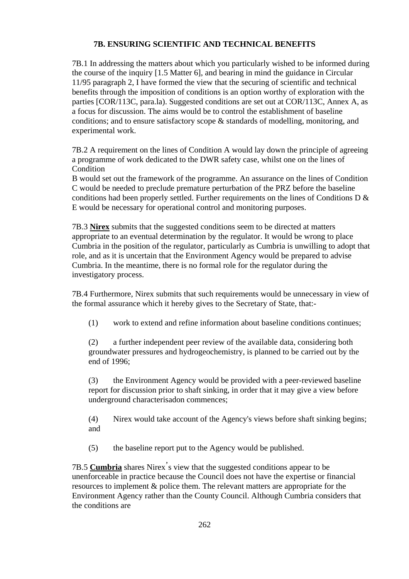## **7B. ENSURING SCIENTIFIC AND TECHNICAL BENEFITS**

7B.1 In addressing the matters about which you particularly wished to be informed during the course of the inquiry [1.5 Matter 6], and bearing in mind the guidance in Circular 11/95 paragraph 2, I have formed the view that the securing of scientific and technical benefits through the imposition of conditions is an option worthy of exploration with the parties [COR/113C, para.la). Suggested conditions are set out at COR/113C, Annex A, as a focus for discussion. The aims would be to control the establishment of baseline conditions; and to ensure satisfactory scope & standards of modelling, monitoring, and experimental work.

7B.2 A requirement on the lines of Condition A would lay down the principle of agreeing a programme of work dedicated to the DWR safety case, whilst one on the lines of **Condition** 

B would set out the framework of the programme. An assurance on the lines of Condition C would be needed to preclude premature perturbation of the PRZ before the baseline conditions had been properly settled. Further requirements on the lines of Conditions D & E would be necessary for operational control and monitoring purposes.

7B.3 **Nirex** submits that the suggested conditions seem to be directed at matters appropriate to an eventual determination by the regulator. It would be wrong to place Cumbria in the position of the regulator, particularly as Cumbria is unwilling to adopt that role, and as it is uncertain that the Environment Agency would be prepared to advise Cumbria. In the meantime, there is no formal role for the regulator during the investigatory process.

7B.4 Furthermore, Nirex submits that such requirements would be unnecessary in view of the formal assurance which it hereby gives to the Secretary of State, that:-

(1) work to extend and refine information about baseline conditions continues;

(2) a further independent peer review of the available data, considering both groundwater pressures and hydrogeochemistry, is planned to be carried out by the end of 1996;

(3) the Environment Agency would be provided with a peer-reviewed baseline report for discussion prior to shaft sinking, in order that it may give a view before underground characterisadon commences;

(4) Nirex would take account of the Agency's views before shaft sinking begins; and

(5) the baseline report put to the Agency would be published.

7B.5 **Cumbria** shares Nirex's view that the suggested conditions appear to be unenforceable in practice because the Council does not have the expertise or financial resources to implement & police them. The relevant matters are appropriate for the Environment Agency rather than the County Council. Although Cumbria considers that the conditions are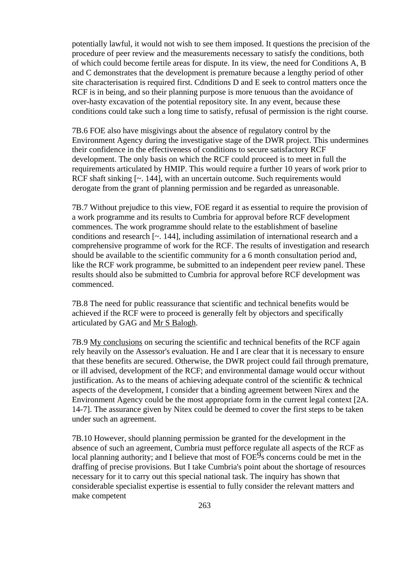potentially lawful, it would not wish to see them imposed. It questions the precision of the procedure of peer review and the measurements necessary to satisfy the conditions, both of which could become fertile areas for dispute. In its view, the need for Conditions A, B and C demonstrates that the development is premature because a lengthy period of other site characterisation is required first. Cdnditions D and E seek to control matters once the RCF is in being, and so their planning purpose is more tenuous than the avoidance of over-hasty excavation of the potential repository site. In any event, because these conditions could take such a long time to satisfy, refusal of permission is the right course.

7B.6 FOE also have misgivings about the absence of regulatory control by the Environment Agency during the investigative stage of the DWR project. This undermines their confidence in the effectiveness of conditions to secure satisfactory RCF development. The only basis on which the RCF could proceed is to meet in full the requirements articulated by HMIP. This would require a further 10 years of work prior to RCF shaft sinking [~. 144], with an uncertain outcome. Such requirements would derogate from the grant of planning permission and be regarded as unreasonable.

7B.7 Without prejudice to this view, FOE regard it as essential to require the provision of a work programme and its results to Cumbria for approval before RCF development commences. The work programme should relate to the establishment of baseline conditions and research [~. 144], including assimilation of international research and a comprehensive programme of work for the RCF. The results of investigation and research should be available to the scientific community for a 6 month consultation period and, like the RCF work programme, be submitted to an independent peer review panel. These results should also be submitted to Cumbria for approval before RCF development was commenced.

7B.8 The need for public reassurance that scientific and technical benefits would be achieved if the RCF were to proceed is generally felt by objectors and specifically articulated by GAG and Mr S Balogh.

7B.9 My conclusions on securing the scientific and technical benefits of the RCF again rely heavily on the Assessor's evaluation. He and I are clear that it is necessary to ensure that these benefits are secured. Otherwise, the DWR project could fail through premature, or ill advised, development of the RCF; and environmental damage would occur without justification. As to the means of achieving adequate control of the scientific  $\&$  technical aspects of the development, I consider that a binding agreement between Nirex and the Environment Agency could be the most appropriate form in the current legal context [2A. 14-7]. The assurance given by Nitex could be deemed to cover the first steps to be taken under such an agreement.

7B.10 However, should planning permission be granted for the development in the absence of such an agreement, Cumbria must pefforce regulate all aspects of the RCF as local planning authority; and I believe that most of  $\text{FOE}^9$  concerns could be met in the draffing of precise provisions. But I take Cumbria's point about the shortage of resources necessary for it to carry out this special national task. The inquiry has shown that considerable specialist expertise is essential to fully consider the relevant matters and make competent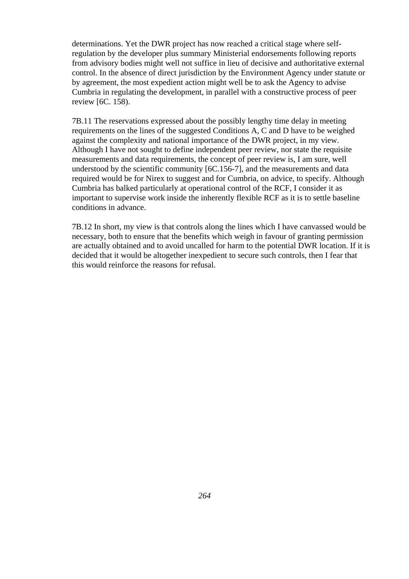determinations. Yet the DWR project has now reached a critical stage where selfregulation by the developer plus summary Ministerial endorsements following reports from advisory bodies might well not suffice in lieu of decisive and authoritative external control. In the absence of direct jurisdiction by the Environment Agency under statute or by agreement, the most expedient action might well be to ask the Agency to advise Cumbria in regulating the development, in parallel with a constructive process of peer review [6C. 158).

7B.11 The reservations expressed about the possibly lengthy time delay in meeting requirements on the lines of the suggested Conditions A, C and D have to be weighed against the complexity and national importance of the DWR project, in my view. Although I have not sought to define independent peer review, nor state the requisite measurements and data requirements, the concept of peer review is, I am sure, well understood by the scientific community [6C.156-7], and the measurements and data required would be for Nirex to suggest and for Cumbria, on advice, to specify. Although Cumbria has balked particularly at operational control of the RCF, I consider it as important to supervise work inside the inherently flexible RCF as it is to settle baseline conditions in advance.

7B.12 In short, my view is that controls along the lines which I have canvassed would be necessary, both to ensure that the benefits which weigh in favour of granting permission are actually obtained and to avoid uncalled for harm to the potential DWR location. If it is decided that it would be altogether inexpedient to secure such controls, then I fear that this would reinforce the reasons for refusal.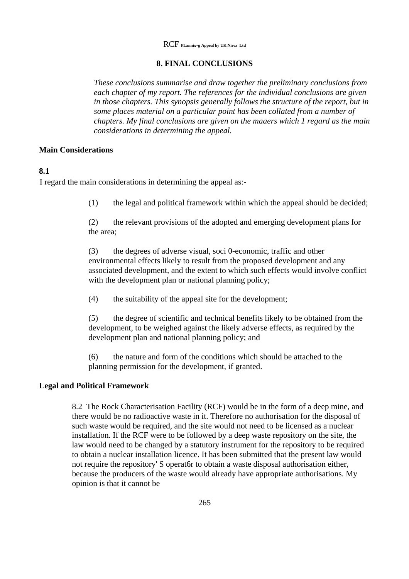### **8. FINAL CONCLUSIONS**

*These conclusions summarise and draw together the preliminary conclusions from each chapter of my report. The references for the individual conclusions are given in those chapters. This synopsis generally follows the structure of the report, but in some places material on a particular point has been collated from a number of chapters. My final conclusions are given on the maaers which 1 regard as the main considerations in determining the appeal.* 

### **Main Considerations**

## **8.1**

I regard the main considerations in determining the appeal as:-

(1) the legal and political framework within which the appeal should be decided;

(2) the relevant provisions of the adopted and emerging development plans for the area;

(3) the degrees of adverse visual, soci 0-economic, traffic and other environmental effects likely to result from the proposed development and any associated development, and the extent to which such effects would involve conflict with the development plan or national planning policy;

(4) the suitability of the appeal site for the development;

(5) the degree of scientific and technical benefits likely to be obtained from the development, to be weighed against the likely adverse effects, as required by the development plan and national planning policy; and

(6) the nature and form of the conditions which should be attached to the planning permission for the development, if granted.

### **Legal and Political Framework**

8.2 The Rock Characterisation Facility (RCF) would be in the form of a deep mine, and there would be no radioactive waste in it. Therefore no authorisation for the disposal of such waste would be required, and the site would not need to be licensed as a nuclear installation. If the RCF were to be followed by a deep waste repository on the site, the law would need to be changed by a statutory instrument for the repository to be required to obtain a nuclear installation licence. It has been submitted that the present law would not require the repository' S operator to obtain a waste disposal authorisation either, because the producers of the waste would already have appropriate authorisations. My opinion is that it cannot be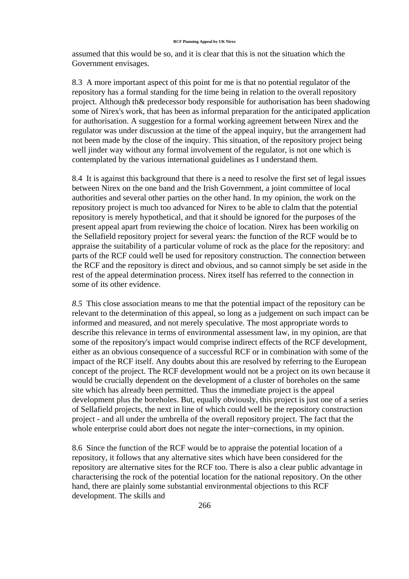assumed that this would be so, and it is clear that this is not the situation which the Government envisages.

8.3 A more important aspect of this point for me is that no potential regulator of the repository has a formal standing for the time being in relation to the overall repository project. Although th& predecessor body responsible for authorisation has been shadowing some of Nirex's work, that has been as informal preparation for the anticipated application for authorisation. A suggestion for a formal working agreement between Nirex and the regulator was under discussion at the time of the appeal inquiry, but the arrangement had not been made by the close of the inquiry. This situation, of the repository project being well jinder way without any formal involvement of the regulator, is not one which is contemplated by the various international guidelines as I understand them.

8.4 It is against this background that there is a need to resolve the first set of legal issues between Nirex on the one band and the Irish Government, a joint committee of local authorities and several other parties on the other hand. In my opinion, the work on the repository project is much too advanced for Nirex to be able to clalm that the potential repository is merely hypothetical, and that it should be ignored for the purposes of the present appeal apart from reviewing the choice of location. Nirex has been workilig on the Sellafield repository project for several years: the function of the RCF would be to appraise the suitability of a particular volume of rock as the place for the repository: and parts of the RCF could well be used for repository construction. The connection between the RCF and the repository is direct and obvious, and so cannot simply be set aside in the rest of the appeal determination process. Nirex itself has referred to the connection in some of its other evidence.

*8.5* This close association means to me that the potential impact of the repository can be relevant to the determination of this appeal, so long as a judgement on such impact can be informed and measured, and not merely speculative. The most appropriate words to describe this relevance in terms of environmental assessment law, in my opinion, are that some of the repository's impact would comprise indirect effects of the RCF development, either as an obvious consequence of a successful RCF or in combination with some of the impact of the RCF itself. Any doubts about this are resolved by referring to the European concept of the project. The RCF development would not be a project on its own because it would be crucially dependent on the development of a cluster of boreholes on the same site which has already been permitted. Thus the immediate project is the appeal development plus the boreholes. But, equally obviously, this project is just one of a series of Sellafield projects, the next in line of which could well be the repository construction project - and all under the umbrella of the overall repository project. The fact that the whole enterprise could abort does not negate the inter~cornections, in my opinion.

8.6 Since the function of the RCF would be to appraise the potential location of a repository, it follows that any alternative sites which have been considered for the repository are alternative sites for the RCF too. There is also a clear public advantage in characterising the rock of the potential location for the national repository. On the other hand, there are plainly some substantial environmental objections to this RCF development. The skills and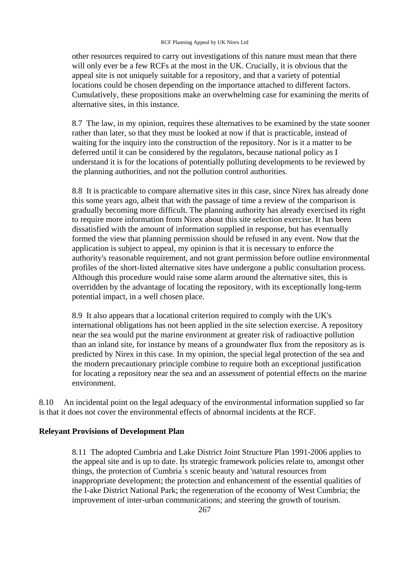other resources required to carry out investigations of this nature must mean that there will only ever be a few RCFs at the most in the UK. Crucially, it is obvious that the appeal site is not uniquely suitable for a repository, and that a variety of potential locations could be chosen depending on the importance attached to different factors. Cumulatively, these propositions make an overwhelming case for examining the merits of alternative sites, in this instance.

8.7 The law, in my opinion, requires these alternatives to be examined by the state sooner rather than later, so that they must be looked at now if that is practicable, instead of waiting for the inquiry into the construction of the repository. Nor is it a matter to be deferred until it can be considered by the regulators, because national policy as I understand it is for the locations of potentially polluting developments to be reviewed by the planning authorities, and not the pollution control authorities.

8.8 It is practicable to compare alternative sites in this case, since Nirex has already done this some years ago, albeit that with the passage of time a review of the comparison is gradually becoming more difficult. The planning authority has already exercised its right to require more information from Nirex about this site selection exercise. It has been dissatisfied with the amount of information supplied in response, but has eventually formed the view that planning permission should be refused in any event. Now that the application is subject to appeal, my opinion is that it is necessary to enforce the authority's reasonable requirement, and not grant permission before outline environmental profiles of the short-listed alternative sites have undergone a public consultation process. Although this procedure would raise some alarm around the alternative sites, this is overridden by the advantage of locating the repository, with its exceptionally long-term potential impact, in a well chosen place.

8.9 It also appears that a locational criterion required to comply with the UK's international obligations has not been applied in the site selection exercise. A repository near the sea would put the marine environment at greater risk of radioactive pollution than an inland site, for instance by means of a groundwater flux from the repository as is predicted by Nirex in this case. In my opinion, the special legal protection of the sea and the modern precautionary principle combine to require both an exceptional justification for locating a repository near the sea and an assessment of potential effects on the marine environment.

8.10 An incidental point on the legal adequacy of the environmental information supplied so far is that it does not cover the environmental effects of abnormal incidents at the RCF.

# **Releyant Provisions of Development Plan**

8.11 The adopted Cumbria and Lake District Joint Structure Plan 1991-2006 applies to the appeal site and is up to date. Its strategic framework policies relate to, amongst other things, the protection of Cumbria's scenic beauty and 'natural resources from inappropriate development; the protection and enhancement of the essential qualities of the I-ake District National Park; the regeneration of the economy of West Cumbria; the improvement of inter-urban communications; and steering the growth of tourism.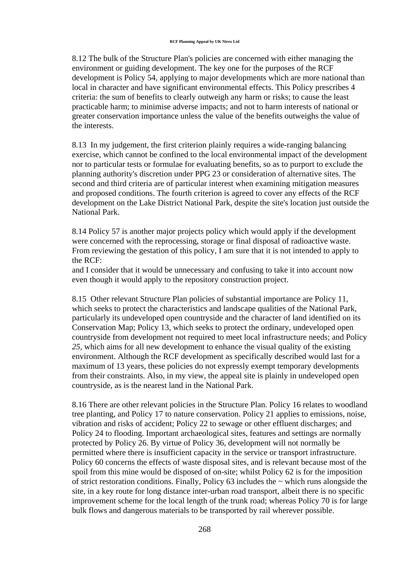8.12 The bulk of the Structure Plan's policies are concerned with either managing the environment or guiding development. The key one for the purposes of the RCF development is Policy 54, applying to major developments which are more national than local in character and have significant environmental effects. This Policy prescribes 4 criteria: the sum of benefits to clearly outweigh any harm or risks; to cause the least practicable harm; to minimise adverse impacts; and not to harm interests of national or greater conservation importance unless the value of the benefits outweighs the value of the interests.

8.13 In my judgement, the first criterion plainly requires a wide-ranging balancing exercise, which cannot be confined to the local environmental impact of the development nor to particular tests or formulae for evaluating benefits, so as to purport to exclude the planning authority's discretion under PPG 23 or consideration of alternative sites. The second and third criteria are of particular interest when examining mitigation measures and proposed conditions. The fourth criterion is agreed to cover any effects of the RCF development on the Lake District National Park, despite the site's location just outside the National Park.

8.14 Policy 57 is another major projects policy which would apply if the development were concerned with the reprocessing, storage or final disposal of radioactive waste. From reviewing the gestation of this policy, I am sure that it is not intended to apply to the RCF:

and I consider that it would be unnecessary and confusing to take it into account now even though it would apply to the repository construction project.

8.15 Other relevant Structure Plan policies of substantial importance are Policy 11, which seeks to protect the characteristics and landscape qualities of the National Park, particularly its undeveloped open countryside and the character of land identified on its Conservation Map; Policy 13, which seeks to protect the ordinary, undeveloped open countryside from development not required to meet local infrastructure needs; and Policy *25,* which aims for all new development to enhance the visual quality of the existing environment. Although the RCF development as specifically described would last for a maximum of 13 years, these policies do not expressly exempt temporary developments from their constraints. Also, in my view, the appeal site is plainly in undeveloped open countryside, as is the nearest land in the National Park.

8.16 There are other relevant policies in the Structure Plan. Policy 16 relates to woodland tree planting, and Policy 17 to nature conservation. Policy 21 applies to emissions, noise, vibration and risks of accident; Policy 22 to sewage or other effluent discharges; and Policy 24 to flooding. Important archaeological sites, features and settings are normally protected by Policy 26. By virtue of Policy 36, development will not normally be permitted where there is insufficient capacity in the service or transport infrastructure. Policy 60 concerns the effects of waste disposal sites, and is relevant because most of the spoil from this mine would be disposed of on-site; whilst Policy 62 is for the imposition of strict restoration conditions. Finally, Policy  $63$  includes the  $\sim$  which runs alongside the site, in a key route for long distance inter-urban road transport, albeit there is no specific improvement scheme for the local length of the trunk road; whereas Policy 70 is for large bulk flows and dangerous materials to be transported by rail wherever possible.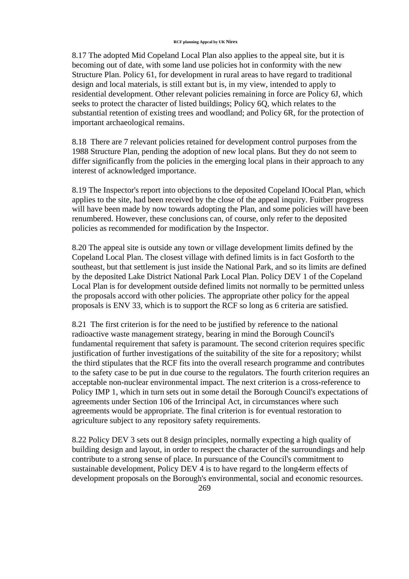8.17 The adopted Mid Copeland Local Plan also applies to the appeal site, but it is becoming out of date, with some land use policies hot in conformity with the new Structure Plan. Policy 61, for development in rural areas to have regard to traditional design and local materials, is still extant but is, in my view, intended to apply to residential development. Other relevant policies remaining in force are Policy 6J, which seeks to protect the character of listed buildings; Policy 6Q, which relates to the substantial retention of existing trees and woodland; and Policy 6R, for the protection of important archaeological remains.

8.18 There are 7 relevant policies retained for development control purposes from the 1988 Structure Plan, pending the adoption of new local plans. But they do not seem to differ significanfly from the policies in the emerging local plans in their approach to any interest of acknowledged importance.

8.19 The Inspector's report into objections to the deposited Copeland IOocal Plan, which applies to the site, had been received by the close of the appeal inquiry. Fuitber progress will have been made by now towards adopting the Plan, and some policies will have been renumbered. However, these conclusions can, of course, only refer to the deposited policies as recommended for modification by the Inspector.

8.20 The appeal site is outside any town or village development limits defined by the Copeland Local Plan. The closest village with defined limits is in fact Gosforth to the southeast, but that settlement is just inside the National Park, and so its limits are defined by the deposited Lake District National Park Local Plan. Policy DEV 1 of the Copeland Local Plan is for development outside defined limits not normally to be permitted unless the proposals accord with other policies. The appropriate other policy for the appeal proposals is ENV 33, which is to support the RCF so long as 6 criteria are satisfied.

8.21 The first criterion is for the need to be justified by reference to the national radioactive waste management strategy, bearing in mind the Borough Council's fundamental requirement that safety is paramount. The second criterion requires specific justification of further investigations of the suitability of the site for a repository; whilst the third stipulates that the RCF fits into the overall research programme and contributes to the safety case to be put in due course to the regulators. The fourth criterion requires an acceptable non-nuclear environmental impact. The next criterion is a cross-reference to Policy IMP 1, which in turn sets out in some detail the Borough Council's expectations of agreements under Section 106 of the Irrincipal Act, in circumstances where such agreements would be appropriate. The final criterion is for eventual restoration to agriculture subject to any repository safety requirements.

8.22 Policy DEV 3 sets out 8 design principles, normally expecting a high quality of building design and layout, in order to respect the character of the surroundings and help contribute to a strong sense of place. In pursuance of the Council's commitment to sustainable development, Policy DEV 4 is to have regard to the long4erm effects of development proposals on the Borough's environmental, social and economic resources.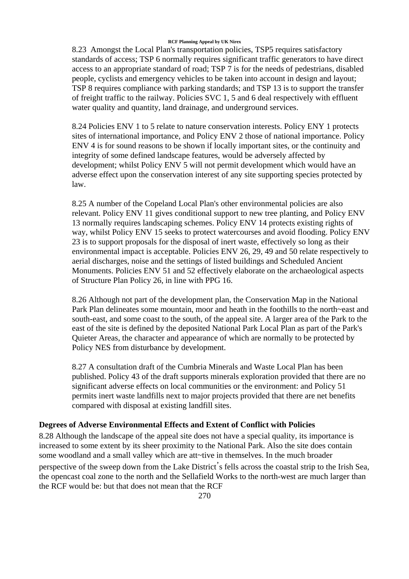**RCF Planning Appeal by UK Nirex** 

8.23 Amongst the Local Plan's transportation policies, TSP5 requires satisfactory standards of access; TSP 6 normally requires significant traffic generators to have direct access to an appropriate standard of road; TSP 7 is for the needs of pedestrians, disabled people, cyclists and emergency vehicles to be taken into account in design and layout; TSP 8 requires compliance with parking standards; and TSP 13 is to support the transfer of freight traffic to the railway. Policies SVC 1, 5 and 6 deal respectively with effluent water quality and quantity, land drainage, and underground services.

8.24 Policies ENV 1 to 5 relate to nature conservation interests. Policy ENY 1 protects sites of international importance, and Policy ENV 2 those of national importance. Policy ENV 4 is for sound reasons to be shown if locally important sites, or the continuity and integrity of some defined landscape features, would be adversely affected by development; whilst Policy ENV 5 will not permit development which would have an adverse effect upon the conservation interest of any site supporting species protected by law.

8.25 A number of the Copeland Local Plan's other environmental policies are also relevant. Policy ENV 11 gives conditional support to new tree planting, and Policy ENV 13 normally requires landscaping schemes. Policy ENV 14 protects existing rights of way, whilst Policy ENV 15 seeks to protect watercourses and avoid flooding. Policy ENV 23 is to support proposals for the disposal of inert waste, effectively so long as their environmental impact is acceptable. Policies ENV 26, 29, 49 and 50 relate respectively to aerial discharges, noise and the settings of listed buildings and Scheduled Ancient Monuments. Policies ENV 51 and 52 effectively elaborate on the archaeological aspects of Structure Plan Policy 26, in line with PPG 16.

8.26 Although not part of the development plan, the Conservation Map in the National Park Plan delineates some mountain, moor and heath in the foothills to the north~east and south-east, and some coast to the south, of the appeal site. A larger area of the Park to the east of the site is defined by the deposited National Park Local Plan as part of the Park's Quieter Areas, the character and appearance of which are normally to be protected by Policy NES from disturbance by development.

8.27 A consultation draft of the Cumbria Minerals and Waste Local Plan has been published. Policy 43 of the draft supports minerals exploration provided that there are no significant adverse effects on local communities or the environment: and Policy 51 permits inert waste landfills next to major projects provided that there are net benefits compared with disposal at existing landfill sites.

# **Degrees of Adverse Environmental Effects and Extent of Conflict with Policies**

8.28 Although the landscape of the appeal site does not have a special quality, its importance is increased to some extent by its sheer proximity to the National Park. Also the site does contain some woodland and a small valley which are att~tive in themselves. In the much broader

perspective of the sweep down from the Lake District's fells across the coastal strip to the Irish Sea, the opencast coal zone to the north and the Sellafield Works to the north-west are much larger than the RCF would be: but that does not mean that the RCF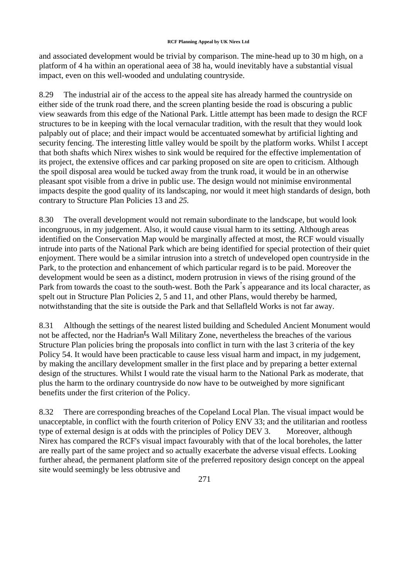and associated development would be trivial by comparison. The mine-head up to 30 m high, on a platform of 4 ha within an operational aeea of 38 ha, would inevitably have a substantial visual impact, even on this well-wooded and undulating countryside.

8.29 The industrial air of the access to the appeal site has already harmed the countryside on either side of the trunk road there, and the screen planting beside the road is obscuring a public view seawards from this edge of the National Park. Little attempt has been made to design the RCF structures to be in keeping with the local vernacular tradition, with the result that they would look palpably out of place; and their impact would be accentuated somewhat by artificial lighting and security fencing. The interesting little valley would be spoilt by the platform works. Whilst I accept that both shafts which Nirex wishes to sink would be required for the effective implementation of its project, the extensive offices and car parking proposed on site are open to criticism. Although the spoil disposal area would be tucked away from the trunk road, it would be in an otherwise pleasant spot visible from a drive in public use. The design would not minimise environmental impacts despite the good quality of its landscaping, nor would it meet high standards of design, both contrary to Structure Plan Policies 13 and *25.* 

8.30 The overall development would not remain subordinate to the landscape, but would look incongruous, in my judgement. Also, it would cause visual harm to its setting. Although areas identified on the Conservation Map would be marginally affected at most, the RCF would visually intrude into parts of the National Park which are being identified for special protection of their quiet enjoyment. There would be a similar intrusion into a stretch of undeveloped open countryside in the Park, to the protection and enhancement of which particular regard is to be paid. Moreover the development would be seen as a distinct, modern protrusion in views of the rising ground of the Park from towards the coast to the south-west. Both the Park's appearance and its local character, as spelt out in Structure Plan Policies 2, 5 and 11, and other Plans, would thereby be harmed, notwithstanding that the site is outside the Park and that Sellafleld Works is not far away.

8.31 Although the settings of the nearest listed building and Scheduled Ancient Monument would not be affected, nor the Hadriants Wall Military Zone, nevertheless the breaches of the various Structure Plan policies bring the proposals into conflict in turn with the last 3 criteria of the key Policy 54. It would have been practicable to cause less visual harm and impact, in my judgement, by making the ancillary development smaller in the first place and by preparing a better external design of the structures. Whilst I would rate the visual harm to the National Park as moderate, that plus the harm to the ordinary countryside do now have to be outweighed by more significant benefits under the first criterion of the Policy.

8.32 There are corresponding breaches of the Copeland Local Plan. The visual impact would be unacceptable, in conflict with the fourth criterion of Policy ENV 33; and the utilitarian and rootless type of external design is at odds with the principles of Policy DEV 3. Moreover, although Nirex has compared the RCF's visual impact favourably with that of the local boreholes, the latter are really part of the same project and so actually exacerbate the adverse visual effects. Looking further ahead, the permanent platform site of the preferred repository design concept on the appeal site would seemingly be less obtrusive and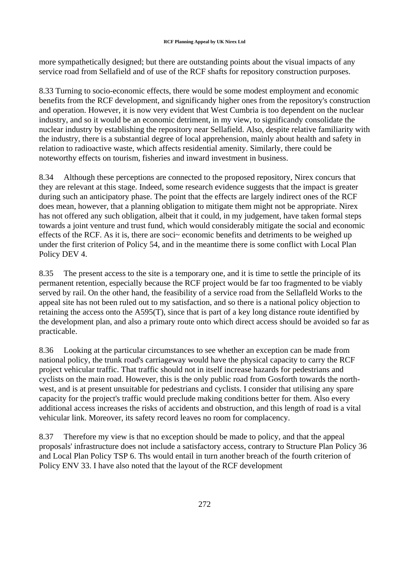more sympathetically designed; but there are outstanding points about the visual impacts of any service road from Sellafield and of use of the RCF shafts for repository construction purposes.

8.33 Turning to socio-economic effects, there would be some modest employment and economic benefits from the RCF development, and significandy higher ones from the repository's construction and operation. However, it is now very evident that West Cumbria is too dependent on the nuclear industry, and so it would be an economic detriment, in my view, to significandy consolidate the nuclear industry by establishing the repository near Sellafield. Also, despite relative familiarity with the industry, there is a substantial degree of local apprehension, mainly about health and safety in relation to radioactive waste, which affects residential amenity. Similarly, there could be noteworthy effects on tourism, fisheries and inward investment in business.

8.34 Although these perceptions are connected to the proposed repository, Nirex concurs that they are relevant at this stage. Indeed, some research evidence suggests that the impact is greater during such an anticipatory phase. The point that the effects are largely indirect ones of the RCF does mean, however, that a planning obligation to mitigate them might not be appropriate. Nirex has not offered any such obligation, albeit that it could, in my judgement, have taken formal steps towards a joint venture and trust fund, which would considerably mitigate the social and economic effects of the RCF. As it is, there are soci~ economic benefits and detriments to be weighed up under the first criterion of Policy 54, and in the meantime there is some conflict with Local Plan Policy DEV 4.

8.35 The present access to the site is a temporary one, and it is time to settle the principle of its permanent retention, especially because the RCF project would be far too fragmented to be viably served by rail. On the other hand, the feasibility of a service road from the Sellafleld Works to the appeal site has not been ruled out to my satisfaction, and so there is a national policy objection to retaining the access onto the A595(T), since that is part of a key long distance route identified by the development plan, and also a primary route onto which direct access should be avoided so far as practicable.

8.36 Looking at the particular circumstances to see whether an exception can be made from national policy, the trunk road's carriageway would have the physical capacity to carry the RCF project vehicular traffic. That traffic should not in itself increase hazards for pedestrians and cyclists on the main road. However, this is the only public road from Gosforth towards the northwest, and is at present unsuitable for pedestrians and cyclists. I consider that utilising any spare capacity for the project's traffic would preclude making conditions better for them. Also every additional access increases the risks of accidents and obstruction, and this length of road is a vital vehicular link. Moreover, its safety record leaves no room for complacency.

8.37 Therefore my view is that no exception should be made to policy, and that the appeal proposals' infrastructure does not include a satisfactory access, contrary to Structure Plan Policy 36 and Local Plan Policy TSP 6. Ths would entail in turn another breach of the fourth criterion of Policy ENV 33. I have also noted that the layout of the RCF development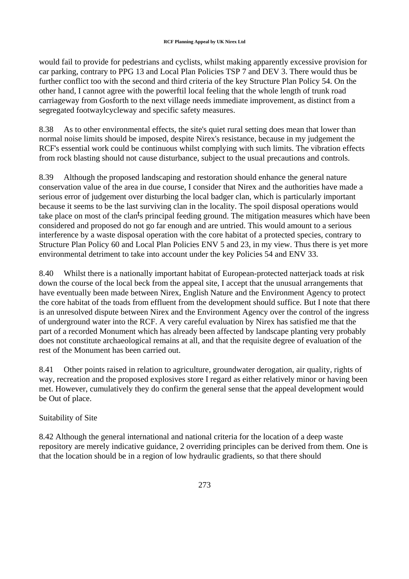would fail to provide for pedestrians and cyclists, whilst making apparently excessive provision for car parking, contrary to PPG 13 and Local Plan Policies TSP 7 and DEV 3. There would thus be further conflict too with the second and third criteria of the key Structure Plan Policy 54. On the other hand, I cannot agree with the powerftil local feeling that the whole length of trunk road carriageway from Gosforth to the next village needs immediate improvement, as distinct from a segregated footwaylcycleway and specific safety measures.

8.38 As to other environmental effects, the site's quiet rural setting does mean that lower than normal noise limits should be imposed, despite Nirex's resistance, because in my judgement the RCF's essential work could be continuous whilst complying with such limits. The vibration effects from rock blasting should not cause disturbance, subject to the usual precautions and controls.

8.39 Although the proposed landscaping and restoration should enhance the general nature conservation value of the area in due course, I consider that Nirex and the authorities have made a serious error of judgement over disturbing the local badger clan, which is particularly important because it seems to be the last surviving clan in the locality. The spoil disposal operations would take place on most of the clan<sup>t</sup>s principal feeding ground. The mitigation measures which have been considered and proposed do not go far enough and are untried. This would amount to a serious interference by a waste disposal operation with the core habitat of a protected species, contrary to Structure Plan Policy 60 and Local Plan Policies ENV 5 and 23, in my view. Thus there is yet more environmental detriment to take into account under the key Policies 54 and ENV 33.

8.40 Whilst there is a nationally important habitat of European-protected natterjack toads at risk down the course of the local beck from the appeal site, I accept that the unusual arrangements that have eventually been made between Nirex, English Nature and the Environment Agency to protect the core habitat of the toads from effluent from the development should suffice. But I note that there is an unresolved dispute between Nirex and the Environment Agency over the control of the ingress of underground water into the RCF. A very careful evaluation by Nirex has satisfied me that the part of a recorded Monument which has already been affected by landscape planting very probably does not constitute archaeological remains at all, and that the requisite degree of evaluation of the rest of the Monument has been carried out.

8.41 Other points raised in relation to agriculture, groundwater derogation, air quality, rights of way, recreation and the proposed explosives store I regard as either relatively minor or having been met. However, cumulatively they do confirm the general sense that the appeal development would be Out of place.

# Suitability of Site

8.42 Although the general international and national criteria for the location of a deep waste repository are merely indicative guidance, 2 overriding principles can be derived from them. One is that the location should be in a region of low hydraulic gradients, so that there should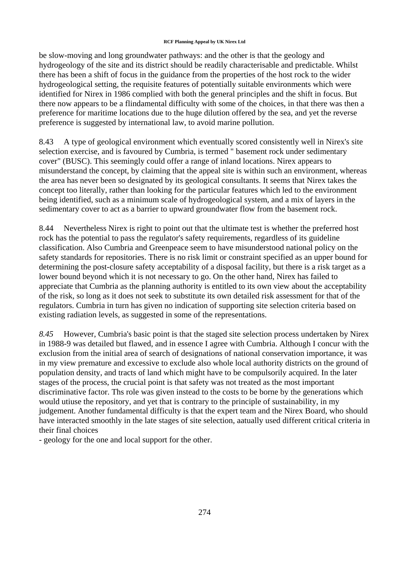be slow-moving and long groundwater pathways: and the other is that the geology and hydrogeology of the site and its district should be readily characterisable and predictable. Whilst there has been a shift of focus in the guidance from the properties of the host rock to the wider hydrogeological setting, the requisite features of potentially suitable environments which were identified for Nirex in 1986 complied with both the general principles and the shift in focus. But there now appears to be a flindamental difficulty with some of the choices, in that there was then a preference for maritime locations due to the huge dilution offered by the sea, and yet the reverse preference is suggested by international law, to avoid marine pollution.

8.43 A type of geological environment which eventually scored consistently well in Nirex's site selection exercise, and is favoured by Cumbria, is termed " basement rock under sedimentary cover" (BUSC). This seemingly could offer a range of inland locations. Nirex appears to misunderstand the concept, by claiming that the appeal site is within such an environment, whereas the area has never been so designated by its geological consultants. It seems that Nirex takes the concept too literally, rather than looking for the particular features which led to the environment being identified, such as a minimum scale of hydrogeological system, and a mix of layers in the sedimentary cover to act as a barrier to upward groundwater flow from the basement rock.

8.44 Nevertheless Nirex is right to point out that the ultimate test is whether the preferred host rock has the potential to pass the regulator's safety requirements, regardless of its guideline classification. Also Cumbria and Greenpeace seem to have misunderstood national policy on the safety standards for repositories. There is no risk limit or constraint specified as an upper bound for determining the post-closure safety acceptability of a disposal facility, but there is a risk target as a lower bound beyond which it is not necessary to go. On the other hand, Nirex has failed to appreciate that Cumbria as the planning authority is entitled to its own view about the acceptability of the risk, so long as it does not seek to substitute its own detailed risk assessment for that of the regulators. Cumbria in turn has given no indication of supporting site selection criteria based on existing radiation levels, as suggested in some of the representations.

*8.45* However, Cumbria's basic point is that the staged site selection process undertaken by Nirex in 1988-9 was detailed but flawed, and in essence I agree with Cumbria. Although I concur with the exclusion from the initial area of search of designations of national conservation importance, it was in my view premature and excessive to exclude also whole local authority districts on the ground of population density, and tracts of land which might have to be compulsorily acquired. In the later stages of the process, the crucial point is that safety was not treated as the most important discriminative factor. Ths role was given instead to the costs to be borne by the generations which would utiuse the repository, and yet that is contrary to the principle of sustainability, in my judgement. Another fundamental difficulty is that the expert team and the Nirex Board, who should have interacted smoothly in the late stages of site selection, aatually used different critical criteria in their final choices

- geology for the one and local support for the other.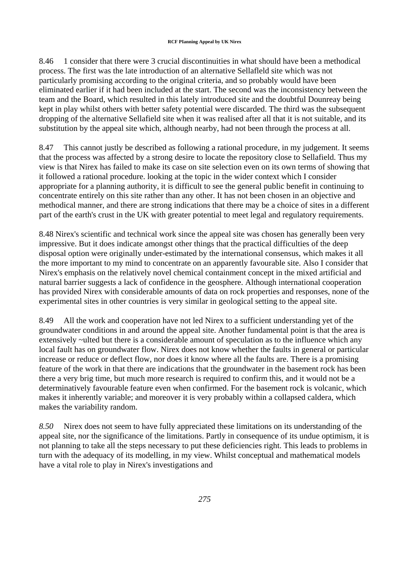#### **RCF PIanning Appeal by UK Nirex**

8.46 1 consider that there were 3 crucial discontinuities in what should have been a methodical process. The first was the late introduction of an alternative Sellafleld site which was not particularly promising according to the original criteria, and so probably would have been eliminated earlier if it had been included at the start. The second was the inconsistency between the team and the Board, which resulted in this lately introduced site and the doubtful Dounreay being kept in play whilst others with better safety potential were discarded. The third was the subsequent dropping of the alternative Sellafield site when it was realised after all that it is not suitable, and its substitution by the appeal site which, although nearby, had not been through the process at all.

8.47 This cannot justly be described as following a rational procedure, in my judgement. It seems that the process was affected by a strong desire to locate the repository close to Sellafield. Thus my view is that Nirex has failed to make its case on site selection even on its own terms of showing that it followed a rational procedure. looking at the topic in the wider context which I consider appropriate for a planning authority, it is difficult to see the general public benefit in continuing to concentrate entirely on this site rather than any other. It has not been chosen in an objective and methodical manner, and there are strong indications that there may be a choice of sites in a different part of the earth's crust in the UK with greater potential to meet legal and regulatory requirements.

8.48 Nirex's scientific and technical work since the appeal site was chosen has generally been very impressive. But it does indicate amongst other things that the practical difficulties of the deep disposal option were originally under-estimated by the international consensus, which makes it all the more important to my mind to concentrate on an apparently favourable site. Also I consider that Nirex's emphasis on the relatively novel chemical containment concept in the mixed artificial and natural barrier suggests a lack of confidence in the geosphere. Although international cooperation has provided Nirex with considerable amounts of data on rock properties and responses, none of the experimental sites in other countries is very similar in geological setting to the appeal site.

8.49 All the work and cooperation have not led Nirex to a sufficient understanding yet of the groundwater conditions in and around the appeal site. Another fundamental point is that the area is extensively ~ulted but there is a considerable amount of speculation as to the influence which any local fault has on groundwater flow. Nirex does not know whether the faults in general or particular increase or reduce or deflect flow, nor does it know where all the faults are. There is a promising feature of the work in that there are indications that the groundwater in the basement rock has been there a very brig time, but much more research is required to confirm this, and it would not be a determinatively favourable feature even when confirmed. For the basement rock is volcanic, which makes it inherently variable; and moreover it is very probably within a collapsed caldera, which makes the variability random.

*8.50* Nirex does not seem to have fully appreciated these limitations on its understanding of the appeal site, nor the significance of the limitations. Partly in consequence of its undue optimism, it is not planning to take all the steps necessary to put these deficiencies right. This leads to problems in turn with the adequacy of its modelling, in my view. Whilst conceptual and mathematical models have a vital role to play in Nirex's investigations and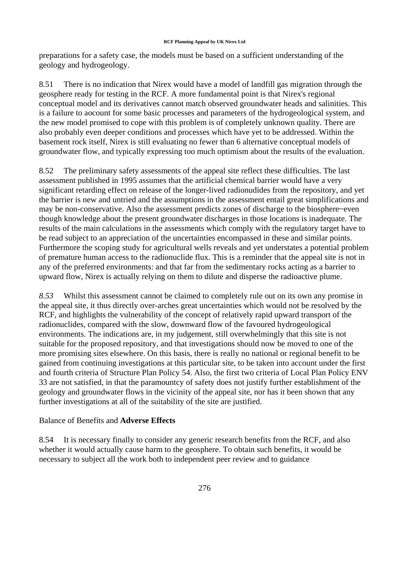preparations for a safety case, the models must be based on a sufficient understanding of the geology and hydrogeology.

8.51 There is no indication that Nirex would have a model of landfill gas migration through the geosphere ready for testing in the RCF. A more fundamental point is that Nirex's regional conceptual model and its derivatives cannot match observed groundwater heads and salinities. This is a failure to aocount for some basic processes and parameters of the hydrogeological system, and the new model promised to cope with this problem is of completely unknown quality. There are also probably even deeper conditions and processes which have yet to be addressed. Within the basement rock itself, Nirex is still evaluating no fewer than 6 alternative conceptual models of groundwater flow, and typically expressing too much optimism about the results of the evaluation.

8.52 The preliminary safety assessments of the appeal site reflect these difficulties. The last assessment published in 1995 assumes that the artificial chemical barrier would have a very significant retarding effect on release of the longer-lived radionudides from the repository, and yet the barrier is new and untried and the assumptions in the assessment entail great simplifications and may be non-conservative. Also the assessment predicts zones of discharge to the biosphere~even though knowledge about the present groundwater discharges in those locations is inadequate. The results of the main calculations in the assessments which comply with the regulatory target have to be read subject to an appreciation of the uncertainties encompassed in these and similar points. Furthermore the scoping study for agricultural wells reveals and yet understates a potential problem of premature human access to the radionuclide flux. This is a reminder that the appeal site is not in any of the preferred environments: and that far from the sedimentary rocks acting as a barrier to upward flow, Nirex is actually relying on them to dilute and disperse the radioactive plume.

*8.53* Whilst this assessment cannot be claimed to completely rule out on its own any promise in the appeal site, it thus directly over-arches great uncertainties which would not be resolved by the RCF, and highlights the vulnerability of the concept of relatively rapid upward transport of the radionuclides, compared with the slow, downward flow of the favoured hydrogeological environments. The indications are, in my judgement, still overwhelmingly that this site is not suitable for the proposed repository, and that investigations should now be moved to one of the more promising sites elsewhere. On this basis, there is really no national or regional benefit to be gained from continuing investigations at this particular site, to be taken into account under the first and fourth criteria of Structure Plan Policy 54. Also, the first two criteria of Local Plan Policy ENV 33 are not satisfied, in that the paramountcy of safety does not justify further establishment of the geology and groundwater flows in the vicinity of the appeal site, nor has it been shown that any further investigations at all of the suitability of the site are justified.

## Balance of Benefits and **Adverse Effects**

8.54 It is necessary finally to consider any generic research benefits from the RCF, and also whether it would actually cause harm to the geosphere. To obtain such benefits, it would be necessary to subject all the work both to independent peer review and to guidance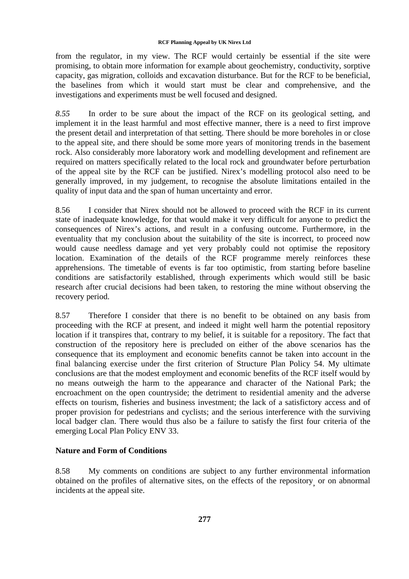#### **RCF Planning Appeal by UK Nirex Ltd**

from the regulator, in my view. The RCF would certainly be essential if the site were promising, to obtain more information for example about geochemistry, conductivity, sorptive capacity, gas migration, colloids and excavation disturbance. But for the RCF to be beneficial, the baselines from which it would start must be clear and comprehensive, and the investigations and experiments must be well focused and designed.

*8.55* In order to be sure about the impact of the RCF on its geological setting, and implement it in the least harmful and most effective manner, there is a need to first improve the present detail and interpretation of that setting. There should be more boreholes in or close to the appeal site, and there should be some more years of monitoring trends in the basement rock. Also considerably more laboratory work and modelling development and refinement are required on matters specifically related to the local rock and groundwater before perturbation of the appeal site by the RCF can be justified. Nirex's modelling protocol also need to be generally improved, in my judgement, to recognise the absolute limitations entailed in the quality of input data and the span of human uncertainty and error.

8.56 I consider that Nirex should not be allowed to proceed with the RCF in its current state of inadequate knowledge, for that would make it very difficult for anyone to predict the consequences of Nirex's actions, and result in a confusing outcome. Furthermore, in the eventuality that my conclusion about the suitability of the site is incorrect, to proceed now would cause needless damage and yet very probably could not optimise the repository location. Examination of the details of the RCF programme merely reinforces these apprehensions. The timetable of events is far too optimistic, from starting before baseline conditions are satisfactorily established, through experiments which would still be basic research after crucial decisions had been taken, to restoring the mine without observing the recovery period.

8.57 Therefore I consider that there is no benefit to be obtained on any basis from proceeding with the RCF at present, and indeed it might well harm the potential repository location if it transpires that, contrary to my belief, it is suitable for a repository. The fact that construction of the repository here is precluded on either of the above scenarios has the consequence that its employment and economic benefits cannot be taken into account in the final balancing exercise under the first criterion of Structure Plan Policy 54. My ultimate conclusions are that the modest employment and economic benefits of the RCF itself would by no means outweigh the harm to the appearance and character of the National Park; the encroachment on the open countryside; the detriment to residential amenity and the adverse effects on tourism, fisheries and business investment; the lack of a satisfictory access and of proper provision for pedestrians and cyclists; and the serious interference with the surviving local badger clan. There would thus also be a failure to satisfy the first four criteria of the emerging Local Plan Policy ENV 33.

## **Nature and Form of Conditions**

8.58 My comments on conditions are subject to any further environmental information obtained on the profiles of alternative sites, on the effects of the repository, or on abnormal incidents at the appeal site.